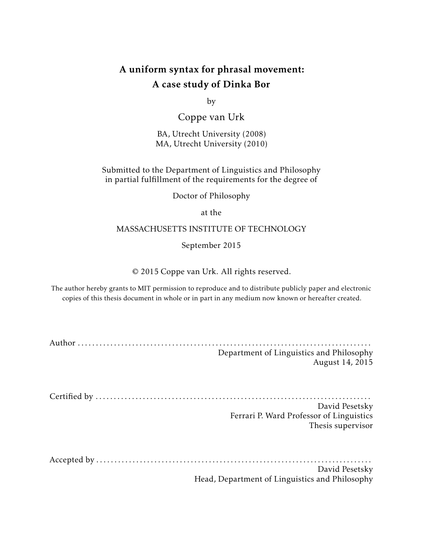# A uniform syntax for phrasal movement: A case study of Dinka Bor

by

Coppe van Urk

BA, Utrecht University (2008) MA, Utrecht University (2010)

## Submitted to the Department of Linguistics and Philosophy in partial fulfillment of the requirements for the degree of

Doctor of Philosophy

at the

## MASSACHUSETTS INSTITUTE OF TECHNOLOGY

September 2015

© 2015 Coppe van Urk. All rights reserved.

The author hereby grants to MIT permission to reproduce and to distribute publicly paper and electronic copies of this thesis document in whole or in part in any medium now known or hereafter created.

| Department of Linguistics and Philosophy<br>August 14, 2015 |
|-------------------------------------------------------------|
|                                                             |
|                                                             |
| David Pesetsky                                              |
| Ferrari P. Ward Professor of Linguistics                    |
| Thesis supervisor                                           |
|                                                             |
|                                                             |
| David Pesetsky                                              |

Head, Department of Linguistics and Philosophy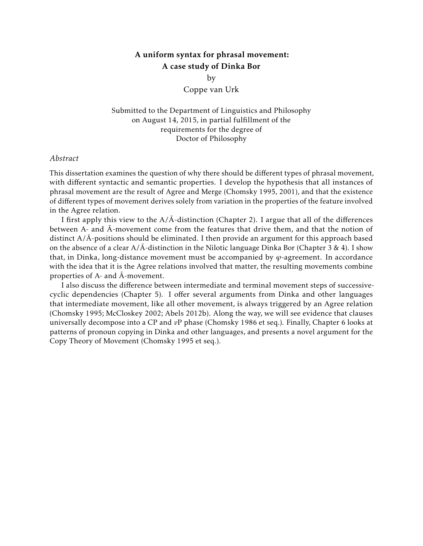## A uniform syntax for phrasal movement: A case study of Dinka Bor

by

Coppe van Urk

Submitted to the Department of Linguistics and Philosophy on August 14, 2015, in partial fulfillment of the requirements for the degree of Doctor of Philosophy

### *Abstract*

This dissertation examines the question of why there should be different types of phrasal movement, with different syntactic and semantic properties. I develop the hypothesis that all instances of phrasal movement are the result of Agree and Merge (Chomsky 1995, 2001), and that the existence of different types of movement derives solely from variation in the properties of the feature involved in the Agree relation.

I first apply this view to the  $A/\bar{A}$ -distinction (Chapter 2). I argue that all of the differences between A- and  $\bar{A}$ -movement come from the features that drive them, and that the notion of distinct  $A/\overline{A}$ -positions should be eliminated. I then provide an argument for this approach based on the absence of a clear  $A/\bar{A}$ -distinction in the Nilotic language Dinka Bor (Chapter 3 & 4). I show that, in Dinka, long-distance movement must be accompanied by  $\varphi$ -agreement. In accordance with the idea that it is the Agree relations involved that matter, the resulting movements combine properties of  $A$ - and  $\bar{A}$ -movement.

I also discuss the difference between intermediate and terminal movement steps of successivecyclic dependencies (Chapter 5). I offer several arguments from Dinka and other languages that intermediate movement, like all other movement, is always triggered by an Agree relation (Chomsky 1995; McCloskey 2002; Abels 2012b). Along the way, we will see evidence that clauses universally decompose into a CP and *v*P phase (Chomsky 1986 et seq.). Finally, Chapter 6 looks at patterns of pronoun copying in Dinka and other languages, and presents a novel argument for the Copy Theory of Movement (Chomsky 1995 et seq.).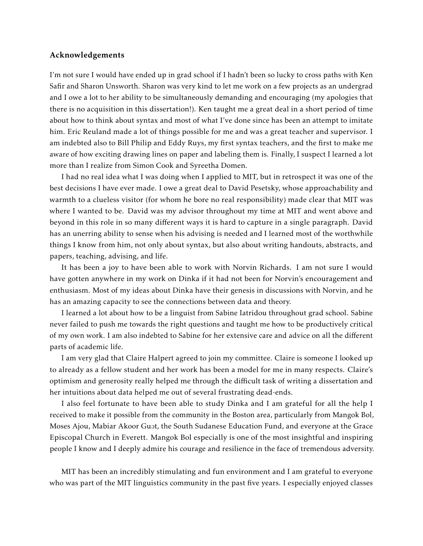### Acknowledgements

I'm not sure I would have ended up in grad school if I hadn't been so lucky to cross paths with Ken Safir and Sharon Unsworth. Sharon was very kind to let me work on a few projects as an undergrad and I owe a lot to her ability to be simultaneously demanding and encouraging (my apologies that there is no acquisition in this dissertation!). Ken taught me a great deal in a short period of time about how to think about syntax and most of what I've done since has been an attempt to imitate him. Eric Reuland made a lot of things possible for me and was a great teacher and supervisor. I am indebted also to Bill Philip and Eddy Ruys, my first syntax teachers, and the first to make me aware of how exciting drawing lines on paper and labeling them is. Finally, I suspect I learned a lot more than I realize from Simon Cook and Syreetha Domen.

I had no real idea what I was doing when I applied to MIT, but in retrospect it was one of the best decisions I have ever made. I owe a great deal to David Pesetsky, whose approachability and warmth to a clueless visitor (for whom he bore no real responsibility) made clear that MIT was where I wanted to be. David was my advisor throughout my time at MIT and went above and beyond in this role in so many different ways it is hard to capture in a single paragraph. David has an unerring ability to sense when his advising is needed and I learned most of the worthwhile things I know from him, not only about syntax, but also about writing handouts, abstracts, and papers, teaching, advising, and life.

It has been a joy to have been able to work with Norvin Richards. I am not sure I would have gotten anywhere in my work on Dinka if it had not been for Norvin's encouragement and enthusiasm. Most of my ideas about Dinka have their genesis in discussions with Norvin, and he has an amazing capacity to see the connections between data and theory.

I learned a lot about how to be a linguist from Sabine Iatridou throughout grad school. Sabine never failed to push me towards the right questions and taught me how to be productively critical of my own work. I am also indebted to Sabine for her extensive care and advice on all the different parts of academic life.

I am very glad that Claire Halpert agreed to join my committee. Claire is someone I looked up to already as a fellow student and her work has been a model for me in many respects. Claire's optimism and generosity really helped me through the difficult task of writing a dissertation and her intuitions about data helped me out of several frustrating dead-ends.

I also feel fortunate to have been able to study Dinka and I am grateful for all the help I received to make it possible from the community in the Boston area, particularly from Mangok Bol, Moses Ajou, Mabiar Akoor Guot, the South Sudanese Education Fund, and everyone at the Grace Episcopal Church in Everett. Mangok Bol especially is one of the most insightful and inspiring people I know and I deeply admire his courage and resilience in the face of tremendous adversity.

MIT has been an incredibly stimulating and fun environment and I am grateful to everyone who was part of the MIT linguistics community in the past five years. I especially enjoyed classes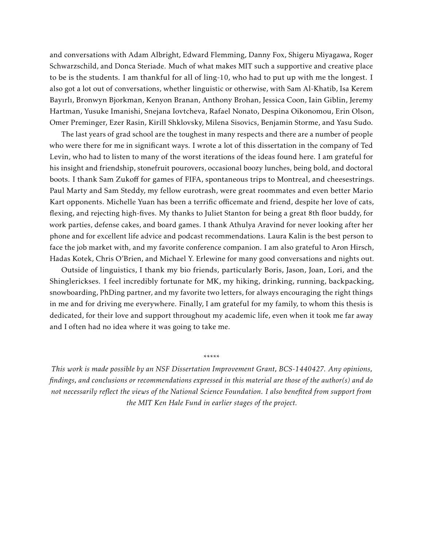and conversations with Adam Albright, Edward Flemming, Danny Fox, Shigeru Miyagawa, Roger Schwarzschild, and Donca Steriade. Much of what makes MIT such a supportive and creative place to be is the students. I am thankful for all of ling-10, who had to put up with me the longest. I also got a lot out of conversations, whether linguistic or otherwise, with Sam Al-Khatib, Isa Kerem Bayırlı, Bronwyn Bjorkman, Kenyon Branan, Anthony Brohan, Jessica Coon, Iain Giblin, Jeremy Hartman, Yusuke Imanishi, Snejana Iovtcheva, Rafael Nonato, Despina Oikonomou, Erin Olson, Omer Preminger, Ezer Rasin, Kirill Shklovsky, Milena Sisovics, Benjamin Storme, and Yasu Sudo.

The last years of grad school are the toughest in many respects and there are a number of people who were there for me in significant ways. I wrote a lot of this dissertation in the company of Ted Levin, who had to listen to many of the worst iterations of the ideas found here. I am grateful for his insight and friendship, stonefruit pourovers, occasional boozy lunches, being bold, and doctoral boots. I thank Sam Zukoff for games of FIFA, spontaneous trips to Montreal, and cheesestrings. Paul Marty and Sam Steddy, my fellow eurotrash, were great roommates and even better Mario Kart opponents. Michelle Yuan has been a terrific officemate and friend, despite her love of cats, flexing, and rejecting high-fives. My thanks to Juliet Stanton for being a great 8th floor buddy, for work parties, defense cakes, and board games. I thank Athulya Aravind for never looking after her phone and for excellent life advice and podcast recommendations. Laura Kalin is the best person to face the job market with, and my favorite conference companion. I am also grateful to Aron Hirsch, Hadas Kotek, Chris O'Brien, and Michael Y. Erlewine for many good conversations and nights out.

Outside of linguistics, I thank my bio friends, particularly Boris, Jason, Joan, Lori, and the Shinglerickses. I feel incredibly fortunate for MK, my hiking, drinking, running, backpacking, snowboarding, PhDing partner, and my favorite two letters, for always encouraging the right things in me and for driving me everywhere. Finally, I am grateful for my family, to whom this thesis is dedicated, for their love and support throughout my academic life, even when it took me far away and I often had no idea where it was going to take me.

*This work is made possible by an NSF Dissertation Improvement Grant, BCS-1440427. Any opinions, findings, and conclusions or recommendations expressed in this material are those of the author(s) and do not necessarily reflect the views of the National Science Foundation. I also benefited from support from the MIT Ken Hale Fund in earlier stages of the project.*

\*\*\*\*\*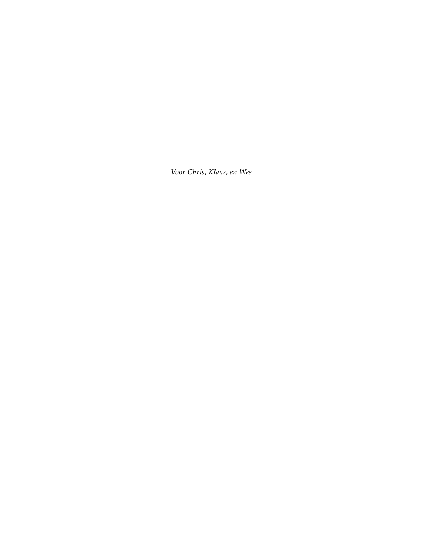*Voor Chris, Klaas, en Wes*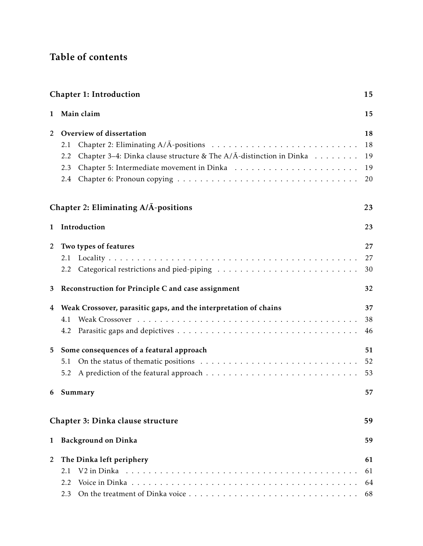# Table of contents

|                | <b>Chapter 1: Introduction</b><br>15                                               |    |  |
|----------------|------------------------------------------------------------------------------------|----|--|
| 1              | Main claim                                                                         | 15 |  |
| 2              | Overview of dissertation                                                           | 18 |  |
|                | 2.1                                                                                | 18 |  |
|                | Chapter 3–4: Dinka clause structure & The $A/\bar{A}$ -distinction in Dinka<br>2.2 | 19 |  |
|                | 2.3                                                                                | 19 |  |
|                | 2.4                                                                                | 20 |  |
|                | Chapter 2: Eliminating A/A-positions                                               | 23 |  |
| 1              | Introduction                                                                       | 23 |  |
| 2              | Two types of features                                                              | 27 |  |
|                | 2.1                                                                                | 27 |  |
|                | 2.2                                                                                | 30 |  |
| 3              | Reconstruction for Principle C and case assignment                                 | 32 |  |
| 4              | Weak Crossover, parasitic gaps, and the interpretation of chains                   | 37 |  |
|                | 4.1                                                                                | 38 |  |
|                | 4.2                                                                                | 46 |  |
| 5              | Some consequences of a featural approach                                           | 51 |  |
|                | 5.1                                                                                | 52 |  |
|                | 5.2                                                                                | 53 |  |
|                | 6 Summary                                                                          |    |  |
|                | Chapter 3: Dinka clause structure                                                  | 59 |  |
| $\mathbf{1}$   | <b>Background on Dinka</b>                                                         | 59 |  |
| $\overline{2}$ | The Dinka left periphery                                                           |    |  |
|                | 2.1                                                                                | 61 |  |
|                | 2.2                                                                                | 64 |  |
|                | 2.3                                                                                | 68 |  |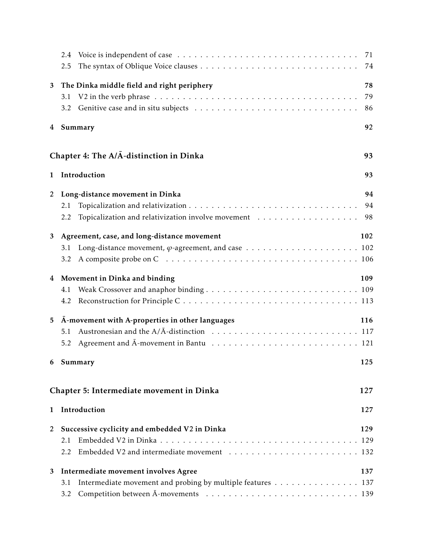|                | 2.4                                                                                                   | 71  |
|----------------|-------------------------------------------------------------------------------------------------------|-----|
|                | 2.5                                                                                                   | 74  |
| 3              | The Dinka middle field and right periphery                                                            | 78  |
|                | 3.1                                                                                                   | 79  |
|                | 3.2                                                                                                   | 86  |
| 4              | Summary                                                                                               | 92  |
|                | Chapter 4: The A/A-distinction in Dinka                                                               | 93  |
| 1              | Introduction                                                                                          | 93  |
| $\overline{c}$ | Long-distance movement in Dinka                                                                       | 94  |
|                | 2.1                                                                                                   | 94  |
|                | Topicalization and relativization involve movement $\ldots \ldots \ldots \ldots \ldots \ldots$<br>2.2 | 98  |
| 3              | Agreement, case, and long-distance movement                                                           | 102 |
|                | 3.1                                                                                                   |     |
|                | 3.2                                                                                                   |     |
| 4              | Movement in Dinka and binding                                                                         | 109 |
|                | 4.1                                                                                                   |     |
|                | 4.2                                                                                                   |     |
| 5              | A-movement with A-properties in other languages                                                       | 116 |
|                | 5.1                                                                                                   |     |
|                | 5.2                                                                                                   |     |
| 6              | Summary                                                                                               | 125 |
|                | Chapter 5: Intermediate movement in Dinka                                                             | 127 |
| 1              | Introduction                                                                                          | 127 |
| 2              | Successive cyclicity and embedded V2 in Dinka                                                         | 129 |
|                | 2.1                                                                                                   | 129 |
|                | 2.2                                                                                                   |     |
| 3              | Intermediate movement involves Agree                                                                  | 137 |
|                | Intermediate movement and probing by multiple features 137<br>3.1                                     |     |
|                | 3.2                                                                                                   |     |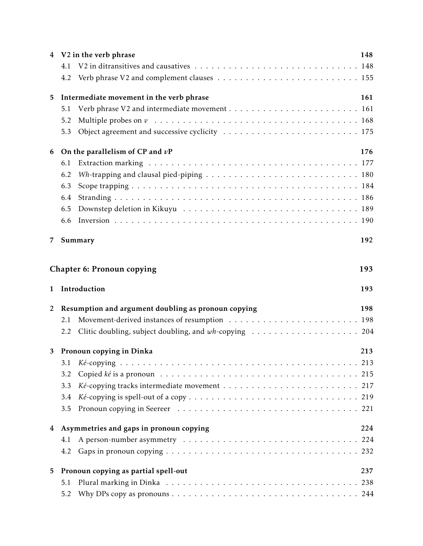|   |     | 4 V2 in the verb phrase                                                                     | 148 |  |
|---|-----|---------------------------------------------------------------------------------------------|-----|--|
|   | 4.1 |                                                                                             |     |  |
|   | 4.2 |                                                                                             |     |  |
| 5 |     | Intermediate movement in the verb phrase                                                    |     |  |
|   | 5.1 |                                                                                             |     |  |
|   | 5.2 | Multiple probes on $v_1, \ldots, v_n, v_1, \ldots, v_n, v_1, \ldots, v_n, v_1, \ldots, v_n$ |     |  |
|   | 5.3 |                                                                                             |     |  |
| 6 |     | On the parallelism of CP and $vP$                                                           |     |  |
|   | 6.1 |                                                                                             |     |  |
|   | 6.2 |                                                                                             |     |  |
|   | 6.3 |                                                                                             |     |  |
|   | 6.4 |                                                                                             |     |  |
|   | 6.5 |                                                                                             |     |  |
|   | 6.6 |                                                                                             |     |  |
| 7 |     | Summary                                                                                     | 192 |  |
|   |     | <b>Chapter 6: Pronoun copying</b>                                                           | 193 |  |
| 1 |     | Introduction                                                                                | 193 |  |
| 2 |     | Resumption and argument doubling as pronoun copying                                         | 198 |  |
|   | 2.1 |                                                                                             |     |  |
|   | 2.2 |                                                                                             |     |  |
| 3 |     | Pronoun copying in Dinka                                                                    | 213 |  |
|   | 3.1 |                                                                                             |     |  |
|   | 3.2 |                                                                                             |     |  |
|   | 3.3 |                                                                                             |     |  |
|   | 3.4 |                                                                                             |     |  |
|   |     |                                                                                             |     |  |
|   | 3.5 |                                                                                             |     |  |
|   |     | 4 Asymmetries and gaps in pronoun copying                                                   | 224 |  |
|   | 4.1 |                                                                                             |     |  |
|   | 4.2 |                                                                                             |     |  |
| 5 |     | Pronoun copying as partial spell-out                                                        | 237 |  |
|   | 5.1 |                                                                                             | 238 |  |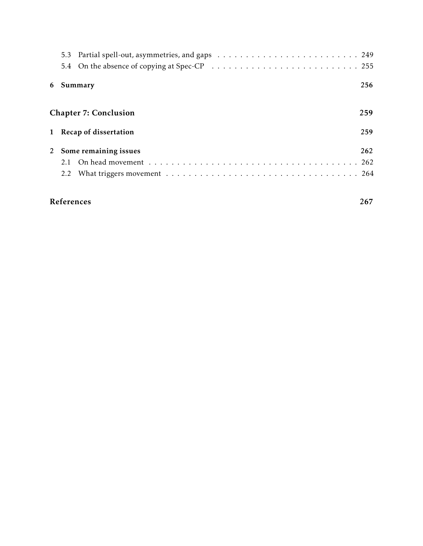|                         | 256<br>6 Summary |                              |     |  |
|-------------------------|------------------|------------------------------|-----|--|
|                         |                  | <b>Chapter 7: Conclusion</b> | 259 |  |
| 1 Recap of dissertation |                  | 259                          |     |  |
| 2 Some remaining issues |                  | 262                          |     |  |
|                         | 2.1              |                              |     |  |
|                         |                  |                              |     |  |
|                         |                  | References                   | 267 |  |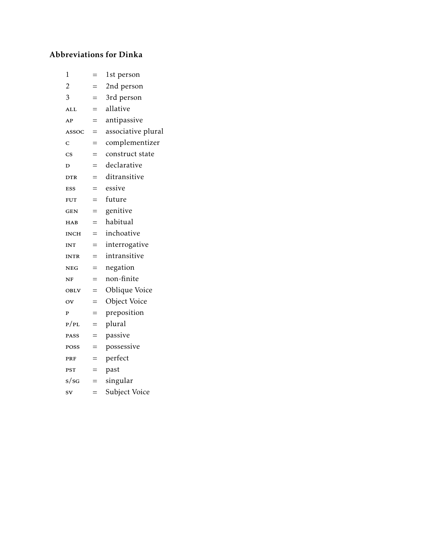# Abbreviations for Dinka

| 1                      | $=$ | 1st person         |
|------------------------|-----|--------------------|
| $\overline{c}$         |     | 2nd person         |
| 3                      | $=$ | 3rd person         |
| <b>ALL</b>             | $=$ | allative           |
| AP                     | $=$ | antipassive        |
| ASSOC                  | $=$ | associative plural |
| C                      | $=$ | complementizer     |
| $\overline{\text{cs}}$ | $=$ | construct state    |
| D                      | $=$ | declarative        |
| <b>DTR</b>             | $=$ | ditransitive       |
| <b>ESS</b>             | $=$ | essive             |
| <b>FUT</b>             | $=$ | future             |
| <b>GEN</b>             | $=$ | genitive           |
| HAB                    | $=$ | habitual           |
| <b>INCH</b>            | $=$ | inchoative         |
| <b>INT</b>             | $=$ | interrogative      |
| <b>INTR</b>            | $=$ | intransitive       |
| <b>NEG</b>             | $=$ | negation           |
| NF                     | $=$ | non-finite         |
| <b>OBLV</b>            | $=$ | Oblique Voice      |
| $\overline{\text{ov}}$ | $=$ | Object Voice       |
| P                      | $=$ | preposition        |
| P/PL                   | $=$ | plural             |
| <b>PASS</b>            | $=$ | passive            |
| POSS                   | $=$ | possessive         |
| PRF                    | $=$ | perfect            |
| PST                    | $=$ | past               |
| s/sG                   | $=$ | singular           |
| <b>SV</b>              | $=$ | Subject Voice      |
|                        |     |                    |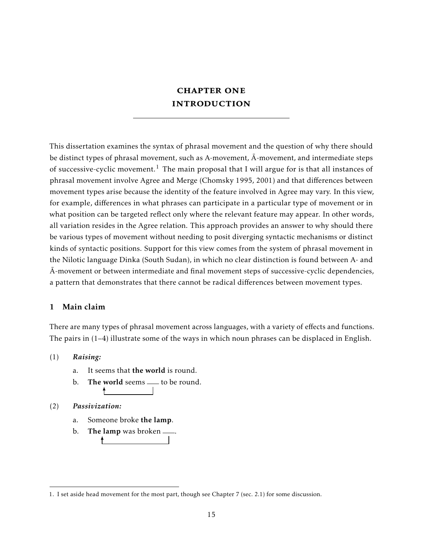# **CHAPTER ONE INTRODUCTION**

This dissertation examines the syntax of phrasal movement and the question of why there should be distinct types of phrasal movement, such as A-movement,  $\bar{A}$ -movement, and intermediate steps of successive-cyclic movement.<sup>1</sup> The main proposal that I will argue for is that all instances of phrasal movement involve Agree and Merge (Chomsky 1995, 2001) and that differences between movement types arise because the identity of the feature involved in Agree may vary. In this view, for example, differences in what phrases can participate in a particular type of movement or in what position can be targeted reflect only where the relevant feature may appear. In other words, all variation resides in the Agree relation. This approach provides an answer to why should there be various types of movement without needing to posit diverging syntactic mechanisms or distinct kinds of syntactic positions. Support for this view comes from the system of phrasal movement in the Nilotic language Dinka (South Sudan), in which no clear distinction is found between A- and  $\bar{A}$ -movement or between intermediate and final movement steps of successive-cyclic dependencies, a pattern that demonstrates that there cannot be radical differences between movement types.

## 1 Main claim

There are many types of phrasal movement across languages, with a variety of effects and functions. The pairs in (1–4) illustrate some of the ways in which noun phrases can be displaced in English.

## (1) *Raising:*

- a. It seems that the world is round.
- b. The world seems  $\equiv$  to be round.

## (2) *Passivization:*

- a. Someone broke the lamp.
- b. The lamp was broken  $\_\_\$ .

<sup>1.</sup> I set aside head movement for the most part, though see Chapter 7 (sec. 2.1) for some discussion.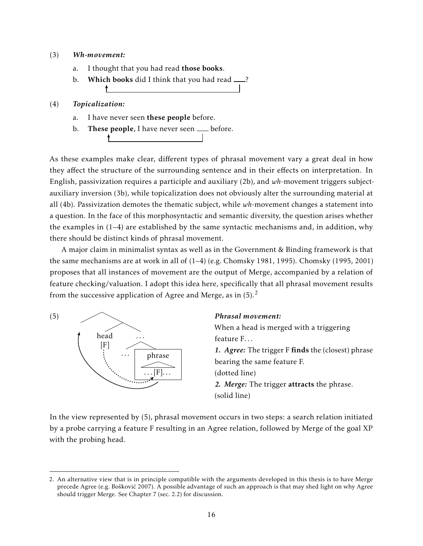### (3) *Wh-movement:*

- a. I thought that you had read those books.
- b. Which books did I think that you had read  $\frac{1}{2}$ ?

### (4) *Topicalization:*

- a. I have never seen these people before.
- b. These people, I have never seen  $\rule{1em}{0.15mm}$  before.

As these examples make clear, different types of phrasal movement vary a great deal in how they affect the structure of the surrounding sentence and in their effects on interpretation. In English, passivization requires a participle and auxiliary (2b), and *wh*-movement triggers subjectauxiliary inversion (3b), while topicalization does not obviously alter the surrounding material at all (4b). Passivization demotes the thematic subject, while *wh*-movement changes a statement into a question. In the face of this morphosyntactic and semantic diversity, the question arises whether the examples in (1–4) are established by the same syntactic mechanisms and, in addition, why there should be distinct kinds of phrasal movement.

A major claim in minimalist syntax as well as in the Government & Binding framework is that the same mechanisms are at work in all of (1–4) (e.g. Chomsky 1981, 1995). Chomsky (1995, 2001) proposes that all instances of movement are the output of Merge, accompanied by a relation of feature checking/valuation. I adopt this idea here, specifically that all phrasal movement results from the successive application of Agree and Merge, as in  $(5)$ .<sup>2</sup>



### *Phrasal movement:*

When a head is merged with a triggering feature F... *1. Agree:* The trigger F finds the (closest) phrase bearing the same feature F. (dotted line) *2. Merge:* The trigger attracts the phrase. (solid line)

In the view represented by (5), phrasal movement occurs in two steps: a search relation initiated by a probe carrying a feature F resulting in an Agree relation, followed by Merge of the goal XP with the probing head.

<sup>2.</sup> An alternative view that is in principle compatible with the arguments developed in this thesis is to have Merge precede Agree (e.g. Bošković 2007). A possible advantage of such an approach is that may shed light on why Agree should trigger Merge. See Chapter 7 (sec. 2.2) for discussion.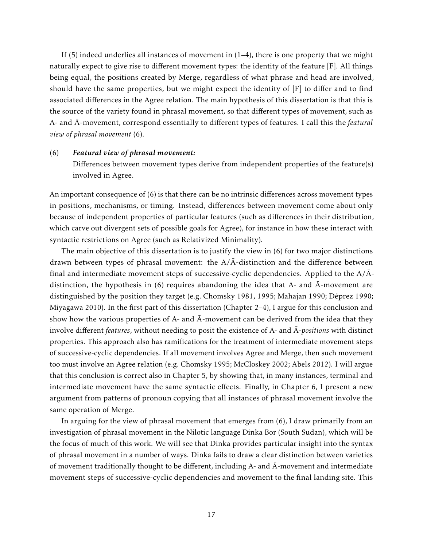If (5) indeed underlies all instances of movement in  $(1-4)$ , there is one property that we might naturally expect to give rise to different movement types: the identity of the feature [F]. All things being equal, the positions created by Merge, regardless of what phrase and head are involved, should have the same properties, but we might expect the identity of [F] to differ and to find associated differences in the Agree relation. The main hypothesis of this dissertation is that this is the source of the variety found in phrasal movement, so that different types of movement, such as A- and  $\bar{A}$ -movement, correspond essentially to different types of features. I call this the *featural view of phrasal movement* (6).

#### (6) *Featural view of phrasal movement:*

Differences between movement types derive from independent properties of the feature(s) involved in Agree.

An important consequence of (6) is that there can be no intrinsic differences across movement types in positions, mechanisms, or timing. Instead, differences between movement come about only because of independent properties of particular features (such as differences in their distribution, which carve out divergent sets of possible goals for Agree), for instance in how these interact with syntactic restrictions on Agree (such as Relativized Minimality).

The main objective of this dissertation is to justify the view in (6) for two major distinctions drawn between types of phrasal movement: the  $A/\bar{A}$ -distinction and the difference between final and intermediate movement steps of successive-cyclic dependencies. Applied to the  $A/\bar{A}$ distinction, the hypothesis in  $(6)$  requires abandoning the idea that A- and  $\overline{A}$ -movement are distinguished by the position they target (e.g. Chomsky 1981, 1995; Mahajan 1990; Déprez 1990; Miyagawa 2010). In the first part of this dissertation (Chapter 2–4), I argue for this conclusion and show how the various properties of A- and  $\overline{A}$ -movement can be derived from the idea that they involve different *features*, without needing to posit the existence of A- and  $\overline{A}$ -positions with distinct properties. This approach also has ramifications for the treatment of intermediate movement steps of successive-cyclic dependencies. If all movement involves Agree and Merge, then such movement too must involve an Agree relation (e.g. Chomsky 1995; McCloskey 2002; Abels 2012). I will argue that this conclusion is correct also in Chapter 5, by showing that, in many instances, terminal and intermediate movement have the same syntactic effects. Finally, in Chapter 6, I present a new argument from patterns of pronoun copying that all instances of phrasal movement involve the same operation of Merge.

In arguing for the view of phrasal movement that emerges from (6), I draw primarily from an investigation of phrasal movement in the Nilotic language Dinka Bor (South Sudan), which will be the focus of much of this work. We will see that Dinka provides particular insight into the syntax of phrasal movement in a number of ways. Dinka fails to draw a clear distinction between varieties of movement traditionally thought to be different, including A- and  $\bar{A}$ -movement and intermediate movement steps of successive-cyclic dependencies and movement to the final landing site. This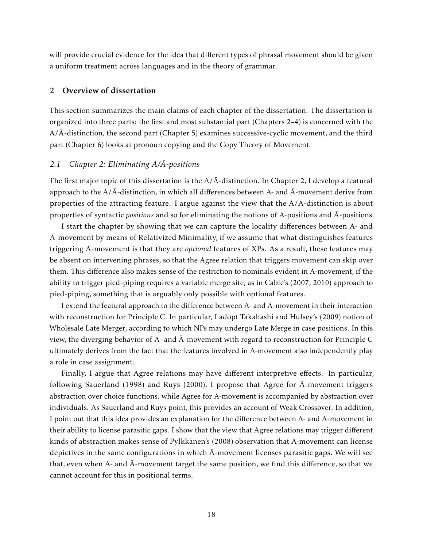will provide crucial evidence for the idea that different types of phrasal movement should be given a uniform treatment across languages and in the theory of grammar.

## 2 Overview of dissertation

This section summarizes the main claims of each chapter of the dissertation. The dissertation is organized into three parts: the first and most substantial part (Chapters 2–4) is concerned with the  $A/\overline{A}$ -distinction, the second part (Chapter 5) examines successive-cyclic movement, and the third part (Chapter 6) looks at pronoun copying and the Copy Theory of Movement.

## *2.1 Chapter 2: Eliminating A/A-positions*

The first major topic of this dissertation is the  $A/\bar{A}$ -distinction. In Chapter 2, I develop a featural approach to the  $A/\overline{A}$ -distinction, in which all differences between A- and  $\overline{A}$ -movement derive from properties of the attracting feature. I argue against the view that the  $A/\overline{A}$ -distinction is about properties of syntactic *positions* and so for eliminating the notions of A-positions and A-positions. ¯

I start the chapter by showing that we can capture the locality differences between A- and  $\bar{A}$ -movement by means of Relativized Minimality, if we assume that what distinguishes features triggering  $\bar{A}$ -movement is that they are *optional* features of XPs. As a result, these features may be absent on intervening phrases, so that the Agree relation that triggers movement can skip over them. This difference also makes sense of the restriction to nominals evident in A-movement, if the ability to trigger pied-piping requires a variable merge site, as in Cable's (2007, 2010) approach to pied-piping, something that is arguably only possible with optional features.

I extend the featural approach to the difference between A- and  $\bar{A}$ -movement in their interaction with reconstruction for Principle C. In particular, I adopt Takahashi and Hulsey's (2009) notion of Wholesale Late Merger, according to which NPs may undergo Late Merge in case positions. In this view, the diverging behavior of A- and  $\bar{A}$ -movement with regard to reconstruction for Principle C ultimately derives from the fact that the features involved in A-movement also independently play a role in case assignment.

Finally, I argue that Agree relations may have different interpretive effects. In particular, following Sauerland (1998) and Ruys (2000), I propose that Agree for  $\bar{A}$ -movement triggers abstraction over choice functions, while Agree for A-movement is accompanied by abstraction over individuals. As Sauerland and Ruys point, this provides an account of Weak Crossover. In addition, I point out that this idea provides an explanation for the difference between  $A$ - and  $\bar{A}$ -movement in their ability to license parasitic gaps. I show that the view that Agree relations may trigger different kinds of abstraction makes sense of Pylkkänen's (2008) observation that A-movement can license depictives in the same configurations in which  $\overline{A}$ -movement licenses parasitic gaps. We will see that, even when A- and  $\bar{A}$ -movement target the same position, we find this difference, so that we cannot account for this in positional terms.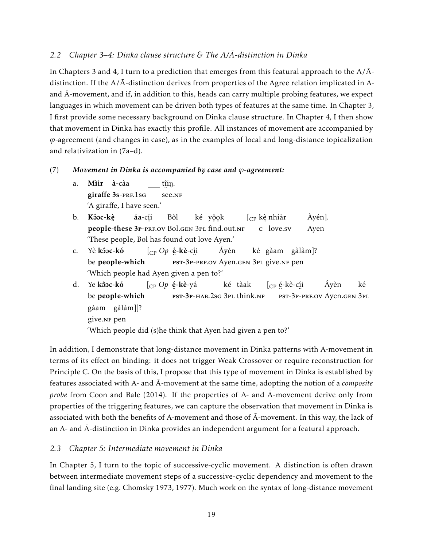## *2.2 Chapter 3–4: Dinka clause structure & The A/A-distinction in Dinka*

In Chapters 3 and 4, I turn to a prediction that emerges from this featural approach to the  $A/\overline{A}$ distinction. If the  $A/\overline{A}$ -distinction derives from properties of the Agree relation implicated in Aand  $\bar{A}$ -movement, and if, in addition to this, heads can carry multiple probing features, we expect languages in which movement can be driven both types of features at the same time. In Chapter 3, I first provide some necessary background on Dinka clause structure. In Chapter 4, I then show that movement in Dinka has exactly this profile. All instances of movement are accompanied by *ϕ*-agreement (and changes in case), as in the examples of local and long-distance topicalization and relativization in (7a–d).

## (7) *Movement in Dinka is accompanied by case and ϕ-agreement:*

- a. Mìir à-càa giraffe 3s-PRF.1sG t<u>î</u>iŋ. ∵. '<br>see.nf 'A giraffe, I have seen.'
- b. Kôoc-kè people-these 3p-prf.ov Bol.gen 3pl find.out.nf áa-cí i Bôl ké y<u>ộo</u>k  $[\rm_{CP}$  kè nhiàr ¨ c love.sv Àyén]. Ayen 'These people, Bol has found out love Ayen.'
- c. Yè <mark>kôoc-kó</mark> be people-which [CP *Op* é -kè-cí i est-3p-prf.ov Ayen.gen 3pl give.nf pen Áyèn ké gàam gàlàm]? 'Which people had Ayen given a pen to?'
- d. Ye **kôoc-kó** be people-which [CP *Op* é -kè-yá ..<br>**pst-3p**-hab.2sg 3pl think.nf ké tàak [<sub>CP</sub> é-kè-c<u>í</u>i ¨ ¨ pst-3p-prf.ov Ayen.gen 3pl Áyèn ké gàam gàlàm]]? give.<mark>NF</mark> pen 'Which people did (s)he think that Ayen had given a pen to?'

In addition, I demonstrate that long-distance movement in Dinka patterns with A-movement in terms of its effect on binding: it does not trigger Weak Crossover or require reconstruction for Principle C. On the basis of this, I propose that this type of movement in Dinka is established by features associated with A- and  $\bar{A}$ -movement at the same time, adopting the notion of a *composite probe* from Coon and Bale (2014). If the properties of A- and  $\overline{A}$ -movement derive only from properties of the triggering features, we can capture the observation that movement in Dinka is associated with both the benefits of A-movement and those of  $\bar{A}$ -movement. In this way, the lack of an  $A$ - and  $\bar{A}$ -distinction in Dinka provides an independent argument for a featural approach.

## *2.3 Chapter 5: Intermediate movement in Dinka*

In Chapter 5, I turn to the topic of successive-cyclic movement. A distinction is often drawn between intermediate movement steps of a successive-cyclic dependency and movement to the final landing site (e.g. Chomsky 1973, 1977). Much work on the syntax of long-distance movement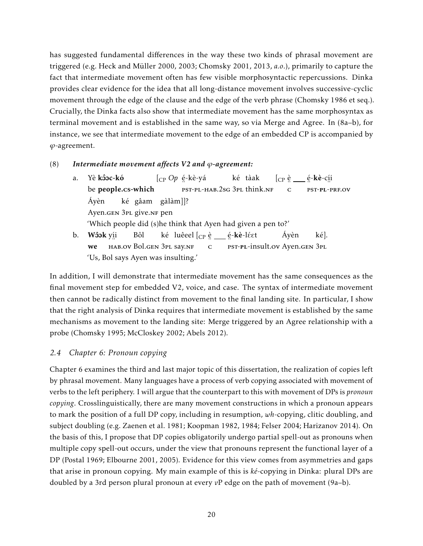has suggested fundamental differences in the way these two kinds of phrasal movement are triggered (e.g. Heck and Müller 2000, 2003; Chomsky 2001, 2013, *a.o*.), primarily to capture the fact that intermediate movement often has few visible morphosyntactic repercussions. Dinka provides clear evidence for the idea that all long-distance movement involves successive-cyclic movement through the edge of the clause and the edge of the verb phrase (Chomsky 1986 et seq.). Crucially, the Dinka facts also show that intermediate movement has the same morphosyntax as terminal movement and is established in the same way, so via Merge and Agree. In (8a–b), for instance, we see that intermediate movement to the edge of an embedded CP is accompanied by *ϕ*-agreement.

### (8) *Intermediate movement affects V2 and ϕ-agreement:*

a. Yè <mark>kôoc-kó</mark> be people.cs-which [CP *Op* é -kè-yá ..<br>pst-pl-hab.2sg 3pl think.nf ké tàak [<sub>CP</sub> è \_\_\_ é-**kè**-c<u>í</u>i ¨ c ¨ ¨ pst-pl-prf.ov Áyèn Ayen.gen 3pl give.nf pen ké gâam gàlàm]]? 'Which people did (s)he think that Ayen had given a pen to?' b. Wôok yíi we , ..<br>hab.ov Bol.gen 3pl say.nf Bôl ké) luêeel [<sub>CP</sub> è \_\_\_ é-**kè**-léet ¨ c est-pl-insult.ov Ayen.gen 3pl Áyèn ké]. 'Us, Bol says Ayen was insulting.'

In addition, I will demonstrate that intermediate movement has the same consequences as the final movement step for embedded V2, voice, and case. The syntax of intermediate movement then cannot be radically distinct from movement to the final landing site. In particular, I show that the right analysis of Dinka requires that intermediate movement is established by the same mechanisms as movement to the landing site: Merge triggered by an Agree relationship with a probe (Chomsky 1995; McCloskey 2002; Abels 2012).

## *2.4 Chapter 6: Pronoun copying*

Chapter 6 examines the third and last major topic of this dissertation, the realization of copies left by phrasal movement. Many languages have a process of verb copying associated with movement of verbs to the left periphery. I will argue that the counterpart to this with movement of DPs is *pronoun copying*. Crosslinguistically, there are many movement constructions in which a pronoun appears to mark the position of a full DP copy, including in resumption, *wh*-copying, clitic doubling, and subject doubling (e.g. Zaenen et al. 1981; Koopman 1982, 1984; Felser 2004; Harizanov 2014). On the basis of this, I propose that DP copies obligatorily undergo partial spell-out as pronouns when multiple copy spell-out occurs, under the view that pronouns represent the functional layer of a DP (Postal 1969; Elbourne 2001, 2005). Evidence for this view comes from asymmetries and gaps that arise in pronoun copying. My main example of this is *ké*-copying in Dinka: plural DPs are doubled by a 3rd person plural pronoun at every *v*P edge on the path of movement (9a–b).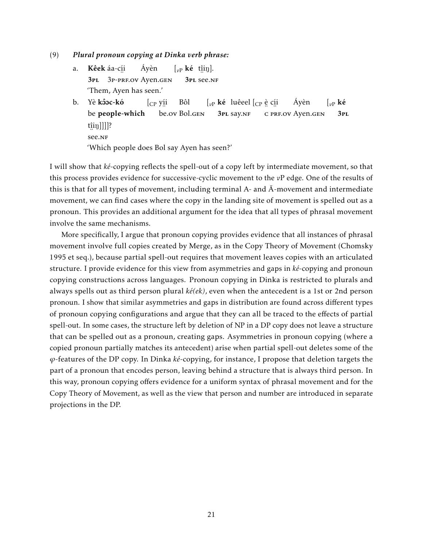- (9) *Plural pronoun copying at Dinka verb phrase:*
	- a. **Kêek** áa-c<u>í</u>i 3pl ¨ 3p-prf.ov Ayen.gen Áyèn  $\left[\begin{smallmatrix} v_P & \mathbf{k}\dot{\mathbf{e}} & \textbf{t}\hat{\mathbf{u}}\textbf{in} \end{smallmatrix}\right].$ 3pl ¨ see.nf 'Them, Ayen has seen.'
	- b. Yè <mark>kôoc-kó</mark> be people-which [CP yí i , ..<br>be.ov Bol.gen Bôl  $\left[\begin{smallmatrix} v\end{smallmatrix}\right]$ ké luêeel  $\left[\begin{smallmatrix} C\end{smallmatrix}\right]$ e c<u>í</u>i 3pl say.nf .∙ .∙ .<br>c prf.ov Ayen.gen Áyèn  $\int_{v}$ <sub>*v*P</sub> ké 3pl t<u>î</u>iŋ]]]]? ¨ see.nf 'Which people does Bol say Ayen has seen?'

I will show that *ké*-copying reflects the spell-out of a copy left by intermediate movement, so that this process provides evidence for successive-cyclic movement to the *v*P edge. One of the results of this is that for all types of movement, including terminal A- and  $\bar{A}$ -movement and intermediate movement, we can find cases where the copy in the landing site of movement is spelled out as a pronoun. This provides an additional argument for the idea that all types of phrasal movement involve the same mechanisms.

More specifically, I argue that pronoun copying provides evidence that all instances of phrasal movement involve full copies created by Merge, as in the Copy Theory of Movement (Chomsky 1995 et seq.), because partial spell-out requires that movement leaves copies with an articulated structure. I provide evidence for this view from asymmetries and gaps in *ké*-copying and pronoun copying constructions across languages. Pronoun copying in Dinka is restricted to plurals and always spells out as third person plural *ké(ek)*, even when the antecedent is a 1st or 2nd person pronoun. I show that similar asymmetries and gaps in distribution are found across different types of pronoun copying configurations and argue that they can all be traced to the effects of partial spell-out. In some cases, the structure left by deletion of NP in a DP copy does not leave a structure that can be spelled out as a pronoun, creating gaps. Asymmetries in pronoun copying (where a copied pronoun partially matches its antecedent) arise when partial spell-out deletes some of the *ϕ*-features of the DP copy. In Dinka *ké*-copying, for instance, I propose that deletion targets the part of a pronoun that encodes person, leaving behind a structure that is always third person. In this way, pronoun copying offers evidence for a uniform syntax of phrasal movement and for the Copy Theory of Movement, as well as the view that person and number are introduced in separate projections in the DP.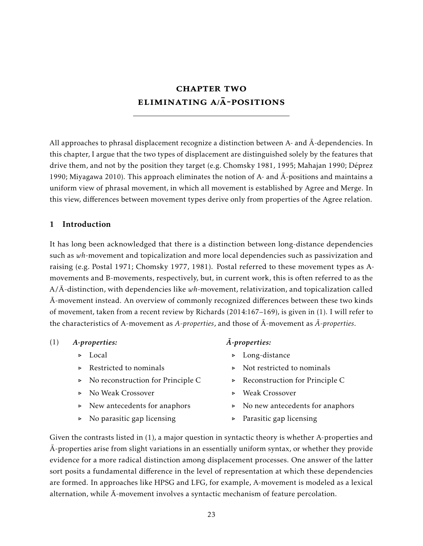# **CHAPTER TWO** ELIMINATING  $A/\bar{A}$ -POSITIONS

All approaches to phrasal displacement recognize a distinction between A- and  $\bar{A}$ -dependencies. In this chapter, I argue that the two types of displacement are distinguished solely by the features that drive them, and not by the position they target (e.g. Chomsky 1981, 1995; Mahajan 1990; Déprez 1990; Miyagawa 2010). This approach eliminates the notion of A- and  $\overline{A}$ -positions and maintains a uniform view of phrasal movement, in which all movement is established by Agree and Merge. In this view, differences between movement types derive only from properties of the Agree relation.

## 1 Introduction

It has long been acknowledged that there is a distinction between long-distance dependencies such as *wh*-movement and topicalization and more local dependencies such as passivization and raising (e.g. Postal 1971; Chomsky 1977, 1981). Postal referred to these movement types as Amovements and B-movements, respectively, but, in current work, this is often referred to as the  $A/\overline{A}$ -distinction, with dependencies like  $wh$ -movement, relativization, and topicalization called  $\overline{A}$ -movement instead. An overview of commonly recognized differences between these two kinds of movement, taken from a recent review by Richards (2014:167–169), is given in (1). I will refer to the characteristics of A-movement as *A-properties*, and those of  $\overline{A}$ -movement as  $\overline{A}$ -properties.

| (1) | A-properties:                                      | A-properties:                                                                                                  |  |
|-----|----------------------------------------------------|----------------------------------------------------------------------------------------------------------------|--|
|     | $\triangleright$ Local                             | $\triangleright$ Long-distance                                                                                 |  |
|     | $\triangleright$ Restricted to nominals            | $\triangleright$ Not restricted to nominals                                                                    |  |
|     | $\triangleright$ No reconstruction for Principle C | $\triangleright$ Reconstruction for Principle C                                                                |  |
|     | ▶ No Weak Crossover                                | $\triangleright$ Weak Crossover                                                                                |  |
|     | $\triangleright$ New antecedents for anaphors      | $\triangleright$ No new antecedents for anaphors                                                               |  |
|     | $\triangleright$ No parasitic gap licensing        | $\triangleright$ Parasitic gap licensing                                                                       |  |
|     |                                                    | $C$ iver the contracts listed in (1), a major question in syntactic theory is whather $\Lambda$ properties are |  |

Given the contrasts listed in (1), a major question in syntactic theory is whether A-properties and  $\bar{A}$ -properties arise from slight variations in an essentially uniform syntax, or whether they provide evidence for a more radical distinction among displacement processes. One answer of the latter sort posits a fundamental difference in the level of representation at which these dependencies are formed. In approaches like HPSG and LFG, for example, A-movement is modeled as a lexical alternation, while  $\bar{A}$ -movement involves a syntactic mechanism of feature percolation.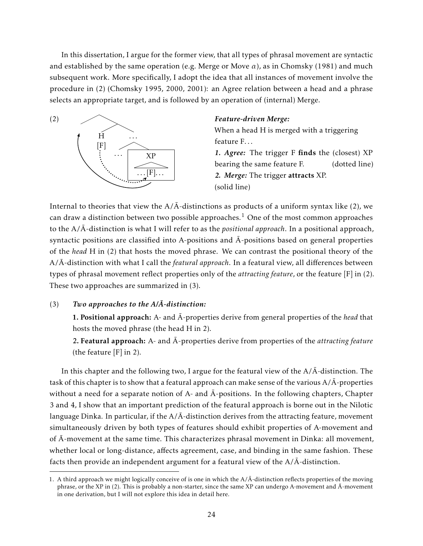In this dissertation, I argue for the former view, that all types of phrasal movement are syntactic and established by the same operation (e.g. Merge or Move  $\alpha$ ), as in Chomsky (1981) and much subsequent work. More specifically, I adopt the idea that all instances of movement involve the procedure in (2) (Chomsky 1995, 2000, 2001): an Agree relation between a head and a phrase selects an appropriate target, and is followed by an operation of (internal) Merge.



#### *Feature-driven Merge:*

When a head H is merged with a triggering feature F...

*1. Agree:* The trigger F finds the (closest) XP bearing the same feature F. (dotted line) *2. Merge:* The trigger attracts XP. (solid line)

Internal to theories that view the  $A/\bar{A}$ -distinctions as products of a uniform syntax like (2), we can draw a distinction between two possible approaches.<sup>1</sup> One of the most common approaches to the A/ $\bar{A}$ -distinction is what I will refer to as the *positional approach*. In a positional approach, syntactic positions are classified into A-positions and  $\overline{A}$ -positions based on general properties of the *head* H in (2) that hosts the moved phrase. We can contrast the positional theory of the A/Ā-distinction with what I call the *featural approach*. In a featural view, all differences between types of phrasal movement reflect properties only of the *attracting feature*, or the feature [F] in (2). These two approaches are summarized in (3).

## $(Tw)$  *Two approaches to the A/* $\overline{A}$ *-distinction:*

1. Positional approach: A- and  $\overline{A}$ -properties derive from general properties of the *head* that hosts the moved phrase (the head H in 2).

2. Featural approach: A- and  $\bar{A}$ -properties derive from properties of the *attracting feature* (the feature [F] in 2).

In this chapter and the following two, I argue for the featural view of the  $A/\overline{A}$ -distinction. The task of this chapter is to show that a featural approach can make sense of the various  $A/\overline{A}$ -properties without a need for a separate notion of A- and  $\bar{A}$ -positions. In the following chapters, Chapter 3 and 4, I show that an important prediction of the featural approach is borne out in the Nilotic language Dinka. In particular, if the  $A/\overline{A}$ -distinction derives from the attracting feature, movement simultaneously driven by both types of features should exhibit properties of A-movement and of  $\bar{A}$ -movement at the same time. This characterizes phrasal movement in Dinka: all movement, whether local or long-distance, affects agreement, case, and binding in the same fashion. These facts then provide an independent argument for a featural view of the  $A/\overline{A}$ -distinction.

<sup>1.</sup> A third approach we might logically conceive of is one in which the  $A/\bar{A}$ -distinction reflects properties of the moving phrase, or the XP in (2). This is probably a non-starter, since the same XP can undergo A-movement and  $\bar{A}$ -movement in one derivation, but I will not explore this idea in detail here.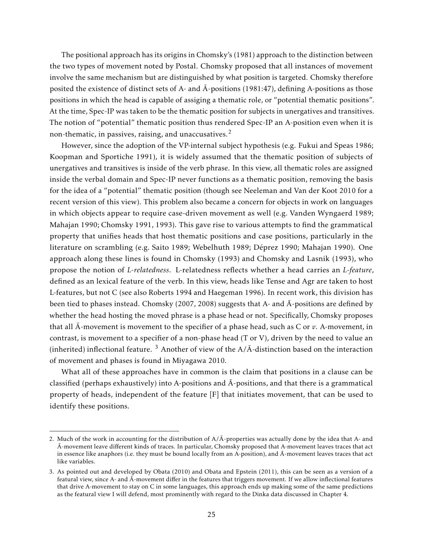The positional approach has its origins in Chomsky's (1981) approach to the distinction between the two types of movement noted by Postal. Chomsky proposed that all instances of movement involve the same mechanism but are distinguished by what position is targeted. Chomsky therefore posited the existence of distinct sets of A- and  $\bar{A}$ -positions (1981:47), defining A-positions as those positions in which the head is capable of assiging a thematic role, or "potential thematic positions". At the time, Spec-IP was taken to be the thematic position for subjects in unergatives and transitives. The notion of "potential" thematic position thus rendered Spec-IP an A-position even when it is non-thematic, in passives, raising, and unaccusatives. $2$ 

However, since the adoption of the VP-internal subject hypothesis (e.g. Fukui and Speas 1986; Koopman and Sportiche 1991), it is widely assumed that the thematic position of subjects of unergatives and transitives is inside of the verb phrase. In this view, all thematic roles are assigned inside the verbal domain and Spec-IP never functions as a thematic position, removing the basis for the idea of a "potential" thematic position (though see Neeleman and Van der Koot 2010 for a recent version of this view). This problem also became a concern for objects in work on languages in which objects appear to require case-driven movement as well (e.g. Vanden Wyngaerd 1989; Mahajan 1990; Chomsky 1991, 1993). This gave rise to various attempts to find the grammatical property that unifies heads that host thematic positions and case positions, particularly in the literature on scrambling (e.g. Saito 1989; Webelhuth 1989; Déprez 1990; Mahajan 1990). One approach along these lines is found in Chomsky (1993) and Chomsky and Lasnik (1993), who propose the notion of *L-relatedness*. L-relatedness reflects whether a head carries an *L-feature*, defined as an lexical feature of the verb. In this view, heads like Tense and Agr are taken to host L-features, but not C (see also Roberts 1994 and Haegeman 1996). In recent work, this division has been tied to phases instead. Chomsky (2007, 2008) suggests that A- and  $\bar{A}$ -positions are defined by whether the head hosting the moved phrase is a phase head or not. Specifically, Chomsky proposes that all  $\bar{A}$ -movement is movement to the specifier of a phase head, such as C or  $v$ . A-movement, in contrast, is movement to a specifier of a non-phase head (T or V), driven by the need to value an (inherited) inflectional feature.  $3$  Another of view of the A/ $\bar{A}$ -distinction based on the interaction of movement and phases is found in Miyagawa 2010.

What all of these approaches have in common is the claim that positions in a clause can be classified (perhaps exhaustively) into A-positions and  $\bar{A}$ -positions, and that there is a grammatical property of heads, independent of the feature [F] that initiates movement, that can be used to identify these positions.

<sup>2.</sup> Much of the work in accounting for the distribution of  $A/\bar{A}$ -properties was actually done by the idea that A- and A-movement leave different kinds of traces. In particular, Chomsky proposed that A-movement leaves traces that act in essence like anaphors (i.e. they must be bound locally from an A-position), and  $\bar{A}$ -movement leaves traces that act like variables.

<sup>3.</sup> As pointed out and developed by Obata (2010) and Obata and Epstein (2011), this can be seen as a version of a featural view, since A- and  $\bar{A}$ -movement differ in the features that triggers movement. If we allow inflectional features that drive A-movement to stay on C in some languages, this approach ends up making some of the same predictions as the featural view I will defend, most prominently with regard to the Dinka data discussed in Chapter 4.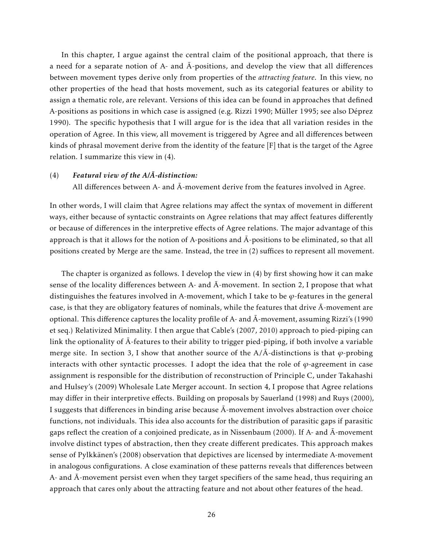In this chapter, I argue against the central claim of the positional approach, that there is a need for a separate notion of A- and  $\overline{A}$ -positions, and develop the view that all differences between movement types derive only from properties of the *attracting feature*. In this view, no other properties of the head that hosts movement, such as its categorial features or ability to assign a thematic role, are relevant. Versions of this idea can be found in approaches that defined A-positions as positions in which case is assigned (e.g. Rizzi 1990; Müller 1995; see also Déprez 1990). The specific hypothesis that I will argue for is the idea that all variation resides in the operation of Agree. In this view, all movement is triggered by Agree and all differences between kinds of phrasal movement derive from the identity of the feature [F] that is the target of the Agree relation. I summarize this view in (4).

## $(4)$  *Featural view of the A/* $\overline{A}$ *-distinction:*

All differences between A- and  $\bar{A}$ -movement derive from the features involved in Agree.

In other words, I will claim that Agree relations may affect the syntax of movement in different ways, either because of syntactic constraints on Agree relations that may affect features differently or because of differences in the interpretive effects of Agree relations. The major advantage of this approach is that it allows for the notion of A-positions and  $\bar{A}$ -positions to be eliminated, so that all positions created by Merge are the same. Instead, the tree in (2) suffices to represent all movement.

The chapter is organized as follows. I develop the view in (4) by first showing how it can make sense of the locality differences between A- and  $\bar{A}$ -movement. In section 2, I propose that what distinguishes the features involved in A-movement, which I take to be *ϕ*-features in the general case, is that they are obligatory features of nominals, while the features that drive  $\bar{A}$ -movement are optional. This difference captures the locality profile of A- and  $\overline{A}$ -movement, assuming Rizzi's (1990 et seq.) Relativized Minimality. I then argue that Cable's (2007, 2010) approach to pied-piping can link the optionality of  $\bar{A}$ -features to their ability to trigger pied-piping, if both involve a variable merge site. In section 3, I show that another source of the  $A/\overline{A}$ -distinctions is that  $\varphi$ -probing interacts with other syntactic processes. I adopt the idea that the role of  $\varphi$ -agreement in case assignment is responsible for the distribution of reconstruction of Principle C, under Takahashi and Hulsey's (2009) Wholesale Late Merger account. In section 4, I propose that Agree relations may differ in their interpretive effects. Building on proposals by Sauerland (1998) and Ruys (2000), I suggests that differences in binding arise because  $\bar{A}$ -movement involves abstraction over choice functions, not individuals. This idea also accounts for the distribution of parasitic gaps if parasitic gaps reflect the creation of a conjoined predicate, as in Nissenbaum (2000). If A- and  $\bar{A}$ -movement involve distinct types of abstraction, then they create different predicates. This approach makes sense of Pylkkänen's (2008) observation that depictives are licensed by intermediate A-movement in analogous configurations. A close examination of these patterns reveals that differences between A- and  $\bar{A}$ -movement persist even when they target specifiers of the same head, thus requiring an approach that cares only about the attracting feature and not about other features of the head.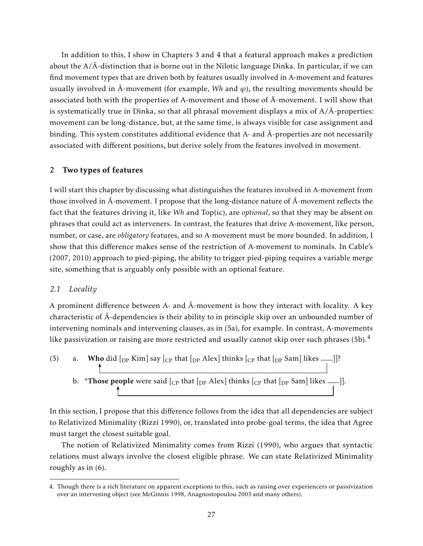In addition to this, I show in Chapters 3 and 4 that a featural approach makes a prediction about the  $A/\overline{A}$ -distinction that is borne out in the Nilotic language Dinka. In particular, if we can find movement types that are driven both by features usually involved in A-movement and features usually involved in  $\overline{A}$ -movement (for example, Wh and  $\varphi$ ), the resulting movements should be associated both with the properties of A-movement and those of  $\bar{A}$ -movement. I will show that is systematically true in Dinka, so that all phrasal movement displays a mix of  $A/\overline{A}$ -properties: movement can be long-distance, but, at the same time, is always visible for case assignment and binding. This system constitutes additional evidence that A- and  $\bar{A}$ -properties are not necessarily associated with different positions, but derive solely from the features involved in movement.

## 2 Two types of features

I will start this chapter by discussing what distinguishes the features involved in A-movement from those involved in  $\bar{A}$ -movement. I propose that the long-distance nature of  $\bar{A}$ -movement reflects the fact that the features driving it, like *Wh* and Top(ic), are *optional*, so that they may be absent on phrases that could act as interveners. In contrast, the features that drive A-movement, like person, number, or case, are *obligatory* features, and so A-movement must be more bounded. In addition, I show that this difference makes sense of the restriction of A-movement to nominals. In Cable's (2007, 2010) approach to pied-piping, the ability to trigger pied-piping requires a variable merge site, something that is arguably only possible with an optional feature.

### *2.1 Locality*

A prominent difference between A- and  $\bar{A}$ -movement is how they interact with locality. A key characteristic of  $\bar{A}$ -dependencies is their ability to in principle skip over an unbounded number of intervening nominals and intervening clauses, as in (5a), for example. In contrast, A-movements like passivization or raising are more restricted and usually cannot skip over such phrases  $(5b)$ .<sup>4</sup>

\n- (5) a. **Who** did 
$$
[_{DP} \text{ Kim}]
$$
 say  $[_{CP} \text{ that } [_{DP} \text{ Alex}]$  thinks  $[_{CP} \text{ that } [_{DP} \text{ Sam}]$  likes  $-]$ ?
\n- b. \*Those people were said  $[_{CP} \text{ that } [_{DP} \text{ Alex}]$  thinks  $[_{CP} \text{ that } [_{DP} \text{ Sam}]$  likes  $-]$ ].
\n

In this section, I propose that this difference follows from the idea that all dependencies are subject to Relativized Minimality (Rizzi 1990), or, translated into probe-goal terms, the idea that Agree must target the closest suitable goal.

The notion of Relativized Minimality comes from Rizzi (1990), who argues that syntactic relations must always involve the closest eligible phrase. We can state Relativized Minimality roughly as in (6).

<sup>4.</sup> Though there is a rich literature on apparent exceptions to this, such as raising over experiencers or passivization over an intervening object (see McGinnis 1998, Anagnostopoulou 2003 and many others).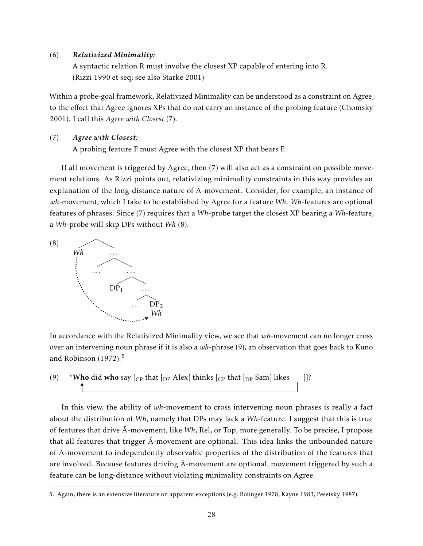### (6) *Relativized Minimality:*

A syntactic relation R must involve the closest XP capable of entering into R. (Rizzi 1990 et seq; see also Starke 2001)

Within a probe-goal framework, Relativized Minimality can be understood as a constraint on Agree, to the effect that Agree ignores XPs that do not carry an instance of the probing feature (Chomsky 2001). I call this *Agree with Closest* (7).

## (7) *Agree with Closest:*

A probing feature F must Agree with the closest XP that bears F.

If all movement is triggered by Agree, then (7) will also act as a constraint on possible movement relations. As Rizzi points out, relativizing minimality constraints in this way provides an explanation of the long-distance nature of  $\bar{A}$ -movement. Consider, for example, an instance of *wh*-movement, which I take to be established by Agree for a feature *Wh*. *Wh*-features are optional features of phrases. Since (7) requires that a *Wh*-probe target the closest XP bearing a *Wh*-feature, a *Wh*-probe will skip DPs without *Wh* (8).



In accordance with the Relativized Minimality view, we see that *wh*-movement can no longer cross over an intervening noun phrase if it is also a *wh*-phrase (9), an observation that goes back to Kuno and Robinson  $(1972).$ <sup>5</sup>

(9) \*Who did who say  $\begin{bmatrix} C_P \end{bmatrix}$  that  $\begin{bmatrix} D_P \end{bmatrix}$  and  $\begin{bmatrix} D_P \end{bmatrix}$  and  $\begin{bmatrix} N_P \end{bmatrix}$  is  $\begin{bmatrix} N_P \end{bmatrix}$ 

In this view, the ability of *wh*-movement to cross intervening noun phrases is really a fact about the distribution of *Wh*, namely that DPs may lack a *Wh*-feature. I suggest that this is true of features that drive  $\overline{A}$ -movement, like *Wh*, Rel, or Top, more generally. To be precise, I propose that all features that trigger  $\bar{A}$ -movement are optional. This idea links the unbounded nature of  $\bar{A}$ -movement to independently observable properties of the distribution of the features that are involved. Because features driving  $\bar{A}$ -movement are optional, movement triggered by such a feature can be long-distance without violating minimality constraints on Agree.

<sup>5.</sup> Again, there is an extensive literature on apparent exceptions (e.g. Bolinger 1978, Kayne 1983, Pesetsky 1987).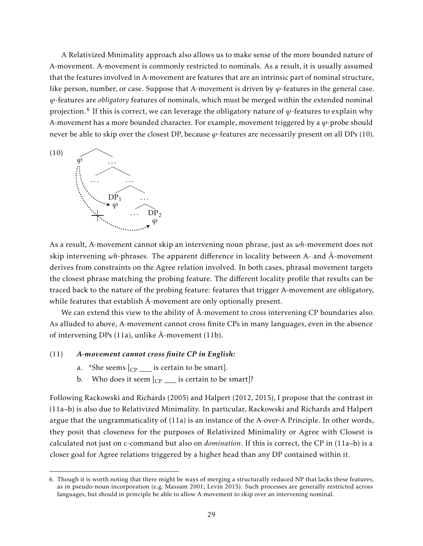A Relativized Minimality approach also allows us to make sense of the more bounded nature of A-movement. A-movement is commonly restricted to nominals. As a result, it is usually assumed that the features involved in A-movement are features that are an intrinsic part of nominal structure, like person, number, or case. Suppose that A-movement is driven by  $\varphi$ -features in the general case. *ϕ*-features are *obligatory* features of nominals, which must be merged within the extended nominal projection.<sup>6</sup> If this is correct, we can leverage the obligatory nature of *ϕ*-features to explain why A-movement has a more bounded character. For example, movement triggered by a *ϕ*-probe should never be able to skip over the closest DP, because  $\varphi$ -features are necessarily present on all DPs (10).



As a result, A-movement cannot skip an intervening noun phrase, just as *wh*-movement does not skip intervening  $wh$ -phrases. The apparent difference in locality between A- and  $\bar{A}$ -movement derives from constraints on the Agree relation involved. In both cases, phrasal movement targets the closest phrase matching the probing feature. The different locality profile that results can be traced back to the nature of the probing feature: features that trigger A-movement are obligatory, while features that establish  $\bar{A}$ -movement are only optionally present.

We can extend this view to the ability of  $\bar{A}$ -movement to cross intervening CP boundaries also. As alluded to above, A-movement cannot cross finite CPs in many languages, even in the absence of intervening DPs (11a), unlike  $\bar{A}$ -movement (11b).

### (11) *A-movement cannot cross finite CP in English:*

- a. \*She seems  $\left[\begin{smallmatrix}C_P \end{smallmatrix}\right]$  is certain to be smart].
- b. Who does it seem  $\begin{bmatrix} C_P \end{bmatrix}$  is certain to be smart]?

Following Rackowski and Richards (2005) and Halpert (2012, 2015), I propose that the contrast in (11a–b) is also due to Relativized Minimality. In particular, Rackowski and Richards and Halpert argue that the ungrammaticality of (11a) is an instance of the A-over-A Principle. In other words, they posit that closeness for the purposes of Relativized Minimality or Agree with Closest is calculated not just on c-command but also on *domination*. If this is correct, the CP in (11a–b) is a closer goal for Agree relations triggered by a higher head than any DP contained within it.

<sup>6.</sup> Though it is worth noting that there might be ways of merging a structurally reduced NP that lacks these features, as in pseudo-noun incorporation (e.g. Massam 2001; Levin 2015). Such processes are generally restricted across languages, but should in principle be able to allow A-movement to skip over an intervening nominal.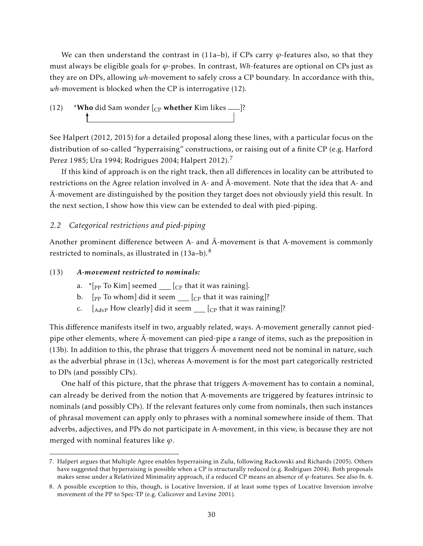We can then understand the contrast in  $(11a-b)$ , if CPs carry  $\varphi$ -features also, so that they must always be eligible goals for *ϕ*-probes. In contrast, *Wh*-features are optional on CPs just as they are on DPs, allowing *wh*-movement to safely cross a CP boundary. In accordance with this, *wh*-movement is blocked when the CP is interrogative (12).

(12) \*Who did Sam wonder  $\left[$  c<sub>P</sub> whether Kim likes  $\frac{1}{\sqrt{2}}$ ?

See Halpert (2012, 2015) for a detailed proposal along these lines, with a particular focus on the distribution of so-called "hyperraising" constructions, or raising out of a finite CP (e.g. Harford Perez 1985; Ura 1994; Rodrigues 2004; Halpert 2012).<sup>7</sup>

If this kind of approach is on the right track, then all differences in locality can be attributed to restrictions on the Agree relation involved in A- and  $\bar{A}$ -movement. Note that the idea that A- and  $\bar{A}$ -movement are distinguished by the position they target does not obviously yield this result. In the next section, I show how this view can be extended to deal with pied-piping.

## *2.2 Categorical restrictions and pied-piping*

Another prominent difference between A- and  $\bar{A}$ -movement is that A-movement is commonly restricted to nominals, as illustrated in  $(13a-b).$ <sup>8</sup>

### (13) *A-movement restricted to nominals:*

- a.  $*$ [<sub>PP</sub> To Kim] seemed  $\qquad$  [<sub>CP</sub> that it was raining].
- b.  $[pP]$  To whom] did it seem  $[CP]$  that it was raining]?
- c.  $\left[_{\text{AdvP}}$  How clearly] did it seem  $\frac{C}{\text{C}}$  that it was raining]?

This difference manifests itself in two, arguably related, ways. A-movement generally cannot piedpipe other elements, where  $\bar{A}$ -movement can pied-pipe a range of items, such as the preposition in (13b). In addition to this, the phrase that triggers  $\bar{A}$ -movement need not be nominal in nature, such as the adverbial phrase in (13c), whereas A-movement is for the most part categorically restricted to DPs (and possibly CPs).

One half of this picture, that the phrase that triggers A-movement has to contain a nominal, can already be derived from the notion that A-movements are triggered by features intrinsic to nominals (and possibly CPs). If the relevant features only come from nominals, then such instances of phrasal movement can apply only to phrases with a nominal somewhere inside of them. That adverbs, adjectives, and PPs do not participate in A-movement, in this view, is because they are not merged with nominal features like *ϕ*.

<sup>7.</sup> Halpert argues that Multiple Agree enables hyperraising in Zulu, following Rackowski and Richards (2005). Others have suggested that hyperraising is possible when a CP is structurally reduced (e.g. Rodrigues 2004). Both proposals makes sense under a Relativized Minimality approach, if a reduced CP means an absence of *ϕ*-features. See also fn. 6.

<sup>8.</sup> A possible exception to this, though, is Locative Inversion, if at least some types of Locative Inversion involve movement of the PP to Spec-TP (e.g. Culicover and Levine 2001).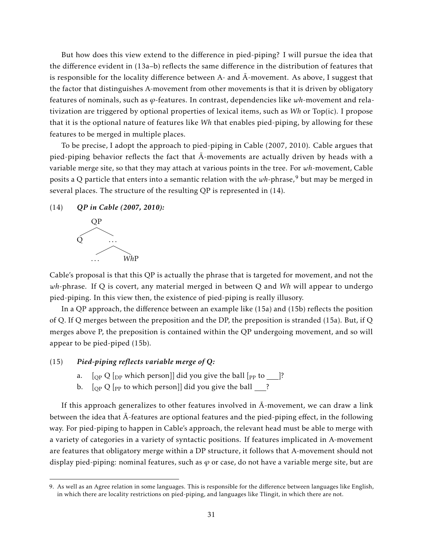But how does this view extend to the difference in pied-piping? I will pursue the idea that the difference evident in (13a–b) reflects the same difference in the distribution of features that is responsible for the locality difference between A- and  $\overline{A}$ -movement. As above, I suggest that the factor that distinguishes A-movement from other movements is that it is driven by obligatory features of nominals, such as *ϕ*-features. In contrast, dependencies like *wh*-movement and relativization are triggered by optional properties of lexical items, such as *Wh* or Top(ic). I propose that it is the optional nature of features like *Wh* that enables pied-piping, by allowing for these features to be merged in multiple places.

To be precise, I adopt the approach to pied-piping in Cable (2007, 2010). Cable argues that pied-piping behavior reflects the fact that  $\bar{A}$ -movements are actually driven by heads with a variable merge site, so that they may attach at various points in the tree. For *wh*-movement, Cable posits a Q particle that enters into a semantic relation with the wh-phrase,<sup>9</sup> but may be merged in several places. The structure of the resulting QP is represented in (14).





Cable's proposal is that this QP is actually the phrase that is targeted for movement, and not the *wh*-phrase. If Q is covert, any material merged in between Q and *Wh* will appear to undergo pied-piping. In this view then, the existence of pied-piping is really illusory.

In a QP approach, the difference between an example like (15a) and (15b) reflects the position of Q. If Q merges between the preposition and the DP, the preposition is stranded (15a). But, if Q merges above P, the preposition is contained within the QP undergoing movement, and so will appear to be pied-piped (15b).

### (15) *Pied-piping reflects variable merge of Q:*

- a.  $\left[$  [OP Q  $\left[$  [DP which person]] did you give the ball  $\left[$  [PP to  $\right]$ ]?
- b.  $\left[$   $_{OP}$  Q  $\left[$   $_{PP}$  to which person]] did you give the ball  $\frac{1}{2}$ ?

If this approach generalizes to other features involved in  $\bar{A}$ -movement, we can draw a link between the idea that Ā-features are optional features and the pied-piping effect, in the following way. For pied-piping to happen in Cable's approach, the relevant head must be able to merge with a variety of categories in a variety of syntactic positions. If features implicated in A-movement are features that obligatory merge within a DP structure, it follows that A-movement should not display pied-piping: nominal features, such as *ϕ* or case, do not have a variable merge site, but are

<sup>9.</sup> As well as an Agree relation in some languages. This is responsible for the difference between languages like English, in which there are locality restrictions on pied-piping, and languages like Tlingit, in which there are not.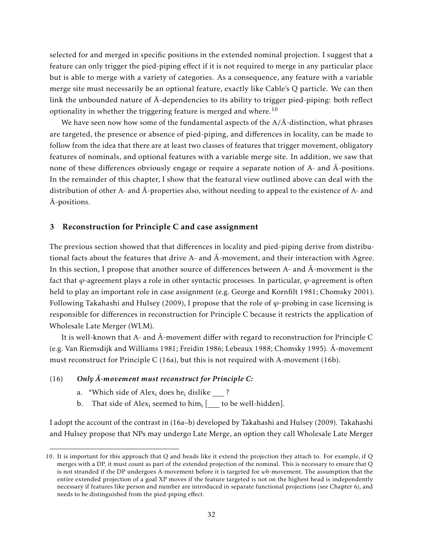selected for and merged in specific positions in the extended nominal projection. I suggest that a feature can only trigger the pied-piping effect if it is not required to merge in any particular place but is able to merge with a variety of categories. As a consequence, any feature with a variable merge site must necessarily be an optional feature, exactly like Cable's Q particle. We can then link the unbounded nature of  $\bar{A}$ -dependencies to its ability to trigger pied-piping: both reflect optionality in whether the triggering feature is merged and where.<sup>10</sup>

We have seen now how some of the fundamental aspects of the  $A/\bar{A}$ -distinction, what phrases are targeted, the presence or absence of pied-piping, and differences in locality, can be made to follow from the idea that there are at least two classes of features that trigger movement, obligatory features of nominals, and optional features with a variable merge site. In addition, we saw that none of these differences obviously engage or require a separate notion of  $A$ - and  $\bar{A}$ -positions. In the remainder of this chapter, I show that the featural view outlined above can deal with the distribution of other A- and  $\bar{A}$ -properties also, without needing to appeal to the existence of A- and  $\bar{A}$ -positions.

## 3 Reconstruction for Principle C and case assignment

The previous section showed that that differences in locality and pied-piping derive from distributional facts about the features that drive A- and  $\bar{A}$ -movement, and their interaction with Agree. In this section, I propose that another source of differences between A- and  $\bar{A}$ -movement is the fact that *ϕ*-agreement plays a role in other syntactic processes. In particular, *ϕ*-agreement is often held to play an important role in case assignment (e.g. George and Kornfilt 1981; Chomsky 2001). Following Takahashi and Hulsey (2009), I propose that the role of *ϕ*-probing in case licensing is responsible for differences in reconstruction for Principle C because it restricts the application of Wholesale Late Merger (WLM).

It is well-known that A- and  $\bar{A}$ -movement differ with regard to reconstruction for Principle C (e.g. Van Riemsdijk and Williams 1981; Freidin 1986; Lebeaux 1988; Chomsky 1995). A-movement ¯ must reconstruct for Principle C (16a), but this is not required with A-movement (16b).

### (16) Only  $\bar{A}$ -movement must reconstruct for Principle C:

- a. \*Which side of Alex<sub>i</sub> does he<sub>i</sub> dislike ?
- b. That side of Alex<sub>i</sub> seemed to him<sub>i</sub> [<u>\_\_\_</u> to be well-hidden].

I adopt the account of the contrast in (16a–b) developed by Takahashi and Hulsey (2009). Takahashi and Hulsey propose that NPs may undergo Late Merge, an option they call Wholesale Late Merger

<sup>10.</sup> It is important for this approach that Q and heads like it extend the projection they attach to. For example, if Q merges with a DP, it must count as part of the extended projection of the nominal. This is necessary to ensure that Q is not stranded if the DP undergoes A-movement before it is targeted for *wh*-movement. The assumption that the entire extended projection of a goal XP moves if the feature targeted is not on the highest head is independently necessary if features like person and number are introduced in separate functional projections (see Chapter 6), and needs to be distinguished from the pied-piping effect.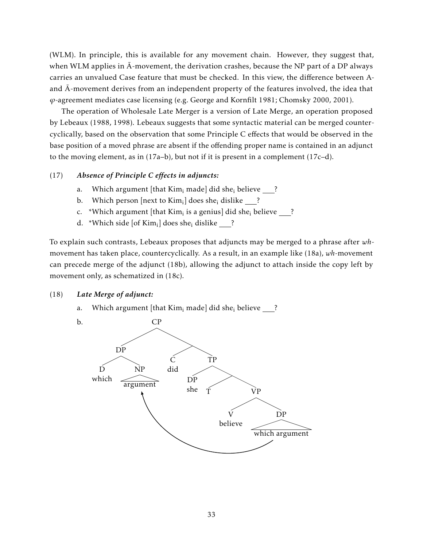(WLM). In principle, this is available for any movement chain. However, they suggest that, when WLM applies in  $\bar{A}$ -movement, the derivation crashes, because the NP part of a DP always carries an unvalued Case feature that must be checked. In this view, the difference between Aand  $\bar{A}$ -movement derives from an independent property of the features involved, the idea that *ϕ*-agreement mediates case licensing (e.g. George and Kornfilt 1981; Chomsky 2000, 2001).

The operation of Wholesale Late Merger is a version of Late Merge, an operation proposed by Lebeaux (1988, 1998). Lebeaux suggests that some syntactic material can be merged countercyclically, based on the observation that some Principle C effects that would be observed in the base position of a moved phrase are absent if the offending proper name is contained in an adjunct to the moving element, as in (17a–b), but not if it is present in a complement (17c–d).

## (17) *Absence of Principle C effects in adjuncts:*

- a. Which argument [that  $Kim<sub>i</sub>$  made] did she<sub>i</sub> believe ?
- b. Which person [next to Kim<sub>i</sub>] does she<sub>i</sub> dislike <u>\_\_\_</u>?
- c. \*Which argument [that Kim<sub>i</sub> is a genius] did she<sub>i</sub> believe \_\_\_?
- d. \*Which side [of  $\mathrm{Kim}_{\mathrm{i}}$ ] does she<sub>i</sub> dislike \_\_\_?

To explain such contrasts, Lebeaux proposes that adjuncts may be merged to a phrase after *wh*movement has taken place, countercyclically. As a result, in an example like (18a), *wh*-movement can precede merge of the adjunct (18b), allowing the adjunct to attach inside the copy left by movement only, as schematized in (18c).

### (18) *Late Merge of adjunct:*

a. Which argument [that Kim<sub>i</sub> made] did she<sub>i</sub> believe ?

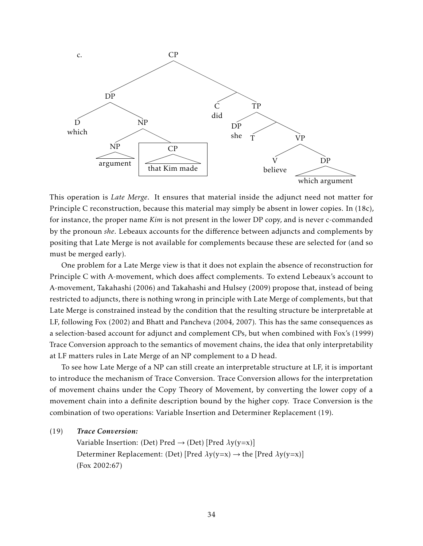

This operation is *Late Merge*. It ensures that material inside the adjunct need not matter for Principle C reconstruction, because this material may simply be absent in lower copies. In (18c), for instance, the proper name *Kim* is not present in the lower DP copy, and is never c-commanded by the pronoun *she*. Lebeaux accounts for the difference between adjuncts and complements by positing that Late Merge is not available for complements because these are selected for (and so must be merged early).

One problem for a Late Merge view is that it does not explain the absence of reconstruction for Principle C with A-movement, which does affect complements. To extend Lebeaux's account to A-movement, Takahashi (2006) and Takahashi and Hulsey (2009) propose that, instead of being restricted to adjuncts, there is nothing wrong in principle with Late Merge of complements, but that Late Merge is constrained instead by the condition that the resulting structure be interpretable at LF, following Fox (2002) and Bhatt and Pancheva (2004, 2007). This has the same consequences as a selection-based account for adjunct and complement CPs, but when combined with Fox's (1999) Trace Conversion approach to the semantics of movement chains, the idea that only interpretability at LF matters rules in Late Merge of an NP complement to a D head.

To see how Late Merge of a NP can still create an interpretable structure at LF, it is important to introduce the mechanism of Trace Conversion. Trace Conversion allows for the interpretation of movement chains under the Copy Theory of Movement, by converting the lower copy of a movement chain into a definite description bound by the higher copy. Trace Conversion is the combination of two operations: Variable Insertion and Determiner Replacement (19).

(19) *Trace Conversion:*

Variable Insertion: (Det) Pred → (Det) [Pred *λ*y(y=x)] Determiner Replacement: (Det) [Pred *λ*y(y=x) → the [Pred *λ*y(y=x)] (Fox 2002:67)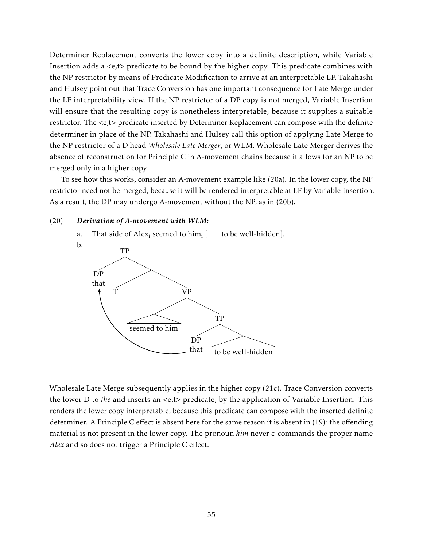Determiner Replacement converts the lower copy into a definite description, while Variable Insertion adds a *<*e,t*>* predicate to be bound by the higher copy. This predicate combines with the NP restrictor by means of Predicate Modification to arrive at an interpretable LF. Takahashi and Hulsey point out that Trace Conversion has one important consequence for Late Merge under the LF interpretability view. If the NP restrictor of a DP copy is not merged, Variable Insertion will ensure that the resulting copy is nonetheless interpretable, because it supplies a suitable restrictor. The *<*e,t*>* predicate inserted by Determiner Replacement can compose with the definite determiner in place of the NP. Takahashi and Hulsey call this option of applying Late Merge to the NP restrictor of a D head *Wholesale Late Merger*, or WLM. Wholesale Late Merger derives the absence of reconstruction for Principle C in A-movement chains because it allows for an NP to be merged only in a higher copy.

To see how this works, consider an A-movement example like (20a). In the lower copy, the NP restrictor need not be merged, because it will be rendered interpretable at LF by Variable Insertion. As a result, the DP may undergo A-movement without the NP, as in (20b).

#### (20) *Derivation of A-movement with WLM:*



a. That side of  $Alex_i$  seemed to  $him_i$  [\_\_\_ to be well-hidden].

Wholesale Late Merge subsequently applies in the higher copy (21c). Trace Conversion converts the lower D to *the* and inserts an *<*e,t*>* predicate, by the application of Variable Insertion. This renders the lower copy interpretable, because this predicate can compose with the inserted definite determiner. A Principle C effect is absent here for the same reason it is absent in (19): the offending material is not present in the lower copy. The pronoun *him* never c-commands the proper name *Alex* and so does not trigger a Principle C effect.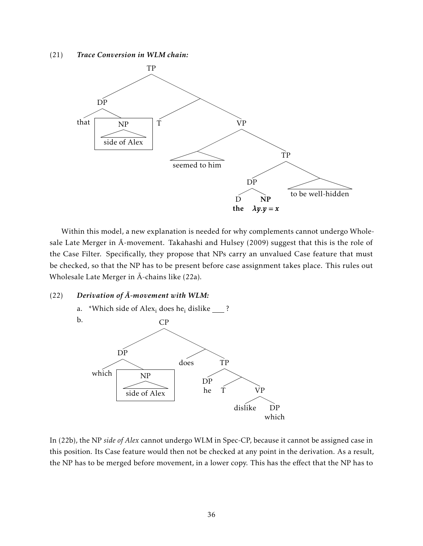(21) *Trace Conversion in WLM chain:*



Within this model, a new explanation is needed for why complements cannot undergo Wholesale Late Merger in  $\bar{A}$ -movement. Takahashi and Hulsey (2009) suggest that this is the role of the Case Filter. Specifically, they propose that NPs carry an unvalued Case feature that must be checked, so that the NP has to be present before case assignment takes place. This rules out Wholesale Late Merger in  $\bar{A}$ -chains like (22a).

### $(22)$  *Derivation of*  $\overline{A}$ *-movement with WLM:*



In (22b), the NP *side of Alex* cannot undergo WLM in Spec-CP, because it cannot be assigned case in this position. Its Case feature would then not be checked at any point in the derivation. As a result, the NP has to be merged before movement, in a lower copy. This has the effect that the NP has to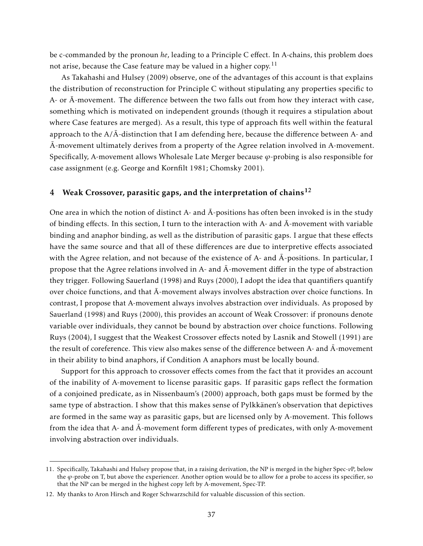be c-commanded by the pronoun *he*, leading to a Principle C effect. In A-chains, this problem does not arise, because the Case feature may be valued in a higher copy.<sup>11</sup>

As Takahashi and Hulsey (2009) observe, one of the advantages of this account is that explains the distribution of reconstruction for Principle C without stipulating any properties specific to A- or  $\bar{A}$ -movement. The difference between the two falls out from how they interact with case, something which is motivated on independent grounds (though it requires a stipulation about where Case features are merged). As a result, this type of approach fits well within the featural approach to the  $A/\bar{A}$ -distinction that I am defending here, because the difference between A- and  $\overline{A}$ -movement ultimately derives from a property of the Agree relation involved in A-movement. Specifically, A-movement allows Wholesale Late Merger because *ϕ*-probing is also responsible for case assignment (e.g. George and Kornfilt 1981; Chomsky 2001).

## 4 Weak Crossover, parasitic gaps, and the interpretation of chains<sup>12</sup>

One area in which the notion of distinct A- and  $\bar{A}$ -positions has often been invoked is in the study of binding effects. In this section, I turn to the interaction with A- and  $\bar{A}$ -movement with variable binding and anaphor binding, as well as the distribution of parasitic gaps. I argue that these effects have the same source and that all of these differences are due to interpretive effects associated with the Agree relation, and not because of the existence of A- and  $\bar{A}$ -positions. In particular, I propose that the Agree relations involved in A- and  $\bar{A}$ -movement differ in the type of abstraction they trigger. Following Sauerland (1998) and Ruys (2000), I adopt the idea that quantifiers quantify over choice functions, and that  $\bar{A}$ -movement always involves abstraction over choice functions. In contrast, I propose that A-movement always involves abstraction over individuals. As proposed by Sauerland (1998) and Ruys (2000), this provides an account of Weak Crossover: if pronouns denote variable over individuals, they cannot be bound by abstraction over choice functions. Following Ruys (2004), I suggest that the Weakest Crossover effects noted by Lasnik and Stowell (1991) are the result of coreference. This view also makes sense of the difference between A- and  $\bar{A}$ -movement in their ability to bind anaphors, if Condition A anaphors must be locally bound.

Support for this approach to crossover effects comes from the fact that it provides an account of the inability of A-movement to license parasitic gaps. If parasitic gaps reflect the formation of a conjoined predicate, as in Nissenbaum's (2000) approach, both gaps must be formed by the same type of abstraction. I show that this makes sense of Pylkkänen's observation that depictives are formed in the same way as parasitic gaps, but are licensed only by A-movement. This follows from the idea that A- and  $\bar{A}$ -movement form different types of predicates, with only A-movement involving abstraction over individuals.

<sup>11.</sup> Specifically, Takahashi and Hulsey propose that, in a raising derivation, the NP is merged in the higher Spec-*v*P, below the *ϕ*-probe on T, but above the experiencer. Another option would be to allow for a probe to access its specifier, so that the NP can be merged in the highest copy left by A-movement, Spec-TP.

<sup>12.</sup> My thanks to Aron Hirsch and Roger Schwarzschild for valuable discussion of this section.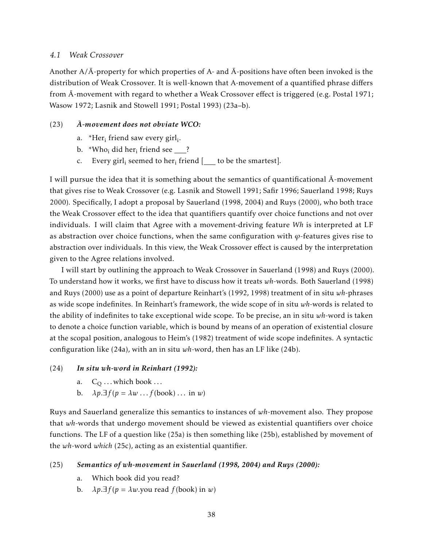### *4.1 Weak Crossover*

Another  $A/\bar{A}$ -property for which properties of A- and  $\bar{A}$ -positions have often been invoked is the distribution of Weak Crossover. It is well-known that A-movement of a quantified phrase differs from  $\bar{A}$ -movement with regard to whether a Weak Crossover effect is triggered (e.g. Postal 1971; Wasow 1972; Lasnik and Stowell 1991; Postal 1993) (23a–b).

### (23) *A-movement does not obviate WCO:* ¯

- a. \*Her<sub>i</sub> friend saw every girl<sub>i</sub>.
- b.  $\sqrt[*]{\text{Who}}_i$  did her<sub>i</sub> friend see <u>\_\_\_</u>?
- c. Every girl<sub>i</sub> seemed to her<sub>i</sub> friend [<u>\_\_\_</u> to be the smartest].

I will pursue the idea that it is something about the semantics of quantificational  $\overline{A}$ -movement that gives rise to Weak Crossover (e.g. Lasnik and Stowell 1991; Safir 1996; Sauerland 1998; Ruys 2000). Specifically, I adopt a proposal by Sauerland (1998, 2004) and Ruys (2000), who both trace the Weak Crossover effect to the idea that quantifiers quantify over choice functions and not over individuals. I will claim that Agree with a movement-driving feature *Wh* is interpreted at LF as abstraction over choice functions, when the same configuration with  $\varphi$ -features gives rise to abstraction over individuals. In this view, the Weak Crossover effect is caused by the interpretation given to the Agree relations involved.

I will start by outlining the approach to Weak Crossover in Sauerland (1998) and Ruys (2000). To understand how it works, we first have to discuss how it treats *wh*-words. Both Sauerland (1998) and Ruys (2000) use as a point of departure Reinhart's (1992, 1998) treatment of in situ *wh*-phrases as wide scope indefinites. In Reinhart's framework, the wide scope of in situ *wh*-words is related to the ability of indefinites to take exceptional wide scope. To be precise, an in situ *wh*-word is taken to denote a choice function variable, which is bound by means of an operation of existential closure at the scopal position, analogous to Heim's (1982) treatment of wide scope indefinites. A syntactic configuration like (24a), with an in situ *wh*-word, then has an LF like (24b).

### (24) *In situ wh-word in Reinhart (1992):*

- a.  $C_0 \dots$  which book  $\dots$
- b.  $\lambda p \cdot \exists f(p = \lambda w \dots f(\text{book}) \dots \text{ in } w)$

Ruys and Sauerland generalize this semantics to instances of *wh*-movement also. They propose that *wh*-words that undergo movement should be viewed as existential quantifiers over choice functions. The LF of a question like (25a) is then something like (25b), established by movement of the *wh*-word *which* (25c), acting as an existential quantifier.

### (25) *Semantics of wh-movement in Sauerland (1998, 2004) and Ruys (2000):*

- a. Which book did you read?
- b.  $\lambda p \cdot \exists f(p = \lambda w$ .you read  $f(\text{book})$  in *w*)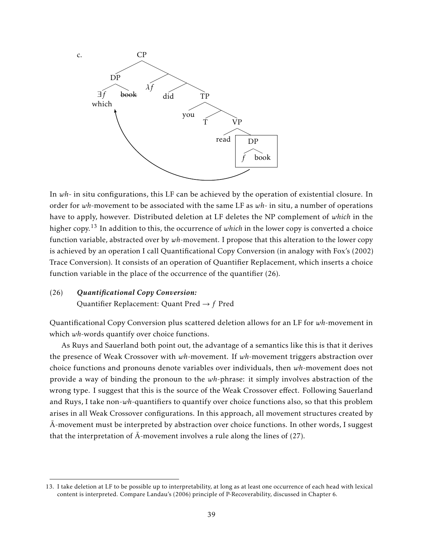

In *wh*- in situ configurations, this LF can be achieved by the operation of existential closure. In order for *wh*-movement to be associated with the same LF as *wh*- in situ, a number of operations have to apply, however. Distributed deletion at LF deletes the NP complement of *which* in the higher copy.<sup>13</sup> In addition to this, the occurrence of *which* in the lower copy is converted a choice function variable, abstracted over by *wh*-movement. I propose that this alteration to the lower copy is achieved by an operation I call Quantificational Copy Conversion (in analogy with Fox's (2002) Trace Conversion). It consists of an operation of Quantifier Replacement, which inserts a choice function variable in the place of the occurrence of the quantifier (26).

# (26) *Quantificational Copy Conversion:* Quantifier Replacement: Quant Pred → *f* Pred

Quantificational Copy Conversion plus scattered deletion allows for an LF for *wh*-movement in which *wh*-words quantify over choice functions.

As Ruys and Sauerland both point out, the advantage of a semantics like this is that it derives the presence of Weak Crossover with *wh*-movement. If *wh*-movement triggers abstraction over choice functions and pronouns denote variables over individuals, then *wh*-movement does not provide a way of binding the pronoun to the *wh*-phrase: it simply involves abstraction of the wrong type. I suggest that this is the source of the Weak Crossover effect. Following Sauerland and Ruys, I take non-*wh*-quantifiers to quantify over choice functions also, so that this problem arises in all Weak Crossover configurations. In this approach, all movement structures created by  $\bar{A}$ -movement must be interpreted by abstraction over choice functions. In other words, I suggest that the interpretation of  $\bar{A}$ -movement involves a rule along the lines of (27).

<sup>13.</sup> I take deletion at LF to be possible up to interpretability, at long as at least one occurrence of each head with lexical content is interpreted. Compare Landau's (2006) principle of P-Recoverability, discussed in Chapter 6.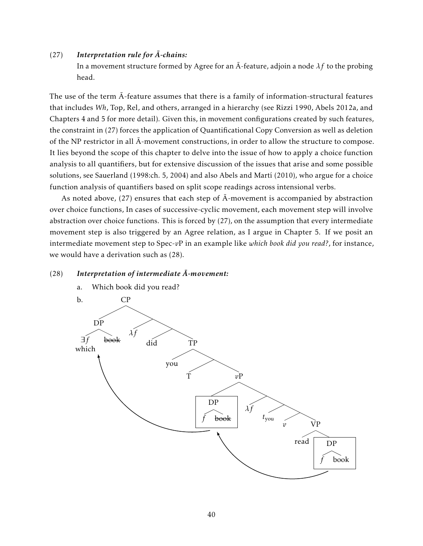### $(27)$  Interpretation rule for  $\overline{A}$ -chains:

In a movement structure formed by Agree for an  $\overline{A}$ -feature, adjoin a node  $\lambda f$  to the probing head.

The use of the term  $\bar{A}$ -feature assumes that there is a family of information-structural features that includes *Wh*, Top, Rel, and others, arranged in a hierarchy (see Rizzi 1990, Abels 2012a, and Chapters 4 and 5 for more detail). Given this, in movement configurations created by such features, the constraint in (27) forces the application of Quantificational Copy Conversion as well as deletion of the NP restrictor in all  $\bar{A}$ -movement constructions, in order to allow the structure to compose. It lies beyond the scope of this chapter to delve into the issue of how to apply a choice function analysis to all quantifiers, but for extensive discussion of the issues that arise and some possible solutions, see Sauerland (1998:ch. 5, 2004) and also Abels and Martí (2010), who argue for a choice function analysis of quantifiers based on split scope readings across intensional verbs.

As noted above, (27) ensures that each step of  $\bar{A}$ -movement is accompanied by abstraction over choice functions, In cases of successive-cyclic movement, each movement step will involve abstraction over choice functions. This is forced by (27), on the assumption that every intermediate movement step is also triggered by an Agree relation, as I argue in Chapter 5. If we posit an intermediate movement step to Spec-*v*P in an example like *which book did you read?*, for instance, we would have a derivation such as (28).

### (28) Interpretation of intermediate  $\bar{A}$ -movement:

a. Which book did you read?

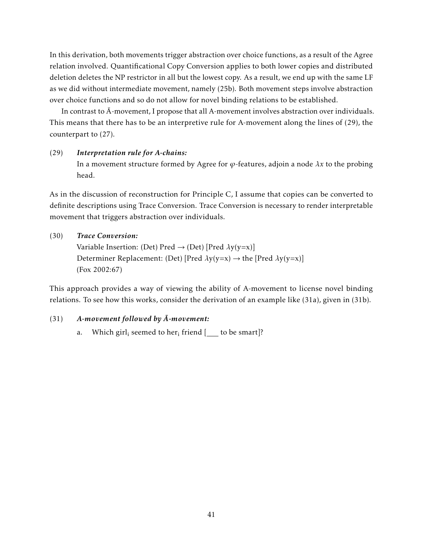In this derivation, both movements trigger abstraction over choice functions, as a result of the Agree relation involved. Quantificational Copy Conversion applies to both lower copies and distributed deletion deletes the NP restrictor in all but the lowest copy. As a result, we end up with the same LF as we did without intermediate movement, namely (25b). Both movement steps involve abstraction over choice functions and so do not allow for novel binding relations to be established.

In contrast to  $\bar{A}$ -movement, I propose that all A-movement involves abstraction over individuals. This means that there has to be an interpretive rule for A-movement along the lines of (29), the counterpart to (27).

### (29) *Interpretation rule for A-chains:*

In a movement structure formed by Agree for  $\varphi$ -features, adjoin a node  $\lambda x$  to the probing head.

As in the discussion of reconstruction for Principle C, I assume that copies can be converted to definite descriptions using Trace Conversion. Trace Conversion is necessary to render interpretable movement that triggers abstraction over individuals.

## (30) *Trace Conversion:*

Variable Insertion: (Det) Pred → (Det) [Pred *λ*y(y=x)] Determiner Replacement: (Det) [Pred *λ*y(y=x) → the [Pred *λ*y(y=x)] (Fox 2002:67)

This approach provides a way of viewing the ability of A-movement to license novel binding relations. To see how this works, consider the derivation of an example like (31a), given in (31b).

## (31) **A-movement followed by**  $\bar{A}$ **-movement:**

a. Which  $\text{girl}_i$  seemed to her $_i$  friend [\_\_\_ to be smart]?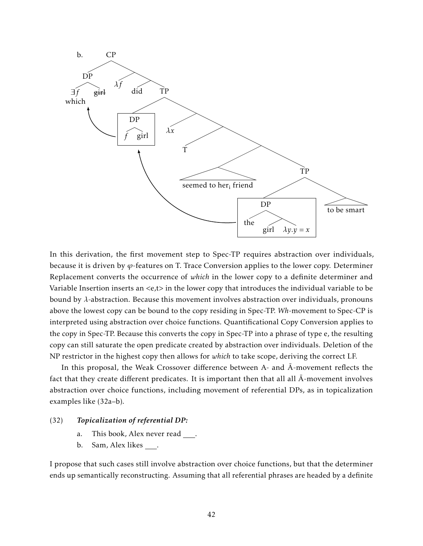

In this derivation, the first movement step to Spec-TP requires abstraction over individuals, because it is driven by *ϕ*-features on T. Trace Conversion applies to the lower copy. Determiner Replacement converts the occurrence of *which* in the lower copy to a definite determiner and Variable Insertion inserts an *<*e,t*>* in the lower copy that introduces the individual variable to be bound by *λ*-abstraction. Because this movement involves abstraction over individuals, pronouns above the lowest copy can be bound to the copy residing in Spec-TP. *Wh*-movement to Spec-CP is interpreted using abstraction over choice functions. Quantificational Copy Conversion applies to the copy in Spec-TP. Because this converts the copy in Spec-TP into a phrase of type e, the resulting copy can still saturate the open predicate created by abstraction over individuals. Deletion of the NP restrictor in the highest copy then allows for *which* to take scope, deriving the correct LF.

In this proposal, the Weak Crossover difference between A- and  $\bar{A}$ -movement reflects the fact that they create different predicates. It is important then that all all  $\bar{A}$ -movement involves abstraction over choice functions, including movement of referential DPs, as in topicalization examples like (32a–b).

## (32) *Topicalization of referential DP:*

- a. This book, Alex never read.
- b. Sam, Alex likes .

I propose that such cases still involve abstraction over choice functions, but that the determiner ends up semantically reconstructing. Assuming that all referential phrases are headed by a definite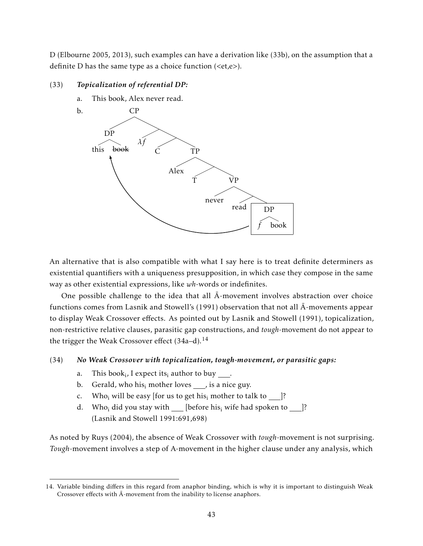D (Elbourne 2005, 2013), such examples can have a derivation like (33b), on the assumption that a definite D has the same type as a choice function (*<*et,e*>*).

## (33) *Topicalization of referential DP:*

a. This book, Alex never read.



An alternative that is also compatible with what I say here is to treat definite determiners as existential quantifiers with a uniqueness presupposition, in which case they compose in the same way as other existential expressions, like *wh*-words or indefinites.

One possible challenge to the idea that all  $\bar{A}$ -movement involves abstraction over choice functions comes from Lasnik and Stowell's (1991) observation that not all  $\bar{A}$ -movements appear to display Weak Crossover effects. As pointed out by Lasnik and Stowell (1991), topicalization, non-restrictive relative clauses, parasitic gap constructions, and *tough*-movement do not appear to the trigger the Weak Crossover effect (34a-d).<sup>14</sup>

# (34) *No Weak Crossover with topicalization, tough-movement, or parasitic gaps:*

- a. This book<sub>i</sub>, I expect its<sub>i</sub> author to buy <u>\_\_\_</u>.
- b. Gerald, who his<sub>i</sub> mother loves , is a nice guy.
- c. Who<sub>i</sub> will be easy [for us to get his<sub>i</sub> mother to talk to ]?
- d. Who<sub>i</sub> did you stay with [before his<sub>i</sub> wife had spoken to ]? (Lasnik and Stowell 1991:691,698)

As noted by Ruys (2004), the absence of Weak Crossover with *tough*-movement is not surprising. *Tough*-movement involves a step of A-movement in the higher clause under any analysis, which

<sup>14.</sup> Variable binding differs in this regard from anaphor binding, which is why it is important to distinguish Weak Crossover effects with  $\bar{A}$ -movement from the inability to license anaphors.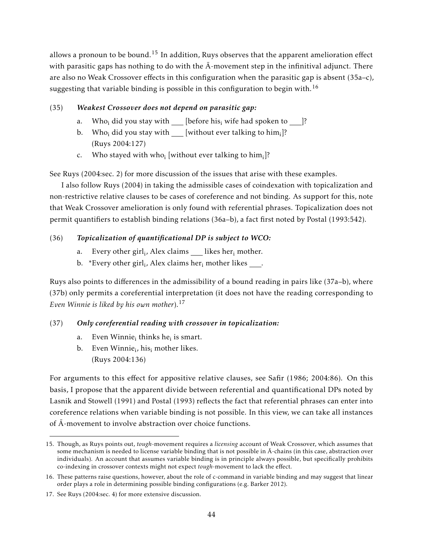allows a pronoun to be bound.<sup>15</sup> In addition, Ruys observes that the apparent amelioration effect with parasitic gaps has nothing to do with the  $\bar{A}$ -movement step in the infinitival adjunct. There are also no Weak Crossover effects in this configuration when the parasitic gap is absent (35a–c), suggesting that variable binding is possible in this configuration to begin with.<sup>16</sup>

# (35) *Weakest Crossover does not depend on parasitic gap:*

- a. Who<sub>i</sub> did you stay with  $\quad$  [before his<sub>i</sub> wife had spoken to  $\qquad$  ]?
- b. Who<sub>i</sub> did you stay with \_\_\_ [without ever talking to him<sub>i</sub>]? (Ruys 2004:127)
- c. Who stayed with who<sub>i</sub> [without ever talking to him<sub>i</sub>]?

See Ruys (2004:sec. 2) for more discussion of the issues that arise with these examples.

I also follow Ruys (2004) in taking the admissible cases of coindexation with topicalization and non-restrictive relative clauses to be cases of coreference and not binding. As support for this, note that Weak Crossover amelioration is only found with referential phrases. Topicalization does not permit quantifiers to establish binding relations (36a–b), a fact first noted by Postal (1993:542).

# (36) *Topicalization of quantificational DP is subject to WCO:*

- a. Every other girl $_i$ , Alex claims  $\_\_\_\$ likes her $_i$  mother.
- b.  $\,$  \*Every other girl<sub>i</sub>, Alex claims her<sub>i</sub> mother likes <u>\_\_\_</u>.

Ruys also points to differences in the admissibility of a bound reading in pairs like (37a–b), where (37b) only permits a coreferential interpretation (it does not have the reading corresponding to *Even Winnie is liked by his own mother*).<sup>17</sup>

# (37) *Only coreferential reading with crossover in topicalization:*

- a. Even Winnie<sub>i</sub> thinks he<sub>i</sub> is smart.
- b. Even Winnie<sub>i</sub>, his<sub>i</sub> mother likes. (Ruys 2004:136)

For arguments to this effect for appositive relative clauses, see Safir (1986; 2004:86). On this basis, I propose that the apparent divide between referential and quantificational DPs noted by Lasnik and Stowell (1991) and Postal (1993) reflects the fact that referential phrases can enter into coreference relations when variable binding is not possible. In this view, we can take all instances of  $\bar{A}$ -movement to involve abstraction over choice functions.

<sup>15.</sup> Though, as Ruys points out, *tough*-movement requires a *licensing* account of Weak Crossover, which assumes that some mechanism is needed to license variable binding that is not possible in  $\bar{A}$ -chains (in this case, abstraction over individuals). An account that assumes variable binding is in principle always possible, but specifically prohibits co-indexing in crossover contexts might not expect *tough*-movement to lack the effect.

<sup>16.</sup> These patterns raise questions, however, about the role of c-command in variable binding and may suggest that linear order plays a role in determining possible binding configurations (e.g. Barker 2012).

<sup>17.</sup> See Ruys (2004:sec. 4) for more extensive discussion.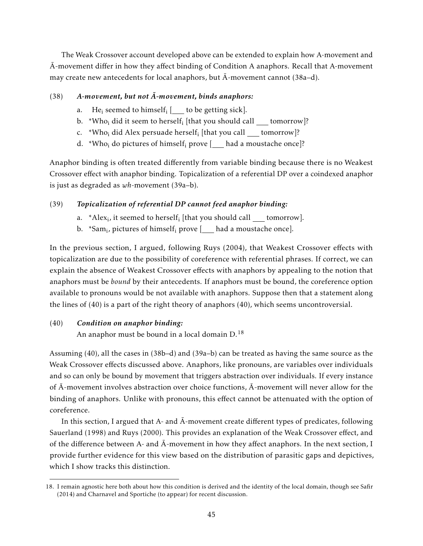The Weak Crossover account developed above can be extended to explain how A-movement and A-movement differ in how they affect binding of Condition A anaphors. Recall that A-movement may create new antecedents for local anaphors, but  $\bar{A}$ -movement cannot (38a–d).

## $(38)$  A-movement, but not  $\overline{A}$ -movement, binds anaphors:

- a. He<sub>i</sub> seemed to himself<sub>i</sub> [<u>\_\_\_</u> to be getting sick].
- b.  $\alpha$ \*Who<sub>i</sub> did it seem to herself<sub>i</sub> [that you should call <u>\_\_\_</u> tomorrow]?
- c.  $\alpha$ \*Who<sub>i</sub> did Alex persuade herself<sub>i</sub> [that you call <u>\_\_\_</u> tomorrow]?
- d. \*Who<sub>i</sub> do pictures of himself<sub>i</sub> prove  $[$  had a moustache once]?

Anaphor binding is often treated differently from variable binding because there is no Weakest Crossover effect with anaphor binding. Topicalization of a referential DP over a coindexed anaphor is just as degraded as *wh*-movement (39a–b).

## (39) *Topicalization of referential DP cannot feed anaphor binding:*

- a.  $A$ lex<sub>i</sub>, it seemed to herself<sub>i</sub> [that you should call <u>\_\_\_\_</u> tomorrow].
- b. \*Sam<sub>i</sub>, pictures of himself<sub>i</sub> prove [\_\_\_ had a moustache once].

In the previous section, I argued, following Ruys (2004), that Weakest Crossover effects with topicalization are due to the possibility of coreference with referential phrases. If correct, we can explain the absence of Weakest Crossover effects with anaphors by appealing to the notion that anaphors must be *bound* by their antecedents. If anaphors must be bound, the coreference option available to pronouns would be not available with anaphors. Suppose then that a statement along the lines of (40) is a part of the right theory of anaphors (40), which seems uncontroversial.

## (40) *Condition on anaphor binding:*

An anaphor must be bound in a local domain  $D<sup>18</sup>$ 

Assuming (40), all the cases in (38b–d) and (39a–b) can be treated as having the same source as the Weak Crossover effects discussed above. Anaphors, like pronouns, are variables over individuals and so can only be bound by movement that triggers abstraction over individuals. If every instance of  $\bar{A}$ -movement involves abstraction over choice functions,  $\bar{A}$ -movement will never allow for the binding of anaphors. Unlike with pronouns, this effect cannot be attenuated with the option of coreference.

In this section, I argued that A- and  $\overline{A}$ -movement create different types of predicates, following Sauerland (1998) and Ruys (2000). This provides an explanation of the Weak Crossover effect, and of the difference between A- and  $\bar{A}$ -movement in how they affect anaphors. In the next section, I provide further evidence for this view based on the distribution of parasitic gaps and depictives, which I show tracks this distinction.

<sup>18.</sup> I remain agnostic here both about how this condition is derived and the identity of the local domain, though see Safir (2014) and Charnavel and Sportiche (to appear) for recent discussion.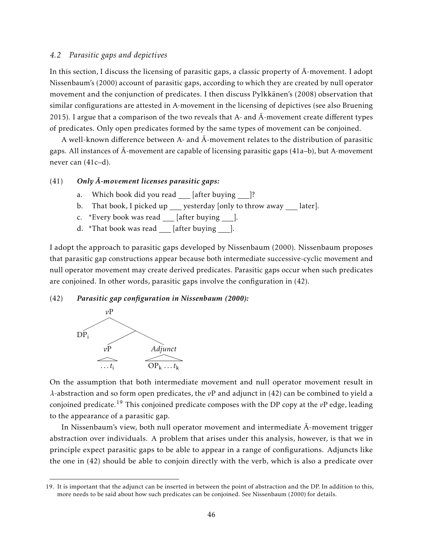### *4.2 Parasitic gaps and depictives*

In this section, I discuss the licensing of parasitic gaps, a classic property of  $\bar{A}$ -movement. I adopt Nissenbaum's (2000) account of parasitic gaps, according to which they are created by null operator movement and the conjunction of predicates. I then discuss Pylkkänen's (2008) observation that similar configurations are attested in A-movement in the licensing of depictives (see also Bruening 2015). I argue that a comparison of the two reveals that A- and  $\overline{A}$ -movement create different types of predicates. Only open predicates formed by the same types of movement can be conjoined.

A well-known difference between A- and  $\overline{A}$ -movement relates to the distribution of parasitic gaps. All instances of  $\bar{A}$ -movement are capable of licensing parasitic gaps (41a–b), but A-movement never can (41c–d).

### (41) *Only A-movement licenses parasitic gaps: ¯*

- a. Which book did you read  $[after buying ]$ ?
- b. That book, I picked up \_\_\_ yesterday [only to throw away \_ later].
- c. \*Every book was read [after buying ].
- d. \*That book was read  $\lfloor$  [after buying  $\lfloor$ ].

I adopt the approach to parasitic gaps developed by Nissenbaum (2000). Nissenbaum proposes that parasitic gap constructions appear because both intermediate successive-cyclic movement and null operator movement may create derived predicates. Parasitic gaps occur when such predicates are conjoined. In other words, parasitic gaps involve the configuration in (42).

### (42) *Parasitic gap configuration in Nissenbaum (2000):*



On the assumption that both intermediate movement and null operator movement result in *λ*-abstraction and so form open predicates, the *v*P and adjunct in (42) can be combined to yield a conjoined predicate.<sup>19</sup> This conjoined predicate composes with the DP copy at the *v*P edge, leading to the appearance of a parasitic gap.

In Nissenbaum's view, both null operator movement and intermediate  $\bar{A}$ -movement trigger abstraction over individuals. A problem that arises under this analysis, however, is that we in principle expect parasitic gaps to be able to appear in a range of configurations. Adjuncts like the one in (42) should be able to conjoin directly with the verb, which is also a predicate over

<sup>19.</sup> It is important that the adjunct can be inserted in between the point of abstraction and the DP. In addition to this, more needs to be said about how such predicates can be conjoined. See Nissenbaum (2000) for details.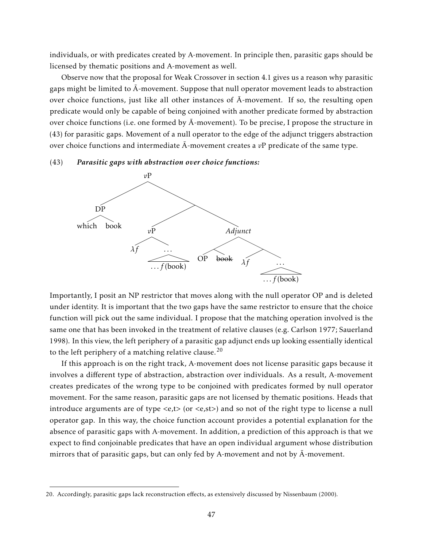individuals, or with predicates created by A-movement. In principle then, parasitic gaps should be licensed by thematic positions and A-movement as well.

Observe now that the proposal for Weak Crossover in section 4.1 gives us a reason why parasitic gaps might be limited to  $\bar{A}$ -movement. Suppose that null operator movement leads to abstraction over choice functions, just like all other instances of  $\overline{A}$ -movement. If so, the resulting open predicate would only be capable of being conjoined with another predicate formed by abstraction over choice functions (i.e. one formed by  $\bar{A}$ -movement). To be precise, I propose the structure in (43) for parasitic gaps. Movement of a null operator to the edge of the adjunct triggers abstraction over choice functions and intermediate  $\overline{A}$ -movement creates a  $vP$  predicate of the same type.

### (43) *Parasitic gaps with abstraction over choice functions:*



Importantly, I posit an NP restrictor that moves along with the null operator OP and is deleted under identity. It is important that the two gaps have the same restrictor to ensure that the choice function will pick out the same individual. I propose that the matching operation involved is the same one that has been invoked in the treatment of relative clauses (e.g. Carlson 1977; Sauerland 1998). In this view, the left periphery of a parasitic gap adjunct ends up looking essentially identical to the left periphery of a matching relative clause.<sup>20</sup>

If this approach is on the right track, A-movement does not license parasitic gaps because it involves a different type of abstraction, abstraction over individuals. As a result, A-movement creates predicates of the wrong type to be conjoined with predicates formed by null operator movement. For the same reason, parasitic gaps are not licensed by thematic positions. Heads that introduce arguments are of type *<*e,t*>* (or *<*e,st*>*) and so not of the right type to license a null operator gap. In this way, the choice function account provides a potential explanation for the absence of parasitic gaps with A-movement. In addition, a prediction of this approach is that we expect to find conjoinable predicates that have an open individual argument whose distribution mirrors that of parasitic gaps, but can only fed by A-movement and not by  $\bar{A}$ -movement.

<sup>20.</sup> Accordingly, parasitic gaps lack reconstruction effects, as extensively discussed by Nissenbaum (2000).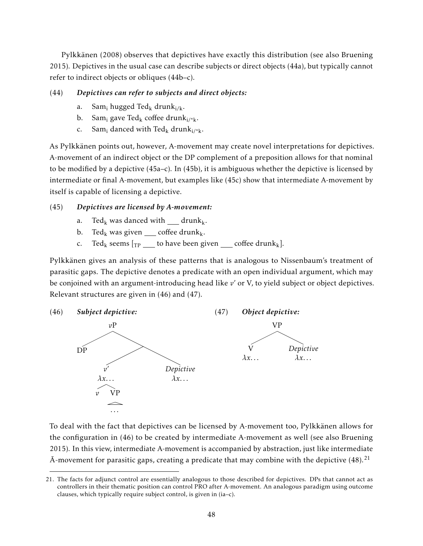Pylkkänen (2008) observes that depictives have exactly this distribution (see also Bruening 2015). Depictives in the usual case can describe subjects or direct objects (44a), but typically cannot refer to indirect objects or obliques (44b–c).

# (44) *Depictives can refer to subjects and direct objects:*

- a. Sam<sub>i</sub> hugged Ted<sub>k</sub> drunk<sub>i/k</sub>.
- b. Sam<sub>i</sub> gave Ted<sub>k</sub> coffee drunk<sub>i/\*k</sub>.
- c. Sam<sub>i</sub> danced with Ted<sub>k</sub> drunk<sub>i/\*k</sub>.

As Pylkkänen points out, however, A-movement may create novel interpretations for depictives. A-movement of an indirect object or the DP complement of a preposition allows for that nominal to be modified by a depictive (45a–c). In (45b), it is ambiguous whether the depictive is licensed by intermediate or final A-movement, but examples like (45c) show that intermediate A-movement by itself is capable of licensing a depictive.

# (45) *Depictives are licensed by A-movement:*

- a. Ted<sub>k</sub> was danced with  $drunk_k$ .
- b. Ted<sub>k</sub> was given coffee drunk<sub>k</sub>.
- c. Ted<sub>k</sub> seems  $\lceil_{\text{TP}}\rfloor$  to have been given coffee drunk<sub>k</sub>].

Pylkkänen gives an analysis of these patterns that is analogous to Nissenbaum's treatment of parasitic gaps. The depictive denotes a predicate with an open individual argument, which may be conjoined with an argument-introducing head like *v*' or V, to yield subject or object depictives. Relevant structures are given in (46) and (47).



To deal with the fact that depictives can be licensed by A-movement too, Pylkkänen allows for the configuration in (46) to be created by intermediate A-movement as well (see also Bruening 2015). In this view, intermediate A-movement is accompanied by abstraction, just like intermediate  $\bar{A}$ -movement for parasitic gaps, creating a predicate that may combine with the depictive (48).<sup>21</sup>

<sup>21.</sup> The facts for adjunct control are essentially analogous to those described for depictives. DPs that cannot act as controllers in their thematic position can control PRO after A-movement. An analogous paradigm using outcome clauses, which typically require subject control, is given in (ia–c).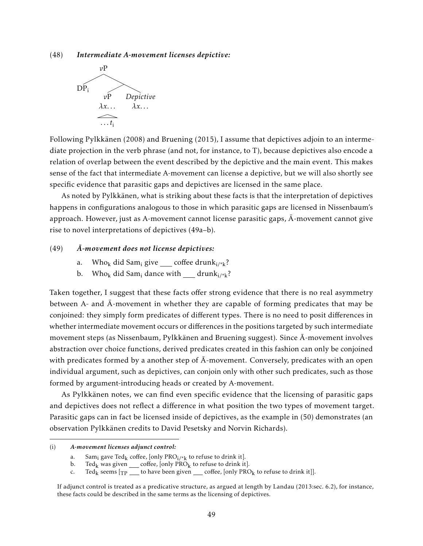(48) *Intermediate A-movement licenses depictive:*



Following Pylkkänen (2008) and Bruening (2015), I assume that depictives adjoin to an intermediate projection in the verb phrase (and not, for instance, to T), because depictives also encode a relation of overlap between the event described by the depictive and the main event. This makes sense of the fact that intermediate A-movement can license a depictive, but we will also shortly see specific evidence that parasitic gaps and depictives are licensed in the same place.

As noted by Pylkkänen, what is striking about these facts is that the interpretation of depictives happens in configurations analogous to those in which parasitic gaps are licensed in Nissenbaum's approach. However, just as A-movement cannot license parasitic gaps,  $\overline{A}$ -movement cannot give rise to novel interpretations of depictives (49a–b).

### (49) *A-movement does not license depictives: ¯*

- a. Who<sub>k</sub> did Sam<sub>i</sub> give coffee drunk<sub>i/\*k</sub>?
- b. Who<sub>k</sub> did Sam<sub>i</sub> dance with  $\quad$  drunk<sub>i/\*k</sub>?

Taken together, I suggest that these facts offer strong evidence that there is no real asymmetry between A- and  $\bar{A}$ -movement in whether they are capable of forming predicates that may be conjoined: they simply form predicates of different types. There is no need to posit differences in whether intermediate movement occurs or differences in the positions targeted by such intermediate movement steps (as Nissenbaum, Pylkkänen and Bruening suggest). Since  $\bar{A}$ -movement involves abstraction over choice functions, derived predicates created in this fashion can only be conjoined with predicates formed by a another step of  $\bar{A}$ -movement. Conversely, predicates with an open individual argument, such as depictives, can conjoin only with other such predicates, such as those formed by argument-introducing heads or created by A-movement.

As Pylkkänen notes, we can find even specific evidence that the licensing of parasitic gaps and depictives does not reflect a difference in what position the two types of movement target. Parasitic gaps can in fact be licensed inside of depictives, as the example in (50) demonstrates (an observation Pylkkänen credits to David Pesetsky and Norvin Richards).

<sup>(</sup>i) *A-movement licenses adjunct control:*

a. Sam<sub>i</sub> gave Ted<sub>k</sub> coffee, [only PRO<sub>i</sub>/<sub>\*k</sub> to refuse to drink it].<br>b. Ted<sub>k</sub> was given coffee, [only PRO<sub>k</sub> to refuse to drink it

b. Ted<sub>k</sub> was given <u>coffee</u>, [only PRO<sub>k</sub> to refuse to drink it].<br>c. Ted<sub>k</sub> seems [ $\tau$ p to have been given coffee, [only PRC]

Ted<sub>k</sub> seems  $[\text{TP}$  to have been given  $\text{coeffee}$ , [only PRO<sub>k</sub> to refuse to drink it]].

If adjunct control is treated as a predicative structure, as argued at length by Landau (2013:sec. 6.2), for instance, these facts could be described in the same terms as the licensing of depictives.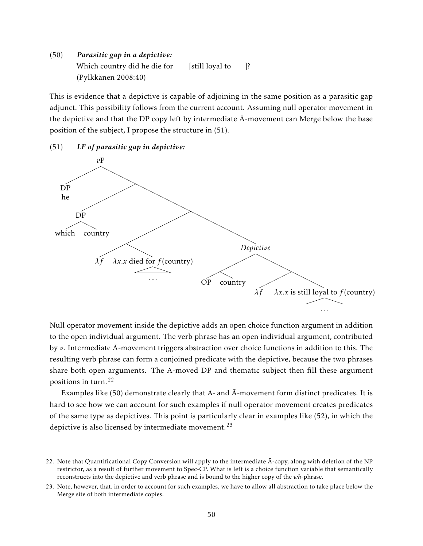(50) *Parasitic gap in a depictive:* Which country did he die for  $[$ still loyal to  $]$ ? (Pylkkänen 2008:40)

This is evidence that a depictive is capable of adjoining in the same position as a parasitic gap adjunct. This possibility follows from the current account. Assuming null operator movement in the depictive and that the DP copy left by intermediate  $\bar{A}$ -movement can Merge below the base position of the subject, I propose the structure in (51).

(51) *LF of parasitic gap in depictive:*



Null operator movement inside the depictive adds an open choice function argument in addition to the open individual argument. The verb phrase has an open individual argument, contributed by *v*. Intermediate  $\bar{A}$ -movement triggers abstraction over choice functions in addition to this. The resulting verb phrase can form a conjoined predicate with the depictive, because the two phrases share both open arguments. The  $\bar{A}$ -moved DP and thematic subject then fill these argument positions in turn.<sup>22</sup>

Examples like  $(50)$  demonstrate clearly that A- and  $\overline{A}$ -movement form distinct predicates. It is hard to see how we can account for such examples if null operator movement creates predicates of the same type as depictives. This point is particularly clear in examples like (52), in which the depictive is also licensed by intermediate movement.<sup>23</sup>

<sup>22.</sup> Note that Quantificational Copy Conversion will apply to the intermediate  $\bar{A}$ -copy, along with deletion of the NP restrictor, as a result of further movement to Spec-CP. What is left is a choice function variable that semantically reconstructs into the depictive and verb phrase and is bound to the higher copy of the *wh*-phrase.

<sup>23.</sup> Note, however, that, in order to account for such examples, we have to allow all abstraction to take place below the Merge site of both intermediate copies.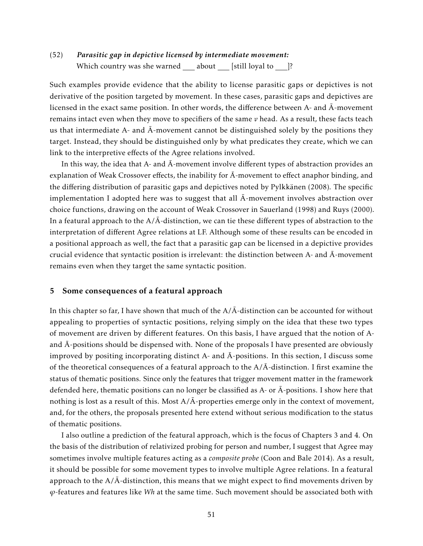# (52) *Parasitic gap in depictive licensed by intermediate movement:* Which country was she warned  $\_\_\_$ about  $\_\_\$  [still loyal to  $\_\_\$ ?

Such examples provide evidence that the ability to license parasitic gaps or depictives is not derivative of the position targeted by movement. In these cases, parasitic gaps and depictives are licensed in the exact same position. In other words, the difference between  $A$ - and  $\bar{A}$ -movement remains intact even when they move to specifiers of the same *v* head. As a result, these facts teach us that intermediate A- and  $\bar{A}$ -movement cannot be distinguished solely by the positions they target. Instead, they should be distinguished only by what predicates they create, which we can link to the interpretive effects of the Agree relations involved.

In this way, the idea that A- and  $\bar{A}$ -movement involve different types of abstraction provides an explanation of Weak Crossover effects, the inability for  $\bar{A}$ -movement to effect anaphor binding, and the differing distribution of parasitic gaps and depictives noted by Pylkkänen (2008). The specific implementation I adopted here was to suggest that all  $\bar{A}$ -movement involves abstraction over choice functions, drawing on the account of Weak Crossover in Sauerland (1998) and Ruys (2000). In a featural approach to the  $A/\bar{A}$ -distinction, we can tie these different types of abstraction to the interpretation of different Agree relations at LF. Although some of these results can be encoded in a positional approach as well, the fact that a parasitic gap can be licensed in a depictive provides crucial evidence that syntactic position is irrelevant: the distinction between A- and  $\bar{A}$ -movement remains even when they target the same syntactic position.

## 5 Some consequences of a featural approach

In this chapter so far, I have shown that much of the  $A/\bar{A}$ -distinction can be accounted for without appealing to properties of syntactic positions, relying simply on the idea that these two types of movement are driven by different features. On this basis, I have argued that the notion of Aand  $\bar{A}$ -positions should be dispensed with. None of the proposals I have presented are obviously improved by positing incorporating distinct A- and  $\bar{A}$ -positions. In this section, I discuss some of the theoretical consequences of a featural approach to the  $A/\bar{A}$ -distinction. I first examine the status of thematic positions. Since only the features that trigger movement matter in the framework defended here, thematic positions can no longer be classified as  $A$ - or  $\bar{A}$ -positions. I show here that nothing is lost as a result of this. Most  $A/\overline{A}$ -properties emerge only in the context of movement, and, for the others, the proposals presented here extend without serious modification to the status of thematic positions.

I also outline a prediction of the featural approach, which is the focus of Chapters 3 and 4. On the basis of the distribution of relativized probing for person and number, I suggest that Agree may sometimes involve multiple features acting as a *composite probe* (Coon and Bale 2014). As a result, it should be possible for some movement types to involve multiple Agree relations. In a featural approach to the  $A/\bar{A}$ -distinction, this means that we might expect to find movements driven by *ϕ*-features and features like *Wh* at the same time. Such movement should be associated both with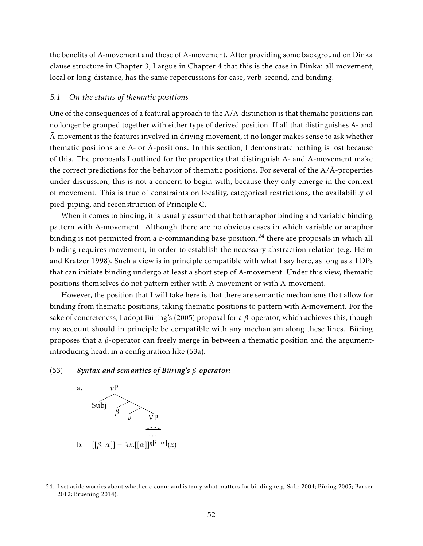the benefits of A-movement and those of  $\bar{A}$ -movement. After providing some background on Dinka clause structure in Chapter 3, I argue in Chapter 4 that this is the case in Dinka: all movement, local or long-distance, has the same repercussions for case, verb-second, and binding.

## *5.1 On the status of thematic positions*

One of the consequences of a featural approach to the  $A/\bar{A}$ -distinction is that thematic positions can no longer be grouped together with either type of derived position. If all that distinguishes A- and  $\bar{A}$ -movement is the features involved in driving movement, it no longer makes sense to ask whether thematic positions are A- or  $\bar{A}$ -positions. In this section, I demonstrate nothing is lost because of this. The proposals I outlined for the properties that distinguish A- and  $\bar{A}$ -movement make the correct predictions for the behavior of thematic positions. For several of the  $A/\overline{A}$ -properties under discussion, this is not a concern to begin with, because they only emerge in the context of movement. This is true of constraints on locality, categorical restrictions, the availability of pied-piping, and reconstruction of Principle C.

When it comes to binding, it is usually assumed that both anaphor binding and variable binding pattern with A-movement. Although there are no obvious cases in which variable or anaphor binding is not permitted from a c-commanding base position,  $24$  there are proposals in which all binding requires movement, in order to establish the necessary abstraction relation (e.g. Heim and Kratzer 1998). Such a view is in principle compatible with what I say here, as long as all DPs that can initiate binding undergo at least a short step of A-movement. Under this view, thematic positions themselves do not pattern either with A-movement or with  $\bar{A}$ -movement.

However, the position that I will take here is that there are semantic mechanisms that allow for binding from thematic positions, taking thematic positions to pattern with A-movement. For the sake of concreteness, I adopt Büring's (2005) proposal for a *β*-operator, which achieves this, though my account should in principle be compatible with any mechanism along these lines. Büring proposes that a *β*-operator can freely merge in between a thematic position and the argumentintroducing head, in a configuration like (53a).

### (53) *Syntax and semantics of Büring's β-operator:*



<sup>24.</sup> I set aside worries about whether c-command is truly what matters for binding (e.g. Safir 2004; Büring 2005; Barker 2012; Bruening 2014).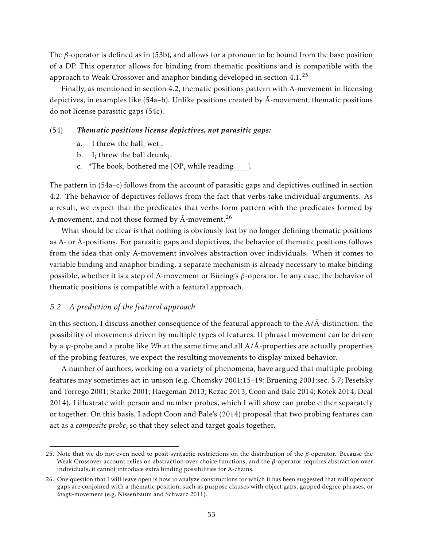The *β*-operator is defined as in (53b), and allows for a pronoun to be bound from the base position of a DP. This operator allows for binding from thematic positions and is compatible with the approach to Weak Crossover and anaphor binding developed in section 4.1.<sup>25</sup>

Finally, as mentioned in section 4.2, thematic positions pattern with A-movement in licensing depictives, in examples like (54a–b). Unlike positions created by  $\overline{A}$ -movement, thematic positions do not license parasitic gaps (54c).

## (54) *Thematic positions license depictives, not parasitic gaps:*

- a. I threw the  $ball_i$  wet<sub>i</sub>.
- b.  $I_i$  threw the ball drunk<sub>i</sub>.
- c. \*The book<sub>i</sub> bothered me  $[OP_i$  while reading \_\_\_\_].

The pattern in (54a–c) follows from the account of parasitic gaps and depictives outlined in section 4.2. The behavior of depictives follows from the fact that verbs take individual arguments. As a result, we expect that the predicates that verbs form pattern with the predicates formed by A-movement, and not those formed by  $\bar{A}$ -movement.<sup>26</sup>

What should be clear is that nothing is obviously lost by no longer defining thematic positions as A- or A-positions. For parasitic gaps and depictives, the behavior of thematic positions follows ¯ from the idea that only A-movement involves abstraction over individuals. When it comes to variable binding and anaphor binding, a separate mechanism is already necessary to make binding possible, whether it is a step of A-movement or Büring's *β*-operator. In any case, the behavior of thematic positions is compatible with a featural approach.

### *5.2 A prediction of the featural approach*

In this section, I discuss another consequence of the featural approach to the  $A/\overline{A}$ -distinction: the possibility of movements driven by multiple types of features. If phrasal movement can be driven by a  $\varphi$ -probe and a probe like *Wh* at the same time and all  $A/\overline{A}$ -properties are actually properties of the probing features, we expect the resulting movements to display mixed behavior.

A number of authors, working on a variety of phenomena, have argued that multiple probing features may sometimes act in unison (e.g. Chomsky 2001:15–19; Bruening 2001:sec. 5.7; Pesetsky and Torrego 2001; Starke 2001; Haegeman 2013; Rezac 2013; Coon and Bale 2014; Kotek 2014; Deal 2014). I illustrate with person and number probes, which I will show can probe either separately or together. On this basis, I adopt Coon and Bale's (2014) proposal that two probing features can act as a *composite probe*, so that they select and target goals together.

<sup>25.</sup> Note that we do not even need to posit syntactic restrictions on the distribution of the *β*-operator. Because the Weak Crossover account relies on abstraction over choice functions, and the *β*-operator requires abstraction over individuals, it cannot introduce extra binding possibilities for  $\bar{A}$ -chains.

<sup>26.</sup> One question that I will leave open is how to analyze constructions for which it has been suggested that null operator gaps are conjoined with a thematic position, such as purpose clauses with object gaps, gapped degree phrases, or *tough*-movement (e.g. Nissenbaum and Schwarz 2011).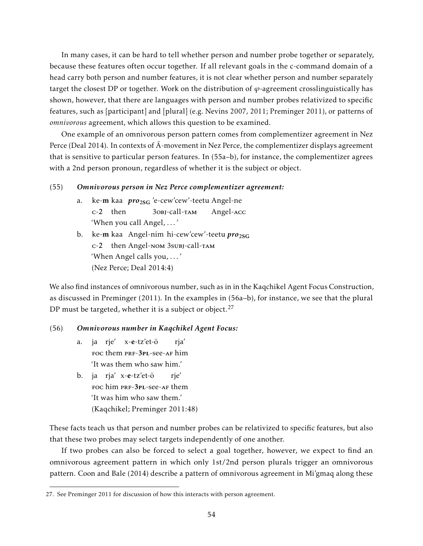In many cases, it can be hard to tell whether person and number probe together or separately, because these features often occur together. If all relevant goals in the c-command domain of a head carry both person and number features, it is not clear whether person and number separately target the closest DP or together. Work on the distribution of *ϕ*-agreement crosslinguistically has shown, however, that there are languages with person and number probes relativized to specific features, such as [participant] and [plural] (e.g. Nevins 2007, 2011; Preminger 2011), or patterns of *omnivorous* agreement, which allows this question to be examined.

One example of an omnivorous person pattern comes from complementizer agreement in Nez Perce (Deal 2014). In contexts of  $\bar{A}$ -movement in Nez Perce, the complementizer displays agreement that is sensitive to particular person features. In (55a–b), for instance, the complementizer agrees with a 2nd person pronoun, regardless of whether it is the subject or object.

### (55) *Omnivorous person in Nez Perce complementizer agreement:*

- a. ke-**m** kaa *pro<sub>2SG</sub> 'e-cew'cew'-teetu Angel-ne* c-2 then 3obj-call-tam Angel-acc 'When you call Angel, . . . '
- b. ke-**m** kaa Angel-nim hi-cew'cew'-teetu  $\boldsymbol{pro}_{2SG}$ c-2 then Angel-nom 3subj-call-tam 'When Angel calls you, . . . ' (Nez Perce; Deal 2014:4)

We also find instances of omnivorous number, such as in in the Kaqchikel Agent Focus Construction, as discussed in Preminger (2011). In the examples in (56a–b), for instance, we see that the plural DP must be targeted, whether it is a subject or object.<sup>27</sup>

### (56) *Omnivorous number in Kaqchikel Agent Focus:*

- a. ja rje' x-e-tz'et-ö FOC them PRF-3PL-see-AF him rja' 'It was them who saw him.'
- b. ja rja' x-e-tz'et-ö FOC him PRF-3PL-See-AF them rje' 'It was him who saw them.' (Kaqchikel; Preminger 2011:48)

These facts teach us that person and number probes can be relativized to specific features, but also that these two probes may select targets independently of one another.

If two probes can also be forced to select a goal together, however, we expect to find an omnivorous agreement pattern in which only 1st/2nd person plurals trigger an omnivorous pattern. Coon and Bale (2014) describe a pattern of omnivorous agreement in Mi'gmaq along these

<sup>27.</sup> See Preminger 2011 for discussion of how this interacts with person agreement.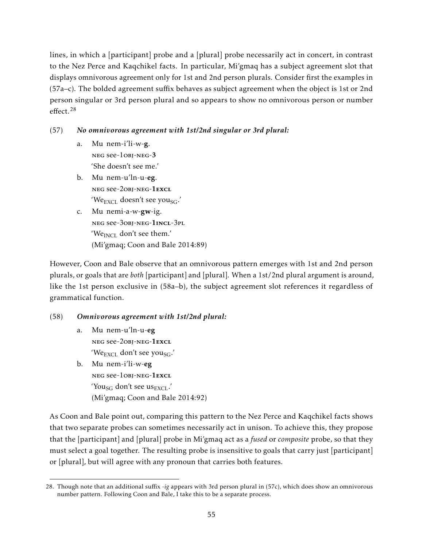lines, in which a [participant] probe and a [plural] probe necessarily act in concert, in contrast to the Nez Perce and Kaqchikel facts. In particular, Mi'gmaq has a subject agreement slot that displays omnivorous agreement only for 1st and 2nd person plurals. Consider first the examples in (57a–c). The bolded agreement suffix behaves as subject agreement when the object is 1st or 2nd person singular or 3rd person plural and so appears to show no omnivorous person or number effect.<sup>28</sup>

# (57) *No omnivorous agreement with 1st/2nd singular or 3rd plural:*

- a. Mu nem-i'li-w-g. neg see-1obj-neg-3 'She doesn't see me.'
- b. Mu nem-u'ln-u-eg. neg see-2obj-neg-1excl 'We<sub>EXCL</sub> doesn't see you<sub>SG</sub>.'
- c. Mu nemi-a-w-gw-ig. neg see-3obj-neg-1incl-3pl 'We $_{\text{INCL}}$  don't see them.' (Mi'gmaq; Coon and Bale 2014:89)

However, Coon and Bale observe that an omnivorous pattern emerges with 1st and 2nd person plurals, or goals that are *both* [participant] and [plural]. When a 1st/2nd plural argument is around, like the 1st person exclusive in (58a–b), the subject agreement slot references it regardless of grammatical function.

# (58) *Omnivorous agreement with 1st/2nd plural:*

- a. Mu nem-u'ln-u-eg neg see-2obj-neg-1excl 'We $_{\text{EXCL}}$  don't see you<sub>SG</sub>.'
- b. Mu nem-i'li-w-eg neg see-1obj-neg-1excl 'You<sub>SG</sub> don't see us<sub>EXCL</sub>.' (Mi'gmaq; Coon and Bale 2014:92)

As Coon and Bale point out, comparing this pattern to the Nez Perce and Kaqchikel facts shows that two separate probes can sometimes necessarily act in unison. To achieve this, they propose that the [participant] and [plural] probe in Mi'gmaq act as a *fused* or *composite* probe, so that they must select a goal together. The resulting probe is insensitive to goals that carry just [participant] or [plural], but will agree with any pronoun that carries both features.

<sup>28.</sup> Though note that an additional suffix -*ig* appears with 3rd person plural in (57c), which does show an omnivorous number pattern. Following Coon and Bale, I take this to be a separate process.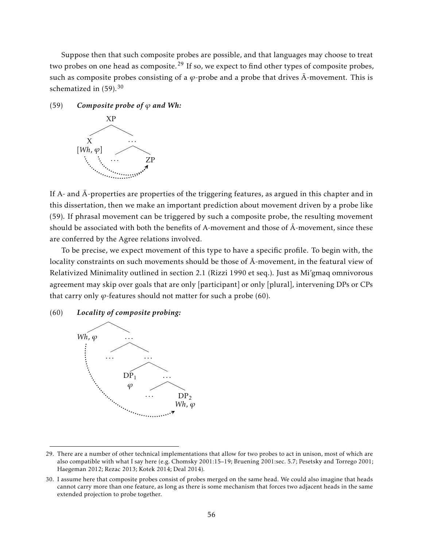Suppose then that such composite probes are possible, and that languages may choose to treat two probes on one head as composite.<sup>29</sup> If so, we expect to find other types of composite probes, such as composite probes consisting of a  $\varphi$ -probe and a probe that drives  $\bar{A}$ -movement. This is schematized in  $(59)$ .<sup>30</sup>

 $(59)$  *Composite probe of*  $\varphi$  *and Wh:* 



If A- and  $\bar{A}$ -properties are properties of the triggering features, as argued in this chapter and in this dissertation, then we make an important prediction about movement driven by a probe like (59). If phrasal movement can be triggered by such a composite probe, the resulting movement should be associated with both the benefits of A-movement and those of  $\bar{A}$ -movement, since these are conferred by the Agree relations involved.

To be precise, we expect movement of this type to have a specific profile. To begin with, the locality constraints on such movements should be those of  $\bar{A}$ -movement, in the featural view of Relativized Minimality outlined in section 2.1 (Rizzi 1990 et seq.). Just as Mi'gmaq omnivorous agreement may skip over goals that are only [participant] or only [plural], intervening DPs or CPs that carry only  $\varphi$ -features should not matter for such a probe (60).

(60) *Locality of composite probing:*



<sup>29.</sup> There are a number of other technical implementations that allow for two probes to act in unison, most of which are also compatible with what I say here (e.g. Chomsky 2001:15–19; Bruening 2001:sec. 5.7; Pesetsky and Torrego 2001; Haegeman 2012; Rezac 2013; Kotek 2014; Deal 2014).

<sup>30.</sup> I assume here that composite probes consist of probes merged on the same head. We could also imagine that heads cannot carry more than one feature, as long as there is some mechanism that forces two adjacent heads in the same extended projection to probe together.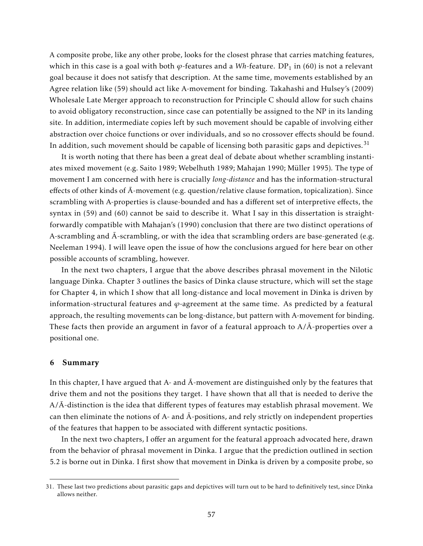A composite probe, like any other probe, looks for the closest phrase that carries matching features, which in this case is a goal with both φ-features and a Wh-feature. DP<sub>1</sub> in (60) is not a relevant goal because it does not satisfy that description. At the same time, movements established by an Agree relation like (59) should act like A-movement for binding. Takahashi and Hulsey's (2009) Wholesale Late Merger approach to reconstruction for Principle C should allow for such chains to avoid obligatory reconstruction, since case can potentially be assigned to the NP in its landing site. In addition, intermediate copies left by such movement should be capable of involving either abstraction over choice functions or over individuals, and so no crossover effects should be found. In addition, such movement should be capable of licensing both parasitic gaps and depictives.<sup>31</sup>

It is worth noting that there has been a great deal of debate about whether scrambling instantiates mixed movement (e.g. Saito 1989; Webelhuth 1989; Mahajan 1990; Müller 1995). The type of movement I am concerned with here is crucially *long-distance* and has the information-structural effects of other kinds of  $\bar{A}$ -movement (e.g. question/relative clause formation, topicalization). Since scrambling with A-properties is clause-bounded and has a different set of interpretive effects, the syntax in (59) and (60) cannot be said to describe it. What I say in this dissertation is straightforwardly compatible with Mahajan's (1990) conclusion that there are two distinct operations of A-scrambling and  $\bar{A}$ -scrambling, or with the idea that scrambling orders are base-generated (e.g. Neeleman 1994). I will leave open the issue of how the conclusions argued for here bear on other possible accounts of scrambling, however.

In the next two chapters, I argue that the above describes phrasal movement in the Nilotic language Dinka. Chapter 3 outlines the basics of Dinka clause structure, which will set the stage for Chapter 4, in which I show that all long-distance and local movement in Dinka is driven by information-structural features and  $\varphi$ -agreement at the same time. As predicted by a featural approach, the resulting movements can be long-distance, but pattern with A-movement for binding. These facts then provide an argument in favor of a featural approach to  $A/\overline{A}$ -properties over a positional one.

### 6 Summary

In this chapter, I have argued that A- and  $\bar{A}$ -movement are distinguished only by the features that drive them and not the positions they target. I have shown that all that is needed to derive the  $A/\overline{A}$ -distinction is the idea that different types of features may establish phrasal movement. We can then eliminate the notions of A- and  $\bar{A}$ -positions, and rely strictly on independent properties of the features that happen to be associated with different syntactic positions.

In the next two chapters, I offer an argument for the featural approach advocated here, drawn from the behavior of phrasal movement in Dinka. I argue that the prediction outlined in section 5.2 is borne out in Dinka. I first show that movement in Dinka is driven by a composite probe, so

<sup>31.</sup> These last two predictions about parasitic gaps and depictives will turn out to be hard to definitively test, since Dinka allows neither.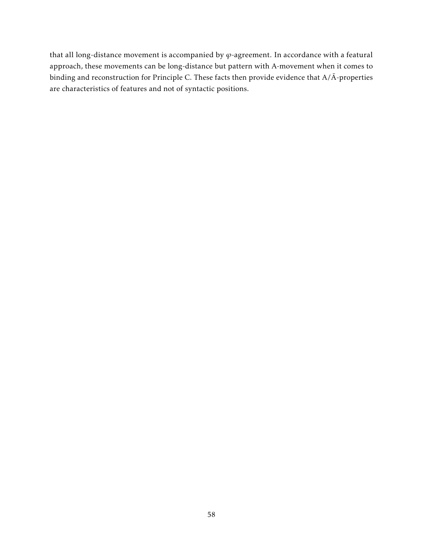that all long-distance movement is accompanied by *ϕ*-agreement. In accordance with a featural approach, these movements can be long-distance but pattern with A-movement when it comes to binding and reconstruction for Principle C. These facts then provide evidence that A/Ā-properties are characteristics of features and not of syntactic positions.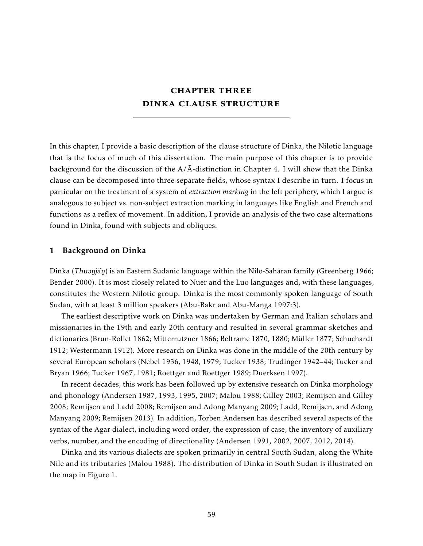# **CHAPTER THREE** dinka clause structure

In this chapter, I provide a basic description of the clause structure of Dinka, the Nilotic language that is the focus of much of this dissertation. The main purpose of this chapter is to provide background for the discussion of the  $A/\overline{A}$ -distinction in Chapter 4. I will show that the Dinka clause can be decomposed into three separate fields, whose syntax I describe in turn. I focus in particular on the treatment of a system of *extraction marking* in the left periphery, which I argue is analogous to subject vs. non-subject extraction marking in languages like English and French and functions as a reflex of movement. In addition, I provide an analysis of the two case alternations found in Dinka, found with subjects and obliques.

### 1 Background on Dinka

Dinka  $(Thu)$ jän) is an Eastern Sudanic language within the Nilo-Saharan family (Greenberg 1966; Bender 2000). It is most closely related to Nuer and the Luo languages and, with these languages, constitutes the Western Nilotic group. Dinka is the most commonly spoken language of South Sudan, with at least 3 million speakers (Abu-Bakr and Abu-Manga 1997:3).

The earliest descriptive work on Dinka was undertaken by German and Italian scholars and missionaries in the 19th and early 20th century and resulted in several grammar sketches and dictionaries (Brun-Rollet 1862; Mitterrutzner 1866; Beltrame 1870, 1880; Müller 1877; Schuchardt 1912; Westermann 1912). More research on Dinka was done in the middle of the 20th century by several European scholars (Nebel 1936, 1948, 1979; Tucker 1938; Trudinger 1942–44; Tucker and Bryan 1966; Tucker 1967, 1981; Roettger and Roettger 1989; Duerksen 1997).

In recent decades, this work has been followed up by extensive research on Dinka morphology and phonology (Andersen 1987, 1993, 1995, 2007; Malou 1988; Gilley 2003; Remijsen and Gilley 2008; Remijsen and Ladd 2008; Remijsen and Adong Manyang 2009; Ladd, Remijsen, and Adong Manyang 2009; Remijsen 2013). In addition, Torben Andersen has described several aspects of the syntax of the Agar dialect, including word order, the expression of case, the inventory of auxiliary verbs, number, and the encoding of directionality (Andersen 1991, 2002, 2007, 2012, 2014).

Dinka and its various dialects are spoken primarily in central South Sudan, along the White Nile and its tributaries (Malou 1988). The distribution of Dinka in South Sudan is illustrated on the map in Figure 1.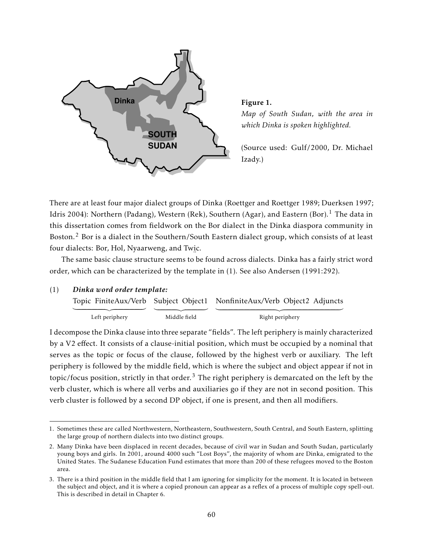

*Map of South Sudan, with the area in which Dinka is spoken highlighted.*

(Source used: Gulf/2000, Dr. Michael Izady.)

There are at least four major dialect groups of Dinka (Roettger and Roettger 1989; Duerksen 1997; Idris 2004): Northern (Padang), Western (Rek), Southern (Agar), and Eastern (Bor).<sup>1</sup> The data in this dissertation comes from fieldwork on the Bor dialect in the Dinka diaspora community in Boston.<sup>2</sup> Bor is a dialect in the Southern/South Eastern dialect group, which consists of at least four dialects: Bor, Hol, Nyaarweng, and Twi c.

The same basic clause structure seems to be found across dialects. Dinka has a fairly strict word order, which can be characterized by the template in (1). See also Andersen (1991:292).

(1) *Dinka word order template:*

|                |              | Topic FiniteAux/Verb Subject Object1 NonfiniteAux/Verb Object2 Adjuncts |  |
|----------------|--------------|-------------------------------------------------------------------------|--|
|                |              |                                                                         |  |
| Left periphery | Middle field | Right periphery                                                         |  |

I decompose the Dinka clause into three separate "fields". The left periphery is mainly characterized by a V2 effect. It consists of a clause-initial position, which must be occupied by a nominal that serves as the topic or focus of the clause, followed by the highest verb or auxiliary. The left periphery is followed by the middle field, which is where the subject and object appear if not in topic/focus position, strictly in that order.<sup>3</sup> The right periphery is demarcated on the left by the verb cluster, which is where all verbs and auxiliaries go if they are not in second position. This verb cluster is followed by a second DP object, if one is present, and then all modifiers.

<sup>1.</sup> Sometimes these are called Northwestern, Northeastern, Southwestern, South Central, and South Eastern, splitting the large group of northern dialects into two distinct groups.

<sup>2.</sup> Many Dinka have been displaced in recent decades, because of civil war in Sudan and South Sudan, particularly young boys and girls. In 2001, around 4000 such "Lost Boys", the majority of whom are Dinka, emigrated to the United States. The Sudanese Education Fund estimates that more than 200 of these refugees moved to the Boston area.

<sup>3.</sup> There is a third position in the middle field that I am ignoring for simplicity for the moment. It is located in between the subject and object, and it is where a copied pronoun can appear as a reflex of a process of multiple copy spell-out. This is described in detail in Chapter 6.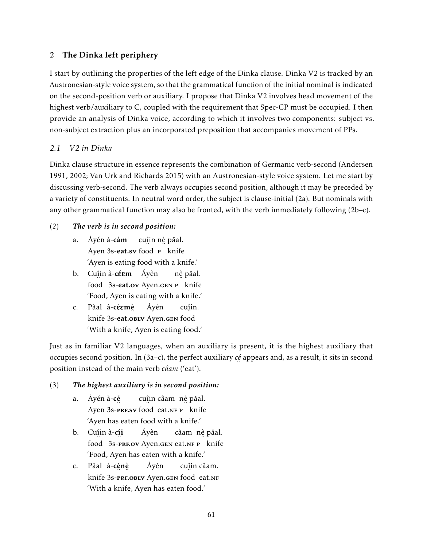# 2 The Dinka left periphery

I start by outlining the properties of the left edge of the Dinka clause. Dinka V2 is tracked by an Austronesian-style voice system, so that the grammatical function of the initial nominal is indicated on the second-position verb or auxiliary. I propose that Dinka V2 involves head movement of the highest verb/auxiliary to C, coupled with the requirement that Spec-CP must be occupied. I then provide an analysis of Dinka voice, according to which it involves two components: subject vs. non-subject extraction plus an incorporated preposition that accompanies movement of PPs.

# *2.1 V2 in Dinka*

Dinka clause structure in essence represents the combination of Germanic verb-second (Andersen 1991, 2002; Van Urk and Richards 2015) with an Austronesian-style voice system. Let me start by discussing verb-second. The verb always occupies second position, although it may be preceded by a variety of constituents. In neutral word order, the subject is clause-initial (2a). But nominals with any other grammatical function may also be fronted, with the verb immediately following (2b–c).

# (2) *The verb is in second position:*

- a. Àyén à-càm Ayen 3s-**eat.sv** food **P** knife cu<u>î</u>in n<u>è</u> pǎal. 'Ayen is eating food with a knife.'
- b. Cu<u>î</u>in à-**céem** Áyèn n in 1980.<br>Food 3s-**eat.ov** Ayen.gen P knife nè pǎal. 'Food, Ayen is eating with a knife.'
- c. Pǎal à-céemè knife 3s-eat.obly Ayen.gen food Áyèn cuî in. 'With a knife, Ayen is eating food.'

Just as in familiar V2 languages, when an auxiliary is present, it is the highest auxiliary that occupies second position. In (3a–c), the perfect auxiliary *cé* ¨ appears and, as a result, it sits in second position instead of the main verb *câam* ('eat').

# (3) *The highest auxiliary is in second position:*

- a. Àyén à-cé Ayen 3s-**PRF.sv** food eat.NF P knife cu<u>î</u>in câam) n<u>è</u> pǎal. 'Ayen has eaten food with a knife.'
- b. Cu<u>î</u>in à-**cíi** ¨ food 3s-**PRF.OV** Ayen.GEN eat.NF P knife Áyèn câam) n<u>è</u> pǎal. 'Food, Ayen has eaten with a knife.'
- c. Pǎal à-**cénè** knife ¨ ¨ 3s-prf.oblv Ayen.gen ¨ food eat.nf Áyèn cuî in câam. 'With a knife, Ayen has eaten food.'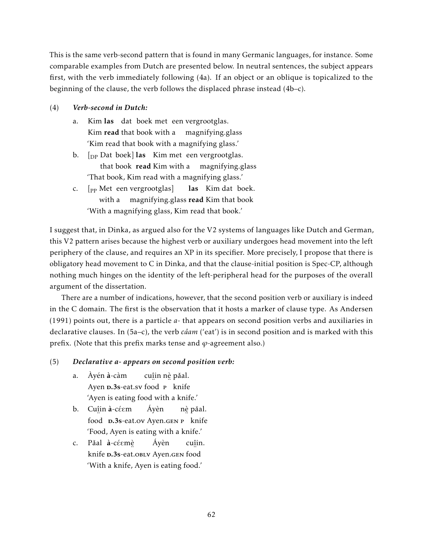This is the same verb-second pattern that is found in many Germanic languages, for instance. Some comparable examples from Dutch are presented below. In neutral sentences, the subject appears first, with the verb immediately following (4a). If an object or an oblique is topicalized to the beginning of the clause, the verb follows the displaced phrase instead (4b–c).

## (4) *Verb-second in Dutch:*

- a. Kim las dat boek met een vergrootglas. Kim **read** that book with a magnifying.glass 'Kim read that book with a magnifying glass.'
- b.  $\left[$ <sub>DP</sub> Dat boek] **las** Kim met een vergrootglas. that book read Kim with a magnifying.glass 'That book, Kim read with a magnifying glass.'
- c. [<sub>PP</sub> Met een vergrootglas] with a magnifying.glass **read** Kim that book las Kim dat boek. 'With a magnifying glass, Kim read that book.'

I suggest that, in Dinka, as argued also for the V2 systems of languages like Dutch and German, this V2 pattern arises because the highest verb or auxiliary undergoes head movement into the left periphery of the clause, and requires an XP in its specifier. More precisely, I propose that there is obligatory head movement to C in Dinka, and that the clause-initial position is Spec-CP, although nothing much hinges on the identity of the left-peripheral head for the purposes of the overall argument of the dissertation.

There are a number of indications, however, that the second position verb or auxiliary is indeed in the C domain. The first is the observation that it hosts a marker of clause type. As Andersen (1991) points out, there is a particle *a*- that appears on second position verbs and auxiliaries in declarative clauses. In (5a–c), the verb *câam* ('eat') is in second position and is marked with this prefix. (Note that this prefix marks tense and *ϕ*-agreement also.)

# (5) *Declarative a- appears on second position verb:*

- a. Àyén à-càm Ayen **D.3s**-eat.sv food **P** knife cu<u>î</u>in n<u>è</u> pǎal. 'Ayen is eating food with a knife.'
- b. Cu<u>î</u>in à-céem ¨ food d.3s-eat.ov Ayen.gen ¨ p knife Áyèn nè pǎal. 'Food, Ayen is eating with a knife.'
- c. Pǎal à-céemè knife **D.3s**-eat.obly Ayen.gen food Áyèn cuî in. 'With a knife, Ayen is eating food.'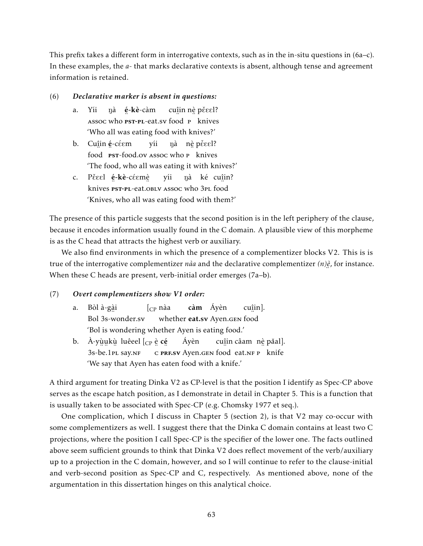This prefix takes a different form in interrogative contexts, such as in the in-situ questions in (6a–c). In these examples, the *a*- that marks declarative contexts is absent, although tense and agreement information is retained.

## (6) *Declarative marker is absent in questions:*

- a. Yíi assoc who nà **é-kè**-càm <sub>¨</sub> ¨ ¨1<br>**PST-PL-e**at.sv food P knives cu<u>î</u>in n<u>è</u> pěɛɛl? 'Who all was eating food with knives?'
- b. Cu<u>î</u>in **é**-céem ¨ food  $\frac{1}{2}$  **pst-food.ov** Assoc who **p** knives yíi nà n<u>è</u> pěɛɛl? 'The food, who all was eating it with knives?'
- c. Pěɛɛl **é-kè-**céɛmè̯ knives … .<br>**PST-PL-eat.o**bLv Assoc who 3pL food yíi nà ké cu<u>î</u>in? 'Knives, who all was eating food with them?'

The presence of this particle suggests that the second position is in the left periphery of the clause, because it encodes information usually found in the C domain. A plausible view of this morpheme is as the C head that attracts the highest verb or auxiliary.

We also find environments in which the presence of a complementizer blocks V2. This is is true of the interrogative complementizer *nàa* and the declarative complementizer *(n)è* ¨ , for instance. When these C heads are present, verb-initial order emerges (7a–b).

# (7) *Overt complementizers show V1 order:*

- a. Bòl à-gà i ...<br>Bol 3s-wonder.sv  $\int_{CD}$  nàa whether **eat.sv** Ayen.gen food càm Áyèn cuî in]. 'Bol is wondering whether Ayen is eating food.'
- b. À-yù̯u̯kù̯ luêeel [<sub>CP</sub> è̯ **cé**̯ ¨ ¨ ¨ 3s-be.1pl say.nf ¨ c ¨ prf.sv Ayen.gen ¨ food eat.nf ¨ p knife Áyèn cu<u>î</u>in câam nè pǎal]. 'We say that Ayen has eaten food with a knife.'

A third argument for treating Dinka V2 as CP-level is that the position I identify as Spec-CP above serves as the escape hatch position, as I demonstrate in detail in Chapter 5. This is a function that is usually taken to be associated with Spec-CP (e.g. Chomsky 1977 et seq.).

One complication, which I discuss in Chapter 5 (section 2), is that V2 may co-occur with some complementizers as well. I suggest there that the Dinka C domain contains at least two C projections, where the position I call Spec-CP is the specifier of the lower one. The facts outlined above seem sufficient grounds to think that Dinka V2 does reflect movement of the verb/auxiliary up to a projection in the C domain, however, and so I will continue to refer to the clause-initial and verb-second position as Spec-CP and C, respectively. As mentioned above, none of the argumentation in this dissertation hinges on this analytical choice.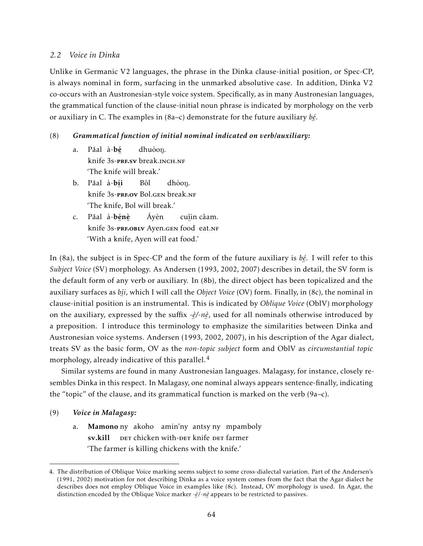## *2.2 Voice in Dinka*

Unlike in Germanic V2 languages, the phrase in the Dinka clause-initial position, or Spec-CP, is always nominal in form, surfacing in the unmarked absolutive case. In addition, Dinka V2 co-occurs with an Austronesian-style voice system. Specifically, as in many Austronesian languages, the grammatical function of the clause-initial noun phrase is indicated by morphology on the verb or auxiliary in C. The examples in (8a–c) demonstrate for the future auxiliary *bé* ¨ .

## (8) *Grammatical function of initial nominal indicated on verb/auxiliary:*

- a. Pǎal à-**b**é knife ¨ 3s-prf.sv break.inch.nf dhuòon. 'The knife will break.'
- b. Pǎal à-**b<u>í</u>i** knife 3s-prf.ov Bol.gen break.nf Bôl dhòon. 'The knife, Bol will break.'
- c. Pǎal à-**bénè** knife ¨ ¨ 3s-prf.oblv Ayen.gen ¨ food eat.nf Áyèn cuî in câam. 'With a knife, Ayen will eat food.'

In (8a), the subject is in Spec-CP and the form of the future auxiliary is *bé* . I will refer to this ¨ *Subject Voice* (SV) morphology. As Andersen (1993, 2002, 2007) describes in detail, the SV form is the default form of any verb or auxiliary. In (8b), the direct object has been topicalized and the auxiliary surfaces as *bí i*, which I will call the *Object Voice* (OV) form. Finally, in (8c), the nominal in ¨ clause-initial position is an instrumental. This is indicated by *Oblique Voice* (OblV) morphology on the auxiliary, expressed by the suffix *-è /-nè* , used for all nominals otherwise introduced by a preposition. I introduce this terminology to emphasize the similarities between Dinka and Austronesian voice systems. Andersen (1993, 2002, 2007), in his description of the Agar dialect, treats SV as the basic form, OV as the *non-topic subject* form and OblV as *circumstantial topic* morphology, already indicative of this parallel.<sup>4</sup>

Similar systems are found in many Austronesian languages. Malagasy, for instance, closely resembles Dinka in this respect. In Malagasy, one nominal always appears sentence-finally, indicating the "topic" of the clause, and its grammatical function is marked on the verb (9a–c).

- (9) *Voice in Malagasy:*
	- a. **Mamono** ny akoho amin'ny antsy ny mpamboly sv.kill ber chicken with-ber knife ber farmer 'The farmer is killing chickens with the knife.'

<sup>4.</sup> The distribution of Oblique Voice marking seems subject to some cross-dialectal variation. Part of the Andersen's (1991, 2002) motivation for not describing Dinka as a voice system comes from the fact that the Agar dialect he describes does not employ Oblique Voice in examples like (8c). Instead, OV morphology is used. In Agar, the distinction encoded by the Oblique Voice marker *-è/-nè* appears to be restricted to passives.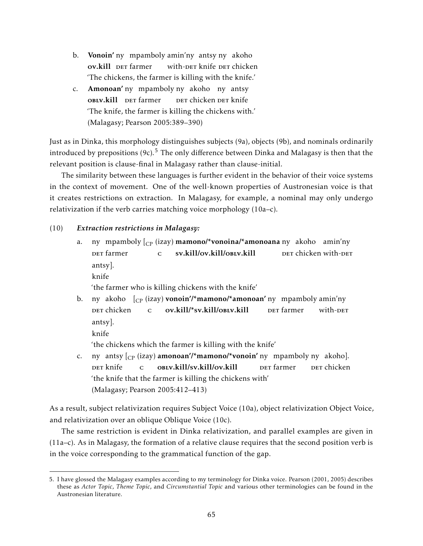- b. Vonoin' ny mpamboly amin'ny antsy ny akoho ov.kill DET farmer with-<mark>der knife der chicken</mark> 'The chickens, the farmer is killing with the knife.'
- c. Amonoan' ny mpamboly ny akoho ny antsy OBLV.kill DET farmer der chicken <mark>der knife</mark> 'The knife, the farmer is killing the chickens with.' (Malagasy; Pearson 2005:389–390)

Just as in Dinka, this morphology distinguishes subjects (9a), objects (9b), and nominals ordinarily introduced by prepositions  $(9c)$ <sup>5</sup>. The only difference between Dinka and Malagasy is then that the relevant position is clause-final in Malagasy rather than clause-initial.

The similarity between these languages is further evident in the behavior of their voice systems in the context of movement. One of the well-known properties of Austronesian voice is that it creates restrictions on extraction. In Malagasy, for example, a nominal may only undergo relativization if the verb carries matching voice morphology (10a–c).

## (10) *Extraction restrictions in Malagasy:*

a. ny mpamboly [<sub>CP</sub> (izay) **mamono/\*vonoina/\*amonoana** ny akoho amin'ny **DET** farmer  $\mathbf{C}$ sv.kill/ov.kill/oblv.kill DET chicken with-DET antsy]. knife

'the farmer who is killing chickens with the knife'

- b. ny akoho  $\int_{\mathbb{C}\mathrm{P}}$  (izay) **vonoin'/\*mamono/\*amonoan'** ny mpamboly amin'ny der chicken c ov.kill/\*sv.kill/oblv.kill ber farmer with-DET antsy].
	- knife

'the chickens which the farmer is killing with the knife'

c. ny antsy [<sub>CP</sub> (izay) **amonoan'/\*mamono/\*vonoin'** ny mpamboly ny akoho]. der knife c oblv.kill/sv.kill/ov.kill ber farmer der chicken 'the knife that the farmer is killing the chickens with' (Malagasy; Pearson 2005:412–413)

As a result, subject relativization requires Subject Voice (10a), object relativization Object Voice, and relativization over an oblique Oblique Voice (10c).

The same restriction is evident in Dinka relativization, and parallel examples are given in (11a–c). As in Malagasy, the formation of a relative clause requires that the second position verb is in the voice corresponding to the grammatical function of the gap.

<sup>5.</sup> I have glossed the Malagasy examples according to my terminology for Dinka voice. Pearson (2001, 2005) describes these as *Actor Topic*, *Theme Topic*, and *Circumstantial Topic* and various other terminologies can be found in the Austronesian literature.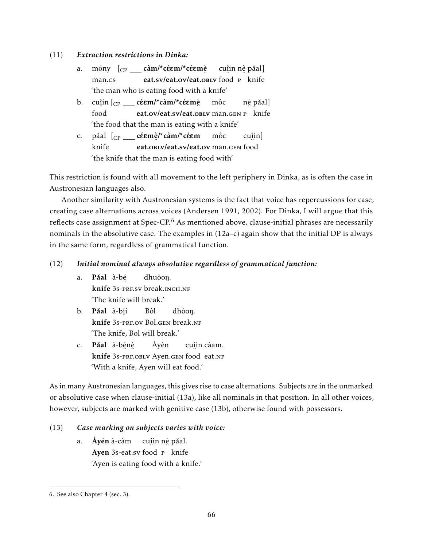## (11) *Extraction restrictions in Dinka:*

- a. móny [<sub>CP</sub> \_\_\_ **càm/\*céɛm/\*céɛmè** man.cs eat.sv/eat.ov/eat.oblv food p knife cu<u>î</u>in n<u>è</u> pǎal] 'the man who is eating food with a knife'
- b. cuî in [CP cEE´ m/\*càm/\*cEE´ mè ¨ food eat.ov/eat.sv/eat.oblv man.gen p knife môc nè pǎal] 'the food that the man is eating with a knife'
- c. pǎal [<sub>CP</sub> \_\_\_ **céem**è/\***càm/**\***céem** knife eat.oblv/eat.sv/eat.ov man.gen food môc cuî in] 'the knife that the man is eating food with'

This restriction is found with all movement to the left periphery in Dinka, as is often the case in Austronesian languages also.

Another similarity with Austronesian systems is the fact that voice has repercussions for case, creating case alternations across voices (Andersen 1991, 2002). For Dinka, I will argue that this reflects case assignment at Spec-CP.<sup>6</sup> As mentioned above, clause-initial phrases are necessarily nominals in the absolutive case. The examples in (12a–c) again show that the initial DP is always in the same form, regardless of grammatical function.

# (12) *Initial nominal always absolutive regardless of grammatical function:*

- a. **Păal** à-b<u>é</u> ..<br>**knife** 3s-prf.sv break.inch.nf dhuòon. 'The knife will break.'
- b. **Pǎal** à-b<u>í</u>i knife 3s-prf.ov Bol.gen break.nf Bôl dhòon. 'The knife, Bol will break.'
- c. **Păal** à-b<u>é</u>nè knife ¨ ¨ 3s-prf.oblv Ayen.gen ¨ food eat.nf Áyèn cuî in câam. 'With a knife, Ayen will eat food.'

As in many Austronesian languages, this gives rise to case alternations. Subjects are in the unmarked or absolutive case when clause-initial (13a), like all nominals in that position. In all other voices, however, subjects are marked with genitive case (13b), otherwise found with possessors.

# (13) *Case marking on subjects varies with voice:*

a. Àyén à-càm Ayen 3s-eat.sv food P knife cu<u>î</u>in n<u>è</u> pǎal. 'Ayen is eating food with a knife.'

<sup>6.</sup> See also Chapter 4 (sec. 3).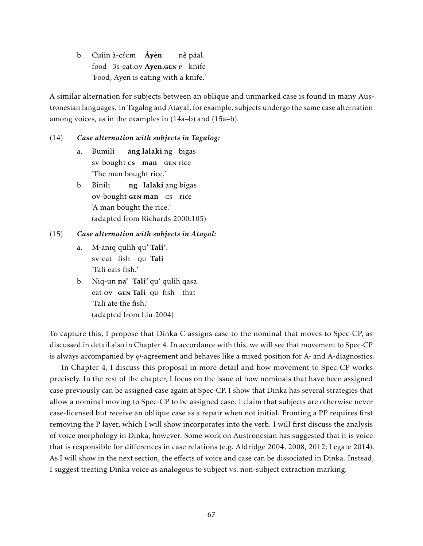b. Cu<u>î</u>in à-céem **Áyèn** food 3s-eat.ov Ayen.gen P knife nè pǎal. 'Food, Ayen is eating with a knife.'

A similar alternation for subjects between an oblique and unmarked case is found in many Austronesian languages. In Tagalog and Atayal, for example, subjects undergo the same case alternation among voices, as in the examples in (14a–b) and (15a–b).

## (14) *Case alternation with subjects in Tagalog:*

- a. Bumili sv-bought cs man GEN rice ang lalaki ng bigas 'The man bought rice.'
- b. Binili ov-bought GEN man cs rice ng lalaki ang bigas 'A man bought the rice.' (adapted from Richards 2000:105)

# (15) *Case alternation with subjects in Atayal:*

- a. M-aniq qulih qu' Tali'. sv-eat fish qu Tali 'Tali eats fish.'
- b. Niq-un na' Tali' qu' qulih qasa. eat-ov GEN Tali QU fish that 'Tali ate the fish.' (adapted from Liu 2004)

To capture this, I propose that Dinka C assigns case to the nominal that moves to Spec-CP, as discussed in detail also in Chapter 4. In accordance with this, we will see that movement to Spec-CP is always accompanied by  $\varphi$ -agreement and behaves like a mixed position for A- and  $\bar{A}$ -diagnostics.

In Chapter 4, I discuss this proposal in more detail and how movement to Spec-CP works precisely. In the rest of the chapter, I focus on the issue of how nominals that have been assigned case previously can be assigned case again at Spec-CP. I show that Dinka has several strategies that allow a nominal moving to Spec-CP to be assigned case. I claim that subjects are otherwise never case-licensed but receive an oblique case as a repair when not initial. Fronting a PP requires first removing the P layer, which I will show incorporates into the verb. I will first discuss the analysis of voice morphology in Dinka, however. Some work on Austronesian has suggested that it is voice that is responsible for differences in case relations (e.g. Aldridge 2004, 2008, 2012; Legate 2014). As I will show in the next section, the effects of voice and case can be dissociated in Dinka. Instead, I suggest treating Dinka voice as analogous to subject vs. non-subject extraction marking.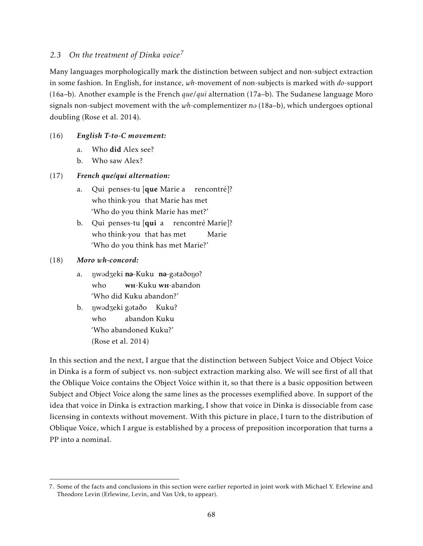# *2.3 On the treatment of Dinka voice<sup>7</sup>*

Many languages morphologically mark the distinction between subject and non-subject extraction in some fashion. In English, for instance, *wh*-movement of non-subjects is marked with *do*-support (16a–b). Another example is the French *que*/*qui* alternation (17a–b). The Sudanese language Moro signals non-subject movement with the  $wh$ -complementizer n $\partial$  (18a–b), which undergoes optional doubling (Rose et al. 2014).

# (16) *English T-to-C movement:*

- a. Who did Alex see?
- b. Who saw Alex?

# (17) *French que/qui alternation:*

- a. Qui penses-tu [**que** Marie a who think-you that Marie has met rencontré]? 'Who do you think Marie has met?'
- b. Qui penses-tu [**qui** a rencontré Marie]? who think-you that has met Marie 'Who do you think has met Marie?'

# (18) *Moro wh-concord:*

- a. πηwədʒeki **nə**-Kuku n**ə**-gətaðoŋo? who wн-Kuku <mark>wн-</mark>abandon 'Who did Kuku abandon?'
- b. ŋwədʒeki gətaðo Kuku? who abandon Kuku 'Who abandoned Kuku?' (Rose et al. 2014)

In this section and the next, I argue that the distinction between Subject Voice and Object Voice in Dinka is a form of subject vs. non-subject extraction marking also. We will see first of all that the Oblique Voice contains the Object Voice within it, so that there is a basic opposition between Subject and Object Voice along the same lines as the processes exemplified above. In support of the idea that voice in Dinka is extraction marking, I show that voice in Dinka is dissociable from case licensing in contexts without movement. With this picture in place, I turn to the distribution of Oblique Voice, which I argue is established by a process of preposition incorporation that turns a PP into a nominal.

<sup>7.</sup> Some of the facts and conclusions in this section were earlier reported in joint work with Michael Y. Erlewine and Theodore Levin (Erlewine, Levin, and Van Urk, to appear).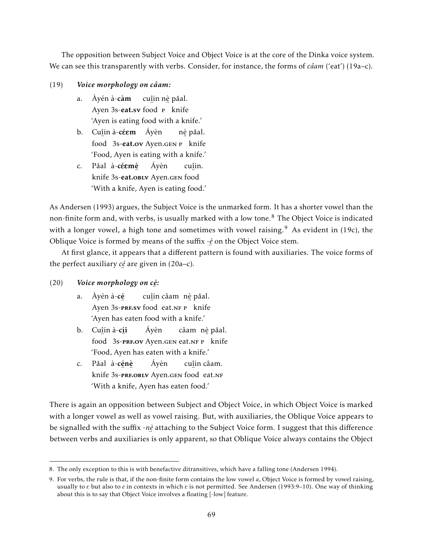The opposition between Subject Voice and Object Voice is at the core of the Dinka voice system. We can see this transparently with verbs. Consider, for instance, the forms of *câam* ('eat') (19a–c).

# (19) *Voice morphology on câam:*

- a. Àyén à-càm Ayen 3s-**eat.sv** food **P** knife cu<u>î</u>in n<u>è</u> pǎal. 'Ayen is eating food with a knife.'
- b. Cu<u>î</u>in à-**céem** Áyèn food 3s-eat.ov Ayen.gen P knife nè pǎal. 'Food, Ayen is eating with a knife.'
- c. Pǎal à-céemè knife 3s-eat.obly Ayen.gen food Áyèn cuî in. 'With a knife, Ayen is eating food.'

As Andersen (1993) argues, the Subject Voice is the unmarked form. It has a shorter vowel than the non-finite form and, with verbs, is usually marked with a low tone.<sup>8</sup> The Object Voice is indicated with a longer vowel, a high tone and sometimes with vowel raising.<sup>9</sup> As evident in (19c), the Oblique Voice is formed by means of the suffix -*è* on the Object Voice stem.

¨ At first glance, it appears that a different pattern is found with auxiliaries. The voice forms of the perfect auxiliary *cé* ¨ are given in (20a–c).

#### (20) *Voice morphology on cé :* ¨

- a. Àyén à-cé Ayen 3s-**PRF.sv** food eat.NF P knife cu<u>î</u>in câamπnè pǎal. 'Ayen has eaten food with a knife.'
- b. Cu<u>î</u>in à-**cíi** ¨ food 3s-**PRF.OV** Ayen.GEN eat.NF P knife Áyèn câam) n<u>è</u> pǎal. 'Food, Ayen has eaten with a knife.'
- c. Pǎal à-**cénè** knife ¨ ¨ 3s-prf.oblv Ayen.gen ¨ food eat.nf Áyèn cuî in câam. 'With a knife, Ayen has eaten food.'

There is again an opposition between Subject and Object Voice, in which Object Voice is marked with a longer vowel as well as vowel raising. But, with auxiliaries, the Oblique Voice appears to be signalled with the suffix -*nè* attaching to the Subject Voice form. I suggest that this difference ¨ between verbs and auxiliaries is only apparent, so that Oblique Voice always contains the Object

<sup>8.</sup> The only exception to this is with benefactive ditransitives, which have a falling tone (Andersen 1994).

<sup>9.</sup> For verbs, the rule is that, if the non-finite form contains the low vowel *a*, Object Voice is formed by vowel raising, usually to  $\varepsilon$  but also to  $e$  in contexts in which  $\varepsilon$  is not permitted. See Andersen (1993:9–10). One way of thinking about this is to say that Object Voice involves a floating [-low] feature.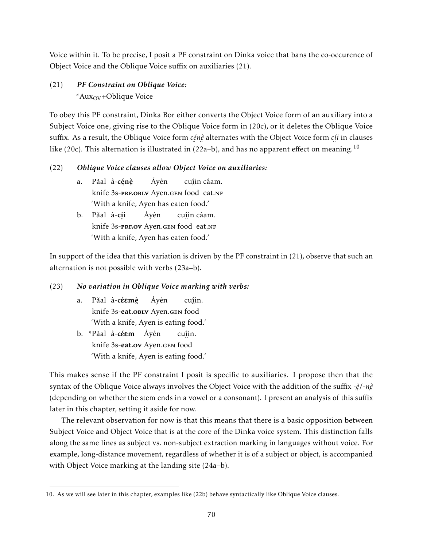Voice within it. To be precise, I posit a PF constraint on Dinka voice that bans the co-occurence of Object Voice and the Oblique Voice suffix on auxiliaries (21).

# (21) *PF Constraint on Oblique Voice:*  $*Aux_{\rm OV}$ +Oblique Voice

To obey this PF constraint, Dinka Bor either converts the Object Voice form of an auxiliary into a Subject Voice one, giving rise to the Oblique Voice form in (20c), or it deletes the Oblique Voice suffix. As a result, the Oblique Voice form *cénè* alternates with the Object Voice form *cíi* in clauses like (20c). This alternation is illustrated in (22a–b), and has no apparent effect on meaning.  $^{10}$ 

# (22) *Oblique Voice clauses allow Object Voice on auxiliaries:*

- a. Pǎal à-**cénè** knife ¨ ¨ 3s-prf.oblv Ayen.gen ¨ food eat.nf Áyèn cuî in câam. 'With a knife, Ayen has eaten food.'
- b. Pǎal à-**c<u>í</u>i** knife 3s-**prf.ov** Ayen.gen food eat.nf Áyèn cuî in câam. 'With a knife, Ayen has eaten food.'

In support of the idea that this variation is driven by the PF constraint in (21), observe that such an alternation is not possible with verbs (23a–b).

# (23) *No variation in Oblique Voice marking with verbs:*

- a. Pǎal à-c**éemè** knife 3s-eat.obly Ayen.gen food Áyèn cuî in. 'With a knife, Ayen is eating food.'
- b. \*Pǎal à-**céem** Áyèn knife 3s-eat.ov Ayen.gen food cuî in. 'With a knife, Ayen is eating food.'

This makes sense if the PF constraint I posit is specific to auxiliaries. I propose then that the syntax of the Oblique Voice always involves the Object Voice with the addition of the suffix -*è* /-*nè* ¨ ¨ (depending on whether the stem ends in a vowel or a consonant). I present an analysis of this suffix later in this chapter, setting it aside for now.

The relevant observation for now is that this means that there is a basic opposition between Subject Voice and Object Voice that is at the core of the Dinka voice system. This distinction falls along the same lines as subject vs. non-subject extraction marking in languages without voice. For example, long-distance movement, regardless of whether it is of a subject or object, is accompanied with Object Voice marking at the landing site (24a–b).

<sup>10.</sup> As we will see later in this chapter, examples like (22b) behave syntactically like Oblique Voice clauses.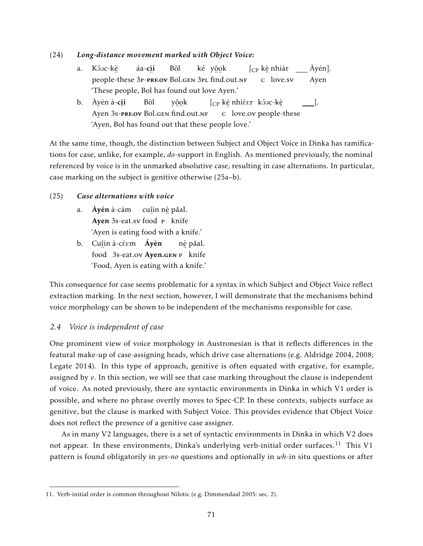## (24) *Long-distance movement marked with Object Voice:*

- a. Kôoc-kè ¨ people-these áa-**c<u>í</u>i** 3p-**prf.ov** Bol.gen 3pl find.out.nf Bôl ké y<u>ôo</u>k  $[\rm_{CP}$  kè nhiàr ∴<br>c love.sv Àyén]. Ayen 'These people, Bol has found out love Ayen.'
- b. Àyén à-**c<u>í</u>i** Ayen ¨ 3s-prf.ov Bol.gen ¨ ¨ find.out.nf Bôl yôok  $\left[\begin{smallmatrix} C\text{P} & \text{k} \end{smallmatrix}\right]$ è nhiéer kôoc-kè ¨ c love.ov ¨ people-these ]. 'Ayen, Bol has found out that these people love.'

At the same time, though, the distinction between Subject and Object Voice in Dinka has ramifications for case, unlike, for example, *do*-support in English. As mentioned previously, the nominal referenced by voice is in the unmarked absolutive case, resulting in case alternations. In particular, case marking on the subject is genitive otherwise (25a–b).

## (25) *Case alternations with voice*

- a. **Ayén** à-càm cu<u>î</u>in n<u>è</u> pǎal. Ayen 3s-eat.sv food P knife 'Ayen is eating food with a knife.'
- b. Cu<u>î</u>in à-céem **Áyèn** food 3s-eat.ov Ayen.gen P knife nè pǎal. 'Food, Ayen is eating with a knife.'

This consequence for case seems problematic for a syntax in which Subject and Object Voice reflect extraction marking. In the next section, however, I will demonstrate that the mechanisms behind voice morphology can be shown to be independent of the mechanisms responsible for case.

## *2.4 Voice is independent of case*

One prominent view of voice morphology in Austronesian is that it reflects differences in the featural make-up of case-assigning heads, which drive case alternations (e.g. Aldridge 2004, 2008; Legate 2014). In this type of approach, genitive is often equated with ergative, for example, assigned by *v*. In this section, we will see that case marking throughout the clause is independent of voice. As noted previously, there are syntactic environments in Dinka in which V1 order is possible, and where no phrase overtly moves to Spec-CP. In these contexts, subjects surface as genitive, but the clause is marked with Subject Voice. This provides evidence that Object Voice does not reflect the presence of a genitive case assigner.

As in many V2 languages, there is a set of syntactic environments in Dinka in which V2 does not appear. In these environments, Dinka's underlying verb-initial order surfaces.<sup>11</sup> This V1 pattern is found obligatorily in *yes-no* questions and optionally in *wh*-in situ questions or after

<sup>11.</sup> Verb-initial order is common throughout Nilotic (e.g. Dimmendaal 2005: sec. 2).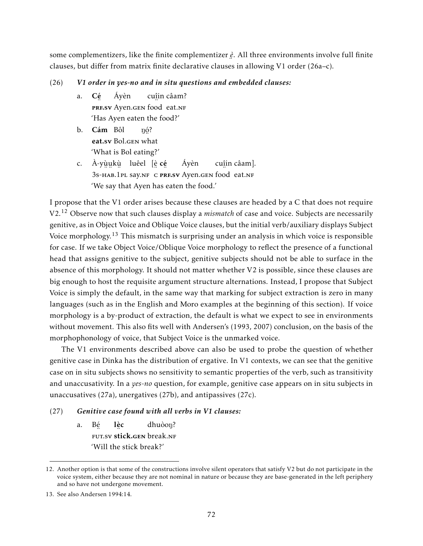some complementizers, like the finite complementizer *è* . All three environments involve full finite ¨ clauses, but differ from matrix finite declarative clauses in allowing V1 order (26a–c).

### (26) *V1 order in yes-no and in situ questions and embedded clauses:*

- a. Cé PRF.SV Ayen.GEN food eat.NF Áyèn cuî in câam? 'Has Ayen eaten the food?'
- b. Cám Bôl e<mark>at.sv</mark> Bol.gen what ŋó? 'What is Bol eating?'
- c. À-yù̯u̯kù luêel [è̯ **cé**̯ SS-HAB.1PL SAY.NF C PRF.SV Ayen.GEN food eat.NF Áyèn cuî in câam]. 'We say that Ayen has eaten the food.'

I propose that the V1 order arises because these clauses are headed by a C that does not require V2.<sup>12</sup> Observe now that such clauses display a *mismatch* of case and voice. Subjects are necessarily genitive, as in Object Voice and Oblique Voice clauses, but the initial verb/auxiliary displays Subject Voice morphology.<sup>13</sup> This mismatch is surprising under an analysis in which voice is responsible for case. If we take Object Voice/Oblique Voice morphology to reflect the presence of a functional head that assigns genitive to the subject, genitive subjects should not be able to surface in the absence of this morphology. It should not matter whether V2 is possible, since these clauses are big enough to host the requisite argument structure alternations. Instead, I propose that Subject Voice is simply the default, in the same way that marking for subject extraction is zero in many languages (such as in the English and Moro examples at the beginning of this section). If voice morphology is a by-product of extraction, the default is what we expect to see in environments without movement. This also fits well with Andersen's (1993, 2007) conclusion, on the basis of the morphophonology of voice, that Subject Voice is the unmarked voice.

The V1 environments described above can also be used to probe the question of whether genitive case in Dinka has the distribution of ergative. In V1 contexts, we can see that the genitive case on in situ subjects shows no sensitivity to semantic properties of the verb, such as transitivity and unaccusativity. In a *yes-no* question, for example, genitive case appears on in situ subjects in unaccusatives (27a), unergatives (27b), and antipassives (27c).

### (27) *Genitive case found with all verbs in V1 clauses:*

a. Bé eut.sv **stick.gen** break.nf lè c dhuòon? 'Will the stick break?'

<sup>12.</sup> Another option is that some of the constructions involve silent operators that satisfy V2 but do not participate in the voice system, either because they are not nominal in nature or because they are base-generated in the left periphery and so have not undergone movement.

<sup>13.</sup> See also Andersen 1994:14.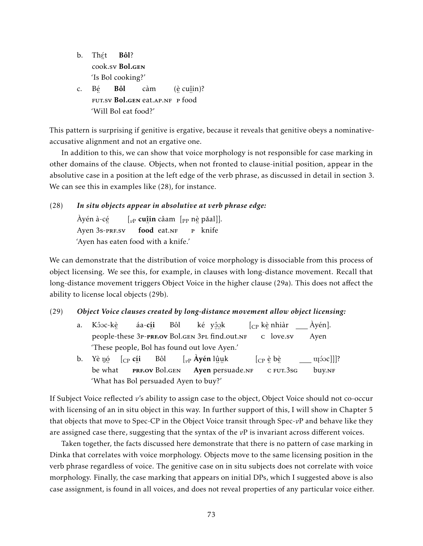b. Th<u>ế</u>t ¨ cook.sv Bol.gen Bôl? 'Is Bol cooking?' c. Bé ™ ™ ™ ™<br>FUT.SV **Bol.gen** eat.ap.nf p food Bôl càm (è cuî in)? 'Will Bol eat food?'

This pattern is surprising if genitive is ergative, because it reveals that genitive obeys a nominativeaccusative alignment and not an ergative one.

In addition to this, we can show that voice morphology is not responsible for case marking in other domains of the clause. Objects, when not fronted to clause-initial position, appear in the absolutive case in a position at the left edge of the verb phrase, as discussed in detail in section 3. We can see this in examples like (28), for instance.

# (28) *In situ objects appear in absolutive at verb phrase edge:*

Àyén à-cé Ayen ¨ 3s-prf.sv  $\left[\begin{smallmatrix}\vphantom{\int}\vphantom{\int^{P^P}}\vphantom{\int^{P^P}}\vphantom{\int^{P^P}}\vphantom{\int^{P^P}}\vphantom{\int^{P^P}}\vphantom{\int^{P^P}}\vphantom{\int^{P^P}}\vphantom{\int^{P^P}}\vphantom{\int^{P^P}}\vphantom{\int^{P^P}}\vphantom{\int^{P^P}}\vphantom{\int^{P^P}}\vphantom{\int^{P^P}}\vphantom{\int^{P^P}}\vphantom{\int^{P^P}}\vphantom{\int^{P^P}}\vphantom{\int^{P^P}}\vphantom{\int^{P^P}}\vphantom{\int^{P^P$ ..<br>**food** eat.nf …<br><sub>P</sub> knife 'Ayen has eaten food with a knife.'

We can demonstrate that the distribution of voice morphology is dissociable from this process of object licensing. We see this, for example, in clauses with long-distance movement. Recall that long-distance movement triggers Object Voice in the higher clause (29a). This does not affect the ability to license local objects (29b).

# (29) *Object Voice clauses created by long-distance movement allow object licensing:*

| a. Kôɔc-kè      áa- <b>cíi</b> Bôl    ké y <u>ôo</u> k      [ <sub>CP</sub> _kè_nhiàr ____Àyén]. |  |  |  |  |
|--------------------------------------------------------------------------------------------------|--|--|--|--|
| people-these 3P-PREOV Bol.GEN 3PL find.out.NF c love.sv Ayen                                     |  |  |  |  |
| 'These people, Bol has found out love Ayen.'                                                     |  |  |  |  |

b. Yè ŋó [<sub>CP</sub> **cíi** be ¨ what ™ The most manufacture in the most mention in the most mention in the most mention in the most mention in the most m<br>PRF.OV Bol.GEN Ayen persuade.NF Bôl [<sub>vP</sub> **Áyén** lŷuk  $[\begin{smallmatrix} \mathbb{CP} & \hat{\mathbb{e}} & \mathbb{b}\hat{\mathbb{e}} \end{smallmatrix}$ <sub>.. ..</sub><br>c fut.3sg  $[O(10^{12})]$ buy.<sub>NF</sub> 'What has Bol persuaded Ayen to buy?'

If Subject Voice reflected *v*'s ability to assign case to the object, Object Voice should not co-occur with licensing of an in situ object in this way. In further support of this, I will show in Chapter 5 that objects that move to Spec-CP in the Object Voice transit through Spec-*v*P and behave like they are assigned case there, suggesting that the syntax of the *v*P is invariant across different voices.

Taken together, the facts discussed here demonstrate that there is no pattern of case marking in Dinka that correlates with voice morphology. Objects move to the same licensing position in the verb phrase regardless of voice. The genitive case on in situ subjects does not correlate with voice morphology. Finally, the case marking that appears on initial DPs, which I suggested above is also case assignment, is found in all voices, and does not reveal properties of any particular voice either.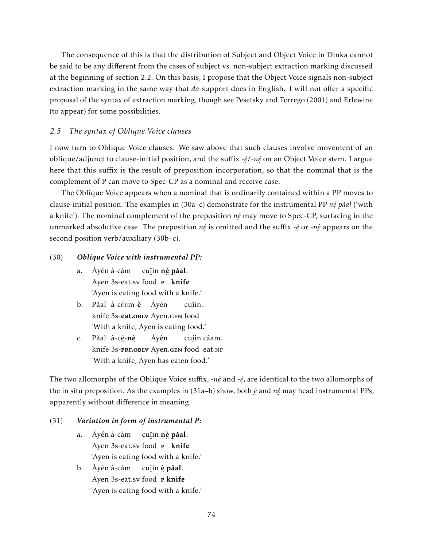The consequence of this is that the distribution of Subject and Object Voice in Dinka cannot be said to be any different from the cases of subject vs. non-subject extraction marking discussed at the beginning of section 2.2. On this basis, I propose that the Object Voice signals non-subject extraction marking in the same way that *do*-support does in English. I will not offer a specific proposal of the syntax of extraction marking, though see Pesetsky and Torrego (2001) and Erlewine (to appear) for some possibilities.

### *2.5 The syntax of Oblique Voice clauses*

I now turn to Oblique Voice clauses. We saw above that such clauses involve movement of an oblique/adjunct to clause-initial position, and the suffix -*è* /-*nè* on an Object Voice stem. I argue there that this suffix is the result of preposition incorporation, so that the nominal that is the complement of P can move to Spec-CP as a nominal and receive case.

The Oblique Voice appears when a nominal that is ordinarily contained within a PP moves to clause-initial position. The examples in (30a–c) demonstrate for the instrumental PP *nè pǎal* ('with a knife'). The nominal complement of the preposition *nè* may move to Spec-CP, surfacing in the unmarked absolutive case. The preposition *nè* is omitted ¨ is omitted and the suffix -*è* ¨ or -*nè* ¨ appears on the second position verb/auxiliary (30b–c).

#### (30) *Oblique Voice with instrumental PP:*

- a. Àyén à-càm cu<u>î</u>in **nè păal**. ..<br>Ayen 3s-eat.sv food <sub>…⊥</sub><br>¤ knife 'Ayen is eating food with a knife.'
- b. Pǎal à-céɛm-è̯ Áyèn knife ¨ 3s-eat.oblv Ayen.gen ¨ food cuî in. 'With a knife, Ayen is eating food.'
- c. Pǎal à-cẹ́-**n**è knife ¨ ¨ 3s-prf.oblv Ayen.gen ¨ food eat.nf Áyèn cuî in câam. 'With a knife, Ayen has eaten food.'

The two allomorphs of the Oblique Voice suffix, -*nè* and -*è* , are identical to the two allomorphs of ः<br>ः ⊥ the in situ preposition. As the examples in (31a–b) show, both *è* ¨ and *nè* ¨ may head instrumental PPs, apparently without difference in meaning.

### (31) *Variation in form of instrumental P:*

- a. Àyén à-càm Ayen 3s-eat.sv food cu<u>î</u>in **nè pǎal**. ∷ -<br>¤ knife 'Ayen is eating food with a knife.'
- b. Àyén à-càm ..<br>Ayen 3s-eat.sv food cu<u>î</u>in **è pǎal**. <sub>.. 1</sub><br>P knife 'Ayen is eating food with a knife.'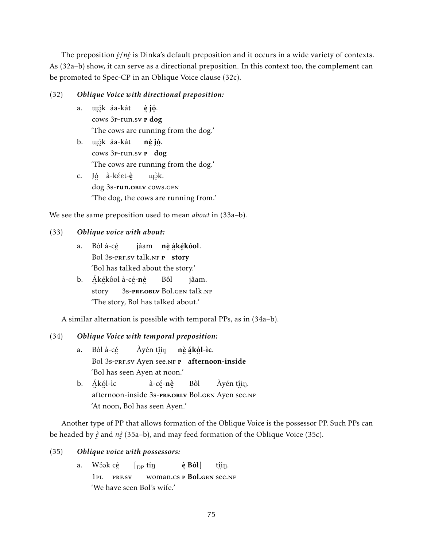The preposition *è* /*nè* is Dinka's default preposition and it occurs in a wide variety of contexts. ¨ ¨ As (32a–b) show, it can serve as a directional preposition. In this context too, the complement can be promoted to Spec-CP in an Oblique Voice clause (32c).

### (32) *Oblique Voice with directional preposition:*

- a. îO´ k áa-kàt ¨ cows 3<sub>P</sub>-run.sv **P** dog è jó . 'The cows are running from the dog.'
- b. îO´ k áa-kàt ¨ cows 3<sub>P</sub>-run.sv **P** dog nè jó . 'The cows are running from the dog.'
- c. Jó à-kéet-**è** ∕∴<br>dog 3s-**run.oblv** cows.gen uçèk. 'The dog, the cows are running from.'

We see the same preposition used to mean *about* in (33a–b).

# (33) *Oblique voice with about:*

- a. Bòl à-cé Bol 3s-pre.sv talk.nf **P** story jâam **nè ákékôol**. 'Bol has talked about the story.'
- b. Ákékôol à-cé-**nè** ¨ ¨ story ¨ ¨ 3s-prf.oblv Bol.gen talk.nf Bôl jâam. 'The story, Bol has talked about.'

A similar alternation is possible with temporal PPs, as in (34a–b).

# (34) *Oblique Voice with temporal preposition:*

- a. Bòl à-cé Bol 3s-pressu Ayen see.nf **P** afternoon-inside Àyén t<u>î</u>iŋ nè á kó l-ìc. 'Bol has seen Ayen at noon.'
- b. <u>Á</u>kól-ìc ……<br>afternoon-inside 3s-**prf.oblv** Bol.gen Ayen see.nf à-cẹ́-**nè** Bôl Àyén t<u>î</u>iŋ. 'At noon, Bol has seen Ayen.'

Another type of PP that allows formation of the Oblique Voice is the possessor PP. Such PPs can be headed by *è* and *nè* (35a–b), and may feed formation of the Oblique Voice (35c). ¨ ¨

### (35) *Oblique voice with possessors:*

a. Wôok c<u>é</u> 1pl ¨ prf.sv  $\int_{DP}$  tin woman.cs **P** Bol.gen see.nf è Bôl] t<u>î</u>iŋ. 'We have seen Bol's wife.'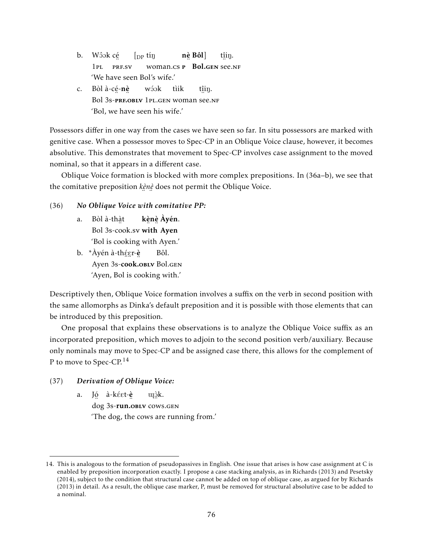- b. Wôok c<u>é</u>  $1PI.$ ¨ prf.sv  $\int_{\text{DP}}$  tin woman.cs **P** Bol.gen see.nf nè Bôl] t<u>î</u>iŋ. 'We have seen Bol's wife.'
- c. Bòl à-cẹ́-**nè** ™<br>Bol 3s-**prf.oblv** 1pl.gen woman see.nf wóok tìik t<u>î</u>iŋ. 'Bol, we have seen his wife.'

Possessors differ in one way from the cases we have seen so far. In situ possessors are marked with genitive case. When a possessor moves to Spec-CP in an Oblique Voice clause, however, it becomes absolutive. This demonstrates that movement to Spec-CP involves case assignment to the moved nominal, so that it appears in a different case.

Oblique Voice formation is blocked with more complex prepositions. In (36a–b), we see that the comitative preposition *kè* ¨ *nè* ¨ does not permit the Oblique Voice.

- (36) *No Oblique Voice with comitative PP:*
	- a. Bòl à-thà t Bol 3s-cook.sv with Ayen kè nè Àyén. 'Bol is cooking with Ayen.'
	- b. \*Àyén à-thé̯ɛr-è̯ Ayen ¨ ¨ ¨ 3s-cook.oblv Bol.gen Bôl. 'Ayen, Bol is cooking with.'

Descriptively then, Oblique Voice formation involves a suffix on the verb in second position with the same allomorphs as Dinka's default preposition and it is possible with those elements that can be introduced by this preposition.

One proposal that explains these observations is to analyze the Oblique Voice suffix as an incorporated preposition, which moves to adjoin to the second position verb/auxiliary. Because only nominals may move to Spec-CP and be assigned case there, this allows for the complement of P to move to Spec-CP.<sup>14</sup>

# (37) *Derivation of Oblique Voice:*

a. J<u>ó</u> à-kéet-**è** ′∴<br>dog 3s-**run.oblv** cows.gen uçòk. 'The dog, the cows are running from.'

<sup>14.</sup> This is analogous to the formation of pseudopassives in English. One issue that arises is how case assignment at C is enabled by preposition incorporation exactly. I propose a case stacking analysis, as in Richards (2013) and Pesetsky (2014), subject to the condition that structural case cannot be added on top of oblique case, as argued for by Richards (2013) in detail. As a result, the oblique case marker, P, must be removed for structural absolutive case to be added to a nominal.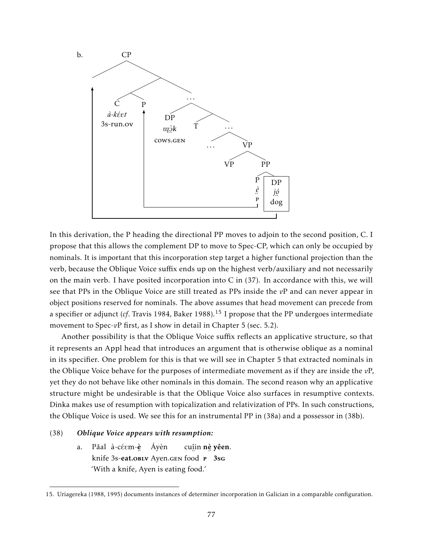

In this derivation, the P heading the directional PP moves to adjoin to the second position, C. I propose that this allows the complement DP to move to Spec-CP, which can only be occupied by nominals. It is important that this incorporation step target a higher functional projection than the verb, because the Oblique Voice suffix ends up on the highest verb/auxiliary and not necessarily on the main verb. I have posited incorporation into C in (37). In accordance with this, we will see that PPs in the Oblique Voice are still treated as PPs inside the *v*P and can never appear in object positions reserved for nominals. The above assumes that head movement can precede from a specifier or adjunct (*cf*. Travis 1984, Baker 1988).<sup>15</sup> I propose that the PP undergoes intermediate movement to Spec-*vP* first, as I show in detail in Chapter 5 (sec. 5.2).

Another possibility is that the Oblique Voice suffix reflects an applicative structure, so that it represents an Appl head that introduces an argument that is otherwise oblique as a nominal in its specifier. One problem for this is that we will see in Chapter 5 that extracted nominals in the Oblique Voice behave for the purposes of intermediate movement as if they are inside the *v*P, yet they do not behave like other nominals in this domain. The second reason why an applicative structure might be undesirable is that the Oblique Voice also surfaces in resumptive contexts. Dinka makes use of resumption with topicalization and relativization of PPs. In such constructions, the Oblique Voice is used. We see this for an instrumental PP in (38a) and a possessor in (38b).

#### (38) *Oblique Voice appears with resumption:*

a. Pǎal à-céɛm-è̯ knife ¨ 3s-eat.oblv Ayen.gen ¨ food Áyèn cuî in nè yêen. ¨ p 3sg 'With a knife, Ayen is eating food.'

<sup>15.</sup> Uriagereka (1988, 1995) documents instances of determiner incorporation in Galician in a comparable configuration.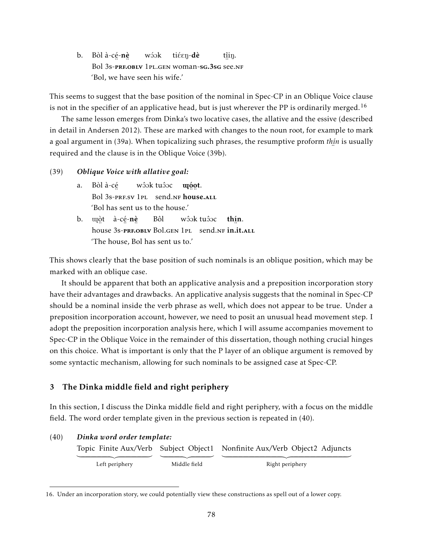b. Bòl à-cẹ́-**nè** Bol 3s-prf.oblv 1pl.gen woman-sg.3sg see.nf wóok tiéen-dè t<u>î</u>iŋ. 'Bol, we have seen his wife.'

This seems to suggest that the base position of the nominal in Spec-CP in an Oblique Voice clause is not in the specifier of an applicative head, but is just wherever the PP is ordinarily merged.<sup>16</sup>

The same lesson emerges from Dinka's two locative cases, the allative and the essive (described in detail in Andersen 2012). These are marked with changes to the noun root, for example to mark a goal argument in (39a). When topicalizing such phrases, the resumptive proform *thí* ¨ *n* is usually required and the clause is in the Oblique Voice (39b).

#### (39) *Oblique Voice with allative goal:*

- a. Bòl à-cé Bol 3s-prf.sv 1pl send.nf **house.**all wôɔk tuôɔc **u**oot. 'Bol has sent us to the house.'
- b. uçòt à-cé-**nè** ™ ¨ ¨ ¨ ¨<br>house 3s-<mark>prf.oblv</mark> Bol.gen 1pl send.nf **in.it.**all Bôl wôok tuôoc thí n. 'The house, Bol has sent us to.'

This shows clearly that the base position of such nominals is an oblique position, which may be marked with an oblique case.

It should be apparent that both an applicative analysis and a preposition incorporation story have their advantages and drawbacks. An applicative analysis suggests that the nominal in Spec-CP should be a nominal inside the verb phrase as well, which does not appear to be true. Under a preposition incorporation account, however, we need to posit an unusual head movement step. I adopt the preposition incorporation analysis here, which I will assume accompanies movement to Spec-CP in the Oblique Voice in the remainder of this dissertation, though nothing crucial hinges on this choice. What is important is only that the P layer of an oblique argument is removed by some syntactic mechanism, allowing for such nominals to be assigned case at Spec-CP.

### 3 The Dinka middle field and right periphery

In this section, I discuss the Dinka middle field and right periphery, with a focus on the middle field. The word order template given in the previous section is repeated in (40).

| (40) | Dinka word order template: |              |                                                                           |  |  |  |  |  |  |
|------|----------------------------|--------------|---------------------------------------------------------------------------|--|--|--|--|--|--|
|      |                            |              | Topic Finite Aux/Verb Subject Object1 Nonfinite Aux/Verb Object2 Adjuncts |  |  |  |  |  |  |
|      |                            |              |                                                                           |  |  |  |  |  |  |
|      | Left periphery             | Middle field | Right periphery                                                           |  |  |  |  |  |  |

<sup>16.</sup> Under an incorporation story, we could potentially view these constructions as spell out of a lower copy.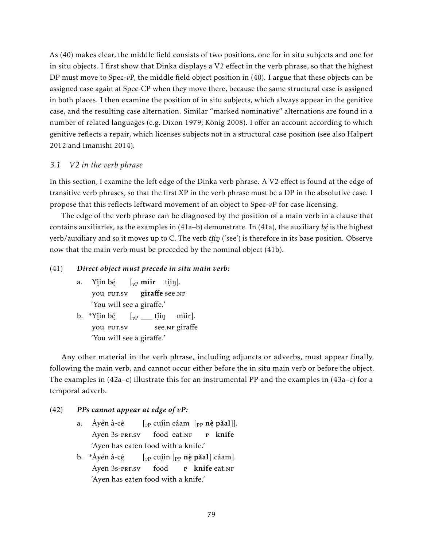As (40) makes clear, the middle field consists of two positions, one for in situ subjects and one for in situ objects. I first show that Dinka displays a V2 effect in the verb phrase, so that the highest DP must move to Spec-*v*P, the middle field object position in (40). I argue that these objects can be assigned case again at Spec-CP when they move there, because the same structural case is assigned in both places. I then examine the position of in situ subjects, which always appear in the genitive case, and the resulting case alternation. Similar "marked nominative" alternations are found in a number of related languages (e.g. Dixon 1979; König 2008). I offer an account according to which genitive reflects a repair, which licenses subjects not in a structural case position (see also Halpert 2012 and Imanishi 2014).

### *3.1 V2 in the verb phrase*

In this section, I examine the left edge of the Dinka verb phrase. A V2 effect is found at the edge of transitive verb phrases, so that the first XP in the verb phrase must be a DP in the absolutive case. I propose that this reflects leftward movement of an object to Spec-*v*P for case licensing.

The edge of the verb phrase can be diagnosed by the position of a main verb in a clause that contains auxiliaries, as the examples in (41a–b) demonstrate. In (41a), the auxiliary *bé* is the highest ¨ verb/auxiliary and so it moves up to C. The verb  $\mathrm{t\hat{\mu}i\eta}$  ('see') is therefore in its base position. Observe now that the main verb must be preceded by the nominal object (41b).

#### (41) *Direct object must precede in situ main verb:*

- a. Yî in bé ¨ you ¨ fut.sv  $\left[\begin{matrix} v_P \textbf{min} & \textbf{t} \\ v_P \textbf{min} & \textbf{t} \end{matrix}\right].$ ر. ..<br>giraffe see.nf 'You will see a giraffe.'
- b. \*Yî in bé … ∴<br>you Fut.sv  $\left[ \begin{smallmatrix} v\text{P} & \text{I} & \text{I} & \text{II} & \text{II} \end{smallmatrix} \right]$ ∵. 。<br>see.nr giraffe mìir]. 'You will see a giraffe.'

Any other material in the verb phrase, including adjuncts or adverbs, must appear finally, following the main verb, and cannot occur either before the in situ main verb or before the object. The examples in  $(42a-c)$  illustrate this for an instrumental PP and the examples in  $(43a-c)$  for a temporal adverb.

#### (42) *PPs cannot appear at edge of vP:*

- a. Àyén à-cé Ayen ¨ 3s-prf.sv  $\left[ \begin{smallmatrix} v\end{smallmatrix} \right]$  caam  $\left[ \begin{smallmatrix} \text{p}_1 & \text{r}_2 & \text{p}_3 & \text{p}_4 \end{smallmatrix} \right]$  and  $\left[ \begin{smallmatrix} v_1 \\ v_2 \end{smallmatrix} \right]$  culturally caam  $\left[ \begin{smallmatrix} v_1 & \text{r}_2 & \text{r}_3 & \text{p}_4 \end{smallmatrix} \right]$  and  $\left[ \begin{smallmatrix} v_1 & \text{r}_2 & \text{r}_3 & \text{r}_4 \end{smallmatrix} \right]$  and 。.<br>food eat.n<mark>f</mark> …<br><sub>P</sub> knife 'Ayen has eaten food with a knife.'
- b. \*Àyén à-cé Ayen ¨ 3s-prf.sv [<sub>vP</sub> cu<u>î</u>in [<sub>PP</sub> nè pǎal] câam]. ¨ food n 1 minutes of the seature 'Ayen has eaten food with a knife.'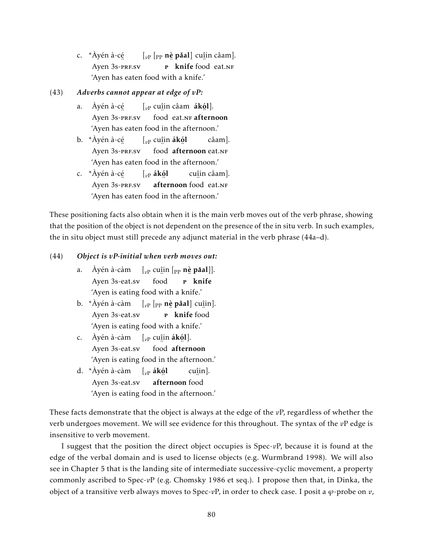c. \*Àyén à-cé بہ سے ہندال<br>Ayen 3s-prf.sv [<sub>vP</sub> [<sub>PP</sub> **nè pǎal**] cu<u>î</u>in câam]. p knife food eat.NF 'Ayen has eaten food with a knife.'

### (43) *Adverbs cannot appear at edge of vP:*

- a. Àyén à-cé م<br>Ayen 3s-prf.sv [*v*<sup>P</sup> cuî in câam ákó l]. food eat.NF afternoon 'Ayen has eaten food in the afternoon.'
- b. \*Àyén à-cé Ayen ¨ 3s-prf.sv [*v*<sup>P</sup> cuî in ákó l ¨ food ¨ afternoon eat.nf câam]. 'Ayen has eaten food in the afternoon.'
- c. \*Àyén à-cé م<br>Ayen 3s-prf.sv [*v*<sup>P</sup> ákó l afternoon food eat.NF cuî in câam]. 'Ayen has eaten food in the afternoon.'

These positioning facts also obtain when it is the main verb moves out of the verb phrase, showing that the position of the object is not dependent on the presence of the in situ verb. In such examples, the in situ object must still precede any adjunct material in the verb phrase (44a–d).

### (44) *Object is vP-initial when verb moves out:*

- a. Ayén à-càm [<sub>vP</sub> cu<u>î</u>in [<sub>PP</sub> nè **pǎal**]]. Ayen 3s-eat.sv ¨ food …<br><sub>P</sub> knife 'Ayen is eating food with a knife.'
- b. \*Àyén à-càm Ayen 3s-eat.sv  $\left[\begin{smallmatrix} v_P & \rho_P \end{smallmatrix}\right]$  **nè pǎal**] cu<u>î</u>in]. □□<br>**P** knife food 'Ayen is eating food with a knife.'
- c. Àyén à-càm Ayen 3s-eat.sv [*v*<sup>P</sup> cuî in ákó l]. ¨ food ¨ afternoon 'Ayen is eating food in the afternoon.'
- d. \*Àyén à-càm [*v*<sup>P</sup> ákó l Ayen 3s-eat.sv afternoon food cuî in]. 'Ayen is eating food in the afternoon.'

These facts demonstrate that the object is always at the edge of the *v*P, regardless of whether the verb undergoes movement. We will see evidence for this throughout. The syntax of the *v*P edge is insensitive to verb movement.

I suggest that the position the direct object occupies is Spec-*v*P, because it is found at the edge of the verbal domain and is used to license objects (e.g. Wurmbrand 1998). We will also see in Chapter 5 that is the landing site of intermediate successive-cyclic movement, a property commonly ascribed to Spec-*v*P (e.g. Chomsky 1986 et seq.). I propose then that, in Dinka, the object of a transitive verb always moves to Spec-*v*P, in order to check case. I posit a *ϕ*-probe on *v*,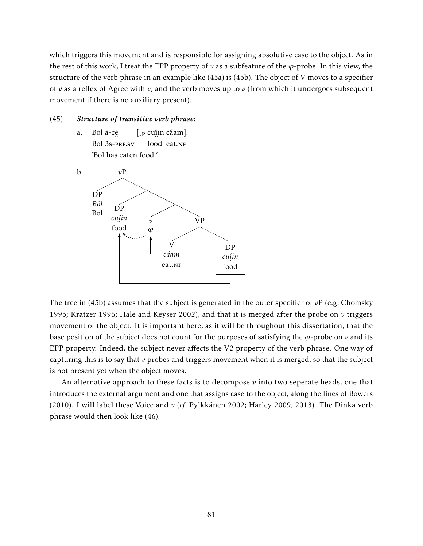which triggers this movement and is responsible for assigning absolutive case to the object. As in the rest of this work, I treat the EPP property of *v* as a subfeature of the *ϕ*-probe. In this view, the structure of the verb phrase in an example like (45a) is (45b). The object of V moves to a specifier of *v* as a reflex of Agree with *v*, and the verb moves up to *v* (from which it undergoes subsequent movement if there is no auxiliary present).

### (45) *Structure of transitive verb phrase:*

a. Bòl à-cé Bol 3s-prf.sv [*v*<sup>P</sup> cuî in câam]. food eat.NF 'Bol has eaten food.'



The tree in (45b) assumes that the subject is generated in the outer specifier of *v*P (e.g. Chomsky 1995; Kratzer 1996; Hale and Keyser 2002), and that it is merged after the probe on *v* triggers movement of the object. It is important here, as it will be throughout this dissertation, that the base position of the subject does not count for the purposes of satisfying the *ϕ*-probe on *v* and its EPP property. Indeed, the subject never affects the V2 property of the verb phrase. One way of capturing this is to say that  $\nu$  probes and triggers movement when it is merged, so that the subject is not present yet when the object moves.

An alternative approach to these facts is to decompose  $\nu$  into two seperate heads, one that introduces the external argument and one that assigns case to the object, along the lines of Bowers (2010). I will label these Voice and *v* (*cf*. Pylkkänen 2002; Harley 2009, 2013). The Dinka verb phrase would then look like (46).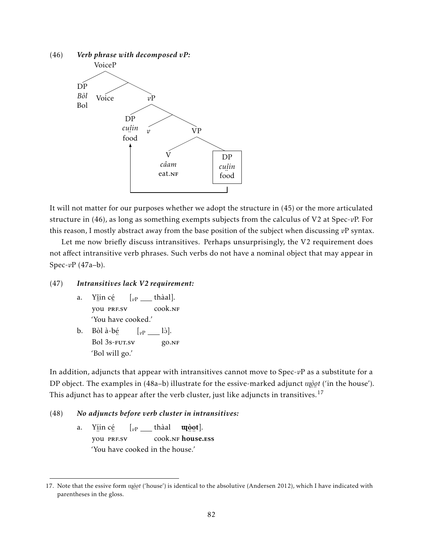

It will not matter for our purposes whether we adopt the structure in (45) or the more articulated structure in (46), as long as something exempts subjects from the calculus of V2 at Spec-*v*P. For this reason, I mostly abstract away from the base position of the subject when discussing *v*P syntax.

Let me now briefly discuss intransitives. Perhaps unsurprisingly, the V2 requirement does not affect intransitive verb phrases. Such verbs do not have a nominal object that may appear in Spec-*v*P (47a–b).

### (47) *Intransitives lack V2 requirement:*

- a. Yî in cé … ∴<br>you PRF.SV  $\left[\begin{matrix} v_P \end{matrix}\right]$  thàal]. cook.nf 'You have cooked.'
- b. Bòl à-bé Bol ¨ 3s-fut.sv  $\left[\begin{matrix} \partial \mathbf{p} & \mathbf{p} \end{matrix}\right]$ . go.nf 'Bol will go.'

In addition, adjuncts that appear with intransitives cannot move to Spec-*v*P as a substitute for a DP object. The examples in (48a–b) illustrate for the essive-marked adjunct <sup>î</sup>*ò o t* ('in the house'). This adjunct has to appear after the verb cluster, just like adjuncts in transitives.<sup>17</sup>

### (48) *No adjuncts before verb cluster in intransitives:*

a. Yí in cé … ∴<br>you PRF.SV  $\left[v_{\text{P}}\right]=\text{th\`aal}$ COOK.NF house.ess uçò qt]. 'You have cooked in the house.'

<sup>17.</sup> Note that the essive form  $\vec{u}$  *<i>i* ('house') is identical to the absolutive (Andersen 2012), which I have indicated with parentheses in the gloss.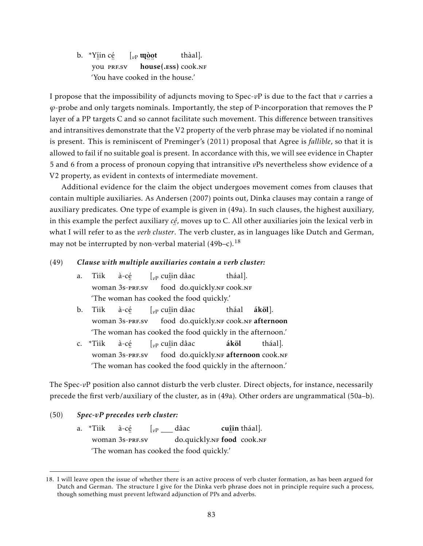b. \*Yí in cé …<br>you prf.sv  $\left[ \begin{smallmatrix} v\end{smallmatrix}\right]$  up  $\phi$ سيسية<br>house(.ess) cook.nf thàal]. 'You have cooked in the house.'

I propose that the impossibility of adjuncts moving to Spec-*v*P is due to the fact that *v* carries a *ϕ*-probe and only targets nominals. Importantly, the step of P-incorporation that removes the P layer of a PP targets C and so cannot facilitate such movement. This difference between transitives and intransitives demonstrate that the V2 property of the verb phrase may be violated if no nominal is present. This is reminiscent of Preminger's (2011) proposal that Agree is *fallible*, so that it is allowed to fail if no suitable goal is present. In accordance with this, we will see evidence in Chapter 5 and 6 from a process of pronoun copying that intransitive *v*Ps nevertheless show evidence of a V2 property, as evident in contexts of intermediate movement.

Additional evidence for the claim the object undergoes movement comes from clauses that contain multiple auxiliaries. As Andersen (2007) points out, Dinka clauses may contain a range of auxiliary predicates. One type of example is given in (49a). In such clauses, the highest auxiliary, in this example the perfect auxiliary *cé* , moves up to C. All other auxiliaries join the lexical verb in ¨ what I will refer to as the *verb cluster*. The verb cluster, as in languages like Dutch and German, may not be interrupted by non-verbal material  $(49b-c)^{18}$ 

#### (49) *Clause with multiple auxiliaries contain a verb cluster:*

- a. Tìik woman 3s-prf.sv à-cé [*v*<sup>P</sup> cuî in dâac 。<br>food do.quickly.nf cook.nf tháal]. 'The woman has cooked the food quickly.'
- b. Tìik woman 3s-prf.sv à-cé [*v*<sup>P</sup> cuî in dâac food do.quickly.nf cook.nf afternoon tháal áköl]. 'The woman has cooked the food quickly in the afternoon.'
- c. \*Tìik woman 3s-prf.sv à-cé [*v*<sup>P</sup> cuî in dâac .<br>food do.quickly.nf **afternoon** cook.nf áköl tháal]. 'The woman has cooked the food quickly in the afternoon.'

The Spec-*vP* position also cannot disturb the verb cluster. Direct objects, for instance, necessarily precede the first verb/auxiliary of the cluster, as in (49a). Other orders are ungrammatical (50a–b).

- (50) *Spec-vP precedes verb cluster:*
	- a. \*Tìik woman 3s-prf.sv à-cé [*v*<sup>P</sup> dâac do.quickly.nf food cook.nf cuî in tháal]. 'The woman has cooked the food quickly.'

<sup>18.</sup> I will leave open the issue of whether there is an active process of verb cluster formation, as has been argued for Dutch and German. The structure I give for the Dinka verb phrase does not in principle require such a process, though something must prevent leftward adjunction of PPs and adverbs.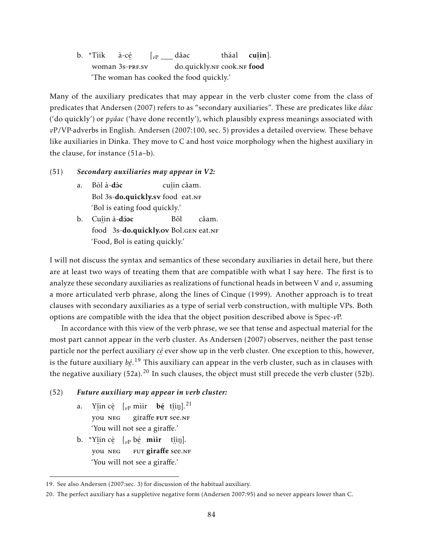b. \*Tìik woman 3s-prf.sv à-cé  $\left[v_{\text{P}}\right]=\text{d}$ âac do.quickly.nf cook.nf food tháal cuî in]. 'The woman has cooked the food quickly.'

Many of the auxiliary predicates that may appear in the verb cluster come from the class of predicates that Andersen (2007) refers to as "secondary auxiliaries". These are predicates like *dâac* ('do quickly') or *pyâac* ('have done recently'), which plausibly express meanings associated with *v*P/VP-adverbs in English. Andersen (2007:100, sec. 5) provides a detailed overview. These behave like auxiliaries in Dinka. They move to C and host voice morphology when the highest auxiliary in the clause, for instance (51a–b).

#### (51) *Secondary auxiliaries may appear in V2:*

- a. Bòl à-**dòc** ..<br>Bol 3s-**do.quickly.sv** food eat.nf cuî in câam. 'Bol is eating food quickly.'
- b. Cu<u>î</u>in à-**dóoc** …<br>food 3s-**do.quickly.ov** Bol.gen eat.nf Bôl câam. 'Food, Bol is eating quickly.'

I will not discuss the syntax and semantics of these secondary auxiliaries in detail here, but there are at least two ways of treating them that are compatible with what I say here. The first is to analyze these secondary auxiliaries as realizations of functional heads in between V and *v*, assuming a more articulated verb phrase, along the lines of Cinque (1999). Another approach is to treat clauses with secondary auxiliaries as a type of serial verb construction, with multiple VPs. Both options are compatible with the idea that the object position described above is Spec-*v*P.

In accordance with this view of the verb phrase, we see that tense and aspectual material for the most part cannot appear in the verb cluster. As Andersen (2007) observes, neither the past tense particle nor the perfect auxiliary *cé* ever show up in the verb cluster. One exception to this, however, i<br>is the future auxiliary *bé*.<sup>19</sup> This auxiliary can appear in the verb cluster, such as in clauses with the negative auxiliary (52a).<sup>20</sup> In such clauses, the object must still precede the verb cluster (52b).

### (52) *Future auxiliary may appear in verb cluster:*

- a. Y<u>î</u>in cè  $\left[\begin{smallmatrix} v_P \text{ mir} & \mathbf{b} & \text{t} \text{fin} \end{smallmatrix}\right]$ <sup>21</sup> ¨ you ¨ neg giraffe FUT see.nf 'You will not see a giraffe.'
- b. \*Y<u>î</u>in cè [<sub>vP</sub> bé **mìir** t<u>î</u>iŋ]. ¨ you ¨ neg …<br>FUT **giraffe** see.nf 'You will not see a giraffe.'

<sup>19.</sup> See also Andersen (2007:sec. 3) for discussion of the habitual auxiliary.

<sup>20.</sup> The perfect auxiliary has a suppletive negative form (Andersen 2007:95) and so never appears lower than C.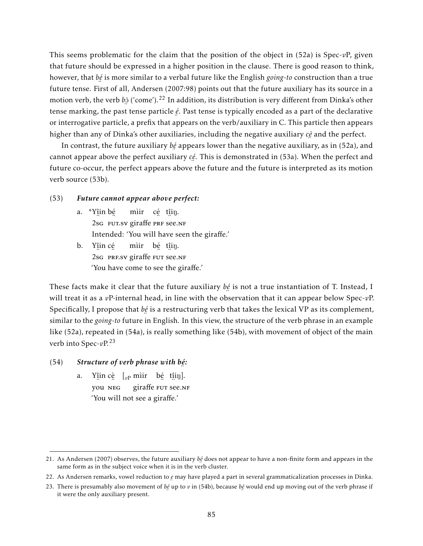This seems problematic for the claim that the position of the object in (52a) is Spec-*v*P, given that future should be expressed in a higher position in the clause. There is good reason to think, however, that *bé* is more similar to a verbal future like the English *going-to* construction than a true ¨ future tense. First of all, Andersen (2007:98) points out that the future auxiliary has its source in a motion verb, the verb *b*ɔ̀ ('come').<sup>22</sup> In addition, its distribution is very different from Dinka's other ¨ tense marking, the past tense particle *é* . Past tense is typically encoded as a part of the declarative ¨ or interrogative particle, a prefix that appears on the verb/auxiliary in C. This particle then appears higher than any of Dinka's other auxiliaries, including the negative auxiliary *cè* and the perfect.

In contrast, the future auxiliary *bé* appears lower than the negative auxiliary, as in (52a), and ¨ cannot appear above the perfect auxiliary *cé* . This is demonstrated in (53a). When the perfect and future co-occur, the perfect appears above the future and the future is interpreted as its motion verb source (53b).

#### (53) *Future cannot appear above perfect:*

- a. \*Yî in bé 2sg FUT.SV giraffe PRF See.NF mìir cé t<u>î</u>iŋ. Intended: 'You will have seen the giraffe.'
- b. Yî in cé ∴ ∴ ∴ ∵ ∵ ∵ ∵ ∵ 2sg PRF.SV giraffe FUT see.NF mìir b<u>é</u> t<u>î</u>iŋ. 'You have come to see the giraffe.'

These facts make it clear that the future auxiliary *bé* is not a true instantiation of T. Instead, I will treat it as a *v*P-internal head, in line with the observation that it can appear below Spec-*vP*. Specifically, I propose that *bé* is a restructuring verb that takes the lexical VP as its complement, ¨ similar to the *going-to* future in English. In this view, the structure of the verb phrase in an example like (52a), repeated in (54a), is really something like (54b), with movement of object of the main verb into Spec-*v*P.<sup>23</sup>

#### (54) *Structure of verb phrase with bé :* ¨

a. Y<u>î</u>in cè [<sub>vP</sub> mìir bé t<u>î</u>iŋ]. vou NEG giraffe FUT See.NF 'You will not see a giraffe.'

<sup>21.</sup> As Andersen (2007) observes, the future auxiliary *bé* does not appear to have a non-finite form and appears in the same form as in the subject voice when it is in the verb cluster.

<sup>22.</sup> As Andersen remarks, vowel reduction to *e* may have played a part in several grammaticalization processes in Dinka.

<sup>23.</sup> There is presumably also movement of *bé* up to *v* in (54b), because *bé* would end up moving out of the verb phrase if it were the only auxiliary present it were the only auxiliary present.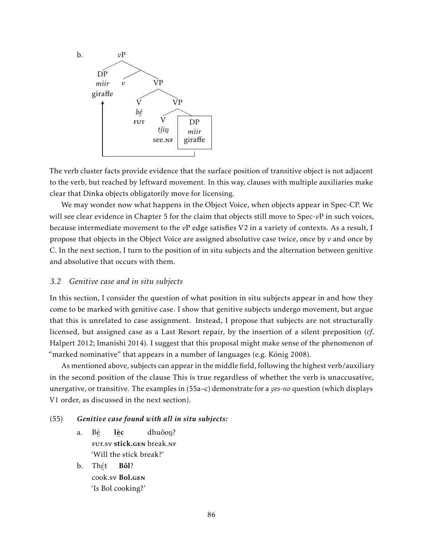

The verb cluster facts provide evidence that the surface position of transitive object is not adjacent to the verb, but reached by leftward movement. In this way, clauses with multiple auxiliaries make clear that Dinka objects obligatorily move for licensing.

We may wonder now what happens in the Object Voice, when objects appear in Spec-CP. We will see clear evidence in Chapter 5 for the claim that objects still move to Spec-*v*P in such voices, because intermediate movement to the *v*P edge satisfies V2 in a variety of contexts. As a result, I propose that objects in the Object Voice are assigned absolutive case twice, once by *v* and once by C. In the next section, I turn to the position of in situ subjects and the alternation between genitive and absolutive that occurs with them.

# *3.2 Genitive case and in situ subjects*

In this section, I consider the question of what position in situ subjects appear in and how they come to be marked with genitive case. I show that genitive subjects undergo movement, but argue that this is unrelated to case assignment. Instead, I propose that subjects are not structurally licensed, but assigned case as a Last Resort repair, by the insertion of a silent preposition (*cf*. Halpert 2012; Imanishi 2014). I suggest that this proposal might make sense of the phenomenon of "marked nominative" that appears in a number of languages (e.g. König 2008).

As mentioned above, subjects can appear in the middle field, following the highest verb/auxiliary in the second position of the clause This is true regardless of whether the verb is unaccusative, unergative, or transitive. The examples in (55a–c) demonstrate for a *yes*-*no* question (which displays V1 order, as discussed in the next section).

#### (55) *Genitive case found with all in situ subjects:*

- a. Bé FUT.SV **stick.gen** break.nf lè c dhuôon? 'Will the stick break?'
- b. Th<u>ệ</u>t ¨ cook.sv Bol.gen Bôl? 'Is Bol cooking?'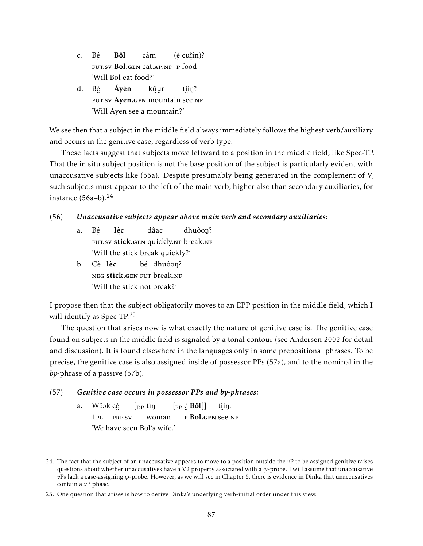- c. Bé ¨ fut.sv Bol.gen eat.ap.nf ¨ p ¨ food Bôl càm (è cuî in)? 'Will Bol eat food?'
- d. Bé er in the section of the section of the section of the section of the section of the section of the section of  $\frac{1}{n}$  of the section of the section of the section of the section of the section of the section of the sect Áyèn kǔur t<u>î</u>iŋ? 'Will Ayen see a mountain?'

We see then that a subject in the middle field always immediately follows the highest verb/auxiliary and occurs in the genitive case, regardless of verb type.

These facts suggest that subjects move leftward to a position in the middle field, like Spec-TP. That the in situ subject position is not the base position of the subject is particularly evident with unaccusative subjects like (55a). Despite presumably being generated in the complement of V, such subjects must appear to the left of the main verb, higher also than secondary auxiliaries, for instance  $(56a-b)$ .<sup>24</sup>

# (56) *Unaccusative subjects appear above main verb and secondary auxiliaries:*

- a. Bé en stick.gen quickly.nf break.nf lè c dâac dhuôon? 'Will the stick break quickly?'
- b. C<u>è</u> l<u>è</u>c neg stick.gen fut break.nf b<u>é</u> dhuôoŋ? 'Will the stick not break?'

I propose then that the subject obligatorily moves to an EPP position in the middle field, which I will identify as Spec-TP.<sup>25</sup>

The question that arises now is what exactly the nature of genitive case is. The genitive case found on subjects in the middle field is signaled by a tonal contour (see Andersen 2002 for detail and discussion). It is found elsewhere in the languages only in some prepositional phrases. To be precise, the genitive case is also assigned inside of possessor PPs (57a), and to the nominal in the *by*-phrase of a passive (57b).

# (57) *Genitive case occurs in possessor PPs and by-phrases:*

a. Wôok c<u>é</u> 1pl ¨ prf.sv  $\int_{\text{DP}}$  tin woman  $\left[ \mathrm{_{PP}\stackrel{\grave{\mathrm{e}}}{_{\mathrm{e}}}}\,\mathbf{B}\hat{\mathbf{o}}\mathbf{l}\, \right]\right]$ <sub>™</sub> ∷ "<br>p **Bol.gen** see.nf t<u>î</u>iŋ. 'We have seen Bol's wife.'

<sup>24.</sup> The fact that the subject of an unaccusative appears to move to a position outside the *v*P to be assigned genitive raises questions about whether unaccusatives have a V2 property associated with a *ϕ*-probe. I will assume that unaccusative *v*Ps lack a case-assigning *ϕ*-probe. However, as we will see in Chapter 5, there is evidence in Dinka that unaccusatives contain a *v*P phase.

<sup>25.</sup> One question that arises is how to derive Dinka's underlying verb-initial order under this view.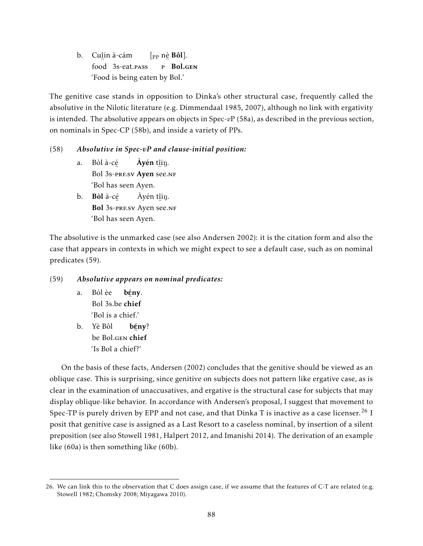b. Cuî in à-cám food 3s-eat.pass  $[$ <sub>PP</sub> nè **Bôl**]. e Bol.gen 'Food is being eaten by Bol.'

The genitive case stands in opposition to Dinka's other structural case, frequently called the absolutive in the Nilotic literature (e.g. Dimmendaal 1985, 2007), although no link with ergativity is intended. The absolutive appears on objects in Spec-*v*P (58a), as described in the previous section, on nominals in Spec-CP (58b), and inside a variety of PPs.

# (58) *Absolutive in Spec-vP and clause-initial position:*

- a. Bòl à-cé Bol 3s-prf.sv Ayen see.nf **Àyén** t<u>î</u>iŋ. 'Bol has seen Ayen.
- b. Bòl à-cé Bol 3s-prf.sv Ayen see.nf Àyén t<u>î</u>iŋ. 'Bol has seen Ayen.

The absolutive is the unmarked case (see also Andersen 2002): it is the citation form and also the case that appears in contexts in which we might expect to see a default case, such as on nominal predicates (59).

# (59) *Absolutive appears on nominal predicates:*

- a. Bòl èe Bol 3s.be ch bģny. chief 'Bol is a chief.'
- b. Yè Bôl be Bol.gen ch bgny? chief 'Is Bol a chief?'

On the basis of these facts, Andersen (2002) concludes that the genitive should be viewed as an oblique case. This is surprising, since genitive on subjects does not pattern like ergative case, as is clear in the examination of unaccusatives, and ergative is the structural case for subjects that may display oblique-like behavior. In accordance with Andersen's proposal, I suggest that movement to Spec-TP is purely driven by EPP and not case, and that Dinka T is inactive as a case licenser.<sup>26</sup> I posit that genitive case is assigned as a Last Resort to a caseless nominal, by insertion of a silent preposition (see also Stowell 1981, Halpert 2012, and Imanishi 2014). The derivation of an example like (60a) is then something like (60b).

<sup>26.</sup> We can link this to the observation that C does assign case, if we assume that the features of C-T are related (e.g. Stowell 1982; Chomsky 2008; Miyagawa 2010).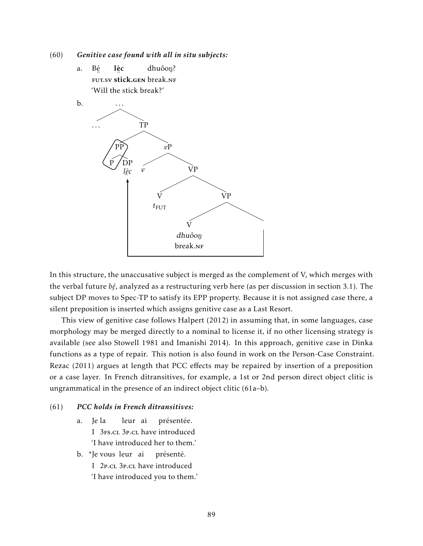(60) *Genitive case found with all in situ subjects:*

a. Bé eut.sv stick.gen break.nf lè c dhuôon? 'Will the stick break?'



In this structure, the unaccusative subject is merged as the complement of V, which merges with the verbal future *bé* , analyzed as a restructuring verb here (as per discussion in section 3.1). The subject DP moves to Spec-TP to satisfy its EPP property. Because it is not assigned case there, a silent preposition is inserted which assigns genitive case as a Last Resort.

This view of genitive case follows Halpert (2012) in assuming that, in some languages, case morphology may be merged directly to a nominal to license it, if no other licensing strategy is available (see also Stowell 1981 and Imanishi 2014). In this approach, genitive case in Dinka functions as a type of repair. This notion is also found in work on the Person-Case Constraint. Rezac (2011) argues at length that PCC effects may be repaired by insertion of a preposition or a case layer. In French ditransitives, for example, a 1st or 2nd person direct object clitic is ungrammatical in the presence of an indirect object clitic (61a–b).

### (61) *PCC holds in French ditransitives:*

- a. I 3Fs.cl 3P.cl have introduced Ie la leur ai présentée. 'I have introduced her to them.'
- b. \*Je vous leur ai présenté.
	- I 2P.CL 3P.CL have introduced
	- 'I have introduced you to them.'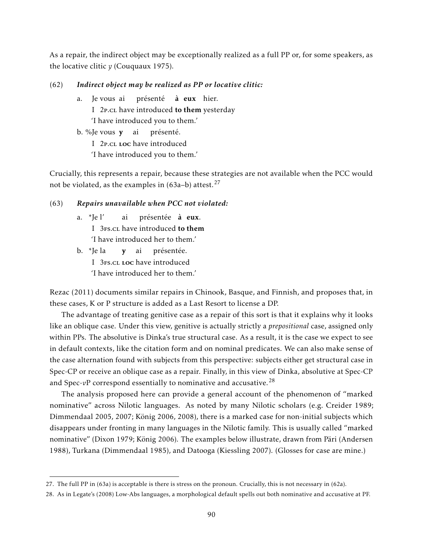As a repair, the indirect object may be exceptionally realized as a full PP or, for some speakers, as the locative clitic *y* (Couquaux 1975).

### (62) *Indirect object may be realized as PP or locative clitic:*

a. I 2P.cl have introduced to them yesterday vous ai présenté **à eux** hier. 'I have introduced you to them.' b. %Je vous y ai présenté.

I 2P.CL LOC have introduced

'I have introduced you to them.'

Crucially, this represents a repair, because these strategies are not available when the PCC would not be violated, as the examples in  $(63a-b)$  attest.<sup>27</sup>

#### (63) *Repairs unavailable when PCC not violated:*

- a. \*Je l' I 3Fs.cl have introduced to them ai présentée **à eux**. 'I have introduced her to them.'
- b. \*Je la I 3Fs.cl Loc have introduced y ai présentée. 'I have introduced her to them.'

Rezac (2011) documents similar repairs in Chinook, Basque, and Finnish, and proposes that, in these cases, K or P structure is added as a Last Resort to license a DP.

The advantage of treating genitive case as a repair of this sort is that it explains why it looks like an oblique case. Under this view, genitive is actually strictly a *prepositional* case, assigned only within PPs. The absolutive is Dinka's true structural case. As a result, it is the case we expect to see in default contexts, like the citation form and on nominal predicates. We can also make sense of the case alternation found with subjects from this perspective: subjects either get structural case in Spec-CP or receive an oblique case as a repair. Finally, in this view of Dinka, absolutive at Spec-CP and Spec-*vP* correspond essentially to nominative and accusative.<sup>28</sup>

The analysis proposed here can provide a general account of the phenomenon of "marked nominative" across Nilotic languages. As noted by many Nilotic scholars (e.g. Creider 1989; Dimmendaal 2005, 2007; König 2006, 2008), there is a marked case for non-initial subjects which disappears under fronting in many languages in the Nilotic family. This is usually called "marked nominative" (Dixon 1979; König 2006). The examples below illustrate, drawn from Päri (Andersen 1988), Turkana (Dimmendaal 1985), and Datooga (Kiessling 2007). (Glosses for case are mine.)

<sup>27.</sup> The full PP in (63a) is acceptable is there is stress on the pronoun. Crucially, this is not necessary in (62a).

<sup>28.</sup> As in Legate's (2008) Low-Abs languages, a morphological default spells out both nominative and accusative at PF.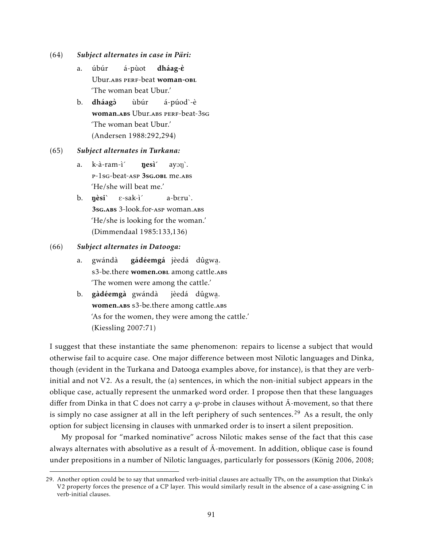- (64) *Subject alternates in case in Päri:*
	- a. úbúr Ubur. ABS PERF-beat woman-OBL á-pùot dháag-è 'The woman beat Ubur.'
	- b. dháagò woman.abs Ubur.abs PERF-beat-3sg ùbúr á-púod`-è 'The woman beat Ubur.' (Andersen 1988:292,294)

#### (65) *Subject alternates in Turkana:*

- a. k-à-ram-ì´ P-1sG-beat-ASP 3sG.OBL me.ABS nesì<sup>'</sup>  $ayon$ . 'He/she will beat me.'
- b. nèsi 3sg.abs 3-look.for-asp woman.abs E-sak-ì´ a-bEru`. 'He/she is looking for the woman.' (Dimmendaal 1985:133,136)

### (66) *Subject alternates in Datooga:*

- a. gwándà s3-be.there **women.o**bl among cattle.abs **gádéemgá** jèedá dûgwa. 'The women were among the cattle.'
- b. gàdéemgà gwándà omen.abs s3-be.there among cattle.abs jèedá dûgwa . 'As for the women, they were among the cattle.' (Kiessling 2007:71)

I suggest that these instantiate the same phenomenon: repairs to license a subject that would otherwise fail to acquire case. One major difference between most Nilotic languages and Dinka, though (evident in the Turkana and Datooga examples above, for instance), is that they are verbinitial and not V2. As a result, the (a) sentences, in which the non-initial subject appears in the oblique case, actually represent the unmarked word order. I propose then that these languages differ from Dinka in that C does not carry a  $\varphi$ -probe in clauses without  $\bar{A}$ -movement, so that there is simply no case assigner at all in the left periphery of such sentences.<sup>29</sup> As a result, the only option for subject licensing in clauses with unmarked order is to insert a silent preposition.

My proposal for "marked nominative" across Nilotic makes sense of the fact that this case always alternates with absolutive as a result of  $\bar{A}$ -movement. In addition, oblique case is found under prepositions in a number of Nilotic languages, particularly for possessors (König 2006, 2008;

<sup>29.</sup> Another option could be to say that unmarked verb-initial clauses are actually TPs, on the assumption that Dinka's V2 property forces the presence of a CP layer. This would similarly result in the absence of a case-assigning C in verb-initial clauses.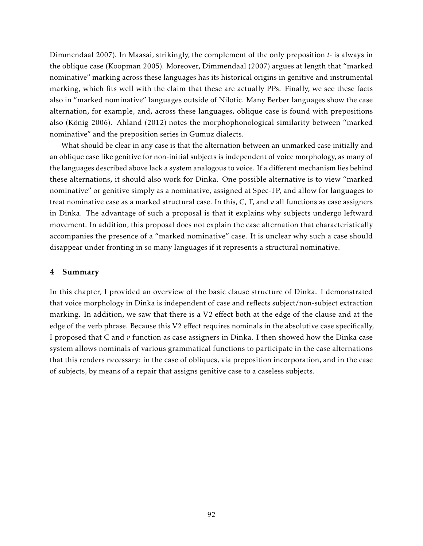Dimmendaal 2007). In Maasai, strikingly, the complement of the only preposition *t-* is always in the oblique case (Koopman 2005). Moreover, Dimmendaal (2007) argues at length that "marked nominative" marking across these languages has its historical origins in genitive and instrumental marking, which fits well with the claim that these are actually PPs. Finally, we see these facts also in "marked nominative" languages outside of Nilotic. Many Berber languages show the case alternation, for example, and, across these languages, oblique case is found with prepositions also (König 2006). Ahland (2012) notes the morphophonological similarity between "marked nominative" and the preposition series in Gumuz dialects.

What should be clear in any case is that the alternation between an unmarked case initially and an oblique case like genitive for non-initial subjects is independent of voice morphology, as many of the languages described above lack a system analogous to voice. If a different mechanism lies behind these alternations, it should also work for Dinka. One possible alternative is to view "marked nominative" or genitive simply as a nominative, assigned at Spec-TP, and allow for languages to treat nominative case as a marked structural case. In this, C, T, and *v* all functions as case assigners in Dinka. The advantage of such a proposal is that it explains why subjects undergo leftward movement. In addition, this proposal does not explain the case alternation that characteristically accompanies the presence of a "marked nominative" case. It is unclear why such a case should disappear under fronting in so many languages if it represents a structural nominative.

### 4 Summary

In this chapter, I provided an overview of the basic clause structure of Dinka. I demonstrated that voice morphology in Dinka is independent of case and reflects subject/non-subject extraction marking. In addition, we saw that there is a V2 effect both at the edge of the clause and at the edge of the verb phrase. Because this V2 effect requires nominals in the absolutive case specifically, I proposed that C and *v* function as case assigners in Dinka. I then showed how the Dinka case system allows nominals of various grammatical functions to participate in the case alternations that this renders necessary: in the case of obliques, via preposition incorporation, and in the case of subjects, by means of a repair that assigns genitive case to a caseless subjects.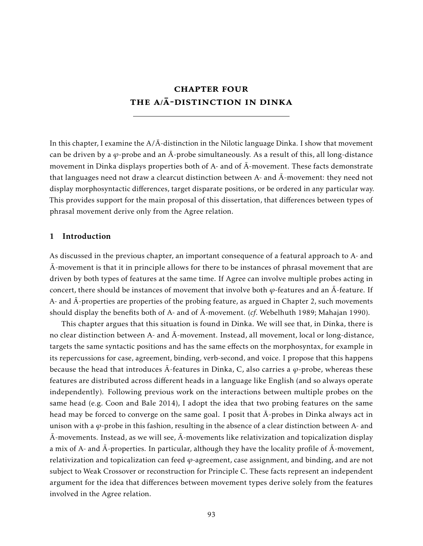# chapter four THE A/A-DISTINCTION IN DINKA

In this chapter, I examine the  $A/\bar{A}$ -distinction in the Nilotic language Dinka. I show that movement can be driven by a  $\varphi$ -probe and an  $\bar{A}$ -probe simultaneously. As a result of this, all long-distance movement in Dinka displays properties both of A- and of  $\overline{A}$ -movement. These facts demonstrate that languages need not draw a clearcut distinction between A- and  $\overline{A}$ -movement: they need not display morphosyntactic differences, target disparate positions, or be ordered in any particular way. This provides support for the main proposal of this dissertation, that differences between types of phrasal movement derive only from the Agree relation.

#### 1 Introduction

As discussed in the previous chapter, an important consequence of a featural approach to A- and  $\overline{A}$ -movement is that it in principle allows for there to be instances of phrasal movement that are driven by both types of features at the same time. If Agree can involve multiple probes acting in concert, there should be instances of movement that involve both  $\varphi$ -features and an  $\bar{A}$ -feature. If A- and  $\overline{A}$ -properties are properties of the probing feature, as argued in Chapter 2, such movements should display the benefits both of A- and of  $\overline{A}$ -movement. (*cf.* Webelhuth 1989; Mahajan 1990).

This chapter argues that this situation is found in Dinka. We will see that, in Dinka, there is no clear distinction between A- and  $\bar{A}$ -movement. Instead, all movement, local or long-distance, targets the same syntactic positions and has the same effects on the morphosyntax, for example in its repercussions for case, agreement, binding, verb-second, and voice. I propose that this happens because the head that introduces  $\overline{A}$ -features in Dinka, C, also carries a  $\varphi$ -probe, whereas these features are distributed across different heads in a language like English (and so always operate independently). Following previous work on the interactions between multiple probes on the same head (e.g. Coon and Bale 2014), I adopt the idea that two probing features on the same head may be forced to converge on the same goal. I posit that  $\bar{A}$ -probes in Dinka always act in unison with a *ϕ*-probe in this fashion, resulting in the absence of a clear distinction between A- and  $\bar{A}$ -movements. Instead, as we will see,  $\bar{A}$ -movements like relativization and topicalization display a mix of A- and  $\bar{A}$ -properties. In particular, although they have the locality profile of  $\bar{A}$ -movement, relativization and topicalization can feed *ϕ*-agreement, case assignment, and binding, and are not subject to Weak Crossover or reconstruction for Principle C. These facts represent an independent argument for the idea that differences between movement types derive solely from the features involved in the Agree relation.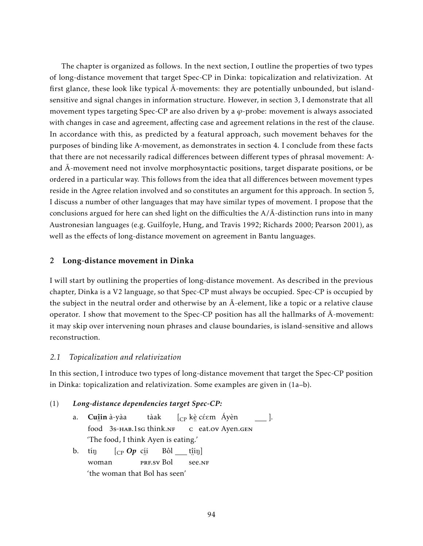The chapter is organized as follows. In the next section, I outline the properties of two types of long-distance movement that target Spec-CP in Dinka: topicalization and relativization. At first glance, these look like typical  $\bar{A}$ -movements: they are potentially unbounded, but islandsensitive and signal changes in information structure. However, in section 3, I demonstrate that all movement types targeting Spec-CP are also driven by a *ϕ*-probe: movement is always associated with changes in case and agreement, affecting case and agreement relations in the rest of the clause. In accordance with this, as predicted by a featural approach, such movement behaves for the purposes of binding like A-movement, as demonstrates in section 4. I conclude from these facts that there are not necessarily radical differences between different types of phrasal movement: Aand  $\bar{A}$ -movement need not involve morphosyntactic positions, target disparate positions, or be ordered in a particular way. This follows from the idea that all differences between movement types reside in the Agree relation involved and so constitutes an argument for this approach. In section 5, I discuss a number of other languages that may have similar types of movement. I propose that the conclusions argued for here can shed light on the difficulties the  $A/\overline{A}$ -distinction runs into in many Austronesian languages (e.g. Guilfoyle, Hung, and Travis 1992; Richards 2000; Pearson 2001), as well as the effects of long-distance movement on agreement in Bantu languages.

# 2 Long-distance movement in Dinka

I will start by outlining the properties of long-distance movement. As described in the previous chapter, Dinka is a V2 language, so that Spec-CP must always be occupied. Spec-CP is occupied by the subject in the neutral order and otherwise by an  $\bar{A}$ -element, like a topic or a relative clause operator. I show that movement to the Spec-CP position has all the hallmarks of  $\bar{A}$ -movement: it may skip over intervening noun phrases and clause boundaries, is island-sensitive and allows reconstruction.

### *2.1 Topicalization and relativization*

In this section, I introduce two types of long-distance movement that target the Spec-CP position in Dinka: topicalization and relativization. Some examples are given in (1a–b).

### (1) *Long-distance dependencies target Spec-CP:*

- a. Cu<u>î</u>in à-yàa ¨ food 3s-HAB.1sg think.NF tàak  $[\begin{smallmatrix} \mathbb{C}\mathbb{P} \end{smallmatrix}$  kè céem  $\begin{smallmatrix} \mathbb{A} \end{smallmatrix}$ yèn ¨ c eat.ov Ayen.gen ]. 'The food, I think Ayen is eating.'
- b. tín woman [CP *Op* cí i ¨<br>prf.sv Bol Bôl  $\hat{\mathrm{t}}$ iŋ] ∵. 91<br>see.nf 'the woman that Bol has seen'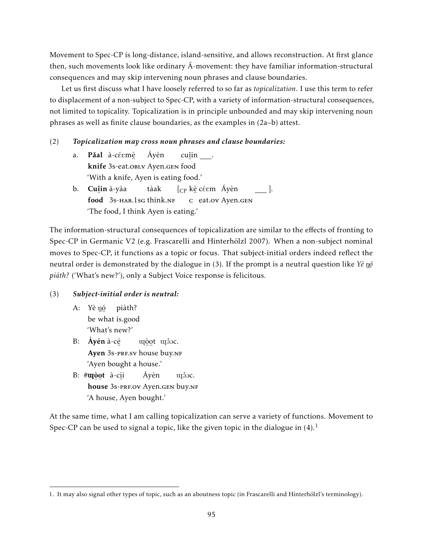Movement to Spec-CP is long-distance, island-sensitive, and allows reconstruction. At first glance then, such movements look like ordinary  $\bar{A}$ -movement: they have familiar information-structural consequences and may skip intervening noun phrases and clause boundaries.

Let us first discuss what I have loosely referred to so far as *topicalization*. I use this term to refer to displacement of a non-subject to Spec-CP, with a variety of information-structural consequences, not limited to topicality. Topicalization is in principle unbounded and may skip intervening noun phrases as well as finite clause boundaries, as the examples in (2a–b) attest.

#### (2) *Topicalization may cross noun phrases and clause boundaries:*

- a. **Păal** à-céemè knife ¨ 3s-eat.oblv Ayen.gen ¨ food Áyèn cu<u>î</u>in <u>\_</u>\_\_. 'With a knife, Ayen is eating food.'
- b. **Cu<u>î</u>in** à-yàa food 3s-HAB.1sg think.nf tàak  $[\begin{smallmatrix} \mathbb{C}\mathbb{P} \end{smallmatrix}$ kè céem Áyèn ¨ c eat.ov Ayen.gen ]. 'The food, I think Ayen is eating.'

The information-structural consequences of topicalization are similar to the effects of fronting to Spec-CP in Germanic V2 (e.g. Frascarelli and Hinterhölzl 2007). When a non-subject nominal moves to Spec-CP, it functions as a topic or focus. That subject-initial orders indeed reflect the neutral order is demonstrated by the dialogue in (3). If the prompt is a neutral question like *Yè* nó ¨ *piàth?* ('What's new?'), only a Subject Voice response is felicitous.

### (3) *Subject-initial order is neutral:*

- A: Yè nó be ¨ what is.good piàth? 'What's new?'
- B: Àyén à-cé Ayen 3s-pre.sv house buy.nf uçò utò se. 'Ayen bought a house.'
- B: #**u**ngot à-c<u>í</u>i nouse 3s-prf.ov Ayen.gen buy.nf Áyèn union. 'A house, Ayen bought.'

At the same time, what I am calling topicalization can serve a variety of functions. Movement to Spec-CP can be used to signal a topic, like the given topic in the dialogue in  $(4)$ .<sup>1</sup>

<sup>1.</sup> It may also signal other types of topic, such as an aboutness topic (in Frascarelli and Hinterhölzl's terminology).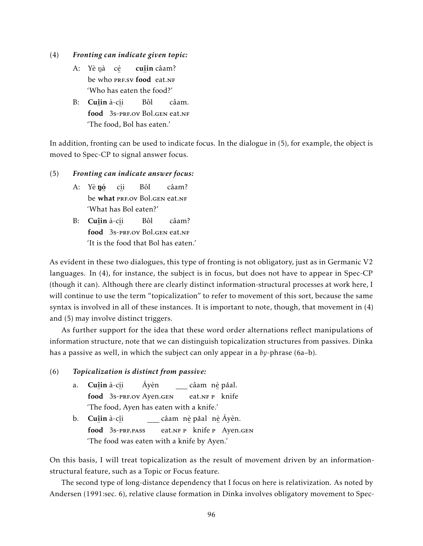- (4) *Fronting can indicate given topic:*
	- A: Yè nà cé be who PRF.SV food eat.NF cuî in câam? 'Who has eaten the food?'
	- B: **Cu**îin à-c<u>í</u>i ¨ food ¨ 3s-prf.ov Bol.gen eat.nf Bôl câam. 'The food, Bol has eaten.'

In addition, fronting can be used to indicate focus. In the dialogue in (5), for example, the object is moved to Spec-CP to signal answer focus.

- (5) *Fronting can indicate answer focus:*
	- A: Yè **ŋ**ó be what PRF.OV Bol.GEN eat.NF cí i Bôl câam? 'What has Bol eaten?'
	- B: **Cu**îin à-c<u>í</u>i ¨ food ¨ 3s-prf.ov Bol.gen eat.nf Bôl câam? 'It is the food that Bol has eaten.'

As evident in these two dialogues, this type of fronting is not obligatory, just as in Germanic V2 languages. In (4), for instance, the subject is in focus, but does not have to appear in Spec-CP (though it can). Although there are clearly distinct information-structural processes at work here, I will continue to use the term "topicalization" to refer to movement of this sort, because the same syntax is involved in all of these instances. It is important to note, though, that movement in (4) and (5) may involve distinct triggers.

As further support for the idea that these word order alternations reflect manipulations of information structure, note that we can distinguish topicalization structures from passives. Dinka has a passive as well, in which the subject can only appear in a *by*-phrase (6a–b).

### (6) *Topicalization is distinct from passive:*

- a. Cu<u>î</u>in à-c<u>í</u>i food 3s-PRF.OV Ayen.GEN Áyèn câam) n<u>è</u> pǎal. eat.NF P knife 'The food, Ayen has eaten with a knife.'
- b. **Cu<u>î</u>in** à-c<u>î</u>i ¨ food ¨ 3s-prf.pass câam nè pǎal nè Áyèn. eat.nr P knife P Ayen.gen 'The food was eaten with a knife by Ayen.'

On this basis, I will treat topicalization as the result of movement driven by an informationstructural feature, such as a Topic or Focus feature.

The second type of long-distance dependency that I focus on here is relativization. As noted by Andersen (1991:sec. 6), relative clause formation in Dinka involves obligatory movement to Spec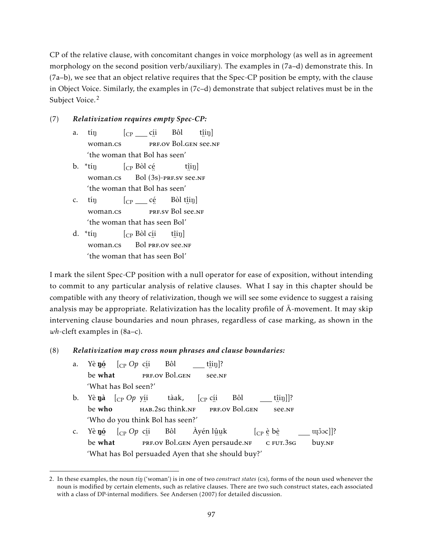CP of the relative clause, with concomitant changes in voice morphology (as well as in agreement morphology on the second position verb/auxiliary). The examples in (7a–d) demonstrate this. In (7a–b), we see that an object relative requires that the Spec-CP position be empty, with the clause in Object Voice. Similarly, the examples in (7c–d) demonstrate that subject relatives must be in the Subject Voice.<sup>2</sup>

# (7) *Relativization requires empty Spec-CP:*

- a. tín woman.cs  $[{\rm\scriptstyle CP\_} \_ {\scriptstyle \rm c}$ íi er.<br>Prf.ov Bol.gen see.nf Bôl  $\hat{\mathrm{t}}$ iŋ] 'the woman that Bol has seen'
- b.  $*$ tín woman.cs [CP Bòl cé ... ... ... ...<br>Bol (3s)-prf.sv see.nf  $\hat{\mathrm{t}}$ iŋ] 'the woman that Bol has seen'
- c. tín woman.cs  $[c_{P} \_ c\acute{e}$ er.<br>Prf.sv Bol see.nf Bòl t<u>î</u>in] 'the woman that has seen Bol'
- d.  $*$ tín woman.cs [CP Bòl cí i 。.。.。.。.。<br>Bol prf.ov see.nf  $\hat{\mathrm{t}}$ iŋ] 'the woman that has seen Bol'

I mark the silent Spec-CP position with a null operator for ease of exposition, without intending to commit to any particular analysis of relative clauses. What I say in this chapter should be compatible with any theory of relativization, though we will see some evidence to suggest a raising analysis may be appropriate. Relativization has the locality profile of  $\bar{A}$ -movement. It may skip intervening clause boundaries and noun phrases, regardless of case marking, as shown in the *wh*-cleft examples in (8a–c).

# (8) *Relativization may cross noun phrases and clause boundaries:*

- a. Yè **ŋ**ó be ء.<br>what [CP *Op* cí i ..<br>prf.ov Bol.gen Bôl t<u>î</u>iŋ]? ¨ see.nf 'What has Bol seen?' b. Yè**ŋà** [<sub>CP</sub> Op y<u>í</u>i be who ¨ hab.2sg think.nf tàak, [CP cí i ¨ prf.ov Bol.gen Bôl t<u>î</u>iŋ]]? ¨ see.nf
- 'Who do you think Bol has seen?' c. Yè **n**ó [CP *Op* cí i Bôl Àyén lûµk  $[$ CP è bè
- be ء.<br>what ™<br>PRF.OV Bol.GEN Ayen persaude.nf <sub>.. ..</sub><br>c fut.3sg buy.nf 'What has Bol persuaded Ayen that she should buy?'

 $uj\$ ocl]?

<sup>2.</sup> In these examples, the noun *tin* ('woman') is in one of two *construct states* (cs), forms of the noun used whenever the noun is modified by certain elements, such as relative clauses. There are two such construct states, each associated with a class of DP-internal modifiers. See Andersen (2007) for detailed discussion.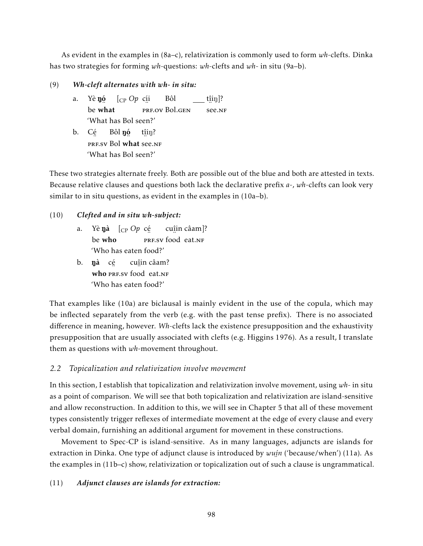As evident in the examples in (8a–c), relativization is commonly used to form *wh*-clefts. Dinka has two strategies for forming *wh*-questions: *wh*-clefts and *wh*- in situ (9a–b).

(9) *Wh-cleft alternates with wh- in situ:*

- a. Yè **ŋ**ó be ء.<br>what [CP *Op* cí i ..<br>prf.ov Bol.gen Bôl t<u>î</u>iŋ]? ¨ see.nf 'What has Bol seen?'
- b. Cé ™.<br>prf.sv Bol Bôl **ŋó what** see.NF t<u>î</u>iŋ? 'What has Bol seen?'

These two strategies alternate freely. Both are possible out of the blue and both are attested in texts. Because relative clauses and questions both lack the declarative prefix *a*-, *wh*-clefts can look very similar to in situ questions, as evident in the examples in (10a–b).

- (10) *Clefted and in situ wh-subject:*
	- a. Yè**ŋà** [<sub>CP</sub> *Op* c<u>é</u> be who …<br>PRF.SV food⊔eat.NF cuî in câam]? 'Who has eaten food?'
	- b. **ŋà** cẹ́ who PRF.SV food eat.NF cuî in câam? 'Who has eaten food?'

That examples like (10a) are biclausal is mainly evident in the use of the copula, which may be inflected separately from the verb (e.g. with the past tense prefix). There is no associated difference in meaning, however. *Wh*-clefts lack the existence presupposition and the exhaustivity presupposition that are usually associated with clefts (e.g. Higgins 1976). As a result, I translate them as questions with *wh*-movement throughout.

### *2.2 Topicalization and relativization involve movement*

In this section, I establish that topicalization and relativization involve movement, using *wh*- in situ as a point of comparison. We will see that both topicalization and relativization are island-sensitive and allow reconstruction. In addition to this, we will see in Chapter 5 that all of these movement types consistently trigger reflexes of intermediate movement at the edge of every clause and every verbal domain, furnishing an additional argument for movement in these constructions.

Movement to Spec-CP is island-sensitive. As in many languages, adjuncts are islands for extraction in Dinka. One type of adjunct clause is introduced by *wuí n* ('because/when') (11a). As ¨ the examples in (11b–c) show, relativization or topicalization out of such a clause is ungrammatical.

#### (11) *Adjunct clauses are islands for extraction:*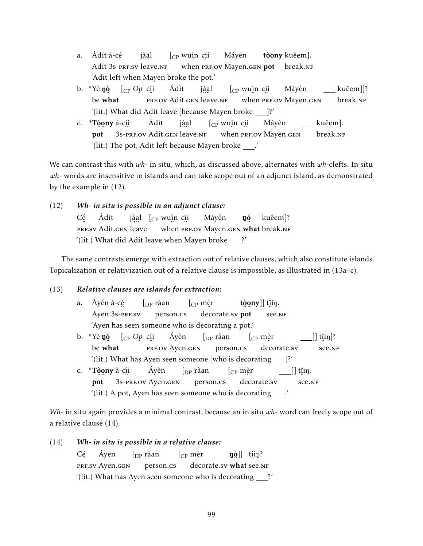- a. Àdít à-cé Adit 3s-pre.sv leave.nf jà a l  $[$ <sub>CP</sub> wu<u>í</u>n c<u>í</u>i ¨ when ¨ prf.ov Mayen.gen ¨ ¨ pot break.nf Máyèn tòony kuêem]. 'Adit left when Mayen broke the pot.'
- b. \*Yè **ŋó** be ں۔<br>what [CP *Op* cí i erf.ov Adit.gen leave.nf Ádìt jà a l [CP wuí n cí i when PRF.OV Mayen.gen Máyèn kuêem]]? break.NF '(lit.) What did Adit leave [because Mayen broke ]?'
- c. \*Tòony à-c<u>í</u>i ¨ ¨ pot 3s-prf.ov Adit.gen leave.nf Ádìt jà a l  $[$ <sub>CP</sub> wu<u>í</u>n c<u>í</u>i when PRF.OV Mayen.GEN Máyèn kuêem]. break.nf '(lit.) The pot, Adit left because Mayen broke  $\_\cdot'$

We can contrast this with *wh*- in situ, which, as discussed above, alternates with *wh*-clefts. In situ *wh*- words are insensitive to islands and can take scope out of an adjunct island, as demonstrated by the example in (12).

(12) *Wh- in situ is possible in an adjunct clause:* Cé … …<br>PRF.SV Adit.gen leave Ádìt j<u>àa</u>l [<sub>CP</sub> wu<u>í</u>n c<u>í</u>i when PRF.OV Mayen.gen **what** break.nf Máyèn ŋó kuêem]? '(lit.) What did Adit leave when Mayen broke  $\frac{?'}$ 

The same contrasts emerge with extraction out of relative clauses, which also constitute islands. Topicalization or relativization out of a relative clause is impossible, as illustrated in (13a–c).

# (13) *Relative clauses are islands for extraction:*

- a. Àyén à-cé م<br>Ayen 3s-prf.sv  $\int_{\text{DP}} r \hat{a}$ an person.cs [CP mè r ∴∵<br>decorate.sv **pot** tòony]] t<u>î</u>iŋ. ∵. '<br>see.nf 'Ayen has seen someone who is decorating a pot.'
- b. \*Yè **ŋ**ó be ں۔<br>what [CP *Op* cí i <sub>...</sub><br>Prf.ov Ayen.gen Áyèn  $\int_{\text{DP}} r \hat{a}$ an person.cs [CP mè r ¨ decorate.sv ]] t<u>î</u>iŋ]? ¨ see.nf '(lit.) What has Ayen seen someone [who is decorating ]?'
- c. \*Tòony à-c<u>í</u>i ¨ ¨ pot ¨ 3s-prf.ov Ayen.gen Áyèn  $\int_{\text{DP}}$  ràan person.cs [CP mè r ¨ decorate.sv  $]$ ] t $\hat{a}$ iŋ. ∵. '<br>see.nf  $\dot{m}$  (lit.) A pot, Ayen has seen someone who is decorating  $\rule{1em}{0.15mm}$

*Wh*- in situ again provides a minimal contrast, because an in situ *wh*- word can freely scope out of a relative clause (14).

(14) *Wh- in situ is possible in a relative clause:* Cé er:<br>Prf.sv Ayen.gen Áyèn  $\int_{\text{DP}} r \hat{a}$ an person.cs [CP mè r decorate.sv what see.NF  $\mathfrak{g}[0]$  t $\mathfrak{g}[\mathfrak{g}]$  tines '(lit.) What has Ayen seen someone who is decorating  $2'$ '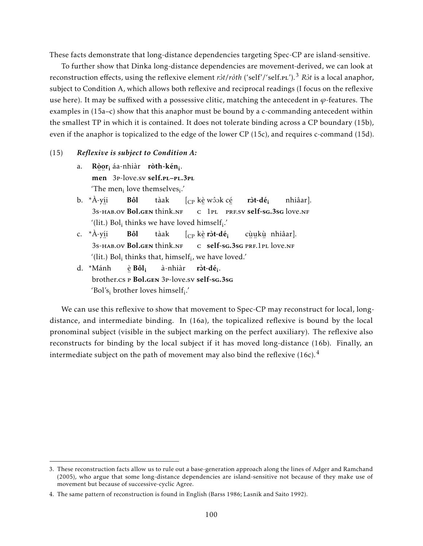These facts demonstrate that long-distance dependencies targeting Spec-CP are island-sensitive.

To further show that Dinka long-distance dependencies are movement-derived, we can look at reconstruction effects, using the reflexive element *r* $\frac{\partial t}{\partial t}$  ('self'/'self.pl').<sup>3</sup> *R* $\frac{\partial t}{\partial t}$  is a local anaphor, subject to Condition A, which allows both reflexive and reciprocal readings (I focus on the reflexive use here). It may be suffixed with a possessive clitic, matching the antecedent in *ϕ*-features. The examples in (15a–c) show that this anaphor must be bound by a c-commanding antecedent within the smallest TP in which it is contained. It does not tolerate binding across a CP boundary (15b), even if the anaphor is topicalized to the edge of the lower CP (15c), and requires c-command (15d).

#### (15) *Reflexive is subject to Condition A:*

- a. Ròor<sub>i</sub>-áa-nhiàr **ròth-kén<sub>i</sub>.** ¨ ¨ men 3p-love.sv self.pl–pl.3pl 'The men<sub>i</sub> love themselves<sub>i</sub>.'
- b. \*À-yí i 3s-hab.ov Bol.gen think.nf Bôl tàak  $[{}_{\mathrm{CP}}$  kè wôok cé C 1PL PRF.SV self-sg.3sg love.NF ròt-dé<sub>i</sub> nhiâar]. '(lit.) Bol<sub>i</sub> thinks we have loved himself<sub>i</sub>.'
- c. \*À-yí i 3s-hab.ov Bol.gen think.nf Bôl tàak  $[\begin{smallmatrix} \mathbb{C}^{\mathrm{p}} \end{smallmatrix}$ kè ròt-dé $\begin{smallmatrix} \mathbf{\mathrm{i}} \end{smallmatrix}$ c self-sg.3sg prf.1pl love.nf cù u kù nhiâar]. '(lit.) Bol<sub>i</sub> thinks that, himself<sub>i</sub>, we have loved.'
- d. \*Mánh brother.cs P Bol.gen 3p-love.sv self-sg.3sg è Bôl<sup>i</sup> à-nhiàr ròt-dé<sub>i</sub>. 'Bol's<sub>i</sub> brother loves himself<sub>i</sub>.'

We can use this reflexive to show that movement to Spec-CP may reconstruct for local, longdistance, and intermediate binding. In (16a), the topicalized reflexive is bound by the local pronominal subject (visible in the subject marking on the perfect auxiliary). The reflexive also reconstructs for binding by the local subject if it has moved long-distance (16b). Finally, an intermediate subject on the path of movement may also bind the reflexive  $(16c).<sup>4</sup>$ 

<sup>3.</sup> These reconstruction facts allow us to rule out a base-generation approach along the lines of Adger and Ramchand (2005), who argue that some long-distance dependencies are island-sensitive not because of they make use of movement but because of successive-cyclic Agree.

<sup>4.</sup> The same pattern of reconstruction is found in English (Barss 1986; Lasnik and Saito 1992).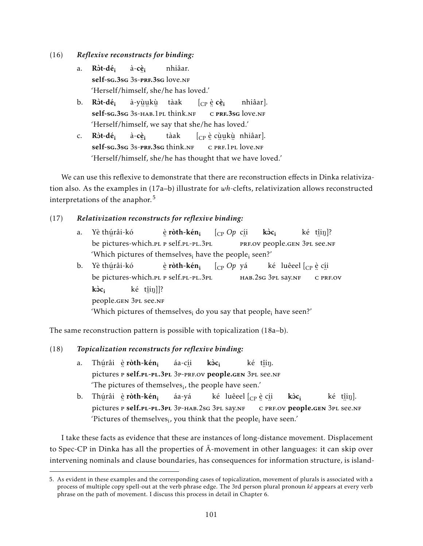(16) *Reflexive reconstructs for binding:*

- a. Ròt-dé<sub>i</sub> self-sg.3sg 3s-prf.3sg love.nf à-cè<sub>i</sub> nhiâar. 'Herself/himself, she/he has loved.'
- b. Ròt-dé<sub>i</sub> self-sg.3sg 3s-нав.1pl think.nf à-yù u kù tàak  $[$ CP è  ${\bf c}$ è $_{\bf i}$ .. ...<br>c prf.3sg love.nf nhiâar]. 'Herself/himself, we say that she/he has loved.'
- c. Rôt-dé<sub>i</sub> self-sg.3sg 3s-prf.3sg think.nf à-cè<sub>i</sub> tàak  $\left[\begin{smallmatrix} C\ P \end{smallmatrix}\right]$ è cùukù nhiâar]. ¨ c ¨ ¨ ¨ prf.1pl love.nf 'Herself/himself, she/he has thought that we have loved.'

We can use this reflexive to demonstrate that there are reconstruction effects in Dinka relativization also. As the examples in (17a–b) illustrate for *wh*-clefts, relativization allows reconstructed interpretations of the anaphor.<sup>5</sup>

# (17) *Relativization reconstructs for reflexive binding:*

- a. Yè thú râi-kó ..<br>be pictures-which.pl p self.pl-pl.3pl <u>è</u> ròth-kén<sub>i</sub> [CP *Op* cí i ¨ prf.ov people.gen 3pl ¨ see.nf  $k\grave{o}c_i$ ké t<u>î</u>iŋ]? 'Which pictures of themselves; have the people; seen?'
- b. Yè thú râi-kó be ¨ pictures-which.pl ¨ p self.pl-pl.3pl <u>è</u> ròth-kén<sub>i</sub> [CP *Op* yá hab.2sg 3pl say.nf ké) luêeel [<sub>CP</sub> è c<u>í</u>i ∴ ∙..<br>C PRF.OV kòc: people.gen 3pl see.nf ké t<u>î</u>iŋ]]? 'Which pictures of themselves; do you say that people; have seen?'

The same reconstruction pattern is possible with topicalization (18a–b).

# (18) *Topicalization reconstructs for reflexive binding:*

- a. Thúrâi èr**òth-kén<sub>i</sub>** pictures P self.pl-pl.3pl 3p-prf.ov people.gen 3pl see.nf áa-cí i  $k\grave{o}c_i$ ké t<u>î</u>iŋ. 'The pictures of themselves<sub>i</sub>, the people have seen.'
- b. Thúrâi èr**òth-kén<sub>i</sub>** pictures P **self.pl-pl.3p**l 3p-hab.2sg 3pl say.nf áa-yá ké) luêeel [<sub>CP</sub> è c<u>í</u>i <sub>™</sub> ™ ™ ™ ™ © © © PRF.OV **people.g**en 3pl see.nf  $k$ òc $:$ ké t<u>î</u>iŋ]. 'Pictures of themselves $_{\rm i}$ , you think that the people $_{\rm i}$  have seen.'

I take these facts as evidence that these are instances of long-distance movement. Displacement to Spec-CP in Dinka has all the properties of  $\bar{A}$ -movement in other languages: it can skip over intervening nominals and clause boundaries, has consequences for information structure, is island-

<sup>5.</sup> As evident in these examples and the corresponding cases of topicalization, movement of plurals is associated with a process of multiple copy spell-out at the verb phrase edge. The 3rd person plural pronoun *ké* appears at every verb phrase on the path of movement. I discuss this process in detail in Chapter 6.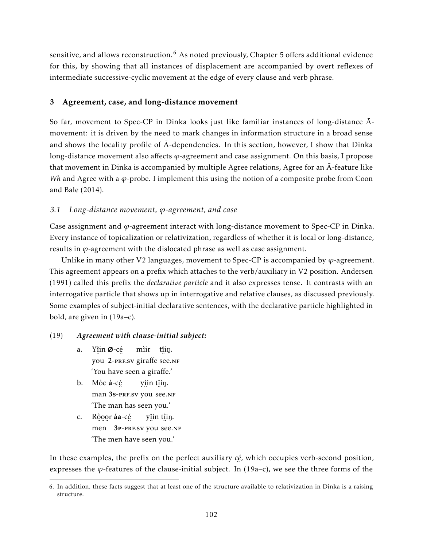sensitive, and allows reconstruction.<sup>6</sup> As noted previously, Chapter 5 offers additional evidence for this, by showing that all instances of displacement are accompanied by overt reflexes of intermediate successive-cyclic movement at the edge of every clause and verb phrase.

# 3 Agreement, case, and long-distance movement

So far, movement to Spec-CP in Dinka looks just like familiar instances of long-distance  $\bar{A}$ movement: it is driven by the need to mark changes in information structure in a broad sense and shows the locality profile of  $\bar{A}$ -dependencies. In this section, however, I show that Dinka long-distance movement also affects *ϕ*-agreement and case assignment. On this basis, I propose that movement in Dinka is accompanied by multiple Agree relations, Agree for an  $\overline{A}$ -feature like *Wh* and Agree with a *ϕ*-probe. I implement this using the notion of a composite probe from Coon and Bale (2014).

# *3.1 Long-distance movement, ϕ-agreement, and case*

Case assignment and *ϕ*-agreement interact with long-distance movement to Spec-CP in Dinka. Every instance of topicalization or relativization, regardless of whether it is local or long-distance, results in *ϕ*-agreement with the dislocated phrase as well as case assignment.

Unlike in many other V2 languages, movement to Spec-CP is accompanied by  $\varphi$ -agreement. This agreement appears on a prefix which attaches to the verb/auxiliary in V2 position. Andersen (1991) called this prefix the *declarative particle* and it also expresses tense. It contrasts with an interrogative particle that shows up in interrogative and relative clauses, as discussed previously. Some examples of subject-initial declarative sentences, with the declarative particle highlighted in bold, are given in (19a–c).

# (19) *Agreement with clause-initial subject:*

- a. Yîin Ø-cé ¨ you ¨ 2-prf.sv giraffe ¨ see.nf mìir t<u>î</u>iŋ. 'You have seen a giraffe.'
- b. Mòc à-cé man 3s-press you see.nf y<u>î</u>in t<u>î</u>iŋ. 'The man has seen you.'
- c. Ròoor áa-cé men 3 P-PRF.SV you see.NF y<u>î</u>in t<u>î</u>iŋ. 'The men have seen you.'

In these examples, the prefix on the perfect auxiliary *cé* , which occupies verb-second position, expresses the *ϕ*-features of the clause-initial subject. In (19a–c), we see the three forms of the

<sup>6.</sup> In addition, these facts suggest that at least one of the structure available to relativization in Dinka is a raising structure.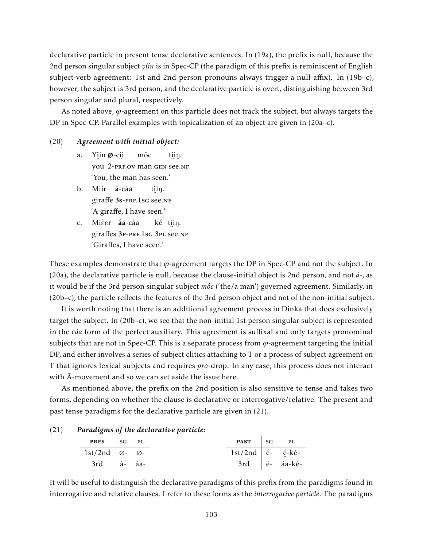declarative particle in present tense declarative sentences. In (19a), the prefix is null, because the 2nd person singular subject *yî in* is in Spec-CP (the paradigm of this prefix is reminiscent of English subject-verb agreement: 1st and 2nd person pronouns always trigger a null affix). In (19b–c), however, the subject is 3rd person, and the declarative particle is overt, distinguishing between 3rd person singular and plural, respectively.

As noted above, *ϕ*-agreement on this particle does not track the subject, but always targets the DP in Spec-CP. Parallel examples with topicalization of an object are given in (20a–c).

#### (20) *Agreement with initial object:*

- a. Yîin Ø-cíi 。.。。。。。。。。。。。。。。。。。<br>you 2-prf.ov man.gen see.nf môc t<u>î</u>iŋ. 'You, the man has seen.'
- b. Mìir à-càa er affe 3s-prf.1sg see.nf t<u>î</u>iŋ. 'A giraffe, I have seen.'
- c. Mièer **áa**-càa ericaffes 3p-prf.1sg 3pl see.nf ké t<u>î</u>iŋ. 'Giraffes, I have seen.'

These examples demonstrate that *ϕ*-agreement targets the DP in Spec-CP and not the subject. In (20a), the declarative particle is null, because the clause-initial object is 2nd person, and not *à*-, as it would be if the 3rd person singular subject *môc* ('the/a man') governed agreement. Similarly, in (20b–c), the particle reflects the features of the 3rd person object and not of the non-initial subject.

It is worth noting that there is an additional agreement process in Dinka that does exclusively target the subject. In (20b–c), we see that the non-initial 1st person singular subject is represented in the *càa* form of the perfect auxiliary. This agreement is suffixal and only targets pronominal subjects that are not in Spec-CP. This is a separate process from *ϕ*-agreement targeting the initial DP, and either involves a series of subject clitics attaching to T or a process of subject agreement on T that ignores lexical subjects and requires *pro*-drop. In any case, this process does not interact with  $\bar{A}$ -movement and so we can set aside the issue here.

As mentioned above, the prefix on the 2nd position is also sensitive to tense and takes two forms, depending on whether the clause is declarative or interrogative/relative. The present and past tense paradigms for the declarative particle are given in (21).

#### (21) *Paradigms of the declarative particle:*

| PRES   SG PL                            |  | <b>PAST</b> $\begin{array}{ c c c c c } \hline \text{S}} & \text{PL} \end{array}$             |                                              |
|-----------------------------------------|--|-----------------------------------------------------------------------------------------------|----------------------------------------------|
| 1st/2nd $\varnothing$ - $\varnothing$ - |  | $1st/2nd$ $\acute{e}$ $\acute{e}$ $\acute{e}$ $\acute{e}$ $\acute{e}$ $\acute{e}$ $\acute{e}$ |                                              |
| $3rd$ $\hat{a}$ - áa-                   |  |                                                                                               | $3rd$ $\acute{e}$ $\acute{a}$ $a-k\grave{e}$ |

It will be useful to distinguish the declarative paradigms of this prefix from the paradigms found in interrogative and relative clauses. I refer to these forms as the *interrogative particle*. The paradigms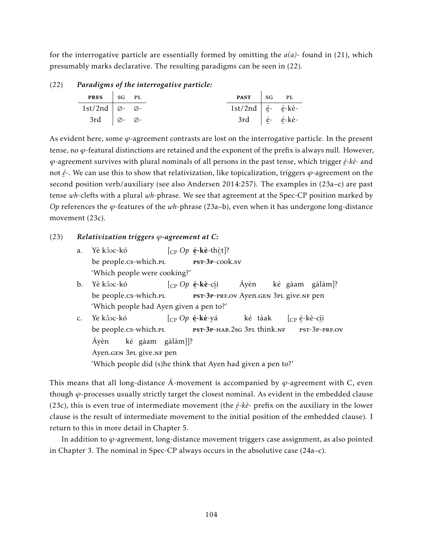for the interrogative particle are essentially formed by omitting the *a(a)*- found in (21), which presumably marks declarative. The resulting paradigms can be seen in (22).

| (22) | Paradigms of the interrogative particle: |  |  |                                                                                                   |  |
|------|------------------------------------------|--|--|---------------------------------------------------------------------------------------------------|--|
|      | PRES   SG PL                             |  |  |                                                                                                   |  |
|      | 1st/2nd $\varnothing$ - $\varnothing$ -  |  |  | $1st/2nd \mid \acute{e}$ - $\acute{e}$ -kè-                                                       |  |
|      | 3rd $\varnothing$ - $\varnothing$ -      |  |  | $3rd$ $\oint$ $\acute{e}$ $\acute{e}$ $\acute{e}$ $\acute{e}$ $\acute{e}$ $\acute{e}$ $\acute{e}$ |  |
|      |                                          |  |  |                                                                                                   |  |

As evident here, some *ϕ*-agreement contrasts are lost on the interrogative particle. In the present tense, no *ϕ*-featural distinctions are retained and the exponent of the prefix is always null. However, *ϕ*-agreement survives with plural nominals of all persons in the past tense, which trigger *é -kè*- and ¨ not *é* -. We can use this to show that relativization, like topicalization, triggers *ϕ*-agreement on the second position verb/auxiliary (see also Andersen 2014:257). The examples in (23a–c) are past tense *wh*-clefts with a plural *wh*-phrase. We see that agreement at the Spec-CP position marked by *Op* references the *ϕ*-features of the *wh*-phrase (23a–b), even when it has undergone long-distance movement (23c).

# (23) *Relativization triggers ϕ-agreement at C:*

| a.             | Yè kô xe $\lceil_{CP} Op \text{ é-}k\text{è-thèt} \rceil$ ?                |  |  |  |  |
|----------------|----------------------------------------------------------------------------|--|--|--|--|
|                | be people.cs-which.pl    pst-3p-cook.sv                                    |  |  |  |  |
|                | 'Which people were cooking?'                                               |  |  |  |  |
| b.             | Yè kôoc-kó $[_{CP} Op \, \acute{\text{e}}$ -kè-cíi Áyèn ké gàam gàlàm]?    |  |  |  |  |
|                | be people.cs-which.pl <b>pst-3p-PRF.OV</b> Ayen.gen 3PL give.NF pen        |  |  |  |  |
|                | 'Which people had Ayen given a pen to?'                                    |  |  |  |  |
| $\mathsf{C}$ . | Ye kôoc-kó $[_{CP} Op \acute{e}$ -kè-yá ké tàak $[_{CP} \acute{e}$ -kè-cíi |  |  |  |  |
|                | be people.cs-which.pl PST-3P-HAB.2sG 3PL think.NF PST-3P-PRF.OV            |  |  |  |  |
|                | Áyèn ké gàam gàlàm]]?                                                      |  |  |  |  |
|                | Ayen.GEN 3PL give.NF pen                                                   |  |  |  |  |
|                |                                                                            |  |  |  |  |

'Which people did (s)he think that Ayen had given a pen to?'

This means that all long-distance  $\overline{A}$ -movement is accompanied by  $\varphi$ -agreement with C, even though *ϕ*-processes usually strictly target the closest nominal. As evident in the embedded clause (23c), this is even true of intermediate movement (the *é -kè*- prefix on the auxiliary in the lower clause is the result of intermediate movement to the initial position of the embedded clause). I return to this in more detail in Chapter 5.

In addition to *ϕ*-agreement, long-distance movement triggers case assignment, as also pointed in Chapter 3. The nominal in Spec-CP always occurs in the absolutive case (24a–c).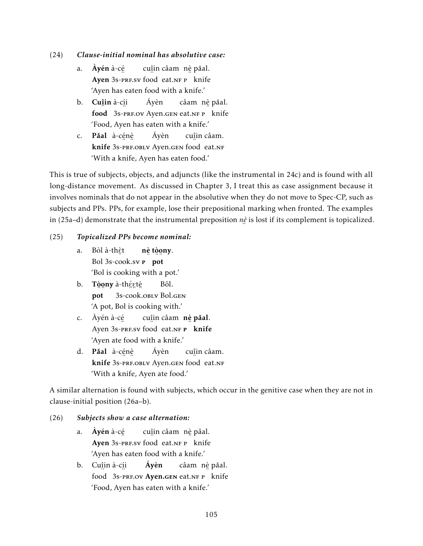# (24) *Clause-initial nominal has absolutive case:*

- a. **Áyén** à-c<u>é</u> Ayen 3s-PRF.SV food eat.NF P knife cu<u>î</u>in câamπnè pǎal. 'Ayen has eaten food with a knife.'
- b. **Cu<u>î</u>in** à-c<u>í</u>i ∵<br>**food** 3s-prF.ov Ayen.gen eat.nf p knife Áyèn câam) n<u>è</u> pǎal. 'Food, Ayen has eaten with a knife.'
- c. **Pǎal** à-cénè en is a separation of the set of the set of the set of the set of the set of the set of the set of the set of the set of the set of the set of the set of the set of the set of the set of the set of the set of the set of th Áyèn cuî in câam. 'With a knife, Ayen has eaten food.'

This is true of subjects, objects, and adjuncts (like the instrumental in 24c) and is found with all long-distance movement. As discussed in Chapter 3, I treat this as case assignment because it involves nominals that do not appear in the absolutive when they do not move to Spec-CP, such as subjects and PPs. PPs, for example, lose their prepositional marking when fronted. The examples in (25a–d) demonstrate that the instrumental preposition *nè* ¨ is lost if its complement is topicalized.

# (25) *Topicalized PPs become nominal:*

- a. Bòl à-th<u>è</u>t Bol 3s-cook.sv **P** pot nè tòọny. 'Bol is cooking with a pot.'
- b. T**òony** à-théɛ̯tè ¨ ¨ pot ¨ ¨ ¨ 3s-cook.oblv Bol.gen Bôl. 'A pot, Bol is cooking with.'
- c. Àyén à-cé Ayen 3s-PRF.SV food eat.NF P knife cuîin câam nè pǎal. 'Ayen ate food with a knife.'
- d. **Pǎal** à-cénè knife ¨ ¨ 3s-prf.oblv Ayen.gen ¨ food eat.nf Áyèn cuî in câam. 'With a knife, Ayen ate food.'

A similar alternation is found with subjects, which occur in the genitive case when they are not in clause-initial position (26a–b).

# (26) *Subjects show a case alternation:*

- a. **Ayén** à-c<u>é</u> Ayen 3s-presv food eat.nf p knife cu<u>î</u>in câam n<u>è</u> pǎal. 'Ayen has eaten food with a knife.'
- b. Cu<u>î</u>in à-c<u>í</u>i France Contains the Contains of the September of the September of the September of the September of the September of the September of the September of the September of the September of the September of the September of the Áyèn câam) n<u>è</u> pǎal. 'Food, Ayen has eaten with a knife.'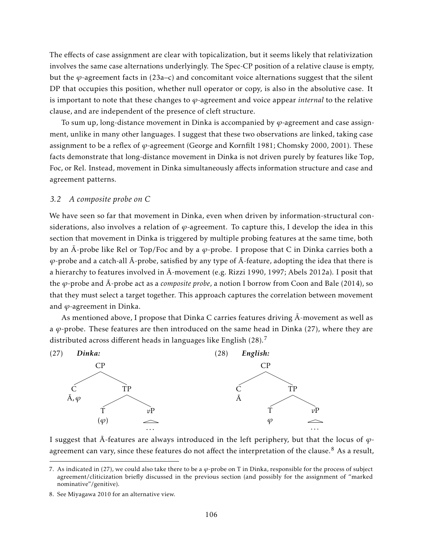The effects of case assignment are clear with topicalization, but it seems likely that relativization involves the same case alternations underlyingly. The Spec-CP position of a relative clause is empty, but the *ϕ*-agreement facts in (23a–c) and concomitant voice alternations suggest that the silent DP that occupies this position, whether null operator or copy, is also in the absolutive case. It is important to note that these changes to *ϕ*-agreement and voice appear *internal* to the relative clause, and are independent of the presence of cleft structure.

To sum up, long-distance movement in Dinka is accompanied by *ϕ*-agreement and case assignment, unlike in many other languages. I suggest that these two observations are linked, taking case assignment to be a reflex of *ϕ*-agreement (George and Kornfilt 1981; Chomsky 2000, 2001). These facts demonstrate that long-distance movement in Dinka is not driven purely by features like Top, Foc, or Rel. Instead, movement in Dinka simultaneously affects information structure and case and agreement patterns.

#### *3.2 A composite probe on C*

We have seen so far that movement in Dinka, even when driven by information-structural considerations, also involves a relation of *ϕ*-agreement. To capture this, I develop the idea in this section that movement in Dinka is triggered by multiple probing features at the same time, both by an  $\bar{A}$ -probe like Rel or Top/Foc and by a  $\varphi$ -probe. I propose that C in Dinka carries both a  $\varphi$ -probe and a catch-all  $\bar{A}$ -probe, satisfied by any type of  $\bar{A}$ -feature, adopting the idea that there is a hierarchy to features involved in  $\bar{A}$ -movement (e.g. Rizzi 1990, 1997; Abels 2012a). I posit that the  $\varphi$ -probe and  $\bar{A}$ -probe act as a *composite probe*, a notion I borrow from Coon and Bale (2014), so that they must select a target together. This approach captures the correlation between movement and *ϕ*-agreement in Dinka.

As mentioned above, I propose that Dinka C carries features driving  $\bar{A}$ -movement as well as a  $\varphi$ -probe. These features are then introduced on the same head in Dinka (27), where they are distributed across different heads in languages like English (28).<sup>7</sup>



I suggest that  $\bar{A}$ -features are always introduced in the left periphery, but that the locus of  $\varphi$ agreement can vary, since these features do not affect the interpretation of the clause.<sup>8</sup> As a result,

<sup>7.</sup> As indicated in (27), we could also take there to be a  $\varphi$ -probe on T in Dinka, responsible for the process of subject agreement/cliticization briefly discussed in the previous section (and possibly for the assignment of "marked nominative"/genitive).

<sup>8.</sup> See Miyagawa 2010 for an alternative view.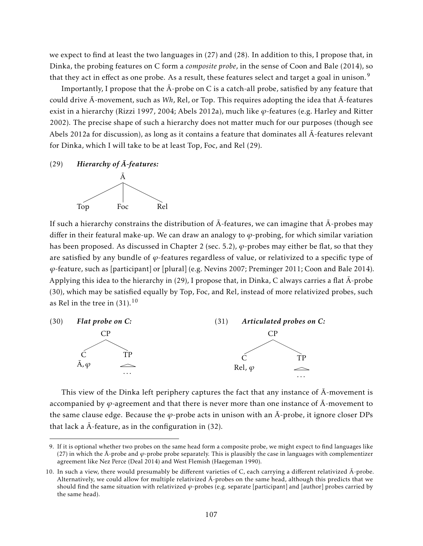we expect to find at least the two languages in (27) and (28). In addition to this, I propose that, in Dinka, the probing features on C form a *composite probe*, in the sense of Coon and Bale (2014), so that they act in effect as one probe. As a result, these features select and target a goal in unison.<sup>9</sup>

Importantly, I propose that the  $\bar{A}$ -probe on C is a catch-all probe, satisfied by any feature that could drive  $\bar{A}$ -movement, such as *Wh*, Rel, or Top. This requires adopting the idea that  $\bar{A}$ -features exist in a hierarchy (Rizzi 1997, 2004; Abels 2012a), much like *ϕ*-features (e.g. Harley and Ritter 2002). The precise shape of such a hierarchy does not matter much for our purposes (though see Abels 2012a for discussion), as long as it contains a feature that dominates all  $\bar{A}$ -features relevant for Dinka, which I will take to be at least Top, Foc, and Rel (29).

 $(29)$  *Hierarchy of*  $\overline{A}$ *-features:* 



If such a hierarchy constrains the distribution of  $\bar{A}$ -features, we can imagine that  $\bar{A}$ -probes may differ in their featural make-up. We can draw an analogy to *ϕ*-probing, for which similar variation has been proposed. As discussed in Chapter 2 (sec. 5.2), *ϕ*-probes may either be flat, so that they are satisfied by any bundle of *ϕ*-features regardless of value, or relativized to a specific type of *ϕ*-feature, such as [participant] or [plural] (e.g. Nevins 2007; Preminger 2011; Coon and Bale 2014). Applying this idea to the hierarchy in (29), I propose that, in Dinka, C always carries a flat  $\bar{A}$ -probe (30), which may be satisfied equally by Top, Foc, and Rel, instead of more relativized probes, such as Rel in the tree in  $(31).^{10}$ 



This view of the Dinka left periphery captures the fact that any instance of  $\bar{A}$ -movement is accompanied by  $\varphi$ -agreement and that there is never more than one instance of  $\bar{A}$ -movement to the same clause edge. Because the  $\varphi$ -probe acts in unison with an  $\bar{A}$ -probe, it ignore closer DPs that lack a  $\bar{A}$ -feature, as in the configuration in (32).

<sup>9.</sup> If it is optional whether two probes on the same head form a composite probe, we might expect to find languages like (27) in which the  $\bar{A}$ -probe and  $\varphi$ -probe probe separately. This is plausibly the case in languages with complementizer agreement like Nez Perce (Deal 2014) and West Flemish (Haegeman 1990).

<sup>10.</sup> In such a view, there would presumably be different varieties of C, each carrying a different relativized  $\bar{A}$ -probe. Alternatively, we could allow for multiple relativized  $\bar{A}$ -probes on the same head, although this predicts that we should find the same situation with relativized *ϕ*-probes (e.g. separate [participant] and [author] probes carried by the same head).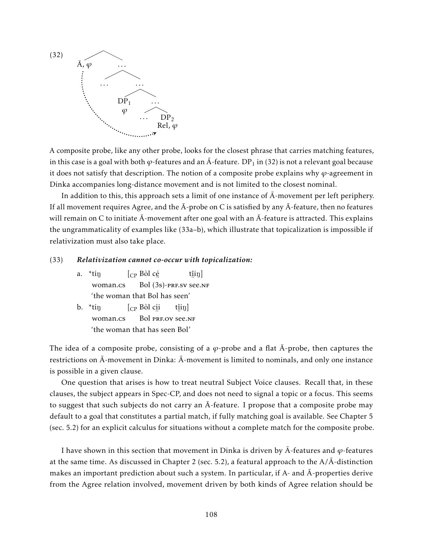

A composite probe, like any other probe, looks for the closest phrase that carries matching features, in this case is a goal with both  $\varphi$ -features and an Ā-feature.  ${\rm DP}_1$  in (32) is not a relevant goal because it does not satisfy that description. The notion of a composite probe explains why  $\varphi$ -agreement in Dinka accompanies long-distance movement and is not limited to the closest nominal.

In addition to this, this approach sets a limit of one instance of  $\bar{A}$ -movement per left periphery. If all movement requires Agree, and the  $\bar{A}$ -probe on C is satisfied by any  $\bar{A}$ -feature, then no features will remain on C to initiate  $\bar{A}$ -movement after one goal with an  $\bar{A}$ -feature is attracted. This explains the ungrammaticality of examples like (33a–b), which illustrate that topicalization is impossible if relativization must also take place.

#### (33) *Relativization cannot co-occur with topicalization:*

- a.  $*$ tín woman.cs [CP Bòl cé Bol ¨ (3s)-prf.sv ¨ see.nf  $\hat{\mathrm{t}}$ iŋ] 'the woman that Bol has seen'
- b.  $*$ tín woman.cs [CP Bòl cí i Bol PRF.OV See.NF  $\hat{\mathrm{t}}$ iŋ] 'the woman that has seen Bol'

The idea of a composite probe, consisting of a  $\varphi$ -probe and a flat  $\bar{A}$ -probe, then captures the restrictions on  $\bar{A}$ -movement in Dinka:  $\bar{A}$ -movement is limited to nominals, and only one instance is possible in a given clause.

One question that arises is how to treat neutral Subject Voice clauses. Recall that, in these clauses, the subject appears in Spec-CP, and does not need to signal a topic or a focus. This seems to suggest that such subjects do not carry an  $\bar{A}$ -feature. I propose that a composite probe may default to a goal that constitutes a partial match, if fully matching goal is available. See Chapter 5 (sec. 5.2) for an explicit calculus for situations without a complete match for the composite probe.

I have shown in this section that movement in Dinka is driven by  $\bar{A}$ -features and  $\varphi$ -features at the same time. As discussed in Chapter 2 (sec. 5.2), a featural approach to the  $A/\overline{A}$ -distinction makes an important prediction about such a system. In particular, if A- and A-properties derive ¯ from the Agree relation involved, movement driven by both kinds of Agree relation should be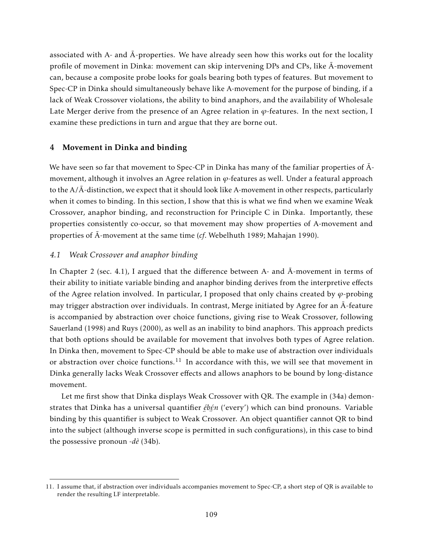associated with A- and  $\bar{A}$ -properties. We have already seen how this works out for the locality profile of movement in Dinka: movement can skip intervening DPs and CPs, like  $\bar{A}$ -movement can, because a composite probe looks for goals bearing both types of features. But movement to Spec-CP in Dinka should simultaneously behave like A-movement for the purpose of binding, if a lack of Weak Crossover violations, the ability to bind anaphors, and the availability of Wholesale Late Merger derive from the presence of an Agree relation in  $\varphi$ -features. In the next section, I examine these predictions in turn and argue that they are borne out.

## 4 Movement in Dinka and binding

We have seen so far that movement to Spec-CP in Dinka has many of the familiar properties of  $\bar{A}$ movement, although it involves an Agree relation in *ϕ*-features as well. Under a featural approach to the  $A/\overline{A}$ -distinction, we expect that it should look like A-movement in other respects, particularly when it comes to binding. In this section, I show that this is what we find when we examine Weak Crossover, anaphor binding, and reconstruction for Principle C in Dinka. Importantly, these properties consistently co-occur, so that movement may show properties of A-movement and properties of  $\bar{A}$ -movement at the same time (*cf*. Webelhuth 1989; Mahajan 1990).

# *4.1 Weak Crossover and anaphor binding*

In Chapter 2 (sec. 4.1), I argued that the difference between A- and  $\overline{A}$ -movement in terms of their ability to initiate variable binding and anaphor binding derives from the interpretive effects of the Agree relation involved. In particular, I proposed that only chains created by  $\varphi$ -probing may trigger abstraction over individuals. In contrast, Merge initiated by Agree for an  $\bar{A}$ -feature is accompanied by abstraction over choice functions, giving rise to Weak Crossover, following Sauerland (1998) and Ruys (2000), as well as an inability to bind anaphors. This approach predicts that both options should be available for movement that involves both types of Agree relation. In Dinka then, movement to Spec-CP should be able to make use of abstraction over individuals or abstraction over choice functions.<sup>11</sup> In accordance with this, we will see that movement in Dinka generally lacks Weak Crossover effects and allows anaphors to be bound by long-distance movement.

Let me first show that Dinka displays Weak Crossover with QR. The example in (34a) demonstrates that Dinka has a universal quantifier *ébén* ('every') which can bind pronouns. Variable inding by this quantifier is subject to Weak Crossover. An object quantifier cannot QR to bind into the subject (although inverse scope is permitted in such configurations), in this case to bind the possessive pronoun -*dè* (34b).

<sup>11.</sup> I assume that, if abstraction over individuals accompanies movement to Spec-CP, a short step of QR is available to render the resulting LF interpretable.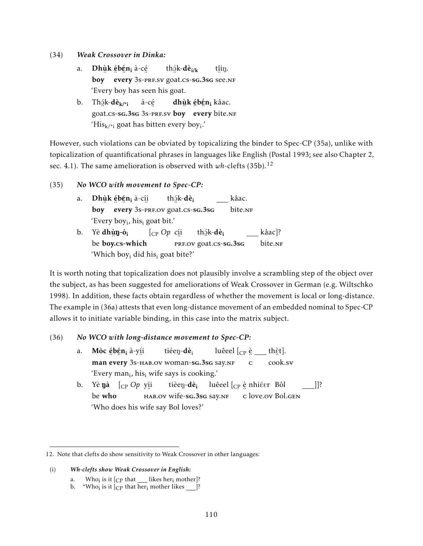- (34) *Weak Crossover in Dinka:*
	- a. <mark>Dhùk ébén<sub>i</sub> à-</mark>cé boy eve  $\frac{3}{1}$   $\frac{3}{1}$   $\frac{3}{1}$   $\frac{3}{1}$   $\frac{3}{1}$   $\frac{3}{1}$   $\frac{3}{1}$   $\frac{3}{1}$   $\frac{3}{1}$   $\frac{3}{1}$   $\frac{3}{1}$   $\frac{3}{1}$   $\frac{3}{1}$   $\frac{3}{1}$   $\frac{3}{1}$   $\frac{3}{1}$   $\frac{3}{1}$   $\frac{3}{1}$   $\frac{3}{1}$   $\frac{3}{1}$   $\frac{3}{1}$   $\frac{3}{1}$  th<u>á</u>k-**dè<sub>i/k</sub>** t<u>î</u>iŋ. 'Every boy has seen his goat.
	- b. Th<u>ó</u>k-**dè<sub>k/\*i</sub>** goat.cs-sg.3sg 3s-prf.sv boy eve à-cé **dhùk ébén<sub>i</sub> kâac.** every bite.NF 'His $_{\mathsf{k}/^* \mathsf{i}}$  goat has bitten every boy $_{\mathsf{i}}$ .'

However, such violations can be obviated by topicalizing the binder to Spec-CP (35a), unlike with topicalization of quantificational phrases in languages like English (Postal 1993; see also Chapter 2, sec. 4.1). The same amelioration is observed with *wh*-clefts (35b).<sup>12</sup>

- (35) *No WCO with movement to Spec-CP:*
	- a. **Dhùk ébén<sub>i</sub> à-**cíi boy eve every 3s-prf.ov goat.cs-sg.3sg th<u>á</u>k-**dè<sub>i</sub>** kâac. bite.NF 'Every boy<sup>i</sup> , his<sup>i</sup> goat bit.'
	- b. Yè **dhùŋ-ó<sub>i</sub>** be ¨ boy.cs-which [CP *Op* cí i ∵<br>PRF.OV goat.cs-sG.3sG th<u>á</u>k-**dè<sub>i</sub>** kâac]? bite.NF 'Which boy<sup>i</sup> did his<sup>i</sup> goat bite?'

It is worth noting that topicalization does not plausibly involve a scrambling step of the object over the subject, as has been suggested for ameliorations of Weak Crossover in German (e.g. Wiltschko 1998). In addition, these facts obtain regardless of whether the movement is local or long-distance. The example in (36a) attests that even long-distance movement of an embedded nominal to Spec-CP allows it to initiate variable binding, in this case into the matrix subject.

# (36) *No WCO with long-distance movement to Spec-CP:*

- a. Mòc <u>é</u>bén<sub>i</sub> à-y<u>í</u>i ™an eve every ¨ 3s-hab.ov woman-sg.3sg say.nf tiéen-dè<sub>i</sub> luêeel  $[_{\mathrm{CP}}$  <u>è</u> \_\_ thèt]. ¨ c ¨ cook.sv 'Every man<sub>i</sub>, his<sub>i</sub> wife says is cooking.'
- b. Yè**ŋà** [<sub>CP</sub> *Op* y<u>í</u>i be who ¨ hab.ov wife-sg.3sg say.nf tièen-dè<sub>i</sub> luêeel [<sub>CP</sub> è nhiéer) Bôl ¨ c love.ov Bol.gen ]]? 'Who does his wife say Bol loves?'

b.  $\sqrt[k+1]{\text{K}}$  \*Who<sub>i</sub> is it [<sub>CP</sub> that her<sub>i</sub> mother likes \_\_\_\_]?

<sup>12.</sup> Note that clefts do show sensitivity to Weak Crossover in other languages:

<sup>(</sup>i) *Wh-clefts show Weak Crossover in English:*

a. Who<sub>i</sub> is it  $[CP$  that <u>I</u>likes her<sub>i</sub> mother]?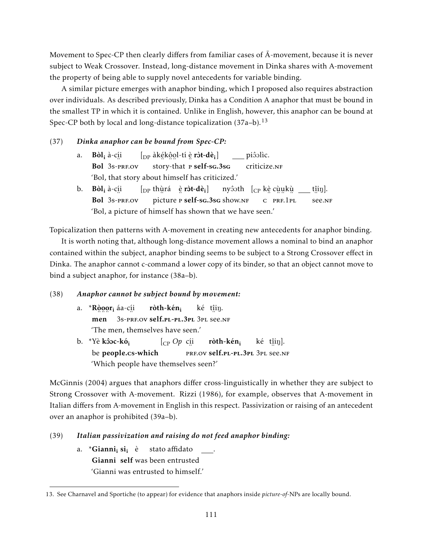Movement to Spec-CP then clearly differs from familiar cases of  $\bar{A}$ -movement, because it is never subject to Weak Crossover. Instead, long-distance movement in Dinka shares with A-movement the property of being able to supply novel antecedents for variable binding.

A similar picture emerges with anaphor binding, which I proposed also requires abstraction over individuals. As described previously, Dinka has a Condition A anaphor that must be bound in the smallest TP in which it is contained. Unlike in English, however, this anaphor can be bound at Spec-CP both by local and long-distance topicalization  $(37a-b)$ .<sup>13</sup>

## (37) *Dinka anaphor can be bound from Spec-CP:*

|    | a. <b>Bòl</b> <sub>i</sub> à-c <u>í</u> i [ <sub>DP</sub> àkékôol-tí è <b>ròt-dè</b> <sub>i</sub> ] [ piôolìc.                         |
|----|----------------------------------------------------------------------------------------------------------------------------------------|
|    | Bol 3s-PRF.OV story-that P self-sg.3sg criticize.NF                                                                                    |
|    | 'Bol, that story about himself has criticized.'                                                                                        |
| b. | <b>Bòl</b> <sub>i</sub> à-c <u>i</u> i [ <sub>DP</sub> thùrá è r <b>òt-dè</b> <sub>i</sub> ] nyôoth [ <sub>CP</sub> kè cùukù __ tîin]. |
|    | Bol 3s-PRF.OV picture P self-sG.3sG show.NF C PRF.1PL<br>see.NF                                                                        |
|    | 'Bol, a picture of himself has shown that we have seen.'                                                                               |

Topicalization then patterns with A-movement in creating new antecedents for anaphor binding.

It is worth noting that, although long-distance movement allows a nominal to bind an anaphor contained within the subject, anaphor binding seems to be subject to a Strong Crossover effect in Dinka. The anaphor cannot c-command a lower copy of its binder, so that an object cannot move to bind a subject anaphor, for instance (38a–b).

#### (38) *Anaphor cannot be subject bound by movement:*

- a. \***Ròoor**i áa-c<u>í</u>i men 3s-prf.ov self.pl-pl.3pl 3pl see.nf ròth-kén<sub>i</sub> ké t<u>î</u>iŋ. 'The men, themselves have seen.'
- b. \*Yè <mark>kôoc-kó<sub>i</sub></mark> be people.cs-which [CP *Op* cí i erf.ov **self.pl-pl.3pl** 3pl see.nf ròth-kén<sub>i</sub> ké t<u>î</u>iŋ]. 'Which people have themselves seen?'

McGinnis (2004) argues that anaphors differ cross-linguistically in whether they are subject to Strong Crossover with A-movement. Rizzi (1986), for example, observes that A-movement in Italian differs from A-movement in English in this respect. Passivization or raising of an antecedent over an anaphor is prohibited (39a–b).

# (39) *Italian passivization and raising do not feed anaphor binding:*

a. \*Gianni<sub>i</sub> si<sub>i</sub> è Gianni self was been entrusted stato affidato . 'Gianni was entrusted to himself.'

<sup>13.</sup> See Charnavel and Sportiche (to appear) for evidence that anaphors inside *picture-of*-NPs are locally bound.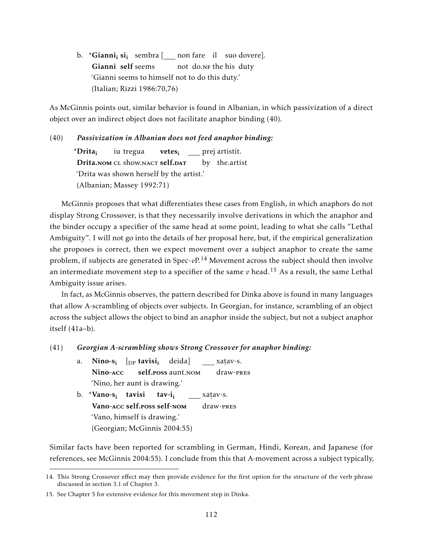b. \***Gianni<sub>i</sub> si**<sub>i</sub> sembra [<u>\_\_\_</u> non fare il suo dovere]. Gianni self seems not do.n<sub>F</sub> the his duty 'Gianni seems to himself not to do this duty.' (Italian; Rizzi 1986:70,76)

As McGinnis points out, similar behavior is found in Albanian, in which passivization of a direct object over an indirect object does not facilitate anaphor binding (40).

(40) *Passivization in Albanian does not feed anaphor binding:*

\*Drita<sup>i</sup> Drita.NOM CL show.NACT self.DAT iu tregua **vetes<sub>i</sub>** \_\_\_ prej artistit. by the.artist 'Drita was shown herself by the artist.' (Albanian; Massey 1992:71)

McGinnis proposes that what differentiates these cases from English, in which anaphors do not display Strong Crossover, is that they necessarily involve derivations in which the anaphor and the binder occupy a specifier of the same head at some point, leading to what she calls "Lethal Ambiguity". I will not go into the details of her proposal here, but, if the empirical generalization she proposes is correct, then we expect movement over a subject anaphor to create the same problem, if subjects are generated in Spec-*v*P.<sup>14</sup> Movement across the subject should then involve an intermediate movement step to a specifier of the same  $v$  head.<sup>15</sup> As a result, the same Lethal Ambiguity issue arises.

In fact, as McGinnis observes, the pattern described for Dinka above is found in many languages that allow A-scrambling of objects over subjects. In Georgian, for instance, scrambling of an object across the subject allows the object to bind an anaphor inside the subject, but not a subject anaphor itself (41a–b).

## (41) *Georgian A-scrambling shows Strong Crossover for anaphor binding:*

| a. Nino-s; [ <sub>DP</sub> tavisi <sub>i</sub> deida] ___xaṭav-s. |  |                                       |  |  |  |
|-------------------------------------------------------------------|--|---------------------------------------|--|--|--|
|                                                                   |  | Nino-ACC self.poss aunt.nom draw-pres |  |  |  |
| 'Nino, her aunt is drawing.'                                      |  |                                       |  |  |  |

b. \*Vano-s<sub>i</sub> tavisi Vano-acc self.poss self-nom  $tav-i<sub>i</sub>$ xat av-s. ˙ draw-pres 'Vano, himself is drawing.' (Georgian; McGinnis 2004:55)

Similar facts have been reported for scrambling in German, Hindi, Korean, and Japanese (for references, see McGinnis 2004:55). I conclude from this that A-movement across a subject typically,

<sup>14.</sup> This Strong Crossover effect may then provide evidence for the first option for the structure of the verb phrase discussed in section 3.1 of Chapter 3.

<sup>15.</sup> See Chapter 5 for extensive evidence for this movement step in Dinka.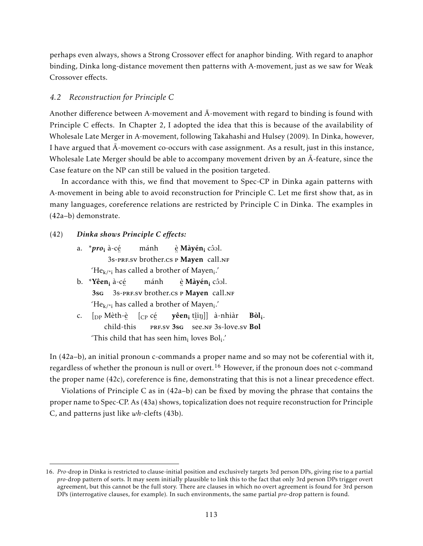perhaps even always, shows a Strong Crossover effect for anaphor binding. With regard to anaphor binding, Dinka long-distance movement then patterns with A-movement, just as we saw for Weak Crossover effects.

## *4.2 Reconstruction for Principle C*

Another difference between A-movement and  $\bar{A}$ -movement with regard to binding is found with Principle C effects. In Chapter 2, I adopted the idea that this is because of the availability of Wholesale Late Merger in A-movement, following Takahashi and Hulsey (2009). In Dinka, however, I have argued that  $\bar{A}$ -movement co-occurs with case assignment. As a result, just in this instance, Wholesale Late Merger should be able to accompany movement driven by an  $\bar{A}$ -feature, since the Case feature on the NP can still be valued in the position targeted.

In accordance with this, we find that movement to Spec-CP in Dinka again patterns with A-movement in being able to avoid reconstruction for Principle C. Let me first show that, as in many languages, coreference relations are restricted by Principle C in Dinka. The examples in (42a–b) demonstrate.

- (42) *Dinka shows Principle C effects:*
	- a. \**pro*<sup>i</sup> à-cé 3s-pre.sv brother.cs P Mayen call.NF mánh <u>è</u> **Màyén<sub>i</sub> c**ôol. 'He $_{k/\text{*i}}$  has called a brother of Mayen $_{\text{i}}$ .'
	- b. \***Yêen<sub>i</sub> à-**cé 3sg 3s-pre.sv brother.cs p Mayen call.nf mánh <u>è</u> **Màyén<sub>i</sub> c**ôol. 'He $_{\rm k/ *i}$  has called a brother of Mayen $_{\rm i}.'$
	- c. [<sub>DP</sub> Mèth-è಼ [<sub>CP</sub> cé̯ ¨ child-this PRF.SV 3sG see.NF 3s-love.sv Bol **yêen<sub>i</sub> t**îiŋ]] à-nhiàr Bòl<sub>i</sub>. This child that has seen him $_{\rm i}$  loves Bol $_{\rm i}$ .'

In (42a–b), an initial pronoun c-commands a proper name and so may not be coferential with it, regardless of whether the pronoun is null or overt.<sup>16</sup> However, if the pronoun does not c-command the proper name (42c), coreference is fine, demonstrating that this is not a linear precedence effect.

Violations of Principle C as in (42a–b) can be fixed by moving the phrase that contains the proper name to Spec-CP. As (43a) shows, topicalization does not require reconstruction for Principle C, and patterns just like *wh*-clefts (43b).

<sup>16.</sup> *Pro*-drop in Dinka is restricted to clause-initial position and exclusively targets 3rd person DPs, giving rise to a partial *pro*-drop pattern of sorts. It may seem initially plausible to link this to the fact that only 3rd person DPs trigger overt agreement, but this cannot be the full story. There are clauses in which no overt agreement is found for 3rd person DPs (interrogative clauses, for example). In such environments, the same partial *pro*-drop pattern is found.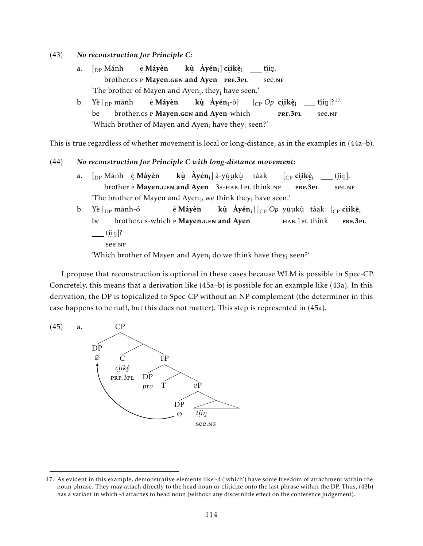- (43) *No reconstruction for Principle C:*
	- a.  $\int_{DP} M \hat{a}nh$ brother.cs P Mayen.gen and Ayen PRF.3PL è Máyèn kù Áyén<sub>i</sub>] c<u>ì</u>ikè<sub>i</sub> t<u>î</u>iŋ. ∵. '<br>see.nf 'The brother of Mayen and Ayen $_i$ , they $_i$  have seen.'
	- b. Yè [<sub>DP</sub> mánh be brother.cs P Mayen.gen and Ayen-which è Máyèn kù Áyén<sub>i</sub>-ó] [<sub>CP</sub> *Op* c<u>ì</u>ikè<sub>i</sub> ¨ ¨ prf.3pl  $\tilde{\text{t}}$ in]? $^{17}$ ¨ see.nf 'Which brother of Mayen and Ayen; have they; seen?'

This is true regardless of whether movement is local or long-distance, as in the examples in (44a–b).

(44) *No reconstruction for Principle C with long-distance movement:*

- a. [<sub>DP</sub> Mánh è̯ **Máyèn** brother P Mayen.gen and Ayen 3s-HAB.1PL think.nf **kù Áyén<sub>i</sub>]à-yùukù tàak**  $[_{\rm CP}$  cìikè $_{\rm i}$ −.∵−..⊥<br>prf.3pl t<u>î</u>iŋ]. ∵. 91°<br>see.nf 'The brother of Mayen and Ayen $_i$ , we think they $_i$  have seen.'
- b. Yè [<sub>DP</sub> mánh-ó be ن سے شدہ اللہ اللہ عليہ اللہ اللہ اللہ اللہ اللہ اللہ عليہ اللہ عليہ اللہ عليہ اللہ عليہ اللہ عليہ اللہ عليہ ا<br>مسلم اللہ عليہ اللہ عليہ اللہ عليہ اللہ عليہ اللہ عليہ اللہ عليہ اللہ عليہ اللہ عليہ اللہ عليہ اللہ عليہ اللہ è Máyèn **kù Áyén;**][<sub>CP</sub> Op yùukù tàak [<sub>CP</sub> cìikè; ´.... ..<br>нав.1p<mark>l think</mark> ¨ ¨ prf.3pl t<u>î</u>iŋ]? ∵. 91°<br>see.nf

'Which brother of Mayen and Ayen<sub>i</sub> do we think have they<sub>i</sub> seen?'

I propose that reconstruction is optional in these cases because WLM is possible in Spec-CP. Concretely, this means that a derivation like (45a–b) is possible for an example like (43a). In this derivation, the DP is topicalized to Spec-CP without an NP complement (the determiner in this case happens to be null, but this does not matter). This step is represented in (45a).



<sup>17.</sup> As evident in this example, demonstrative elements like -*ó* ('which') have some freedom of attachment within the noun phrase. They may attach directly to the head noun or cliticize onto the last phrase within the DP. Thus, (43b) has a variant in which -*ó* attaches to head noun (without any discernible effect on the conference judgement).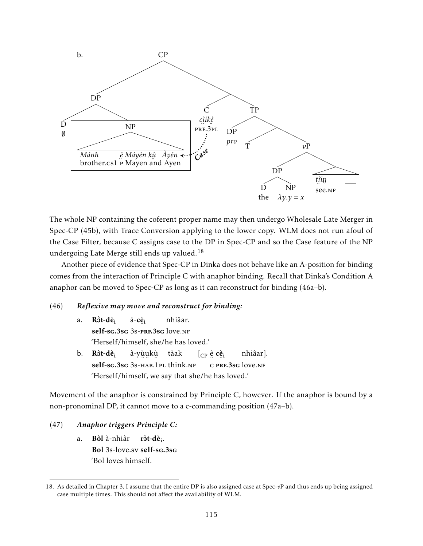

The whole NP containing the coferent proper name may then undergo Wholesale Late Merger in Spec-CP (45b), with Trace Conversion applying to the lower copy. WLM does not run afoul of the Case Filter, because C assigns case to the DP in Spec-CP and so the Case feature of the NP undergoing Late Merge still ends up valued.<sup>18</sup>

Another piece of evidence that Spec-CP in Dinka does not behave like an  $\bar{A}$ -position for binding comes from the interaction of Principle C with anaphor binding. Recall that Dinka's Condition A anaphor can be moved to Spec-CP as long as it can reconstruct for binding (46a–b).

## (46) *Reflexive may move and reconstruct for binding:*

|  | a. Ròt-dè <sub>i</sub> à-cè <sub>i</sub> nhiâar. |                                                               |  |
|--|--------------------------------------------------|---------------------------------------------------------------|--|
|  | self-sg.3sg 3s-prf.3sg love.NF                   |                                                               |  |
|  | 'Herself/himself, she/he has loved.'             |                                                               |  |
|  |                                                  | b. <b>Ròt-dè</b> ; à-yùukù tàak [ <sub>CP</sub> ècè; nhiâar]. |  |
|  |                                                  | self-sg.3sg 3s-HAB.1PL think.NF C PRF.3sg love.NF             |  |
|  |                                                  | 'Herself/himself, we say that she/he has loved.'              |  |

Movement of the anaphor is constrained by Principle C, however. If the anaphor is bound by a non-pronominal DP, it cannot move to a c-commanding position (47a–b).

# (47) *Anaphor triggers Principle C:*

a. Bòl à-nhiàr Bol 3s-love.sv self-sg.3sg ròt-dè<sub>i</sub>. 'Bol loves himself.

<sup>18.</sup> As detailed in Chapter 3, I assume that the entire DP is also assigned case at Spec-*v*P and thus ends up being assigned case multiple times. This should not affect the availability of WLM.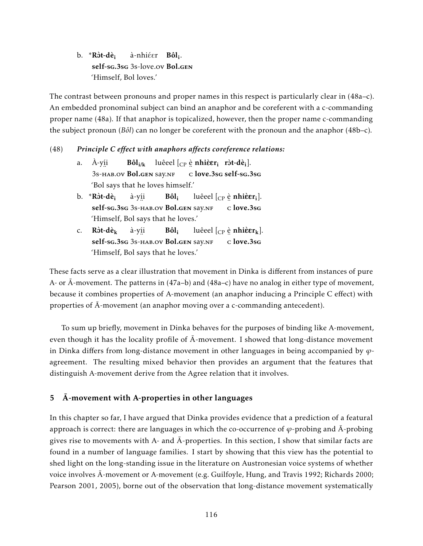b. \*Rôt-dè<sub>i</sub> self-sg.3sg 3s-love.ov Bol.gen à-nhiéer **Bôl<sub>i</sub>.** 'Himself, Bol loves.'

The contrast between pronouns and proper names in this respect is particularly clear in (48a–c). An embedded pronominal subject can bind an anaphor and be coreferent with a c-commanding proper name (48a). If that anaphor is topicalized, however, then the proper name c-commanding the subject pronoun (*Bôl*) can no longer be coreferent with the pronoun and the anaphor (48b–c).

# (48) *Principle C effect with anaphors affects coreference relations:*

- a. À-yí i 3s-hab.ov Bol.gen say.nf  $B\hat{\textbf{ol}}_{\textbf{i}/\textbf{k}}$  luêeel  $\left[\begin{smallmatrix}C\text{P}\end{smallmatrix}\right.$   $\hat{\textbf{e}}$  nhi $\hat{\textbf{e}}\textbf{r}_{\textbf{i}}$  ròt-dè $_{\textbf{i}}$ ]. ¨ c love.3sg self-sg.3sg 'Bol says that he loves himself.'
- b.  $*R\hat{\sigma}t-\hat{d}\hat{e}_i$ self-sg.3sg 3s-hab.ov Bol.gen say.nf à-yí i  $Bôl_i$ luêeel [<sub>CP</sub> è **nhiè** $\epsilon$ **r**<sub>i</sub>]. ..<br>c <mark>love.3s</mark>G 'Himself, Bol says that he loves.'
- c.  $R\delta t$ -dè<sub>k</sub> self-sg.3sg 3s-hab.ov Bol.gen say.nf à-yí i Bôl<sup>i</sup> luêeel [ $_{\mathrm{CP}}$  è nhi**è** $\boldsymbol{\varepsilon}$ **r**k]. ¨ c love.3sg 'Himself, Bol says that he loves.'

These facts serve as a clear illustration that movement in Dinka is different from instances of pure A- or  $\bar{A}$ -movement. The patterns in (47a–b) and (48a–c) have no analog in either type of movement, because it combines properties of A-movement (an anaphor inducing a Principle C effect) with properties of  $\bar{A}$ -movement (an anaphor moving over a c-commanding antecedent).

To sum up briefly, movement in Dinka behaves for the purposes of binding like A-movement, even though it has the locality profile of  $\bar{A}$ -movement. I showed that long-distance movement in Dinka differs from long-distance movement in other languages in being accompanied by *ϕ*agreement. The resulting mixed behavior then provides an argument that the features that distinguish A-movement derive from the Agree relation that it involves.

# $\bar{A}$ -movement with A-properties in other languages

In this chapter so far, I have argued that Dinka provides evidence that a prediction of a featural approach is correct: there are languages in which the co-occurrence of  $\varphi$ -probing and  $\bar{A}$ -probing gives rise to movements with A- and  $\bar{A}$ -properties. In this section, I show that similar facts are found in a number of language families. I start by showing that this view has the potential to shed light on the long-standing issue in the literature on Austronesian voice systems of whether voice involves  $\bar{A}$ -movement or A-movement (e.g. Guilfoyle, Hung, and Travis 1992; Richards 2000; Pearson 2001, 2005), borne out of the observation that long-distance movement systematically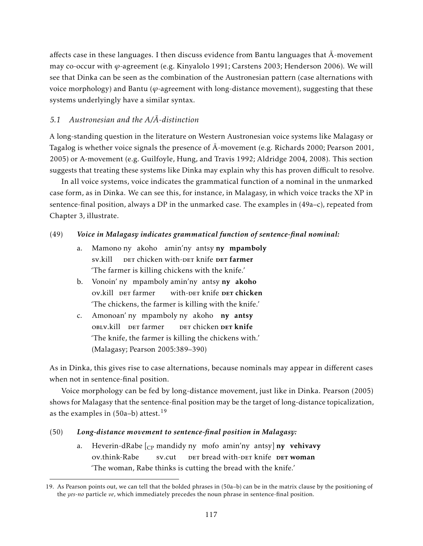affects case in these languages. I then discuss evidence from Bantu languages that  $\bar{A}$ -movement may co-occur with *ϕ*-agreement (e.g. Kinyalolo 1991; Carstens 2003; Henderson 2006). We will see that Dinka can be seen as the combination of the Austronesian pattern (case alternations with voice morphology) and Bantu ( $\varphi$ -agreement with long-distance movement), suggesting that these systems underlyingly have a similar syntax.

# *5.1 Austronesian and the A/A-distinction ¯*

A long-standing question in the literature on Western Austronesian voice systems like Malagasy or Tagalog is whether voice signals the presence of  $\bar{A}$ -movement (e.g. Richards 2000; Pearson 2001, 2005) or A-movement (e.g. Guilfoyle, Hung, and Travis 1992; Aldridge 2004, 2008). This section suggests that treating these systems like Dinka may explain why this has proven difficult to resolve.

In all voice systems, voice indicates the grammatical function of a nominal in the unmarked case form, as in Dinka. We can see this, for instance, in Malagasy, in which voice tracks the XP in sentence-final position, always a DP in the unmarked case. The examples in (49a–c), repeated from Chapter 3, illustrate.

# (49) *Voice in Malagasy indicates grammatical function of sentence-final nominal:*

- a. Mamono ny akoho amin'ny antsy **ny mpamboly** sv.kill DET chicken with-DET knife DET farmer 'The farmer is killing chickens with the knife.'
- b. Vonoin' ny mpamboly amin'ny antsy ny akoho ov.kill DET farmer with-der knife **der chicken** 'The chickens, the farmer is killing with the knife.'
- c. Amonoan' ny mpamboly ny akoho ny antsy OBLV.kill DET farmer der chicken <mark>der knife</mark> 'The knife, the farmer is killing the chickens with.' (Malagasy; Pearson 2005:389–390)

As in Dinka, this gives rise to case alternations, because nominals may appear in different cases when not in sentence-final position.

Voice morphology can be fed by long-distance movement, just like in Dinka. Pearson (2005) shows for Malagasy that the sentence-final position may be the target of long-distance topicalization, as the examples in  $(50a-b)$  attest.<sup>19</sup>

# (50) *Long-distance movement to sentence-final position in Malagasy:*

a. Heverin-dRabe [<sub>CP</sub> mandidy ny mofo amin'ny antsy] **ny vehivavy** ov.think-Rabe sv.cut DET bread with-DET knife DET woman 'The woman, Rabe thinks is cutting the bread with the knife.'

<sup>19.</sup> As Pearson points out, we can tell that the bolded phrases in (50a–b) can be in the matrix clause by the positioning of the *yes-no* particle *ve*, which immediately precedes the noun phrase in sentence-final position.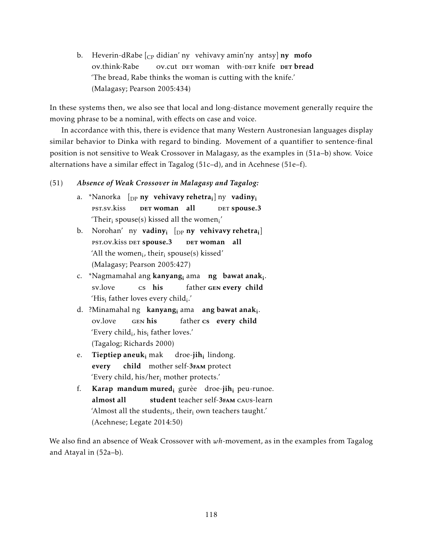b. Heverin-dRabe [<sub>CP</sub> didian' ny) vehivavy amin'ny antsy] **ny mofo** ov.think-Rabe ov.cut DET woman with-DET knife DET bread 'The bread, Rabe thinks the woman is cutting with the knife.' (Malagasy; Pearson 2005:434)

In these systems then, we also see that local and long-distance movement generally require the moving phrase to be a nominal, with effects on case and voice.

In accordance with this, there is evidence that many Western Austronesian languages display similar behavior to Dinka with regard to binding. Movement of a quantifier to sentence-final position is not sensitive to Weak Crossover in Malagasy, as the examples in (51a–b) show. Voice alternations have a similar effect in Tagalog (51c–d), and in Acehnese (51e–f).

# (51) *Absence of Weak Crossover in Malagasy and Tagalog:*

- a. \*Nanorka [DP ny vehivavy rehetra<sup>i</sup> ] ny vadiny<sup>i</sup> pst.sv.kiss DET <mark>woman all</mark> DET spouse.3 'Their $_i$  spouse(s) kissed all the women $i'$
- b. Norohan' ny **vadiny<sub>i</sub> [<sub>DP</sub> ny vehivavy-rehetra<sub>i</sub>]** PST.OV.kiss DET spouse.3 ber woman all 'All the women $_{i}$ , their $_{i}$  spouse(s) kissed' (Malagasy; Pearson 2005:427)
- c. \*Nagmamahal ang **kanyang<sub>i</sub> a**ma **-ng -bawat anak**<sub>i</sub>. sv.love cs his father GEN every child 'His<sub>i</sub> father loves every child<sub>i</sub>.'
- d. ?Minamahal ng kanyang<sub>i</sub> ama ang bawat anak<sub>i</sub>. ov.love gen his father cs every child 'Every child<sub>i</sub>, his<sub>i</sub> father loves.' (Tagalog; Richards 2000)
- e. **Tieptiep aneuk<sub>i</sub> mak** every child mother self-3FAM protect droe-**jih**<sub>i</sub> lindong. 'Every child, his/her $_{i}$  mother protects.'
- f. **Karap mandum mured**<sub>i</sub> gurèe droe-**jih**<sub>i</sub> peu-runoe. almost all student teacher self-3<sub>FAM</sub> caus-learn 'Almost all the students $_i$ , thei $r_i$  own teachers taught.' (Acehnese; Legate 2014:50)

We also find an absence of Weak Crossover with *wh*-movement, as in the examples from Tagalog and Atayal in (52a–b).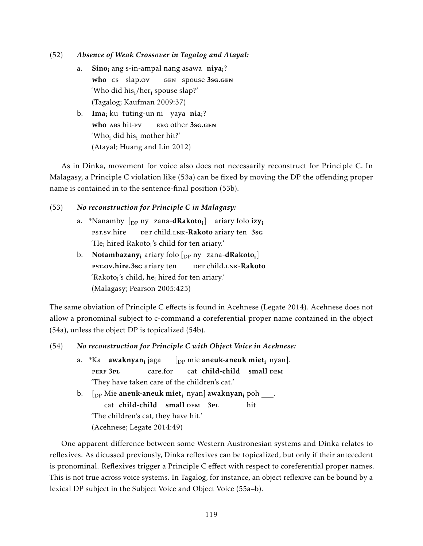## (52) *Absence of Weak Crossover in Tagalog and Atayal:*

- a. Sino<sub>i</sub> ang s-in-ampal nang asawa niya<sub>i</sub>? who cs slap.ov gen spouse 3sg.gen 'Who did his<sub>i</sub>/her<sub>i</sub> spouse slap?' (Tagalog; Kaufman 2009:37)
- b. **Ima<sub>i</sub> ku tuting-un ni yaya nia<sub>i</sub>?** who ABS hit-pv erg other 3sg.gen 'Who<sub>i</sub> did his<sub>i</sub> mother hit?' (Atayal; Huang and Lin 2012)

As in Dinka, movement for voice also does not necessarily reconstruct for Principle C. In Malagasy, a Principle C violation like (53a) can be fixed by moving the DP the offending proper name is contained in to the sentence-final position (53b).

# (53) *No reconstruction for Principle C in Malagasy:*

- a. \*Nanamby [<sub>DP</sub> ny zana-**dRakoto<sub>i</sub>] a**riary folo **izy**<sub>i</sub> pst.sv.hire DET child.LNK-Rakoto ariary ten 3sG 'He<sub>i</sub> hired Rakoto<sub>i</sub>'s child for ten ariary.'
- b. Notambazany<sub>i</sub> ariary folo [<sub>DP</sub> ny zana-**dRakoto**<sub>i</sub>] PST.OV.hire.3sG ariary ten DET child.LNK-Rakoto 'Rakoto<sub>i</sub>'s child, he<sub>i</sub> hired for ten ariary.' (Malagasy; Pearson 2005:425)

The same obviation of Principle C effects is found in Acehnese (Legate 2014). Acehnese does not allow a pronominal subject to c-command a coreferential proper name contained in the object (54a), unless the object DP is topicalized (54b).

# (54) *No reconstruction for Principle C with Object Voice in Acehnese:*

a. \*Ka **awaknyan<sub>i</sub> j**aga perf 3pl care.for  $[$ <sub>DP</sub> mie **aneuk-aneuk miet**<sub>i</sub> nyan]. cat child-child small DEM 'They have taken care of the children's cat.' b. [<sub>DP</sub> Mie **aneuk-aneuk miet<sub>i</sub> nyan] awaknyan<sub>i</sub> p**oh \_\_\_\_. cat child-child small DEM 3PL hit 'The children's cat, they have hit.' (Acehnese; Legate 2014:49)

One apparent difference between some Western Austronesian systems and Dinka relates to reflexives. As dicussed previously, Dinka reflexives can be topicalized, but only if their antecedent is pronominal. Reflexives trigger a Principle C effect with respect to coreferential proper names. This is not true across voice systems. In Tagalog, for instance, an object reflexive can be bound by a lexical DP subject in the Subject Voice and Object Voice (55a–b).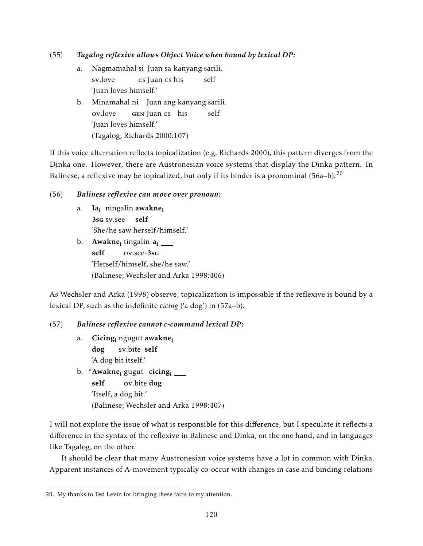# (55) *Tagalog reflexive allows Object Voice when bound by lexical DP:*

- a. Nagmamahal si Juan sa kanyang sarili. sv.love cs Juan cs his self 'Juan loves himself.'
- b. Minamahal ni Juan ang kanyang sarili. ov.love gen Juan cs his self 'Juan loves himself.' (Tagalog; Richards 2000:107)

If this voice alternation reflects topicalization (e.g. Richards 2000), this pattern diverges from the Dinka one. However, there are Austronesian voice systems that display the Dinka pattern. In Balinese, a reflexive may be topicalized, but only if its binder is a pronominal  $(56a-b)$ .<sup>20</sup>

## (56) *Balinese reflexive can move over pronoun:*

- a. Ia<sub>i</sub> ningalin **awakne**<sub>i</sub> 3sg sv.see self 'She/he saw herself/himself.'
- b. **Awakne<sub>i</sub>** tingalin-**a**<sub>i</sub> self ov.see-3sg 'Herself/himself, she/he saw.' (Balinese; Wechsler and Arka 1998:406)

As Wechsler and Arka (1998) observe, topicalization is impossible if the reflexive is bound by a lexical DP, such as the indefinite *cicing* ('a dog') in (57a–b).

# (57) *Balinese reflexive cannot c-command lexical DP:*

- a. Cicing<sub>i</sub> ngugut **awakne**<sub>i</sub> dog sv.bite self 'A dog bit itself.'
- b. \***Awakne<sub>i</sub> gugut cicing<sub>i</sub>** self ov.bite dog 'Itself, a dog bit.' (Balinese; Wechsler and Arka 1998:407)

I will not explore the issue of what is responsible for this difference, but I speculate it reflects a difference in the syntax of the reflexive in Balinese and Dinka, on the one hand, and in languages like Tagalog, on the other.

It should be clear that many Austronesian voice systems have a lot in common with Dinka. Apparent instances of  $\bar{A}$ -movement typically co-occur with changes in case and binding relations

<sup>20.</sup> My thanks to Ted Levin for bringing these facts to my attention.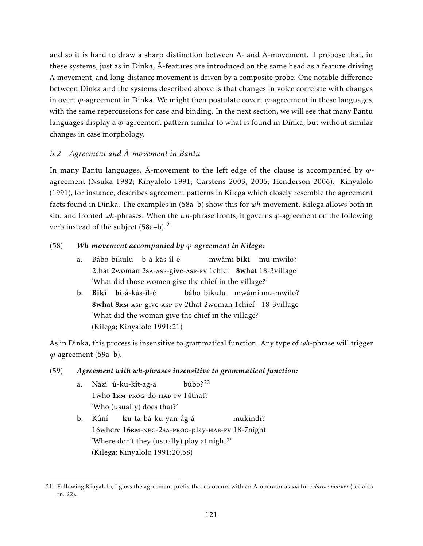and so it is hard to draw a sharp distinction between A- and  $\bar{A}$ -movement. I propose that, in these systems, just as in Dinka,  $\bar{A}$ -features are introduced on the same head as a feature driving A-movement, and long-distance movement is driven by a composite probe. One notable difference between Dinka and the systems described above is that changes in voice correlate with changes in overt  $\varphi$ -agreement in Dinka. We might then postulate covert  $\varphi$ -agreement in these languages, with the same repercussions for case and binding. In the next section, we will see that many Bantu languages display a *ϕ*-agreement pattern similar to what is found in Dinka, but without similar changes in case morphology.

# *5.2 Agreement and A-movement in Bantu ¯*

In many Bantu languages,  $\bar{A}$ -movement to the left edge of the clause is accompanied by  $\varphi$ agreement (Nsuka 1982; Kinyalolo 1991; Carstens 2003, 2005; Henderson 2006). Kinyalolo (1991), for instance, describes agreement patterns in Kilega which closely resemble the agreement facts found in Dinka. The examples in (58a–b) show this for *wh*-movement. Kilega allows both in situ and fronted *wh*-phrases. When the *wh*-phrase fronts, it governs *ϕ*-agreement on the following verb instead of the subject (58a-b).<sup>21</sup>

# (58) *Wh-movement accompanied by ϕ-agreement in Kilega:*

- a. Bábo bíkulu b-á-kás-íl-é 2that 2woman 2sA-Asp-give-Asp-Fv 1chief 8what 18-3village mwámí **bikí** mu-mwílo? 'What did those women give the chief in the village?'
- b. Bikí bí-á-kás-íl-é 8what 8RM-ASP-give-ASP-FV 2that 2woman 1chief 18-3village bábo bíkulu mwámi mu-mwílo? 'What did the woman give the chief in the village? (Kilega; Kinyalolo 1991:21)

As in Dinka, this process is insensitive to grammatical function. Any type of *wh*-phrase will trigger *ϕ*-agreement (59a–b).

# (59) *Agreement with wh-phrases insensitive to grammatical function:*

- a. Nází **ú**-ku-kít-ag-a 1who 1RM-PROG-do-HAB-FV 14that? búbo?<sup>22</sup> 'Who (usually) does that?'
- b. Kúní 16where 16rm-neg-2sa-prog-play-hab-fv 18-7night ku-ta-bá-ku-yan-ág-á mukindi? 'Where don't they (usually) play at night?' (Kilega; Kinyalolo 1991:20,58)

<sup>21.</sup> Following Kinyalolo, I gloss the agreement prefix that co-occurs with an A-operator as RM for *relative marker* (see also fn. 22).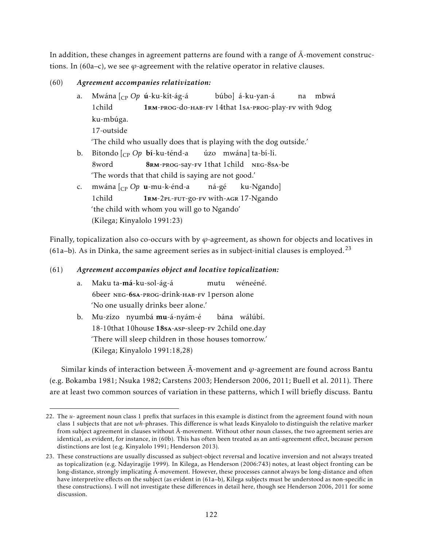In addition, these changes in agreement patterns are found with a range of  $\overline{A}$ -movement constructions. In (60a–c), we see *ϕ*-agreement with the relative operator in relative clauses.

# (60) *Agreement accompanies relativization:*

a. Mwána [CP *Op* ú-ku-kít-ág-á 1child 1rm-prog-do-hab-fv 14that 1sa-prog-play-fv with 9dog búbo] á-ku-yan-á na mbwá ku-mbúga. 17-outside 'The child who usually does that is playing with the dog outside.' b. Bitondo [CP *Op* bí-ku-ténd-a 8word 8rm-prog-say-fv 1that 1child neg-8sa-be úzo mwána] ta-bí-lí. 'The words that that child is saying are not good.' c. mwána [CP *Op* u-mu-k-énd-a 1child 1rm-2pl-fut-go-fv with-agr 17-Ngando ná-gé ku-Ngando] 'the child with whom you will go to Ngando'

Finally, topicalization also co-occurs with by *ϕ*-agreement, as shown for objects and locatives in (61a–b). As in Dinka, the same agreement series as in subject-initial clauses is employed.<sup>23</sup>

# (61) *Agreement accompanies object and locative topicalization:*

- a. Maku ta-**má**-ku-sol-ág-á 6beer neg-6sa-prog-drink-hab-fv 1person alone mutu wéneéné. 'No one usually drinks beer alone.'
- b. Mu-zízo nyumbá**mu**-á-nyám-é 18-10that 10house 18sa-asp-sleep-fv 2child one.day bána wálúbí. 'There will sleep children in those houses tomorrow.' (Kilega; Kinyalolo 1991:18,28)

Similar kinds of interaction between  $\overline{A}$ -movement and  $\varphi$ -agreement are found across Bantu (e.g. Bokamba 1981; Nsuka 1982; Carstens 2003; Henderson 2006, 2011; Buell et al. 2011). There are at least two common sources of variation in these patterns, which I will briefly discuss. Bantu

<sup>(</sup>Kilega; Kinyalolo 1991:23)

<sup>22.</sup> The *u-* agreement noun class 1 prefix that surfaces in this example is distinct from the agreement found with noun class 1 subjects that are not *wh*-phrases. This difference is what leads Kinyalolo to distinguish the relative marker from subject agreement in clauses without  $\bar{A}$ -movement. Without other noun classes, the two agreement series are identical, as evident, for instance, in (60b). This has often been treated as an anti-agreement effect, because person distinctions are lost (e.g. Kinyalolo 1991; Henderson 2013).

<sup>23.</sup> These constructions are usually discussed as subject-object reversal and locative inversion and not always treated as topicalization (e.g. Ndayiragije 1999). In Kilega, as Henderson (2006:743) notes, at least object fronting can be long-distance, strongly implicating  $\bar{A}$ -movement. However, these processes cannot always be long-distance and often have interpretive effects on the subject (as evident in (61a–b), Kilega subjects must be understood as non-specific in these constructions). I will not investigate these differences in detail here, though see Henderson 2006, 2011 for some discussion.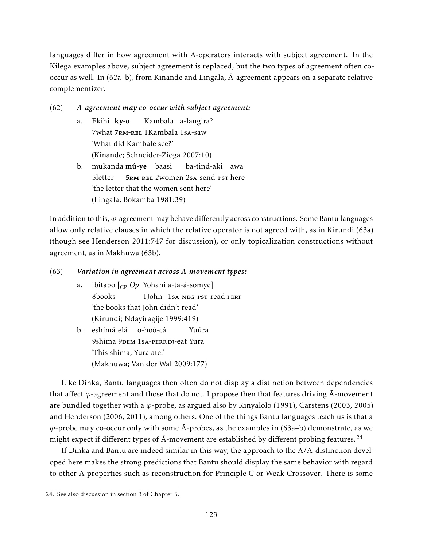languages differ in how agreement with  $\overline{A}$ -operators interacts with subject agreement. In the Kilega examples above, subject agreement is replaced, but the two types of agreement often cooccur as well. In (62a–b), from Kinande and Lingala,  $\bar{A}$ -agreement appears on a separate relative complementizer.

# (62) *A-agreement may co-occur with subject agreement: ¯*

- a. Ekihi **ky-o** 7what 7RM-REL 1Kambala 1sA-saw Kambala a-langira? 'What did Kambale see?' (Kinande; Schneider-Zioga 2007:10)
- b. mukanda mú-ye baasi 5letter 5rm-rel 2women 2sa-send-pst here ba-tind-aki awa 'the letter that the women sent here' (Lingala; Bokamba 1981:39)

In addition to this, *ϕ*-agreement may behave differently across constructions. Some Bantu languages allow only relative clauses in which the relative operator is not agreed with, as in Kirundi (63a) (though see Henderson 2011:747 for discussion), or only topicalization constructions without agreement, as in Makhuwa (63b).

# (63) Variation in agreement across  $\bar{A}$ -movement types:

- a. ibitabo [CP *Op* Yohani a-ta-á-somye] 8books 1John 1sa-neg-pst-read.perf 'the books that John didn't read' (Kirundi; Ndayiragije 1999:419)
- b. eshímá elá o-hoó-cá 9shima 9DEM 1 SA-PERF.DJ-eat Yura Yuúra 'This shima, Yura ate.' (Makhuwa; Van der Wal 2009:177)

Like Dinka, Bantu languages then often do not display a distinction between dependencies that affect *φ*-agreement and those that do not. I propose then that features driving A-movement are bundled together with a *ϕ*-probe, as argued also by Kinyalolo (1991), Carstens (2003, 2005) and Henderson (2006, 2011), among others. One of the things Bantu languages teach us is that a  $\varphi$ -probe may co-occur only with some  $\bar{A}$ -probes, as the examples in (63a–b) demonstrate, as we might expect if different types of  $\bar{A}$ -movement are established by different probing features.<sup>24</sup>

If Dinka and Bantu are indeed similar in this way, the approach to the  $A/\bar{A}$ -distinction developed here makes the strong predictions that Bantu should display the same behavior with regard to other A-properties such as reconstruction for Principle C or Weak Crossover. There is some

<sup>24.</sup> See also discussion in section 3 of Chapter 5.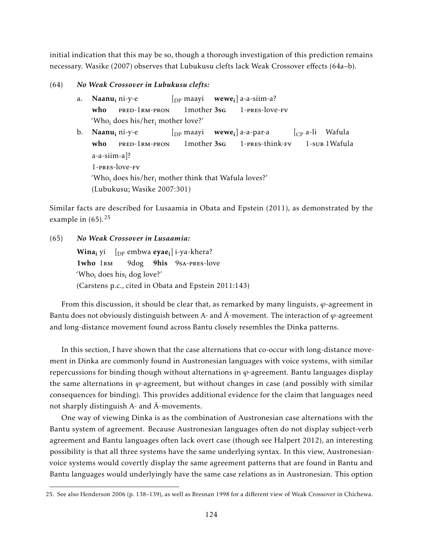initial indication that this may be so, though a thorough investigation of this prediction remains necessary. Wasike (2007) observes that Lubukusu clefts lack Weak Crossover effects (64a–b).

### (64) *No Weak Crossover in Lubukusu clefts:*

a. **Naanu<sub>i</sub>** ni-y-e who pred-1rm-pron  $\left[\begin{smallmatrix}D\text{P} & \text{maayi} & \text{wewe}_{i}\end{smallmatrix}\right]$  a-a-siim-a? 1mother 3sg 1-pres-love-fv 'Who<sub>i</sub> does his/her<sub>i</sub> mother love?' b. **Naanu<sub>i</sub>** ni-y-e who pred-1rm-pron  $\int_{\text{DP}}$  maayi 1mother 3sg **wewe<sub>i</sub>] a-a-par-a** 1-pres-think-fv [CP a-li Wafula 1-sub 1Wafula a-a-siim-a]? 1-pres-love-fv 'Who<sub>i</sub> does his/her<sub>i</sub> mother think that Wafula loves?' (Lubukusu; Wasike 2007:301)

Similar facts are described for Lusaamia in Obata and Epstein (2011), as demonstrated by the example in  $(65)$ .<sup>25</sup>

#### (65) *No Weak Crossover in Lusaamia:*

 $\textbf{Wina}_i \text{ yi }$   $\left[\text{ }_{\text{DP}} \text{ } \text{embwa} \text{ } \text{eye}_i\right]$ i-ya-khera? 1who 1RM 9dog 9his 9sA-PRES-love 'Who<sub>i</sub> does his<sub>i</sub> dog love?' (Carstens p.c., cited in Obata and Epstein 2011:143)

From this discussion, it should be clear that, as remarked by many linguists, *ϕ*-agreement in Bantu does not obviously distinguish between A- and  $\overline{A}$ -movement. The interaction of  $\varphi$ -agreement and long-distance movement found across Bantu closely resembles the Dinka patterns.

In this section, I have shown that the case alternations that co-occur with long-distance movement in Dinka are commonly found in Austronesian languages with voice systems, with similar repercussions for binding though without alternations in  $\varphi$ -agreement. Bantu languages display the same alternations in  $\varphi$ -agreement, but without changes in case (and possibly with similar consequences for binding). This provides additional evidence for the claim that languages need not sharply distinguish A- and  $\bar{A}$ -movements.

One way of viewing Dinka is as the combination of Austronesian case alternations with the Bantu system of agreement. Because Austronesian languages often do not display subject-verb agreement and Bantu languages often lack overt case (though see Halpert 2012), an interesting possibility is that all three systems have the same underlying syntax. In this view, Austronesianvoice systems would covertly display the same agreement patterns that are found in Bantu and Bantu languages would underlyingly have the same case relations as in Austronesian. This option

<sup>25.</sup> See also Henderson 2006 (p. 138–139), as well as Bresnan 1998 for a different view of Weak Crossover in Chichewa.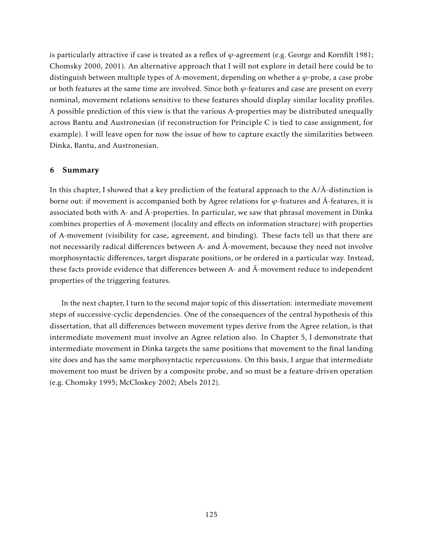is particularly attractive if case is treated as a reflex of *ϕ*-agreement (e.g. George and Kornfilt 1981; Chomsky 2000, 2001). An alternative approach that I will not explore in detail here could be to distinguish between multiple types of A-movement, depending on whether a *ϕ*-probe, a case probe or both features at the same time are involved. Since both  $\varphi$ -features and case are present on every nominal, movement relations sensitive to these features should display similar locality profiles. A possible prediction of this view is that the various A-properties may be distributed unequally across Bantu and Austronesian (if reconstruction for Principle C is tied to case assignment, for example). I will leave open for now the issue of how to capture exactly the similarities between Dinka, Bantu, and Austronesian.

## 6 Summary

In this chapter, I showed that a key prediction of the featural approach to the  $A/\overline{A}$ -distinction is borne out: if movement is accompanied both by Agree relations for  $\varphi$ -features and  $\bar{A}$ -features, it is associated both with A- and  $\bar{A}$ -properties. In particular, we saw that phrasal movement in Dinka combines properties of  $\bar{A}$ -movement (locality and effects on information structure) with properties of A-movement (visibility for case, agreement, and binding). These facts tell us that there are not necessarily radical differences between A- and Ā-movement, because they need not involve morphosyntactic differences, target disparate positions, or be ordered in a particular way. Instead, these facts provide evidence that differences between A- and  $\bar{A}$ -movement reduce to independent properties of the triggering features.

In the next chapter, I turn to the second major topic of this dissertation: intermediate movement steps of successive-cyclic dependencies. One of the consequences of the central hypothesis of this dissertation, that all differences between movement types derive from the Agree relation, is that intermediate movement must involve an Agree relation also. In Chapter 5, I demonstrate that intermediate movement in Dinka targets the same positions that movement to the final landing site does and has the same morphosyntactic repercussions. On this basis, I argue that intermediate movement too must be driven by a composite probe, and so must be a feature-driven operation (e.g. Chomsky 1995; McCloskey 2002; Abels 2012).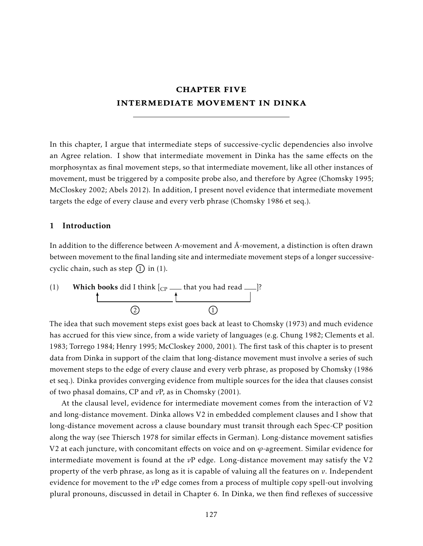# chapter five intermediate movement in dinka

In this chapter, I argue that intermediate steps of successive-cyclic dependencies also involve an Agree relation. I show that intermediate movement in Dinka has the same effects on the morphosyntax as final movement steps, so that intermediate movement, like all other instances of movement, must be triggered by a composite probe also, and therefore by Agree (Chomsky 1995; McCloskey 2002; Abels 2012). In addition, I present novel evidence that intermediate movement targets the edge of every clause and every verb phrase (Chomsky 1986 et seq.).

## 1 Introduction

In addition to the difference between A-movement and  $\overline{A}$ -movement, a distinction is often drawn between movement to the final landing site and intermediate movement steps of a longer successivecyclic chain, such as step  $(1)$  in (1).



The idea that such movement steps exist goes back at least to Chomsky (1973) and much evidence has accrued for this view since, from a wide variety of languages (e.g. Chung 1982; Clements et al. 1983; Torrego 1984; Henry 1995; McCloskey 2000, 2001). The first task of this chapter is to present data from Dinka in support of the claim that long-distance movement must involve a series of such movement steps to the edge of every clause and every verb phrase, as proposed by Chomsky (1986 et seq.). Dinka provides converging evidence from multiple sources for the idea that clauses consist of two phasal domains, CP and *v*P, as in Chomsky (2001).

At the clausal level, evidence for intermediate movement comes from the interaction of V2 and long-distance movement. Dinka allows V2 in embedded complement clauses and I show that long-distance movement across a clause boundary must transit through each Spec-CP position along the way (see Thiersch 1978 for similar effects in German). Long-distance movement satisfies V2 at each juncture, with concomitant effects on voice and on *ϕ*-agreement. Similar evidence for intermediate movement is found at the *v*P edge. Long-distance movement may satisfy the V2 property of the verb phrase, as long as it is capable of valuing all the features on *v*. Independent evidence for movement to the *v*P edge comes from a process of multiple copy spell-out involving plural pronouns, discussed in detail in Chapter 6. In Dinka, we then find reflexes of successive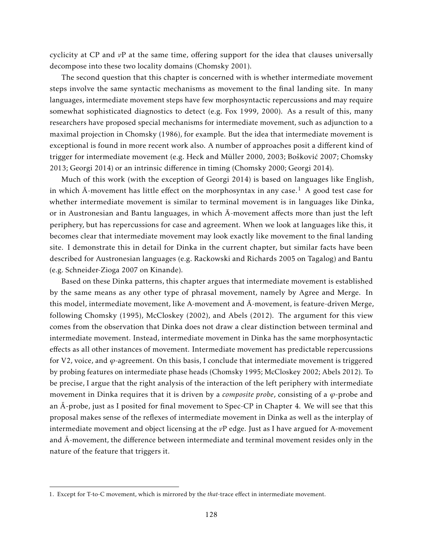cyclicity at CP and *v*P at the same time, offering support for the idea that clauses universally decompose into these two locality domains (Chomsky 2001).

The second question that this chapter is concerned with is whether intermediate movement steps involve the same syntactic mechanisms as movement to the final landing site. In many languages, intermediate movement steps have few morphosyntactic repercussions and may require somewhat sophisticated diagnostics to detect (e.g. Fox 1999, 2000). As a result of this, many researchers have proposed special mechanisms for intermediate movement, such as adjunction to a maximal projection in Chomsky (1986), for example. But the idea that intermediate movement is exceptional is found in more recent work also. A number of approaches posit a different kind of trigger for intermediate movement (e.g. Heck and Müller 2000, 2003; Bošković 2007; Chomsky 2013; Georgi 2014) or an intrinsic difference in timing (Chomsky 2000; Georgi 2014).

Much of this work (with the exception of Georgi 2014) is based on languages like English, in which  $\bar{A}$ -movement has little effect on the morphosyntax in any case.<sup>1</sup> A good test case for whether intermediate movement is similar to terminal movement is in languages like Dinka, or in Austronesian and Bantu languages, in which  $\bar{A}$ -movement affects more than just the left periphery, but has repercussions for case and agreement. When we look at languages like this, it becomes clear that intermediate movement may look exactly like movement to the final landing site. I demonstrate this in detail for Dinka in the current chapter, but similar facts have been described for Austronesian languages (e.g. Rackowski and Richards 2005 on Tagalog) and Bantu (e.g. Schneider-Zioga 2007 on Kinande).

Based on these Dinka patterns, this chapter argues that intermediate movement is established by the same means as any other type of phrasal movement, namely by Agree and Merge. In this model, intermediate movement, like A-movement and  $\overline{A}$ -movement, is feature-driven Merge, following Chomsky (1995), McCloskey (2002), and Abels (2012). The argument for this view comes from the observation that Dinka does not draw a clear distinction between terminal and intermediate movement. Instead, intermediate movement in Dinka has the same morphosyntactic effects as all other instances of movement. Intermediate movement has predictable repercussions for V2, voice, and *ϕ*-agreement. On this basis, I conclude that intermediate movement is triggered by probing features on intermediate phase heads (Chomsky 1995; McCloskey 2002; Abels 2012). To be precise, I argue that the right analysis of the interaction of the left periphery with intermediate movement in Dinka requires that it is driven by a *composite probe*, consisting of a *ϕ*-probe and an  $\bar{A}$ -probe, just as I posited for final movement to Spec-CP in Chapter 4. We will see that this proposal makes sense of the reflexes of intermediate movement in Dinka as well as the interplay of intermediate movement and object licensing at the *v*P edge. Just as I have argued for A-movement and  $\bar{A}$ -movement, the difference between intermediate and terminal movement resides only in the nature of the feature that triggers it.

<sup>1.</sup> Except for T-to-C movement, which is mirrored by the *that*-trace effect in intermediate movement.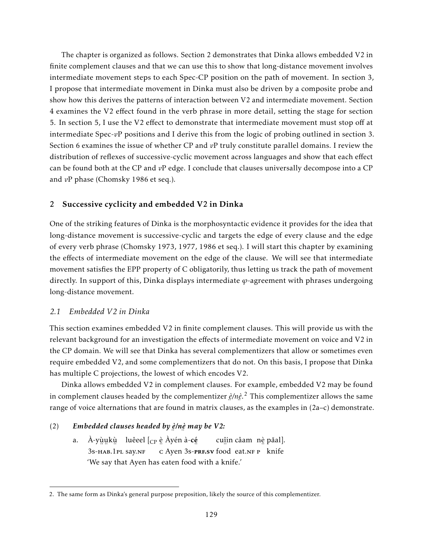The chapter is organized as follows. Section 2 demonstrates that Dinka allows embedded V2 in finite complement clauses and that we can use this to show that long-distance movement involves intermediate movement steps to each Spec-CP position on the path of movement. In section 3, I propose that intermediate movement in Dinka must also be driven by a composite probe and show how this derives the patterns of interaction between V2 and intermediate movement. Section 4 examines the V2 effect found in the verb phrase in more detail, setting the stage for section 5. In section 5, I use the V2 effect to demonstrate that intermediate movement must stop off at intermediate Spec-*v*P positions and I derive this from the logic of probing outlined in section 3. Section 6 examines the issue of whether CP and *v*P truly constitute parallel domains. I review the distribution of reflexes of successive-cyclic movement across languages and show that each effect can be found both at the CP and *v*P edge. I conclude that clauses universally decompose into a CP and *v*P phase (Chomsky 1986 et seq.).

## 2 Successive cyclicity and embedded V2 in Dinka

One of the striking features of Dinka is the morphosyntactic evidence it provides for the idea that long-distance movement is successive-cyclic and targets the edge of every clause and the edge of every verb phrase (Chomsky 1973, 1977, 1986 et seq.). I will start this chapter by examining the effects of intermediate movement on the edge of the clause. We will see that intermediate movement satisfies the EPP property of C obligatorily, thus letting us track the path of movement directly. In support of this, Dinka displays intermediate *ϕ*-agreement with phrases undergoing long-distance movement.

## *2.1 Embedded V2 in Dinka*

This section examines embedded V2 in finite complement clauses. This will provide us with the relevant background for an investigation the effects of intermediate movement on voice and V2 in the CP domain. We will see that Dinka has several complementizers that allow or sometimes even require embedded V2, and some complementizers that do not. On this basis, I propose that Dinka has multiple C projections, the lowest of which encodes V2.

Dinka allows embedded V2 in complement clauses. For example, embedded V2 may be found in complement clauses headed by the complementizer *è /nè* . <sup>2</sup> This complementizer allows the same ¨ ¨ range of voice alternations that are found in matrix clauses, as the examples in (2a–c) demonstrate.

#### (2) *Embedded clauses headed by è /nè may be V2:* ¨ ¨

a. A-yùukù luêeel [<sub>CP</sub> è Àyén à-**cé** ¨ ¨ ¨ 3s-hab.1pl say.nf .. ⁄<br>c Ayen 3s-**PRF.SV** food eat.NF P knife cu<u>î</u>in câam nè pǎal]. 'We say that Ayen has eaten food with a knife.'

<sup>2.</sup> The same form as Dinka's general purpose preposition, likely the source of this complementizer.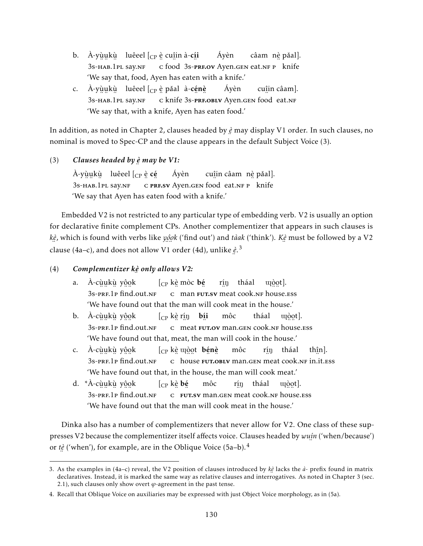- b. À-yù̯u̯kù luêeel [<sub>CP</sub> è cuî̯in à-**cí̯i** — у ………<br>3s-нав.1pl say.nf ∴<br>⊂ food 3s-**pre.ov** Ayen.gen eat.nf p knife Áyèn câam) n<u>è</u> pǎal]. 'We say that, food, Ayen has eaten with a knife.'
- c. À-yù̯u̯kù luêeel [<sub>CP</sub> è pǎal à-**cé̯nè** ¨ ¨ ¨ 3s-hab.1pl say.nf .. 1<br>c knife ¨ ¨ 3s-prf.oblv Ayen.gen ¨ food eat.nf Áyèn cuî in câam]. 'We say that, with a knife, Ayen has eaten food.'

In addition, as noted in Chapter 2, clauses headed by *è* may display V1 order. In such clauses, no ¨ nominal is moved to Spec-CP and the clause appears in the default Subject Voice (3).

(3) *Clauses headed by è* ¨ *may be V1:*

À-yù̯u̯kù luêeel [<sub>CP</sub> è **cé** — у ………<br>3s-нав.1pl say.nf E PRESV Ayen.GEN food eat.NF P knife Áyèn cu<u>î</u>in câam nè pǎal]. 'We say that Ayen has eaten food with a knife.'

Embedded V2 is not restricted to any particular type of embedding verb. V2 is usually an option for declarative finite complement CPs. Another complementizer that appears in such clauses is *kè* , which is found with verbs like *yô* ¨*o* ¨*k* ('find out') and *tàak* ('think'). *Kè* ¨ clause (4a–c), and does not allow V1 order (4d), unlike *è* ¨ must be followed by a V2 ¨ . 3

(4) *Complementizer kè* ¨ *only allows V2:*

- a. A-cùukù y<u>ôo</u>k ¨ ¨ ¨ 3s-prf.1p ¨ ¨ find.out.nf  $[_{\mathrm{CP}}$  kè mòc $\,$ bé ¨ c man ……。..。<br>**FUT.SV** meat cook.nF house.ess r<u>í</u>ŋ tháal uçòot]. 'We have found out that the man will cook meat in the house.'
- b. A-cùukù y<u>ôo</u>k ¨ ¨ ¨ 3s-prf.1p ¨ ¨ find.out.nf  $\left[\begin{smallmatrix} \mathsf{CP} & \mathsf{K}\end{smallmatrix}\right]$  ign bi ¨ c ¨ meat ∵<br>**FUT.OV** man.gen cook.nf house.ess môc tháal uçòot]. 'We have found out that, meat, the man will cook in the house.'
- c. A-cùukù y<u>ôo</u>k ¨ ¨ ¨ 3s-prf.1p ¨ ¨ find.out.nf  $[$ <sub>CP</sub> kè u $\mathrm{\hat{e}}$ nè bénè ¨ c ¨ ¨ house ¨ ¨ fut.oblv man.gen ¨ meat cook.nf ¨ in.it.ess môc r<u>í</u>ŋ tháal thî n]. 'We have found out that, in the house, the man will cook meat.'
- d. *\**Å-cùukù y<u>ôo</u>k ¨ ¨ ¨ 3s-prf.1p ¨ ¨ find.out.nf  $[\rm_{CP}$  kè bé ¨ c ¨ fut.sv man.gen ¨ meat cook.nf ¨ ¨ house.ess môc r<u>í</u>ŋ tháal uçòot]. 'We have found out that the man will cook meat in the house.'

Dinka also has a number of complementizers that never allow for V2. One class of these suppresses V2 because the complementizer itself affects voice. Clauses headed by *wuí n* ('when/because') ¨ or *tè* ¨ ('when'), for example, are in the Oblique Voice  $(5a-b).<sup>4</sup>$ 

<sup>3.</sup> As the examples in (4a–c) reveal, the V2 position of clauses introduced by *kè* lacks the *à*- prefix found in matrix declaratives. Instead, it is marked the same way as relative clauses and interrogatives. As noted in Chapter 3 (sec. 2.1), such clauses only show overt  $\varphi$ -agreement in the past tense.

<sup>4.</sup> Recall that Oblique Voice on auxiliaries may be expressed with just Object Voice morphology, as in (5a).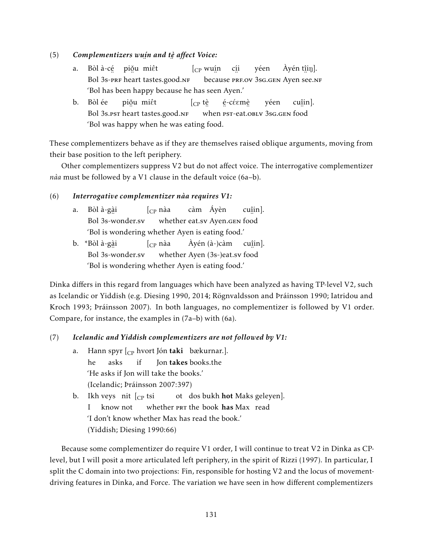#### (5) *Complementizers wuí* ¨ *n and tè* ¨ *affect Voice:*

- a. Bòl à-cẹ́ piǒu miêt Bol 3s-prF heart tastes.good.nf  $[$ <sub>CP</sub> wu<u>í</u>n because PRF.OV 3sG.GEN Ayen see.NF cí i yéen Àyén t<u>î</u>iŋ]. 'Bol has been happy because he has seen Ayen.'
- b. Bòl ée ∵<br>Bol 3s.¤st heart tastes.good.nf piǧu miêt  $\int_{CP}$  tè ¨ when ¨ ¨ pst-eat.oblv 3sg.gen ¨ food é-cέεmè yéen cuî in]. 'Bol was happy when he was eating food.

These complementizers behave as if they are themselves raised oblique arguments, moving from their base position to the left periphery.

Other complementizers suppress V2 but do not affect voice. The interrogative complementizer *nàa* must be followed by a V1 clause in the default voice (6a–b).

## (6) *Interrogative complementizer nàa requires V1:*

- a. Bòl à-gà i ...<br>Bol 3s-wonder.sv  $\int_{CP}$  nàa whether eat.sv Ayen.gen ¨ food càm Áyèn cuî in]. 'Bol is wondering whether Ayen is eating food.'
- b. \*Bòl à-gà i Bol ¨ 3s-wonder.sv  $\int_{CD}$  nàa whether Ayen (3s-)eat.sv food Àyén (à-)càm cuî in]. 'Bol is wondering whether Ayen is eating food.'

Dinka differs in this regard from languages which have been analyzed as having TP-level V2, such as Icelandic or Yiddish (e.g. Diesing 1990, 2014; Rögnvaldsson and Þráinsson 1990; Iatridou and Kroch 1993; Þráinsson 2007). In both languages, no complementizer is followed by V1 order. Compare, for instance, the examples in (7a–b) with (6a).

# (7) *Icelandic and Yiddish complementizers are not followed by V1:*

- a. Hann spyr [<sub>CP</sub> hvort Jón **taki** bækurnar.]. he asks if Jon takes books.the 'He asks if Jon will take the books.' (Icelandic; Þráinsson 2007:397)
- b. Ikh veys) nit  $\left[\begin{smallmatrix} 0 & 0 \end{smallmatrix}\right]$ I know not whether PRT the book has Max read ot) dos bukh **hot** Maks geleyen]. 'I don't know whether Max has read the book.' (Yiddish; Diesing 1990:66)

Because some complementizer do require V1 order, I will continue to treat V2 in Dinka as CPlevel, but I will posit a more articulated left periphery, in the spirit of Rizzi (1997). In particular, I split the C domain into two projections: Fin, responsible for hosting V2 and the locus of movementdriving features in Dinka, and Force. The variation we have seen in how different complementizers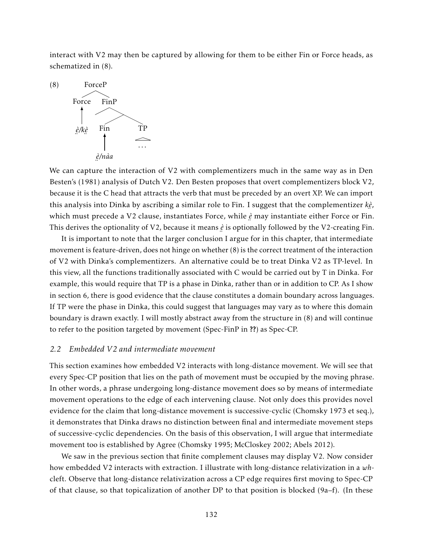interact with V2 may then be captured by allowing for them to be either Fin or Force heads, as schematized in (8).



We can capture the interaction of V2 with complementizers much in the same way as in Den Besten's (1981) analysis of Dutch V2. Den Besten proposes that overt complementizers block V2, because it is the C head that attracts the verb that must be preceded by an overt XP. We can import this analysis into Dinka by ascribing a similar role to Fin. I suggest that the complementizer *kè* , ¨ which must precede a V2 clause, instantiates Force, while *è* may instantiate either Force or Fin. ¨ This derives the optionality of V2, because it means *è* is optionally followed by the V2-creating Fin.

It is important to note that the larger conclusion I argue for in this chapter, that intermediate movement is feature-driven, does not hinge on whether (8) is the correct treatment of the interaction of V2 with Dinka's complementizers. An alternative could be to treat Dinka V2 as TP-level. In this view, all the functions traditionally associated with C would be carried out by T in Dinka. For example, this would require that TP is a phase in Dinka, rather than or in addition to CP. As I show in section 6, there is good evidence that the clause constitutes a domain boundary across languages. If TP were the phase in Dinka, this could suggest that languages may vary as to where this domain boundary is drawn exactly. I will mostly abstract away from the structure in (8) and will continue to refer to the position targeted by movement (Spec-FinP in ??) as Spec-CP.

## *2.2 Embedded V2 and intermediate movement*

This section examines how embedded V2 interacts with long-distance movement. We will see that every Spec-CP position that lies on the path of movement must be occupied by the moving phrase. In other words, a phrase undergoing long-distance movement does so by means of intermediate movement operations to the edge of each intervening clause. Not only does this provides novel evidence for the claim that long-distance movement is successive-cyclic (Chomsky 1973 et seq.), it demonstrates that Dinka draws no distinction between final and intermediate movement steps of successive-cyclic dependencies. On the basis of this observation, I will argue that intermediate movement too is established by Agree (Chomsky 1995; McCloskey 2002; Abels 2012).

We saw in the previous section that finite complement clauses may display V2. Now consider how embedded V2 interacts with extraction. I illustrate with long-distance relativization in a *wh*cleft. Observe that long-distance relativization across a CP edge requires first moving to Spec-CP of that clause, so that topicalization of another DP to that position is blocked (9a–f). (In these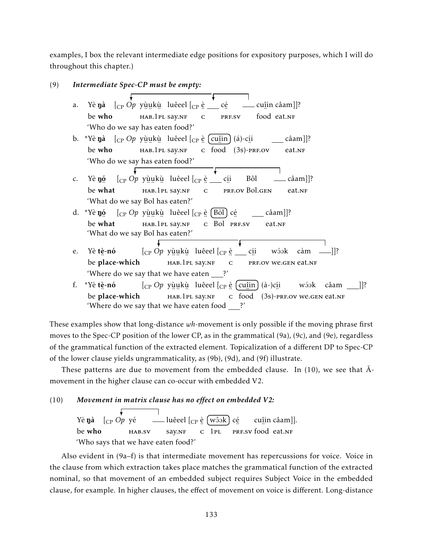examples, I box the relevant intermediate edge positions for expository purposes, which I will do throughout this chapter.)

| (9) |                                                                  | Intermediate Spec-CP must be empty:                                                                                                                                                          |  |  |  |  |  |  |
|-----|------------------------------------------------------------------|----------------------------------------------------------------------------------------------------------------------------------------------------------------------------------------------|--|--|--|--|--|--|
|     | a.                                                               | Yè <b>ŋà</b> $\begin{bmatrix} C_P & Qp & y\end{bmatrix}$ yù ukù luêeel $\begin{bmatrix} C_P & e \end{bmatrix}$ $\begin{bmatrix} C_P & e \end{bmatrix}$<br>$\rule{1em}{0.15mm}$ cuîin câam]]? |  |  |  |  |  |  |
|     |                                                                  |                                                                                                                                                                                              |  |  |  |  |  |  |
|     | be who<br>HAB.1PL SAY.NF<br>food eat.NF<br>PRF.SV<br>$\mathsf C$ |                                                                                                                                                                                              |  |  |  |  |  |  |
|     |                                                                  | 'Who do we say has eaten food?'                                                                                                                                                              |  |  |  |  |  |  |
|     |                                                                  | b. *Yè <b>nà</b> $\begin{bmatrix} C_P & Q \rho & y \end{bmatrix}$ we have $\begin{bmatrix} C_P & e \end{bmatrix}$ (cu in ) (a)-cii                                                           |  |  |  |  |  |  |
|     |                                                                  | HAB.1PL SAY.NF c food (3s)-PRF.OV<br>be who<br>eat.NF                                                                                                                                        |  |  |  |  |  |  |
|     |                                                                  | 'Who do we say has eaten food?'                                                                                                                                                              |  |  |  |  |  |  |
|     |                                                                  |                                                                                                                                                                                              |  |  |  |  |  |  |
|     | $C_{\bullet}$                                                    | Yè <b>nó</b> $\begin{bmatrix} C_P & Q \rho & Y \end{bmatrix}$ will be used $\begin{bmatrix} C_P & \hat{e} \end{bmatrix}$ chi<br>Bôl<br>$c\hat{a}$ am]]?                                      |  |  |  |  |  |  |
|     |                                                                  | be what<br>PRF.OV Bol.GEN<br>HAB.1PL SAY.NF<br>eat.NF<br>${\bf C}$                                                                                                                           |  |  |  |  |  |  |
|     |                                                                  | 'What do we say Bol has eaten?'                                                                                                                                                              |  |  |  |  |  |  |
|     |                                                                  | d. *Yè <b>ŋó</b> $\begin{bmatrix} C_P & Q \end{bmatrix}$ yùukù luêeel $\begin{bmatrix} C_P & e \end{bmatrix}$ [Bòl] cé<br>$\left[$ câam]]?                                                   |  |  |  |  |  |  |
|     |                                                                  | be what<br>HAB.1PL SAY.NF C Bol PRF.SV<br>eat.NF                                                                                                                                             |  |  |  |  |  |  |
|     |                                                                  | 'What do we say Bol has eaten?'                                                                                                                                                              |  |  |  |  |  |  |
|     |                                                                  |                                                                                                                                                                                              |  |  |  |  |  |  |
|     | e.                                                               | $\left[\begin{smallmatrix}C\P&Op&Y\end{smallmatrix}\right]$ uêeel $\left[\begin{smallmatrix}C\P&\end{smallmatrix}\right]$ e cíj<br>wóok càm $\frac{1}{2}$ ?<br>Yè tè-nó                      |  |  |  |  |  |  |
|     |                                                                  | be place-which HAB.1PL SAY.NF<br>$\overline{C}$<br>PRF.OV We.GEN eat.NF                                                                                                                      |  |  |  |  |  |  |
|     |                                                                  | 'Where do we say that we have eaten ?'                                                                                                                                                       |  |  |  |  |  |  |
|     | f.                                                               | *Yè tè-nó $[_{CP} Op$ yùukù luêeel $[_{CP}$ è $[$ cuîin $]$ (à-)cíi<br>wóok câam<br>]]?                                                                                                      |  |  |  |  |  |  |
|     |                                                                  | be place-which<br>c food $(3s)$ -PRF.OV WE.GEN eat.NF<br>hab.1pl say.nf                                                                                                                      |  |  |  |  |  |  |
|     |                                                                  | 'Where do we say that we have eaten food _<br>?'                                                                                                                                             |  |  |  |  |  |  |

These examples show that long-distance *wh*-movement is only possible if the moving phrase first moves to the Spec-CP position of the lower CP, as in the grammatical (9a), (9c), and (9e), regardless of the grammatical function of the extracted element. Topicalization of a different DP to Spec-CP of the lower clause yields ungrammaticality, as (9b), (9d), and (9f) illustrate.

These patterns are due to movement from the embedded clause. In  $(10)$ , we see that  $\overline{A}$ movement in the higher clause can co-occur with embedded V2.

(10) *Movement in matrix clause has no effect on embedded V2:*

Yè Nà [CP *Op* yé be who hab.sv luêeel [<sub>CP</sub> è 〔wôɔk〕 cé say.NF ∴<br>c 1pl PRF.SV food eat.NF cuî in câam]]. 'Who says that we have eaten food?'

Also evident in (9a–f) is that intermediate movement has repercussions for voice. Voice in the clause from which extraction takes place matches the grammatical function of the extracted nominal, so that movement of an embedded subject requires Subject Voice in the embedded clause, for example. In higher clauses, the effect of movement on voice is different. Long-distance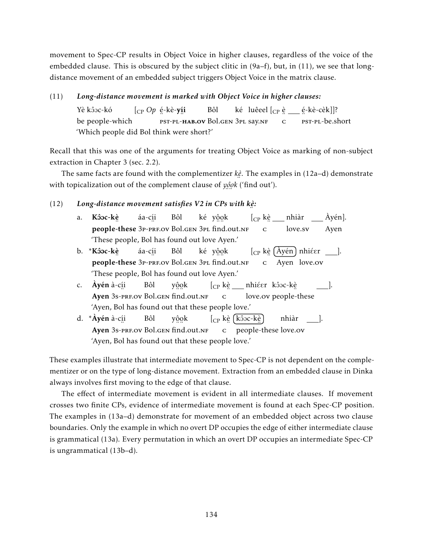movement to Spec-CP results in Object Voice in higher clauses, regardless of the voice of the embedded clause. This is obscured by the subject clitic in  $(9a-f)$ , but, in  $(11)$ , we see that longdistance movement of an embedded subject triggers Object Voice in the matrix clause.

# (11) *Long-distance movement is marked with Object Voice in higher clauses:*

Yè kôoc-kó be people-which [CP *Op* é -kè-yí i ¨ ¨ pst-pl-hab.ov Bol.gen 3pl say.nf Bôl ké) luêeel [<sub>CP</sub> è \_\_ é-kè-cèk]]? ¨ c ..<br><sub>PST-PL-be.short</sub> 'Which people did Bol think were short?'

Recall that this was one of the arguments for treating Object Voice as marking of non-subject extraction in Chapter 3 (sec. 2.2).

The same facts are found with the complementizer *kè* . The examples in (12a–d) demonstrate ¨ with topicalization out of the complement clause of *yôok* ('find out').

#### (12) *Long-distance movement satisfies V2 in CPs with kè :* ¨

- a. Kôoc-kè people-these 3p-prf.ov Bol.gen 3pl find.out.nf áa-cí i Bôl ké y<u>ộo</u>k [<sub>CP</sub> k<u>è</u> \_\_ nhiàr ¨ c love.sv Àyén]. Ayen 'These people, Bol has found out love Ayen.'
- b. \*Kôoc-kè ™ áa-cí i Bôl ké y<u>ộo</u>k  $\left[$ <sub>CP</sub> kè  $\left($  Åyén $\right)$  nhiéer  $\left[ \begin{array}{cc} \_ \end{array} \right]$ .  $\frac{1}{\sqrt{2}}$   $\frac{1}{\sqrt{2}}$   $\frac{1}{\sqrt{2}}$   $\frac{1}{\sqrt{2}}$   $\frac{1}{\sqrt{2}}$ 'These people, Bol has found out love Ayen.'
- c. **Ayén** à-c<u>í</u>i → ……<br>Ayen 3s-prf.ov Bol.gen find.out.nf Bôl yôok  $[_{\mathrm{CP}}$  kè $\rule{1em}{0.15mm}$ nhiéer kôoc-kè ¨ c ..<br>love.ov people-these ]. 'Ayen, Bol has found out that these people love.'
- d. \***Áyén** à-c<u>í</u>i Ayen 3s-prf.ov Bol.gen find.out.nf Bôl yôok [<sub>CP</sub> kè (kôoc-kè c people-these love.ov nhiàr ]. 'Ayen, Bol has found out that these people love.'

These examples illustrate that intermediate movement to Spec-CP is not dependent on the complementizer or on the type of long-distance movement. Extraction from an embedded clause in Dinka always involves first moving to the edge of that clause.

The effect of intermediate movement is evident in all intermediate clauses. If movement crosses two finite CPs, evidence of intermediate movement is found at each Spec-CP position. The examples in (13a–d) demonstrate for movement of an embedded object across two clause boundaries. Only the example in which no overt DP occupies the edge of either intermediate clause is grammatical (13a). Every permutation in which an overt DP occupies an intermediate Spec-CP is ungrammatical (13b–d).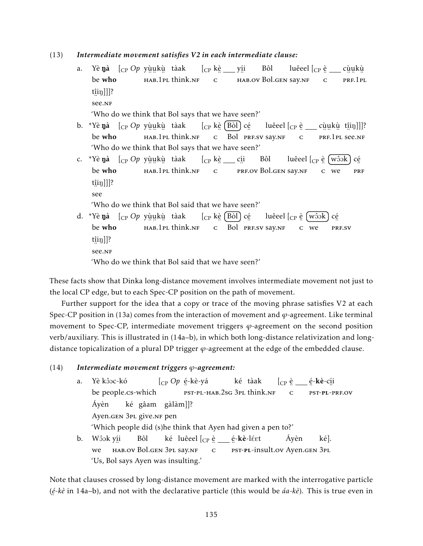## (13) *Intermediate movement satisfies V2 in each intermediate clause:*

- a. Yè**ŋà** [<sub>CP</sub> Op yù̯u̯kù̯ tàak be who ¨ ¨ ¨ hab.1pl think.nf [CP kè yí i ¨ c , ..<br>hab.ov Bol.gen say.nf Bôl luêeel [<sub>CP</sub> è \_\_ cùukù ¨ c ™……<br>prf.1pl t<u>î</u>iŋ]]]? ¨ see.nf 'Who do we think that Bol says that we have seen?'
- b. \*Yè**ŋà** [<sub>CP</sub> Op yù̯u̯kù̯ tàak be who ¨ ¨ ¨ hab.1pl think.nf [<sub>CP</sub> kè [Bòl] cé ¨ c Bol PRF.SV SAY.NF luêeel  $[\begin{smallmatrix} \mathsf{CP}\end{smallmatrix}\overset{\mathtt{e}}{_{\mathsf{C}}}\begin{smallmatrix}\text{c}\end{smallmatrix}$   $\ldots$  cù̯ukù  $\begin{smallmatrix}\text{t}\end{smallmatrix}\overset{\mathtt{e}}{_{\mathsf{H}}}\begin{smallmatrix}\text{u}\end{smallmatrix} ] ] ] ?$ ¨ c ¨ ¨ ¨ prf.1pl ¨ see.nf 'Who do we think that Bol says that we have seen?'
- c. \*Yè **ŋà** [<sub>CP</sub> *Op* yù̯u̯kù tàak be who , .. ..<br>нав.1pl think.nf [<sub>CP</sub> k<u>è</u> \_\_\_ c<u>í</u>i ¨ c ᠃<br>prf.ov Bol.gen say.nf Bôl luêeel [<sub>CP</sub> è <code>〔wôɔk] cé</code> ¨ c we ∵<br>PRF t<u>î</u>iŋ]]]? ¨ see

'Who do we think that Bol said that we have seen?'

d. \*Yè **ŋà** [<sub>CP</sub> *Op* yù̯u̯kù tàak be who ¨ ¨ ¨ hab.1pl think.nf [CP kè Bòl cé C Bol PRF.SV SAY.NF luêeel [<sub>CP</sub> è 〔wôɔk〕 cé  $\frac{1}{c}$  we ¨..<br>PRF.SV t<u>î</u>iŋ]]? ¨ see.nf 'Who do we think that Bol said that we have seen?'

These facts show that Dinka long-distance movement involves intermediate movement not just to the local CP edge, but to each Spec-CP position on the path of movement.

Further support for the idea that a copy or trace of the moving phrase satisfies V2 at each Spec-CP position in (13a) comes from the interaction of movement and *ϕ*-agreement. Like terminal movement to Spec-CP, intermediate movement triggers *ϕ*-agreement on the second position verb/auxiliary. This is illustrated in (14a–b), in which both long-distance relativization and longdistance topicalization of a plural DP trigger *ϕ*-agreement at the edge of the embedded clause.

#### (14) *Intermediate movement triggers ϕ-agreement:*

a. Yè kôoc-kó be people.cs-which [CP *Op* é -kè-yá ET-PL-HAB.2sg 3PL think.nf ké tàak  $[{\rm CP}$  è c é ¨ -kè-cí ¨ i pst-pl-prf.ov Áyèn Ayen.gen 3<sub>PL</sub> give.nr pen ké gâam gàlàm]]? 'Which people did (s)he think that Ayen had given a pen to?' b. Wôok y<u>í</u>i we , ..<br>hab.ov Bol.gen 3pl say.nf Bôl ké) luêeel [<sub>CP</sub> è \_\_\_ é-**kè**-léet ¨ c est-pl-insult.ov Ayen.gen 3pl Áyèn ké]. 'Us, Bol says Ayen was insulting.'

Note that clauses crossed by long-distance movement are marked with the interrogative particle (*é -kè* in 14a–b), and not with the declarative particle (this would be *áa-kè*). This is true even in ¨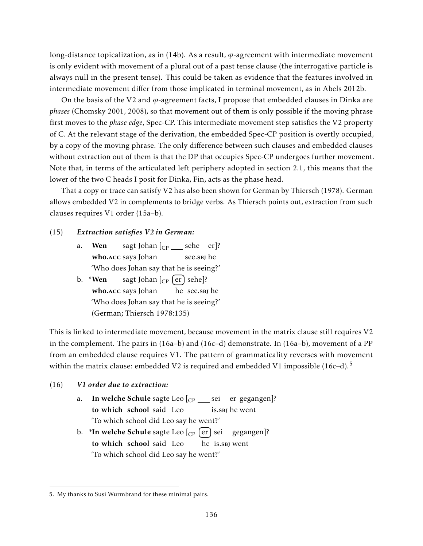long-distance topicalization, as in (14b). As a result, *ϕ*-agreement with intermediate movement is only evident with movement of a plural out of a past tense clause (the interrogative particle is always null in the present tense). This could be taken as evidence that the features involved in intermediate movement differ from those implicated in terminal movement, as in Abels 2012b.

On the basis of the V2 and *ϕ*-agreement facts, I propose that embedded clauses in Dinka are *phases* (Chomsky 2001, 2008), so that movement out of them is only possible if the moving phrase first moves to the *phase edge*, Spec-CP. This intermediate movement step satisfies the V2 property of C. At the relevant stage of the derivation, the embedded Spec-CP position is overtly occupied, by a copy of the moving phrase. The only difference between such clauses and embedded clauses without extraction out of them is that the DP that occupies Spec-CP undergoes further movement. Note that, in terms of the articulated left periphery adopted in section 2.1, this means that the lower of the two C heads I posit for Dinka, Fin, acts as the phase head.

That a copy or trace can satisfy V2 has also been shown for German by Thiersch (1978). German allows embedded V2 in complements to bridge verbs. As Thiersch points out, extraction from such clauses requires V1 order (15a–b).

#### (15) *Extraction satisfies V2 in German:*

- a. Wen who. Acc says Johan sagt Johan [ $_{\mathrm{CP}}$   $\_\_$  sehe  $\_\mathrm{er}$ ]? see.s<mark>в</mark>J he 'Who does Johan say that he is seeing?'
- b. \*Wen who.Acc says Johan sagt Johan [ $_{\mathrm{CP}}$   $\left( \mathrm{er}\right)$  sehe]? he see.sbj he 'Who does Johan say that he is seeing?' (German; Thiersch 1978:135)

This is linked to intermediate movement, because movement in the matrix clause still requires V2 in the complement. The pairs in  $(16a-b)$  and  $(16c-d)$  demonstrate. In  $(16a-b)$ , movement of a PP from an embedded clause requires V1. The pattern of grammaticality reverses with movement within the matrix clause: embedded V2 is required and embedded V1 impossible  $(16c-d).<sup>5</sup>$ 

#### (16) *V1 order due to extraction:*

- a. I**n welche Schule** sagte Leo [<sub>CP</sub> \_\_\_\_ sei er gegangen]? to which school said Leo is.sbj he went 'To which school did Leo say he went?'
- b. \***In welche Schule** sagte Leo [<sub>CP</sub> [er] sei to which school said Leo he is.sbj went gegangen]? 'To which school did Leo say he went?'

<sup>5.</sup> My thanks to Susi Wurmbrand for these minimal pairs.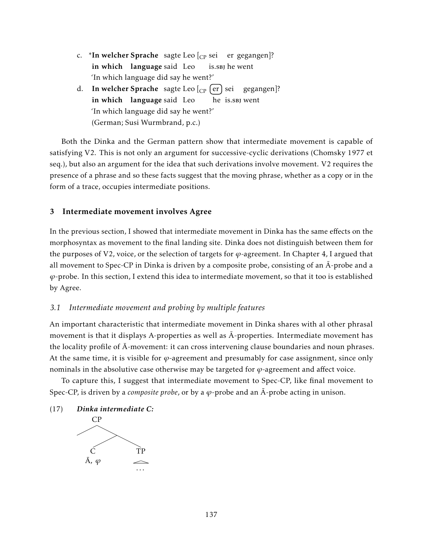- c. \*In welcher Sprache sagte Leo [<sub>CP</sub> sei er gegangen]? in which language said Leo is.sbj he went 'In which language did say he went?'
- d. I**n welcher Sprache** sagte Leo [<sub>CP</sub> [er] sei in which language said Leo he is.sbj went gegangen]? 'In which language did say he went?' (German; Susi Wurmbrand, p.c.)

Both the Dinka and the German pattern show that intermediate movement is capable of satisfying V2. This is not only an argument for successive-cyclic derivations (Chomsky 1977 et seq.), but also an argument for the idea that such derivations involve movement. V2 requires the presence of a phrase and so these facts suggest that the moving phrase, whether as a copy or in the form of a trace, occupies intermediate positions.

# 3 Intermediate movement involves Agree

In the previous section, I showed that intermediate movement in Dinka has the same effects on the morphosyntax as movement to the final landing site. Dinka does not distinguish between them for the purposes of V2, voice, or the selection of targets for  $\varphi$ -agreement. In Chapter 4, I argued that all movement to Spec-CP in Dinka is driven by a composite probe, consisting of an  $\bar{A}$ -probe and a *ϕ*-probe. In this section, I extend this idea to intermediate movement, so that it too is established by Agree.

# *3.1 Intermediate movement and probing by multiple features*

An important characteristic that intermediate movement in Dinka shares with al other phrasal movement is that it displays A-properties as well as  $\bar{A}$ -properties. Intermediate movement has the locality profile of  $\bar{A}$ -movement: it can cross intervening clause boundaries and noun phrases. At the same time, it is visible for  $\varphi$ -agreement and presumably for case assignment, since only nominals in the absolutive case otherwise may be targeted for  $\varphi$ -agreement and affect voice.

To capture this, I suggest that intermediate movement to Spec-CP, like final movement to Spec-CP, is driven by a *composite probe*, or by a  $\varphi$ -probe and an  $\overline{A}$ -probe acting in unison.

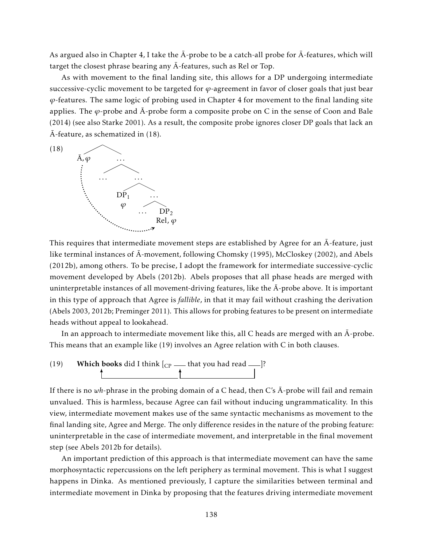As argued also in Chapter 4, I take the  $\bar{A}$ -probe to be a catch-all probe for  $\bar{A}$ -features, which will target the closest phrase bearing any  $\bar{A}$ -features, such as Rel or Top.

As with movement to the final landing site, this allows for a DP undergoing intermediate successive-cyclic movement to be targeted for *ϕ*-agreement in favor of closer goals that just bear *ϕ*-features. The same logic of probing used in Chapter 4 for movement to the final landing site applies. The  $\varphi$ -probe and  $\bar{A}$ -probe form a composite probe on C in the sense of Coon and Bale (2014) (see also Starke 2001). As a result, the composite probe ignores closer DP goals that lack an  $\bar{A}$ -feature, as schematized in (18).



This requires that intermediate movement steps are established by Agree for an  $\bar{A}$ -feature, just like terminal instances of A-movement, following Chomsky (1995), McCloskey (2002), and Abels ¯ (2012b), among others. To be precise, I adopt the framework for intermediate successive-cyclic movement developed by Abels (2012b). Abels proposes that all phase heads are merged with uninterpretable instances of all movement-driving features, like the  $\bar{A}$ -probe above. It is important in this type of approach that Agree is *fallible*, in that it may fail without crashing the derivation (Abels 2003, 2012b; Preminger 2011). This allows for probing features to be present on intermediate heads without appeal to lookahead.

In an approach to intermediate movement like this, all C heads are merged with an  $\bar{A}$ -probe. This means that an example like (19) involves an Agree relation with C in both clauses.

(19) Which books did I think  $[CP \rightarrow \text{that you had read}$   $]$ ?

If there is no  $wh$ -phrase in the probing domain of a C head, then C's  $\bar{A}$ -probe will fail and remain unvalued. This is harmless, because Agree can fail without inducing ungrammaticality. In this view, intermediate movement makes use of the same syntactic mechanisms as movement to the final landing site, Agree and Merge. The only difference resides in the nature of the probing feature: uninterpretable in the case of intermediate movement, and interpretable in the final movement step (see Abels 2012b for details).

An important prediction of this approach is that intermediate movement can have the same morphosyntactic repercussions on the left periphery as terminal movement. This is what I suggest happens in Dinka. As mentioned previously, I capture the similarities between terminal and intermediate movement in Dinka by proposing that the features driving intermediate movement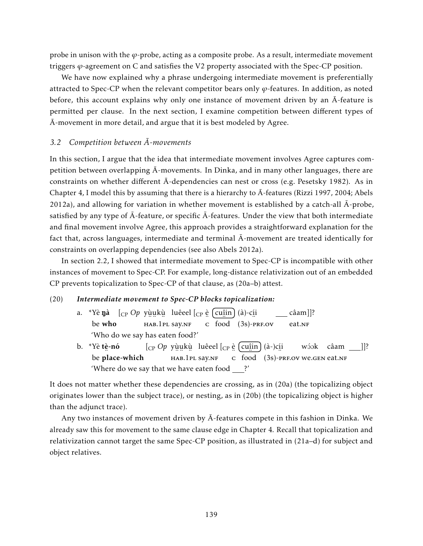probe in unison with the *ϕ*-probe, acting as a composite probe. As a result, intermediate movement triggers *ϕ*-agreement on C and satisfies the V2 property associated with the Spec-CP position.

We have now explained why a phrase undergoing intermediate movement is preferentially attracted to Spec-CP when the relevant competitor bears only  $\varphi$ -features. In addition, as noted before, this account explains why only one instance of movement driven by an  $\overline{A}$ -feature is permitted per clause. In the next section, I examine competition between different types of  $\bar{A}$ -movement in more detail, and argue that it is best modeled by Agree.

# *3.2 Competition between A-movements ¯*

In this section, I argue that the idea that intermediate movement involves Agree captures competition between overlapping  $\bar{A}$ -movements. In Dinka, and in many other languages, there are constraints on whether different Ā-dependencies can nest or cross (e.g. Pesetsky 1982). As in Chapter 4, I model this by assuming that there is a hierarchy to  $\bar{A}$ -features (Rizzi 1997, 2004; Abels 2012a), and allowing for variation in whether movement is established by a catch-all  $\bar{A}$ -probe, satisfied by any type of  $\bar{A}$ -feature, or specific  $\bar{A}$ -features. Under the view that both intermediate and final movement involve Agree, this approach provides a straightforward explanation for the fact that, across languages, intermediate and terminal  $\bar{A}$ -movement are treated identically for constraints on overlapping dependencies (see also Abels 2012a).

In section 2.2, I showed that intermediate movement to Spec-CP is incompatible with other instances of movement to Spec-CP. For example, long-distance relativization out of an embedded CP prevents topicalization to Spec-CP of that clause, as (20a–b) attest.

#### (20) *Intermediate movement to Spec-CP blocks topicalization:*

- a. \*Yè **ŋà** [<sub>CP</sub> *Op* yù̯u̯kù luêeel [<sub>CP</sub> è [cuî̯in] (à)-cí̯i be who ¨ ¨ ¨ hab.1pl say.nf  $\overline{\text{c}}$  food (3s)-PRF.OV câam]]? eat.nf 'Who do we say has eaten food?'
- b. \*Yè tè-nó be ¨ place-which [<sub>CP</sub> Op yùukù luêeel [<sub>CP</sub> è [cu<u>î</u>in] (à-)cíi ¨ ¨ ¨ hab.1pl say.nf  $\frac{1}{\cosh(3s)}$  - PRF.OV We.GEN eat.NF wɔ́ɔk câam \_\_\_]]? 'Where do we say that we have eaten food ?'

It does not matter whether these dependencies are crossing, as in (20a) (the topicalizing object originates lower than the subject trace), or nesting, as in (20b) (the topicalizing object is higher than the adjunct trace).

Any two instances of movement driven by  $\bar{A}$ -features compete in this fashion in Dinka. We already saw this for movement to the same clause edge in Chapter 4. Recall that topicalization and relativization cannot target the same Spec-CP position, as illustrated in (21a–d) for subject and object relatives.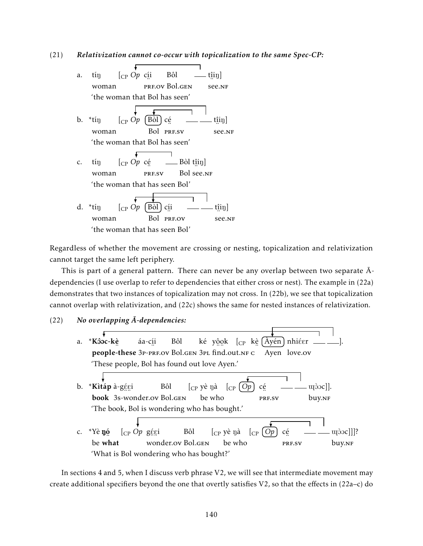(21) *Relativization cannot co-occur with topicalization to the same Spec-CP:*

a. tín woman [CP *Op* cí i ¨ prf.ov Bol.gen Bôl  $\hat{\min}$ ¨ see.nf 'the woman that Bol has seen'  $b.$  \*tín woman  $[$ <sub>CP</sub>  $Op$ Bol ¨ prf.sv [Bòl] cé  $\hat{\mathrm{t}}$ ịiŋ] ¨ see.nf 'the woman that Bol has seen' c. tín woman [CP *Op* cé …<br>PRF.SV Bòl t<u>î</u>iŋ] Bol ¨ see.nf 'the woman that has seen Bol' d.  $*$ tín woman  $\int_{CP} Op$   $\int$ Bòl<sup>-1</sup> Bol ¨ prf.ov cí i  $\hat{\mathrm{t}}$ iŋ] ¨ see.nf 'the woman that has seen Bol'

Regardless of whether the movement are crossing or nesting, topicalization and relativization cannot target the same left periphery.

This is part of a general pattern. There can never be any overlap between two separate  $\bar{A}$ dependencies (I use overlap to refer to dependencies that either cross or nest). The example in (22a) demonstrates that two instances of topicalization may not cross. In (22b), we see that topicalization cannot overlap with relativization, and (22c) shows the same for nested instances of relativization.

#### (22) No overlapping  $\bar{A}$ -dependencies:

a. \*Kôoc-kè people-these 3p-prf.ov Bol.gen 3pl find.out.nf c Ayen love.ov áa-cí i Bôl ké y<u>ôo</u>k [<sub>CP</sub> kè̯(Àyén)nhiéer ]. 'These people, Bol has found out love Ayen.' b. \***Kìtáp** à-g<u>ée</u>i book 。<br>3s-wonder.ov Bol.gen Bôl  $\begin{bmatrix} C_P \ \end{bmatrix}$ yè nà  $\begin{bmatrix} C_P \ \end{bmatrix}$   $\begin{bmatrix} Op \ \end{bmatrix}$  cé be who …<br>PRF.SV ujòoc]]. buy.nf 'The book, Bol is wondering who has bought.' c. \*Yè **ŋ**ó be ء.<br>what  $\begin{bmatrix} C_P & Qp & g \xi \xi \end{bmatrix}$ o...<br>wonder.ov Bol.g<mark>e</mark>n Bôl  $[$ <sub>CP</sub> yè ŋà be who  $\left[$ <sub>CP</sub>  $\left[$  Op  $\right]$  cé ¨ prf.sv  $[U]$ <sub>[2]</sub> $[O]$ buy.nf 'What is Bol wondering who has bought?'

In sections 4 and 5, when I discuss verb phrase V2, we will see that intermediate movement may create additional specifiers beyond the one that overtly satisfies  $V_2$ , so that the effects in (22a–c) do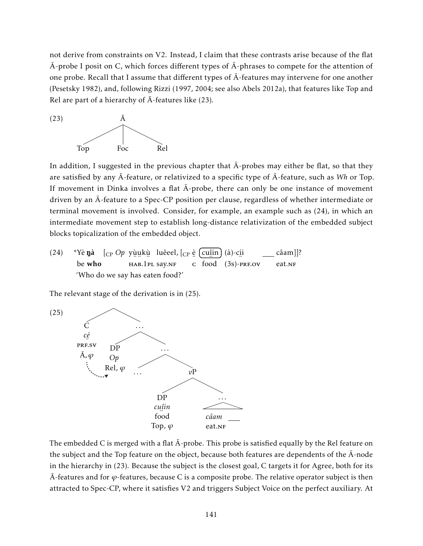not derive from constraints on V2. Instead, I claim that these contrasts arise because of the flat  $\bar{A}$ -probe I posit on C, which forces different types of  $\bar{A}$ -phrases to compete for the attention of one probe. Recall that I assume that different types of  $\bar{A}$ -features may intervene for one another (Pesetsky 1982), and, following Rizzi (1997, 2004; see also Abels 2012a), that features like Top and Rel are part of a hierarchy of  $\bar{A}$ -features like (23).



In addition, I suggested in the previous chapter that  $\bar{A}$ -probes may either be flat, so that they are satisfied by any  $\bar{A}$ -feature, or relativized to a specific type of  $\bar{A}$ -feature, such as *Wh* or Top. If movement in Dinka involves a flat  $\bar{A}$ -probe, there can only be one instance of movement driven by an A-feature to a Spec-CP position per clause, regardless of whether intermediate or ¯ terminal movement is involved. Consider, for example, an example such as (24), in which an intermediate movement step to establish long-distance relativization of the embedded subject blocks topicalization of the embedded object.

 $(24)$ be who **ŋà** [<sub>CP</sub> *Op* yù̯u̯kù luêeel, [<sub>CP</sub> è <mark>(cu</mark>îin ¨ ¨ ¨ hab.1pl say.nf  $\overline{\text{c}}$  food (3s)-PRF.OV (à)-cí i câam]]? eat.<sub>NF</sub> 'Who do we say has eaten food?'

The relevant stage of the derivation is in (25).



The embedded C is merged with a flat  $\bar{A}$ -probe. This probe is satisfied equally by the Rel feature on the subject and the Top feature on the object, because both features are dependents of the  $\bar{A}$ -node in the hierarchy in (23). Because the subject is the closest goal, C targets it for Agree, both for its  $\bar{A}$ -features and for  $\varphi$ -features, because C is a composite probe. The relative operator subject is then attracted to Spec-CP, where it satisfies V2 and triggers Subject Voice on the perfect auxiliary. At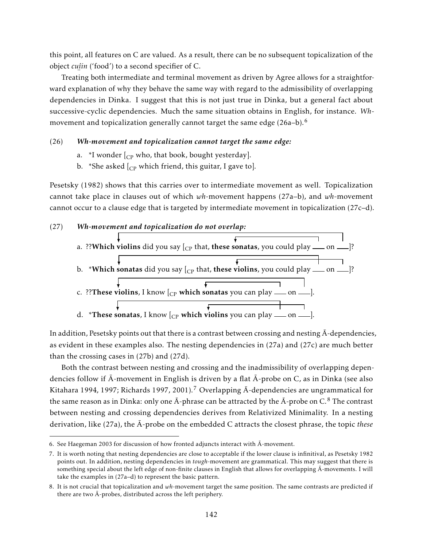this point, all features on C are valued. As a result, there can be no subsequent topicalization of the object *cuî in* ('food') to a second specifier of C.

¨ Treating both intermediate and terminal movement as driven by Agree allows for a straightforward explanation of why they behave the same way with regard to the admissibility of overlapping dependencies in Dinka. I suggest that this is not just true in Dinka, but a general fact about successive-cyclic dependencies. Much the same situation obtains in English, for instance. *Wh*movement and topicalization generally cannot target the same edge (26a–b).<sup>6</sup>

### (26) *Wh-movement and topicalization cannot target the same edge:*

- a. \*I wonder  $\left[$ <sub>CP</sub> who, that book, bought yesterday].
- b. \*She asked  $\begin{bmatrix} C_P \end{bmatrix}$  which friend, this guitar, I gave to].

Pesetsky (1982) shows that this carries over to intermediate movement as well. Topicalization cannot take place in clauses out of which *wh*-movement happens (27a–b), and *wh*-movement cannot occur to a clause edge that is targeted by intermediate movement in topicalization (27c–d).

### (27) *Wh-movement and topicalization do not overlap:*



In addition, Pesetsky points out that there is a contrast between crossing and nesting  $\bar{A}$ -dependencies, as evident in these examples also. The nesting dependencies in (27a) and (27c) are much better than the crossing cases in (27b) and (27d).

Both the contrast between nesting and crossing and the inadmissibility of overlapping dependencies follow if  $\bar{A}$ -movement in English is driven by a flat  $\bar{A}$ -probe on C, as in Dinka (see also Kitahara 1994, 1997; Richards 1997, 2001).<sup>7</sup> Overlapping  $\bar{A}$ -dependencies are ungrammatical for the same reason as in Dinka: only one  $\bar{A}$ -phrase can be attracted by the  $\bar{A}$ -probe on C.<sup>8</sup> The contrast between nesting and crossing dependencies derives from Relativized Minimality. In a nesting derivation, like  $(27a)$ , the  $\overline{A}$ -probe on the embedded C attracts the closest phrase, the topic *these* 

<sup>6.</sup> See Haegeman 2003 for discussion of how fronted adjuncts interact with  $\bar{A}$ -movement.

<sup>7.</sup> It is worth noting that nesting dependencies are close to acceptable if the lower clause is infinitival, as Pesetsky 1982 points out. In addition, nesting dependencies in *tough*-movement are grammatical. This may suggest that there is something special about the left edge of non-finite clauses in English that allows for overlapping  $\bar{A}$ -movements. I will take the examples in (27a–d) to represent the basic pattern.

<sup>8.</sup> It is not crucial that topicalization and *wh*-movement target the same position. The same contrasts are predicted if there are two  $\bar{A}$ -probes, distributed across the left periphery.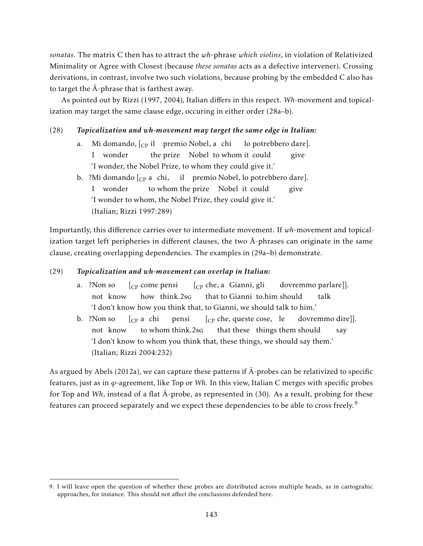*sonatas*. The matrix C then has to attract the *wh*-phrase *which violins*, in violation of Relativized Minimality or Agree with Closest (because *these sonatas* acts as a defective intervener). Crossing derivations, in contrast, involve two such violations, because probing by the embedded C also has to target the  $\bar{A}$ -phrase that is farthest away.

As pointed out by Rizzi (1997, 2004), Italian differs in this respect. *Wh*-movement and topicalization may target the same clause edge, occuring in either order (28a–b).

## (28) *Topicalization and wh-movement may target the same edge in Italian:*

- a. Mi domando, [<sub>CP</sub> il ) premio Nobel, a chi I wonder the prize Nobel to whom it could lo potrebbero dare]. give 'I wonder, the Nobel Prize, to whom they could give it.'
- b. ?Mi domando  $\begin{bmatrix} \text{Cp} \end{bmatrix}$ a chi, il premio Nobel, lo potrebbero dare]. I wonder to whom the prize Nobel it could give 'I wonder to whom, the Nobel Prize, they could give it.' (Italian; Rizzi 1997:289)

Importantly, this difference carries over to intermediate movement. If *wh*-movement and topicalization target left peripheries in different clauses, the two  $\bar{A}$ -phrases can originate in the same clause, creating overlapping dependencies. The examples in (29a–b) demonstrate.

## (29) *Topicalization and wh-movement can overlap in Italian:*

- a. ?Non so not know [CP come pensi how think.2sg [CP che, a Gianni, gli that to Gianni to.him should dovremmo parlare]]. talk 'I don't know how you think that, to Gianni, we should talk to him.'
- b. ?Non so not know  $[_{\mathrm{CP}}$  a  $\,$  chi to whom think.2sg pensi [CP che, queste cose, le that these things them should dovremmo dire]]. say 'I don't know to whom you think that, these things, we should say them.' (Italian; Rizzi 2004:232)

As argued by Abels (2012a), we can capture these patterns if  $\bar{A}$ -probes can be relativized to specific features, just as in *ϕ*-agreement, like Top or *Wh*. In this view, Italian C merges with specific probes for Top and *Wh*, instead of a flat  $\bar{A}$ -probe, as represented in (30). As a result, probing for these features can proceed separately and we expect these dependencies to be able to cross freely.<sup>9</sup>

<sup>9.</sup> I will leave open the question of whether these probes are distributed across multiple heads, as in cartograhic approaches, for instance. This should not affect the conclusions defended here.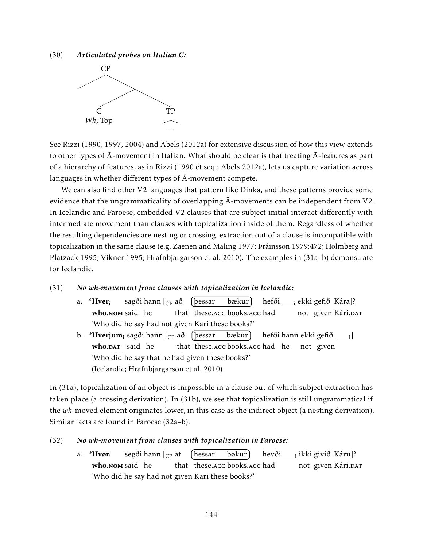(30) *Articulated probes on Italian C:*



See Rizzi (1990, 1997, 2004) and Abels (2012a) for extensive discussion of how this view extends to other types of  $\bar{A}$ -movement in Italian. What should be clear is that treating  $\bar{A}$ -features as part of a hierarchy of features, as in Rizzi (1990 et seq.; Abels 2012a), lets us capture variation across languages in whether different types of  $\bar{A}$ -movement compete.

We can also find other V2 languages that pattern like Dinka, and these patterns provide some evidence that the ungrammaticality of overlapping  $\bar{A}$ -movements can be independent from V2. In Icelandic and Faroese, embedded V2 clauses that are subject-initial interact differently with intermediate movement than clauses with topicalization inside of them. Regardless of whether the resulting dependencies are nesting or crossing, extraction out of a clause is incompatible with topicalization in the same clause (e.g. Zaenen and Maling 1977; Þráinsson 1979:472; Holmberg and Platzack 1995; Vikner 1995; Hrafnbjargarson et al. 2010). The examples in (31a–b) demonstrate for Icelandic.

## (31) *No wh-movement from clauses with topicalization in Icelandic:*

- a. \*Hver<sup>i</sup> who.Nom said he sagði hann [<sub>CP</sub> að that these.acc books.acc had þessar bækur hefði <sub>——i</sub> ekki gefið Kára]? not given Kári.<sub>DAT</sub> 'Who did he say had not given Kari these books?'
- b. \***Hverjum<sub>i</sub> sagði hann [<sub>CP</sub> að [þessar bækur** who.DAT said he that these.acc books.acc had he not given hefði hann ekki gefið <sub>\_\_\_\_i</sub>] 'Who did he say that he had given these books?' (Icelandic; Hrafnbjargarson et al. 2010)

In (31a), topicalization of an object is impossible in a clause out of which subject extraction has taken place (a crossing derivation). In (31b), we see that topicalization is still ungrammatical if the *wh*-moved element originates lower, in this case as the indirect object (a nesting derivation). Similar facts are found in Faroese (32a–b).

## (32) *No wh-movement from clauses with topicalization in Faroese:*

a.  $*Hvør_i$ who.Nom said he segði hann [<sub>CP</sub> at that these.acc books.acc had hessar bøkur hevði <sub>— i</sub> ikki givið Káru]? not given Kári.<sub>DAT</sub> 'Who did he say had not given Kari these books?'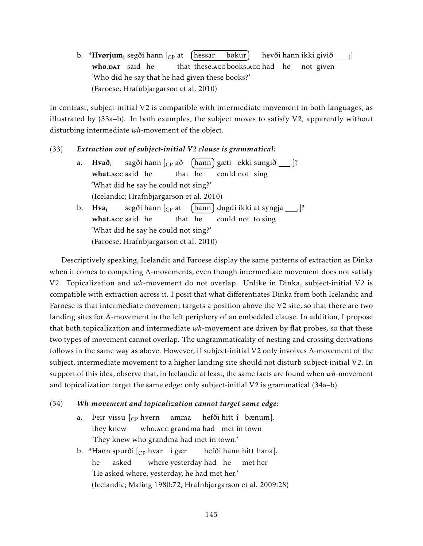b. \***Hvørjum<sub>i</sub> segði hann [<sub>CP</sub> at (hessar bøkur** who.DAT said he that these.acc books.acc had he hevði hann ikki givið <sub>——i</sub>] not given 'Who did he say that he had given these books?' (Faroese; Hrafnbjargarson et al. 2010)

In contrast, subject-initial V2 is compatible with intermediate movement in both languages, as illustrated by  $(33a-b)$ . In both examples, the subject moves to satisfy V2, apparently without disturbing intermediate *wh*-movement of the object.

### (33) *Extraction out of subject-initial V2 clause is grammatical:*

- a. Hvað<sup>i</sup> what.Acc said he sagði hann [<sub>CP</sub> að that he hann) gæti) ekki sungið <sub>——i</sub>]? could not sing 'What did he say he could not sing?' (Icelandic; Hrafnbjargarson et al. 2010)
- b. Hva<sub>i</sub> what.Acc said he segði hann [<sub>CP</sub> at that he hann] dugdi ikki at syngja \_\_\_<sub>i</sub>]? could not to sing 'What did he say he could not sing?' (Faroese; Hrafnbjargarson et al. 2010)

Descriptively speaking, Icelandic and Faroese display the same patterns of extraction as Dinka when it comes to competing  $\bar{A}$ -movements, even though intermediate movement does not satisfy V2. Topicalization and *wh*-movement do not overlap. Unlike in Dinka, subject-initial V2 is compatible with extraction across it. I posit that what differentiates Dinka from both Icelandic and Faroese is that intermediate movement targets a position above the V2 site, so that there are two landing sites for  $\bar{A}$ -movement in the left periphery of an embedded clause. In addition, I propose that both topicalization and intermediate *wh*-movement are driven by flat probes, so that these two types of movement cannot overlap. The ungrammaticality of nesting and crossing derivations follows in the same way as above. However, if subject-initial V2 only involves A-movement of the subject, intermediate movement to a higher landing site should not disturb subject-initial V2. In support of this idea, observe that, in Icelandic at least, the same facts are found when *wh*-movement and topicalization target the same edge: only subject-initial V2 is grammatical (34a–b).

#### (34) *Wh-movement and topicalization cannot target same edge:*

- a. Þeir vissu [<sub>CP</sub> hvern amma they knew who.acc grandma had met in town hefði hitt í bænum]. 'They knew who grandma had met in town.'
- b. \*Hann spurði [<sub>CP</sub> hvar) í gær he asked where yesterday had he hefði hann hitt hana]. met her 'He asked where, yesterday, he had met her.' (Icelandic; Maling 1980:72, Hrafnbjargarson et al. 2009:28)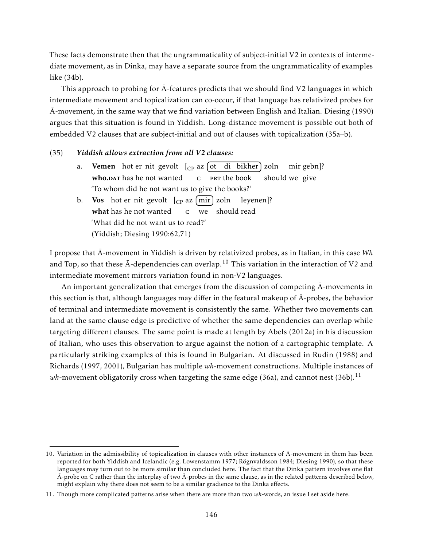These facts demonstrate then that the ungrammaticality of subject-initial V2 in contexts of intermediate movement, as in Dinka, may have a separate source from the ungrammaticality of examples like (34b).

This approach to probing for  $\bar{A}$ -features predicts that we should find V2 languages in which intermediate movement and topicalization can co-occur, if that language has relativized probes for A-movement, in the same way that we find variation between English and Italian. Diesing (1990) ¯ argues that this situation is found in Yiddish. Long-distance movement is possible out both of embedded V2 clauses that are subject-initial and out of clauses with topicalization (35a–b).

#### (35) *Yiddish allows extraction from all V2 clauses:*

- a. **Vemen** hot er nit gevolt [<sub>CP</sub> az [ot di bikher] zoln mir gebn]? who.DAT has he not wanted c PRT the book should we give 'To whom did he not want us to give the books?'
- b. Vos hot er nit gevolt  $\lbrack_{\text{CP}}$  az  $\lfloor \text{mir} \rfloor$  zoln what has he not wanted c we should read leyenen]? 'What did he not want us to read?' (Yiddish; Diesing 1990:62,71)

I propose that  $\bar{A}$ -movement in Yiddish is driven by relativized probes, as in Italian, in this case Wh and Top, so that these  $\bar{A}$ -dependencies can overlap.<sup>10</sup> This variation in the interaction of V2 and intermediate movement mirrors variation found in non-V2 languages.

An important generalization that emerges from the discussion of competing  $\overline{A}$ -movements in this section is that, although languages may differ in the featural makeup of  $\bar{A}$ -probes, the behavior of terminal and intermediate movement is consistently the same. Whether two movements can land at the same clause edge is predictive of whether the same dependencies can overlap while targeting different clauses. The same point is made at length by Abels (2012a) in his discussion of Italian, who uses this observation to argue against the notion of a cartographic template. A particularly striking examples of this is found in Bulgarian. At discussed in Rudin (1988) and Richards (1997, 2001), Bulgarian has multiple *wh*-movement constructions. Multiple instances of *wh*-movement obligatorily cross when targeting the same edge (36a), and cannot nest (36b).<sup>11</sup>

<sup>10.</sup> Variation in the admissibility of topicalization in clauses with other instances of  $\bar{A}$ -movement in them has been reported for both Yiddish and Icelandic (e.g. Lowenstamm 1977; Rögnvaldsson 1984; Diesing 1990), so that these languages may turn out to be more similar than concluded here. The fact that the Dinka pattern involves one flat  $\bar{A}$ -probe on C rather than the interplay of two  $\bar{A}$ -probes in the same clause, as in the related patterns described below, might explain why there does not seem to be a similar gradience to the Dinka effects.

<sup>11.</sup> Though more complicated patterns arise when there are more than two *wh*-words, an issue I set aside here.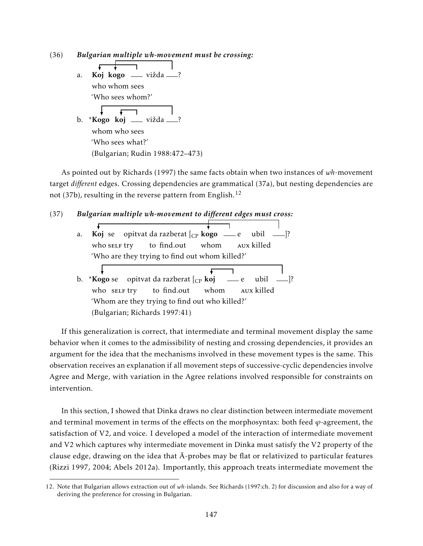(36) *Bulgarian multiple wh-movement must be crossing:*

 $\mathbf{r}$  $\mathbf{L}$ a. **Koj kogo** — vižda —? who whom sees 'Who sees whom?'  $\sqrt{ }$ b. \***Kogo koj \_\_** vižda \_\_\_? whom who sees 'Who sees what?' (Bulgarian; Rudin 1988:472–473)

As pointed out by Richards (1997) the same facts obtain when two instances of *wh*-movement target *different* edges. Crossing dependencies are grammatical (37a), but nesting dependencies are not (37b), resulting in the reverse pattern from English.<sup>12</sup>

### (37) *Bulgarian multiple wh-movement to different edges must cross:*

| a. | <b>Koj</b> se opitvat da razberat $\begin{bmatrix} C_P & \text{kogo} & \text{else} \end{bmatrix}$ while $\begin{bmatrix} C_P & \text{key} \end{bmatrix}$ ? |  |  |  |  |  |  |
|----|------------------------------------------------------------------------------------------------------------------------------------------------------------|--|--|--|--|--|--|
|    | who self try to find.out whom AUX killed                                                                                                                   |  |  |  |  |  |  |
|    | 'Who are they trying to find out whom killed?'                                                                                                             |  |  |  |  |  |  |
|    |                                                                                                                                                            |  |  |  |  |  |  |
|    | b. * <b>Kogo</b> se opitvat da razberat $\begin{bmatrix} c_P & \mathbf{k} & \mathbf{0} \\ 0 & \mathbf{k} & \mathbf{0} \end{bmatrix}$ = e ubil =  ?         |  |  |  |  |  |  |
|    | who self try to find.out whom AUX killed                                                                                                                   |  |  |  |  |  |  |
|    | 'Whom are they trying to find out who killed?'                                                                                                             |  |  |  |  |  |  |
|    | (Bulgarian; Richards 1997:41)                                                                                                                              |  |  |  |  |  |  |

If this generalization is correct, that intermediate and terminal movement display the same behavior when it comes to the admissibility of nesting and crossing dependencies, it provides an argument for the idea that the mechanisms involved in these movement types is the same. This observation receives an explanation if all movement steps of successive-cyclic dependencies involve Agree and Merge, with variation in the Agree relations involved responsible for constraints on intervention.

In this section, I showed that Dinka draws no clear distinction between intermediate movement and terminal movement in terms of the effects on the morphosyntax: both feed  $\varphi$ -agreement, the satisfaction of V2, and voice. I developed a model of the interaction of intermediate movement and V2 which captures why intermediate movement in Dinka must satisfy the V2 property of the clause edge, drawing on the idea that  $\bar{A}$ -probes may be flat or relativized to particular features (Rizzi 1997, 2004; Abels 2012a). Importantly, this approach treats intermediate movement the

<sup>12.</sup> Note that Bulgarian allows extraction out of *wh*-islands. See Richards (1997:ch. 2) for discussion and also for a way of deriving the preference for crossing in Bulgarian.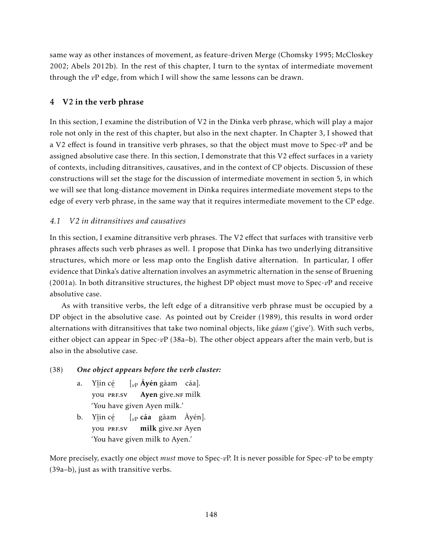same way as other instances of movement, as feature-driven Merge (Chomsky 1995; McCloskey 2002; Abels 2012b). In the rest of this chapter, I turn to the syntax of intermediate movement through the *v*P edge, from which I will show the same lessons can be drawn.

# 4 V2 in the verb phrase

In this section, I examine the distribution of V2 in the Dinka verb phrase, which will play a major role not only in the rest of this chapter, but also in the next chapter. In Chapter 3, I showed that a V2 effect is found in transitive verb phrases, so that the object must move to Spec-*v*P and be assigned absolutive case there. In this section, I demonstrate that this V2 effect surfaces in a variety of contexts, including ditransitives, causatives, and in the context of CP objects. Discussion of these constructions will set the stage for the discussion of intermediate movement in section 5, in which we will see that long-distance movement in Dinka requires intermediate movement steps to the edge of every verb phrase, in the same way that it requires intermediate movement to the CP edge.

### *4.1 V2 in ditransitives and causatives*

In this section, I examine ditransitive verb phrases. The V2 effect that surfaces with transitive verb phrases affects such verb phrases as well. I propose that Dinka has two underlying ditransitive structures, which more or less map onto the English dative alternation. In particular, I offer evidence that Dinka's dative alternation involves an asymmetric alternation in the sense of Bruening (2001a). In both ditransitive structures, the highest DP object must move to Spec-*v*P and receive absolutive case.

As with transitive verbs, the left edge of a ditransitive verb phrase must be occupied by a DP object in the absolutive case. As pointed out by Creider (1989), this results in word order alternations with ditransitives that take two nominal objects, like *gâam* ('give'). With such verbs, either object can appear in Spec-*v*P (38a–b). The other object appears after the main verb, but is also in the absolutive case.

### (38) *One object appears before the verb cluster:*

- a. Yî in cé … ∴<br>you PRF.SV [*v*<sup>P</sup> Àyén gàam cáa]. Ayen give.NF milk 'You have given Ayen milk.'
- b. Yî in cé … …<br>you prf.sv [*v*<sup>P</sup> cáa gàam Àyén]. milk give.NF Ayen 'You have given milk to Ayen.'

More precisely, exactly one object *must* move to Spec-*v*P. It is never possible for Spec-*v*P to be empty (39a–b), just as with transitive verbs.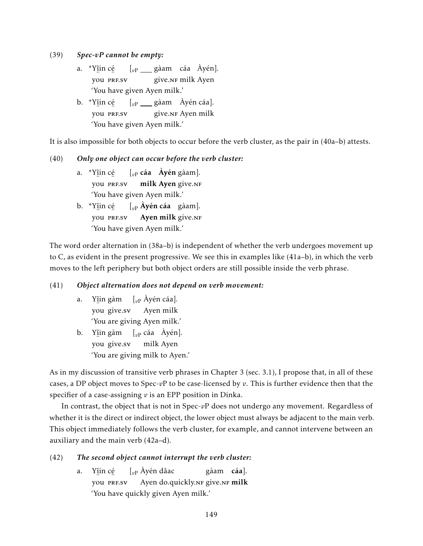(39) *Spec-vP cannot be empty:*

- a. \*Yî in cé … ∴<br>you PRF.SV [<sub>vP</sub> gàam cáa Áyén]. give.NF milk Ayen 'You have given Ayen milk.'
- b. \*Yî in cé … …<br>you prf.sv [<sub>vP</sub> \_\_\_ gàam Àyén cáa]. give.NF Ayen milk 'You have given Ayen milk.'

It is also impossible for both objects to occur before the verb cluster, as the pair in (40a–b) attests.

### (40) *Only one object can occur before the verb cluster:*

- a. \*Yî in cé … …<br>you prf.sv [*v*<sup>P</sup> cáa Àyén gàam]. milk Ayen give.NF 'You have given Ayen milk.'
- b. \*Yî in cé …<br>you prf.sv [*v*<sup>P</sup> Àyén cáa gàam]. Ayen milk give.NF 'You have given Ayen milk.'

The word order alternation in (38a–b) is independent of whether the verb undergoes movement up to C, as evident in the present progressive. We see this in examples like (41a–b), in which the verb moves to the left periphery but both object orders are still possible inside the verb phrase.

### (41) *Object alternation does not depend on verb movement:*

- a. Yî in gàm ¨ you give.sv [*v*<sup>P</sup> Àyén cáa]. Ayen milk 'You are giving Ayen milk.'
- b. Y<u>î</u>in gàm [<sub>vP</sub> cáa Âyén]. ¨ you give.sv milk Ayen 'You are giving milk to Ayen.'

As in my discussion of transitive verb phrases in Chapter 3 (sec. 3.1), I propose that, in all of these cases, a DP object moves to Spec-*v*P to be case-licensed by *v*. This is further evidence then that the specifier of a case-assigning *v* is an EPP position in Dinka.

In contrast, the object that is not in Spec-*v*P does not undergo any movement. Regardless of whether it is the direct or indirect object, the lower object must always be adjacent to the main verb. This object immediately follows the verb cluster, for example, and cannot intervene between an auxiliary and the main verb (42a–d).

### (42) *The second object cannot interrupt the verb cluster:*

a. Yî in cé … …<br>you prf.sv [*v*<sup>P</sup> Àyén dâac Ayen do.quickly.NF give.NF milk gàam cáa]. 'You have quickly given Ayen milk.'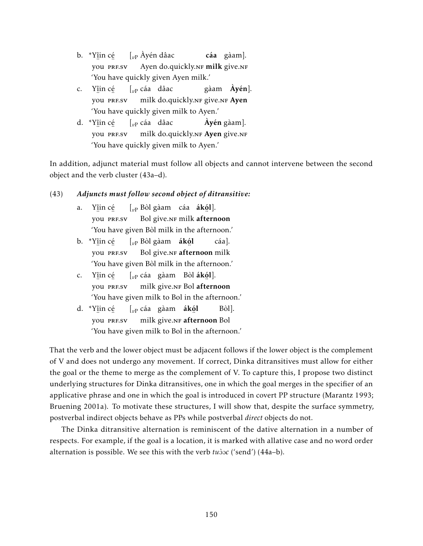- b. \*Yî in cé …<br>you prf.sv [*v*<sup>P</sup> Àyén dâac Ayen do.quickly.NF milk give.NF cáa gàam]. 'You have quickly given Ayen milk.'
- c. Yî in cé … …<br>you prf.sv [*v*<sup>P</sup> cáa dâac milk do.quickly.nr give.nr A<mark>yen</mark> gàam Àyén]. 'You have quickly given milk to Ayen.'
- d. \*Yî in cé …<br>you prf.sv [*v*<sup>P</sup> cáa dâac milk do.quickly.n<mark>f Ayen</mark> give.nf Àyén gàam]. 'You have quickly given milk to Ayen.'

In addition, adjunct material must follow all objects and cannot intervene between the second object and the verb cluster (43a–d).

### (43) *Adjuncts must follow second object of ditransitive:*

- a. Yî in cé … …<br>you prf.sv [*v*<sup>P</sup> Bòl gàam cáa ákó l]. Bol give.NF milk ¨ afternoon 'You have given Bòl milk in the afternoon.'
- b. \*Yî in cé … ∴<br>you PRF.SV [*v*<sup>P</sup> Bòl gàam ákó l Bol give.nr **afternoon** milk cáa]. 'You have given Bòl milk in the afternoon.'
- c. Yî in cé … …<br>you prf.sv [*v*<sup>P</sup> cáa gàam Bòl ákó l]. milk give.<mark>NF Bol</mark> ¨ afternoon 'You have given milk to Bol in the afternoon.'
- d. \*Yî in cé … ∴<br>you PRF.SV [*v*<sup>P</sup> cáa gàam ákó l milk give.nr **afternoon** Bol Bòl]. 'You have given milk to Bol in the afternoon.'

That the verb and the lower object must be adjacent follows if the lower object is the complement of V and does not undergo any movement. If correct, Dinka ditransitives must allow for either the goal or the theme to merge as the complement of V. To capture this, I propose two distinct underlying structures for Dinka ditransitives, one in which the goal merges in the specifier of an applicative phrase and one in which the goal is introduced in covert PP structure (Marantz 1993; Bruening 2001a). To motivate these structures, I will show that, despite the surface symmetry, postverbal indirect objects behave as PPs while postverbal *direct* objects do not.

The Dinka ditransitive alternation is reminiscent of the dative alternation in a number of respects. For example, if the goal is a location, it is marked with allative case and no word order alternation is possible. We see this with the verb *tuboc* ('send') (44a–b).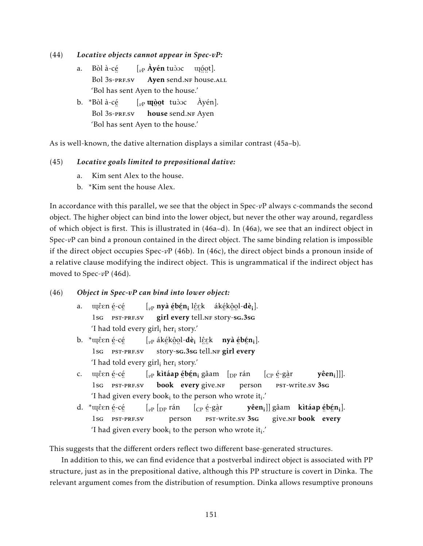- (44) *Locative objects cannot appear in Spec-vP:*
	- a. Bòl à-cé Bol 3s-prf.sv  $\left[ v_{\rm P} \right]$  **Ayén** tudoc ugget]. Ayen send.NF house.ALL 'Bol has sent Ayen to the house.'
	- b. \*Bòl à-cé ..<br>Bol 3s-prf.sv [<sub>vP</sub> **u**ngot tudoc Àyén]. ∙....<br>**house** send.nf Ayen 'Bol has sent Ayen to the house.'

As is well-known, the dative alternation displays a similar contrast (45a–b).

### (45) *Locative goals limited to prepositional dative:*

- a. Kim sent Alex to the house.
- b. \*Kim sent the house Alex.

In accordance with this parallel, we see that the object in Spec-*v*P always c-commands the second object. The higher object can bind into the lower object, but never the other way around, regardless of which object is first. This is illustrated in (46a–d). In (46a), we see that an indirect object in Spec-*vP* can bind a pronoun contained in the direct object. The same binding relation is impossible if the direct object occupies Spec- $vP$  (46b). In (46c), the direct object binds a pronoun inside of a relative clause modifying the indirect object. This is ungrammatical if the indirect object has moved to Spec-*v*P (46d).

#### (46) *Object in Spec-vP can bind into lower object:*

- a. uçêen é-cé 1sg PST-PRF.SV [<sub>vP</sub> **nyà ébén;** lê̯ɛk áké̯kô̯ol-**dè;**]. ے۔<br>girl eve every ∷ مستقطة.<br>tell.nf story-s<mark>g.3sg</mark> 'I had told every girl; her<sub>i</sub> story.'
- b. \*ɯɛ̂ɛn é̯-cé̯ 1sg ¨ ¨ pst-prf.sv [<sub>vP</sub> ák<u>ékôo</u>l-**dè**<sub>i</sub> lêek **nyà ébén**<sub>i</sub>]. story-sg.3sg tell.nf girl eve every 'I had told every girl<sub>i</sub> her<sub>i</sub> story.'
- c. uçêen é-cé 1sg PST-PRF.SV  $\left[\begin{smallmatrix}\vphantom{\overline{T}}_{\nu\mathrm{P}}&\hphantom{\overline{T}}\hphantom{\overline{T}}\hphantom{\overline{T}}\hphantom{\overline{T}}&\hphantom{\overline{T}}\hphantom{\overline{T}}\hphantom{\overline{T}}&\hphantom{\overline{T}}\hphantom{\overline{T}}\hphantom{\overline{T}}&\hphantom{\overline{T}}\hphantom{\overline{T}}&\hphantom{\overline{T}}\hphantom{\overline{T}}&\hphantom{\overline{T}}\hphantom{\overline{T}}&\hphantom{\overline{T}}\hphantom{\overline{T}}&\hphantom{\overline{T}}\hphantom{\overline{T}}&\hphantom{\overline{T$ book eve every give.NF person [CP é -gà r ¨ ¨ pst-write.sv 3sg yêen<sub>i</sub>]]]. 'I had given every book $_i$  to the person who wrote it $_i$ .'
- d. \*ϐen é-cé 1sg ¨ ¨ pst-prf.sv  $\int_{v}$   $\int_{v}$   $\int_{v}$   $\int_{v}$   $\int_{v}$   $\int_{v}$   $\int_{v}$   $\int_{v}$   $\int_{v}$   $\int_{v}$   $\int_{v}$   $\int_{v}$   $\int_{v}$   $\int_{v}$   $\int_{v}$   $\int_{v}$   $\int_{v}$   $\int_{v}$   $\int_{v}$   $\int_{v}$   $\int_{v}$   $\int_{v}$   $\int_{v}$   $\int_{v}$   $\int_{v}$   $\int_{v}$   $\int_{v}$   $\int_{v$ person [CP é -gà r .. o..<br>pst-write.sv <mark>3s</mark>G **yêen<sub>i</sub>]] gâam — kìtáap ébén<sub>i</sub>].** give.nr **book** eve every 'I had given every book $_i$  to the person who wrote it $_i$ .'

This suggests that the different orders reflect two different base-generated structures.

In addition to this, we can find evidence that a postverbal indirect object is associated with PP structure, just as in the prepositional dative, although this PP structure is covert in Dinka. The relevant argument comes from the distribution of resumption. Dinka allows resumptive pronouns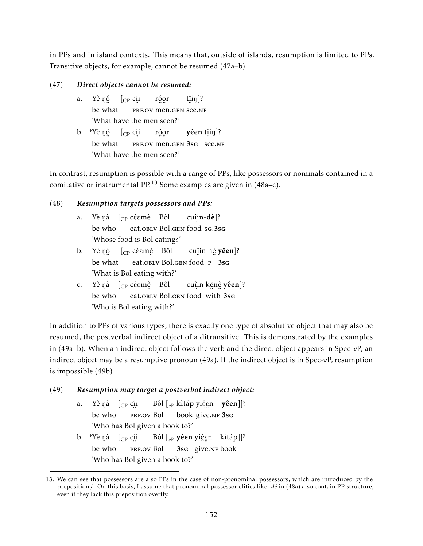in PPs and in island contexts. This means that, outside of islands, resumption is limited to PPs. Transitive objects, for example, cannot be resumed (47a–b).

### (47) *Direct objects cannot be resumed:*

- a. Yè nó [<sub>CP</sub> c<u>í</u>i be ¨ what … … … … "<br>PRF.OV men.GEN See.NF róor t<u>î</u>iŋ]? 'What have the men seen?'
- b. \*Yè ŋó [<sub>CP</sub> c<u>í</u>i be ¨ what **PRF.OV MEN.GEN 3sg** see.NF róor **yêen** t<u>î</u>iŋ]? 'What have the men seen?'

In contrast, resumption is possible with a range of PPs, like possessors or nominals contained in a comitative or instrumental PP.<sup>13</sup> Some examples are given in  $(48a-c)$ .

### (48) *Resumption targets possessors and PPs:*

- a. Yè ŋà [<sub>CP</sub> céɛmè Bôl be who ¨ eat.oblv Bol.gen ¨ food-sg.3sg cu<u>î</u>in-**dè**]? 'Whose food is Bol eating?'
- b. Yè nó  $\left[$   $\right]$   $\left[$   $\right]$   $\in$   $\mathbb{R}$   $\left[$   $\right]$   $\in$   $\mathbb{R}$   $\mathbb{R}$   $\left[$   $\right]$   $\in$   $\mathbb{R}$   $\mathbb{R}$   $\mathbb{R}$   $\mathbb{R}$   $\mathbb{R}$   $\mathbb{R}$   $\mathbb{R}$   $\mathbb{R}$   $\mathbb{R}$   $\mathbb{R}$   $\mathbb{R}$   $\mathbb{R}$   $\mathbb{R}$   $\mathbb{R$ be ¨ what eat.oblv Bol.gen food P 3sg cu<u>î</u>in n<u>è</u> **yêen**]? 'What is Bol eating with?'
- c. Yè ŋà [<sub>CP</sub> céɛmè Bôl be who eat.oblv Bol.gen food with 3sg cu<u>î</u>in k<u>è</u>nè **yêen**]? 'Who is Bol eating with?'

In addition to PPs of various types, there is exactly one type of absolutive object that may also be resumed, the postverbal indirect object of a ditransitive. This is demonstrated by the examples in (49a–b). When an indirect object follows the verb and the direct object appears in Spec-*v*P, an indirect object may be a resumptive pronoun (49a). If the indirect object is in Spec-*v*P, resumption is impossible (49b).

### (49) *Resumption may target a postverbal indirect object:*

- a. be who ŋà [<sub>CP</sub> c<u>í</u>i er de la de la de la de la de la de la de la de la de la de la de la de la de la de la de la de la de la de la<br>Deservación de la de la de la de la de la de la de la de la de la de la de la de la de la de la de la de la de Bôl [<sub>vP</sub> kìtáp yi<u>ệ</u>gn **yêen**]]? <sub>2</sub> = 3s<sub>G</sub><br>give.nf 3sg 'Who has Bol given a book to?'
- b. \*Yè ŋà [<sub>CP</sub> cíi Bôl [<sub>vP</sub> **yêen** yiệẹn kìtáp]]? be who PRF.OV Bol 3sg give.NF book 'Who has Bol given a book to?'

<sup>13.</sup> We can see that possessors are also PPs in the case of non-pronominal possessors, which are introduced by the preposition *è* . On this basis, I assume that pronominal possessor clitics like -*dè* in (48a) also contain PP structure, even if they lack this preposition overtly.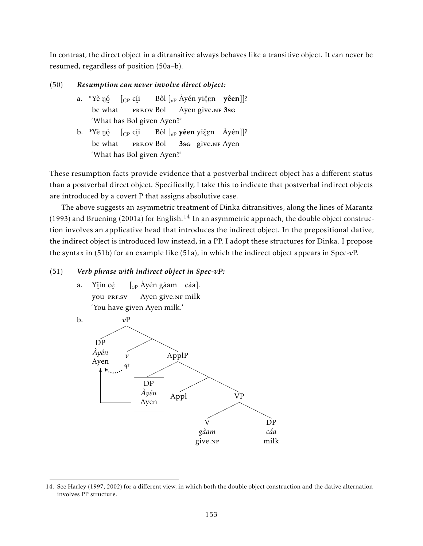In contrast, the direct object in a ditransitive always behaves like a transitive object. It can never be resumed, regardless of position (50a–b).

### (50) *Resumption can never involve direct object:*

- a. \*Yè n<u>ó</u> be ¨ what [CP cí i ..<br>prf.ov Bol Bôl [<sub>vP</sub> Àyén yi<u>ệ</u>gn **yêen**]]? Ayen <sub>2</sub> = 3s<sub>G</sub><br>give.nf 3sg 'What has Bol given Ayen?'
- b. \*Yè n<u>ó</u> be ¨ what [CP cí i ..<br>prf.ov Bol Bôl [<sub>vP</sub> **yêen** yiệgn Àyén]]? 3sg give.NF Ayen 'What has Bol given Ayen?'

These resumption facts provide evidence that a postverbal indirect object has a different status than a postverbal direct object. Specifically, I take this to indicate that postverbal indirect objects are introduced by a covert P that assigns absolutive case.

The above suggests an asymmetric treatment of Dinka ditransitives, along the lines of Marantz (1993) and Bruening (2001a) for English.<sup>14</sup> In an asymmetric approach, the double object construction involves an applicative head that introduces the indirect object. In the prepositional dative, the indirect object is introduced low instead, in a PP. I adopt these structures for Dinka. I propose the syntax in (51b) for an example like (51a), in which the indirect object appears in Spec-*v*P.

### (51) *Verb phrase with indirect object in Spec-vP:*

a. Yî in cé … …<br>you prf.sv [*v*<sup>P</sup> Àyén gàam cáa]. Ayen give.NF milk 'You have given Ayen milk.'



<sup>14.</sup> See Harley (1997, 2002) for a different view, in which both the double object construction and the dative alternation involves PP structure.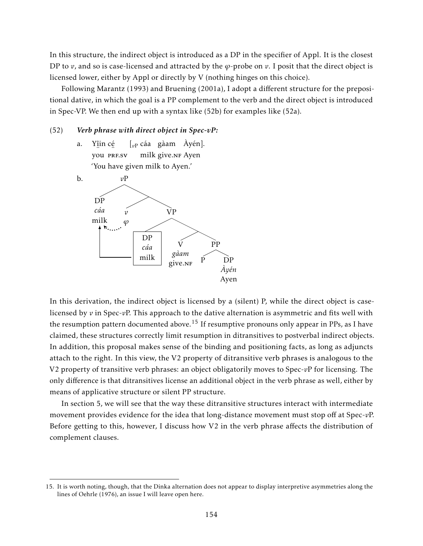In this structure, the indirect object is introduced as a DP in the specifier of Appl. It is the closest DP to  $v$ , and so is case-licensed and attracted by the  $\varphi$ -probe on  $v$ . I posit that the direct object is licensed lower, either by Appl or directly by V (nothing hinges on this choice).

Following Marantz (1993) and Bruening (2001a), I adopt a different structure for the prepositional dative, in which the goal is a PP complement to the verb and the direct object is introduced in Spec-VP. We then end up with a syntax like (52b) for examples like (52a).

#### (52) *Verb phrase with direct object in Spec-vP:*

a. Yî in cé …<br>you prf.sv [*v*<sup>P</sup> cáa gàam Àyén]. milk give.<mark>NF Ayen</mark> 'You have given milk to Ayen.'



In this derivation, the indirect object is licensed by a (silent) P, while the direct object is caselicensed by *v* in Spec-*v*P. This approach to the dative alternation is asymmetric and fits well with the resumption pattern documented above.<sup>15</sup> If resumptive pronouns only appear in PPs, as I have claimed, these structures correctly limit resumption in ditransitives to postverbal indirect objects. In addition, this proposal makes sense of the binding and positioning facts, as long as adjuncts attach to the right. In this view, the V2 property of ditransitive verb phrases is analogous to the V2 property of transitive verb phrases: an object obligatorily moves to Spec-*v*P for licensing. The only difference is that ditransitives license an additional object in the verb phrase as well, either by means of applicative structure or silent PP structure.

In section 5, we will see that the way these ditransitive structures interact with intermediate movement provides evidence for the idea that long-distance movement must stop off at Spec-*v*P. Before getting to this, however, I discuss how V2 in the verb phrase affects the distribution of complement clauses.

<sup>15.</sup> It is worth noting, though, that the Dinka alternation does not appear to display interpretive asymmetries along the lines of Oehrle (1976), an issue I will leave open here.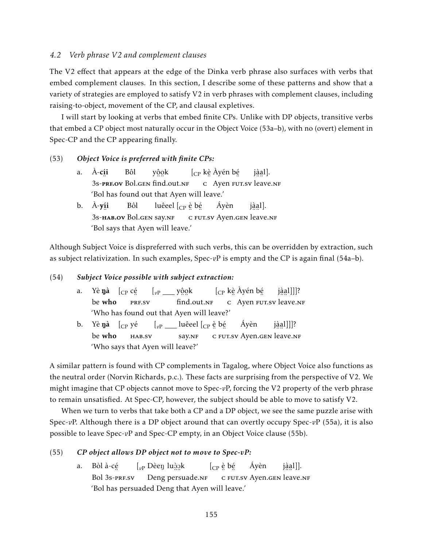### *4.2 Verb phrase V2 and complement clauses*

The V2 effect that appears at the edge of the Dinka verb phrase also surfaces with verbs that embed complement clauses. In this section, I describe some of these patterns and show that a variety of strategies are employed to satisfy V2 in verb phrases with complement clauses, including raising-to-object, movement of the CP, and clausal expletives.

I will start by looking at verbs that embed finite CPs. Unlike with DP objects, transitive verbs that embed a CP object most naturally occur in the Object Voice (53a–b), with no (overt) element in Spec-CP and the CP appearing finally.

#### (53) *Object Voice is preferred with finite CPs:*

- a. À-**c**íi 3s-pre.ov Bol.gen find.out.nf Bôl yôok [CP kè Àyén bé ender in the same of the same of the same of the same of the same of the same of the same of the same of the s<br>C Ayen FUT.SV leave.NF jàal]. 'Bol has found out that Ayen will leave.'
- b. À-y<u>í</u>i °..<br>3s-**нав.оv** Bol.gen say.nf Bôl luêeel [<sub>CP</sub> è bé ¨ c ¨ fut.sv Ayen.gen ¨ ¨ leave.nf Áyèn jàal]. 'Bol says that Ayen will leave.'

Although Subject Voice is dispreferred with such verbs, this can be overridden by extraction, such as subject relativization. In such examples, Spec-*v*P is empty and the CP is again final (54a–b).

### (54) *Subject Voice possible with subject extraction:*

- a. Yè**ŋà** [<sub>CP</sub> c<u>é</u> be who ¨..<br>PRF.SV [<sub>vP</sub> \_\_\_ y<u>ôo</u>k  $^{\prime}$  ። ።<br>find.out.nf [CP kè Àyén bé es a vert se van de vert de vert de vert de vert de vert de vert de vert de vert de vert de vert de vert de ve<br>Carte de vert de vert de vert de vert de vert de vert de vert de vert de vert de vert de vert de vert de vert jà a l]]]? 'Who has found out that Ayen will leave?'
- b. Yè**ŋà** [<sub>CP</sub> yé be who hab.sv [<sub>vP</sub> \_\_\_ luêeel [<sub>CP</sub> è bé say.NF ¨ c ¨ fut.sv Ayen.gen ¨ ¨ leave.nf Áyèn jà a l]]]? 'Who says that Ayen will leave?'

A similar pattern is found with CP complements in Tagalog, where Object Voice also functions as the neutral order (Norvin Richards, p.c.). These facts are surprising from the perspective of V2. We might imagine that CP objects cannot move to Spec-*v*P, forcing the V2 property of the verb phrase to remain unsatisfied. At Spec-CP, however, the subject should be able to move to satisfy V2.

When we turn to verbs that take both a CP and a DP object, we see the same puzzle arise with Spec-*v*P. Although there is a DP object around that can overtly occupy Spec-*v*P (55a), it is also possible to leave Spec-*v*P and Spec-CP empty, in an Object Voice clause (55b).

### (55) *CP object allows DP object not to move to Spec-vP:*

a. Bòl à-cé ..<br>Bol 3s-prf.sv  $\left[ \begin{smallmatrix} v\end{smallmatrix} \right]$  Dèe $\eta$  lu $\grave{\mathrm{2}}$ gk Deng ™...<br>persuade.nf  $[_{\rm CP}$  è bé ¨ c ¨ fut.sv Ayen.gen ¨ ¨ leave.nf Áyèn j<u>àa</u>l]]. 'Bol has persuaded Deng that Ayen will leave.'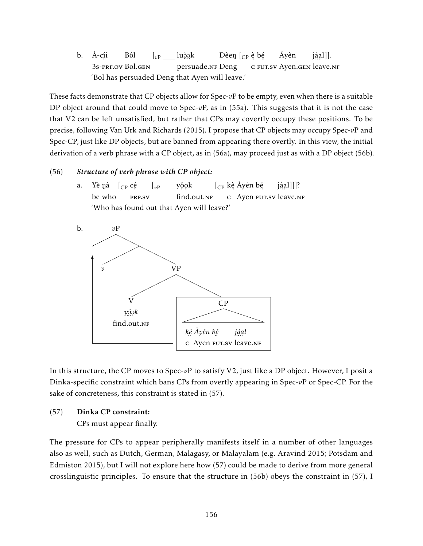b. À-cí i ¨ 3s-prf.ov Bol.gen Bôl  $\left[ \begin{smallmatrix} v\text{P} & \text{I} & \text{I} & \text{I} & \text{I} & \text{I} & \text{I} \end{smallmatrix} \right]$ n ...<br>persuade.nf Deng Dèeŋ [<sub>CP</sub> ẹ̀ bẹ́ e seur.sv Ayen.gen leave.nf Áyèn j<u>àa</u>l]]. 'Bol has persuaded Deng that Ayen will leave.'

These facts demonstrate that CP objects allow for Spec- $vP$  to be empty, even when there is a suitable DP object around that could move to Spec-*v*P, as in (55a). This suggests that it is not the case that V2 can be left unsatisfied, but rather that CPs may covertly occupy these positions. To be precise, following Van Urk and Richards (2015), I propose that CP objects may occupy Spec-*v*P and Spec-CP, just like DP objects, but are banned from appearing there overtly. In this view, the initial derivation of a verb phrase with a CP object, as in (56a), may proceed just as with a DP object (56b).

### (56) *Structure of verb phrase with CP object:*

a. Yè ŋà [<sub>CP</sub> c<u>é</u> be who …<br>PRF.SV [<sub>*vP* \_\_\_\_ y<u>ôo</u>k</sub> , ...<br>find.out.<mark>n</mark>f [CP kè Àyén bé ¨ c Ayen ¨ fut.sv ¨ ¨ leave.nf jà a l]]]? 'Who has found out that Ayen will leave?'



In this structure, the CP moves to Spec-*v*P to satisfy V2, just like a DP object. However, I posit a Dinka-specific constraint which bans CPs from overtly appearing in Spec-*v*P or Spec-CP. For the sake of concreteness, this constraint is stated in (57).

### (57) Dinka CP constraint:

CPs must appear finally.

The pressure for CPs to appear peripherally manifests itself in a number of other languages also as well, such as Dutch, German, Malagasy, or Malayalam (e.g. Aravind 2015; Potsdam and Edmiston 2015), but I will not explore here how (57) could be made to derive from more general crosslinguistic principles. To ensure that the structure in (56b) obeys the constraint in (57), I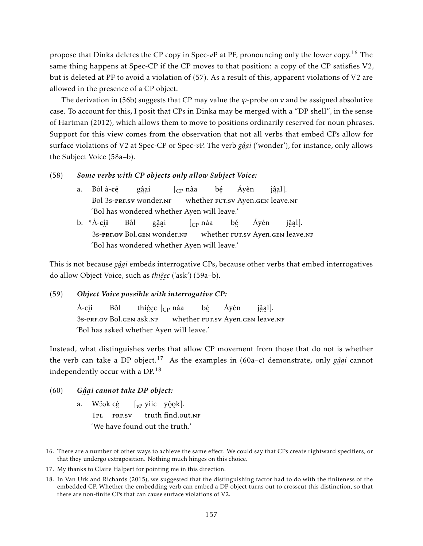propose that Dinka deletes the CP copy in Spec-*v*P at PF, pronouncing only the lower copy.<sup>16</sup> The same thing happens at Spec-CP if the CP moves to that position: a copy of the CP satisfies V2, but is deleted at PF to avoid a violation of (57). As a result of this, apparent violations of V2 are allowed in the presence of a CP object.

The derivation in (56b) suggests that CP may value the *ϕ*-probe on *v* and be assigned absolutive case. To account for this, I posit that CPs in Dinka may be merged with a "DP shell", in the sense of Hartman (2012), which allows them to move to positions ordinarily reserved for noun phrases. Support for this view comes from the observation that not all verbs that embed CPs allow for surface violations of V2 at Spec-CP or Spec-*v*P. The verb *gâ* ¨ *a* ¨ *i* ('wonder'), for instance, only allows the Subject Voice (58a–b).

### (58) *Some verbs with CP objects only allow Subject Voice:*

- a. Bòl à-cé Bol °™∷<br>3s-**prf.sv** wonder.nf gâ a i  $\int_{CP}$  nàa whether FUT.sv Ayen.gen leave.nf bé Áyèn jâal]. 'Bol has wondered whether Ayen will leave.'
- b. \*À-c<u>í</u>i ¨ 3s-prf.ov Bol.gen ¨ ¨ wonder.nf Bôl gâ a i  $[c<sub>P</sub>$  nàa whether FUT.sv Ayen.gen leave.nf bé Áyèn jâal]. 'Bol has wondered whether Ayen will leave.'

This is not because *gâai* embeds interrogative CPs, because other verbs that embed interrogatives ¨ ¨ do allow Object Voice, such as *thiê e c* ('ask') (59a–b). ¨ ¨

#### (59) *Object Voice possible with interrogative CP:*

À-cí i ...<br>3s-prf.ov Bol.gen ask.nf Bôl thi<u>ệ</u>ec [<sub>CP</sub> nàa whether FUT.sv Ayen.gen leave.nf bé Áyèn jâal]. 'Bol has asked whether Ayen will leave.'

Instead, what distinguishes verbs that allow CP movement from those that do not is whether the verb can take a DP object.<sup>17</sup> As the examples in (60a–c) demonstrate, only *gâ* ¨ *a* ¨ *i* cannot independently occur with a DP.<sup>18</sup>

#### $(60)$ ¨ *a* ¨ *i cannot take DP object:*

a. Wôok c<u>é</u>  $1PI.$ ¨ prf.sv [<sub>vP</sub> yìic y<u>ôo</u>k]. 。<br>truth find.out.<mark>n</mark>f 'We have found out the truth.'

<sup>16.</sup> There are a number of other ways to achieve the same effect. We could say that CPs create rightward specifiers, or that they undergo extraposition. Nothing much hinges on this choice.

<sup>17.</sup> My thanks to Claire Halpert for pointing me in this direction.

<sup>18.</sup> In Van Urk and Richards (2015), we suggested that the distinguishing factor had to do with the finiteness of the embedded CP. Whether the embedding verb can embed a DP object turns out to crosscut this distinction, so that there are non-finite CPs that can cause surface violations of V2.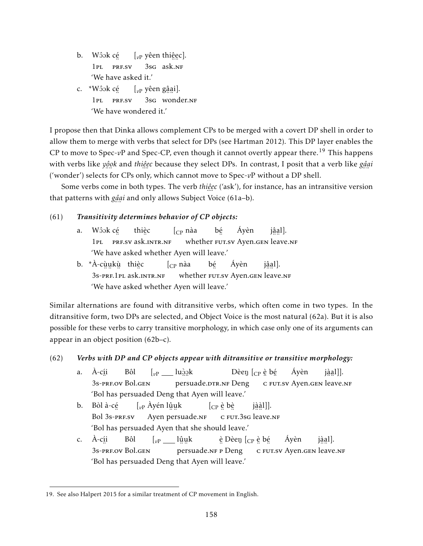- b. Wôok c<u>é</u>  $1<sub>PI</sub>$ ¨ prf.sv  $\left[ \vphantom{e}_{v\text{P}}\right.$  yêen thi<u>ệ</u>ec]. 3sg ask.nf 'We have asked it.'
- c. \*Wôok cé 1pl ¨ prf.sv [*v*<sup>P</sup> yêen gâ a i]. <sub>2</sub><br>3sg wonder.nf 'We have wondered it.'

I propose then that Dinka allows complement CPs to be merged with a covert DP shell in order to allow them to merge with verbs that select for DPs (see Hartman 2012). This DP layer enables the CP to move to Spec-*vP* and Spec-CP, even though it cannot overtly appear there.<sup>19</sup> This happens with verbs like *yộọk* and *thiệẹc* because they select DPs. In contrast, I posit that a verb like g<u>â</u>  $\overline{c}$  or  $\overline{1}$ ¨ *a* ¨ *i* ('wonder') selects for CPs only, which cannot move to Spec-*v*P without a DP shell.

Some verbs come in both types. The verb *thiê e c* ('ask'), for instance, has an intransitive version ¨ ¨ that patterns with *gậại* and only allows Subject Voice (61a–b). ¨ ¨

### (61) *Transitivity determines behavior of CP objects:*

- a. Wôok cé 1PL PRF.SV ask.INTR.NF thiè c  $\int_{CP}$  nàa ™ bé Áyèn jâal]. 'We have asked whether Ayen will leave.'
- b. \*À-cùukù thièc ¨ ¨ ¨ 3s-prf.1pl ¨ ask.intr.nf  $\int_{CP}$  nàa whether FUT.sv Ayen.gen leave.nf bé Áyèn jâal]. 'We have asked whether Ayen will leave.'

Similar alternations are found with ditransitive verbs, which often come in two types. In the ditransitive form, two DPs are selected, and Object Voice is the most natural (62a). But it is also possible for these verbs to carry transitive morphology, in which case only one of its arguments can appear in an object position (62b–c).

### (62) *Verbs with DP and CP objects appear with ditransitive or transitive morphology:*

- a. À-cí i ¨ 3s-prf.ov Bol.gen Bôl  $\left[v_{\rm P} \_\_\_\_\$ luģ<u>o</u>k ...<br>persuade.drr.nf Deng Dèeŋ [<sub>CP</sub> è bé ¨ c ¨ fut.sv Ayen.gen ¨ ¨ leave.nf Áyèn j<u>àa</u>l]]. 'Bol has persuaded Deng that Ayen will leave.'
- b. Bòl à-cé ..<br>Bol 3s-prf.sv  $\left[\begin{smallmatrix} v\end{smallmatrix}\right]$ Ayén lŷụk →<br>Ayen persuade.nf  $[\begin{smallmatrix} \mathbb{CP} & \hat{\mathbb{e}} & \hat{\mathbb{b}}\hat{\mathbb{e}} \end{smallmatrix}$ ¨ c ¨ fut.3sg ¨ ¨ leave.nf jà à l]]. 'Bol has persuaded Ayen that she should leave.'
- c. À-cí i ¨ 3s-prf.ov Bol.gen Bôl [<sub>vP</sub> \_\_\_ lûuk ……<br>persuade.nғ ғ Deng <u>è</u> Dèeŋ [<sub>CP</sub> è bé ¨ c ¨ fut.sv Ayen.gen ¨ ¨ leave.nf Áyèn jàal]. 'Bol has persuaded Deng that Ayen will leave.'

<sup>19.</sup> See also Halpert 2015 for a similar treatment of CP movement in English.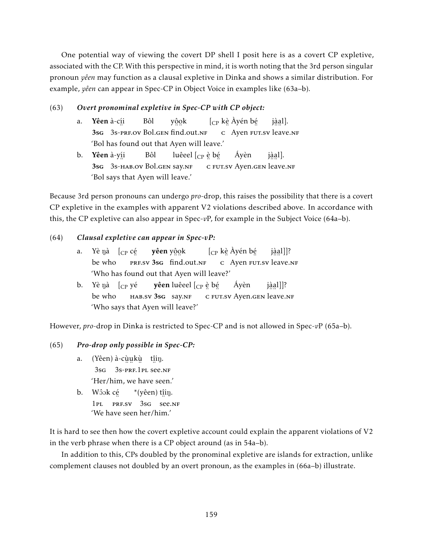One potential way of viewing the covert DP shell I posit here is as a covert CP expletive, associated with the CP. With this perspective in mind, it is worth noting that the 3rd person singular pronoun *yêen* may function as a clausal expletive in Dinka and shows a similar distribution. For example, *yêen* can appear in Spec-CP in Object Voice in examples like (63a–b).

### (63) *Overt pronominal expletive in Spec-CP with CP object:*

- a. **Yêen** à-c<u>í</u>i 3sg ¨ 3s-prf.ov Bol.gen ¨ ¨ find.out.nf Bôl yôok [CP kè Àyén bé ¨ c Ayen ¨ fut.sv ¨ ¨ leave.nf jàal]. 'Bol has found out that Ayen will leave.'
- b. **Yêen** à-y<u>í</u>i 3sg ¨ 3s-hab.ov Bol.gen say.nf Bôl luêeel  $_{\rm [CP}$  è bé ¨ c ¨ fut.sv Ayen.gen ¨ ¨ leave.nf Áyèn jàal]. 'Bol says that Ayen will leave.'

Because 3rd person pronouns can undergo *pro*-drop, this raises the possibility that there is a covert CP expletive in the examples with apparent V2 violations described above. In accordance with this, the CP expletive can also appear in Spec-*v*P, for example in the Subject Voice (64a–b).

### (64) *Clausal expletive can appear in Spec-vP:*

- a. Yè ŋà [<sub>CP</sub> c<u>é</u> be who PRF.SV 3sG find.out.NF **yêen** y<u>ộo</u>k [CP kè Àyén bé ender in the same of the same of the same of the same of the same of the same of the same of the same of the s<br>C Ayen FUT.sv leave.NF jà a l]]? 'Who has found out that Ayen will leave?'
- b. Yè ŋà [<sub>CP</sub> yé be who HAB.SV 3sG Say.NF **yêen** luêeel [<sub>CP</sub> è bé ¨ c ¨ fut.sv Ayen.gen ¨ ¨ leave.nf Áyèn jà a l]]? 'Who says that Ayen will leave?'

However, *pro*-drop in Dinka is restricted to Spec-CP and is not allowed in Spec-*v*P (65a–b).

### (65) *Pro-drop only possible in Spec-CP:*

- a. (Yêen) à-cùukù tîiŋ.  $3$ sg  $3$ s-prf.1 pl see.nf 'Her/him, we have seen.'
- b. Wôok c<u>é</u> 1PL PRF.SV 3sG see.NF  $*(y\hat{e}en)$  t<u>î</u>iŋ. 'We have seen her/him.'

It is hard to see then how the covert expletive account could explain the apparent violations of V2 in the verb phrase when there is a CP object around (as in 54a–b).

In addition to this, CPs doubled by the pronominal expletive are islands for extraction, unlike complement clauses not doubled by an overt pronoun, as the examples in (66a–b) illustrate.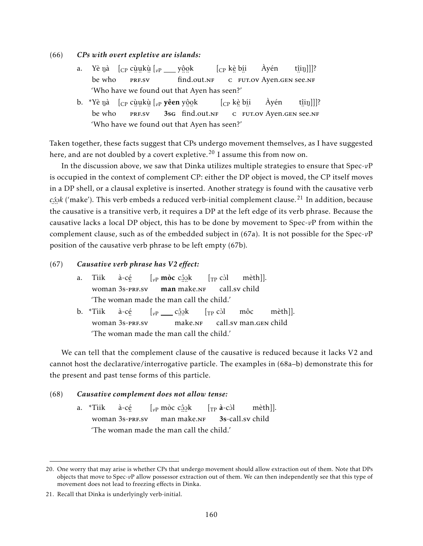#### (66) *CPs with overt expletive are islands:*

- a. Yè ŋà [<sub>CP</sub> cùu̯kù̯ [<sub>vP</sub> \_\_\_ yộ̯o̯k be who ¨ ¨ ¨ prf.sv  $^{\prime}$  ።<br>find.out.nf  $[$ <sub>CP</sub> k<u>è</u> b<u>í</u>i es and the seed of the seed of the seed of the seed of the seed of the second section of the second section of the second section of the second section of the second section of the section of the section of the section of Àyén  $[\text{tip}]]$ ? 'Who have we found out that Ayen has seen?'
- b. \*Yè ŋà [<sub>CP</sub> cùu̯kù̯ [<sub>v</sub>p **yêen** yộo̯k be who ………<br>PRF.SV 3sg find.out.nr [CP kè bí i es and the contract of the contract of the contract of the contract of the contract of the contract of the contract of the contract of the contract of the contract of the contract of the contract of the contract of the con Àyén t<u>î</u>iŋ]]]? 'Who have we found out that Ayen has seen?'

Taken together, these facts suggest that CPs undergo movement themselves, as I have suggested here, and are not doubled by a covert expletive.<sup>20</sup> I assume this from now on.

In the discussion above, we saw that Dinka utilizes multiple strategies to ensure that Spec-*v*P is occupied in the context of complement CP: either the DP object is moved, the CP itself moves in a DP shell, or a clausal expletive is inserted. Another strategy is found with the causative verb cڠِمِلا ('make'). This verb embeds a reduced verb-initial complement clause.<sup>21</sup> In addition, because the causative is a transitive verb, it requires a DP at the left edge of its verb phrase. Because the causative lacks a local DP object, this has to be done by movement to Spec-*v*P from within the complement clause, such as of the embedded subject in (67a). It is not possible for the Spec-*v*P position of the causative verb phrase to be left empty (67b).

#### (67) *Causative verb phrase has V2 effect:*

a. Tìik woman 3s-press **man** à-cé  $\left[ \begin{matrix} v_P \text{ mòc } c \end{matrix} \right]$ òl  $\left[ \begin{matrix} \text{TP} \text{ còl} \end{matrix} \right]$ ¨ ¨ make.nf call.sv child mèth]]. 'The woman made the man call the child.' b. \*Tìik woman 3s-prf.sv à-cé  $\left[ v_{\rm P} \_ \text{cap} \right]$  cậnh  $\left[ \text{TP} \right]$ còl ™a.<br>make.n<mark>f</mark> call.sv man.gen child môc mèth]].

'The woman made the man call the child.'

We can tell that the complement clause of the causative is reduced because it lacks V2 and cannot host the declarative/interrogative particle. The examples in (68a–b) demonstrate this for the present and past tense forms of this particle.

### (68) *Causative complement does not allow tense:*

a. \*Tìik woman 3s-prf.sv à-cé [*v*<sup>P</sup> mòc cOˆ O k [TP à-cO`l man ™...<br>make.n<mark>f</mark> 3s-call.sv child mèth]]. 'The woman made the man call the child.'

<sup>20.</sup> One worry that may arise is whether CPs that undergo movement should allow extraction out of them. Note that DPs objects that move to Spec-*v*P allow possessor extraction out of them. We can then independently see that this type of movement does not lead to freezing effects in Dinka.

<sup>21.</sup> Recall that Dinka is underlyingly verb-initial.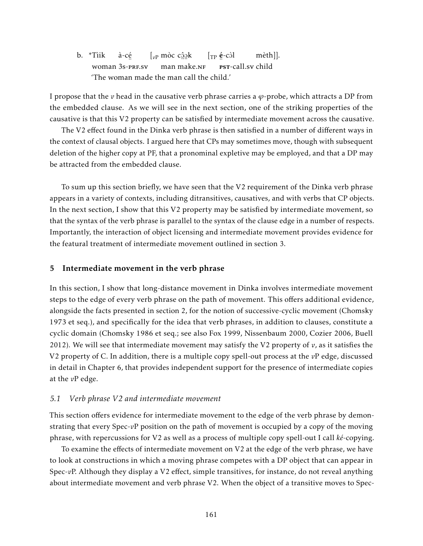b. \*Tìik woman 3s-prf.sv à-cé  $\left[v_{\text{P}}\right]$  mòc c<u>ộ</u>ọk man ™a..<br>make.n<mark>f</mark>  $\rm [TP]$  é-còl ः<br>**PST**-call.sv child mèth]]. 'The woman made the man call the child.'

I propose that the *v* head in the causative verb phrase carries a  $\varphi$ -probe, which attracts a DP from the embedded clause. As we will see in the next section, one of the striking properties of the causative is that this V2 property can be satisfied by intermediate movement across the causative.

The V2 effect found in the Dinka verb phrase is then satisfied in a number of different ways in the context of clausal objects. I argued here that CPs may sometimes move, though with subsequent deletion of the higher copy at PF, that a pronominal expletive may be employed, and that a DP may be attracted from the embedded clause.

To sum up this section briefly, we have seen that the V2 requirement of the Dinka verb phrase appears in a variety of contexts, including ditransitives, causatives, and with verbs that CP objects. In the next section, I show that this V2 property may be satisfied by intermediate movement, so that the syntax of the verb phrase is parallel to the syntax of the clause edge in a number of respects. Importantly, the interaction of object licensing and intermediate movement provides evidence for the featural treatment of intermediate movement outlined in section 3.

#### 5 Intermediate movement in the verb phrase

In this section, I show that long-distance movement in Dinka involves intermediate movement steps to the edge of every verb phrase on the path of movement. This offers additional evidence, alongside the facts presented in section 2, for the notion of successive-cyclic movement (Chomsky 1973 et seq.), and specifically for the idea that verb phrases, in addition to clauses, constitute a cyclic domain (Chomsky 1986 et seq.; see also Fox 1999, Nissenbaum 2000, Cozier 2006, Buell 2012). We will see that intermediate movement may satisfy the V2 property of *v*, as it satisfies the V2 property of C. In addition, there is a multiple copy spell-out process at the *v*P edge, discussed in detail in Chapter 6, that provides independent support for the presence of intermediate copies at the *v*P edge.

#### *5.1 Verb phrase V2 and intermediate movement*

This section offers evidence for intermediate movement to the edge of the verb phrase by demonstrating that every Spec-*v*P position on the path of movement is occupied by a copy of the moving phrase, with repercussions for V2 as well as a process of multiple copy spell-out I call *ké*-copying.

To examine the effects of intermediate movement on V2 at the edge of the verb phrase, we have to look at constructions in which a moving phrase competes with a DP object that can appear in Spec-*v*P. Although they display a V2 effect, simple transitives, for instance, do not reveal anything about intermediate movement and verb phrase V2. When the object of a transitive moves to Spec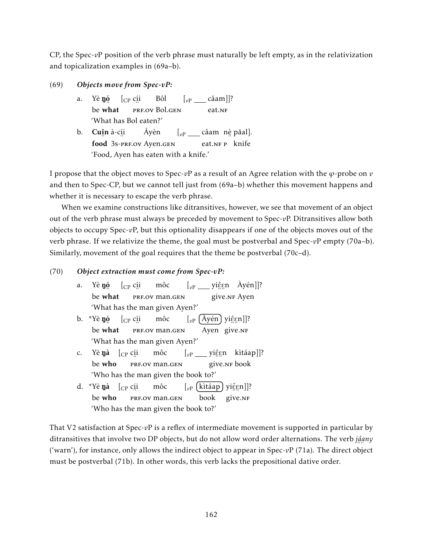CP, the Spec-*v*P position of the verb phrase must naturally be left empty, as in the relativization and topicalization examples in (69a–b).

- (69) *Objects move from Spec-vP:*
	- a. Yè **ŋó** be ں۔<br>what  $[$ <sub>CP</sub> c<u>í</u>i ..<br>prf.ov Bol.gen Bôl [<sub>vP</sub> \_\_\_\_ câam]]? eat.<sub>NF</sub> 'What has Bol eaten?'
	- b. **Cu<u>î</u>n** à-c<u>í</u>i food 3s-prf.ov Ayen.gen Áyèn  $\left[\begin{smallmatrix} v\text{P} & \ldots & \text{c} \hat{\text{a}} \text{am} & \text{nè păal} \end{smallmatrix}\right]$ . eat.<sub>NF P</sub> knife 'Food, Ayen has eaten with a knife.'

I propose that the object moves to Spec-*v*P as a result of an Agree relation with the *ϕ*-probe on *v* and then to Spec-CP, but we cannot tell just from (69a–b) whether this movement happens and whether it is necessary to escape the verb phrase.

When we examine constructions like ditransitives, however, we see that movement of an object out of the verb phrase must always be preceded by movement to Spec-*v*P. Ditransitives allow both objects to occupy Spec-*v*P, but this optionality disappears if one of the objects moves out of the verb phrase. If we relativize the theme, the goal must be postverbal and Spec-*v*P empty (70a–b). Similarly, movement of the goal requires that the theme be postverbal (70c–d).

### (70) *Object extraction must come from Spec-vP:*

- a. Yè **ŋó** be ں۔<br>what  $[$ <sub>CP</sub> c<u>í</u>i ..<br>PRF.OV M<mark>a</mark>n.GEN môc [<sub>vP</sub> \_\_\_ yi<u>ệ</u>gn Àyén]]? ∠≕<br>give.nғ Ayen 'What has the man given Ayen?'
- b. \*Yè **ŋó** be ی.<br>what  $[$ <sub>CP</sub> c<u>í</u>i ∵<br>PRF.OV Man.GEN môc [<sub>vP</sub> (Àyén) yiĝgn]]? Ayen 。...。…<br>give.nf 'What has the man given Ayen?'
- c. Yè **ŋà** [<sub>CP</sub> c<u>í</u>i be who ..<br>PRF.OV Man.GEN môc [<sub>vP</sub> \_\_\_ yiĝgn kìtáap]]? ∠ ÷÷<br>give.nr book 'Who has the man given the book to?'
- d. \*Yè **ŋà** [<sub>CP</sub> c<u>í</u>i be who ∵<br>PRF.OV man.GEN môc [<sub>vP</sub> (kìtáap) yiĝgn]]? book 。...。…<br>give.nf 'Who has the man given the book to?'

That V2 satisfaction at Spec-*v*P is a reflex of intermediate movement is supported in particular by ditransitives that involve two DP objects, but do not allow word order alternations. The verb *jâ a ny* ¨ ¨ ('warn'), for instance, only allows the indirect object to appear in Spec-*v*P (71a). The direct object must be postverbal (71b). In other words, this verb lacks the prepositional dative order.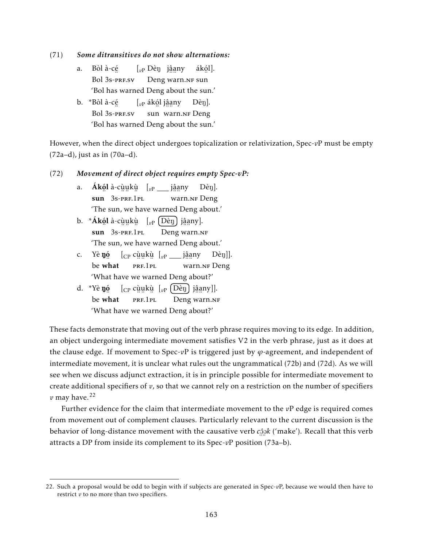(71) *Some ditransitives do not show alternations:*

- a. Bòl à-cé Bol 3s-prf.sv [*v*<sup>P</sup> DèN jâ a ny ™™.<br>Deng warn.nf sun ákó l]. 'Bol has warned Deng about the sun.'
- b. \*Bòl à-cé ..<br>Bol 3s-prf.sv [*v*<sup>P</sup> ákó l jâ a ny ¨ sun ¨ ¨ warn.nf Deng Dèn]. 'Bol has warned Deng about the sun.'

However, when the direct object undergoes topicalization or relativization, Spec-*v*P must be empty (72a–d), just as in (70a–d).

#### (72) *Movement of direct object requires empty Spec-vP:*

- a. A**kól** à-cùukù [<sub>vP \_\_</sub> jâany sun 3s-PRF.1PL <sub>n…</sub> →<br>warn.nf Deng Dèn]. 'The sun, we have warned Deng about.'
- b. \***Ákól** à-cùukù [<sub>vP</sub> (Dèŋ) jâany]. sun 3s-prf.1pl <u>Deng</u> warn.nf 'The sun, we have warned Deng about.'
- c. Yè $\mathbf{y}$ ó  $\left[\begin{smallmatrix} \mathbf{p} & \mathbf{c} & \mathbf{w} & \mathbf{p} \ \mathbf{p} & \mathbf{p} & \mathbf{p} \end{smallmatrix} \right]$   $\mathbf{p} = \left[\begin{smallmatrix} \mathbf{p} & \mathbf{c} & \mathbf{w} & \mathbf{p} \ \mathbf{p} & \mathbf{p} & \mathbf{p} \end{smallmatrix} \right]$   $\mathbf{p} = \left[\begin{smallmatrix} \mathbf{p} & \mathbf{w} & \mathbf{p} & \mathbf{p} \ \mathbf{p} & \mathbf{p} & \mathbf{p}$ be ء.<br>what ™……<br>prf.1pl <sub>n∷∷</sub><br>warn.nғ Deng 'What have we warned Deng about?'
- d. \*Yè **ŋó** be ں۔<br>what [<sub>CP</sub> cùukù [<sub>vP</sub> [Dèn] jâany]]. ………<br>prf.1pl <u>na Suideling</u><br>Deng warn.nf 'What have we warned Deng about?'

These facts demonstrate that moving out of the verb phrase requires moving to its edge. In addition, an object undergoing intermediate movement satisfies V2 in the verb phrase, just as it does at the clause edge. If movement to Spec- $v$ P is triggered just by  $\varphi$ -agreement, and independent of intermediate movement, it is unclear what rules out the ungrammatical (72b) and (72d). As we will see when we discuss adjunct extraction, it is in principle possible for intermediate movement to create additional specifiers of *v*, so that we cannot rely on a restriction on the number of specifiers  $v$  may have.<sup>22</sup>

Further evidence for the claim that intermediate movement to the *v*P edge is required comes from movement out of complement clauses. Particularly relevant to the current discussion is the behavior of long-distance movement with the causative verb *c*ĝok ('make'). Recall that this verb ¨ ¨ attracts a DP from inside its complement to its Spec-*v*P position (73a–b).

<sup>22.</sup> Such a proposal would be odd to begin with if subjects are generated in Spec-*v*P, because we would then have to restrict *v* to no more than two specifiers.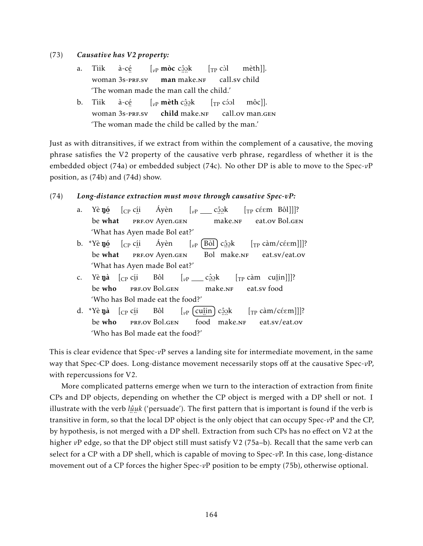#### (73) *Causative has V2 property:*

- a. Tìik woman 3s-prf.sv à-cé  $\left[ \vphantom{a}_{\nu\text{P}}\right.$  mòc c $\hat{\Omega}$ o̯k man ™a.<br>make.n<mark>F</mark>  $\lceil_{TP} c \rceil$ call.sv child mèth]]. 'The woman made the man call the child.'
- b. Tìik woman 3s-prf.sv à-cé  $\left[ \begin{smallmatrix} v\end{smallmatrix} \right]$  mèth c $\hat{ \mathbb{S}}$ ok child ™...<br>make.n<mark>f</mark>  $\lceil$ <sub>TP</sub> cóol call.ov man.gen môc]]. 'The woman made the child be called by the man.'

Just as with ditransitives, if we extract from within the complement of a causative, the moving phrase satisfies the V2 property of the causative verb phrase, regardless of whether it is the embedded object (74a) or embedded subject (74c). No other DP is able to move to the Spec-*v*P position, as (74b) and (74d) show.

#### (74) *Long-distance extraction must move through causative Spec-vP:*

- a. Yè **ŋó** be ں۔<br>what  $[$ <sub>CP</sub> c<u>í</u>i <sub>...</sub><br>Prf.ov Ayen.gen Áyèn  $\left[ \begin{smallmatrix} v\text{P} & \text{I} \ \end{smallmatrix} \right]$ c<u>ộ</u>ɔk ¨ ¨ make.nf  $[\text{TP céem Bôl}]]$ ? eat.ov Bol.gen 'What has Ayen made Bol eat?'
- b. \*Yè **ŋó** be ء.<br>what  $[$ <sub>CP</sub> c<u>í</u>i ™<br>PRF.ov Ayen.gen Áyèn  $\left[\begin{smallmatrix} v\end{smallmatrix}\right]$   $\left[\begin{smallmatrix} \rho\end{smallmatrix}\right]$   $\left[\begin{smallmatrix} \rho\end{smallmatrix}\right]$   $c$ Bol ™a..<br>make.n<mark>F</mark>  $[\text{TP } \text{càm}/\text{c\'eem}]]$ ? eat.sv/eat.ov 'What has Ayen made Bol eat?'
- c. Yè **ŋà** [<sub>CP</sub> c<u>í</u>i be who ..<br>prf.ov Bol.gen Bôl  $\left[v_{\rm P} \_\_\_c\right]$ c<u>ộ</u>ọk ¨ ¨ make.nf  $\left[\begin{smallmatrix} 0 & \text{r} & \text{r} & \text{r} & \text{r} & \text{r} \ \text{r} & \text{r} & \text{r} & \text{r} & \text{r} \ \text{r} & \text{r} & \text{r} & \text{r} & \text{r} \end{smallmatrix} \right]$ ..<br>eat.sv food 'Who has Bol made eat the food?'
- d. \*Yè **ŋà** [<sub>CP</sub> c<u>í</u>i be who ∵<br>prf.ov Bol.gen Bôl  $\left[v_{\rm P}\right]$  (cu<sub>î</sub>in) c<u>ô</u>ok ¨ food ™a..<br>make.n<mark>F</mark>  $[\text{TP càm/céem}]]$ ? eat.sv/eat.ov 'Who has Bol made eat the food?'

This is clear evidence that Spec-*v*P serves a landing site for intermediate movement, in the same way that Spec-CP does. Long-distance movement necessarily stops off at the causative Spec-*v*P, with repercussions for V2.

More complicated patterns emerge when we turn to the interaction of extraction from finite CPs and DP objects, depending on whether the CP object is merged with a DP shell or not. I illustrate with the verb *lû u k* ('persuade'). The first pattern that is important is found if the verb is ¨ ¨ transitive in form, so that the local DP object is the only object that can occupy Spec-*v*P and the CP, by hypothesis, is not merged with a DP shell. Extraction from such CPs has no effect on V2 at the higher *vP* edge, so that the DP object still must satisfy V2 (75a–b). Recall that the same verb can select for a CP with a DP shell, which is capable of moving to Spec-*v*P. In this case, long-distance movement out of a CP forces the higher Spec-*v*P position to be empty (75b), otherwise optional.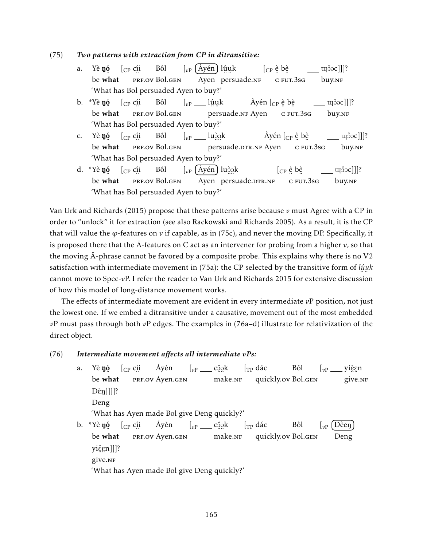#### (75) *Two patterns with extraction from CP in ditransitive:*

- a. Yè **ŋó** be ء.<br>what  $[$ <sub>CP</sub> c<u>í</u>i ∵<br>prf.ov Bol.gen Bôl  $\left[\begin{smallmatrix} v\end{smallmatrix}\right]$  (Ayén) lûuk <u>∴∴</u><br>Ayen persuade.nf  $[\begin{smallmatrix} \mathbb{CP} & \hat{\mathbb{e}} & \mathbb{b} \hat{\mathbb{e}} \end{smallmatrix}$ <sub>∴ −∴</sub><br>c fut.3sg  $\alpha$ []]? buy.nf 'What has Bol persuaded Ayen to buy?'
- b. \*Yè **ŋó** be ں۔<br>what  $[$ <sub>CP</sub> c<u>í</u>i ..<br>prf.ov Bol.gen Bôl  $\left[\begin{smallmatrix} v\text{P} & \text{I} & \text{I} & \text{Q} \text{u} \text{R} \end{smallmatrix}\right]$ ……<br>persuade.nF Ayen Àyén [<sub>CP</sub> è bè <sub>.. ..</sub><br>c fut.3sg ujčoc]]]? buy.nf 'What has Bol persuaded Ayen to buy?'
- c. Yè **ŋ**ó be ء.<br>what  $[$ <sub>CP</sub> c<u>í</u>i ∵<br>prf.ov Bol.gen Bôl  $\left[ v_{\rm P} \_\_$ luģ $\right]$ k nersuade.drr.nf Ayen Àyén [<sub>CP</sub> è bè <sub>∴ −∴</sub><br>c fut.3sg  $\alpha$ []]? buy.nf 'What has Bol persuaded Ayen to buy?'
- d. \*Yè **ŋó** be ں۔<br>what  $[$ <sub>CP</sub> c<u>í</u>i ..<br>prf.ov Bol.gen Bôl [<sub>vP</sub> (Àyén) lu<u>òo</u>k Ayen ™...<br>persuade.dtr.nf  $[_{\mathrm{CP}}$  è bè <sub>.. ..</sub><br>c fut.3sg  $[O(10^{15})]$ buy.nf 'What has Bol persuaded Ayen to buy?'

Van Urk and Richards (2015) propose that these patterns arise because *v* must Agree with a CP in order to "unlock" it for extraction (see also Rackowski and Richards 2005). As a result, it is the CP that will value the  $\varphi$ -features on  $\nu$  if capable, as in (75c), and never the moving DP. Specifically, it is proposed there that the  $\bar{A}$ -features on C act as an intervener for probing from a higher  $v$ , so that the moving  $\overline{A}$ -phrase cannot be favored by a composite probe. This explains why there is no V2 satisfaction with intermediate movement in (75a): the CP selected by the transitive form of *lû u k* ¨ ¨ cannot move to Spec-*v*P. I refer the reader to Van Urk and Richards 2015 for extensive discussion of how this model of long-distance movement works.

The effects of intermediate movement are evident in every intermediate *v*P position, not just the lowest one. If we embed a ditransitive under a causative, movement out of the most embedded *v*P must pass through both *v*P edges. The examples in (76a–d) illustrate for relativization of the direct object.

### (76) *Intermediate movement affects all intermediate vPs:*

- a. Yè **ŋó** be ں۔<br>what  $[$ <sub>CP</sub> c<u>í</u>i <sub>...</sub><br>Prf.ov Ayen.gen Áyèn  $\left[ \begin{smallmatrix} v\mathrm{P} & \ldots & \mathrm{C} \hat{v}\end{smallmatrix} \right]$ c $\hat{v}$ ™a..<br>make.n<mark>F</mark>  $\int_{\text{TP}} d\acute{a}c$ quickly.ov Bol.gen Bôl [<sub>vP</sub> \_\_\_ yiĝgn ∕…<br>give.nғ  $D\hat{\epsilon}$ n]]]]? Deng 'What has Ayen made Bol give Deng quickly?'
- b. \*Yè **ŋó** be ء.<br>what  $[$ <sub>CP</sub> c<u>í</u>i ™<br>PRF.ov Ayen.gen Áyèn  $\left[ \begin{smallmatrix} v\text{P} & \text{I} \ \end{smallmatrix} \right]$ c<u>ộ</u>ɔk ™a.<br>make.n<mark>F</mark>  $\int_{\text{TP}} d\acute{a}c$ quickly.ov Bol.gen Bôl  $\int_{v}$  [Dèen] Deng yiĝgn]]]? سىتە<br>give.nf 'What has Ayen made Bol give Deng quickly?'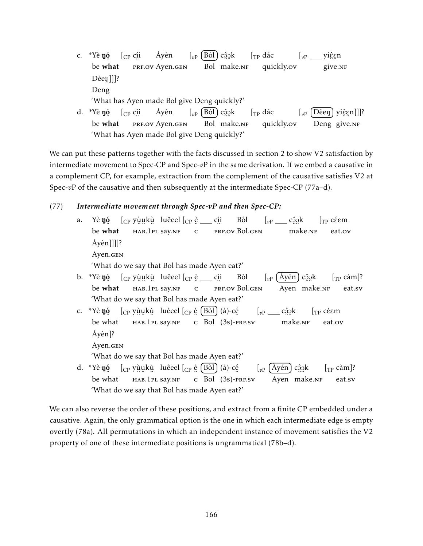- c. \*Yè **ŋ**ó be ء.<br>what  $[$ <sub>CP</sub> c<u>í</u>i ™<br>PRF.ov Ayen.gen Áyèn  $\left[\begin{smallmatrix} v\end{smallmatrix}\right]$   $\left[\begin{smallmatrix} \rho\end{smallmatrix}\right]$   $\left[\begin{smallmatrix} \rho\end{smallmatrix}\right]$   $c$ Bol ™a..<br>make.n<mark>F</mark>  $\int_{\text{TP}} d\acute{a}c$ quickly.ov [<sub>vP</sub> \_\_\_ yiĝgn ∠…<br>give.nf Dèen]]]? Deng 'What has Ayen made Bol give Deng quickly?' Áyèn  $\int_{\text{TP}} d\acute{a}c$
- d. \*Yè **ŋ**ó be ں۔<br>what  $[$ <sub>CP</sub> c<u>í</u>i <sub>...</sub><br>Prf.ov Ayen.gen  $\left[\begin{smallmatrix} v\end{smallmatrix}\right]$   $\left[\begin{smallmatrix} \rho\end{smallmatrix}\right]$   $\left[\begin{smallmatrix} \rho\end{smallmatrix}\right]$   $c$ Bol ¨ ¨ make.nf quickly.ov [<sub>vP</sub> (Dèeŋ) yiĝgn]]]? Deng , … …<br>give.nf 'What has Ayen made Bol give Deng quickly?'

We can put these patterns together with the facts discussed in section 2 to show V2 satisfaction by intermediate movement to Spec-CP and Spec-*v*P in the same derivation. If we embed a causative in a complement CP, for example, extraction from the complement of the causative satisfies V2 at Spec-*vP* of the causative and then subsequently at the intermediate Spec-CP (77a–d).

### (77) *Intermediate movement through Spec-vP and then Spec-CP:*

- a. Yè **ŋó** be ء.<br>what  $[\begin{smallmatrix} \mathsf{C}\mathsf{P} \end{smallmatrix}$ yù̯ukù luêeel  $[\begin{smallmatrix} \mathsf{C}\mathsf{P} \end{smallmatrix}$ è \_\_ cíi ¨ ¨ ¨ hab.1pl say.nf ¨ c ¨ prf.ov Bol.gen Bôl  $\left[\begin{smallmatrix} v\text{P} & \text{I} \end{smallmatrix}\right]$ cĝ $_2$ k ™...<br>make.n<mark>F</mark>  $\lceil_{\text{TP}} \hat{\text{c}} \hat{\text{em}}\rceil$ eat.ov Áyèn]]]]? Ayen.gen 'What do we say that Bol has made Ayen eat?' b. \*Yè **ŋ**ó be ں۔<br>what  $\left[\begin{smallmatrix} \mathsf{C}\mathsf{P} \end{smallmatrix}\right]$ yùukù luêeel $\left[\begin{smallmatrix} \mathsf{C}\mathsf{P} \end{smallmatrix}\right]$ è \_\_ cíi , .. ..<br>нав.1pl say.nf ¨ c ..<br>prf.ov Bol.gen Bôl [<sub>vP</sub> (Àyén) c<u>ôo</u>k Ayen ¨ ¨ make.nf  $[\text{TP } \text{càm}]$ ? eat.sv 'What do we say that Bol has made Ayen eat?' c. \*Yè **ŋó** [<sub>CP</sub> yùu̯kù luêeel [<sub>CP</sub> è [Bòl] (à)-cé be ¨ what , .. ..<br>нав.1pl say.nf  $\overline{c}$  Bol (3s)-prf.sv  $\left[ \begin{smallmatrix} v\text{P} & \text{I} \ \end{smallmatrix} \right]$ c<u>ộ</u>ɔk ™...<br>make.n<mark>F</mark>  $\lceil_{\text{TP}} \right.$  céem eat.ov Áyèn]? Ayen.gen 'What do we say that Bol has made Ayen eat?' d. \*Yè **ŋó** [<sub>CP</sub> yùu̯kù luêeel [<sub>CP</sub> è [Bòl] (à)-cé [<sub>vP</sub> (Àyén) cậạk  $[\text{TP } \text{càm}]$ ?
- be ¨ what ∠……<br>нав.1pl say.nf  $\overline{c}$  Bol (3s)-prf.sv Ayen ™a..<br>make.n<mark>F</mark> eat.sv 'What do we say that Bol has made Ayen eat?'

We can also reverse the order of these positions, and extract from a finite CP embedded under a causative. Again, the only grammatical option is the one in which each intermediate edge is empty overtly (78a). All permutations in which an independent instance of movement satisfies the V2 property of one of these intermediate positions is ungrammatical (78b–d).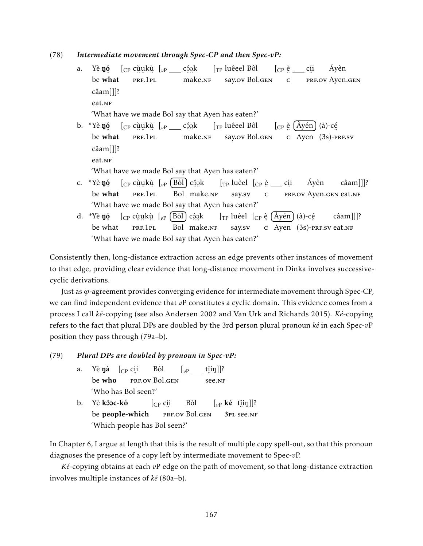(78) *Intermediate movement through Spec-CP and then Spec-vP:*

- a. Yè **ŋó** be ء.<br>what  $\left[\begin{smallmatrix} C\ P \end{smallmatrix}\right]$ cù cu kù cù kù kù kù kù khác của khác của khác của khác của khác của khác của k ™……<br>prf.1pl ™...<br>make.n<mark>F</mark> [TP luêeel Bôl say.ov Bol.gen [CP è cí i ¨ c ™<br>PRF.ov Ayen.gen Áyèn câam]]]? eat.NF 'What have we made Bol say that Ayen has eaten?' b. \*Yè **ŋ**ó be ັ∙∴<br>what  $\left[\begin{smallmatrix} C\text{P} & \text{C}\end{smallmatrix}\right]$ ulukù  $\left[\begin{smallmatrix} v\text{P} & \text{C}\end{smallmatrix}\right]$ c $\left[\begin{smallmatrix} \text{O}\end{smallmatrix}\right]$ ¨ ¨ ¨ prf.1pl ™...<br>make.n<mark>f</mark> [TP luêeel Bôl say.ov Bol.gen  $\left[\begin{smallmatrix} C\end{smallmatrix}\right]$ ê  $\left[\begin{smallmatrix} Ay\'en \end{smallmatrix}\right]$  (à)-cé  $\frac{1}{\sqrt{2}}$  C Ayen (3s)-PRF.SV câam]]]? eat.<sub>NF</sub> 'What have we made Bol say that Ayen has eaten?' c. \*Yè **ŋó** [<sub>CP</sub> cùu̯kù [<sub>vP</sub> (Bòl) cậạk  $\left[\begin{smallmatrix}\mathsf{T}\mathsf{P}\end{smallmatrix}\right]$ luèel  $\left[\begin{smallmatrix}\mathsf{C}\mathsf{P}\end{smallmatrix}\right]$ è $\equiv$ cíi Áyèn câam]]]?
- be ں۔<br>what ………<br>prf.1pl Bol ¨ ¨ make.nf say.sv ¨ c er<br>PRF.ov Ayen.gen eat.nf 'What have we made Bol say that Ayen has eaten?'
- d. \*Yè **ŋó** be ¨ what  $\left[\begin{smallmatrix} C\text{P} & \text{c}\text{u}\text{u}\text{k}\text{u} \end{smallmatrix}\right]\left[\begin{smallmatrix} v\text{P} & \text{B}\text{d}\text{I} \end{smallmatrix}\right]$ c $\hat{\Omega}$ ok ™……<br>prf.1pl Bol ™...<br>make.<mark>n</mark>F  $\left[\begin{smallmatrix}\mathsf{T}\mathrm{P}\end{smallmatrix}\right]$ luèel  $\left[\begin{smallmatrix}\mathsf{C}\mathrm{P}\end{smallmatrix}\right]$   $\left(\begin{smallmatrix}\mathsf{\hat{A}}\end{smallmatrix}\right)$  $\left(\begin{smallmatrix}\mathsf{\hat{a}}\end{smallmatrix}\right)$ -cé say.sv  $\frac{1}{\sqrt{2}}$  C Ayen (3s)-PRF.SV eat.NF câam]]]? 'What have we made Bol say that Ayen has eaten?'

Consistently then, long-distance extraction across an edge prevents other instances of movement to that edge, providing clear evidence that long-distance movement in Dinka involves successivecyclic derivations.

Just as *ϕ*-agreement provides converging evidence for intermediate movement through Spec-CP, we can find independent evidence that *v*P constitutes a cyclic domain. This evidence comes from a process I call *ké*-copying (see also Andersen 2002 and Van Urk and Richards 2015). *Ké*-copying refers to the fact that plural DPs are doubled by the 3rd person plural pronoun *ké* in each Spec-*v*P position they pass through (79a–b).

#### (79) *Plural DPs are doubled by pronoun in Spec-vP:*

- a. Yè**ŋà** [<sub>CP</sub> c<u>í</u>i be who ..<br>prf.ov Bol.gen Bôl  $\left[\begin{smallmatrix} v\text{P} & \mathbf{[} & \mathbf{[} & \mathbf{[} & \mathbf{[} & \mathbf{[} \mathbf{[} \mathbf{[} \mathbf{[} \mathbf{[} \mathbf{[} \mathbf{[} \mathbf{[} \mathbf{[} \mathbf{[} \mathbf{[} \mathbf{[} \mathbf{[} \mathbf{[} \mathbf{[} \mathbf{[} \mathbf{[} \mathbf{[} \mathbf{[} \mathbf{[} \mathbf{[} \mathbf{[} \mathbf{[} \mathbf{[} \mathbf{[} \mathbf{[} \mathbf{[} \mathbf{[} \mathbf{[} \mathbf$ ¨ see.nf 'Who has Bol seen?'
- b. Yè **kôoc-kó** be people-which [CP cí i ∵<br>prf.ov Bol.gen Bôl  $\left[\begin{smallmatrix} v_P \end{smallmatrix} \right]$ **ké** t<u>î</u>iŋ]]? 3pl ¨ see.nf 'Which people has Bol seen?'

In Chapter 6, I argue at length that this is the result of multiple copy spell-out, so that this pronoun diagnoses the presence of a copy left by intermediate movement to Spec-*v*P.

*Ké*-copying obtains at each *v*P edge on the path of movement, so that long-distance extraction involves multiple instances of *ké* (80a–b).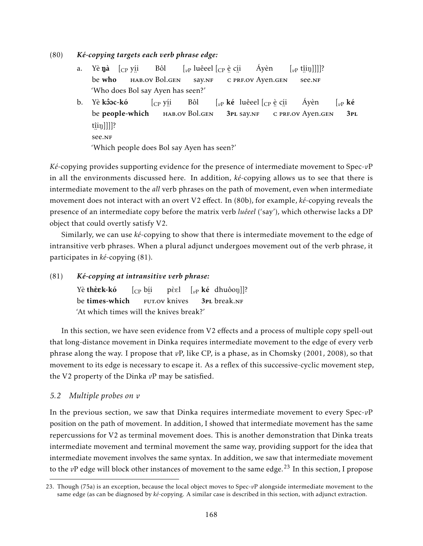(80) *Ké-copying targets each verb phrase edge:*

- a. Yè**ŋà** [<sub>CP</sub> y<u>í</u>i be who , ..<br>hab.ov Bol.gen Bôl  $\left[\begin{smallmatrix} v\end{smallmatrix}\right]$  luêeel  $\left[\begin{smallmatrix} C\end{smallmatrix}\right]$ e c<u>í</u>i say.nf ¨ c ¨ prf.ov Ayen.gen Áyèn  $\left[\begin{smallmatrix} v\text{P} & \text{t}\hat{\text{ii}}\text{I}\text{J} \end{smallmatrix}\right]]\right]$ ? ¨ see.nf 'Who does Bol say Ayen has seen?'
- b. Yè **kôoc-kó** be people-which [CP yí i , ..<br>hab.ov Bol.gen Bôl  $\left[\begin{smallmatrix} v\end{smallmatrix}\right]$ ké luêeel  $\left[\begin{smallmatrix} C\end{smallmatrix}\right]$ e c<u>í</u>i 3pl say.nf .∙ .∙ .<br>c prf.ov Ayen.gen Áyèn  $\int_{v}$ <sub>*v*</sub> ké 3pl t<u>î</u>iŋ]]]]? ¨ see.nf 'Which people does Bol say Ayen has seen?'

*Ké*-copying provides supporting evidence for the presence of intermediate movement to Spec-*v*P in all the environments discussed here. In addition, *ké*-copying allows us to see that there is intermediate movement to the *all* verb phrases on the path of movement, even when intermediate movement does not interact with an overt V2 effect. In (80b), for example, *ké*-copying reveals the presence of an intermediate copy before the matrix verb *luêeel* ('say'), which otherwise lacks a DP object that could overtly satisfy V2.

Similarly, we can use *ké*-copying to show that there is intermediate movement to the edge of intransitive verb phrases. When a plural adjunct undergoes movement out of the verb phrase, it participates in *ké*-copying (81).

(81) *Ké-copying at intransitive verb phrase:*

Yè **thèek-kó** be times-which [CP bí i ™<br>FUT.ov knives pèɛl [<sub>vP</sub> **ké** dhuôoŋ]]? 3pl break.nf 'At which times will the knives break?'

In this section, we have seen evidence from V2 effects and a process of multiple copy spell-out that long-distance movement in Dinka requires intermediate movement to the edge of every verb phrase along the way. I propose that *v*P, like CP, is a phase, as in Chomsky (2001, 2008), so that movement to its edge is necessary to escape it. As a reflex of this successive-cyclic movement step, the V2 property of the Dinka *v*P may be satisfied.

### *5.2 Multiple probes on v*

In the previous section, we saw that Dinka requires intermediate movement to every Spec-*v*P position on the path of movement. In addition, I showed that intermediate movement has the same repercussions for V2 as terminal movement does. This is another demonstration that Dinka treats intermediate movement and terminal movement the same way, providing support for the idea that intermediate movement involves the same syntax. In addition, we saw that intermediate movement to the *vP* edge will block other instances of movement to the same edge.<sup>23</sup> In this section, I propose

<sup>23.</sup> Though (75a) is an exception, because the local object moves to Spec-*v*P alongside intermediate movement to the same edge (as can be diagnosed by *ké*-copying. A similar case is described in this section, with adjunct extraction.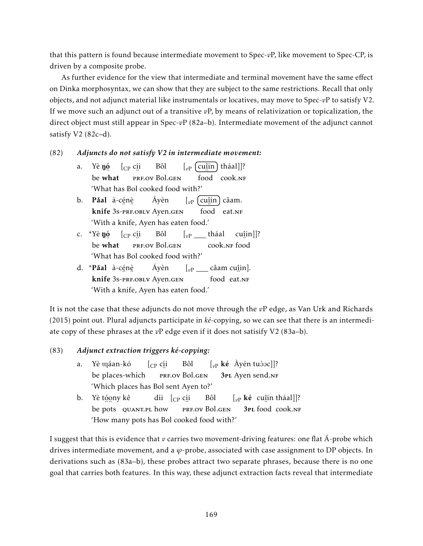that this pattern is found because intermediate movement to Spec-*v*P, like movement to Spec-CP, is driven by a composite probe.

As further evidence for the view that intermediate and terminal movement have the same effect on Dinka morphosyntax, we can show that they are subject to the same restrictions. Recall that only objects, and not adjunct material like instrumentals or locatives, may move to Spec-*v*P to satisfy V2. If we move such an adjunct out of a transitive *v*P, by means of relativization or topicalization, the direct object must still appear in Spec-*v*P (82a–b). Intermediate movement of the adjunct cannot satisfy V2 (82c–d).

### (82) *Adjuncts do not satisfy V2 in intermediate movement:*

- a. Yè **ŋó** be ں۔<br>what  $[$ <sub>CP</sub> c<u>í</u>i ..<br>prf.ov Bol.gen Bôl  $\left[\begin{smallmatrix} v_P & \text{cuîin} \end{smallmatrix}\right]$  tháal]]? <u>…</u><br>food cook.nf 'What has Bol cooked food with?'
- b. **Pǎal** à-cénè **knife** 3s-prf.obly Ayen.gen Áyèn [<sub>vP</sub> (cu<u>î</u>in) câam. food eat.NF 'With a knife, Ayen has eaten food.'
- c. \*Yè **n**ó be ں۔<br>what  $[$ <sub>CP</sub> c<u>í</u>i ..<br>prf.ov Bol.gen Bôl [*v*<sup>P</sup> tháal ..<br>cook.nf food cuî in]]? 'What has Bol cooked food with?'
- d. \***Pǎal** à-cẹ́nẹ̀ **knife** 3s-prf.obly Ayen.gen Áyèn [<sub>vP</sub> \_\_\_\_ câam cu<u>î</u>in]. food eat.NF 'With a knife, Ayen has eaten food.'

It is not the case that these adjuncts do not move through the *v*P edge, as Van Urk and Richards (2015) point out. Plural adjuncts participate in *ké*-copying, so we can see that there is an intermediate copy of these phrases at the *v*P edge even if it does not satisify V2 (83a–b).

### (83) *Adjunct extraction triggers ké-copying:*

- a. Yè îáan-kó be places-which  $[$ <sub>CP</sub> c<u>í</u>i ..<br>prf.ov Bol.gen Bôl  $\left[\begin{smallmatrix} v_P \end{smallmatrix} \right]$ **ké** Àyén tuòoc]]? 3PL Ayen send.NF 'Which places has Bol sent Ayen to?'
- b. Yè t<u>óo</u>ny kê be pots quant.pl how díi [<sub>CP</sub> c<u>í</u>i ¨ prf.ov Bol.gen Bôl [<sub>vP</sub> **ké** cuîin tháal]]? 3PL food cook.NF 'How many pots has Bol cooked food with?'

I suggest that this is evidence that  $\nu$  carries two movement-driving features: one flat  $\bar{A}$ -probe which drives intermediate movement, and a *ϕ*-probe, associated with case assignment to DP objects. In derivations such as (83a–b), these probes attract two separate phrases, because there is no one goal that carries both features. In this way, these adjunct extraction facts reveal that intermediate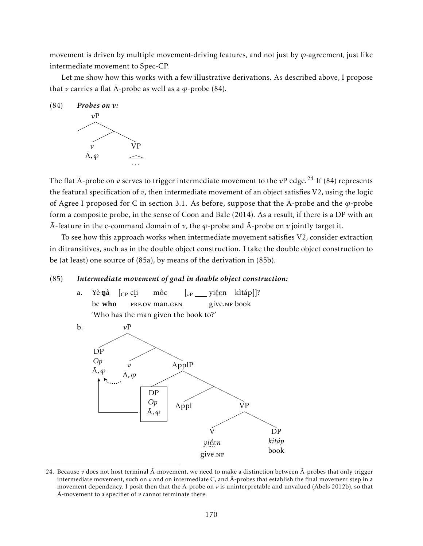movement is driven by multiple movement-driving features, and not just by *ϕ*-agreement, just like intermediate movement to Spec-CP.

Let me show how this works with a few illustrative derivations. As described above, I propose that *v* carries a flat  $\overline{A}$ -probe as well as a  $\varphi$ -probe (84).



The flat  $\bar{A}$ -probe on v serves to trigger intermediate movement to the vP edge.<sup>24</sup> If (84) represents the featural specification of *v*, then intermediate movement of an object satisfies V2, using the logic of Agree I proposed for C in section 3.1. As before, suppose that the  $\bar{A}$ -probe and the  $\varphi$ -probe form a composite probe, in the sense of Coon and Bale (2014). As a result, if there is a DP with an A-feature in the c-command domain of  $v$ , the  $\varphi$ -probe and  $\bar{A}$ -probe on  $v$  jointly target it.

To see how this approach works when intermediate movement satisfies V2, consider extraction in ditransitives, such as in the double object construction. I take the double object construction to be (at least) one source of (85a), by means of the derivation in (85b).

#### (85) *Intermediate movement of goal in double object construction:*

a. Yè**ŋà** [<sub>CP</sub> c<u>í</u>i be who ∵<br>PRF.OV man.GEN môc [<sub>vP</sub> \_\_\_ yiĝgn kìtáp]]? ¨ ¨ give.nf book 'Who has the man given the book to?'



<sup>24.</sup> Because  $v$  does not host terminal  $\bar{A}$ -movement, we need to make a distinction between  $\bar{A}$ -probes that only trigger intermediate movement, such on  $\nu$  and on intermediate C, and  $\bar{A}$ -probes that establish the final movement step in a movement dependency. I posit then that the  $\bar{A}$ -probe on  $v$  is uninterpretable and unvalued (Abels 2012b), so that  $\overline{A}$ -movement to a specifier of  $\nu$  cannot terminate there.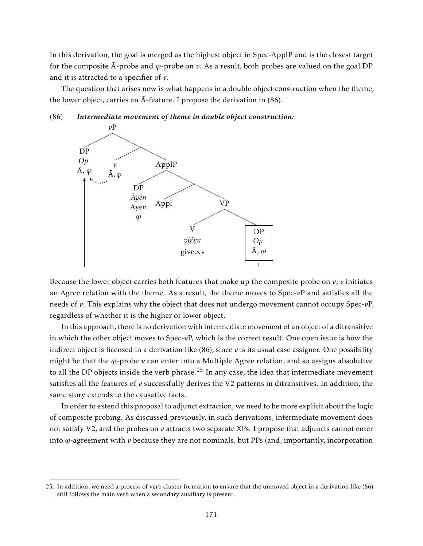In this derivation, the goal is merged as the highest object in Spec-ApplP and is the closest target for the composite  $\bar{A}$ -probe and  $\varphi$ -probe on *v*. As a result, both probes are valued on the goal DP and it is attracted to a specifier of *v*.

The question that arises now is what happens in a double object construction when the theme, the lower object, carries an  $\bar{A}$ -feature. I propose the derivation in (86).

#### (86) *Intermediate movement of theme in double object construction:*



Because the lower object carries both features that make up the composite probe on  $v$ ,  $v$  initiates an Agree relation with the theme. As a result, the theme moves to Spec-*v*P and satisfies all the needs of *v*. This explains why the object that does not undergo movement cannot occupy Spec-*v*P, regardless of whether it is the higher or lower object.

In this approach, there is no derivation with intermediate movement of an object of a ditransitive in which the other object moves to Spec-*v*P, which is the correct result. One open issue is how the indirect object is licensed in a derivation like  $(86)$ , since  $\nu$  is its usual case assigner. One possibility might be that the *ϕ*-probe *v* can enter into a Multiple Agree relation, and so assigns absolutive to all the DP objects inside the verb phrase.<sup>25</sup> In any case, the idea that intermediate movement satisfies all the features of *v* successfully derives the V2 patterns in ditransitives. In addition, the same story extends to the causative facts.

In order to extend this proposal to adjunct extraction, we need to be more explicit about the logic of composite probing. As discussed previously, in such derivations, intermediate movement does not satisfy V2, and the probes on *v* attracts two separate XPs. I propose that adjuncts cannot enter into  $\varphi$ -agreement with  $\nu$  because they are not nominals, but PPs (and, importantly, incorporation

<sup>25.</sup> In addition, we need a process of verb cluster formation to ensure that the unmoved object in a derivation like (86) still follows the main verb when a secondary auxiliary is present.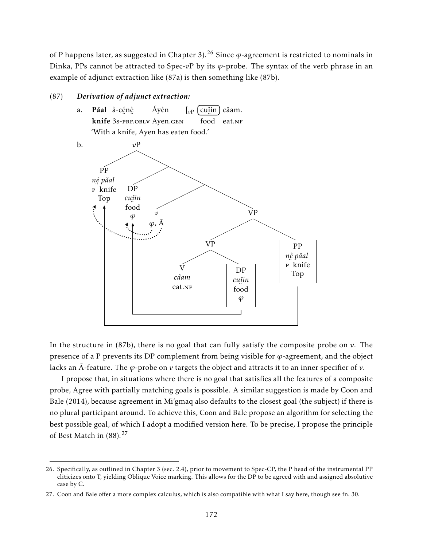of P happens later, as suggested in Chapter 3).<sup>26</sup> Since  $\varphi$ -agreement is restricted to nominals in Dinka, PPs cannot be attracted to Spec-*v*P by its *ϕ*-probe. The syntax of the verb phrase in an example of adjunct extraction like (87a) is then something like (87b).

### (87) *Derivation of adjunct extraction:*





In the structure in  $(87b)$ , there is no goal that can fully satisfy the composite probe on  $v$ . The presence of a P prevents its DP complement from being visible for *ϕ*-agreement, and the object lacks an  $\bar{A}$ -feature. The  $\varphi$ -probe on  $\nu$  targets the object and attracts it to an inner specifier of  $\nu$ .

I propose that, in situations where there is no goal that satisfies all the features of a composite probe, Agree with partially matching goals is possible. A similar suggestion is made by Coon and Bale (2014), because agreement in Mi'gmaq also defaults to the closest goal (the subject) if there is no plural participant around. To achieve this, Coon and Bale propose an algorithm for selecting the best possible goal, of which I adopt a modified version here. To be precise, I propose the principle of Best Match in (88).<sup>27</sup>

<sup>26.</sup> Specifically, as outlined in Chapter 3 (sec. 2.4), prior to movement to Spec-CP, the P head of the instrumental PP cliticizes onto T, yielding Oblique Voice marking. This allows for the DP to be agreed with and assigned absolutive case by C.

<sup>27.</sup> Coon and Bale offer a more complex calculus, which is also compatible with what I say here, though see fn. 30.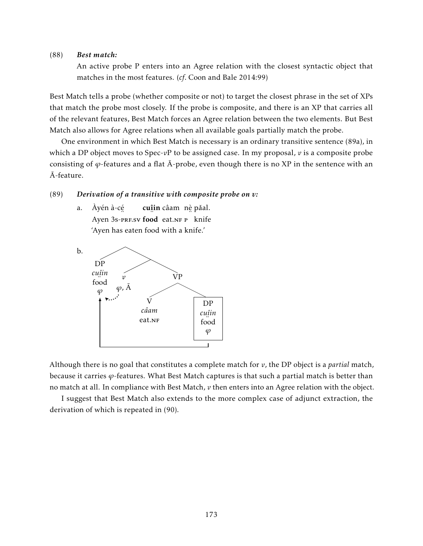#### (88) *Best match:*

An active probe P enters into an Agree relation with the closest syntactic object that matches in the most features. (*cf*. Coon and Bale 2014:99)

Best Match tells a probe (whether composite or not) to target the closest phrase in the set of XPs that match the probe most closely. If the probe is composite, and there is an XP that carries all of the relevant features, Best Match forces an Agree relation between the two elements. But Best Match also allows for Agree relations when all available goals partially match the probe.

One environment in which Best Match is necessary is an ordinary transitive sentence (89a), in which a DP object moves to Spec-*v*P to be assigned case. In my proposal, *v* is a composite probe consisting of  $\varphi$ -features and a flat  $\bar{A}$ -probe, even though there is no XP in the sentence with an A-feature. ¯

#### (89) *Derivation of a transitive with composite probe on v:*

a. Àyén à-cé Ayen 3s-PRF.SV food eat.NF P knife cuîin câam nè pǎal. 'Ayen has eaten food with a knife.'



Although there is no goal that constitutes a complete match for *v*, the DP object is a *partial* match, because it carries *ϕ*-features. What Best Match captures is that such a partial match is better than no match at all. In compliance with Best Match, *v* then enters into an Agree relation with the object.

I suggest that Best Match also extends to the more complex case of adjunct extraction, the derivation of which is repeated in (90).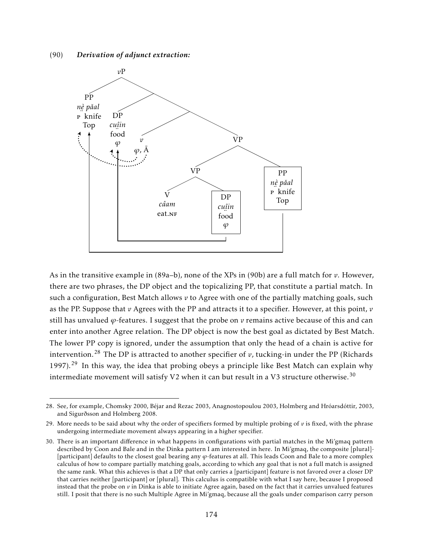(90) *Derivation of adjunct extraction:*



As in the transitive example in (89a–b), none of the XPs in (90b) are a full match for *v*. However, there are two phrases, the DP object and the topicalizing PP, that constitute a partial match. In such a configuration, Best Match allows *v* to Agree with one of the partially matching goals, such as the PP. Suppose that *v* Agrees with the PP and attracts it to a specifier. However, at this point, *v* still has unvalued *ϕ*-features. I suggest that the probe on *v* remains active because of this and can enter into another Agree relation. The DP object is now the best goal as dictated by Best Match. The lower PP copy is ignored, under the assumption that only the head of a chain is active for intervention.<sup>28</sup> The DP is attracted to another specifier of  $v$ , tucking-in under the PP (Richards 1997).<sup>29</sup> In this way, the idea that probing obeys a principle like Best Match can explain why intermediate movement will satisfy V2 when it can but result in a V3 structure otherwise.<sup>30</sup>

<sup>28.</sup> See, for example, Chomsky 2000, Béjar and Rezac 2003, Anagnostopoulou 2003, Holmberg and Hróarsdóttir, 2003, and Sigurðsson and Holmberg 2008.

<sup>29.</sup> More needs to be said about why the order of specifiers formed by multiple probing of  $v$  is fixed, with the phrase undergoing intermediate movement always appearing in a higher specifier.

<sup>30.</sup> There is an important difference in what happens in configurations with partial matches in the Mi'gmaq pattern described by Coon and Bale and in the Dinka pattern I am interested in here. In Mi'gmaq, the composite [plural]- [participant] defaults to the closest goal bearing any *ϕ*-features at all. This leads Coon and Bale to a more complex calculus of how to compare partially matching goals, according to which any goal that is not a full match is assigned the same rank. What this achieves is that a DP that only carries a [participant] feature is not favored over a closer DP that carries neither [participant] or [plural]. This calculus is compatible with what I say here, because I proposed instead that the probe on *v* in Dinka is able to initiate Agree again, based on the fact that it carries unvalued features still. I posit that there is no such Multiple Agree in Mi'gmaq, because all the goals under comparison carry person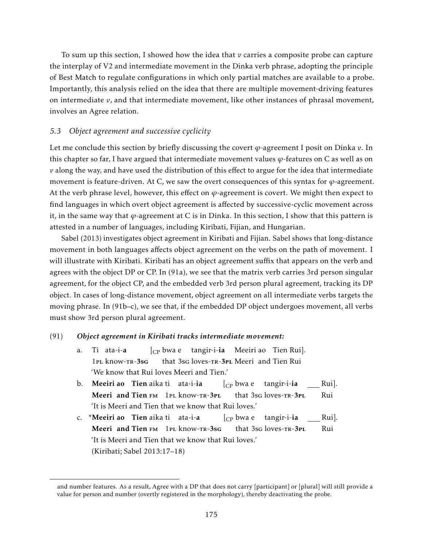To sum up this section, I showed how the idea that *v* carries a composite probe can capture the interplay of V2 and intermediate movement in the Dinka verb phrase, adopting the principle of Best Match to regulate configurations in which only partial matches are available to a probe. Importantly, this analysis relied on the idea that there are multiple movement-driving features on intermediate  $v$ , and that intermediate movement, like other instances of phrasal movement, involves an Agree relation.

#### *5.3 Object agreement and successive cyclicity*

Let me conclude this section by briefly discussing the covert *ϕ*-agreement I posit on Dinka *v*. In this chapter so far, I have argued that intermediate movement values *ϕ*-features on C as well as on *v* along the way, and have used the distribution of this effect to argue for the idea that intermediate movement is feature-driven. At C, we saw the overt consequences of this syntax for *ϕ*-agreement. At the verb phrase level, however, this effect on  $\varphi$ -agreement is covert. We might then expect to find languages in which overt object agreement is affected by successive-cyclic movement across it, in the same way that *ϕ*-agreement at C is in Dinka. In this section, I show that this pattern is attested in a number of languages, including Kiribati, Fijian, and Hungarian.

Sabel (2013) investigates object agreement in Kiribati and Fijian. Sabel shows that long-distance movement in both languages affects object agreement on the verbs on the path of movement. I will illustrate with Kiribati. Kiribati has an object agreement suffix that appears on the verb and agrees with the object DP or CP. In (91a), we see that the matrix verb carries 3rd person singular agreement, for the object CP, and the embedded verb 3rd person plural agreement, tracking its DP object. In cases of long-distance movement, object agreement on all intermediate verbs targets the moving phrase. In (91b–c), we see that, if the embedded DP object undergoes movement, all verbs must show 3rd person plural agreement.

#### (91) *Object agreement in Kiribati tracks intermediate movement:*

- a. Ti ata-i-a 1pl know-tr-3sg [CP bwa e tangir-i-ia Meeiri ao Tien Rui]. that 3sg loves-TR-3PL Meeri and Tien Rui 'We know that Rui loves Meeri and Tien.'
- b. **Meeiri ao Tien** aika ti ata-i-**ia** Meeri and Tien FM 1PL know-TR-3PL  $\rm [_{CP}$  bwa e that 3sg loves-TR-3PL tangir-i-ia Rui]. Rui 'It is Meeri and Tien that we know that Rui loves.'
- c. \*Meeiri ao Tien aika ti ata-i-a Meeri and Tien FM 1PL know-TR-3sG [CP bwa e tangir-i-ia that 3sg loves-TR-3PL Rui]. Rui 'It is Meeri and Tien that we know that Rui loves.' (Kiribati; Sabel 2013:17–18)

and number features. As a result, Agree with a DP that does not carry [participant] or [plural] will still provide a value for person and number (overtly registered in the morphology), thereby deactivating the probe.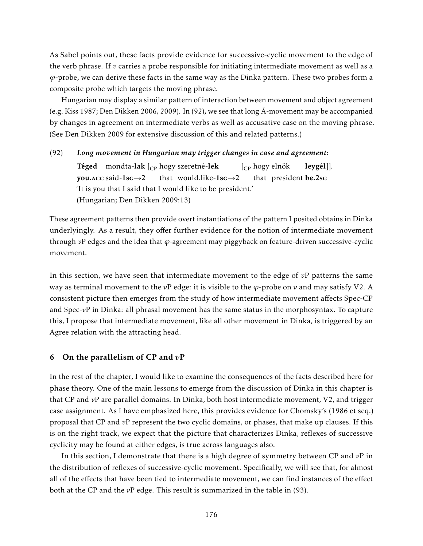As Sabel points out, these facts provide evidence for successive-cyclic movement to the edge of the verb phrase. If *v* carries a probe responsible for initiating intermediate movement as well as a *ϕ*-probe, we can derive these facts in the same way as the Dinka pattern. These two probes form a composite probe which targets the moving phrase.

Hungarian may display a similar pattern of interaction between movement and object agreement (e.g. Kiss 1987; Den Dikken 2006, 2009). In (92), we see that long  $\bar{A}$ -movement may be accompanied by changes in agreement on intermediate verbs as well as accusative case on the moving phrase. (See Den Dikken 2009 for extensive discussion of this and related patterns.)

#### (92) *Long movement in Hungarian may trigger changes in case and agreement:*

**Téged**  $\,$  mondta- $\,$ lak  $\,_{\rm CP}$  hogy szeretné- $\,$ lek you.acc said-1sg→2 that would.like-1sg→2 [CP hogy elnök that president be.2sG leygél]]. 'It is you that I said that I would like to be president.' (Hungarian; Den Dikken 2009:13)

These agreement patterns then provide overt instantiations of the pattern I posited obtains in Dinka underlyingly. As a result, they offer further evidence for the notion of intermediate movement through *v*P edges and the idea that *ϕ*-agreement may piggyback on feature-driven successive-cyclic movement.

In this section, we have seen that intermediate movement to the edge of *v*P patterns the same way as terminal movement to the *v*P edge: it is visible to the *ϕ*-probe on *v* and may satisfy V2. A consistent picture then emerges from the study of how intermediate movement affects Spec-CP and Spec-*v*P in Dinka: all phrasal movement has the same status in the morphosyntax. To capture this, I propose that intermediate movement, like all other movement in Dinka, is triggered by an Agree relation with the attracting head.

#### 6 On the parallelism of CP and *v*P

In the rest of the chapter, I would like to examine the consequences of the facts described here for phase theory. One of the main lessons to emerge from the discussion of Dinka in this chapter is that CP and *v*P are parallel domains. In Dinka, both host intermediate movement, V2, and trigger case assignment. As I have emphasized here, this provides evidence for Chomsky's (1986 et seq.) proposal that CP and *v*P represent the two cyclic domains, or phases, that make up clauses. If this is on the right track, we expect that the picture that characterizes Dinka, reflexes of successive cyclicity may be found at either edges, is true across languages also.

In this section, I demonstrate that there is a high degree of symmetry between CP and *v*P in the distribution of reflexes of successive-cyclic movement. Specifically, we will see that, for almost all of the effects that have been tied to intermediate movement, we can find instances of the effect both at the CP and the *v*P edge. This result is summarized in the table in (93).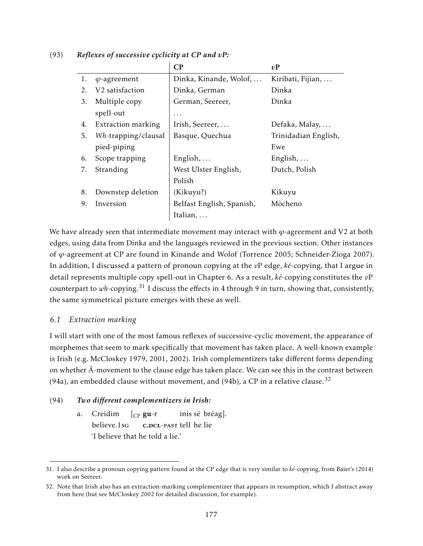|    |                             | $\bf CP$                  | vP                   |
|----|-----------------------------|---------------------------|----------------------|
| 1. | $\varphi$ -agreement        | Dinka, Kinande, Wolof,    | Kiribati, Fijian,    |
| 2. | V <sub>2</sub> satisfaction | Dinka, German             | Dinka                |
| 3. | Multiple copy               | German, Seereer,          | Dinka                |
|    | spell-out                   | .                         |                      |
| 4. | Extraction marking          | Irish, Seereer,           | Defaka, Malay,       |
| 5. | Wh-trapping/clausal         | Basque, Quechua           | Trinidadian English, |
|    | pied-piping                 |                           | Ewe                  |
| 6. | Scope trapping              | English, $\ldots$         | English, $\ldots$    |
| 7. | Stranding                   | West Ulster English,      | Dutch, Polish        |
|    |                             | Polish                    |                      |
| 8. | Downstep deletion           | (Kikuyu?)                 | Kikuyu               |
| 9. | Inversion                   | Belfast English, Spanish, | Mòcheno              |
|    |                             | Italian,                  |                      |

### (93) *Reflexes of successive cyclicity at CP and vP:*

We have already seen that intermediate movement may interact with *ϕ*-agreement and V2 at both edges, using data from Dinka and the languages reviewed in the previous section. Other instances of *ϕ*-agreement at CP are found in Kinande and Wolof (Torrence 2005; Schneider-Zioga 2007). In addition, I discussed a pattern of pronoun copying at the *v*P edge, *ké*-copying, that I argue in detail represents multiple copy spell-out in Chapter 6. As a result, *ké*-copying constitutes the *v*P counterpart to *wh*-copying.<sup>31</sup> I discuss the effects in 4 through 9 in turn, showing that, consistently, the same symmetrical picture emerges with these as well.

### *6.1 Extraction marking*

I will start with one of the most famous reflexes of successive-cyclic movement, the appearance of morphemes that seem to mark specifically that movement has taken place. A well-known example is Irish (e.g. McCloskey 1979, 2001, 2002). Irish complementizers take different forms depending on whether  $\bar{A}$ -movement to the clause edge has taken place. We can see this in the contrast between (94a), an embedded clause without movement, and (94b), a CP in a relative clause.<sup>32</sup>

### (94) *Two different complementizers in Irish:*

a. Creidim believe.1sg  $\int_{CP}$  gu-r c.<mark>dcl-past tell he lie</mark> inis sé bréag]. 'I believe that he told a lie.'

<sup>31.</sup> I also describe a pronoun copying pattern found at the CP edge that is very similar to *ké*-copying, from Baier's (2014) work on Seereer.

<sup>32.</sup> Note that Irish also has an extraction-marking complementizer that appears in resumption, which I abstract away from here (but see McCloskey 2002 for detailed discussion, for example).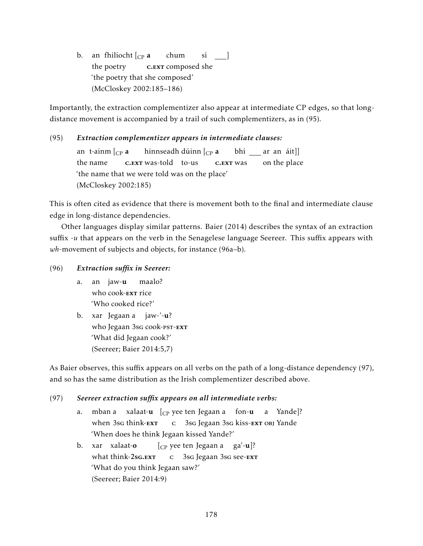b.) an fhilíocht [<sub>CP</sub> **a** the poetry c.<sub>EXT</sub> composed she chum sí \_\_\_] 'the poetry that she composed' (McCloskey 2002:185–186)

Importantly, the extraction complementizer also appear at intermediate CP edges, so that longdistance movement is accompanied by a trail of such complementizers, as in (95).

#### (95) *Extraction complementizer appears in intermediate clauses:* an t-ainm  $[$ <sub>CP</sub> **a** the name c. EXT was-told to-us hinnseadh dúinn [<sub>CP</sub> **a** c.**ex**<sup>r</sup> was bhí \_\_\_ ar an áit]] on the place 'the name that we were told was on the place' (McCloskey 2002:185)

This is often cited as evidence that there is movement both to the final and intermediate clause edge in long-distance dependencies.

Other languages display similar patterns. Baier (2014) describes the syntax of an extraction suffix -*u* that appears on the verb in the Senagelese language Seereer. This suffix appears with *wh*-movement of subjects and objects, for instance (96a–b).

(96) *Extraction suffix in Seereer:*

- a. an jaw-**u** who cook-<mark>ext</mark> rice maalo? 'Who cooked rice?'
- b. xar Jegaan a jaw-′-**u**? who Jegaan 3s<mark>g cook-pst-ext</mark> 'What did Jegaan cook?' (Seereer; Baier 2014:5,7)

As Baier observes, this suffix appears on all verbs on the path of a long-distance dependency (97), and so has the same distribution as the Irish complementizer described above.

### (97) *Seereer extraction suffix appears on all intermediate verbs:*

- a. mban-a xalaat-**u** [<sub>CP</sub> yee-ten-Jegaan-a fon-**u** when 3sg think-EXT c 3sg Jegaan 3sg kiss-<mark>ext</mark> obj Yande a Yande]? 'When does he think Jegaan kissed Yande?'
- b. xar xalaat-o what think-2sG.EXT [CP yee ten Jegaan a ga'-u]? c 3sg Jegaan 3sg see-<mark>ext</mark> 'What do you think Jegaan saw?' (Seereer; Baier 2014:9)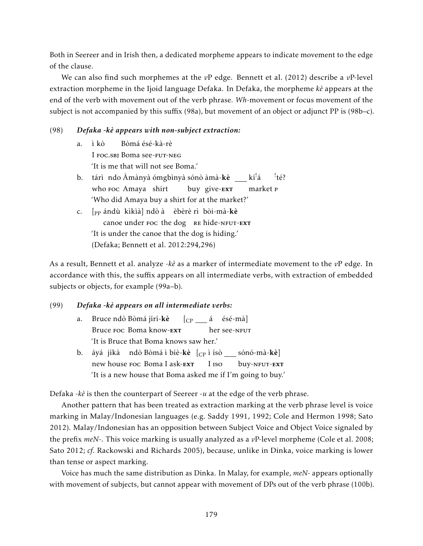Both in Seereer and in Irish then, a dedicated morpheme appears to indicate movement to the edge of the clause.

We can also find such morphemes at the *v*P edge. Bennett et al. (2012) describe a *v*P-level extraction morpheme in the Ijoid language Defaka. In Defaka, the morpheme *kè* appears at the end of the verb with movement out of the verb phrase. *Wh*-movement or focus movement of the subject is not accompanied by this suffix (98a), but movement of an object or adjunct PP is (98b–c).

#### (98) *Defaka -kè appears with non-subject extraction:*

a. ì kò I foc.sbj Boma see-fut-neg Bòmá ésé-kà-rè 'It is me that will not see Boma.' b. ) tárì ndo Àmànyà ómgbìnyà sónò àmà-**kè** \_\_ kí<sup>!</sup>á who foc Amaya shirt buy give-<mark>ext</mark> market p ! té? 'Who did Amaya buy a shirt for at the market?' c. [<sub>PP</sub> ándù kìkìà] ndò à èbèrè rì bòi-mà-**kè** canoe under Foc the dog RE hide-NFUT-EXT 'It is under the canoe that the dog is hiding.'

(Defaka; Bennett et al. 2012:294,296)

As a result, Bennett et al. analyze -*kè* as a marker of intermediate movement to the *v*P edge. In accordance with this, the suffix appears on all intermediate verbs, with extraction of embedded subjects or objects, for example (99a–b).

#### (99) *Defaka -kè appears on all intermediate verbs:*

| a. Bruce ndò Bòmá jírí- <b>kè</b> [ <sub>CP</sub> ___ á ésé-mà] |  |  |              |  |  |
|-----------------------------------------------------------------|--|--|--------------|--|--|
| Bruce Foc Boma know-EXT                                         |  |  | her see-NFUT |  |  |
| 'It is Bruce that Boma knows saw her.'                          |  |  |              |  |  |

b. áyá jíkà) ndò Bòmá ì bíè-**kè** [<sub>CP</sub> ì ísò \_\_\_ sónó-mà-**kè**] new house <mark>Foc Boma I ask-ext</mark> I iso buy-NFUT-EXT 'It is a new house that Boma asked me if I'm going to buy.'

Defaka -*kè* is then the counterpart of Seereer -*u* at the edge of the verb phrase.

Another pattern that has been treated as extraction marking at the verb phrase level is voice marking in Malay/Indonesian languages (e.g. Saddy 1991, 1992; Cole and Hermon 1998; Sato 2012). Malay/Indonesian has an opposition between Subject Voice and Object Voice signaled by the prefix *meN*-. This voice marking is usually analyzed as a *v*P-level morpheme (Cole et al. 2008; Sato 2012; *cf*. Rackowski and Richards 2005), because, unlike in Dinka, voice marking is lower than tense or aspect marking.

Voice has much the same distribution as Dinka. In Malay, for example, *meN*- appears optionally with movement of subjects, but cannot appear with movement of DPs out of the verb phrase (100b).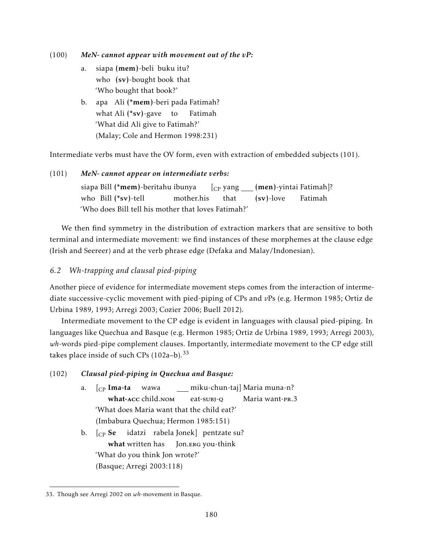(100) *MeN- cannot appear with movement out of the vP:*

- a. siapa (**mem**)-beli buku itu? who (sv)-bought book that 'Who bought that book?'
- b. apa Ali (**\*mem**)-beri pada Fatimah? what Ali (\*sv)-gave to Fatimah 'What did Ali give to Fatimah?' (Malay; Cole and Hermon 1998:231)

Intermediate verbs must have the OV form, even with extraction of embedded subjects (101).

### (101) *MeN- cannot appear on intermediate verbs:*

siapa Bill (**\*mem**)-beritahu ibunya who Bill (\*sv)-tell mother.his [CP yang (men)-yintai Fatimah]? that (sv)-love Fatimah 'Who does Bill tell his mother that loves Fatimah?'

We then find symmetry in the distribution of extraction markers that are sensitive to both terminal and intermediate movement: we find instances of these morphemes at the clause edge (Irish and Seereer) and at the verb phrase edge (Defaka and Malay/Indonesian).

# *6.2 Wh-trapping and clausal pied-piping*

Another piece of evidence for intermediate movement steps comes from the interaction of intermediate successive-cyclic movement with pied-piping of CPs and *v*Ps (e.g. Hermon 1985; Ortiz de Urbina 1989, 1993; Arregi 2003; Cozier 2006; Buell 2012).

Intermediate movement to the CP edge is evident in languages with clausal pied-piping. In languages like Quechua and Basque (e.g. Hermon 1985; Ortiz de Urbina 1989, 1993; Arregi 2003), *wh*-words pied-pipe complement clauses. Importantly, intermediate movement to the CP edge still takes place inside of such CPs  $(102a-b)$ .<sup>33</sup>

### (102) *Clausal pied-piping in Quechua and Basque:*

- a. [<sub>CP</sub> **Ima-ta** wawa what-acc child.nom miku-chun-taj] Maria muna-n? eat-subj-o Maria want-pr.3 'What does Maria want that the child eat?' (Imbabura Quechua; Hermon 1985:151)
- b.  $\int_{CP}$  Se what written has Jon.ERG you-think idatzi rabela Jonek] pentzate su? 'What do you think Jon wrote?' (Basque; Arregi 2003:118)

<sup>33.</sup> Though see Arregi 2002 on *wh*-movement in Basque.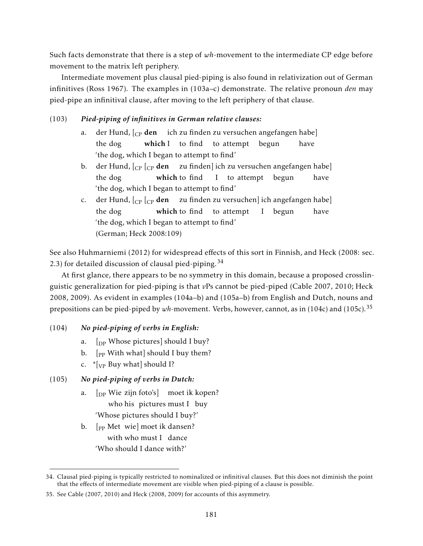Such facts demonstrate that there is a step of *wh*-movement to the intermediate CP edge before movement to the matrix left periphery.

Intermediate movement plus clausal pied-piping is also found in relativization out of German infinitives (Ross 1967). The examples in (103a–c) demonstrate. The relative pronoun *den* may pied-pipe an infinitival clause, after moving to the left periphery of that clause.

# (103) *Pied-piping of infinitives in German relative clauses:*

- a. der Hund, [<sub>CP</sub> **den** ich zu finden zu versuchen angefangen habe] the dog which I to find to attempt begun have 'the dog, which I began to attempt to find'
- b.  $\,$  der Hund, [ $_{\mathrm{CP}}$  [ $_{\mathrm{CP}}$  **den**  $\,$  zu finden] ich zu versuchen angefangen habe] the dog which to find I to attempt begun have 'the dog, which I began to attempt to find'
- c. der Hund, [<sub>CP</sub> [<sub>CP</sub> **den** zu finden zu versuchen] ich angefangen habe] the dog which to find to attempt I begun have 'the dog, which I began to attempt to find' (German; Heck 2008:109)

See also Huhmarniemi (2012) for widespread effects of this sort in Finnish, and Heck (2008: sec. 2.3) for detailed discussion of clausal pied-piping.  $34$ 

At first glance, there appears to be no symmetry in this domain, because a proposed crosslinguistic generalization for pied-piping is that *v*Ps cannot be pied-piped (Cable 2007, 2010; Heck 2008, 2009). As evident in examples (104a–b) and (105a–b) from English and Dutch, nouns and prepositions can be pied-piped by *wh*-movement. Verbs, however, cannot, as in (104c) and (105c).<sup>35</sup>

# (104) *No pied-piping of verbs in English:*

- a.  $\left[$ <sub>DP</sub> Whose pictures] should I buy?
- b.  $[p_P \text{With what}]$  should I buy them?
- c.  $\sqrt[*]{v_P}$  Buy what] should I?

# (105) *No pied-piping of verbs in Dutch:*

- a. [<sub>DP</sub> Wie zijn foto's] moet ik kopen? who his pictures must I buy 'Whose pictures should I buy?'
- b. [<sub>PP</sub> Met wie] moet ik dansen? with who must I dance 'Who should I dance with?'

<sup>34.</sup> Clausal pied-piping is typically restricted to nominalized or infinitival clauses. But this does not diminish the point that the effects of intermediate movement are visible when pied-piping of a clause is possible.

<sup>35.</sup> See Cable (2007, 2010) and Heck (2008, 2009) for accounts of this asymmetry.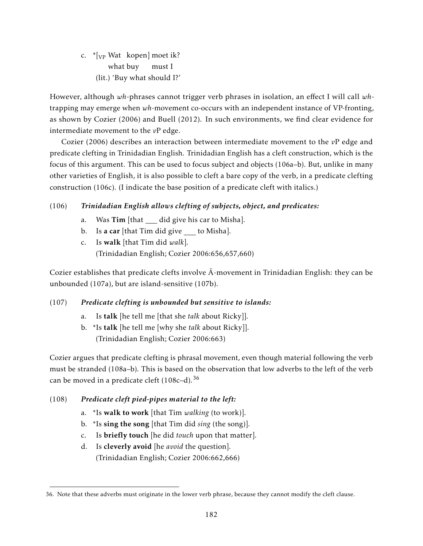c. \* [<sub>VP</sub> Wat kopen] moet ik? what buy must I (lit.) 'Buy what should I?'

However, although *wh*-phrases cannot trigger verb phrases in isolation, an effect I will call *wh*trapping may emerge when *wh*-movement co-occurs with an independent instance of VP-fronting, as shown by Cozier (2006) and Buell (2012). In such environments, we find clear evidence for intermediate movement to the *v*P edge.

Cozier (2006) describes an interaction between intermediate movement to the *v*P edge and predicate clefting in Trinidadian English. Trinidadian English has a cleft construction, which is the focus of this argument. This can be used to focus subject and objects (106a–b). But, unlike in many other varieties of English, it is also possible to cleft a bare copy of the verb, in a predicate clefting construction (106c). (I indicate the base position of a predicate cleft with italics.)

# (106) *Trinidadian English allows clefting of subjects, object, and predicates:*

- a. Was Tim [that did give his car to Misha].
- b. Is a car [that Tim did give  $\_\_$  to Misha].
- c. Is walk [that Tim did *walk*]. (Trinidadian English; Cozier 2006:656,657,660)

Cozier establishes that predicate clefts involve  $\bar{A}$ -movement in Trinidadian English: they can be unbounded (107a), but are island-sensitive (107b).

# (107) *Predicate clefting is unbounded but sensitive to islands:*

- a. Is talk [he tell me [that she *talk* about Ricky]].
- b. \*Is talk [he tell me [why she *talk* about Ricky]]. (Trinidadian English; Cozier 2006:663)

Cozier argues that predicate clefting is phrasal movement, even though material following the verb must be stranded (108a–b). This is based on the observation that low adverbs to the left of the verb can be moved in a predicate cleft  $(108c-d)^{36}$ 

- (108) *Predicate cleft pied-pipes material to the left:*
	- a. \*Is walk to work [that Tim *walking* (to work)].
	- b. \*Is sing the song [that Tim did *sing* (the song)].
	- c. Is briefly touch [he did *touch* upon that matter].
	- d. Is cleverly avoid [he *avoid* the question]. (Trinidadian English; Cozier 2006:662,666)

<sup>36.</sup> Note that these adverbs must originate in the lower verb phrase, because they cannot modify the cleft clause.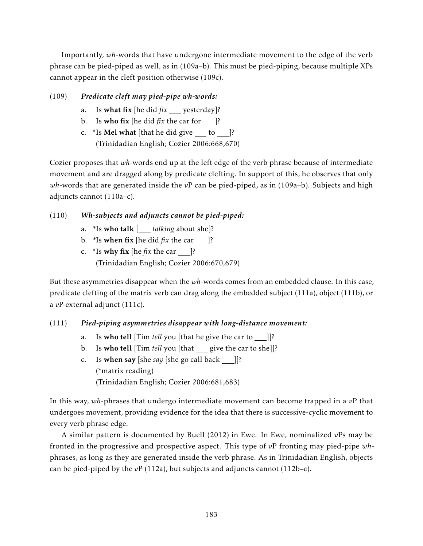Importantly, *wh*-words that have undergone intermediate movement to the edge of the verb phrase can be pied-piped as well, as in (109a–b). This must be pied-piping, because multiple XPs cannot appear in the cleft position otherwise (109c).

# (109) *Predicate cleft may pied-pipe wh-words:*

- a. Is what fix [he did  $fix$  yesterday]?
- b. Is who fix [he did  $fix$  the car for ]?
- c.  $*$ Is **Mel what** [that he did give to ]? (Trinidadian English; Cozier 2006:668,670)

Cozier proposes that *wh*-words end up at the left edge of the verb phrase because of intermediate movement and are dragged along by predicate clefting. In support of this, he observes that only *wh*-words that are generated inside the *v*P can be pied-piped, as in (109a–b). Subjects and high adjuncts cannot (110a–c).

# (110) *Wh-subjects and adjuncts cannot be pied-piped:*

- a. \*Is who talk [ *talking* about she]?
- b.  $*$ Is when fix [he did *fix* the car ]?
- c.  $*$ Is why fix [he *fix* the car ]? (Trinidadian English; Cozier 2006:670,679)

But these asymmetries disappear when the *wh*-words comes from an embedded clause. In this case, predicate clefting of the matrix verb can drag along the embedded subject (111a), object (111b), or a *v*P-external adjunct (111c).

# (111) *Pied-piping asymmetries disappear with long-distance movement:*

- a. Is who tell [Tim *tell* you [that he give the car to \_\_]]?
- b. Is who tell [Tim *tell* you [that give the car to she]]?
- c. Is when say [she *say* [she go call back  $\Box$ ]? (\*matrix reading) (Trinidadian English; Cozier 2006:681,683)

In this way, *wh*-phrases that undergo intermediate movement can become trapped in a *v*P that undergoes movement, providing evidence for the idea that there is successive-cyclic movement to every verb phrase edge.

A similar pattern is documented by Buell (2012) in Ewe. In Ewe, nominalized *v*Ps may be fronted in the progressive and prospective aspect. This type of *v*P fronting may pied-pipe *wh*phrases, as long as they are generated inside the verb phrase. As in Trinidadian English, objects can be pied-piped by the  $vP(112a)$ , but subjects and adjuncts cannot  $(112b-c)$ .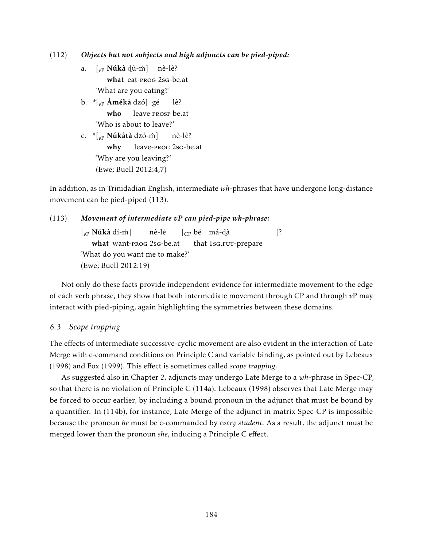(112) *Objects but not subjects and high adjuncts can be pied-piped:*

- a. [<sub>v</sub>p **Núkà** d્ù-ḿ] nè-lè? what eat-prog 2sg-be.at 'What are you eating?'
- b. \*[*v*<sup>P</sup> Àmékà dzó] gé who leave prosp be.at lè? 'Who is about to leave?'
- c. \*[<sub>vP</sub> **Núkàtà** dzó-m] why leave-prog 2sg-be.at nè-lè? 'Why are you leaving?' (Ewe; Buell 2012:4,7)

In addition, as in Trinidadian English, intermediate *wh*-phrases that have undergone long-distance movement can be pied-piped (113).

## (113) *Movement of intermediate vP can pied-pipe wh-phrase:*

[*v*<sup>P</sup> Núkà dí-m] ´ what want-prog 2sg-be.at nè-lè [CP bé má-ãà that 1sG.FUT-prepare ]? 'What do you want me to make?' (Ewe; Buell 2012:19)

Not only do these facts provide independent evidence for intermediate movement to the edge of each verb phrase, they show that both intermediate movement through CP and through *v*P may interact with pied-piping, again highlighting the symmetries between these domains.

## *6.3 Scope trapping*

The effects of intermediate successive-cyclic movement are also evident in the interaction of Late Merge with c-command conditions on Principle C and variable binding, as pointed out by Lebeaux (1998) and Fox (1999). This effect is sometimes called *scope trapping*.

As suggested also in Chapter 2, adjuncts may undergo Late Merge to a *wh*-phrase in Spec-CP, so that there is no violation of Principle C (114a). Lebeaux (1998) observes that Late Merge may be forced to occur earlier, by including a bound pronoun in the adjunct that must be bound by a quantifier. In (114b), for instance, Late Merge of the adjunct in matrix Spec-CP is impossible because the pronoun *he* must be c-commanded by *every student*. As a result, the adjunct must be merged lower than the pronoun *she*, inducing a Principle C effect.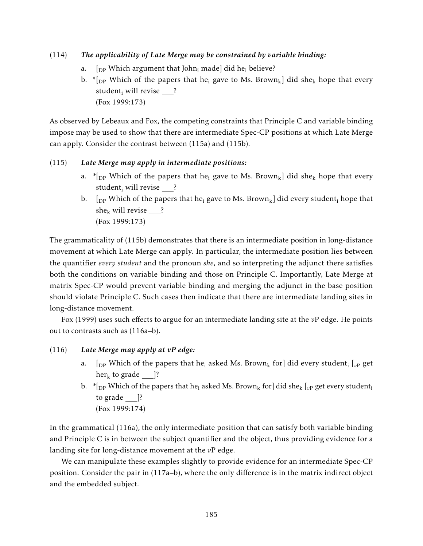## (114) *The applicability of Late Merge may be constrained by variable binding:*

- a.  $[$ <sub>DP</sub> Which argument that John<sub>i</sub> made] did he<sub>i</sub> believe?
- b. \* [DP Which of the papers that he<sub>i</sub> gave to Ms. Brown<sub>k</sub>] did she<sub>k</sub> hope that every student<sub>i</sub> will revise ? (Fox 1999:173)

As observed by Lebeaux and Fox, the competing constraints that Principle C and variable binding impose may be used to show that there are intermediate Spec-CP positions at which Late Merge can apply. Consider the contrast between (115a) and (115b).

#### (115) *Late Merge may apply in intermediate positions:*

- a. \*  $\lceil \frac{1}{2} \rceil$  Which of the papers that he<sub>i</sub> gave to Ms. Brown<sub>k</sub>] did she<sub>k</sub> hope that every student<sub>i</sub> will revise ?
- b.  $\lceil \frac{D}{2} \rceil$  Which of the papers that he<sub>i</sub> gave to Ms. Brown<sub>k</sub> did every student; hope that she<sub>k</sub> will revise ? (Fox 1999:173)

The grammaticality of (115b) demonstrates that there is an intermediate position in long-distance movement at which Late Merge can apply. In particular, the intermediate position lies between the quantifier *every student* and the pronoun *she*, and so interpreting the adjunct there satisfies both the conditions on variable binding and those on Principle C. Importantly, Late Merge at matrix Spec-CP would prevent variable binding and merging the adjunct in the base position should violate Principle C. Such cases then indicate that there are intermediate landing sites in long-distance movement.

Fox (1999) uses such effects to argue for an intermediate landing site at the *v*P edge. He points out to contrasts such as (116a–b).

## (116) *Late Merge may apply at vP edge:*

- a.  $\rm{p}$  [ $\rm{p}$ P Which of the papers that he<sub>i</sub> asked Ms. Brown<sub>k</sub> for] did every student<sub>i</sub> [ $\rm{p}$ P get  $her_k$  to grade  $\Box$ ?
- b.  $*$ [<sub>DP</sub> Which of the papers that he<sub>i</sub> asked Ms. Brown<sub>k</sub> for] did she<sub>k</sub> [<sub>vP</sub> get every student<sub>i</sub> to grade  $\Box$ ? (Fox 1999:174)

In the grammatical (116a), the only intermediate position that can satisfy both variable binding and Principle C is in between the subject quantifier and the object, thus providing evidence for a landing site for long-distance movement at the *v*P edge.

We can manipulate these examples slightly to provide evidence for an intermediate Spec-CP position. Consider the pair in (117a–b), where the only difference is in the matrix indirect object and the embedded subject.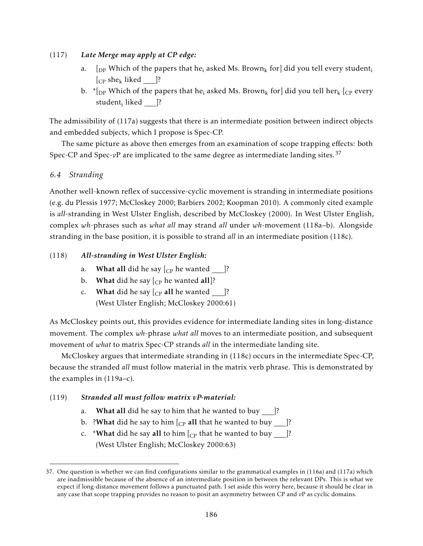## (117) *Late Merge may apply at CP edge:*

- a.  $\int_{DP}$  Which of the papers that he<sub>i</sub> asked Ms. Brown<sub>k</sub> for did you tell every student<sub>i</sub>  $[CP \, she_k \, liked]$  ?
- b.  $*$ [DP Which of the papers that he<sub>i</sub> asked Ms. Brown<sub>k</sub> for] did you tell her<sub>k</sub> [CP every student<sub>i</sub> liked \_\_\_]?

The admissibility of (117a) suggests that there is an intermediate position between indirect objects and embedded subjects, which I propose is Spec-CP.

The same picture as above then emerges from an examination of scope trapping effects: both Spec-CP and Spec-*v*P are implicated to the same degree as intermediate landing sites.<sup>37</sup>

# *6.4 Stranding*

Another well-known reflex of successive-cyclic movement is stranding in intermediate positions (e.g. du Plessis 1977; McCloskey 2000; Barbiers 2002; Koopman 2010). A commonly cited example is *all*-stranding in West Ulster English, described by McCloskey (2000). In West Ulster English, complex *wh*-phrases such as *what all* may strand *all* under *wh*-movement (118a–b). Alongside stranding in the base position, it is possible to strand *all* in an intermediate position (118c).

# (118) *All-stranding in West Ulster English:*

- a. What all did he say  $\left[\begin{smallmatrix}C_P & E\end{smallmatrix}\right]$  me wanted  $\begin{smallmatrix}C_P\end{smallmatrix}$  |?
- b. What did he say  $\vert_{CP}$  he wanted all]?
- c. What did he say  $\begin{bmatrix} C_P \end{bmatrix}$  all he wanted  $\begin{bmatrix} \end{bmatrix}$ ? (West Ulster English; McCloskey 2000:61)

As McCloskey points out, this provides evidence for intermediate landing sites in long-distance movement. The complex *wh*-phrase *what all* moves to an intermediate position, and subsequent movement of *what* to matrix Spec-CP strands *all* in the intermediate landing site.

McCloskey argues that intermediate stranding in (118c) occurs in the intermediate Spec-CP, because the stranded *all* must follow material in the matrix verb phrase. This is demonstrated by the examples in (119a–c).

## (119) *Stranded all must follow matrix vP-material:*

- a. What all did he say to him that he wanted to buy  $\vert$ ?
- b. ?What did he say to him  $\begin{bmatrix} C_P \end{bmatrix}$  all that he wanted to buy  $\begin{bmatrix} \end{bmatrix}$ ?
- c. \*What did he say all to him  $\begin{bmatrix} C_P \end{bmatrix}$  that he wanted to buy  $\begin{bmatrix} C_P \end{bmatrix}$ ? (West Ulster English; McCloskey 2000:63)

<sup>37.</sup> One question is whether we can find configurations similar to the grammatical examples in (116a) and (117a) which are inadmissible because of the absence of an intermediate position in between the relevant DPs. This is what we expect if long-distance movement follows a punctuated path. I set aside this worry here, because it should be clear in any case that scope trapping provides no reason to posit an asymmetry between CP and *v*P as cyclic domains.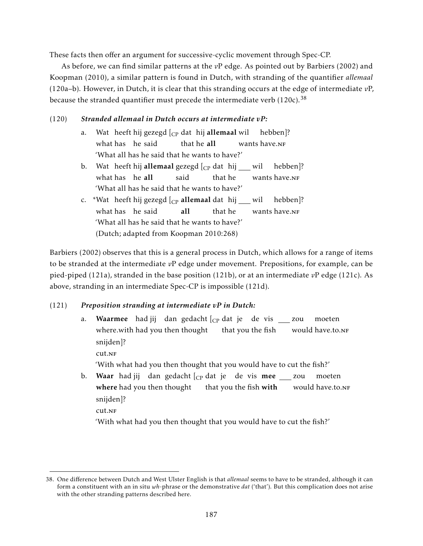These facts then offer an argument for successive-cyclic movement through Spec-CP.

As before, we can find similar patterns at the *v*P edge. As pointed out by Barbiers (2002) and Koopman (2010), a similar pattern is found in Dutch, with stranding of the quantifier *allemaal* (120a–b). However, in Dutch, it is clear that this stranding occurs at the edge of intermediate *v*P, because the stranded quantifier must precede the intermediate verb  $(120c)$ .<sup>38</sup>

# (120) *Stranded allemaal in Dutch occurs at intermediate vP:*

- a. Wat heeft hij gezegd [<sub>CP</sub> dat hij **allemaal** wil what has he said that he all wants have.nf hebben]? 'What all has he said that he wants to have?'
- b. Wat heeft hij **allemaal** gezegd [<sub>CP</sub> dat hij \_\_\_ wil what has he all said that he wants have.nf hebben]? 'What all has he said that he wants to have?'
- c. \*Wat heeft hij gezegd [<sub>CP</sub> all**emaal** dat hij \_\_\_ wil what has he said all that he wants have.nf hebben]? 'What all has he said that he wants to have?' (Dutch; adapted from Koopman 2010:268)

Barbiers (2002) observes that this is a general process in Dutch, which allows for a range of items to be stranded at the intermediate *v*P edge under movement. Prepositions, for example, can be pied-piped (121a), stranded in the base position (121b), or at an intermediate *v*P edge (121c). As above, stranding in an intermediate Spec-CP is impossible (121d).

# (121) *Preposition stranding at intermediate vP in Dutch:*

- a. **Waarmee** hadjij dan gedacht $[\begin{smallmatrix}c_{\text{P}}\text{dat}\end{smallmatrix}]$ je de vis \_\_\_ zou where.with had you then thought hat you the fish would have.to.NF moeten snijden]? cut.nf 'With what had you then thought that you would have to cut the fish?'
- b. Waar hadjij dan gedacht $[\rm_{CP}$ dat je de vis mee \_\_\_ zou **where** had you then thought that you the fish **with** would have.to.nf moeten snijden]? cut.nf

'With what had you then thought that you would have to cut the fish?'

<sup>38.</sup> One difference between Dutch and West Ulster English is that *allemaal* seems to have to be stranded, although it can form a constituent with an in situ *wh*-phrase or the demonstrative *dat* ('that'). But this complication does not arise with the other stranding patterns described here.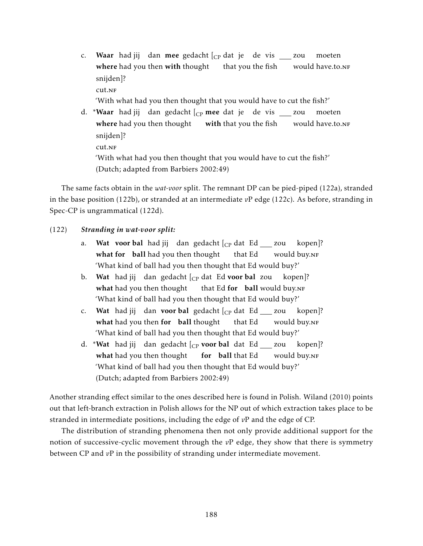c. Waar hadjij dan mee gedacht $[_{\rm CP}% ]^{(n)}$  dat je de vis \_\_\_ zou where had you then with thought that you the fish would have.to.<mark>n</mark>F moeten snijden]?

 $cut<sub>NF</sub>$ 

'With what had you then thought that you would have to cut the fish?'

d. \***Waar** hadjij dan gedacht $[\mathrm{_{CP}}$  **mee** dat je de vis \_\_\_ zou where had you then thought vith that you the fish would have.to.<mark>n</mark>F moeten snijden]? cut.nf 'With what had you then thought that you would have to cut the fish?' (Dutch; adapted from Barbiers 2002:49)

The same facts obtain in the *wat-voor* split. The remnant DP can be pied-piped (122a), stranded in the base position (122b), or stranded at an intermediate *v*P edge (122c). As before, stranding in Spec-CP is ungrammatical (122d).

## (122) *Stranding in wat-voor split:*

- a. Wat voor bal had jij dan gedacht [<sub>CP</sub> dat Ed \_\_\_ zou kopen]? what for ball had you then thought that Ed would buy.nf 'What kind of ball had you then thought that Ed would buy?'
- b. Wat had jij dan gedacht [<sub>CP</sub> dat Ed **voor bal** zou kopen]? what had you then thought that Ed for ball would buy.NF 'What kind of ball had you then thought that Ed would buy?'
- c. Wat had jij dan **voor bal** gedacht [<sub>CP</sub> dat Ed \_\_\_ zou what had you then for ball thought that Ed would buy.nf kopen]? 'What kind of ball had you then thought that Ed would buy?'
- d. \***Wat** had jij dan gedacht [<sub>CP</sub> **voor bal** dat Ed \_\_\_ zou what had you then thought **for** ball that Ed would buy.nf kopen]? 'What kind of ball had you then thought that Ed would buy?' (Dutch; adapted from Barbiers 2002:49)

Another stranding effect similar to the ones described here is found in Polish. Wiland (2010) points out that left-branch extraction in Polish allows for the NP out of which extraction takes place to be stranded in intermediate positions, including the edge of *v*P and the edge of CP.

The distribution of stranding phenomena then not only provide additional support for the notion of successive-cyclic movement through the *v*P edge, they show that there is symmetry between CP and *v*P in the possibility of stranding under intermediate movement.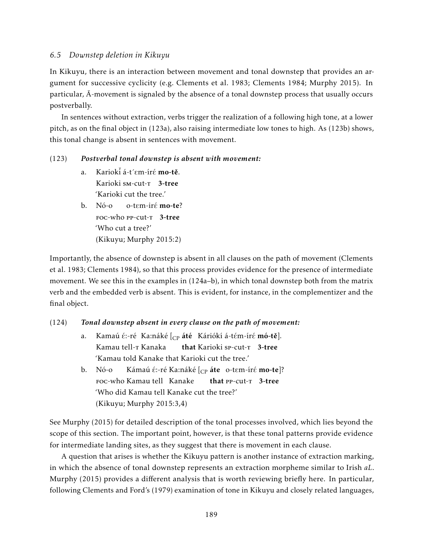### *6.5 Downstep deletion in Kikuyu*

In Kikuyu, there is an interaction between movement and tonal downstep that provides an argument for successive cyclicity (e.g. Clements et al. 1983; Clements 1984; Murphy 2015). In particular,  $\bar{A}$ -movement is signaled by the absence of a tonal downstep process that usually occurs postverbally.

In sentences without extraction, verbs trigger the realization of a following high tone, at a lower pitch, as on the final object in (123a), also raising intermediate low tones to high. As (123b) shows, this tonal change is absent in sentences with movement.

#### (123) *Postverbal tonal downstep is absent with movement:*

- a. Kariokť á-t´ $\varepsilon$ m-ír $\acute{\epsilon}$  mo-tě. Karioki sm-cut-<sup>T</sup> 3-tree 'Karioki cut the tree.'
- b. Nó-o FOC-who PP-cut-T 3-tree o-tɛm-irɛ́ **mo-te**? 'Who cut a tree?' (Kikuyu; Murphy 2015:2)

Importantly, the absence of downstep is absent in all clauses on the path of movement (Clements et al. 1983; Clements 1984), so that this process provides evidence for the presence of intermediate movement. We see this in the examples in (124a–b), in which tonal downstep both from the matrix verb and the embedded verb is absent. This is evident, for instance, in the complementizer and the final object.

## (124) *Tonal downstep absent in every clause on the path of movement:*

- a. Kamaú é:-ré -Ka:náké [<sub>CP</sub> **áté** Káriókí á-tém-íré **mó-tě**]. Kamau tell-<mark>r Kanaka</mark> that Karioki sp-cut-T 3-tree 'Kamau told Kanake that Karioki cut the tree.'
- b. Nó-o foc-who Kamau tell Kanake Kámaú é:-ré Ka:náké [<sub>CP</sub> **áte**) o-tɛm-íré **mo-te**]? that PP-cut-T 3-tree 'Who did Kamau tell Kanake cut the tree?' (Kikuyu; Murphy 2015:3,4)

See Murphy (2015) for detailed description of the tonal processes involved, which lies beyond the scope of this section. The important point, however, is that these tonal patterns provide evidence for intermediate landing sites, as they suggest that there is movement in each clause.

A question that arises is whether the Kikuyu pattern is another instance of extraction marking, in which the absence of tonal downstep represents an extraction morpheme similar to Irish *aL*. Murphy (2015) provides a different analysis that is worth reviewing briefly here. In particular, following Clements and Ford's (1979) examination of tone in Kikuyu and closely related languages,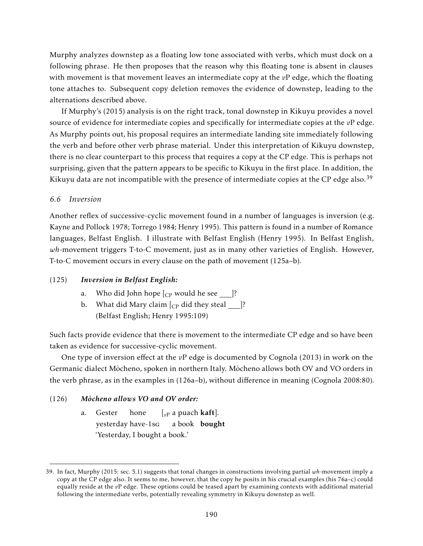Murphy analyzes downstep as a floating low tone associated with verbs, which must dock on a following phrase. He then proposes that the reason why this floating tone is absent in clauses with movement is that movement leaves an intermediate copy at the *v*P edge, which the floating tone attaches to. Subsequent copy deletion removes the evidence of downstep, leading to the alternations described above.

If Murphy's (2015) analysis is on the right track, tonal downstep in Kikuyu provides a novel source of evidence for intermediate copies and specifically for intermediate copies at the *v*P edge. As Murphy points out, his proposal requires an intermediate landing site immediately following the verb and before other verb phrase material. Under this interpretation of Kikuyu downstep, there is no clear counterpart to this process that requires a copy at the CP edge. This is perhaps not surprising, given that the pattern appears to be specific to Kikuyu in the first place. In addition, the Kikuyu data are not incompatible with the presence of intermediate copies at the CP edge also.<sup>39</sup>

#### *6.6 Inversion*

Another reflex of successive-cyclic movement found in a number of languages is inversion (e.g. Kayne and Pollock 1978; Torrego 1984; Henry 1995). This pattern is found in a number of Romance languages, Belfast English. I illustrate with Belfast English (Henry 1995). In Belfast English, *wh*-movement triggers T-to-C movement, just as in many other varieties of English. However, T-to-C movement occurs in every clause on the path of movement (125a–b).

#### (125) *Inversion in Belfast English:*

- a. Who did John hope  $\lbrack$  cp would he see ]?
- b. What did Mary claim  $\begin{bmatrix} C_P \end{bmatrix}$  did they steal [?] (Belfast English; Henry 1995:109)

Such facts provide evidence that there is movement to the intermediate CP edge and so have been taken as evidence for successive-cyclic movement.

One type of inversion effect at the *v*P edge is documented by Cognola (2013) in work on the Germanic dialect Mòcheno, spoken in northern Italy. Mòcheno allows both OV and VO orders in the verb phrase, as in the examples in (126a–b), without difference in meaning (Cognola 2008:80).

#### (126) *Mòcheno allows VO and OV order:*

a. Gester yesterday have-1sg hone [*v*<sup>P</sup> a puach kaft]. a book) **bought** 'Yesterday, I bought a book.'

<sup>39.</sup> In fact, Murphy (2015: sec. 5.1) suggests that tonal changes in constructions involving partial *wh*-movement imply a copy at the CP edge also. It seems to me, however, that the copy he posits in his crucial examples (his 76a–c) could equally reside at the *v*P edge. These options could be teased apart by examining contexts with additional material following the intermediate verbs, potentially revealing symmetry in Kikuyu downstep as well.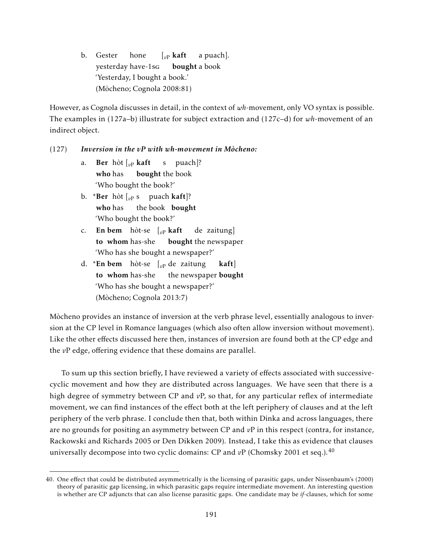b. Gester yesterday have-1sg hone  $\int_{v}$ <sub>*v*</sub> kaft **bought** a book a puach]. 'Yesterday, I bought a book.' (Mòcheno; Cognola 2008:81)

However, as Cognola discusses in detail, in the context of *wh*-movement, only VO syntax is possible. The examples in (127a–b) illustrate for subject extraction and (127c–d) for *wh*-movement of an indirect object.

#### (127) *Inversion in the vP with wh-movement in Mòcheno:*

- a. Ber hòt [*v*<sup>P</sup> kaft who has bought the book s puach]? 'Who bought the book?'
- b. \***Ber** hòt [<sub>vP</sub> s puach **kaft**]? who has the book bought 'Who bought the book?'
- c. En bem hòt-se [*v*<sup>P</sup> kaft to whom has-she bought the newspaper de zaitung] 'Who has she bought a newspaper?'
- d. \*En bem hòt-se [*v*<sup>P</sup> de zaitung to whom has-she the newspaper **bought** kaft] 'Who has she bought a newspaper?' (Mòcheno; Cognola 2013:7)

Mòcheno provides an instance of inversion at the verb phrase level, essentially analogous to inversion at the CP level in Romance languages (which also often allow inversion without movement). Like the other effects discussed here then, instances of inversion are found both at the CP edge and the *v*P edge, offering evidence that these domains are parallel.

To sum up this section briefly, I have reviewed a variety of effects associated with successivecyclic movement and how they are distributed across languages. We have seen that there is a high degree of symmetry between CP and *v*P, so that, for any particular reflex of intermediate movement, we can find instances of the effect both at the left periphery of clauses and at the left periphery of the verb phrase. I conclude then that, both within Dinka and across languages, there are no grounds for positing an asymmetry between CP and *v*P in this respect (contra, for instance, Rackowski and Richards 2005 or Den Dikken 2009). Instead, I take this as evidence that clauses universally decompose into two cyclic domains: CP and  $vP$  (Chomsky 2001 et seq.).<sup>40</sup>

<sup>40.</sup> One effect that could be distributed asymmetrically is the licensing of parasitic gaps, under Nissenbaum's (2000) theory of parasitic gap licensing, in which parasitic gaps require intermediate movement. An interesting question is whether are CP adjuncts that can also license parasitic gaps. One candidate may be *if*-clauses, which for some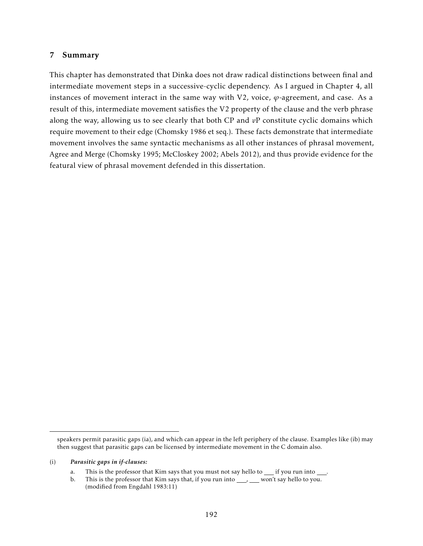#### 7 Summary

This chapter has demonstrated that Dinka does not draw radical distinctions between final and intermediate movement steps in a successive-cyclic dependency. As I argued in Chapter 4, all instances of movement interact in the same way with V2, voice, *ϕ*-agreement, and case. As a result of this, intermediate movement satisfies the V2 property of the clause and the verb phrase along the way, allowing us to see clearly that both CP and *v*P constitute cyclic domains which require movement to their edge (Chomsky 1986 et seq.). These facts demonstrate that intermediate movement involves the same syntactic mechanisms as all other instances of phrasal movement, Agree and Merge (Chomsky 1995; McCloskey 2002; Abels 2012), and thus provide evidence for the featural view of phrasal movement defended in this dissertation.

speakers permit parasitic gaps (ia), and which can appear in the left periphery of the clause. Examples like (ib) may then suggest that parasitic gaps can be licensed by intermediate movement in the C domain also.

<sup>(</sup>i) *Parasitic gaps in if-clauses:*

a. This is the professor that Kim says that you must not say hello to \_\_ if you run into \_\_\_.

b. This is the professor that Kim says that, if you run into  $\_\_\_\_\_\_\$ won't say hello to you. (modified from Engdahl 1983:11)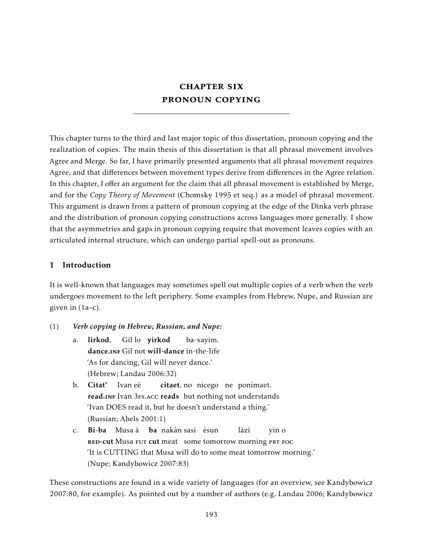# **CHAPTER SIX** pronoun copying

This chapter turns to the third and last major topic of this dissertation, pronoun copying and the realization of copies. The main thesis of this dissertation is that all phrasal movement involves Agree and Merge. So far, I have primarily presented arguments that all phrasal movement requires Agree, and that differences between movement types derive from differences in the Agree relation. In this chapter, I offer an argument for the claim that all phrasal movement is established by Merge, and for the *Copy Theory of Movement* (Chomsky 1995 et seq.) as a model of phrasal movement. This argument is drawn from a pattern of pronoun copying at the edge of the Dinka verb phrase and the distribution of pronoun copying constructions across languages more generally. I show that the asymmetries and gaps in pronoun copying require that movement leaves copies with an articulated internal structure, which can undergo partial spell-out as pronouns.

## 1 Introduction

It is well-known that languages may sometimes spell out multiple copies of a verb when the verb undergoes movement to the left periphery. Some examples from Hebrew, Nupe, and Russian are given in (1a–c).

- (1) *Verb copying in Hebrew, Russian, and Nupe:*
	- a. lirkod, dance.INF Gil not will-dance in-the-life Gil lo yirkod ba-xayim. 'As for dancing, Gil will never dance.' (Hebrew; Landau 2006:32)
	- b. Citat' Ivan eë read.INF Ivan 3Fs.Acc reads but nothing not understands citaet, no nicego ne ponimaet. 'Ivan DOES read it, but he doesn't understand a thing.' (Russian; Abels 2001:1)
	- c. **Bi-ba** Musaà **ba** nakàn-sasi èsun RED-cut Musa FUT cut meat some tomorrow morning PRT FOC làzi yin o 'It is CUTTING that Musa will do to some meat tomorrow morning.' (Nupe; Kandybowicz 2007:83)

These constructions are found in a wide variety of languages (for an overview, see Kandybowicz 2007:80, for example). As pointed out by a number of authors (e.g. Landau 2006; Kandybowicz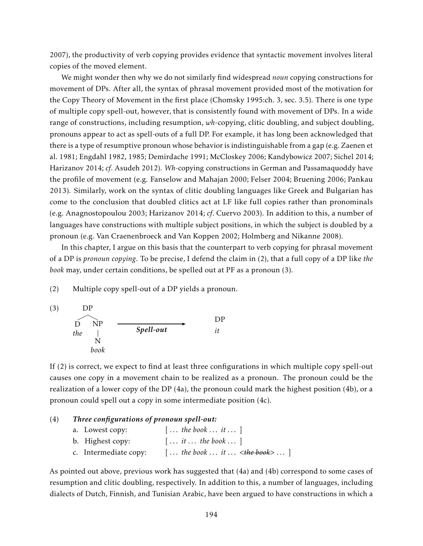2007), the productivity of verb copying provides evidence that syntactic movement involves literal copies of the moved element.

We might wonder then why we do not similarly find widespread *noun* copying constructions for movement of DPs. After all, the syntax of phrasal movement provided most of the motivation for the Copy Theory of Movement in the first place (Chomsky 1995:ch. 3, sec. 3.5). There is one type of multiple copy spell-out, however, that is consistently found with movement of DPs. In a wide range of constructions, including resumption, *wh*-copying, clitic doubling, and subject doubling, pronouns appear to act as spell-outs of a full DP. For example, it has long been acknowledged that there is a type of resumptive pronoun whose behavior is indistinguishable from a gap (e.g. Zaenen et al. 1981; Engdahl 1982, 1985; Demirdache 1991; McCloskey 2006; Kandybowicz 2007; Sichel 2014; Harizanov 2014; *cf*. Asudeh 2012). *Wh*-copying constructions in German and Passamaquoddy have the profile of movement (e.g. Fanselow and Mahajan 2000; Felser 2004; Bruening 2006; Pankau 2013). Similarly, work on the syntax of clitic doubling languages like Greek and Bulgarian has come to the conclusion that doubled clitics act at LF like full copies rather than pronominals (e.g. Anagnostopoulou 2003; Harizanov 2014; *cf*. Cuervo 2003). In addition to this, a number of languages have constructions with multiple subject positions, in which the subject is doubled by a pronoun (e.g. Van Craenenbroeck and Van Koppen 2002; Holmberg and Nikanne 2008).

In this chapter, I argue on this basis that the counterpart to verb copying for phrasal movement of a DP is *pronoun copying*. To be precise, I defend the claim in (2), that a full copy of a DP like *the book* may, under certain conditions, be spelled out at PF as a pronoun (3).

(2) Multiple copy spell-out of a DP yields a pronoun.

(3) DP D *the* NP N *book* DP *Spell-out it*

If (2) is correct, we expect to find at least three configurations in which multiple copy spell-out causes one copy in a movement chain to be realized as a pronoun. The pronoun could be the realization of a lower copy of the DP (4a), the pronoun could mark the highest position (4b), or a pronoun could spell out a copy in some intermediate position (4c).

| (4) | Three configurations of pronoun spell-out: |                                                             |
|-----|--------------------------------------------|-------------------------------------------------------------|
|     | a. Lowest copy:                            | $[\ldots$ the book $\ldots$ it $\ldots$                     |
|     | b. Highest copy:                           | $[\ldots$ it $\ldots$ the book $\ldots$                     |
|     | c. Intermediate copy:                      | $[\dots$ the book $\dots$ it $\dots$ < the book $> \dots$ ] |

As pointed out above, previous work has suggested that (4a) and (4b) correspond to some cases of resumption and clitic doubling, respectively. In addition to this, a number of languages, including dialects of Dutch, Finnish, and Tunisian Arabic, have been argued to have constructions in which a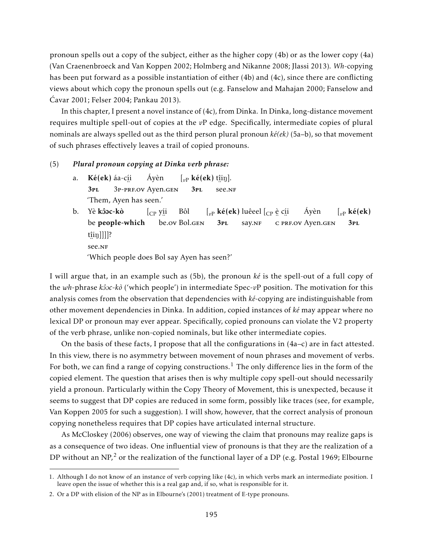pronoun spells out a copy of the subject, either as the higher copy (4b) or as the lower copy (4a) (Van Craenenbroeck and Van Koppen 2002; Holmberg and Nikanne 2008; Jlassi 2013). *Wh*-copying has been put forward as a possible instantiation of either (4b) and (4c), since there are conflicting views about which copy the pronoun spells out (e.g. Fanselow and Mahajan 2000; Fanselow and Ćavar 2001; Felser 2004; Pankau 2013).

In this chapter, I present a novel instance of (4c), from Dinka. In Dinka, long-distance movement requires multiple spell-out of copies at the *v*P edge. Specifically, intermediate copies of plural nominals are always spelled out as the third person plural pronoun *ké(ek)* (5a–b), so that movement of such phrases effectively leaves a trail of copied pronouns.

#### (5) *Plural pronoun copying at Dinka verb phrase:*

- a. Ké(ek) áa-cí i 3pl ¨ 3p-prf.ov Ayen.gen Áyèn  $\left[\begin{smallmatrix} v_P \end{smallmatrix} \right]$ **ké** $\left(\begin{smallmatrix} ek \end{smallmatrix} \right)$  t<u>î</u>iŋ]. 3pl ¨ see.nf 'Them, Ayen has seen.'
- b. Yè <mark>kôoc-kò</mark> be people-which [CP yí i , ..<br>be.ov Bol.g<mark>e</mark>n Bôl  $\left[\begin{smallmatrix} v\end{smallmatrix}\right]$ **ké(ek)** luêeel  $\left[\begin{smallmatrix} C\end{smallmatrix}\right]$ è c<u>í</u>i 3pl say.NF °C PRF.OV Ayen.gen Áyèn  $\int_{v}$  ké(ek) 3pl t<u>î</u>iŋ]]]]? ¨ see.nf 'Which people does Bol say Ayen has seen?'

I will argue that, in an example such as (5b), the pronoun *ké* is the spell-out of a full copy of the *wh*-phrase *k*<sup>2</sup><sub>O</sub><sup> $\alpha$ </sup> ('which people') in intermediate Spec-*v*P position. The motivation for this analysis comes from the observation that dependencies with *ké*-copying are indistinguishable from other movement dependencies in Dinka. In addition, copied instances of *ké* may appear where no lexical DP or pronoun may ever appear. Specifically, copied pronouns can violate the V2 property of the verb phrase, unlike non-copied nominals, but like other intermediate copies.

On the basis of these facts, I propose that all the configurations in  $(4a-c)$  are in fact attested. In this view, there is no asymmetry between movement of noun phrases and movement of verbs. For both, we can find a range of copying constructions.<sup>1</sup> The only difference lies in the form of the copied element. The question that arises then is why multiple copy spell-out should necessarily yield a pronoun. Particularly within the Copy Theory of Movement, this is unexpected, because it seems to suggest that DP copies are reduced in some form, possibly like traces (see, for example, Van Koppen 2005 for such a suggestion). I will show, however, that the correct analysis of pronoun copying nonetheless requires that DP copies have articulated internal structure.

As McCloskey (2006) observes, one way of viewing the claim that pronouns may realize gaps is as a consequence of two ideas. One influential view of pronouns is that they are the realization of a DP without an NP,<sup>2</sup> or the realization of the functional layer of a DP (e.g. Postal 1969; Elbourne

<sup>1.</sup> Although I do not know of an instance of verb copying like (4c), in which verbs mark an intermediate position. I leave open the issue of whether this is a real gap and, if so, what is responsible for it.

<sup>2.</sup> Or a DP with elision of the NP as in Elbourne's (2001) treatment of E-type pronouns.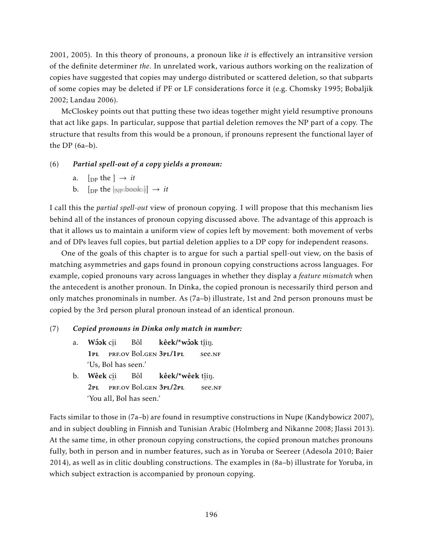2001, 2005). In this theory of pronouns, a pronoun like *it* is effectively an intransitive version of the definite determiner *the*. In unrelated work, various authors working on the realization of copies have suggested that copies may undergo distributed or scattered deletion, so that subparts of some copies may be deleted if PF or LF considerations force it (e.g. Chomsky 1995; Bobaljik 2002; Landau 2006).

McCloskey points out that putting these two ideas together might yield resumptive pronouns that act like gaps. In particular, suppose that partial deletion removes the NP part of a copy. The structure that results from this would be a pronoun, if pronouns represent the functional layer of the DP (6a–b).

#### (6) *Partial spell-out of a copy yields a pronoun:*

- a.  $[p]$  the  $] \rightarrow it$
- b.  $[p]$  the  $\frac{1}{N}$  book  $] \rightarrow it$

I call this the *partial spell-out* view of pronoun copying. I will propose that this mechanism lies behind all of the instances of pronoun copying discussed above. The advantage of this approach is that it allows us to maintain a uniform view of copies left by movement: both movement of verbs and of DPs leaves full copies, but partial deletion applies to a DP copy for independent reasons.

One of the goals of this chapter is to argue for such a partial spell-out view, on the basis of matching asymmetries and gaps found in pronoun copying constructions across languages. For example, copied pronouns vary across languages in whether they display a *feature mismatch* when the antecedent is another pronoun. In Dinka, the copied pronoun is necessarily third person and only matches pronominals in number. As (7a–b) illustrate, 1st and 2nd person pronouns must be copied by the 3rd person plural pronoun instead of an identical pronoun.

#### (7) *Copied pronouns in Dinka only match in number:*

- a. Wôok c<u>í</u>i 1pl ¨ prf.ov Bol.gen 3pl/1pl Bôl kêek/\*wôok tîin. ¨ see.nf 'Us, Bol has seen.'
- b. **Wêek** c<u>í</u>i 2pl Prf.ov Bol.gen 3pl/2pl Bôl **kêek/\*wêek** t<u>î</u>iŋ. ∵. '<br>see.nf 'You all, Bol has seen.'

Facts similar to those in (7a–b) are found in resumptive constructions in Nupe (Kandybowicz 2007), and in subject doubling in Finnish and Tunisian Arabic (Holmberg and Nikanne 2008; Jlassi 2013). At the same time, in other pronoun copying constructions, the copied pronoun matches pronouns fully, both in person and in number features, such as in Yoruba or Seereer (Adesola 2010; Baier 2014), as well as in clitic doubling constructions. The examples in (8a–b) illustrate for Yoruba, in which subject extraction is accompanied by pronoun copying.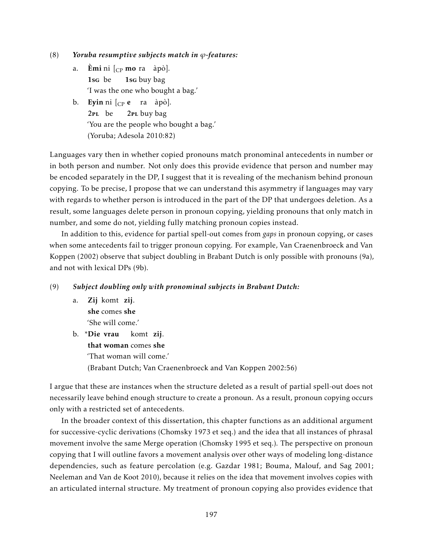- (8) *Yoruba resumptive subjects match in ϕ-features:*
	- a. Èmi ni [<sub>CP</sub> mo ra àpò]. 1sg be 1sg buy bag 'I was the one who bought a bag.'
	- b. **Eyin** ni  $_{\rm CP}$  **e** ra àpò]. 2pl be 2PL buy bag 'You are the people who bought a bag.' (Yoruba; Adesola 2010:82)

Languages vary then in whether copied pronouns match pronominal antecedents in number or in both person and number. Not only does this provide evidence that person and number may be encoded separately in the DP, I suggest that it is revealing of the mechanism behind pronoun copying. To be precise, I propose that we can understand this asymmetry if languages may vary with regards to whether person is introduced in the part of the DP that undergoes deletion. As a result, some languages delete person in pronoun copying, yielding pronouns that only match in number, and some do not, yielding fully matching pronoun copies instead.

In addition to this, evidence for partial spell-out comes from *gaps* in pronoun copying, or cases when some antecedents fail to trigger pronoun copying. For example, Van Craenenbroeck and Van Koppen (2002) observe that subject doubling in Brabant Dutch is only possible with pronouns (9a), and not with lexical DPs (9b).

#### (9) *Subject doubling only with pronominal subjects in Brabant Dutch:*

a. Zij komt zij. she comes she 'She will come.'

b. \*Die vrau that woman comes she komt zij. 'That woman will come.' (Brabant Dutch; Van Craenenbroeck and Van Koppen 2002:56)

I argue that these are instances when the structure deleted as a result of partial spell-out does not necessarily leave behind enough structure to create a pronoun. As a result, pronoun copying occurs only with a restricted set of antecedents.

In the broader context of this dissertation, this chapter functions as an additional argument for successive-cyclic derivations (Chomsky 1973 et seq.) and the idea that all instances of phrasal movement involve the same Merge operation (Chomsky 1995 et seq.). The perspective on pronoun copying that I will outline favors a movement analysis over other ways of modeling long-distance dependencies, such as feature percolation (e.g. Gazdar 1981; Bouma, Malouf, and Sag 2001; Neeleman and Van de Koot 2010), because it relies on the idea that movement involves copies with an articulated internal structure. My treatment of pronoun copying also provides evidence that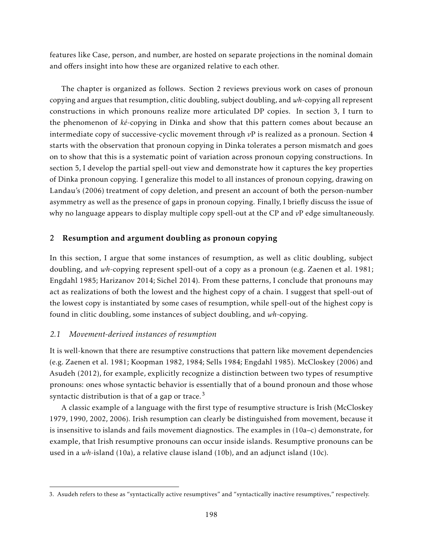features like Case, person, and number, are hosted on separate projections in the nominal domain and offers insight into how these are organized relative to each other.

The chapter is organized as follows. Section 2 reviews previous work on cases of pronoun copying and argues that resumption, clitic doubling, subject doubling, and *wh*-copying all represent constructions in which pronouns realize more articulated DP copies. In section 3, I turn to the phenomenon of *ké*-copying in Dinka and show that this pattern comes about because an intermediate copy of successive-cyclic movement through *v*P is realized as a pronoun. Section 4 starts with the observation that pronoun copying in Dinka tolerates a person mismatch and goes on to show that this is a systematic point of variation across pronoun copying constructions. In section 5, I develop the partial spell-out view and demonstrate how it captures the key properties of Dinka pronoun copying. I generalize this model to all instances of pronoun copying, drawing on Landau's (2006) treatment of copy deletion, and present an account of both the person-number asymmetry as well as the presence of gaps in pronoun copying. Finally, I briefly discuss the issue of why no language appears to display multiple copy spell-out at the CP and *v*P edge simultaneously.

## 2 Resumption and argument doubling as pronoun copying

In this section, I argue that some instances of resumption, as well as clitic doubling, subject doubling, and *wh*-copying represent spell-out of a copy as a pronoun (e.g. Zaenen et al. 1981; Engdahl 1985; Harizanov 2014; Sichel 2014). From these patterns, I conclude that pronouns may act as realizations of both the lowest and the highest copy of a chain. I suggest that spell-out of the lowest copy is instantiated by some cases of resumption, while spell-out of the highest copy is found in clitic doubling, some instances of subject doubling, and *wh*-copying.

#### *2.1 Movement-derived instances of resumption*

It is well-known that there are resumptive constructions that pattern like movement dependencies (e.g. Zaenen et al. 1981; Koopman 1982, 1984; Sells 1984; Engdahl 1985). McCloskey (2006) and Asudeh (2012), for example, explicitly recognize a distinction between two types of resumptive pronouns: ones whose syntactic behavior is essentially that of a bound pronoun and those whose syntactic distribution is that of a gap or trace. $3$ 

A classic example of a language with the first type of resumptive structure is Irish (McCloskey 1979, 1990, 2002, 2006). Irish resumption can clearly be distinguished from movement, because it is insensitive to islands and fails movement diagnostics. The examples in (10a–c) demonstrate, for example, that Irish resumptive pronouns can occur inside islands. Resumptive pronouns can be used in a *wh*-island (10a), a relative clause island (10b), and an adjunct island (10c).

<sup>3.</sup> Asudeh refers to these as "syntactically active resumptives" and "syntactically inactive resumptives," respectively.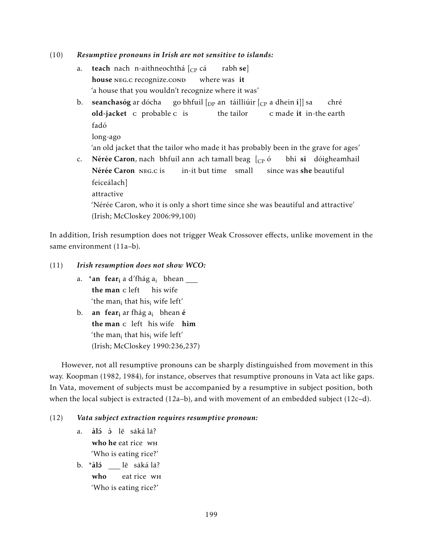#### (10) *Resumptive pronouns in Irish are not sensitive to islands:*

- a. **teach** nach n-aithneochthá [<sub>CP</sub> cá house NEG.C recognize.cond where was it rabh se] 'a house that you wouldn't recognize where it was'
- b. seanchasóg ar dócha old-jacket c probable c is go bhfuil  $[_\mathrm{DP}$  an $\;$ táilliúir  $[_\mathrm{CP}$  a dhein í $\, ]]$  sa the tailor c made it in-the earth chré fadó
	- long-ago

'an old jacket that the tailor who made it has probably been in the grave for ages'

c. N**érée Caron**, nach bhfuil ann ach tamall beag [<sub>CP</sub> ó Nérée Caron NEG.c is in-it but time small since was **she** beautiful bhí sí dóigheamhail feiceálach] attractive

'Nérée Caron, who it is only a short time since she was beautiful and attractive' (Irish; McCloskey 2006:99,100)

In addition, Irish resumption does not trigger Weak Crossover effects, unlike movement in the same environment (11a-b).

#### (11) *Irish resumption does not show WCO:*

- a. \***an fear<sub>i</sub>** a d'fhág a<sub>i</sub> bhean the man c left his wife 'the man $_{\rm i}$  that his $_{\rm i}$  wife left'
- b. **an fear<sub>i</sub>** ar fhág a<sub>i</sub> bhean **é** the man c left his wife him 'the man $_{\rm i}$  that his $_{\rm i}$  wife left' (Irish; McCloskey 1990:236,237)

However, not all resumptive pronouns can be sharply distinguished from movement in this way. Koopman (1982, 1984), for instance, observes that resumptive pronouns in Vata act like gaps. In Vata, movement of subjects must be accompanied by a resumptive in subject position, both when the local subject is extracted (12a–b), and with movement of an embedded subject (12c–d).

#### (12) *Vata subject extraction requires resumptive pronoun:*

- a. <mark>àló ò</mark> lē sakála? who he eat rice WH 'Who is eating rice?'
- b. \***àlɔ́** \_\_\_ lē saká la? who eat rice wh 'Who is eating rice?'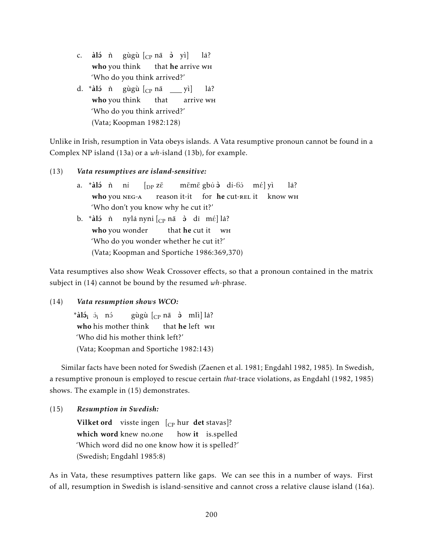- c. <mark>àló</mark> ǹ gùgù $\left[\begin{smallmatrix} C\end{smallmatrix}$ nā ò yì $\right]$ who you think that he arrive w<mark>H</mark> la? 'Who do you think arrived?'
- d. \***àlɔ́** ǹ gùgù [<sub>CP</sub> nā \_\_\_ yì] who you think that arrive wh la? 'Who do you think arrived?' (Vata; Koopman 1982:128)

Unlike in Irish, resumption in Vata obeys islands. A Vata resumptive pronoun cannot be found in a Complex NP island (13a) or a *wh*-island (13b), for example.

#### (13) *Vata resumptives are island-sensitive:*

a. \*<mark>àló</mark> ǹ ni who you NEG-A  $\int_{\text{DP}} z\bar{\varepsilon}$ reason it-it for he cut-REL it know wh mēmē gbὐ à di-ɓɔ̀ mɛ́] yì la? 'Who don't you know why he cut it?' b. \***àlɔ́** ǹ nyla nyni [<sub>CP</sub> nā ɔ̀ di mɛ́] la? **who** you wonder that **he** cut it WH 'Who do you wonder whether he cut it?' (Vata; Koopman and Sportiche 1986:369,370)

Vata resumptives also show Weak Crossover effects, so that a pronoun contained in the matrix subject in (14) cannot be bound by the resumed *wh*-phrase.

## (14) *Vata resumption shows WCO:*

 $^*$ à $1\!\!\!\!\!\mathrm{i}_i$   $\mathrm{i}_i$  nó who his mother think gùgù [<sub>CP</sub> nā ò mlì] la? that he left WH 'Who did his mother think left?' (Vata; Koopman and Sportiche 1982:143)

Similar facts have been noted for Swedish (Zaenen et al. 1981; Engdahl 1982, 1985). In Swedish, a resumptive pronoun is employed to rescue certain *that*-trace violations, as Engdahl (1982, 1985) shows. The example in (15) demonstrates.

(15) *Resumption in Swedish:*

Vilket ord visste ingen [<sub>CP</sub> hur det stavas]? which word knew no.one how it is.spelled 'Which word did no one know how it is spelled?' (Swedish; Engdahl 1985:8)

As in Vata, these resumptives pattern like gaps. We can see this in a number of ways. First of all, resumption in Swedish is island-sensitive and cannot cross a relative clause island (16a).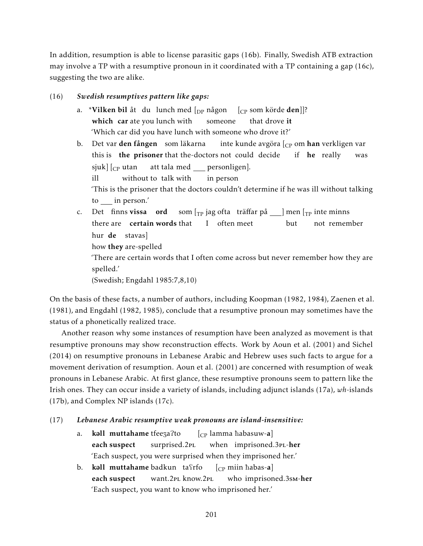In addition, resumption is able to license parasitic gaps (16b). Finally, Swedish ATB extraction may involve a TP with a resumptive pronoun in it coordinated with a TP containing a gap (16c), suggesting the two are alike.

### (16) *Swedish resumptives pattern like gaps:*

- a. \***Vilken bil** åt du lunch med [<sub>DP</sub> någon which car ate you lunch with someone [CP som körde den]]? that drove it 'Which car did you have lunch with someone who drove it?'
- b. Det var **den fången** som läkarna this is **the prisoner** that the-doctors not could decide inte kunde avgöra [<sub>CP</sub> om **han** verkligen var if **he** really was sjuk] [<sub>CP</sub> utan ill without to talk with att tala med personligen]. in person 'This is the prisoner that the doctors couldn't determine if he was ill without talking to in person.'
- c. Det finns vissa ord there are **certain words** that som [<sub>TP</sub> jag ofta träffar på \_\_\_] men [<sub>TP</sub> inte minns I often meet but not remember hur **de** stavas] how they are-spelled 'There are certain words that I often come across but never remember how they are spelled.'

(Swedish; Engdahl 1985:7,8,10)

On the basis of these facts, a number of authors, including Koopman (1982, 1984), Zaenen et al. (1981), and Engdahl (1982, 1985), conclude that a resumptive pronoun may sometimes have the status of a phonetically realized trace.

Another reason why some instances of resumption have been analyzed as movement is that resumptive pronouns may show reconstruction effects. Work by Aoun et al. (2001) and Sichel (2014) on resumptive pronouns in Lebanese Arabic and Hebrew uses such facts to argue for a movement derivation of resumption. Aoun et al. (2001) are concerned with resumption of weak pronouns in Lebanese Arabic. At first glance, these resumptive pronouns seem to pattern like the Irish ones. They can occur inside a variety of islands, including adjunct islands (17a), *wh*-islands (17b), and Complex NP islands (17c).

## (17) *Lebanese Arabic resumptive weak pronouns are island-insensitive:*

- a. **kəll muttahame** tfeeza?to each suspect surprised.2pl  $\left[_{\mathrm{CP}} \right]$  lamma ħabasuw-**a**] when imprisoned.3PL-her 'Each suspect, you were surprised when they imprisoned her.'
- b. kəll **muttahame** badkun tafrfo each suspect want.2pl know.2pl  $[c<sub>P</sub>$  miin habas-a] who imprisoned.3sm-her 'Each suspect, you want to know who imprisoned her.'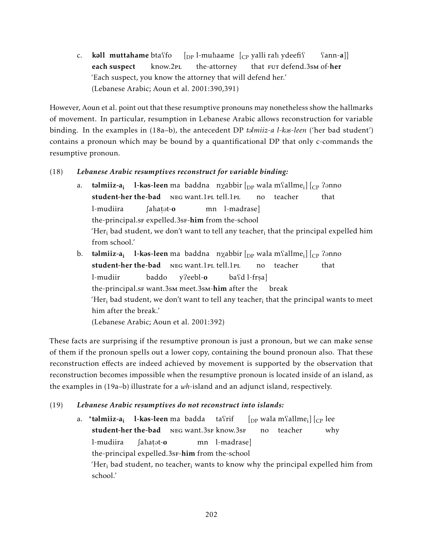c. kall muttahame btaffo each suspect know.2pl  $\lbrack_{\text{DP}}$  l-muhaame  $\lbrack_{\text{CP}}$  yalli rah ydeefi? the-attorney that FUT defend.3sm of-her  $\text{Sann}-a$ ]] 'Each suspect, you know the attorney that will defend her.' (Lebanese Arabic; Aoun et al. 2001:390,391)

However, Aoun et al. point out that these resumptive pronouns may nonetheless show the hallmarks of movement. In particular, resumption in Lebanese Arabic allows reconstruction for variable binding. In the examples in (18a–b), the antecedent DP *t*@*lmiiz-a l-k*@*s-leen* ('her bad student') contains a pronoun which may be bound by a quantificational DP that only c-commands the resumptive pronoun.

# (18) *Lebanese Arabic resumptives reconstruct for variable binding:*

- a. **təlmiiz-a<sub>i</sub> l-kəs-leen** ma baddna n $\chi$ abbir  $\left[$   $_{\rm DP}$  wala m $\Omega$ allme $_{\rm i}\right]$   $\left[$   $_{\rm CP}$   $\Omega$ ənno student-her the-bad NEG want.1PL tell.1PL no teacher that l-mudiira the-principal.sr expelled.3sr-him from the-school ∫aħaṭət-**o** mn l-madrase] 'Her $_{\rm i}$  bad student, we don't want to tell any teacher $_{\rm i}$  that the principal expelled him from school.'
- b. **təlmiiz-a<sub>i</sub> l-kəs-leen** ma baddna n $\chi$ abbir  $\left[$   $_{\rm DP}$  wala m $\Omega$ allme $_{\rm i}\right] \left[$   $_{\rm CP}$   $\Omega$ ənno student-her the-bad NEG want.1PL tell.1PL no teacher that l-mudiir the-principal.sf want.3sm meet.3sm-him after the break baddo y?eebl-o baʕd l-frṣa] 'Her $_{\rm i}$  bad student, we don't want to tell any teacher $_{\rm i}$  that the principal wants to meet him after the break.' (Lebanese Arabic; Aoun et al. 2001:392)

These facts are surprising if the resumptive pronoun is just a pronoun, but we can make sense of them if the pronoun spells out a lower copy, containing the bound pronoun also. That these reconstruction effects are indeed achieved by movement is supported by the observation that reconstruction becomes impossible when the resumptive pronoun is located inside of an island, as the examples in (19a–b) illustrate for a *wh*-island and an adjunct island, respectively.

# (19) *Lebanese Arabic resumptives do not reconstruct into islands:*

a. \***təlmiiz-a<sub>i</sub> 1-kəs-leen**ma badda tafrif student-her the-bad NEG want.3sF know.3sF  $\left[_\text{DP}$  wala m $\left\lceil \text{fallme}_{\text{i}} \right\rceil \right] \left[_\text{CP}\right]$  lee no teacher why l-mudiira the-principal expelled.3sF-him from the-school ∫aħaṭət-**o** mn l-madrase] 'Her<sub>i</sub> bad student, no teacher<sub>i</sub> wants to know why the principal expelled him from school.'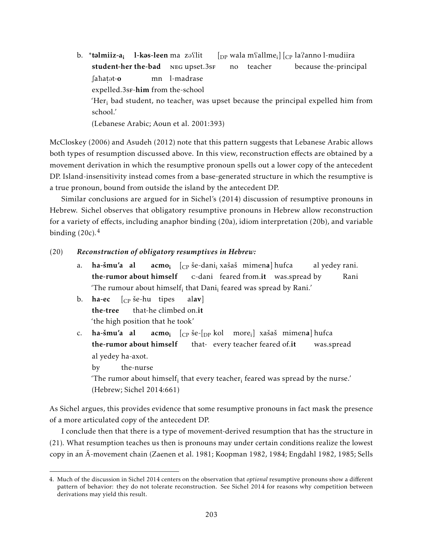b. \*<mark>təlmiiz-a<sub>i</sub> 1-kəs-leen</mark>ma zəflit student-her the-bad NEG upset.3sF  $\left[_\text{DP}$  wala m $\text{fallme}_{\text{i}}\right]\left[\text{_{CP}}$  la $\text{?anno}\text{ }l\text{-}\text{mudiira}\right]$ no teacher because the-principal ∫aħaṭət-**o** 。 .<br>expelled.3sF-**him** from the-school mn l-madrase 'Her<sub>i</sub> bad student, no teacher<sub>i</sub> was upset because the principal expelled him from school.' (Lebanese Arabic; Aoun et al. 2001:393)

McCloskey (2006) and Asudeh (2012) note that this pattern suggests that Lebanese Arabic allows both types of resumption discussed above. In this view, reconstruction effects are obtained by a movement derivation in which the resumptive pronoun spells out a lower copy of the antecedent DP. Island-insensitivity instead comes from a base-generated structure in which the resumptive is a true pronoun, bound from outside the island by the antecedent DP.

Similar conclusions are argued for in Sichel's (2014) discussion of resumptive pronouns in Hebrew. Sichel observes that obligatory resumptive pronouns in Hebrew allow reconstruction for a variety of effects, including anaphor binding (20a), idiom interpretation (20b), and variable binding  $(20c)$ .<sup>4</sup>

#### (20) *Reconstruction of obligatory resumptives in Hebrew:*

- a. ha-šmu'a al the-rumor about himself **acmo<sub>i**  $[\begin{smallmatrix} \binom{1}{k} \end{smallmatrix}$ **ée-dani** $\footnotesize\substack{\textbf{i} \textbf{1} \end{smallmatrix}$ **xašaš mimena] hufca**</sub> c-dani feared from.it was.spread by al yedey rani. Rani 'The rumour about himsel $f_i$  that Dani $_i$  feared was spread by Rani.'
- b. **ha-ec** [<sub>CP</sub> še-hu tipes the-tree that-he climbed on.it alav] 'the high position that he took'
- c. ha-šmu'a al the-rumor about himself **acmo<sub>i</sub> [<sub>CP</sub> še-[<sub>DP</sub> kol more<sub>i</sub>] xašaš mimen<b>a**] hufca that- every teacher feared of.it was.spread al yedey ha-axot.

by the-nurse

'The rumor about himself<sub>i</sub> that every teacher<sub>i</sub> feared was spread by the nurse.' (Hebrew; Sichel 2014:661)

As Sichel argues, this provides evidence that some resumptive pronouns in fact mask the presence of a more articulated copy of the antecedent DP.

I conclude then that there is a type of movement-derived resumption that has the structure in (21). What resumption teaches us then is pronouns may under certain conditions realize the lowest copy in an A-movement chain (Zaenen et al. 1981; Koopman 1982, 1984; Engdahl 1982, 1985; Sells ¯

<sup>4.</sup> Much of the discussion in Sichel 2014 centers on the observation that *optional* resumptive pronouns show a different pattern of behavior: they do not tolerate reconstruction. See Sichel 2014 for reasons why competition between derivations may yield this result.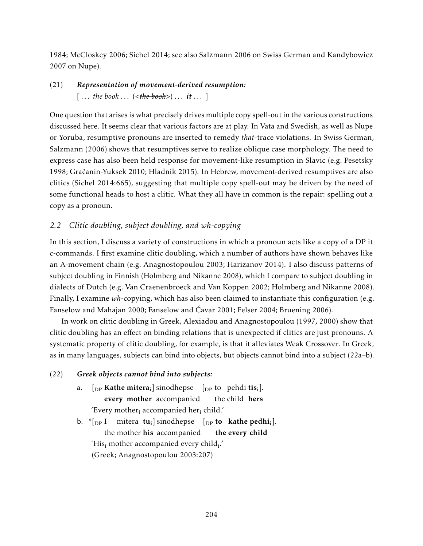1984; McCloskey 2006; Sichel 2014; see also Salzmann 2006 on Swiss German and Kandybowicz 2007 on Nupe).

# (21) *Representation of movement-derived resumption:*  $[\dots$  the book  $\dots$  (<the book>)  $\dots$  it  $\dots$  ]

One question that arises is what precisely drives multiple copy spell-out in the various constructions discussed here. It seems clear that various factors are at play. In Vata and Swedish, as well as Nupe or Yoruba, resumptive pronouns are inserted to remedy *that*-trace violations. In Swiss German, Salzmann (2006) shows that resumptives serve to realize oblique case morphology. The need to express case has also been held response for movement-like resumption in Slavic (e.g. Pesetsky 1998; Gračanin-Yuksek 2010; Hladnik 2015). In Hebrew, movement-derived resumptives are also clitics (Sichel 2014:665), suggesting that multiple copy spell-out may be driven by the need of some functional heads to host a clitic. What they all have in common is the repair: spelling out a copy as a pronoun.

# *2.2 Clitic doubling, subject doubling, and wh-copying*

In this section, I discuss a variety of constructions in which a pronoun acts like a copy of a DP it c-commands. I first examine clitic doubling, which a number of authors have shown behaves like an A-movement chain (e.g. Anagnostopoulou 2003; Harizanov 2014). I also discuss patterns of subject doubling in Finnish (Holmberg and Nikanne 2008), which I compare to subject doubling in dialects of Dutch (e.g. Van Craenenbroeck and Van Koppen 2002; Holmberg and Nikanne 2008). Finally, I examine *wh*-copying, which has also been claimed to instantiate this configuration (e.g. Fanselow and Mahajan 2000; Fanselow and Ćavar 2001; Felser 2004; Bruening 2006).

In work on clitic doubling in Greek, Alexiadou and Anagnostopoulou (1997, 2000) show that clitic doubling has an effect on binding relations that is unexpected if clitics are just pronouns. A systematic property of clitic doubling, for example, is that it alleviates Weak Crossover. In Greek, as in many languages, subjects can bind into objects, but objects cannot bind into a subject (22a–b).

## (22) *Greek objects cannot bind into subjects:*

- a.  $\left[$ <sub>DP</sub> **Kathe mitera**<sub>i</sub> $\right]$  sinodhepse  $\left[$ <sub>DP</sub> to pehdi tis<sub>i</sub> $\right]$ . every mother accompanied the child hers 'Every mother<sub>i</sub> accompanied her<sub>i</sub> child.'
- b.  $\ast$ [<sub>DP</sub> I mitera tu<sub>i</sub>] sinodhepse [<sub>DP</sub> to kathe pedhi<sub>i</sub>]. the mother his accompanied the every child 'His $_{\rm i}$  mother accompanied every child $_{\rm i}$ .' (Greek; Anagnostopoulou 2003:207)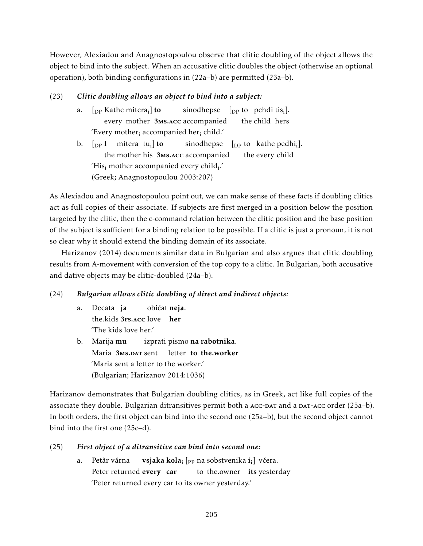However, Alexiadou and Anagnostopoulou observe that clitic doubling of the object allows the object to bind into the subject. When an accusative clitic doubles the object (otherwise an optional operation), both binding configurations in (22a–b) are permitted (23a–b).

# (23) *Clitic doubling allows an object to bind into a subject:*

- a.  $\rm{~~[}_{DP}$  Kathe mitera $\rm{_{i}}]$  to every mother 3Ms.Acc accompanied sinodhepse  $[$ <sub>DP</sub> to pehdi tis<sub>i</sub>]. the child hers 'Every mother<sub>i</sub> accompanied her<sub>i</sub> child.'
- b.  $\left[\begin{smallmatrix} 1 & 0 \\ 0 & 1 \end{smallmatrix}\right]$  mitera tu<sub>i</sub>] to the mother his 3MS.ACC accompanied sinodhepse  $[$ <sub>DP</sub> to kathe pedhi<sub>i</sub>]. the every child 'His $_{\rm i}$  mother accompanied every child $_{\rm i}$ .' (Greek; Anagnostopoulou 2003:207)

As Alexiadou and Anagnostopoulou point out, we can make sense of these facts if doubling clitics act as full copies of their associate. If subjects are first merged in a position below the position targeted by the clitic, then the c-command relation between the clitic position and the base position of the subject is sufficient for a binding relation to be possible. If a clitic is just a pronoun, it is not so clear why it should extend the binding domain of its associate.

Harizanov (2014) documents similar data in Bulgarian and also argues that clitic doubling results from A-movement with conversion of the top copy to a clitic. In Bulgarian, both accusative and dative objects may be clitic-doubled (24a–b).

# (24) *Bulgarian allows clitic doubling of direct and indirect objects:*

- a. Decata ja the.kids 3Fs.Acc love her običat neja. 'The kids love her.'
- b. Marija **mu** Maria 3Ms.DAT sent letter to the.worker izprati pismo **na rabotnika**. 'Maria sent a letter to the worker.' (Bulgarian; Harizanov 2014:1036)

Harizanov demonstrates that Bulgarian doubling clitics, as in Greek, act like full copies of the associate they double. Bulgarian ditransitives permit both a ACC-DAT and a DAT-ACC order (25a-b). In both orders, the first object can bind into the second one (25a–b), but the second object cannot bind into the first one (25c–d).

# (25) *First object of a ditransitive can bind into second one:*

a. Petăr vărna Peter returned every car **vsjaka kola<sub>i</sub> [<sub>PP</sub> na sobstvenika i<sub>i</sub>] včera.** to the.owner its yesterday 'Peter returned every car to its owner yesterday.'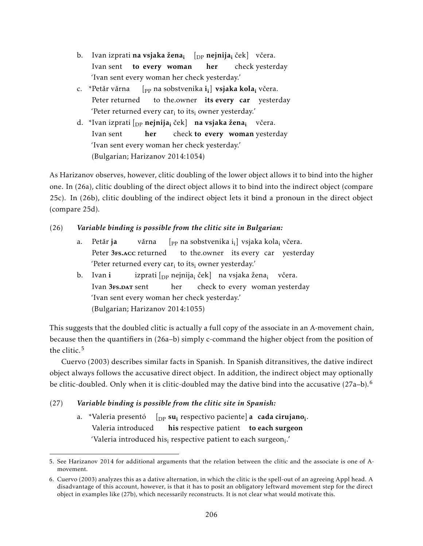- b. Ivan izprati **na vsjaka žena<sub>i </sub> [<sub>DP</sub> nejnija<sub>i</sub> če**k] včera. Ivan sent to every woman her check yesterday 'Ivan sent every woman her check yesterday.'
- c. \*Petǎr vǎrna Peter returned [<sub>PP</sub> na sobstvenika **i<sub>i</sub>] vsjaka kola<sub>i</sub> v**čera. to the.owner its every car yesterday 'Peter returned every car $_i$  to its $_i$  owner yesterday.'
- d. \*Ivan izprati [<sub>DP</sub> **nejnija<sub>i</sub> ček] na vsjaka žena<sub>i</sub> vče**ra. Ivan sent her check to every woman yesterday 'Ivan sent every woman her check yesterday.' (Bulgarian; Harizanov 2014:1054)

As Harizanov observes, however, clitic doubling of the lower object allows it to bind into the higher one. In (26a), clitic doubling of the direct object allows it to bind into the indirect object (compare 25c). In (26b), clitic doubling of the indirect object lets it bind a pronoun in the direct object (compare 25d).

## (26) *Variable binding is possible from the clitic site in Bulgarian:*

- a. Petăr ja Peter 3<sub>FS</sub>.Acc returned vǎrna [<sub>PP</sub> na sobstvenika i<sub>i</sub>] vsjaka kola<sub>i</sub> včera. to the.owner its every car yesterday 'Peter returned every car $_i$  to its $_i$  owner yesterday.'
- b. Ivan i Ivan 3<sub>FS</sub>.DAT sent izprati [<sub>DP</sub> nejnija<sub>i</sub> ček] na vsjaka žena<sub>i</sub> včera. her check to every woman yesterday 'Ivan sent every woman her check yesterday.' (Bulgarian; Harizanov 2014:1055)

This suggests that the doubled clitic is actually a full copy of the associate in an A-movement chain, because then the quantifiers in (26a–b) simply c-command the higher object from the position of the clitic.<sup>5</sup>

Cuervo (2003) describes similar facts in Spanish. In Spanish ditransitives, the dative indirect object always follows the accusative direct object. In addition, the indirect object may optionally be clitic-doubled. Only when it is clitic-doubled may the dative bind into the accusative  $(27a-b)^6$ .

# (27) *Variable binding is possible from the clitic site in Spanish:*

a. \*Valeria presentó [<sub>DP</sub> s**u**<sub>i</sub> respectivo paciente] **a cada cirujano**<sub>i</sub>. Valeria introduced his respective patient to each surgeon 'Valeria introduced his $_{\rm i}$  respective patient to each surgeon $_{\rm i}.^{\prime}$ 

<sup>5.</sup> See Harizanov 2014 for additional arguments that the relation between the clitic and the associate is one of Amovement.

<sup>6.</sup> Cuervo (2003) analyzes this as a dative alternation, in which the clitic is the spell-out of an agreeing Appl head. A disadvantage of this account, however, is that it has to posit an obligatory leftward movement step for the direct object in examples like (27b), which necessarily reconstructs. It is not clear what would motivate this.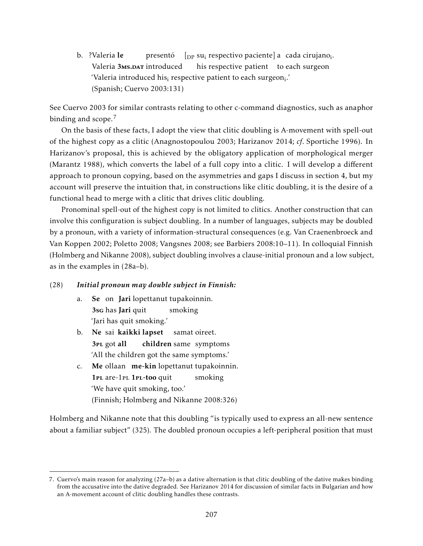b. ?Valeria le Valeria 3Ms.DAT introduced presentó  $[$ <sub>DP</sub> su<sub>i</sub> respectivo paciente] a cada cirujano<sub>i</sub>. his respective patient to each surgeon 'Valeria introduced his $_{\rm i}$  respective patient to each surgeon $_{\rm i}.'$ (Spanish; Cuervo 2003:131)

See Cuervo 2003 for similar contrasts relating to other c-command diagnostics, such as anaphor binding and scope. $<sup>7</sup>$ </sup>

On the basis of these facts, I adopt the view that clitic doubling is A-movement with spell-out of the highest copy as a clitic (Anagnostopoulou 2003; Harizanov 2014; *cf*. Sportiche 1996). In Harizanov's proposal, this is achieved by the obligatory application of morphological merger (Marantz 1988), which converts the label of a full copy into a clitic. I will develop a different approach to pronoun copying, based on the asymmetries and gaps I discuss in section 4, but my account will preserve the intuition that, in constructions like clitic doubling, it is the desire of a functional head to merge with a clitic that drives clitic doubling.

Pronominal spell-out of the highest copy is not limited to clitics. Another construction that can involve this configuration is subject doubling. In a number of languages, subjects may be doubled by a pronoun, with a variety of information-structural consequences (e.g. Van Craenenbroeck and Van Koppen 2002; Poletto 2008; Vangsnes 2008; see Barbiers 2008:10–11). In colloquial Finnish (Holmberg and Nikanne 2008), subject doubling involves a clause-initial pronoun and a low subject, as in the examples in (28a–b).

#### (28) *Initial pronoun may double subject in Finnish:*

- a. Se on Jari lopettanut tupakoinnin. 3sg has Jari quit smoking 'Jari has quit smoking.'
- b. Ne sai kaikki lapset 3<sub>PL</sub> got all children same symptoms samat oireet. 'All the children got the same symptoms.'
- c. Me ollaan me-kin lopettanut tupakoinnin. 1PL are-1PL 1PL-too quit smoking 'We have quit smoking, too.' (Finnish; Holmberg and Nikanne 2008:326)

Holmberg and Nikanne note that this doubling "is typically used to express an all-new sentence about a familiar subject" (325). The doubled pronoun occupies a left-peripheral position that must

<sup>7.</sup> Cuervo's main reason for analyzing (27a–b) as a dative alternation is that clitic doubling of the dative makes binding from the accusative into the dative degraded. See Harizanov 2014 for discussion of similar facts in Bulgarian and how an A-movement account of clitic doubling handles these contrasts.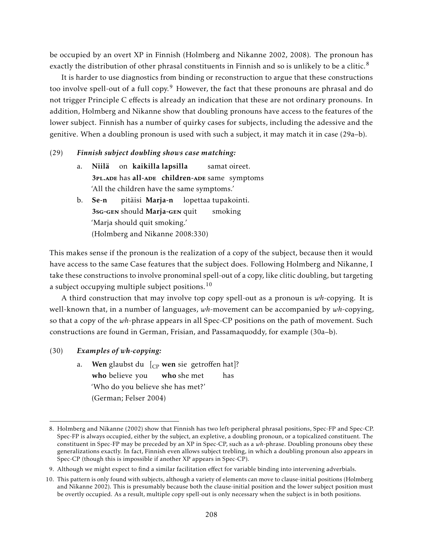be occupied by an overt XP in Finnish (Holmberg and Nikanne 2002, 2008). The pronoun has exactly the distribution of other phrasal constituents in Finnish and so is unlikely to be a clitic.<sup>8</sup>

It is harder to use diagnostics from binding or reconstruction to argue that these constructions too involve spell-out of a full copy.<sup>9</sup> However, the fact that these pronouns are phrasal and do not trigger Principle C effects is already an indication that these are not ordinary pronouns. In addition, Holmberg and Nikanne show that doubling pronouns have access to the features of the lower subject. Finnish has a number of quirky cases for subjects, including the adessive and the genitive. When a doubling pronoun is used with such a subject, it may match it in case (29a–b).

#### (29) *Finnish subject doubling shows case matching:*

- a. Niilä on kaikilla lapsilla 3PL.ADE has all-ADE children-ADE same symptoms samat oireet. 'All the children have the same symptoms.'
- b. Se-n 3sG-GEN should Marja-GEN quit pitäisi **Marja-n** lopettaa tupakointi. smoking 'Marja should quit smoking.' (Holmberg and Nikanne 2008:330)

This makes sense if the pronoun is the realization of a copy of the subject, because then it would have access to the same Case features that the subject does. Following Holmberg and Nikanne, I take these constructions to involve pronominal spell-out of a copy, like clitic doubling, but targeting a subject occupying multiple subject positions.<sup>10</sup>

A third construction that may involve top copy spell-out as a pronoun is *wh*-copying. It is well-known that, in a number of languages, *wh*-movement can be accompanied by *wh*-copying, so that a copy of the *wh*-phrase appears in all Spec-CP positions on the path of movement. Such constructions are found in German, Frisian, and Passamaquoddy, for example (30a–b).

#### (30) *Examples of wh-copying:*

a. **Wen** glaubst du [<sub>CP</sub> **wen** sie getroffen hat]? who believe you who she met has 'Who do you believe she has met?' (German; Felser 2004)

<sup>8.</sup> Holmberg and Nikanne (2002) show that Finnish has two left-peripheral phrasal positions, Spec-FP and Spec-CP. Spec-FP is always occupied, either by the subject, an expletive, a doubling pronoun, or a topicalized constituent. The constituent in Spec-FP may be preceded by an XP in Spec-CP, such as a *wh*-phrase. Doubling pronouns obey these generalizations exactly. In fact, Finnish even allows subject trebling, in which a doubling pronoun also appears in Spec-CP (though this is impossible if another XP appears in Spec-CP).

<sup>9.</sup> Although we might expect to find a similar facilitation effect for variable binding into intervening adverbials.

<sup>10.</sup> This pattern is only found with subjects, although a variety of elements can move to clause-initial positions (Holmberg and Nikanne 2002). This is presumably because both the clause-initial position and the lower subject position must be overtly occupied. As a result, multiple copy spell-out is only necessary when the subject is in both positions.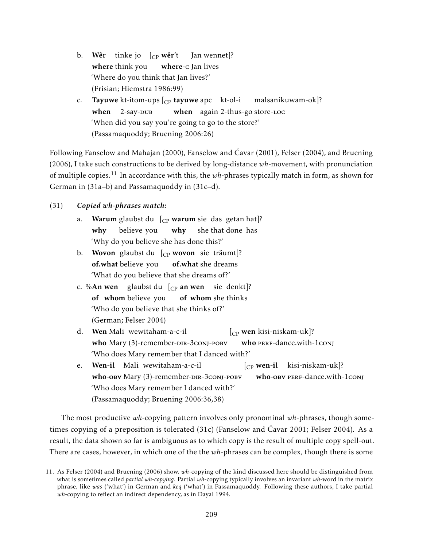- b. **Wêr** tinke-jo [<sub>CP</sub> **wêr**'t where think you where-c Jan lives Jan wennet]? 'Where do you think that Jan lives?' (Frisian; Hiemstra 1986:99)
- c. **Tayuwe** kt-itom-ups [<sub>CP</sub> **tayuwe** apc kt-ol-i when  $2$ -say- $DUB$ when again 2-thus-go store-Loc malsanikuwam-ok]? 'When did you say you're going to go to the store?' (Passamaquoddy; Bruening 2006:26)

Following Fanselow and Mahajan (2000), Fanselow and Ćavar (2001), Felser (2004), and Bruening (2006), I take such constructions to be derived by long-distance *wh*-movement, with pronunciation of multiple copies.<sup>11</sup> In accordance with this, the *wh*-phrases typically match in form, as shown for German in (31a–b) and Passamaquoddy in (31c–d).

## (31) *Copied wh-phrases match:*

- a. **Warum** glaubst du [<sub>CP</sub> w**arum** sie das getan hat]? why believe you why she that done has 'Why do you believe she has done this?'
- b. Wovon glaubst du [<sub>CP</sub> wovon sie träumt]? **of.what** believe you of.what she dreams 'What do you believe that she dreams of?'
- c. %**An wen** glaubst du [<sub>CP</sub> an wen sie denkt]? of whom believe you of whom she thinks 'Who do you believe that she thinks of?' (German; Felser 2004)
- d. Wen Mali wewitaham-a-c-il who Mary (3)-remember-DIR-3conj-POBV [CP wen kisi-niskam-uk]? who PERF-dance.with-1conj 'Who does Mary remember that I danced with?'
- e. Wen-il Mali wewitaham-a-c-il who-овv Mary (3)-remember-DIR-3conj-POBV [CP wen-il kisi-niskam-uk]? who-ову PERF-dance.with-1conj 'Who does Mary remember I danced with?' (Passamaquoddy; Bruening 2006:36,38)

The most productive *wh*-copying pattern involves only pronominal *wh*-phrases, though sometimes copying of a preposition is tolerated (31c) (Fanselow and Ćavar 2001; Felser 2004). As a result, the data shown so far is ambiguous as to which copy is the result of multiple copy spell-out. There are cases, however, in which one of the the *wh*-phrases can be complex, though there is some

<sup>11.</sup> As Felser (2004) and Bruening (2006) show, *wh*-copying of the kind discussed here should be distinguished from what is sometimes called *partial wh-copying*. Partial *wh*-copying typically involves an invariant *wh*-word in the matrix phrase, like *was* ('what') in German and *keq* ('what') in Passamaquoddy. Following these authors, I take partial *wh*-copying to reflect an indirect dependency, as in Dayal 1994.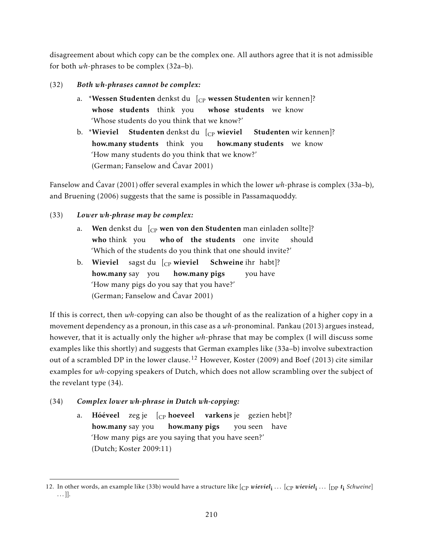disagreement about which copy can be the complex one. All authors agree that it is not admissible for both *wh*-phrases to be complex (32a–b).

- (32) *Both wh-phrases cannot be complex:*
	- a. \***Wessen Studenten** denkst du [<sub>CP</sub> **wessen Studenten** wir kennen]? whose students think you whose students we know 'Whose students do you think that we know?'
	- b. \***Wieviel Studenten** denkst du [<sub>CP</sub> **wieviel Studenten** wir kennen]? how.many students think you how.many students we know 'How many students do you think that we know?' (German; Fanselow and Ćavar 2001)

Fanselow and Ćavar (2001) offer several examples in which the lower *wh*-phrase is complex (33a–b), and Bruening (2006) suggests that the same is possible in Passamaquoddy.

## (33) *Lower wh-phrase may be complex:*

- a. **Wen** denkst du [<sub>CP</sub> **wen von den Studenten** man einladen sollte]? who think you who of the students one invite should 'Which of the students do you think that one should invite?'
- b. Wieviel sagst du [<sub>CP</sub> wieviel Schweine ihr habt]? **how.many** say you how.many pigs you have 'How many pigs do you say that you have?' (German; Fanselow and Ćavar 2001)

If this is correct, then *wh*-copying can also be thought of as the realization of a higher copy in a movement dependency as a pronoun, in this case as a *wh*-pronominal. Pankau (2013) argues instead, however, that it is actually only the higher *wh*-phrase that may be complex (I will discuss some examples like this shortly) and suggests that German examples like (33a–b) involve subextraction out of a scrambled DP in the lower clause.<sup>12</sup> However, Koster (2009) and Boef (2013) cite similar examples for *wh*-copying speakers of Dutch, which does not allow scrambling over the subject of the revelant type (34).

- (34) *Complex lower wh-phrase in Dutch wh-copying:*
	- a. **Hóéveel** zegje [<sub>CP</sub> **hoeveel varkens**je gezien·hebt]? how.many say you how.many pigs you seen have 'How many pigs are you saying that you have seen?' (Dutch; Koster 2009:11)

<sup>12.</sup> In other words, an example like (33b) would have a structure like  $[$ cp *wieviel*<sub>i</sub> ...  $[$ cp *wieviel*<sub>i</sub> ...  $[$ pp *t*<sub>i</sub> *Schweine*] . . . ]].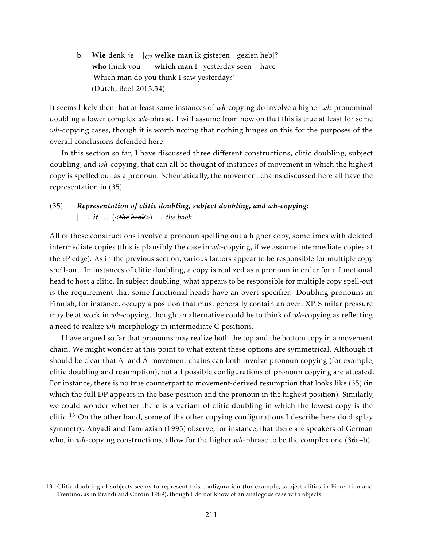b. Wie denk je  $\left[\begin{smallmatrix} C\end{smallmatrix}\right]$  welke man ik gisteren gezien heb]? who think you which man I yesterday seen have 'Which man do you think I saw yesterday?' (Dutch; Boef 2013:34)

It seems likely then that at least some instances of *wh*-copying do involve a higher *wh*-pronominal doubling a lower complex *wh*-phrase. I will assume from now on that this is true at least for some *wh*-copying cases, though it is worth noting that nothing hinges on this for the purposes of the overall conclusions defended here.

In this section so far, I have discussed three different constructions, clitic doubling, subject doubling, and *wh*-copying, that can all be thought of instances of movement in which the highest copy is spelled out as a pronoun. Schematically, the movement chains discussed here all have the representation in (35).

# (35) *Representation of clitic doubling, subject doubling, and wh-copying:*  $[\,\dots it \dots (\leq the\, book>) \dots$  the book  $\dots]$

All of these constructions involve a pronoun spelling out a higher copy, sometimes with deleted intermediate copies (this is plausibly the case in *wh*-copying, if we assume intermediate copies at the *v*P edge). As in the previous section, various factors appear to be responsible for multiple copy spell-out. In instances of clitic doubling, a copy is realized as a pronoun in order for a functional head to host a clitic. In subject doubling, what appears to be responsible for multiple copy spell-out is the requirement that some functional heads have an overt specifier. Doubling pronouns in Finnish, for instance, occupy a position that must generally contain an overt XP. Similar pressure may be at work in *wh*-copying, though an alternative could be to think of *wh*-copying as reflecting a need to realize *wh*-morphology in intermediate C positions.

I have argued so far that pronouns may realize both the top and the bottom copy in a movement chain. We might wonder at this point to what extent these options are symmetrical. Although it should be clear that A- and  $\bar{A}$ -movement chains can both involve pronoun copying (for example, clitic doubling and resumption), not all possible configurations of pronoun copying are attested. For instance, there is no true counterpart to movement-derived resumption that looks like (35) (in which the full DP appears in the base position and the pronoun in the highest position). Similarly, we could wonder whether there is a variant of clitic doubling in which the lowest copy is the clitic.<sup>13</sup> On the other hand, some of the other copying configurations I describe here do display symmetry. Anyadi and Tamrazian (1993) observe, for instance, that there are speakers of German who, in *wh*-copying constructions, allow for the higher *wh*-phrase to be the complex one (36a–b).

<sup>13.</sup> Clitic doubling of subjects seems to represent this configuration (for example, subject clitics in Fiorentino and Trentino, as in Brandi and Cordin 1989), though I do not know of an analogous case with objects.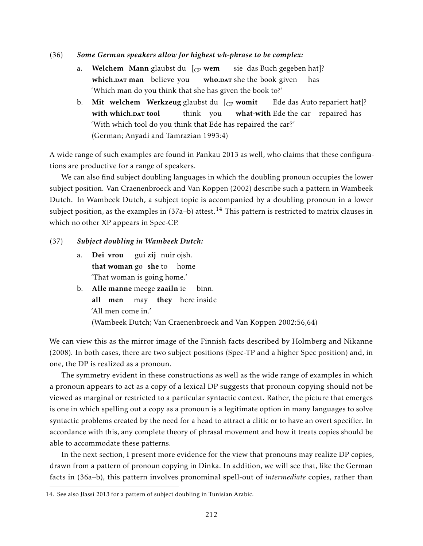- (36) *Some German speakers allow for highest wh-phrase to be complex:*
	- a. **Welchem Mann** glaubst du [<sub>CP</sub> **wem** which.DAT man believe you who.DAT she the book given sie das Buch gegeben hat]? has 'Which man do you think that she has given the book to?'
	- b. Mit welchem Werkzeug glaubst du [<sub>CP</sub> womit with which.**DAT** tool think you what-with Ede the car repaired has Ede das Auto repariert hat]? 'With which tool do you think that Ede has repaired the car?' (German; Anyadi and Tamrazian 1993:4)

A wide range of such examples are found in Pankau 2013 as well, who claims that these configurations are productive for a range of speakers.

We can also find subject doubling languages in which the doubling pronoun occupies the lower subject position. Van Craenenbroeck and Van Koppen (2002) describe such a pattern in Wambeek Dutch. In Wambeek Dutch, a subject topic is accompanied by a doubling pronoun in a lower subject position, as the examples in  $(37a-b)$  attest.<sup>14</sup> This pattern is restricted to matrix clauses in which no other XP appears in Spec-CP.

#### (37) *Subject doubling in Wambeek Dutch:*

- a. Dei vrou that woman go she to home gui **zij** nuir ojsh. 'That woman is going home.'
- b. Alle manne meege zaailn ie all men may they here inside binn. 'All men come in.' (Wambeek Dutch; Van Craenenbroeck and Van Koppen 2002:56,64)

We can view this as the mirror image of the Finnish facts described by Holmberg and Nikanne (2008). In both cases, there are two subject positions (Spec-TP and a higher Spec position) and, in one, the DP is realized as a pronoun.

The symmetry evident in these constructions as well as the wide range of examples in which a pronoun appears to act as a copy of a lexical DP suggests that pronoun copying should not be viewed as marginal or restricted to a particular syntactic context. Rather, the picture that emerges is one in which spelling out a copy as a pronoun is a legitimate option in many languages to solve syntactic problems created by the need for a head to attract a clitic or to have an overt specifier. In accordance with this, any complete theory of phrasal movement and how it treats copies should be able to accommodate these patterns.

In the next section, I present more evidence for the view that pronouns may realize DP copies, drawn from a pattern of pronoun copying in Dinka. In addition, we will see that, like the German facts in (36a–b), this pattern involves pronominal spell-out of *intermediate* copies, rather than

<sup>14.</sup> See also Jlassi 2013 for a pattern of subject doubling in Tunisian Arabic.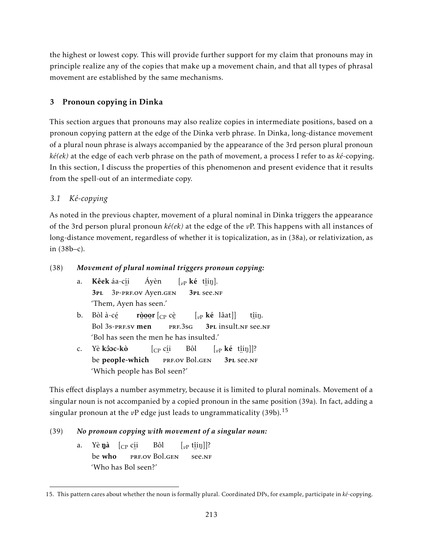the highest or lowest copy. This will provide further support for my claim that pronouns may in principle realize any of the copies that make up a movement chain, and that all types of phrasal movement are established by the same mechanisms.

# 3 Pronoun copying in Dinka

This section argues that pronouns may also realize copies in intermediate positions, based on a pronoun copying pattern at the edge of the Dinka verb phrase. In Dinka, long-distance movement of a plural noun phrase is always accompanied by the appearance of the 3rd person plural pronoun *ké(ek)* at the edge of each verb phrase on the path of movement, a process I refer to as *ké*-copying. In this section, I discuss the properties of this phenomenon and present evidence that it results from the spell-out of an intermediate copy.

# *3.1 Ké-copying*

As noted in the previous chapter, movement of a plural nominal in Dinka triggers the appearance of the 3rd person plural pronoun *ké(ek)* at the edge of the *v*P. This happens with all instances of long-distance movement, regardless of whether it is topicalization, as in (38a), or relativization, as in (38b–c).

# (38) *Movement of plural nominal triggers pronoun copying:*

- a. **Kêek** áa-c<u>í</u>i 3pl ¨ 3p-prf.ov Ayen.gen Áyèn  $\left[\begin{smallmatrix} v_P \end{smallmatrix} \right]$ **ké** t<u>î</u>iŋ]. 3pl ¨ see.nf 'Them, Ayen has seen.'
- b. Bòl à-cé Bol 3s-pre.sv men r<u>òoo</u>r [<sub>CP</sub> cè ¨ prf.3sg [*v*<sup>P</sup> ké lâat]] 3PL INSULT.NF See.NF t<u>î</u>iŋ. 'Bol has seen the men he has insulted.'
- c. Yè **kôoc-kò** be people-which [CP cí i ..<br>prf.ov Bol.gen Bôl  $\left[\begin{smallmatrix} v_P \end{smallmatrix} \right]$ **ké** t<u>î</u>iŋ]]? 3pl ¨ see.nf 'Which people has Bol seen?'

This effect displays a number asymmetry, because it is limited to plural nominals. Movement of a singular noun is not accompanied by a copied pronoun in the same position (39a). In fact, adding a singular pronoun at the  $vP$  edge just leads to ungrammaticality (39b).<sup>15</sup>

# (39) *No pronoun copying with movement of a singular noun:*

a. Yè**ŋà** [<sub>CP</sub> c<u>í</u>i be who ¨ prf.ov Bol.gen Bôl  $\left[\begin{smallmatrix} v\text{P} & \text{t}\hat{\text{ii}}\text{I}\text{J} \end{smallmatrix}\right]$ ? ¨ see.nf 'Who has Bol seen?'

<sup>15.</sup> This pattern cares about whether the noun is formally plural. Coordinated DPs, for example, participate in *ké*-copying.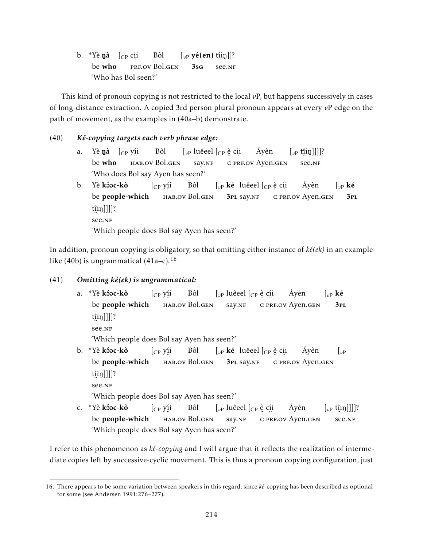b. \*Yè **ŋà** [<sub>CP</sub> c<u>í</u>i be who ¨ prf.ov Bol.gen Bôl  $\left[\begin{smallmatrix} v_P & v_e(eu) & \text{t} & \text{t} & \text{t} & \text{t} \\ v_p & v_e(eu) & \text{t} & \text{t} & \text{t} & \text{t} \end{smallmatrix}\right]\right]$ ? 3sg ¨ see.nf 'Who has Bol seen?'

This kind of pronoun copying is not restricted to the local *v*P, but happens successively in cases of long-distance extraction. A copied 3rd person plural pronoun appears at every *v*P edge on the path of movement, as the examples in (40a–b) demonstrate.

#### (40) *Kê-copying targets each verb phrase edge:*

- a. Yè**ŋà** [<sub>CP</sub> y<u>í</u>i be who , ..<br>hab.ov Bol.gen Bôl  $\left[\begin{smallmatrix} v\end{smallmatrix}\right]$  luêeel  $\left[\begin{smallmatrix} C\end{smallmatrix}\right]$ e c<u>í</u>i say.NF <sub>∙</sup> ∵<br>c prf.ov Ayen.gen</sub> Áyèn  $\left[\begin{smallmatrix} v\text{P} & \text{t}\end{smallmatrix}\left[\text{tip}}\right] \right]\right]\right]$ ? ¨ see.nf 'Who does Bol say Ayen has seen?'
- b. Yè <mark>kôoc-kò</mark> be people-which [CP yí i , ..<br>hab.ov Bol.gen Bôl  $\left[\begin{smallmatrix} v\end{smallmatrix}\right]$  **ké** luêeel  $\left[\begin{smallmatrix} C\end{smallmatrix}\right]$ e c<u>í</u>i 3pl say.nf °C PRF.OV Ayen.gen Áyèn  $\int_{v}$ <sub>*v*</sub> ké 3pl t<u>î</u>iŋ]]]]? ¨ see.nf 'Which people does Bol say Ayen has seen?'

In addition, pronoun copying is obligatory, so that omitting either instance of *ké(ek)* in an example like (40b) is ungrammatical  $(41a-c)$ .<sup>16</sup>

## (41) *Omitting ké(ek) is ungrammatical:*

a. \*Yè <mark>kôoc-kò</mark> be people-which [CP yí i , ..<br>hab.ov Bol.gen Bôl  $\left[ \begin{smallmatrix} v\end{smallmatrix} \right]$ luêeel  $\left[ \begin{smallmatrix} C\end{smallmatrix} \right]$ e c<u>í</u>i say.NF <sub>∙</sup> ∴ ∽<br>c prf.ov Ayen.gen</sub> Áyèn  $\int_{v}$ <sub>*v*</sub> ké 3pl t<u>î</u>iŋ]]]]? ¨ see.nf 'Which people does Bol say Ayen has seen?' b. \*Yè **kôoc-kò** [CP yí i Bôl  $\left[\begin{smallmatrix} v\end{smallmatrix}\right]$ ké luêeel  $\left[\begin{smallmatrix} C\end{smallmatrix}\right]$ e c<u>í</u>i Áyèn  $|_{vP}$ 

be people-which , ..<br>hab.ov Bol.gen 3pl say.nf .∙ .∙ .<br>c prf.ov Ayen.gen t<u>î</u>iŋ]]]]?

¨ see.nf

'Which people does Bol say Ayen has seen?'

c. \*Yè **kôoc-kò** be people-which [CP yí i , ..<br>hab.ov Bol.gen Bôl  $\left[ \begin{smallmatrix} v\end{smallmatrix} \right]$ luêeel  $\left[ \begin{smallmatrix} C\end{smallmatrix} \right]$ e c<u>í</u>i say.NF <sub>∙</sup> ∴ ∽<br>c prf.ov Ayen.gen</sub> Áyèn  $\left[\begin{smallmatrix} v\text{P} & \text{t}\{1\} \end{smallmatrix}\right]]]$ ? ¨ see.nf 'Which people does Bol say Ayen has seen?'

I refer to this phenomenon as *ké-copying* and I will argue that it reflects the realization of intermediate copies left by successive-cyclic movement. This is thus a pronoun copying configuration, just

<sup>16.</sup> There appears to be some variation between speakers in this regard, since *ké*-copying has been described as optional for some (see Andersen 1991:276–277).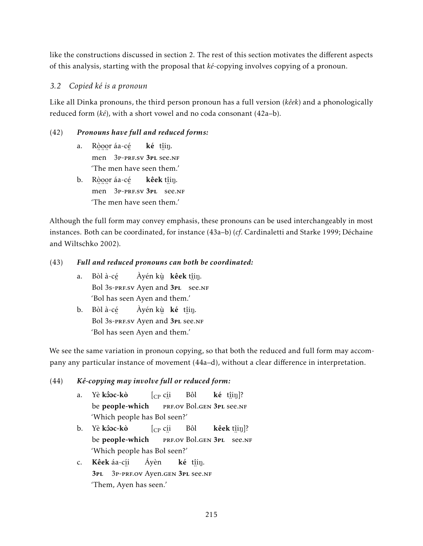like the constructions discussed in section 2. The rest of this section motivates the different aspects of this analysis, starting with the proposal that *ké*-copying involves copying of a pronoun.

# *3.2 Copied ké is a pronoun*

Like all Dinka pronouns, the third person pronoun has a full version (*kêek*) and a phonologically reduced form (*ké*), with a short vowel and no coda consonant (42a–b).

# (42) *Pronouns have full and reduced forms:*

- a. Ròoor áa-cé men 3P-PRF.SV 3PL see.NF ké t<u>î</u>iŋ. 'The men have seen them.'
- b. Ròogr áa-cé men 3P-PRF.SV 3PL see.NF **kêek** t<u>î</u>iŋ. 'The men have seen them.'

Although the full form may convey emphasis, these pronouns can be used interchangeably in most instances. Both can be coordinated, for instance (43a–b) (*cf*. Cardinaletti and Starke 1999; Déchaine and Wiltschko 2002).

# (43) *Full and reduced pronouns can both be coordinated:*

- a. Bòl à-cé ™<br>Bol 3s-prF.sv Ayen and 3pL see.nf Àyén kùµ **kêek** t<u>î</u>iŋ. 'Bol has seen Ayen and them.'
- b. Bòl à-cé Bol 3s-presv Ayen and 3PL see.NF Àyén kù **ké** t<u>î</u>iŋ. 'Bol has seen Ayen and them.'

We see the same variation in pronoun copying, so that both the reduced and full form may accompany any particular instance of movement (44a–d), without a clear difference in interpretation.

# (44) *Kê-copying may involve full or reduced form:*

- a. Yè **kôoc-kò** be people-which [CP cí i erf.ov Bol.gen 3pl see.nf Bôl  $k\acute{e}$  t $[$ iiŋ]? 'Which people has Bol seen?'
- b. Yè <mark>kôoc-kò</mark> be people-which [CP cí i ERE.OV Bol.GEN 3PL SEE.NF Bôl **kêek** t<u>î</u>iŋ]? 'Which people has Bol seen?'
- c. **Kêek** áa-c<u>í</u>i 3pl ¨ 3p-prf.ov Ayen.gen 3pl ¨ see.nf Áyèn ké t<u>î</u>iŋ. 'Them, Ayen has seen.'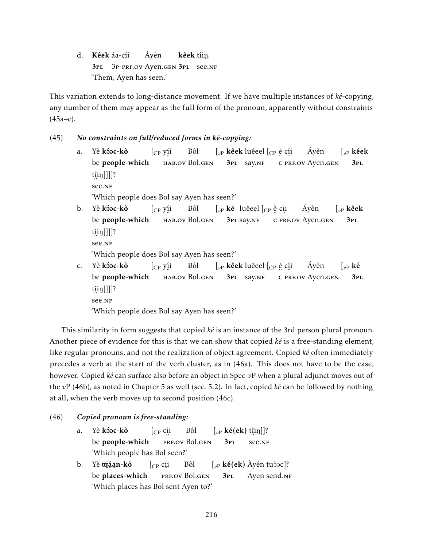d. **Kêek** áa-c<u>í</u>i 3pl 3p-prf.ov Ayen.gen 3pl see.nf Áyèn kêek t<u>î</u>iŋ. 'Them, Ayen has seen.'

This variation extends to long-distance movement. If we have multiple instances of *ké*-copying, any number of them may appear as the full form of the pronoun, apparently without constraints (45a–c).

## (45) *No constraints on full/reduced forms in ké-copying:*

a. Yè **kôoc-kò** be people-which [CP yí i , ..<br>hab.ov Bol.gen Bôl  $\left[\begin{smallmatrix} v\end{smallmatrix}\right]$ kêek luêeel  $\left[\begin{smallmatrix} C\end{smallmatrix}\right]$ è c<u>í</u>i 3PL Say.NF <sub>∙</sup> ∵<br>c prf.ov Ayen.gen</sub> Áyèn [*v*<sup>P</sup> kêek 3pl t<u>î</u>iŋ]]]]? ¨ see.nf

'Which people does Bol say Ayen has seen?'

b. Yè **kôoc-kò** be people-which [CP yí i , ..<br>hab.ov Bol.gen Bôl  $\left[\begin{smallmatrix} v\end{smallmatrix}\right]$ ké luêeel  $\left[\begin{smallmatrix} C\end{smallmatrix}\right]$ e c<u>í</u>i 3pl say.nf ¨ c ¨ prf.ov Ayen.gen Áyèn [*v*<sup>P</sup> kêek 3pl t<u>î</u>iŋ]]]]? ¨ see.nf

'Which people does Bol say Ayen has seen?'

c. Yè <mark>kôoc-kò</mark> be people-which [CP yí i , ..<br>hab.ov Bol.gen Bôl  $\left[ \begin{smallmatrix} v\end{smallmatrix} \right]$  **kêek** luêeel  $\left[ \begin{smallmatrix} C\end{smallmatrix} \right]$ è c<u>í</u>i 3PL Say.NF es also<br>C PRF.OV Ayen.gen Áyèn  $\int_{v}$ <sub>*v*</sub> ké 3pl t<u>î</u>iŋ]]]]? ¨ see.nf 'Which people does Bol say Ayen has seen?'

This similarity in form suggests that copied *ké* is an instance of the 3rd person plural pronoun. Another piece of evidence for this is that we can show that copied *ké* is a free-standing element, like regular pronouns, and not the realization of object agreement. Copied *ké* often immediately precedes a verb at the start of the verb cluster, as in (46a). This does not have to be the case, however. Copied *ké* can surface also before an object in Spec-*v*P when a plural adjunct moves out of the *v*P (46b), as noted in Chapter 5 as well (sec. 5.2). In fact, copied *ké* can be followed by nothing at all, when the verb moves up to second position (46c).

# (46) *Copied pronoun is free-standing:*

- a. Yè <mark>kôoc-kò</mark> be people-which [CP cí i ..<br>prf.ov Bol.gen Bôl  $\left[\begin{smallmatrix} v\end{smallmatrix}\right]$ **ké(ek)** t<u>î</u>iŋ]]? 3pl ¨ see.nf 'Which people has Bol seen?'
- b. Yè **u**iáan-kò be ·….<br>places-which [CP cí i ..<br>prf.ov Bol.gen Bôl  $\left[v_{\rm P}\right]$ **ké(ek)** Àyén tuòoc]? 3pl Ayen send.<mark>NF</mark> 'Which places has Bol sent Ayen to?'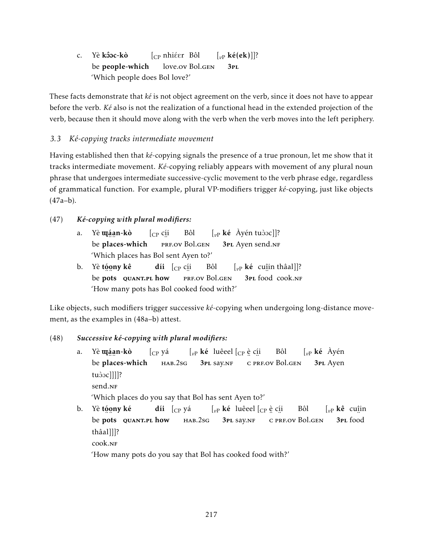c. Yè <mark>kôoc-kò</mark> be people-which [<sub>CP</sub> nhiéer Bôl love.ov Bol.gen [*v*<sup>P</sup> ké(ek)]]? 3pl 'Which people does Bol love?'

These facts demonstrate that *ké* is not object agreement on the verb, since it does not have to appear before the verb. *Ké* also is not the realization of a functional head in the extended projection of the verb, because then it should move along with the verb when the verb moves into the left periphery.

# *3.3 Ké-copying tracks intermediate movement*

Having established then that *ké*-copying signals the presence of a true pronoun, let me show that it tracks intermediate movement. *Ké*-copying reliably appears with movement of any plural noun phrase that undergoes intermediate successive-cyclic movement to the verb phrase edge, regardless of grammatical function. For example, plural VP-modifiers trigger *ké*-copying, just like objects (47a–b).

# (47) *Ké-copying with plural modifiers:*

- a. Yè **uj**áan-kò be ~….<br>places-which  $[$ <sub>CP</sub> c<u>í</u>i ¨ prf.ov Bol.gen Bôl  $\left[\begin{smallmatrix} v_P \end{smallmatrix} \right]$ **ké** Àyén tuòoc]]? 3PL Ayen send.NF 'Which places has Bol sent Ayen to?'
- b. Yè t<u>ó</u>ony kê be …∵<br>pots⊂ quant.pl how **díi**  $\left[\begin{smallmatrix} C\ P \end{smallmatrix} \right]$ c<u>í</u>i ..<br>prf.ov Bol.gen Bôl [*v*<sup>P</sup> ké cuî in thâal]]? 3pl ¨ food cook.nf 'How many pots has Bol cooked food with?'

Like objects, such modifiers trigger successive *ké*-copying when undergoing long-distance movement, as the examples in (48a–b) attest.

## (48) *Successive ké-copying with plural modifiers:*

- a. Yè **uj**áan-kò be ~….<br>places-which  $[$ <sub>CP</sub> yá hab.2sg  $\left[\begin{smallmatrix} v_P \end{smallmatrix}\right]$ **ké** luêeel $\left[\begin{smallmatrix} C_P \end{smallmatrix}\right]$ è c<u>í</u>i 3PL Say.NF °C prf.ov Bol.gen Bôl [*v*<sup>P</sup> ké Àyén 3pl Ayen tudoc]]]]? send.<sub>NF</sub> 'Which places do you say that Bol has sent Ayen to?'
- b. Yè t<u>óo</u>ny ké be …∵<br>pots⊂ quant.pl how **díi** [<sub>CP</sub> yá hab.2sg  $\left[\begin{smallmatrix} v\end{smallmatrix}\right]$ ké luêeel  $\left[\begin{smallmatrix} C\end{smallmatrix}\right]$ e c<u>í</u>i 3PL Say.NF .. ..<br>c prf.ov Bol.gen Bôl [*v*<sup>P</sup> kê cuî in ..<br>**3**pL food thâal]]]? cook.nf 'How many pots do you say that Bol has cooked food with?'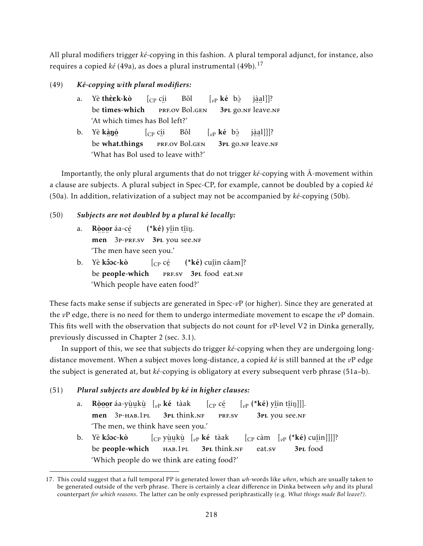All plural modifiers trigger *ké*-copying in this fashion. A plural temporal adjunct, for instance, also requires a copied *ké* (49a), as does a plural instrumental (49b).<sup>17</sup>

- (49) *Ké-copying with plural modifiers:*
	- a. Yè **thè k-kò** be times-which  $[$ <sub>CP</sub> c<u>í</u>i ..<br>prf.ov Bol.gen Bôl  $\left[\begin{smallmatrix} v\end{smallmatrix}\right]$  ké b<u>à</u> 3pl ¨ go.nf ¨ ¨ leave.nf jà a l]]? 'At which times has Bol left?' b. Yè **kànó** be −∷5∴<br>what.things  $[$ <sub>CP</sub> c<u>í</u>i ∵<br>prf.ov Bol.gen Bôl  $\left[\begin{smallmatrix} v\end{smallmatrix}\right]$  ké b<u>à</u> → □ security in the security of the security of the security of the second security of the second security of the second second second second second second second second second second second second second second second se jà a l]]]? 'What has Bol used to leave with?'

Importantly, the only plural arguments that do not trigger *ké*-copying with  $\overline{A}$ -movement within a clause are subjects. A plural subject in Spec-CP, for example, cannot be doubled by a copied *ké* (50a). In addition, relativization of a subject may not be accompanied by *ké*-copying (50b).

# (50) *Subjects are not doubled by a plural ké locally:*

- a. Ròográa-cé men 3P-PRF.SV 3PL you see.NF  $(*k\acute{e})$  yîin tîin. 'The men have seen you.'
- b. Yè <mark>kôoc-kò</mark> be people-which  $[$ <sub>CP</sub> cé PRF.SV 3PL food eat.NF (\*ké) cuî in câam]? 'Which people have eaten food?'

These facts make sense if subjects are generated in Spec-*v*P (or higher). Since they are generated at the *v*P edge, there is no need for them to undergo intermediate movement to escape the *v*P domain. This fits well with the observation that subjects do not count for *v*P-level V2 in Dinka generally, previously discussed in Chapter 2 (sec. 3.1).

In support of this, we see that subjects do trigger *ké*-copying when they are undergoing longdistance movement. When a subject moves long-distance, a copied *ké* is still banned at the *v*P edge the subject is generated at, but *ké*-copying is obligatory at every subsequent verb phrase (51a–b).

## (51) *Plural subjects are doubled by ké in higher clauses:*

- a. Ròoor áa-yùukù [<sub>vP</sub> ké tàak men 3P-HAB.1PL 3PL think.NF  $\int_{CP}$  cé ¨ prf.sv  $\left[\begin{smallmatrix} v_P \end{smallmatrix}\right.$  (\***ké**) y<u>î</u>in t<u>î</u>iŋ]]]. 3pl ¨ you ¨ see.nf 'The men, we think have seen you.'
- b. Yè **kôoc-kò** be people-which [CP yù u kù [*v*<sup>P</sup> ké tàak ∠………<br>hab.1pl 3PL think.NF [CP càm [*v*<sup>P</sup> (\*ké) cuî in]]]]? eat.sv 3pl ¨ food 'Which people do we think are eating food?'

<sup>17.</sup> This could suggest that a full temporal PP is generated lower than *wh*-words like *when*, which are usually taken to be generated outside of the verb phrase. There is certainly a clear difference in Dinka between *why* and its plural counterpart *for which reasons*. The latter can be only expressed periphrastically (e.g. *What things made Bol leave?)*.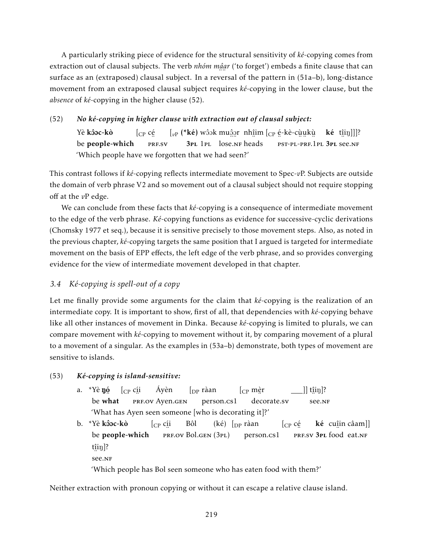A particularly striking piece of evidence for the structural sensitivity of *ké*-copying comes from extraction out of clausal subjects. The verb *nhóm mậar* ('to forget') embeds a finite clause that can ¨ ¨ surface as an (extraposed) clausal subject. In a reversal of the pattern in (51a–b), long-distance movement from an extraposed clausal subject requires *ké*-copying in the lower clause, but the *absence* of *ké*-copying in the higher clause (52).

## (52) *No ké-copying in higher clause with extraction out of clausal subject:*

Yè **kôoc-kò** be people-which  $\int_{CP} c \acute{e}$ ∵..<br>PRF.SV [<sub>vP</sub> (\***ké**) wôɔk muĝgr⊥nh<u>î</u>im [<sub>CP</sub> é-kè-cù̯u̯kù 3PL 1PL lose.NF heads ¨ ¨ ¨ ¨ pst-pl-prf.1pl 3pl ¨ see.nf  $k\acute{e}$  t $[$ i $ij$ ]]]? 'Which people have we forgotten that we had seen?'

This contrast follows if *ké*-copying reflects intermediate movement to Spec-*v*P. Subjects are outside the domain of verb phrase V2 and so movement out of a clausal subject should not require stopping off at the *v*P edge.

We can conclude from these facts that *ké*-copying is a consequence of intermediate movement to the edge of the verb phrase. *Ké*-copying functions as evidence for successive-cyclic derivations (Chomsky 1977 et seq.), because it is sensitive precisely to those movement steps. Also, as noted in the previous chapter, *ké*-copying targets the same position that I argued is targeted for intermediate movement on the basis of EPP effects, the left edge of the verb phrase, and so provides converging evidence for the view of intermediate movement developed in that chapter.

## *3.4 Ké-copying is spell-out of a copy*

Let me finally provide some arguments for the claim that *ké*-copying is the realization of an intermediate copy. It is important to show, first of all, that dependencies with *ké*-copying behave like all other instances of movement in Dinka. Because *ké*-copying is limited to plurals, we can compare movement with *ké*-copying to movement without it, by comparing movement of a plural to a movement of a singular. As the examples in (53a–b) demonstrate, both types of movement are sensitive to islands.

## (53) *Ké-copying is island-sensitive:*

- a. \*Yè **ŋó** be ں۔<br>what  $[$ <sub>CP</sub> c<u>í</u>i <sub>...</sub><br>Prf.ov Ayen.gen Áyèn  $\int_{\text{DP}} r \hat{a}$ an person.cs1 [CP mè r ¨ decorate.sv  $\,$ ]] t $\rm \hat{u}$ i $\rm \hat{u}$ ]? ¨ see.nf 'What has Ayen seen someone [who is decorating it]?'
- b. \*Yè **kôoc-kò** be people-which [CP cí i ¨ prf.ov Bol.gen (3pl) Bôl (ké) [<sub>DP</sub> ràan person.cs1  $\int_{CP} c \acute{e}$ PRF.SV 3PL food eat.NF **ké** cu<u>î</u>in câam]] t<u>î</u>iŋ]? ¨ see.nf

'Which people has Bol seen someone who has eaten food with them?'

Neither extraction with pronoun copying or without it can escape a relative clause island.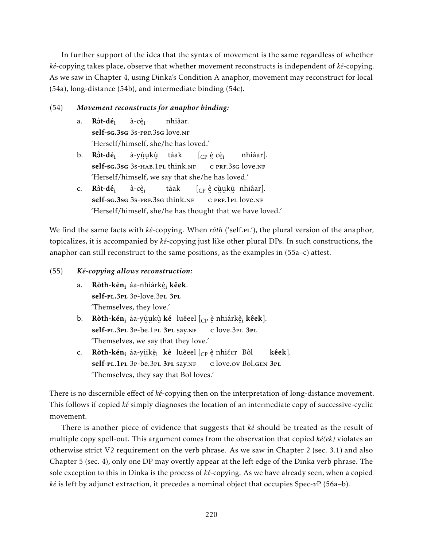In further support of the idea that the syntax of movement is the same regardless of whether *ké*-copying takes place, observe that whether movement reconstructs is independent of *ké*-copying. As we saw in Chapter 4, using Dinka's Condition A anaphor, movement may reconstruct for local (54a), long-distance (54b), and intermediate binding (54c).

## (54) *Movement reconstructs for anaphor binding:*

- a. Ròt-dé<sub>i</sub> self-sg.3sg 3s-prf.3sg love.nf à-cè<sub>i</sub> nhiâar. 'Herself/himself, she/he has loved.'
- b. Ròt-dé<sub>i</sub> self-sg.3sg 3s-нав.1pl think.nf à-yù u kù tàak  $[$ ce è cèi .. ...<br>c prf.3sg love.nf nhiâar]. 'Herself/himself, we say that she/he has loved.'
- c.  $R\hat{\sigma}t$ -dé<sub>i</sub> یں<br>**self-sg.3sg** 3s-prf.3sg think.nf à-cè<sub>i</sub> tàak  $[_{\mathrm{CP}}$  è cùukù nhiâar]. ¨ c ¨ ¨ ¨ prf.1pl love.nf 'Herself/himself, she/he has thought that we have loved.'

We find the same facts with *ké*-copying. When *ròth* ('self.pt'), the plural version of the anaphor, topicalizes, it is accompanied by *ké*-copying just like other plural DPs. In such constructions, the anaphor can still reconstruct to the same positions, as the examples in (55a–c) attest.

## (55) *Ké-copying allows reconstruction:*

- a. Ròth-kén<sub>i</sub> áa-nhiárkè<sub>i</sub> kêek. ...<br>self-pl.3pl 3p-love.3pl 3pl 'Themselves, they love.'
- b. Ròth-kén<sub>i</sub> áa-yù̯u̯kù̯ ké luêeel [<sub>CP</sub> è nhiárkèˌ¡ kêek]. self-pl.3pl 3p-be.1pl 3pl say.nf ¨ c ¨ love.3pl 3pl 'Themselves, we say that they love.'
- c. **Ròth-kén<sub>i</sub> áa-y**ìikè<sub>i</sub> **ké** luêeel [<sub>CP</sub> è nhiéer Bôl self-pl.1pl 3p-be.3pl 3pl say.nf ..<br>c love.ov Bol.gen **3pl** kêek]. 'Themselves, they say that Bol loves.'

There is no discernible effect of *ké*-copying then on the interpretation of long-distance movement. This follows if copied *ké* simply diagnoses the location of an intermediate copy of successive-cyclic movement.

There is another piece of evidence that suggests that *ké* should be treated as the result of multiple copy spell-out. This argument comes from the observation that copied *ké(ek)* violates an otherwise strict V2 requirement on the verb phrase. As we saw in Chapter 2 (sec. 3.1) and also Chapter 5 (sec. 4), only one DP may overtly appear at the left edge of the Dinka verb phrase. The sole exception to this in Dinka is the process of *ké*-copying. As we have already seen, when a copied *ké* is left by adjunct extraction, it precedes a nominal object that occupies Spec-*v*P (56a–b).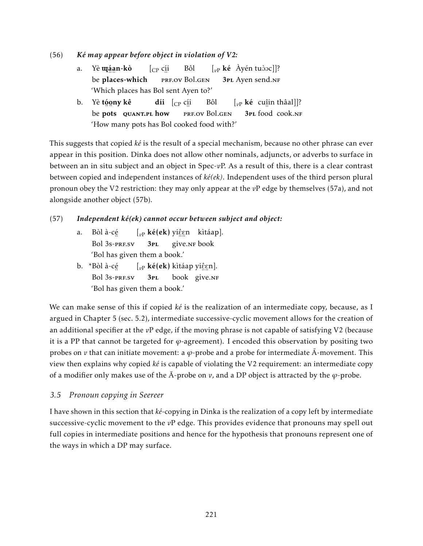(56) *Ké may appear before object in violation of V2:*

- a. Yè **u**iáan-kò be ~….<br>places-which [CP cí i ¨ prf.ov Bol.gen Bôl  $\left[\begin{matrix} v_{\rm P} & \kappa \epsilon \end{matrix} \right]$  Ayén tuòoc]]? 3PL Ayen send.NF 'Which places has Bol sent Ayen to?'
- b. Yè t<u>ó</u>ony kê be …∵<br>pots⊂ quant.pl how **díi**  $\left[\begin{smallmatrix} C\ P \end{smallmatrix} \right]$ c<u>í</u>i ..<br>prf.ov Bol.gen Bôl [*v*<sup>P</sup> ké cuî in thâal]]? 3pl ¨ food cook.nf 'How many pots has Bol cooked food with?'

This suggests that copied *ké* is the result of a special mechanism, because no other phrase can ever appear in this position. Dinka does not allow other nominals, adjuncts, or adverbs to surface in between an in situ subject and an object in Spec-*v*P. As a result of this, there is a clear contrast between copied and independent instances of *ké(ek)*. Independent uses of the third person plural pronoun obey the V2 restriction: they may only appear at the *v*P edge by themselves (57a), and not alongside another object (57b).

## (57) *Independent ké(ek) cannot occur between subject and object:*

- a. Bòl à-cé ..<br>Bol 3s-prf.sv [<sub>vP</sub> **ké(ek)** yiĝgn kìtáap]. 3pl , s.s<br>give.nr book 'Bol has given them a book.'
- b. \*Bòl à-cé Bol 3s-prf.sv [<sub>vP</sub> **ké(ek)** kìtáap yiĝgn]. 3pl book ∠……<br>give.nf 'Bol has given them a book.'

We can make sense of this if copied *ké* is the realization of an intermediate copy, because, as I argued in Chapter 5 (sec. 5.2), intermediate successive-cyclic movement allows for the creation of an additional specifier at the *v*P edge, if the moving phrase is not capable of satisfying V2 (because it is a PP that cannot be targeted for *ϕ*-agreement). I encoded this observation by positing two probes on *v* that can initiate movement: a  $\varphi$ -probe and a probe for intermediate  $\bar{A}$ -movement. This view then explains why copied *ké* is capable of violating the V2 requirement: an intermediate copy of a modifier only makes use of the  $\bar{A}$ -probe on  $v$ , and a DP object is attracted by the  $\varphi$ -probe.

## *3.5 Pronoun copying in Seereer*

I have shown in this section that *ké*-copying in Dinka is the realization of a copy left by intermediate successive-cyclic movement to the *v*P edge. This provides evidence that pronouns may spell out full copies in intermediate positions and hence for the hypothesis that pronouns represent one of the ways in which a DP may surface.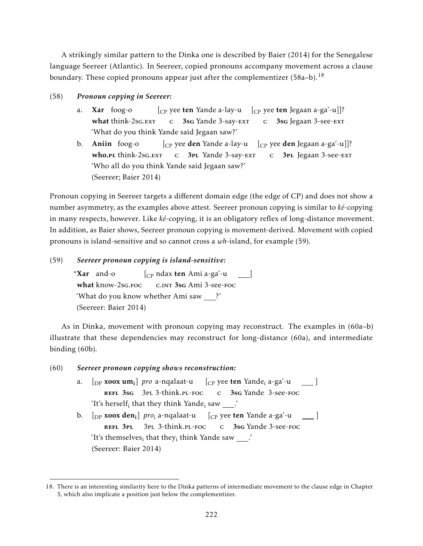A strikingly similar pattern to the Dinka one is described by Baier (2014) for the Senegalese language Seereer (Atlantic). In Seereer, copied pronouns accompany movement across a clause boundary. These copied pronouns appear just after the complementizer (58a–b).<sup>18</sup>

- (58) *Pronoun copying in Seereer:*
	- a. Xar foog-o what think-2sg.<sub>EXT</sub> [CP yee ten Yande a-lay-u [CP yee ten Jegaan a-ga'-u]]? c 3sG Yande 3-say-EXT c 3sg Jegaan 3-see-Ext 'What do you think Yande said Jegaan saw?'
	- b. Aniin foog-o who.pl think-2sg.ext [CP yee den Yande a-lay-u [CP yee den Jegaan a-ga'-u]]? c 3PL Yande 3-say-EXT c 3PL Jegaan 3-see-EXT 'Who all do you think Yande said Jegaan saw?' (Seereer; Baier 2014)

Pronoun copying in Seereer targets a different domain edge (the edge of CP) and does not show a number asymmetry, as the examples above attest. Seereer pronoun copying is similar to *ké*-copying in many respects, however. Like *ké*-copying, it is an obligatory reflex of long-distance movement. In addition, as Baier shows, Seereer pronoun copying is movement-derived. Movement with copied pronouns is island-sensitive and so cannot cross a *wh*-island, for example (59).

## (59) *Seereer pronoun copying is island-sensitive:*

\*Xar and-o what know-2sg.Foc [CP ndax ten Ami a-ga'-u c.int 3sg Ami 3-see-foc  $\blacksquare$ 'What do you know whether Ami saw ?' (Seereer: Baier 2014)

As in Dinka, movement with pronoun copying may reconstruct. The examples in (60a–b) illustrate that these dependencies may reconstruct for long-distance (60a), and intermediate binding (60b).

(60) *Seereer pronoun copying shows reconstruction:* a. [<sub>DP</sub> **xoox um**<sub>i</sub>] *pro* a-nqalaat-u refl 3sg 3pl 3-think.pl-foc [CP yee ten Yande<sup>i</sup> a-ga'-u c 3sg Yande 3-see-foc ] 'It's herself $_{\rm i}$  that they think Yande $_{\rm i}$  saw  $\rule{1em}{0.15mm}$  .' b. [<sub>DP</sub> **xoox den;**] *pro*; a-nqalaat-u [<sub>CP</sub> yee **ten** Yande a-ga'-u refl 3pl 3pl 3-think.pl-foc c 3sg Yande 3-see-foc  $\Box$ 'It's themselves $_{\rm i}$  that they $_{\rm i}$  think Yande saw \_\_\_.' (Seereer: Baier 2014)

<sup>18.</sup> There is an interesting similarity here to the Dinka patterns of intermediate movement to the clause edge in Chapter 5, which also implicate a position just below the complementizer.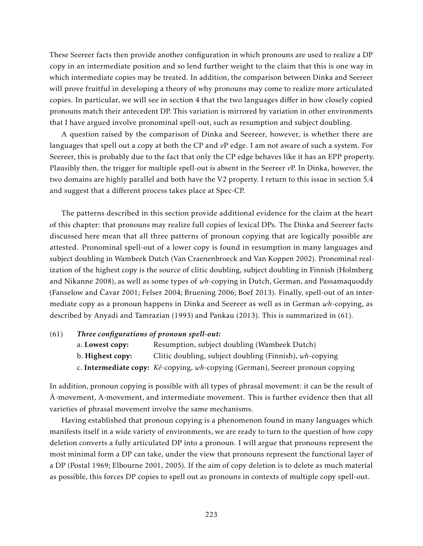These Seereer facts then provide another configuration in which pronouns are used to realize a DP copy in an intermediate position and so lend further weight to the claim that this is one way in which intermediate copies may be treated. In addition, the comparison between Dinka and Seereer will prove fruitful in developing a theory of why pronouns may come to realize more articulated copies. In particular, we will see in section 4 that the two languages differ in how closely copied pronouns match their antecedent DP. This variation is mirrored by variation in other environments that I have argued involve pronominal spell-out, such as resumption and subject doubling.

A question raised by the comparison of Dinka and Seereer, however, is whether there are languages that spell out a copy at both the CP and *v*P edge. I am not aware of such a system. For Seereer, this is probably due to the fact that only the CP edge behaves like it has an EPP property. Plausibly then, the trigger for multiple spell-out is absent in the Seereer *v*P. In Dinka, however, the two domains are highly parallel and both have the V2 property. I return to this issue in section 5.4 and suggest that a different process takes place at Spec-CP.

The patterns described in this section provide additional evidence for the claim at the heart of this chapter: that pronouns may realize full copies of lexical DPs. The Dinka and Seereer facts discussed here mean that all three patterns of pronoun copying that are logically possible are attested. Pronominal spell-out of a lower copy is found in resumption in many languages and subject doubling in Wambeek Dutch (Van Craenenbroeck and Van Koppen 2002). Pronominal realization of the highest copy is the source of clitic doubling, subject doubling in Finnish (Holmberg and Nikanne 2008), as well as some types of *wh*-copying in Dutch, German, and Passamaquoddy (Fanselow and Cavar 2001; Felser 2004; Bruening 2006; Boef 2013). Finally, spell-out of an intermediate copy as a pronoun happens in Dinka and Seereer as well as in German *wh*-copying, as described by Anyadi and Tamrazian (1993) and Pankau (2013). This is summarized in (61).

(61) *Three configurations of pronoun spell-out:*

- a. Lowest copy: Resumption, subject doubling (Wambeek Dutch)
- b. Highest copy: Clitic doubling, subject doubling (Finnish), *wh*-copying
- c. Intermediate copy: *Kê*-copying, *wh*-copying (German), Seereer pronoun copying

In addition, pronoun copying is possible with all types of phrasal movement: it can be the result of A-movement, A-movement, and intermediate movement. This is further evidence then that all ¯ varieties of phrasal movement involve the same mechanisms.

Having established that pronoun copying is a phenomenon found in many languages which manifests itself in a wide variety of environments, we are ready to turn to the question of how copy deletion converts a fully articulated DP into a pronoun. I will argue that pronouns represent the most minimal form a DP can take, under the view that pronouns represent the functional layer of a DP (Postal 1969; Elbourne 2001, 2005). If the aim of copy deletion is to delete as much material as possible, this forces DP copies to spell out as pronouns in contexts of multiple copy spell-out.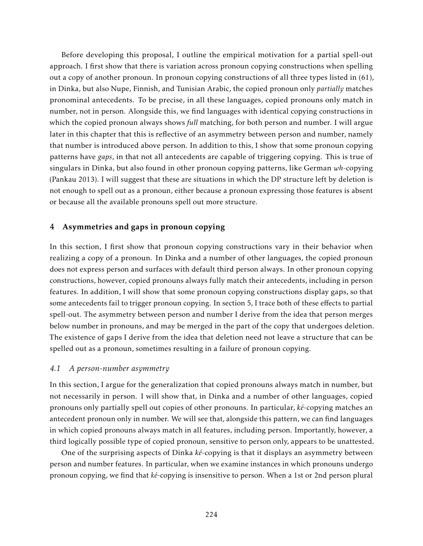Before developing this proposal, I outline the empirical motivation for a partial spell-out approach. I first show that there is variation across pronoun copying constructions when spelling out a copy of another pronoun. In pronoun copying constructions of all three types listed in (61), in Dinka, but also Nupe, Finnish, and Tunisian Arabic, the copied pronoun only *partially* matches pronominal antecedents. To be precise, in all these languages, copied pronouns only match in number, not in person. Alongside this, we find languages with identical copying constructions in which the copied pronoun always shows *full* matching, for both person and number. I will argue later in this chapter that this is reflective of an asymmetry between person and number, namely that number is introduced above person. In addition to this, I show that some pronoun copying patterns have *gaps*, in that not all antecedents are capable of triggering copying. This is true of singulars in Dinka, but also found in other pronoun copying patterns, like German *wh*-copying (Pankau 2013). I will suggest that these are situations in which the DP structure left by deletion is not enough to spell out as a pronoun, either because a pronoun expressing those features is absent or because all the available pronouns spell out more structure.

## 4 Asymmetries and gaps in pronoun copying

In this section, I first show that pronoun copying constructions vary in their behavior when realizing a copy of a pronoun. In Dinka and a number of other languages, the copied pronoun does not express person and surfaces with default third person always. In other pronoun copying constructions, however, copied pronouns always fully match their antecedents, including in person features. In addition, I will show that some pronoun copying constructions display gaps, so that some antecedents fail to trigger pronoun copying. In section 5, I trace both of these effects to partial spell-out. The asymmetry between person and number I derive from the idea that person merges below number in pronouns, and may be merged in the part of the copy that undergoes deletion. The existence of gaps I derive from the idea that deletion need not leave a structure that can be spelled out as a pronoun, sometimes resulting in a failure of pronoun copying.

## *4.1 A person-number asymmetry*

In this section, I argue for the generalization that copied pronouns always match in number, but not necessarily in person. I will show that, in Dinka and a number of other languages, copied pronouns only partially spell out copies of other pronouns. In particular, *ké*-copying matches an antecedent pronoun only in number. We will see that, alongside this pattern, we can find languages in which copied pronouns always match in all features, including person. Importantly, however, a third logically possible type of copied pronoun, sensitive to person only, appears to be unattested.

One of the surprising aspects of Dinka *ké*-copying is that it displays an asymmetry between person and number features. In particular, when we examine instances in which pronouns undergo pronoun copying, we find that *ké*-copying is insensitive to person. When a 1st or 2nd person plural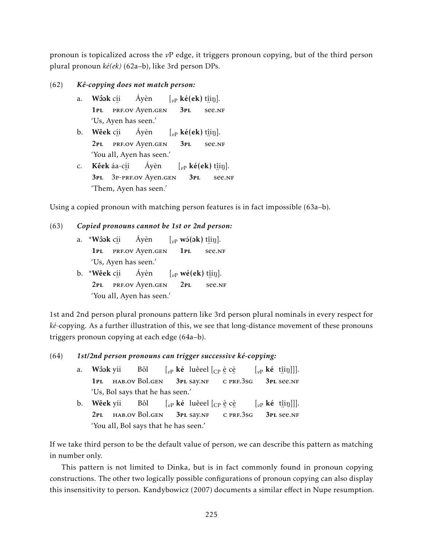pronoun is topicalized across the *v*P edge, it triggers pronoun copying, but of the third person plural pronoun *ké(ek)* (62a–b), like 3rd person DPs.

- (62) *Kê-copying does not match person:*
	- a. Wôok c<u>í</u>i 1pl ¨ prf.ov Ayen.gen Áyèn  $\left[v_{\text{P}}\right]$  **ké**(ek) t<u>î</u>iŋ]. 3pl … 。」<br>see.nf 'Us, Ayen has seen.'
	- b. **Wêek** c<u>í</u>i 2pl ¨ prf.ov Ayen.gen Áyèn  $\left[\begin{smallmatrix} v_P \end{smallmatrix} \right]$ **ké**(ek) t<u>î</u>iŋ]. 3pl ∵. 91°<br>see.nf 'You all, Ayen has seen.'
	- c. **Kêek** áa-c<u>í</u>i 3pl ¨ 3p-prf.ov Ayen.gen Áyèn  $\left[\begin{smallmatrix} v\end{smallmatrix}\right]$ **ké(ek)** t<u>î</u>iŋ]. 3pl ¨ see.nf 'Them, Ayen has seen.'

Using a copied pronoun with matching person features is in fact impossible (63a–b).

```
(63) Copied pronouns cannot be 1st or 2nd person:
```
- a. \***Wôok** c<u>í</u>i 1pl ¨ prf.ov Ayen.gen Áyèn  $\left[ \vphantom{a}_{vP} \right.$  **w** ô(ok) t<u>î</u>in]. 1pl ¨ see.nf 'Us, Ayen has seen.' b. \***Wêek** c<u>í</u>i Áyèn  $\left[\begin{smallmatrix} v\end{smallmatrix}\right]$  **wé(ek)** t<u>î</u>iŋ].
- 2pl ¨ prf.ov Ayen.gen  $2PL$ … 。」<br>see.nf 'You all, Ayen has seen.'

1st and 2nd person plural pronouns pattern like 3rd person plural nominals in every respect for *ké*-copying. As a further illustration of this, we see that long-distance movement of these pronouns triggers pronoun copying at each edge (64a–b).

(64) *1st/2nd person pronouns can trigger successive ké-copying:*

- a. Wôok yíi 1PL HAB.OV Bol.GEN Bôl  $\left[\begin{smallmatrix} v\end{smallmatrix}\right]$ ké luêeel  $\left[\begin{smallmatrix} C\end{smallmatrix}\right]$ e cè 3pl say.nf 。。。<br>c prf.3sg  $\left[\begin{matrix} v_{\rm P} & \mathbf{k}\dot{\mathbf{e}} & \text{t}\dot{\mathbf{n}}\text{in} \end{matrix}\right]$ ]. 3pl ¨ see.nf 'Us, Bol says that he has seen.'
- b. Wêek yíi 2pl hab.ov Bol.gen Bôl  $\left[\begin{smallmatrix} v\end{smallmatrix}\right]$ **ké** luêeel  $\left[\begin{smallmatrix} C\end{smallmatrix}\right]$ e cè 3pl say.nf .. ..<br>c prf.3sg  $\left[\begin{matrix} v_{\rm P} & \mathbf{k}\dot{\mathbf{e}} & \text{t}\dot{\mathbf{n}}\text{in} \end{matrix}\right]$ ]. 3pl ¨ see.nf 'You all, Bol says that he has seen.'

If we take third person to be the default value of person, we can describe this pattern as matching in number only.

This pattern is not limited to Dinka, but is in fact commonly found in pronoun copying constructions. The other two logically possible configurations of pronoun copying can also display this insensitivity to person. Kandybowicz (2007) documents a similar effect in Nupe resumption.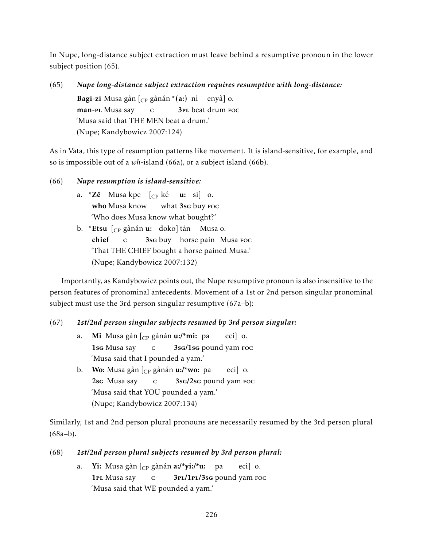In Nupe, long-distance subject extraction must leave behind a resumptive pronoun in the lower subject position (65).

(65) *Nupe long-distance subject extraction requires resumptive with long-distance:* **Bagi-zi** Musa gàn [<sub>CP</sub> gànán \*(**a:**) nì enyà] o. man-<mark>p</mark>l Musa say c 3<sub>PL</sub> beat drum Foc 'Musa said that THE MEN beat a drum.' (Nupe; Kandybowicz 2007:124)

As in Vata, this type of resumption patterns like movement. It is island-sensitive, for example, and so is impossible out of a *wh*-island (66a), or a subject island (66b).

(66) *Nupe resumption is island-sensitive:*

- a. \***Zě** Musakpe [<sub>CP</sub> ké **u:** si] o. who Musa know what 3s<mark>g</mark> buy Foc 'Who does Musa know what bought?'
- b. \***Etsu** [<sub>CP</sub> gànán **u:** doko] tán Musa o. chief c 3sg buy horse pain Musa foc 'That THE CHIEF bought a horse pained Musa.' (Nupe; Kandybowicz 2007:132)

Importantly, as Kandybowicz points out, the Nupe resumptive pronoun is also insensitive to the person features of pronominal antecedents. Movement of a 1st or 2nd person singular pronominal subject must use the 3rd person singular resumptive (67a–b):

## (67) *1st/2nd person singular subjects resumed by 3rd person singular:*

- a. **Mi** Musa gàn [<sub>CP</sub> gànán **u:/\*mi:** pa 1sg Musa say c 3sg/1sg pound yam foc eci] o. 'Musa said that I pounded a yam.'
- b. **Wo:** Musa gàn [<sub>CP</sub> gànán **u:/\*wo:** pa 2sg Musa say c 3sg/2sg pound yam foc eci] o. 'Musa said that YOU pounded a yam.' (Nupe; Kandybowicz 2007:134)

Similarly, 1st and 2nd person plural pronouns are necessarily resumed by the 3rd person plural (68a–b).

(68) *1st/2nd person plural subjects resumed by 3rd person plural:*

a. **Yi:** Musa gàn [<sub>CP</sub> gànán **a:/\*yi:/\*u:** pa 1PL Musa say c 3PL/1PL/3sG pound yam Foc eci] o. 'Musa said that WE pounded a yam.'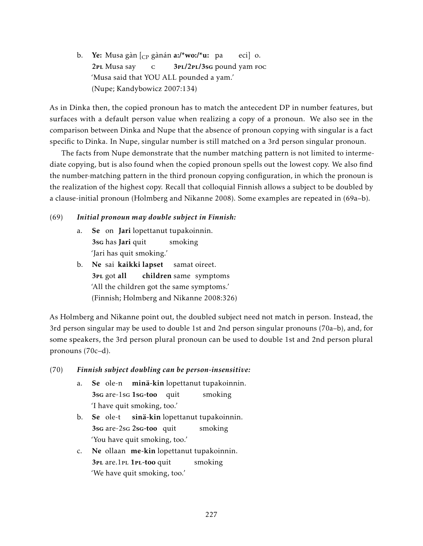b. **Ye:** Musa gàn [<sub>CP</sub> gànán **a:/\*wo:/\*u:** pa 2pl Musa say c 3PL/2PL/3sG pound yam Foc eci] o. 'Musa said that YOU ALL pounded a yam.' (Nupe; Kandybowicz 2007:134)

As in Dinka then, the copied pronoun has to match the antecedent DP in number features, but surfaces with a default person value when realizing a copy of a pronoun. We also see in the comparison between Dinka and Nupe that the absence of pronoun copying with singular is a fact specific to Dinka. In Nupe, singular number is still matched on a 3rd person singular pronoun.

The facts from Nupe demonstrate that the number matching pattern is not limited to intermediate copying, but is also found when the copied pronoun spells out the lowest copy. We also find the number-matching pattern in the third pronoun copying configuration, in which the pronoun is the realization of the highest copy. Recall that colloquial Finnish allows a subject to be doubled by a clause-initial pronoun (Holmberg and Nikanne 2008). Some examples are repeated in (69a–b).

## (69) *Initial pronoun may double subject in Finnish:*

- a. Se on Jari lopettanut tupakoinnin. 3sg has Jari quit smoking 'Jari has quit smoking.'
- b. Ne sai kaikki lapset 3<sub>PL</sub> got all children same symptoms samat oireet. 'All the children got the same symptoms.' (Finnish; Holmberg and Nikanne 2008:326)

As Holmberg and Nikanne point out, the doubled subject need not match in person. Instead, the 3rd person singular may be used to double 1st and 2nd person singular pronouns (70a–b), and, for some speakers, the 3rd person plural pronoun can be used to double 1st and 2nd person plural pronouns (70c–d).

## (70) *Finnish subject doubling can be person-insensitive:*

- a. Se ole-n minä-kin lopettanut tupakoinnin. 3sg are-1sg 1sg-too quit smoking 'I have quit smoking, too.'
- b. Se ole-t 3sg are-2sg 2sg-too quit sinä-kin lopettanut tupakoinnin. smoking 'You have quit smoking, too.'
- c. Ne ollaan me-kin lopettanut tupakoinnin. 3PL are.1PL 1PL-too quit smoking 'We have quit smoking, too.'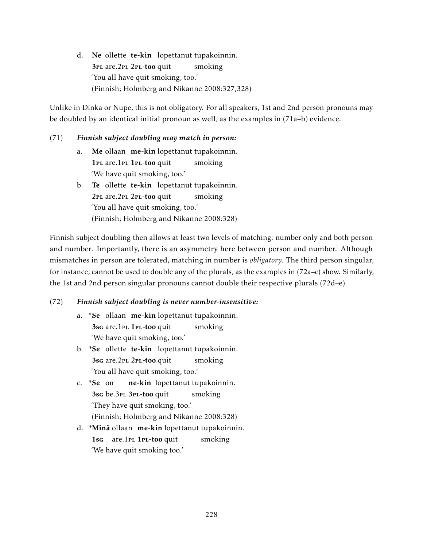d. Ne ollette te-kin lopettanut tupakoinnin. 3PL are.2PL 2PL-too quit smoking 'You all have quit smoking, too.' (Finnish; Holmberg and Nikanne 2008:327,328)

Unlike in Dinka or Nupe, this is not obligatory. For all speakers, 1st and 2nd person pronouns may be doubled by an identical initial pronoun as well, as the examples in (71a–b) evidence.

## (71) *Finnish subject doubling may match in person:*

- a. Me ollaan me-kin lopettanut tupakoinnin. 1PL are.1PL 1PL-too quit smoking 'We have quit smoking, too.'
- b. Te ollette te-kin lopettanut tupakoinnin. 2PL are.2PL 2PL-too quit smoking 'You all have quit smoking, too.' (Finnish; Holmberg and Nikanne 2008:328)

Finnish subject doubling then allows at least two levels of matching: number only and both person and number. Importantly, there is an asymmetry here between person and number. Although mismatches in person are tolerated, matching in number is *obligatory*. The third person singular, for instance, cannot be used to double any of the plurals, as the examples in (72a–c) show. Similarly, the 1st and 2nd person singular pronouns cannot double their respective plurals (72d–e).

## (72) *Finnish subject doubling is never number-insensitive:*

- a. \*Se ollaan me-kin lopettanut tupakoinnin. 3sg are.1PL 1PL-too quit smoking 'We have quit smoking, too.'
- b. \*Se ollette te-kin lopettanut tupakoinnin. 3sg are. 2PL 2PL-too quit smoking 'You all have quit smoking, too.'
- c. \*Se on 3sg be.3pl 3pl-too quit ne-kin lopettanut tupakoinnin. smoking 'They have quit smoking, too.' (Finnish; Holmberg and Nikanne 2008:328)
- d. \*Minä ollaan me-kin lopettanut tupakoinnin. 1sG are.1PL 1PL-too quit smoking 'We have quit smoking too.'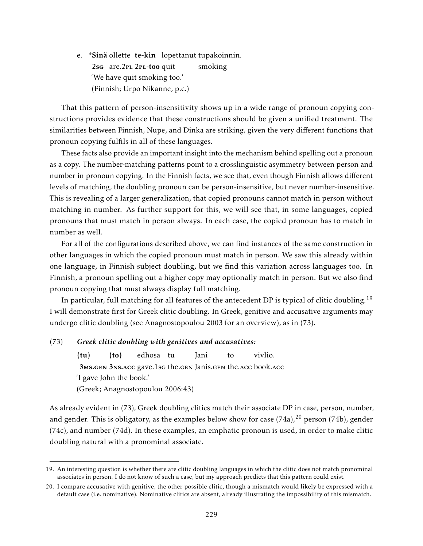e. \*Sinä ollette te-kin lopettanut tupakoinnin. 2sg are.2PL 2PL-too quit smoking 'We have quit smoking too.' (Finnish; Urpo Nikanne, p.c.)

That this pattern of person-insensitivity shows up in a wide range of pronoun copying constructions provides evidence that these constructions should be given a unified treatment. The similarities between Finnish, Nupe, and Dinka are striking, given the very different functions that pronoun copying fulfils in all of these languages.

These facts also provide an important insight into the mechanism behind spelling out a pronoun as a copy. The number-matching patterns point to a crosslinguistic asymmetry between person and number in pronoun copying. In the Finnish facts, we see that, even though Finnish allows different levels of matching, the doubling pronoun can be person-insensitive, but never number-insensitive. This is revealing of a larger generalization, that copied pronouns cannot match in person without matching in number. As further support for this, we will see that, in some languages, copied pronouns that must match in person always. In each case, the copied pronoun has to match in number as well.

For all of the configurations described above, we can find instances of the same construction in other languages in which the copied pronoun must match in person. We saw this already within one language, in Finnish subject doubling, but we find this variation across languages too. In Finnish, a pronoun spelling out a higher copy may optionally match in person. But we also find pronoun copying that must always display full matching.

In particular, full matching for all features of the antecedent DP is typical of clitic doubling.<sup>19</sup> I will demonstrate first for Greek clitic doubling. In Greek, genitive and accusative arguments may undergo clitic doubling (see Anagnostopoulou 2003 for an overview), as in (73).

#### (73) *Greek clitic doubling with genitives and accusatives:*

 $(tu)$ 3MS.GEN 3NS.ACC gave.1sG the.GEN Janis.GEN the.ACC book.ACC (to) edhosa tu Jani to vivlio. 'I gave John the book.' (Greek; Anagnostopoulou 2006:43)

As already evident in (73), Greek doubling clitics match their associate DP in case, person, number, and gender. This is obligatory, as the examples below show for case  $(74a)$ ,  $^{20}$  person (74b), gender (74c), and number (74d). In these examples, an emphatic pronoun is used, in order to make clitic doubling natural with a pronominal associate.

<sup>19.</sup> An interesting question is whether there are clitic doubling languages in which the clitic does not match pronominal associates in person. I do not know of such a case, but my approach predicts that this pattern could exist.

<sup>20.</sup> I compare accusative with genitive, the other possible clitic, though a mismatch would likely be expressed with a default case (i.e. nominative). Nominative clitics are absent, already illustrating the impossibility of this mismatch.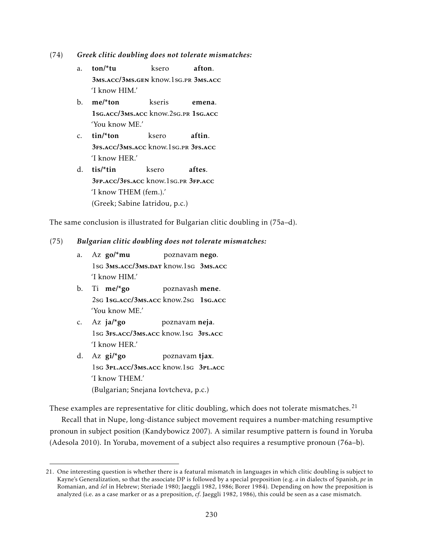(74) *Greek clitic doubling does not tolerate mismatches:*

- a. ton/\*tu 3ms.acc/3ms.gen know.1sg.pr 3ms.acc ksero afton. 'I know HIM.'
- b. me/\*ton 1sg.acc/3ms.acc know.2sg.pr 1sg.acc kseris emena. 'You know ME.'
- c. tin/\*ton 3fs.acc/3ms.acc know.1sg.pr 3fs.acc ksero aftin. 'I know HER.'
- d. tis/\*tin 3fp.acc/3fs.acc know.1sg.pr 3fp.acc ksero aftes. 'I know THEM (fem.).' (Greek; Sabine Iatridou, p.c.)

The same conclusion is illustrated for Bulgarian clitic doubling in (75a–d).

#### (75) *Bulgarian clitic doubling does not tolerate mismatches:*

- a. Az **go/\*mu** 1sg 3ms.acc/3ms.dat know.1sg 3ms.acc poznavam nego. 'I know HIM.'
- b. Ti me/\*go 2sg 1sg.acc/3ms.acc know.2sg 1sg.acc poznavash mene. 'You know ME.'
- c. Az ja/\*go 1sg 3fs.acc/3ms.acc know.1sg 3fs.acc poznavam neja. 'I know HER.'
- d. Az gi/\*go 1sg 3pl.acc/3ms.acc know.1sg 3pl.acc poznavam tjax. 'I know THEM.' (Bulgarian; Snejana Iovtcheva, p.c.)

These examples are representative for clitic doubling, which does not tolerate mismatches.<sup>21</sup>

Recall that in Nupe, long-distance subject movement requires a number-matching resumptive pronoun in subject position (Kandybowicz 2007). A similar resumptive pattern is found in Yoruba (Adesola 2010). In Yoruba, movement of a subject also requires a resumptive pronoun (76a–b).

<sup>21.</sup> One interesting question is whether there is a featural mismatch in languages in which clitic doubling is subject to Kayne's Generalization, so that the associate DP is followed by a special preposition (e.g. *a* in dialects of Spanish, *pe* in Romanian, and *šel* in Hebrew; Steriade 1980; Jaeggli 1982, 1986; Borer 1984). Depending on how the preposition is analyzed (i.e. as a case marker or as a preposition, *cf*. Jaeggli 1982, 1986), this could be seen as a case mismatch.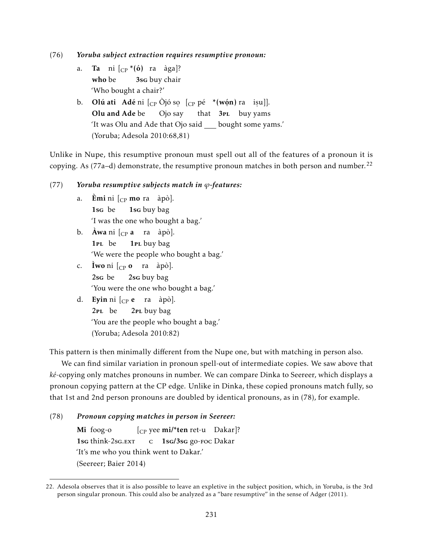(76) *Yoruba subject extraction requires resumptive pronoun:*

- a. **Ta** ni [<sub>CP</sub> \*(ó) ra àga]? who be 3sg buy chair 'Who bought a chair?'
- b. **Olú ati** Adé ni  $_{\text{CP}}$  Ojó so  $_{\text{CP}}$  pé \*(wón) ra iṣu]]. Olu and Ade be Ojo ˙ say that ˙ 3pl buy ˙ yams 'It was Olu and Ade that Ojo said \_\_ bought some yams.' (Yoruba; Adesola 2010:68,81)

Unlike in Nupe, this resumptive pronoun must spell out all of the features of a pronoun it is copying. As (77a–d) demonstrate, the resumptive pronoun matches in both person and number.<sup>22</sup>

#### (77) *Yoruba resumptive subjects match in ϕ-features:*

- a. Èmi ni [<sub>CP</sub> mo ra àpò]. 1sg be 1sg buy bag 'I was the one who bought a bag.'
- b. **Awa** ni  $\begin{bmatrix} C_P \mathbf{a} & \text{ra} \end{bmatrix}$  apò]. 1pl be 1<sub>PL</sub> buy bag 'We were the people who bought a bag.'
- c. **Iwo** ni  $\begin{bmatrix} C_P & \mathbf{0} & \mathbf{0} \end{bmatrix}$  ra àpò]. 2sg be 2sg buy bag 'You were the one who bought a bag.'
- d. **Eyin** ni [<sub>CP</sub> e ra àpò]. 2pl be 2<sub>PL</sub> buy bag 'You are the people who bought a bag.' (Yoruba; Adesola 2010:82)

This pattern is then minimally different from the Nupe one, but with matching in person also.

We can find similar variation in pronoun spell-out of intermediate copies. We saw above that *ké*-copying only matches pronouns in number. We can compare Dinka to Seereer, which displays a pronoun copying pattern at the CP edge. Unlike in Dinka, these copied pronouns match fully, so that 1st and 2nd person pronouns are doubled by identical pronouns, as in (78), for example.

#### (78) *Pronoun copying matches in person in Seereer:*

Mi foog-o 1sg think-2sg.EXT  $\begin{bmatrix} \text{Cp} \text{ yee mi} \text{/*} \text{ten ret-u} \end{bmatrix}$ ? c 1sg/3sg go-foc Dakar 'It's me who you think went to Dakar.' (Seereer; Baier 2014)

<sup>22.</sup> Adesola observes that it is also possible to leave an expletive in the subject position, which, in Yoruba, is the 3rd person singular pronoun. This could also be analyzed as a "bare resumptive" in the sense of Adger (2011).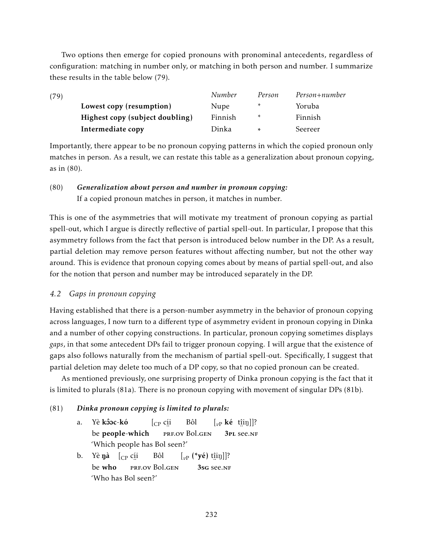Two options then emerge for copied pronouns with pronominal antecedents, regardless of configuration: matching in number only, or matching in both person and number. I summarize these results in the table below (79).

| (79) |                                 | Number  | Person | Person+number |
|------|---------------------------------|---------|--------|---------------|
|      | Lowest copy (resumption)        | Nupe    | $\ast$ | Yoruba        |
|      | Highest copy (subject doubling) | Finnish | $\ast$ | Finnish       |
|      | Intermediate copy               | Dinka   | $\ast$ | Seereer       |

Importantly, there appear to be no pronoun copying patterns in which the copied pronoun only matches in person. As a result, we can restate this table as a generalization about pronoun copying, as in (80).

# (80) *Generalization about person and number in pronoun copying:* If a copied pronoun matches in person, it matches in number.

This is one of the asymmetries that will motivate my treatment of pronoun copying as partial spell-out, which I argue is directly reflective of partial spell-out. In particular, I propose that this asymmetry follows from the fact that person is introduced below number in the DP. As a result, partial deletion may remove person features without affecting number, but not the other way around. This is evidence that pronoun copying comes about by means of partial spell-out, and also for the notion that person and number may be introduced separately in the DP.

## *4.2 Gaps in pronoun copying*

Having established that there is a person-number asymmetry in the behavior of pronoun copying across languages, I now turn to a different type of asymmetry evident in pronoun copying in Dinka and a number of other copying constructions. In particular, pronoun copying sometimes displays *gaps*, in that some antecedent DPs fail to trigger pronoun copying. I will argue that the existence of gaps also follows naturally from the mechanism of partial spell-out. Specifically, I suggest that partial deletion may delete too much of a DP copy, so that no copied pronoun can be created.

As mentioned previously, one surprising property of Dinka pronoun copying is the fact that it is limited to plurals (81a). There is no pronoun copying with movement of singular DPs (81b).

## (81) *Dinka pronoun copying is limited to plurals:*

- a. Yè <mark>kôoc-kó</mark> be people-which [CP cí i ..<br>prf.ov Bol.gen Bôl  $\left[\begin{smallmatrix} v_P \end{smallmatrix} \right]$ **ké** t<u>î</u>iŋ]]? 3pl ¨ see.nf 'Which people has Bol seen?'
- b. Yè $\,$ ŋà  $\,$   $\rm [CP\,$ c $\rm ii$ be who ¨ prf.ov Bol.gen Bôl  $\left[\begin{smallmatrix} v\end{smallmatrix}\right]$  (\***yé**) t<u>î</u>iŋ]]?  $3sG$  see.nf 'Who has Bol seen?'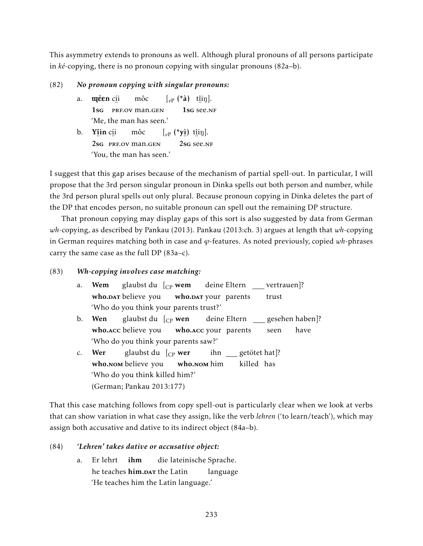This asymmetry extends to pronouns as well. Although plural pronouns of all persons participate in *ké*-copying, there is no pronoun copying with singular pronouns (82a–b).

## (82) *No pronoun copying with singular pronouns:*

- a. **u êen** c<u>í</u>i 1sg PRF.OV man.gen môc  $\left[\begin{matrix}v_P(\ast \hat{\mathbf{a}}) & \text{t}\hat{\mathbf{a}}\text{in}\end{matrix}\right].$  $\frac{1}{1}$ sg see.nf 'Me, the man has seen.'
- b. Y<u>î</u>in c<u>í</u>i ender over 2se President man.gent môc  $\left[\begin{smallmatrix} v_P & \left( \begin{smallmatrix} * & \cdot \\ y & \cdot \end{smallmatrix} \right) & \text{t}\hat{\mathbf{n}}\text{in} \end{smallmatrix} \right].$ 2sg see.nf 'You, the man has seen.'

I suggest that this gap arises because of the mechanism of partial spell-out. In particular, I will propose that the 3rd person singular pronoun in Dinka spells out both person and number, while the 3rd person plural spells out only plural. Because pronoun copying in Dinka deletes the part of the DP that encodes person, no suitable pronoun can spell out the remaining DP structure.

That pronoun copying may display gaps of this sort is also suggested by data from German *wh*-copying, as described by Pankau (2013). Pankau (2013:ch. 3) argues at length that *wh*-copying in German requires matching both in case and *ϕ*-features. As noted previously, copied *wh*-phrases carry the same case as the full DP (83a–c).

## (83) *Wh-copying involves case matching:*

| a.             | <b>Wem</b> glaubst du $\begin{bmatrix} C_P \text{wem} \\ C_P \text{wem} \end{bmatrix}$ deine Eltern vertrauen]?        |  |  |      |
|----------------|------------------------------------------------------------------------------------------------------------------------|--|--|------|
|                | who.DAT believe you who.DAT your parents trust                                                                         |  |  |      |
|                | 'Who do you think your parents trust?'                                                                                 |  |  |      |
| $\mathbf{b}$ . | <b>Wen</b> glaubst du $\begin{bmatrix} C_P \textbf{wen} \\ C_P \textbf{wen} \end{bmatrix}$ deine Eltern gesehen haben? |  |  |      |
|                | who.acc believe you who.acc your parents seen                                                                          |  |  | have |
|                | 'Who do you think your parents saw?'                                                                                   |  |  |      |
| C <sub>1</sub> | <b>Wer</b> glaubst du $\begin{bmatrix} C \n\end{bmatrix}$ wer ihn getötet hat $\begin{bmatrix} 2 \end{bmatrix}$        |  |  |      |
|                | who.NOM believe you who.NOM him killed has                                                                             |  |  |      |
|                | 'Who do you think killed him?'                                                                                         |  |  |      |
|                | (German; Pankau 2013:177)                                                                                              |  |  |      |

That this case matching follows from copy spell-out is particularly clear when we look at verbs that can show variation in what case they assign, like the verb *lehren* ('to learn/teach'), which may assign both accusative and dative to its indirect object (84a–b).

## (84) *'Lehren' takes dative or accusative object:*

a. Er lehrt he teaches <mark>him.par</mark> the Latin ihm die lateinische Sprache. language 'He teaches him the Latin language.'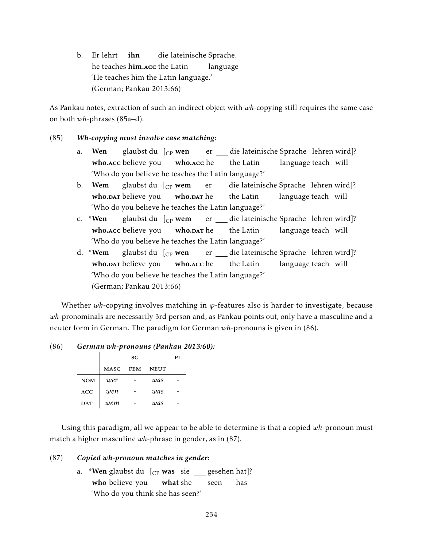b. Er lehrt he teaches <mark>him.</mark>acc the Latin ihn die lateinische Sprache. language 'He teaches him the Latin language.' (German; Pankau 2013:66)

As Pankau notes, extraction of such an indirect object with *wh*-copying still requires the same case on both *wh*-phrases (85a–d).

#### (85) *Wh-copying must involve case matching:*

- a. Wen who.acc believe you glaubst du [<sub>CP</sub> wen who.acc he er die lateinische Sprache lehren wird]? the Latin language teach will 'Who do you believe he teaches the Latin language?'
- b. Wem who.DAT believe you glaubst du [<sub>CP</sub> **wem** who.<mark>par</mark> he er die lateinische Sprache lehren wird]? the Latin language teach will 'Who do you believe he teaches the Latin language?'
- c. \*Wen who.acc believe you glaubst du [<sub>CP</sub> **wem** who.<mark>par</mark> he er die lateinische Sprache lehren wird]? the Latin language teach will 'Who do you believe he teaches the Latin language?'
- d. \*Wem who.DAT believe you glaubst du [<sub>CP</sub> wen who.acc he er die lateinische Sprache lehren wird]? the Latin language teach will 'Who do you believe he teaches the Latin language?' (German; Pankau 2013:66)

Whether  $wh$ -copying involves matching in  $\varphi$ -features also is harder to investigate, because *wh*-pronominals are necessarily 3rd person and, as Pankau points out, only have a masculine and a neuter form in German. The paradigm for German *wh*-pronouns is given in (86).

#### (86) *German wh-pronouns (Pankau 2013:60):*

|            | SG          |            |             | PL |
|------------|-------------|------------|-------------|----|
|            | <b>MASC</b> | <b>FEM</b> | <b>NEUT</b> |    |
| <b>NOM</b> | wer         |            | was         |    |
| <b>ACC</b> | wen         |            | was         |    |
| <b>DAT</b> | wem         |            | was         |    |

Using this paradigm, all we appear to be able to determine is that a copied *wh*-pronoun must match a higher masculine *wh*-phrase in gender, as in (87).

#### (87) *Copied wh-pronoun matches in gender:*

a. \***Wen** glaubst du [<sub>CP</sub> was sie \_\_\_ gesehen hat]? who believe you what she seen has 'Who do you think she has seen?'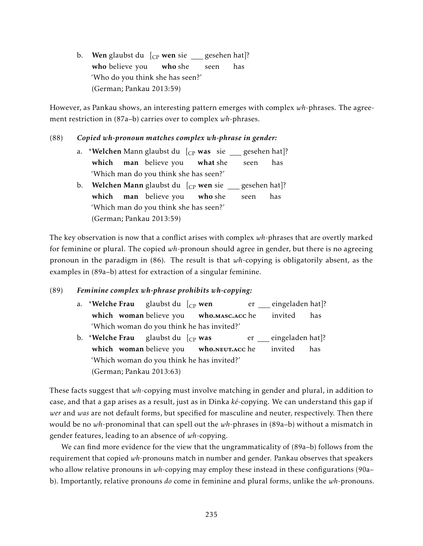b. Wen glaubst du [<sub>CP</sub> wen sie \_\_\_ gesehen hat]? who believe you who she seen has 'Who do you think she has seen?' (German; Pankau 2013:59)

However, as Pankau shows, an interesting pattern emerges with complex *wh*-phrases. The agreement restriction in (87a–b) carries over to complex *wh*-phrases.

#### (88) *Copied wh-pronoun matches complex wh-phrase in gender:*

- a. \***Welchen** Mann glaubst du [<sub>CP</sub> **was** sie \_\_\_ gesehen hat]? which **man** believe you what she seen has 'Which man do you think she has seen?'
- b. **Welchen Mann** glaubst du [<sub>CP</sub> **wen** sie <sub>——</sub> gesehen hat]? which man believe you who she seen has 'Which man do you think she has seen?' (German; Pankau 2013:59)

The key observation is now that a conflict arises with complex *wh*-phrases that are overtly marked for feminine or plural. The copied *wh*-pronoun should agree in gender, but there is no agreeing pronoun in the paradigm in (86). The result is that *wh*-copying is obligatorily absent, as the examples in (89a–b) attest for extraction of a singular feminine.

## (89) *Feminine complex wh-phrase prohibits wh-copying:*

- a. \*Welche Frau which woman believe you glaubst du [<sub>CP</sub> wen who.masc.acc he er eingeladen hat]? invited has 'Which woman do you think he has invited?'
- b. \*Welche Frau which woman believe you glaubst du [<sub>CP</sub> **was** w<mark>ho.</mark>neut.acc he er eingeladen hat]? invited has 'Which woman do you think he has invited?' (German; Pankau 2013:63)

These facts suggest that *wh*-copying must involve matching in gender and plural, in addition to case, and that a gap arises as a result, just as in Dinka *ké*-copying. We can understand this gap if *wer* and *was* are not default forms, but specified for masculine and neuter, respectively. Then there would be no *wh*-pronominal that can spell out the *wh*-phrases in (89a–b) without a mismatch in gender features, leading to an absence of *wh*-copying.

We can find more evidence for the view that the ungrammaticality of (89a–b) follows from the requirement that copied *wh*-pronouns match in number and gender. Pankau observes that speakers who allow relative pronouns in wh-copying may employ these instead in these configurations (90a– b). Importantly, relative pronouns *do* come in feminine and plural forms, unlike the *wh*-pronouns.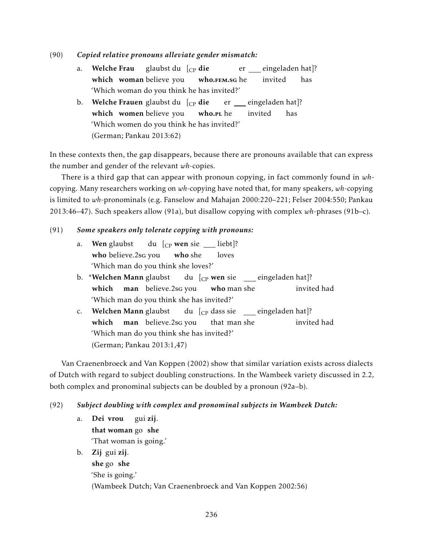- (90) *Copied relative pronouns alleviate gender mismatch:*
	- a. Welche Frau which woman believe you glaubst du [<sub>CP</sub> **die** w<mark>ho.ғем.s</mark>g he er eingeladen hat]? invited has 'Which woman do you think he has invited?'
	- b.  $\,$  Welche Frauen glaubst du  $\,$  [ $_{\mathrm{CP}}$  die which women believe you who.r<mark>l</mark> he er eingeladen hat]? invited has 'Which women do you think he has invited?' (German; Pankau 2013:62)

In these contexts then, the gap disappears, because there are pronouns available that can express the number and gender of the relevant *wh*-copies.

There is a third gap that can appear with pronoun copying, in fact commonly found in *wh*copying. Many researchers working on *wh*-copying have noted that, for many speakers, *wh*-copying is limited to *wh*-pronominals (e.g. Fanselow and Mahajan 2000:220–221; Felser 2004:550; Pankau 2013:46–47). Such speakers allow (91a), but disallow copying with complex *wh*-phrases (91b–c).

## (91) *Some speakers only tolerate copying with pronouns:*

- a. Wen glaubst who believe.2sg you du [<sub>CP</sub> **wen** sie <u>\_</u>\_\_ liebt]? who she loves 'Which man do you think she loves?'
- b. \*Welchen Mann glaubst which man believe.2sg you du [<sub>CP</sub> **wen** sie \_\_\_ eingeladen hat]? who man she invited had 'Which man do you think she has invited?'
- c. Welchen Mann glaubst which man believe.2sg you du  $\left[$ <sub>CP</sub> dass sie \_\_ eingeladen hat]? that man she invited had 'Which man do you think she has invited?' (German; Pankau 2013:1,47)

Van Craenenbroeck and Van Koppen (2002) show that similar variation exists across dialects of Dutch with regard to subject doubling constructions. In the Wambeek variety discussed in 2.2, both complex and pronominal subjects can be doubled by a pronoun (92a–b).

## (92) *Subject doubling with complex and pronominal subjects in Wambeek Dutch:*

a. Dei vrou that woman go she gui zij. 'That woman is going.'

b. Zij gui zij.

she go she 'She is going.' (Wambeek Dutch; Van Craenenbroeck and Van Koppen 2002:56)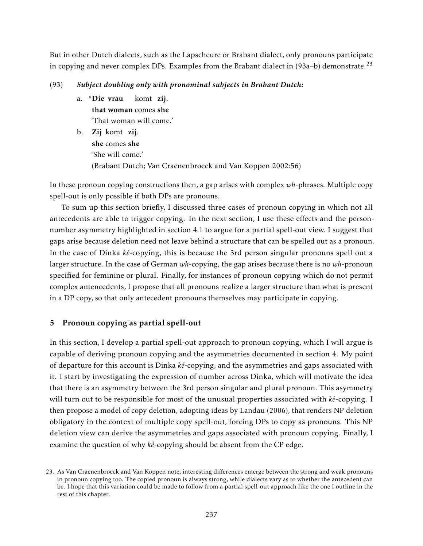But in other Dutch dialects, such as the Lapscheure or Brabant dialect, only pronouns participate in copying and never complex DPs. Examples from the Brabant dialect in  $(93a-b)$  demonstrate.<sup>23</sup>

## (93) *Subject doubling only with pronominal subjects in Brabant Dutch:*

- a. \*Die vrau that woman comes she komt zij. 'That woman will come.'
- b. Zij komt zij. she comes she 'She will come.' (Brabant Dutch; Van Craenenbroeck and Van Koppen 2002:56)

In these pronoun copying constructions then, a gap arises with complex *wh*-phrases. Multiple copy spell-out is only possible if both DPs are pronouns.

To sum up this section briefly, I discussed three cases of pronoun copying in which not all antecedents are able to trigger copying. In the next section, I use these effects and the personnumber asymmetry highlighted in section 4.1 to argue for a partial spell-out view. I suggest that gaps arise because deletion need not leave behind a structure that can be spelled out as a pronoun. In the case of Dinka *ké*-copying, this is because the 3rd person singular pronouns spell out a larger structure. In the case of German *wh*-copying, the gap arises because there is no *wh*-pronoun specified for feminine or plural. Finally, for instances of pronoun copying which do not permit complex antencedents, I propose that all pronouns realize a larger structure than what is present in a DP copy, so that only antecedent pronouns themselves may participate in copying.

# 5 Pronoun copying as partial spell-out

In this section, I develop a partial spell-out approach to pronoun copying, which I will argue is capable of deriving pronoun copying and the asymmetries documented in section 4. My point of departure for this account is Dinka *ké*-copying, and the asymmetries and gaps associated with it. I start by investigating the expression of number across Dinka, which will motivate the idea that there is an asymmetry between the 3rd person singular and plural pronoun. This asymmetry will turn out to be responsible for most of the unusual properties associated with *ké*-copying. I then propose a model of copy deletion, adopting ideas by Landau (2006), that renders NP deletion obligatory in the context of multiple copy spell-out, forcing DPs to copy as pronouns. This NP deletion view can derive the asymmetries and gaps associated with pronoun copying. Finally, I examine the question of why *ké*-copying should be absent from the CP edge.

<sup>23.</sup> As Van Craenenbroeck and Van Koppen note, interesting differences emerge between the strong and weak pronouns in pronoun copying too. The copied pronoun is always strong, while dialects vary as to whether the antecedent can be. I hope that this variation could be made to follow from a partial spell-out approach like the one I outline in the rest of this chapter.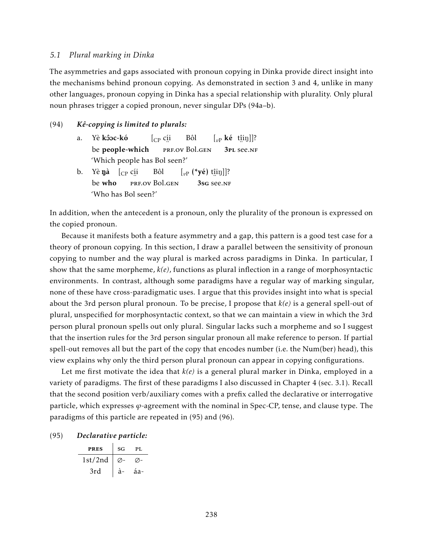#### *5.1 Plural marking in Dinka*

The asymmetries and gaps associated with pronoun copying in Dinka provide direct insight into the mechanisms behind pronoun copying. As demonstrated in section 3 and 4, unlike in many other languages, pronoun copying in Dinka has a special relationship with plurality. Only plural noun phrases trigger a copied pronoun, never singular DPs (94a–b).

#### (94) *Kê-copying is limited to plurals:*

- a. Yè <mark>kôoc-kó</mark> be people-which [CP cí i ..<br>prf.ov Bol.gen Bôl  $\left[\begin{smallmatrix} v_P \end{smallmatrix} \right]$ **ké** t<u>î</u>iŋ]]? 3pl ¨ see.nf 'Which people has Bol seen?'
- b. Yè**ŋà** [<sub>CP</sub> c<u>í</u>i be who ∵<br>prf.ov Bol.gen Bôl  $\left[\begin{smallmatrix} v\end{smallmatrix}\right]$  (\***yé**) t<u>î</u>iŋ]]? 3sg see.nf 'Who has Bol seen?'

In addition, when the antecedent is a pronoun, only the plurality of the pronoun is expressed on the copied pronoun.

Because it manifests both a feature asymmetry and a gap, this pattern is a good test case for a theory of pronoun copying. In this section, I draw a parallel between the sensitivity of pronoun copying to number and the way plural is marked across paradigms in Dinka. In particular, I show that the same morpheme, *k(e)*, functions as plural inflection in a range of morphosyntactic environments. In contrast, although some paradigms have a regular way of marking singular, none of these have cross-paradigmatic uses. I argue that this provides insight into what is special about the 3rd person plural pronoun. To be precise, I propose that *k(e)* is a general spell-out of plural, unspecified for morphosyntactic context, so that we can maintain a view in which the 3rd person plural pronoun spells out only plural. Singular lacks such a morpheme and so I suggest that the insertion rules for the 3rd person singular pronoun all make reference to person. If partial spell-out removes all but the part of the copy that encodes number (i.e. the Num(ber) head), this view explains why only the third person plural pronoun can appear in copying configurations.

Let me first motivate the idea that *k(e)* is a general plural marker in Dinka, employed in a variety of paradigms. The first of these paradigms I also discussed in Chapter 4 (sec. 3.1). Recall that the second position verb/auxiliary comes with a prefix called the declarative or interrogative particle, which expresses *ϕ*-agreement with the nominal in Spec-CP, tense, and clause type. The paradigms of this particle are repeated in (95) and (96).

#### (95) *Declarative particle:*

| <b>PRES</b> | SG | PL. |
|-------------|----|-----|
| 1st/2nd     | Ø- |     |
| 3rd         |    | áa- |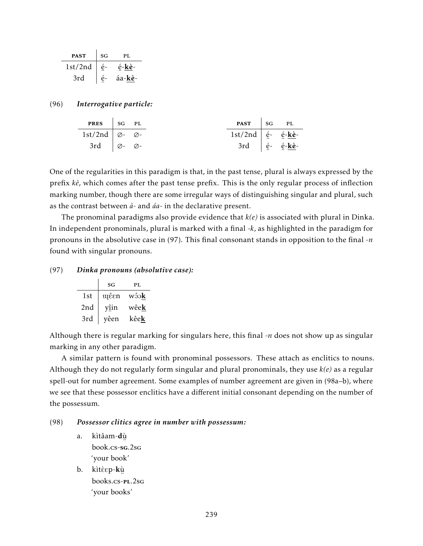| <b>PAST</b> | SG | PL.    |
|-------------|----|--------|
| 1st/2nd     |    | é-kè-  |
| 3rd         |    | áa-kè- |

#### (96) *Interrogative particle:*

| <b>PRES</b> $\Big $ SG PL               |  |                                                          | <b>PAST</b> $SG$ PL                             |  |
|-----------------------------------------|--|----------------------------------------------------------|-------------------------------------------------|--|
| 1st/2nd $\varnothing$ - $\varnothing$ - |  | 1st/2nd $\int$ é <sup>-</sup> é <sup>-</sup> <b>kè</b> - |                                                 |  |
| 3rd $\varnothing$ - $\varnothing$ -     |  |                                                          | 3rd $\int \frac{e^z}{e^z} dz = \frac{e^z}{e^z}$ |  |

One of the regularities in this paradigm is that, in the past tense, plural is always expressed by the prefix *kè*, which comes after the past tense prefix. This is the only regular process of inflection marking number, though there are some irregular ways of distinguishing singular and plural, such as the contrast between *à*- and *áa*- in the declarative present.

The pronominal paradigms also provide evidence that *k(e)* is associated with plural in Dinka. In independent pronominals, plural is marked with a final *-k*, as highlighted in the paradigm for pronouns in the absolutive case in (97). This final consonant stands in opposition to the final *-n* found with singular pronouns.

#### (97) *Dinka pronouns (absolutive case):*

|     | SG   | PL.          |
|-----|------|--------------|
| 1st | պέεn | wôok         |
| 2nd | yîin | wêe <b>k</b> |
| 3rd | yêen | kêe <b>k</b> |

Although there is regular marking for singulars here, this final -*n* does not show up as singular marking in any other paradigm.

A similar pattern is found with pronominal possessors. These attach as enclitics to nouns. Although they do not regularly form singular and plural pronominals, they use *k(e)* as a regular spell-out for number agreement. Some examples of number agreement are given in (98a–b), where we see that these possessor enclitics have a different initial consonant depending on the number of the possessum.

#### (98) *Possessor clitics agree in number with possessum:*

- a. kìtâam-dù ¨ book.cs-sg.2sg 'your book'
- b. kìtèsp-kù ¨ books.cs-pl.2sg 'your books'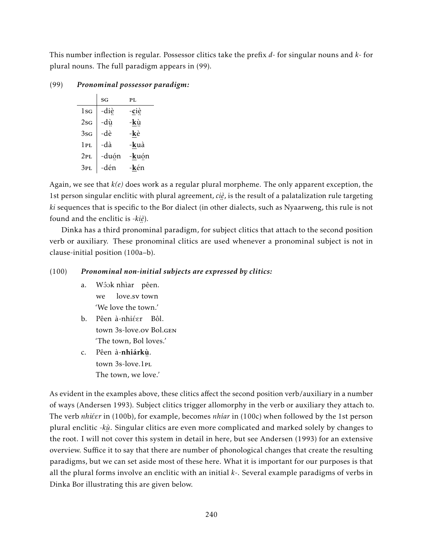This number inflection is regular. Possessor clitics take the prefix *d*- for singular nouns and *k*- for plural nouns. The full paradigm appears in (99).

(99) *Pronominal possessor paradigm:*

|                 | SG    | PL    |
|-----------------|-------|-------|
| $1$ sg          | -diè  | -ciè  |
| 2sG             | -dù   | -kù   |
| 3s <sub>G</sub> | -dè   | -kè   |
| 1PL             | -dà   | -kuà  |
| 2PL             | -duón | -kuón |
| 3PL             | -dén  | -kén  |

Again, we see that *k(e)* does work as a regular plural morpheme. The only apparent exception, the 1st person singular enclitic with plural agreement, *ciè* , is the result of a palatalization rule targeting ¨ *ki* sequences that is specific to the Bor dialect (in other dialects, such as Nyaarweng, this rule is not found and the enclitic is -*kiè* ).

¨ Dinka has a third pronominal paradigm, for subject clitics that attach to the second position verb or auxiliary. These pronominal clitics are used whenever a pronominal subject is not in clause-initial position (100a–b).

## (100) *Pronominal non-initial subjects are expressed by clitics:*

- a. Wôok nhìar pêen. we love.sv town 'We love the town.'
- b. Pêen à-nhiéer Bôl. town 3s-love.ov Bol.gen 'The town, Bol loves.'
- c. Pêen à-**nhiárkù**. town ¨ 3s-love.1pl The town, we love.'

As evident in the examples above, these clitics affect the second position verb/auxiliary in a number of ways (Andersen 1993). Subject clitics trigger allomorphy in the verb or auxiliary they attach to. The verb *nhi* $\epsilon$ *Er* in (100b), for example, becomes *nhíar* in (100c) when followed by the 1st person plural enclitic -kဖှဲ. Singular clitics are even more complicated and marked solely by changes to The root. I will not cover this system in detail in here, but see Andersen (1993) for an extensive overview. Suffice it to say that there are number of phonological changes that create the resulting paradigms, but we can set aside most of these here. What it is important for our purposes is that all the plural forms involve an enclitic with an initial *k*-. Several example paradigms of verbs in Dinka Bor illustrating this are given below.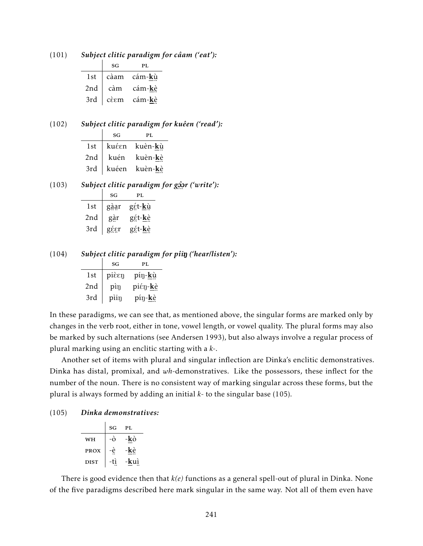|     | SG                     | PL              |
|-----|------------------------|-----------------|
| 1st | càam                   | cám- <b>k</b> ù |
| 2nd | càm                    | cám-kè          |
| 3rd | $ $ cè $\varepsilon$ m | cám- <b>k</b> è |
|     |                        |                 |

## (101) *Subject clitic paradigm for câam ('eat'):*

#### (102) *Subject clitic paradigm for kuêen ('read'):*

|     | SG | PL.                    |
|-----|----|------------------------|
| 1st |    | kuéen kuèn-kù          |
| 2nd |    | kuén kuèn- <b>k</b> è  |
| 3rd |    | kuéen kuèn- <b>k</b> è |
|     |    |                        |

| (103) | Subject clitic paradigm for gôor ('write'): |  |
|-------|---------------------------------------------|--|
|       |                                             |  |

|     | SG   | PL              |
|-----|------|-----------------|
| 1st | gàar | gét-kù          |
| 2nd | gàr  | gét- <b>k</b> è |
| 3rd | géer | gét-kè          |
|     |      |                 |

(104) *Subject clitic paradigm for pîi*<sup>N</sup> *('hear/listen'):*

|     | SG    | PL.             |
|-----|-------|-----------------|
| 1st | pièen | píŋ-kù          |
| 2nd | piŋ   | piéŋ- <u>kè</u> |
| 3rd | pìin  | píŋ-kè          |
|     |       |                 |

In these paradigms, we can see that, as mentioned above, the singular forms are marked only by changes in the verb root, either in tone, vowel length, or vowel quality. The plural forms may also be marked by such alternations (see Andersen 1993), but also always involve a regular process of plural marking using an enclitic starting with a *k-*.

Another set of items with plural and singular inflection are Dinka's enclitic demonstratives. Dinka has distal, promixal, and *wh*-demonstratives. Like the possessors, these inflect for the number of the noun. There is no consistent way of marking singular across these forms, but the plural is always formed by adding an initial *k*- to the singular base (105).

#### (105) *Dinka demonstratives:*

|             | SG  | PL.  |
|-------------|-----|------|
| WH          |     | -kò  |
| <b>PROX</b> | ė   | -kè  |
| <b>DIST</b> | -ti | -kuì |
|             |     |      |

There is good evidence then that *k(e)* functions as a general spell-out of plural in Dinka. None of the five paradigms described here mark singular in the same way. Not all of them even have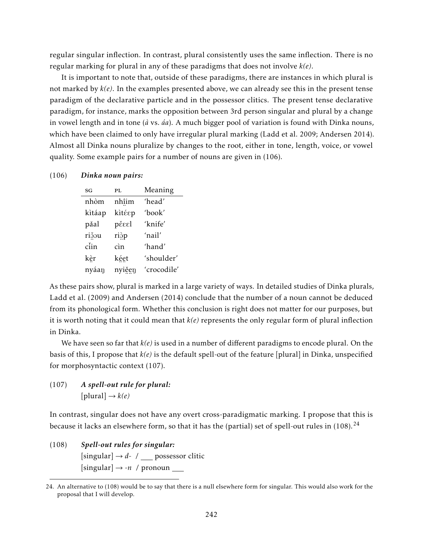regular singular inflection. In contrast, plural consistently uses the same inflection. There is no regular marking for plural in any of these paradigms that does not involve *k(e)*.

It is important to note that, outside of these paradigms, there are instances in which plural is not marked by *k(e)*. In the examples presented above, we can already see this in the present tense paradigm of the declarative particle and in the possessor clitics. The present tense declarative paradigm, for instance, marks the opposition between 3rd person singular and plural by a change in vowel length and in tone (*à* vs. *áa*). A much bigger pool of variation is found with Dinka nouns, which have been claimed to only have irregular plural marking (Ladd et al. 2009; Andersen 2014). Almost all Dinka nouns pluralize by changes to the root, either in tone, length, voice, or vowel quality. Some example pairs for a number of nouns are given in (106).

#### (106) *Dinka noun pairs:*

| SG     | PL.    | Meaning     |
|--------|--------|-------------|
| nhòm   | nhîim  | 'head'      |
| kitáap | kìtέεp | 'book'      |
| pǎal   | pěεεl  | 'knife'     |
| rižou  | riop   | ʻnail'      |
| ciin   | cìn    | 'hand'      |
| kèr    | kéet   | 'shoulder'  |
| nyáan  | nyiěen | 'crocodile' |
|        |        |             |

As these pairs show, plural is marked in a large variety of ways. In detailed studies of Dinka plurals, Ladd et al. (2009) and Andersen (2014) conclude that the number of a noun cannot be deduced from its phonological form. Whether this conclusion is right does not matter for our purposes, but it is worth noting that it could mean that *k(e)* represents the only regular form of plural inflection in Dinka.

We have seen so far that *k(e)* is used in a number of different paradigms to encode plural. On the basis of this, I propose that  $k(e)$  is the default spell-out of the feature [plural] in Dinka, unspecified for morphosyntactic context (107).

## (107) *A spell-out rule for plural:*  $[{\rm plural}] \rightarrow k(e)$

In contrast, singular does not have any overt cross-paradigmatic marking. I propose that this is because it lacks an elsewhere form, so that it has the (partial) set of spell-out rules in  $(108)$ .<sup>24</sup>

(108) *Spell-out rules for singular:*  $[singular] \rightarrow d$ - / possessor clitic [singular] → *-n* / pronoun

<sup>24.</sup> An alternative to (108) would be to say that there is a null elsewhere form for singular. This would also work for the proposal that I will develop.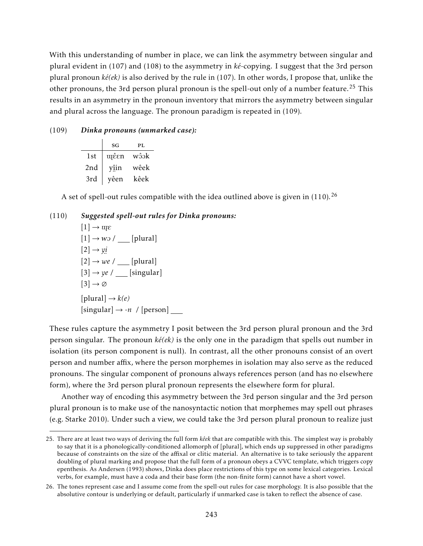With this understanding of number in place, we can link the asymmetry between singular and plural evident in (107) and (108) to the asymmetry in *ké*-copying. I suggest that the 3rd person plural pronoun *ké(ek)* is also derived by the rule in (107). In other words, I propose that, unlike the other pronouns, the 3rd person plural pronoun is the spell-out only of a number feature.<sup>25</sup> This results in an asymmetry in the pronoun inventory that mirrors the asymmetry between singular and plural across the language. The pronoun paradigm is repeated in (109).

#### (109) *Dinka pronouns (unmarked case):*

|     | SG   | PL.  |
|-----|------|------|
| 1st | պέεn | wôok |
| 2nd | yîin | wêek |
| 3rd | yêen | kêek |

A set of spell-out rules compatible with the idea outlined above is given in  $(110).^{26}$ 

#### (110) *Suggested spell-out rules for Dinka pronouns:*

 $[1] \rightarrow \alpha \varepsilon$  $[1] \rightarrow$  wo /  $\boxed{\qquad}$  [plural]  $[2] \rightarrow \gamma i$  $[2] \rightarrow we /$  [plural]  $[3] \rightarrow ye$  / [singular]  $[3] \rightarrow \emptyset$  $[{\rm plural}] \rightarrow k(e)$  $[singular] \rightarrow -n$  / [person]

These rules capture the asymmetry I posit between the 3rd person plural pronoun and the 3rd person singular. The pronoun *ké(ek)* is the only one in the paradigm that spells out number in isolation (its person component is null). In contrast, all the other pronouns consist of an overt person and number affix, where the person morphemes in isolation may also serve as the reduced pronouns. The singular component of pronouns always references person (and has no elsewhere form), where the 3rd person plural pronoun represents the elsewhere form for plural.

Another way of encoding this asymmetry between the 3rd person singular and the 3rd person plural pronoun is to make use of the nanosyntactic notion that morphemes may spell out phrases (e.g. Starke 2010). Under such a view, we could take the 3rd person plural pronoun to realize just

<sup>25.</sup> There are at least two ways of deriving the full form *kêek* that are compatible with this. The simplest way is probably to say that it is a phonologically-conditioned allomorph of [plural], which ends up suppressed in other paradigms because of constraints on the size of the affixal or clitic material. An alternative is to take seriously the apparent doubling of plural marking and propose that the full form of a pronoun obeys a CVVC template, which triggers copy epenthesis. As Andersen (1993) shows, Dinka does place restrictions of this type on some lexical categories. Lexical verbs, for example, must have a coda and their base form (the non-finite form) cannot have a short vowel.

<sup>26.</sup> The tones represent case and I assume come from the spell-out rules for case morphology. It is also possible that the absolutive contour is underlying or default, particularly if unmarked case is taken to reflect the absence of case.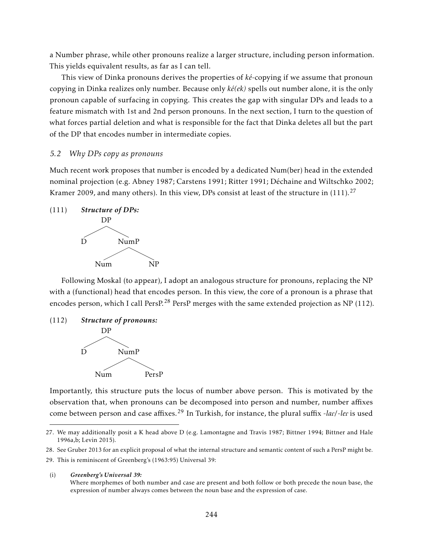a Number phrase, while other pronouns realize a larger structure, including person information. This yields equivalent results, as far as I can tell.

This view of Dinka pronouns derives the properties of *ké*-copying if we assume that pronoun copying in Dinka realizes only number. Because only *ké(ek)* spells out number alone, it is the only pronoun capable of surfacing in copying. This creates the gap with singular DPs and leads to a feature mismatch with 1st and 2nd person pronouns. In the next section, I turn to the question of what forces partial deletion and what is responsible for the fact that Dinka deletes all but the part of the DP that encodes number in intermediate copies.

#### *5.2 Why DPs copy as pronouns*

Much recent work proposes that number is encoded by a dedicated Num(ber) head in the extended nominal projection (e.g. Abney 1987; Carstens 1991; Ritter 1991; Déchaine and Wiltschko 2002; Kramer 2009, and many others). In this view, DPs consist at least of the structure in  $(111)$ .<sup>27</sup>



Following Moskal (to appear), I adopt an analogous structure for pronouns, replacing the NP with a (functional) head that encodes person. In this view, the core of a pronoun is a phrase that encodes person, which I call PersP.<sup>28</sup> PersP merges with the same extended projection as NP (112).

#### (112) *Structure of pronouns:*



Importantly, this structure puts the locus of number above person. This is motivated by the observation that, when pronouns can be decomposed into person and number, number affixes come between person and case affixes.<sup>29</sup> In Turkish, for instance, the plural suffix -*lac*/-*lec* is used

(i) *Greenberg's Universal 39:*

<sup>27.</sup> We may additionally posit a K head above D (e.g. Lamontagne and Travis 1987; Bittner 1994; Bittner and Hale 1996a,b; Levin 2015).

<sup>28.</sup> See Gruber 2013 for an explicit proposal of what the internal structure and semantic content of such a PersP might be.

<sup>29.</sup> This is reminiscent of Greenberg's (1963:95) Universal 39:

Where morphemes of both number and case are present and both follow or both precede the noun base, the expression of number always comes between the noun base and the expression of case.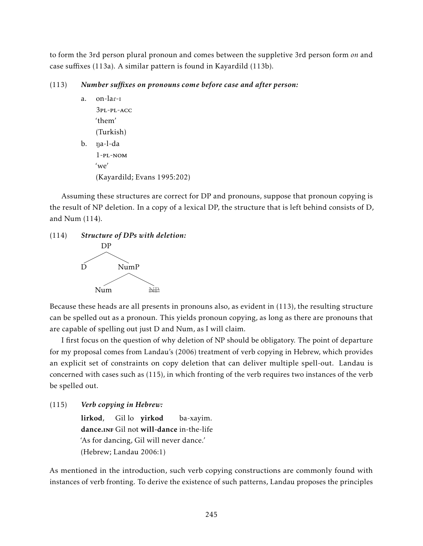to form the 3rd person plural pronoun and comes between the suppletive 3rd person form *on* and case suffixes (113a). A similar pattern is found in Kayardild (113b).

#### (113) *Number suffixes on pronouns come before case and after person:*

a. on-lar-I 3pl-pl-acc 'them' (Turkish) b. na-l-da 1-pl-nom 'we' (Kayardild; Evans 1995:202)

Assuming these structures are correct for DP and pronouns, suppose that pronoun copying is the result of NP deletion. In a copy of a lexical DP, the structure that is left behind consists of D, and Num (114).





Because these heads are all presents in pronouns also, as evident in (113), the resulting structure can be spelled out as a pronoun. This yields pronoun copying, as long as there are pronouns that are capable of spelling out just D and Num, as I will claim.

I first focus on the question of why deletion of NP should be obligatory. The point of departure for my proposal comes from Landau's (2006) treatment of verb copying in Hebrew, which provides an explicit set of constraints on copy deletion that can deliver multiple spell-out. Landau is concerned with cases such as (115), in which fronting of the verb requires two instances of the verb be spelled out.

(115) *Verb copying in Hebrew:*

lirkod, Gillo **yirkod** dance.INF Gil not will-dance in-the-life ba-xayim. 'As for dancing, Gil will never dance.' (Hebrew; Landau 2006:1)

As mentioned in the introduction, such verb copying constructions are commonly found with instances of verb fronting. To derive the existence of such patterns, Landau proposes the principles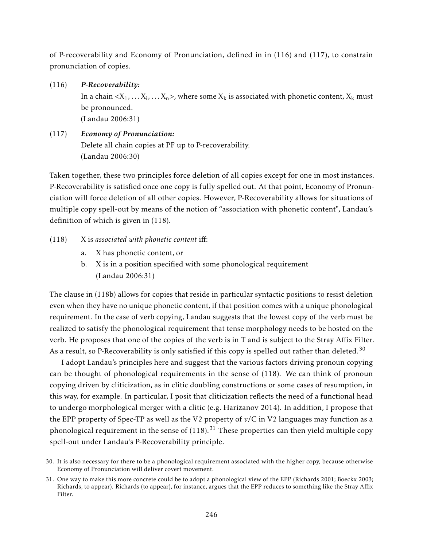of P-recoverability and Economy of Pronunciation, defined in in (116) and (117), to constrain pronunciation of copies.

- (116) *P-Recoverability:* In a chain  $\langle X_1,\ldots X_{\rm i},\ldots X_{\rm n}\rangle$ , where some  $X_{\rm k}$  is associated with phonetic content,  $X_{\rm k}$  must be pronounced. (Landau 2006:31)
- (117) *Economy of Pronunciation:* Delete all chain copies at PF up to P-recoverability. (Landau 2006:30)

Taken together, these two principles force deletion of all copies except for one in most instances. P-Recoverability is satisfied once one copy is fully spelled out. At that point, Economy of Pronunciation will force deletion of all other copies. However, P-Recoverability allows for situations of multiple copy spell-out by means of the notion of "association with phonetic content", Landau's definition of which is given in (118).

## (118) X is *associated with phonetic content* iff:

- a. X has phonetic content, or
- b. X is in a position specified with some phonological requirement (Landau 2006:31)

The clause in (118b) allows for copies that reside in particular syntactic positions to resist deletion even when they have no unique phonetic content, if that position comes with a unique phonological requirement. In the case of verb copying, Landau suggests that the lowest copy of the verb must be realized to satisfy the phonological requirement that tense morphology needs to be hosted on the verb. He proposes that one of the copies of the verb is in T and is subject to the Stray Affix Filter. As a result, so P-Recoverability is only satisfied if this copy is spelled out rather than deleted.<sup>30</sup>

I adopt Landau's principles here and suggest that the various factors driving pronoun copying can be thought of phonological requirements in the sense of (118). We can think of pronoun copying driven by cliticization, as in clitic doubling constructions or some cases of resumption, in this way, for example. In particular, I posit that cliticization reflects the need of a functional head to undergo morphological merger with a clitic (e.g. Harizanov 2014). In addition, I propose that the EPP property of Spec-TP as well as the V2 property of *v*/C in V2 languages may function as a phonological requirement in the sense of  $(118)$ .<sup>31</sup> These properties can then yield multiple copy spell-out under Landau's P-Recoverability principle.

<sup>30.</sup> It is also necessary for there to be a phonological requirement associated with the higher copy, because otherwise Economy of Pronunciation will deliver covert movement.

<sup>31.</sup> One way to make this more concrete could be to adopt a phonological view of the EPP (Richards 2001; Boeckx 2003; Richards, to appear). Richards (to appear), for instance, argues that the EPP reduces to something like the Stray Affix Filter.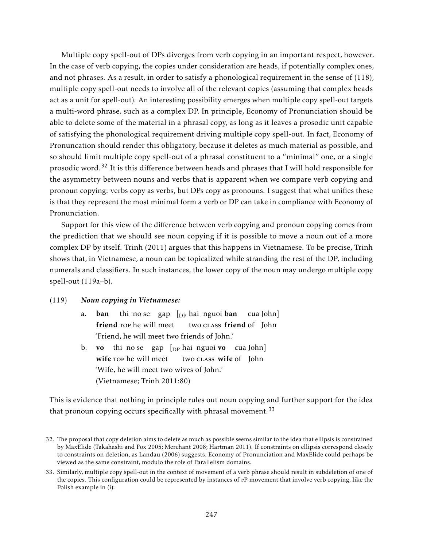Multiple copy spell-out of DPs diverges from verb copying in an important respect, however. In the case of verb copying, the copies under consideration are heads, if potentially complex ones, and not phrases. As a result, in order to satisfy a phonological requirement in the sense of (118), multiple copy spell-out needs to involve all of the relevant copies (assuming that complex heads act as a unit for spell-out). An interesting possibility emerges when multiple copy spell-out targets a multi-word phrase, such as a complex DP. In principle, Economy of Pronunciation should be able to delete some of the material in a phrasal copy, as long as it leaves a prosodic unit capable of satisfying the phonological requirement driving multiple copy spell-out. In fact, Economy of Pronuncation should render this obligatory, because it deletes as much material as possible, and so should limit multiple copy spell-out of a phrasal constituent to a "minimal" one, or a single prosodic word.<sup>32</sup> It is this difference between heads and phrases that I will hold responsible for the asymmetry between nouns and verbs that is apparent when we compare verb copying and pronoun copying: verbs copy as verbs, but DPs copy as pronouns. I suggest that what unifies these is that they represent the most minimal form a verb or DP can take in compliance with Economy of Pronunciation.

Support for this view of the difference between verb copying and pronoun copying comes from the prediction that we should see noun copying if it is possible to move a noun out of a more complex DP by itself. Trinh (2011) argues that this happens in Vietnamese. To be precise, Trinh shows that, in Vietnamese, a noun can be topicalized while stranding the rest of the DP, including numerals and classifiers. In such instances, the lower copy of the noun may undergo multiple copy spell-out (119a–b).

#### (119) *Noun copying in Vietnamese:*

- a. ban friend rop he will meet thi no-se yap [<sub>DP</sub> hai nguoi **ban** two class friend of John cua John] 'Friend, he will meet two friends of John.'
- b. **vo** thi no-se gap [<sub>DP</sub> hai nguoi **vo** cua John] wife rop he will meet two class wife of John 'Wife, he will meet two wives of John.' (Vietnamese; Trinh 2011:80)

This is evidence that nothing in principle rules out noun copying and further support for the idea that pronoun copying occurs specifically with phrasal movement.<sup>33</sup>

<sup>32.</sup> The proposal that copy deletion aims to delete as much as possible seems similar to the idea that ellipsis is constrained by MaxElide (Takahashi and Fox 2005; Merchant 2008; Hartman 2011). If constraints on ellipsis correspond closely to constraints on deletion, as Landau (2006) suggests, Economy of Pronunciation and MaxElide could perhaps be viewed as the same constraint, modulo the role of Parallelism domains.

<sup>33.</sup> Similarly, multiple copy spell-out in the context of movement of a verb phrase should result in subdeletion of one of the copies. This configuration could be represented by instances of *v*P-movement that involve verb copying, like the Polish example in (i):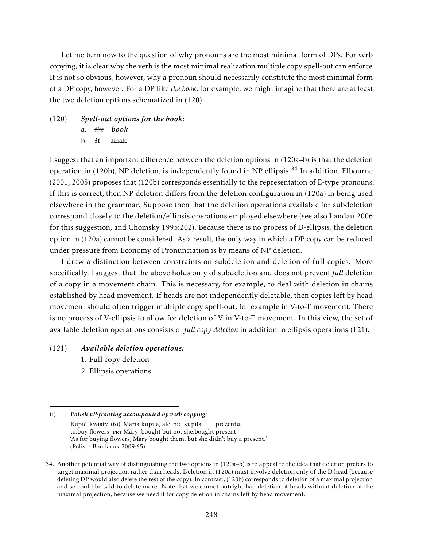Let me turn now to the question of why pronouns are the most minimal form of DPs. For verb copying, it is clear why the verb is the most minimal realization multiple copy spell-out can enforce. It is not so obvious, however, why a pronoun should necessarily constitute the most minimal form of a DP copy, however. For a DP like *the book*, for example, we might imagine that there are at least the two deletion options schematized in (120).

(120) *Spell-out options for the book:* a. *the book* b. *it book*

I suggest that an important difference between the deletion options in (120a–b) is that the deletion operation in (120b), NP deletion, is independently found in NP ellipsis.<sup>34</sup> In addition, Elbourne (2001, 2005) proposes that (120b) corresponds essentially to the representation of E-type pronouns. If this is correct, then NP deletion differs from the deletion configuration in (120a) in being used elsewhere in the grammar. Suppose then that the deletion operations available for subdeletion correspond closely to the deletion/ellipsis operations employed elsewhere (see also Landau 2006 for this suggestion, and Chomsky 1995:202). Because there is no process of D-ellipsis, the deletion option in (120a) cannot be considered. As a result, the only way in which a DP copy can be reduced under pressure from Economy of Pronunciation is by means of NP deletion.

I draw a distinction between constraints on subdeletion and deletion of full copies. More specifically, I suggest that the above holds only of subdeletion and does not prevent *full* deletion of a copy in a movement chain. This is necessary, for example, to deal with deletion in chains established by head movement. If heads are not independently deletable, then copies left by head movement should often trigger multiple copy spell-out, for example in V-to-T movement. There is no process of V-ellipsis to allow for deletion of V in V-to-T movement. In this view, the set of available deletion operations consists of *full copy deletion* in addition to ellipsis operations (121).

#### (121) *Available deletion operations:*

- 1. Full copy deletion
- 2. Ellipsis operations

<sup>(</sup>i) *Polish vP-fronting accompanied by verb copying:* Kupić kwiaty (to) Maria kupila, ale nie kupila to.buy flowers PRT Mary bought but not she.bought present prezentu. 'As for buying flowers, Mary bought them, but she didn't buy a present.' (Polish: Bondaruk 2009:65)

<sup>34.</sup> Another potential way of distinguishing the two options in (120a–b) is to appeal to the idea that deletion prefers to target maximal projection rather than heads. Deletion in (120a) must involve deletion only of the D head (because deleting DP would also delete the rest of the copy). In contrast, (120b) corresponds to deletion of a maximal projection and so could be said to delete more. Note that we cannot outright ban deletion of heads without deletion of the maximal projection, because we need it for copy deletion in chains left by head movement.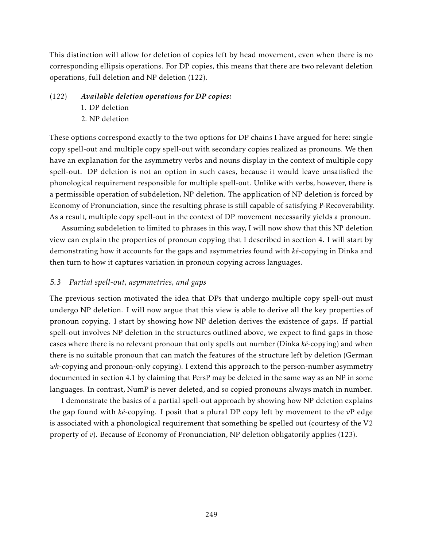This distinction will allow for deletion of copies left by head movement, even when there is no corresponding ellipsis operations. For DP copies, this means that there are two relevant deletion operations, full deletion and NP deletion (122).

# (122) *Available deletion operations for DP copies:*

- 1. DP deletion
- 2. NP deletion

These options correspond exactly to the two options for DP chains I have argued for here: single copy spell-out and multiple copy spell-out with secondary copies realized as pronouns. We then have an explanation for the asymmetry verbs and nouns display in the context of multiple copy spell-out. DP deletion is not an option in such cases, because it would leave unsatisfied the phonological requirement responsible for multiple spell-out. Unlike with verbs, however, there is a permissible operation of subdeletion, NP deletion. The application of NP deletion is forced by Economy of Pronunciation, since the resulting phrase is still capable of satisfying P-Recoverability. As a result, multiple copy spell-out in the context of DP movement necessarily yields a pronoun.

Assuming subdeletion to limited to phrases in this way, I will now show that this NP deletion view can explain the properties of pronoun copying that I described in section 4. I will start by demonstrating how it accounts for the gaps and asymmetries found with *ké*-copying in Dinka and then turn to how it captures variation in pronoun copying across languages.

## *5.3 Partial spell-out, asymmetries, and gaps*

The previous section motivated the idea that DPs that undergo multiple copy spell-out must undergo NP deletion. I will now argue that this view is able to derive all the key properties of pronoun copying. I start by showing how NP deletion derives the existence of gaps. If partial spell-out involves NP deletion in the structures outlined above, we expect to find gaps in those cases where there is no relevant pronoun that only spells out number (Dinka *ké*-copying) and when there is no suitable pronoun that can match the features of the structure left by deletion (German *wh*-copying and pronoun-only copying). I extend this approach to the person-number asymmetry documented in section 4.1 by claiming that PersP may be deleted in the same way as an NP in some languages. In contrast, NumP is never deleted, and so copied pronouns always match in number.

I demonstrate the basics of a partial spell-out approach by showing how NP deletion explains the gap found with *ké*-copying. I posit that a plural DP copy left by movement to the *v*P edge is associated with a phonological requirement that something be spelled out (courtesy of the V2 property of *v*). Because of Economy of Pronunciation, NP deletion obligatorily applies (123).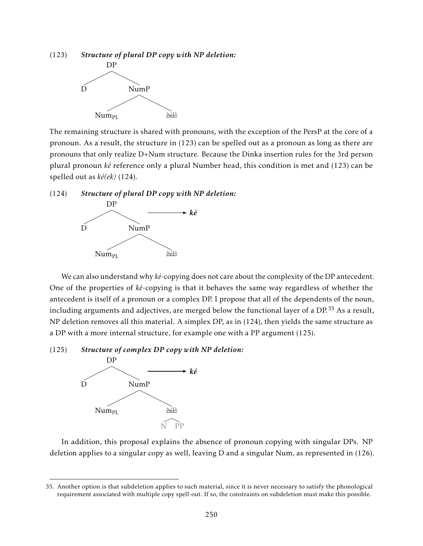# (123) *Structure of plural DP copy with NP deletion:* DP



The remaining structure is shared with pronouns, with the exception of the PersP at the core of a pronoun. As a result, the structure in (123) can be spelled out as a pronoun as long as there are pronouns that only realize D+Num structure. Because the Dinka insertion rules for the 3rd person plural pronoun *ké* reference only a plural Number head, this condition is met and (123) can be spelled out as *ké(ek)* (124).

(124) *Structure of plural DP copy with NP deletion:*



We can also understand why *ké*-copying does not care about the complexity of the DP antecedent. One of the properties of *ké*-copying is that it behaves the same way regardless of whether the antecedent is itself of a pronoun or a complex DP. I propose that all of the dependents of the noun, including arguments and adjectives, are merged below the functional layer of a DP.<sup>35</sup> As a result, NP deletion removes all this material. A simplex DP, as in (124), then yields the same structure as a DP with a more internal structure, for example one with a PP argument (125).

#### (125) *Structure of complex DP copy with NP deletion:*



In addition, this proposal explains the absence of pronoun copying with singular DPs. NP deletion applies to a singular copy as well, leaving D and a singular Num, as represented in (126).

<sup>35.</sup> Another option is that subdeletion applies to such material, since it is never necessary to satisfy the phonological requirement associated with multiple copy spell-out. If so, the constraints on subdeletion must make this possible.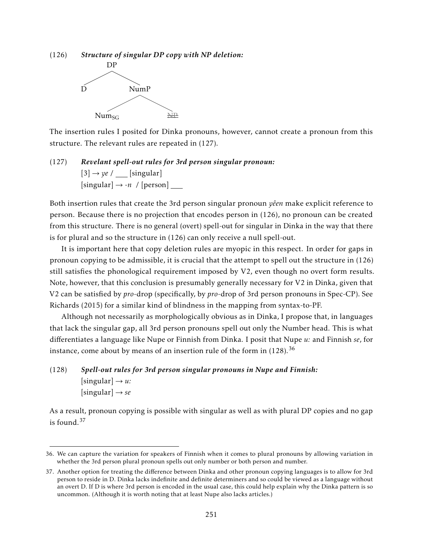(126) *Structure of singular DP copy with NP deletion:* DP



The insertion rules I posited for Dinka pronouns, however, cannot create a pronoun from this structure. The relevant rules are repeated in (127).

(127) *Revelant spell-out rules for 3rd person singular pronoun:*  $[3] \rightarrow ye /$  [singular]  $[singular] \rightarrow -n$  / [person]

Both insertion rules that create the 3rd person singular pronoun *yêen* make explicit reference to person. Because there is no projection that encodes person in (126), no pronoun can be created from this structure. There is no general (overt) spell-out for singular in Dinka in the way that there is for plural and so the structure in (126) can only receive a null spell-out.

It is important here that copy deletion rules are myopic in this respect. In order for gaps in pronoun copying to be admissible, it is crucial that the attempt to spell out the structure in (126) still satisfies the phonological requirement imposed by V2, even though no overt form results. Note, however, that this conclusion is presumably generally necessary for V2 in Dinka, given that V2 can be satisfied by *pro*-drop (specifically, by *pro*-drop of 3rd person pronouns in Spec-CP). See Richards (2015) for a similar kind of blindness in the mapping from syntax-to-PF.

Although not necessarily as morphologically obvious as in Dinka, I propose that, in languages that lack the singular gap, all 3rd person pronouns spell out only the Number head. This is what differentiates a language like Nupe or Finnish from Dinka. I posit that Nupe *u:* and Finnish *se*, for instance, come about by means of an insertion rule of the form in  $(128)$ .<sup>36</sup>

# (128) *Spell-out rules for 3rd person singular pronouns in Nupe and Finnish:*  $[singular] \rightarrow u$ :  $[singular] \rightarrow se$

As a result, pronoun copying is possible with singular as well as with plural DP copies and no gap is found. $37$ 

<sup>36.</sup> We can capture the variation for speakers of Finnish when it comes to plural pronouns by allowing variation in whether the 3rd person plural pronoun spells out only number or both person and number.

<sup>37.</sup> Another option for treating the difference between Dinka and other pronoun copying languages is to allow for 3rd person to reside in D. Dinka lacks indefinite and definite determiners and so could be viewed as a language without an overt D. If D is where 3rd person is encoded in the usual case, this could help explain why the Dinka pattern is so uncommon. (Although it is worth noting that at least Nupe also lacks articles.)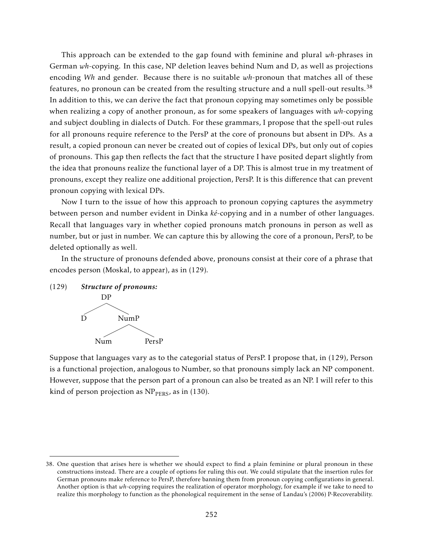This approach can be extended to the gap found with feminine and plural *wh*-phrases in German *wh*-copying. In this case, NP deletion leaves behind Num and D, as well as projections encoding *Wh* and gender. Because there is no suitable *wh*-pronoun that matches all of these features, no pronoun can be created from the resulting structure and a null spell-out results.<sup>38</sup> In addition to this, we can derive the fact that pronoun copying may sometimes only be possible when realizing a copy of another pronoun, as for some speakers of languages with *wh*-copying and subject doubling in dialects of Dutch. For these grammars, I propose that the spell-out rules for all pronouns require reference to the PersP at the core of pronouns but absent in DPs. As a result, a copied pronoun can never be created out of copies of lexical DPs, but only out of copies of pronouns. This gap then reflects the fact that the structure I have posited depart slightly from the idea that pronouns realize the functional layer of a DP. This is almost true in my treatment of pronouns, except they realize one additional projection, PersP. It is this difference that can prevent pronoun copying with lexical DPs.

Now I turn to the issue of how this approach to pronoun copying captures the asymmetry between person and number evident in Dinka *ké*-copying and in a number of other languages. Recall that languages vary in whether copied pronouns match pronouns in person as well as number, but or just in number. We can capture this by allowing the core of a pronoun, PersP, to be deleted optionally as well.

In the structure of pronouns defended above, pronouns consist at their core of a phrase that encodes person (Moskal, to appear), as in (129).

(129) *Structure of pronouns:*



Suppose that languages vary as to the categorial status of PersP. I propose that, in (129), Person is a functional projection, analogous to Number, so that pronouns simply lack an NP component. However, suppose that the person part of a pronoun can also be treated as an NP. I will refer to this kind of person projection as  $NP<sub>PERS</sub>$ , as in (130).

<sup>38.</sup> One question that arises here is whether we should expect to find a plain feminine or plural pronoun in these constructions instead. There are a couple of options for ruling this out. We could stipulate that the insertion rules for German pronouns make reference to PersP, therefore banning them from pronoun copying configurations in general. Another option is that *wh*-copying requires the realization of operator morphology, for example if we take to need to realize this morphology to function as the phonological requirement in the sense of Landau's (2006) P-Recoverability.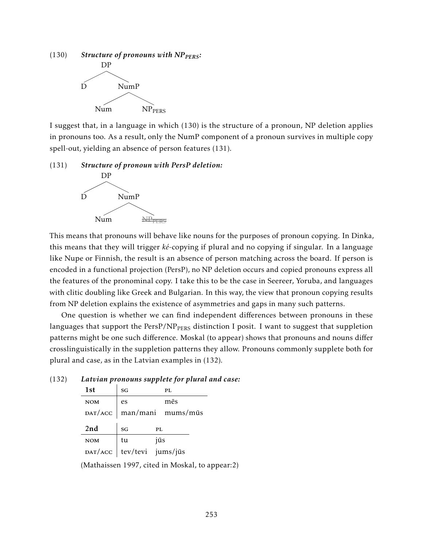

I suggest that, in a language in which (130) is the structure of a pronoun, NP deletion applies in pronouns too. As a result, only the NumP component of a pronoun survives in multiple copy spell-out, yielding an absence of person features (131).

# (131) *Structure of pronoun with PersP deletion:*



This means that pronouns will behave like nouns for the purposes of pronoun copying. In Dinka, this means that they will trigger *ké*-copying if plural and no copying if singular. In a language like Nupe or Finnish, the result is an absence of person matching across the board. If person is encoded in a functional projection (PersP), no NP deletion occurs and copied pronouns express all the features of the pronominal copy. I take this to be the case in Seereer, Yoruba, and languages with clitic doubling like Greek and Bulgarian. In this way, the view that pronoun copying results from NP deletion explains the existence of asymmetries and gaps in many such patterns.

One question is whether we can find independent differences between pronouns in these languages that support the  $PersP/NP<sub>PERS</sub>$  distinction I posit. I want to suggest that suppletion patterns might be one such difference. Moskal (to appear) shows that pronouns and nouns differ crosslinguistically in the suppletion patterns they allow. Pronouns commonly supplete both for plural and case, as in the Latvian examples in (132).

(132) *Latvian pronouns supplete for plural and case:*

| 1st        | SG                              | PL                                              |
|------------|---------------------------------|-------------------------------------------------|
| <b>NOM</b> | es                              | mēs                                             |
|            |                                 | $\mathbf{D}AT/\mathbf{ACC}$   man/mani mums/mūs |
|            |                                 |                                                 |
| 2nd        | SG                              | PL                                              |
| <b>NOM</b> | tu<br>DAT/ACC tev/tevi jums/jūs | jūs                                             |

(Mathaissen 1997, cited in Moskal, to appear:2)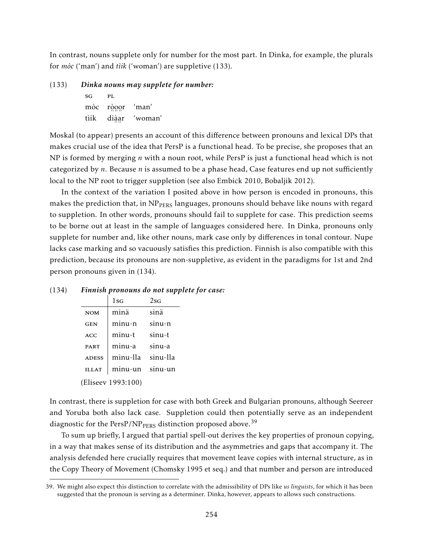In contrast, nouns supplete only for number for the most part. In Dinka, for example, the plurals for *mòc* ('man') and *tìik* ('woman') are suppletive (133).

(133) *Dinka nouns may supplete for number:*

sg pl mòc ……<br>liàa  $\ddot{\mathrm{o}}\ddot{\mathrm{o}}$ 'man' tìik ¨ ¨ 'woman'

Moskal (to appear) presents an account of this difference between pronouns and lexical DPs that makes crucial use of the idea that PersP is a functional head. To be precise, she proposes that an NP is formed by merging *n* with a noun root, while PersP is just a functional head which is not categorized by *n*. Because *n* is assumed to be a phase head, Case features end up not sufficiently local to the NP root to trigger suppletion (see also Embick 2010, Bobaljik 2012).

In the context of the variation I posited above in how person is encoded in pronouns, this makes the prediction that, in NP<sub>PERS</sub> languages, pronouns should behave like nouns with regard to suppletion. In other words, pronouns should fail to supplete for case. This prediction seems to be borne out at least in the sample of languages considered here. In Dinka, pronouns only supplete for number and, like other nouns, mark case only by differences in tonal contour. Nupe lacks case marking and so vacuously satisfies this prediction. Finnish is also compatible with this prediction, because its pronouns are non-suppletive, as evident in the paradigms for 1st and 2nd person pronouns given in (134).

|                    |              | $1$ SG   | $2$ sg   |
|--------------------|--------------|----------|----------|
|                    | <b>NOM</b>   | minä     | sinä     |
|                    | <b>GEN</b>   | minu-n   | sinu-n   |
|                    | ACC          | minu-t   | sinu-t   |
|                    | <b>PART</b>  | minu-a   | sinu-a   |
|                    | <b>ADESS</b> | minu-lla | sinu-lla |
|                    | <b>ILLAT</b> | minu-un  | sinu-un  |
| (Eliseev 1993:100) |              |          |          |

### (134) *Finnish pronouns do not supplete for case:*

In contrast, there is suppletion for case with both Greek and Bulgarian pronouns, although Seereer and Yoruba both also lack case. Suppletion could then potentially serve as an independent diagnostic for the PersP/NP<sub>PERS</sub> distinction proposed above.<sup>39</sup>

To sum up briefly, I argued that partial spell-out derives the key properties of pronoun copying, in a way that makes sense of its distribution and the asymmetries and gaps that accompany it. The analysis defended here crucially requires that movement leave copies with internal structure, as in the Copy Theory of Movement (Chomsky 1995 et seq.) and that number and person are introduced

<sup>39.</sup> We might also expect this distinction to correlate with the admissibility of DPs like *us linguists*, for which it has been suggested that the pronoun is serving as a determiner. Dinka, however, appears to allows such constructions.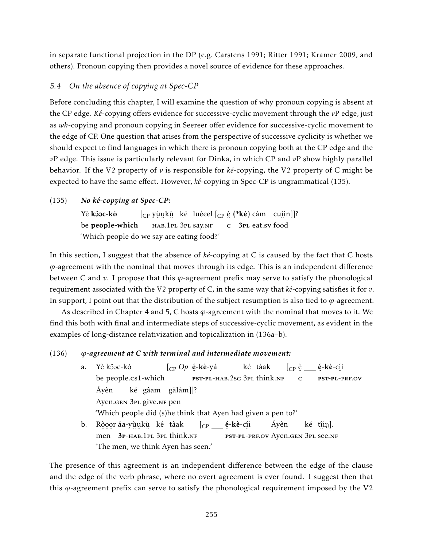in separate functional projection in the DP (e.g. Carstens 1991; Ritter 1991; Kramer 2009, and others). Pronoun copying then provides a novel source of evidence for these approaches.

# *5.4 On the absence of copying at Spec-CP*

Before concluding this chapter, I will examine the question of why pronoun copying is absent at the CP edge. *Ké*-copying offers evidence for successive-cyclic movement through the *v*P edge, just as *wh*-copying and pronoun copying in Seereer offer evidence for successive-cyclic movement to the edge of CP. One question that arises from the perspective of successive cyclicity is whether we should expect to find languages in which there is pronoun copying both at the CP edge and the *v*P edge. This issue is particularly relevant for Dinka, in which CP and *v*P show highly parallel behavior. If the V2 property of *v* is responsible for *ké*-copying, the V2 property of C might be expected to have the same effect. However, *ké*-copying in Spec-CP is ungrammatical (135).

### (135) *No ké-copying at Spec-CP:*

Yè **kôoc-kò** be people-which  $\left[\begin{smallmatrix} \mathsf{C}\mathsf{P} \end{smallmatrix} \right.$ yù̯ukù ké luêeel $\left[\begin{smallmatrix} \mathsf{C}\mathsf{P} \end{smallmatrix} \right.$ è (\* $\mathsf{k}\acute{e}$ ) càm cu $\left.\begin{smallmatrix} \mathsf{u}\mathsf{u} \end{smallmatrix} \right]$ l? , .. .. ..<br>нав.1pl 3pl say.nf ¨ c 3pl eat.sv ¨ food 'Which people do we say are eating food?'

In this section, I suggest that the absence of *ké*-copying at C is caused by the fact that C hosts *ϕ*-agreement with the nominal that moves through its edge. This is an independent difference between C and *v*. I propose that this *ϕ*-agreement prefix may serve to satisfy the phonological requirement associated with the V2 property of C, in the same way that *ké*-copying satisfies it for *v*. In support, I point out that the distribution of the subject resumption is also tied to *ϕ*-agreement.

As described in Chapter 4 and 5, C hosts *ϕ*-agreement with the nominal that moves to it. We find this both with final and intermediate steps of successive-cyclic movement, as evident in the examples of long-distance relativization and topicalization in (136a–b).

### (136) *ϕ-agreement at C with terminal and intermediate movement:*

a. Yè kôoc-kò be people.cs1-which [CP *Op* é -kè-yá ¨ pst-pl-hab.2sg 3pl think.nf ké tàak  $[{\rm_{CP}}\stackrel{\grave{\rm e}}{.}\underline{\hspace{1cm}}\stackrel{\acute{\rm e}}{.}\underline{\hspace{1cm}}$ é-kè-c<u>í</u>i ¨ c ..<br><mark>PST-PL</mark>-PRF.OV Áyèn Ayen.gen 3<sub>PL</sub> give.nr pen ké gâam gàlàm]]? 'Which people did (s)he think that Ayen had given a pen to?' b. Ròoor áa-yùukù ké tàak men 3P-HAB.1PL 3PL think.nf [<sub>CP</sub> \_\_\_ **é-kè-**c<u>í</u>i est-pl-prf.ov Ayen.gen 3pl see.nf Áyèn ké t<u>î</u>iŋ]. 'The men, we think Ayen has seen.'

The presence of this agreement is an independent difference between the edge of the clause and the edge of the verb phrase, where no overt agreement is ever found. I suggest then that this *ϕ*-agreement prefix can serve to satisfy the phonological requirement imposed by the V2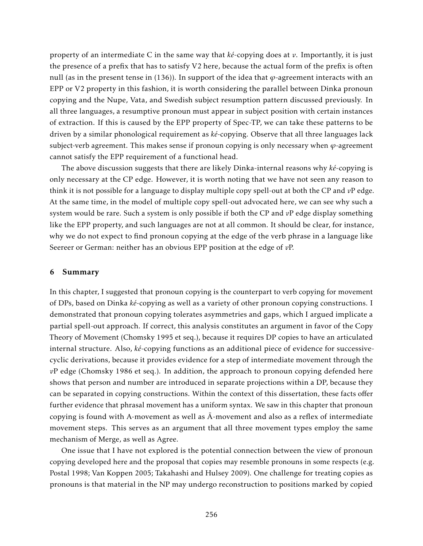property of an intermediate C in the same way that *ké*-copying does at *v*. Importantly, it is just the presence of a prefix that has to satisfy V2 here, because the actual form of the prefix is often null (as in the present tense in (136)). In support of the idea that *ϕ*-agreement interacts with an EPP or V2 property in this fashion, it is worth considering the parallel between Dinka pronoun copying and the Nupe, Vata, and Swedish subject resumption pattern discussed previously. In all three languages, a resumptive pronoun must appear in subject position with certain instances of extraction. If this is caused by the EPP property of Spec-TP, we can take these patterns to be driven by a similar phonological requirement as *ké*-copying. Observe that all three languages lack subject-verb agreement. This makes sense if pronoun copying is only necessary when  $\varphi$ -agreement cannot satisfy the EPP requirement of a functional head.

The above discussion suggests that there are likely Dinka-internal reasons why *ké*-copying is only necessary at the CP edge. However, it is worth noting that we have not seen any reason to think it is not possible for a language to display multiple copy spell-out at both the CP and *v*P edge. At the same time, in the model of multiple copy spell-out advocated here, we can see why such a system would be rare. Such a system is only possible if both the CP and *v*P edge display something like the EPP property, and such languages are not at all common. It should be clear, for instance, why we do not expect to find pronoun copying at the edge of the verb phrase in a language like Seereer or German: neither has an obvious EPP position at the edge of *v*P.

### 6 Summary

In this chapter, I suggested that pronoun copying is the counterpart to verb copying for movement of DPs, based on Dinka *ké*-copying as well as a variety of other pronoun copying constructions. I demonstrated that pronoun copying tolerates asymmetries and gaps, which I argued implicate a partial spell-out approach. If correct, this analysis constitutes an argument in favor of the Copy Theory of Movement (Chomsky 1995 et seq.), because it requires DP copies to have an articulated internal structure. Also, *ké*-copying functions as an additional piece of evidence for successivecyclic derivations, because it provides evidence for a step of intermediate movement through the *v*P edge (Chomsky 1986 et seq.). In addition, the approach to pronoun copying defended here shows that person and number are introduced in separate projections within a DP, because they can be separated in copying constructions. Within the context of this dissertation, these facts offer further evidence that phrasal movement has a uniform syntax. We saw in this chapter that pronoun copying is found with A-movement as well as  $\bar{A}$ -movement and also as a reflex of intermediate movement steps. This serves as an argument that all three movement types employ the same mechanism of Merge, as well as Agree.

One issue that I have not explored is the potential connection between the view of pronoun copying developed here and the proposal that copies may resemble pronouns in some respects (e.g. Postal 1998; Van Koppen 2005; Takahashi and Hulsey 2009). One challenge for treating copies as pronouns is that material in the NP may undergo reconstruction to positions marked by copied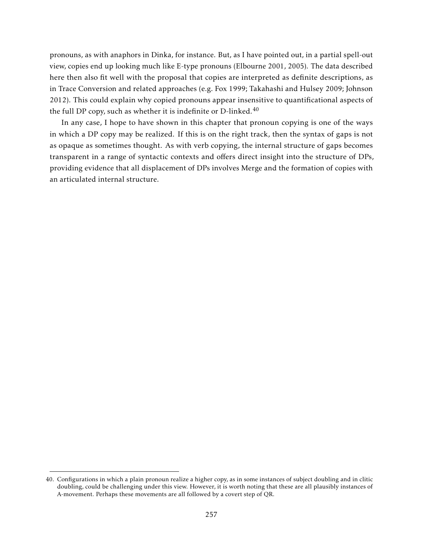pronouns, as with anaphors in Dinka, for instance. But, as I have pointed out, in a partial spell-out view, copies end up looking much like E-type pronouns (Elbourne 2001, 2005). The data described here then also fit well with the proposal that copies are interpreted as definite descriptions, as in Trace Conversion and related approaches (e.g. Fox 1999; Takahashi and Hulsey 2009; Johnson 2012). This could explain why copied pronouns appear insensitive to quantificational aspects of the full DP copy, such as whether it is indefinite or D-linked. $40$ 

In any case, I hope to have shown in this chapter that pronoun copying is one of the ways in which a DP copy may be realized. If this is on the right track, then the syntax of gaps is not as opaque as sometimes thought. As with verb copying, the internal structure of gaps becomes transparent in a range of syntactic contexts and offers direct insight into the structure of DPs, providing evidence that all displacement of DPs involves Merge and the formation of copies with an articulated internal structure.

<sup>40.</sup> Configurations in which a plain pronoun realize a higher copy, as in some instances of subject doubling and in clitic doubling, could be challenging under this view. However, it is worth noting that these are all plausibly instances of A-movement. Perhaps these movements are all followed by a covert step of QR.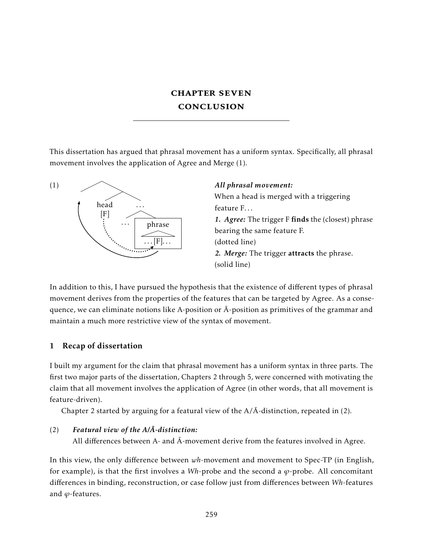# chapter seven conclusion

This dissertation has argued that phrasal movement has a uniform syntax. Specifically, all phrasal movement involves the application of Agree and Merge (1).



### *All phrasal movement:*

When a head is merged with a triggering feature F. . .

*1. Agree:* The trigger F finds the (closest) phrase bearing the same feature F. (dotted line) *2. Merge:* The trigger attracts the phrase. (solid line)

In addition to this, I have pursued the hypothesis that the existence of different types of phrasal movement derives from the properties of the features that can be targeted by Agree. As a consequence, we can eliminate notions like A-position or  $\overline{A}$ -position as primitives of the grammar and maintain a much more restrictive view of the syntax of movement.

# 1 Recap of dissertation

I built my argument for the claim that phrasal movement has a uniform syntax in three parts. The first two major parts of the dissertation, Chapters 2 through 5, were concerned with motivating the claim that all movement involves the application of Agree (in other words, that all movement is feature-driven).

Chapter 2 started by arguing for a featural view of the  $A/\overline{A}$ -distinction, repeated in (2).

# $(2)$  **Featural view of the A/** $\overline{A}$ **-distinction:**

All differences between A- and  $\bar{A}$ -movement derive from the features involved in Agree.

In this view, the only difference between *wh*-movement and movement to Spec-TP (in English, for example), is that the first involves a  $Wh$ -probe and the second a  $\varphi$ -probe. All concomitant differences in binding, reconstruction, or case follow just from differences between *Wh*-features and *ϕ*-features.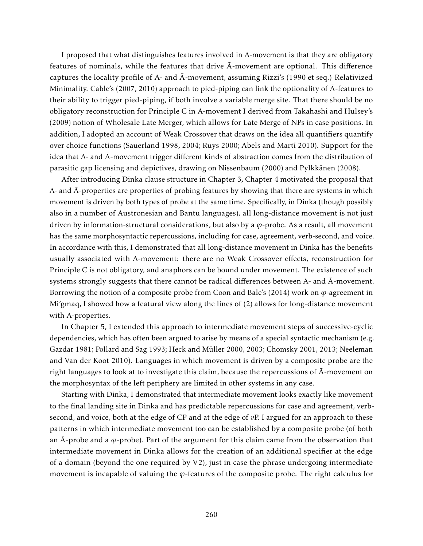I proposed that what distinguishes features involved in A-movement is that they are obligatory features of nominals, while the features that drive  $\bar{A}$ -movement are optional. This difference captures the locality profile of A- and  $\overline{A}$ -movement, assuming Rizzi's (1990 et seq.) Relativized Minimality. Cable's (2007, 2010) approach to pied-piping can link the optionality of  $\bar{A}$ -features to their ability to trigger pied-piping, if both involve a variable merge site. That there should be no obligatory reconstruction for Principle C in A-movement I derived from Takahashi and Hulsey's (2009) notion of Wholesale Late Merger, which allows for Late Merge of NPs in case positions. In addition, I adopted an account of Weak Crossover that draws on the idea all quantifiers quantify over choice functions (Sauerland 1998, 2004; Ruys 2000; Abels and Martí 2010). Support for the idea that A- and  $\bar{A}$ -movement trigger different kinds of abstraction comes from the distribution of parasitic gap licensing and depictives, drawing on Nissenbaum (2000) and Pylkkänen (2008).

After introducing Dinka clause structure in Chapter 3, Chapter 4 motivated the proposal that A- and  $\overline{A}$ -properties are properties of probing features by showing that there are systems in which movement is driven by both types of probe at the same time. Specifically, in Dinka (though possibly also in a number of Austronesian and Bantu languages), all long-distance movement is not just driven by information-structural considerations, but also by a *ϕ*-probe. As a result, all movement has the same morphosyntactic repercussions, including for case, agreement, verb-second, and voice. In accordance with this, I demonstrated that all long-distance movement in Dinka has the benefits usually associated with A-movement: there are no Weak Crossover effects, reconstruction for Principle C is not obligatory, and anaphors can be bound under movement. The existence of such systems strongly suggests that there cannot be radical differences between A- and  $\bar{A}$ -movement. Borrowing the notion of a composite probe from Coon and Bale's (2014) work on  $\varphi$ -agreement in Mi'gmaq, I showed how a featural view along the lines of (2) allows for long-distance movement with A-properties.

In Chapter 5, I extended this approach to intermediate movement steps of successive-cyclic dependencies, which has often been argued to arise by means of a special syntactic mechanism (e.g. Gazdar 1981; Pollard and Sag 1993; Heck and Müller 2000, 2003; Chomsky 2001, 2013; Neeleman and Van der Koot 2010). Languages in which movement is driven by a composite probe are the right languages to look at to investigate this claim, because the repercussions of  $\bar{A}$ -movement on the morphosyntax of the left periphery are limited in other systems in any case.

Starting with Dinka, I demonstrated that intermediate movement looks exactly like movement to the final landing site in Dinka and has predictable repercussions for case and agreement, verbsecond, and voice, both at the edge of CP and at the edge of *v*P. I argued for an approach to these patterns in which intermediate movement too can be established by a composite probe (of both an  $\bar{A}$ -probe and a  $\varphi$ -probe). Part of the argument for this claim came from the observation that intermediate movement in Dinka allows for the creation of an additional specifier at the edge of a domain (beyond the one required by V2), just in case the phrase undergoing intermediate movement is incapable of valuing the *ϕ*-features of the composite probe. The right calculus for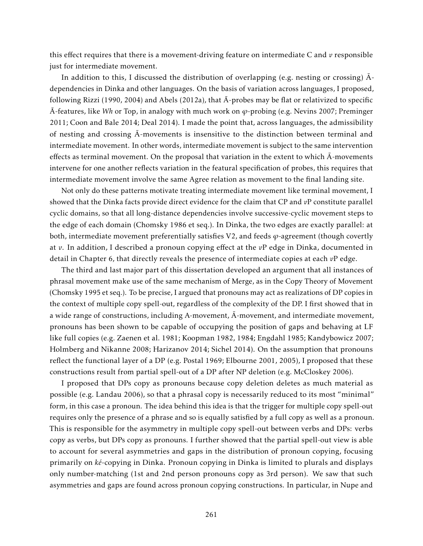this effect requires that there is a movement-driving feature on intermediate C and *v* responsible just for intermediate movement.

In addition to this, I discussed the distribution of overlapping (e.g. nesting or crossing)  $\bar{A}$ dependencies in Dinka and other languages. On the basis of variation across languages, I proposed, following Rizzi (1990, 2004) and Abels (2012a), that  $\overline{A}$ -probes may be flat or relativized to specific  $\overline{A}$ -features, like *Wh* or Top, in analogy with much work on *φ*-probing (e.g. Nevins 2007; Preminger 2011; Coon and Bale 2014; Deal 2014). I made the point that, across languages, the admissibility of nesting and crossing  $\bar{A}$ -movements is insensitive to the distinction between terminal and intermediate movement. In other words, intermediate movement is subject to the same intervention effects as terminal movement. On the proposal that variation in the extent to which  $\overline{A}$ -movements intervene for one another reflects variation in the featural specification of probes, this requires that intermediate movement involve the same Agree relation as movement to the final landing site.

Not only do these patterns motivate treating intermediate movement like terminal movement, I showed that the Dinka facts provide direct evidence for the claim that CP and *v*P constitute parallel cyclic domains, so that all long-distance dependencies involve successive-cyclic movement steps to the edge of each domain (Chomsky 1986 et seq.). In Dinka, the two edges are exactly parallel: at both, intermediate movement preferentially satisfies V2, and feeds *ϕ*-agreement (though covertly at *v*. In addition, I described a pronoun copying effect at the *v*P edge in Dinka, documented in detail in Chapter 6, that directly reveals the presence of intermediate copies at each *v*P edge.

The third and last major part of this dissertation developed an argument that all instances of phrasal movement make use of the same mechanism of Merge, as in the Copy Theory of Movement (Chomsky 1995 et seq.). To be precise, I argued that pronouns may act as realizations of DP copies in the context of multiple copy spell-out, regardless of the complexity of the DP. I first showed that in a wide range of constructions, including A-movement,  $\overline{A}$ -movement, and intermediate movement, pronouns has been shown to be capable of occupying the position of gaps and behaving at LF like full copies (e.g. Zaenen et al. 1981; Koopman 1982, 1984; Engdahl 1985; Kandybowicz 2007; Holmberg and Nikanne 2008; Harizanov 2014; Sichel 2014). On the assumption that pronouns reflect the functional layer of a DP (e.g. Postal 1969; Elbourne 2001, 2005), I proposed that these constructions result from partial spell-out of a DP after NP deletion (e.g. McCloskey 2006).

I proposed that DPs copy as pronouns because copy deletion deletes as much material as possible (e.g. Landau 2006), so that a phrasal copy is necessarily reduced to its most "minimal" form, in this case a pronoun. The idea behind this idea is that the trigger for multiple copy spell-out requires only the presence of a phrase and so is equally satisfied by a full copy as well as a pronoun. This is responsible for the asymmetry in multiple copy spell-out between verbs and DPs: verbs copy as verbs, but DPs copy as pronouns. I further showed that the partial spell-out view is able to account for several asymmetries and gaps in the distribution of pronoun copying, focusing primarily on *ké*-copying in Dinka. Pronoun copying in Dinka is limited to plurals and displays only number-matching (1st and 2nd person pronouns copy as 3rd person). We saw that such asymmetries and gaps are found across pronoun copying constructions. In particular, in Nupe and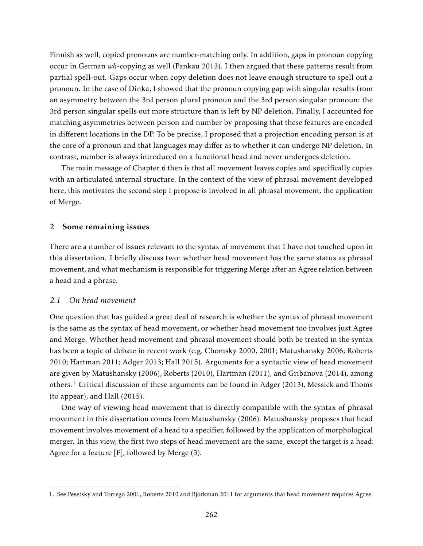Finnish as well, copied pronouns are number-matching only. In addition, gaps in pronoun copying occur in German *wh*-copying as well (Pankau 2013). I then argued that these patterns result from partial spell-out. Gaps occur when copy deletion does not leave enough structure to spell out a pronoun. In the case of Dinka, I showed that the pronoun copying gap with singular results from an asymmetry between the 3rd person plural pronoun and the 3rd person singular pronoun: the 3rd person singular spells out more structure than is left by NP deletion. Finally, I accounted for matching asymmetries between person and number by proposing that these features are encoded in different locations in the DP. To be precise, I proposed that a projection encoding person is at the core of a pronoun and that languages may differ as to whether it can undergo NP deletion. In contrast, number is always introduced on a functional head and never undergoes deletion.

The main message of Chapter 6 then is that all movement leaves copies and specifically copies with an articulated internal structure. In the context of the view of phrasal movement developed here, this motivates the second step I propose is involved in all phrasal movement, the application of Merge.

### 2 Some remaining issues

There are a number of issues relevant to the syntax of movement that I have not touched upon in this dissertation. I briefly discuss two: whether head movement has the same status as phrasal movement, and what mechanism is responsible for triggering Merge after an Agree relation between a head and a phrase.

### *2.1 On head movement*

One question that has guided a great deal of research is whether the syntax of phrasal movement is the same as the syntax of head movement, or whether head movement too involves just Agree and Merge. Whether head movement and phrasal movement should both be treated in the syntax has been a topic of debate in recent work (e.g. Chomsky 2000, 2001; Matushansky 2006; Roberts 2010; Hartman 2011; Adger 2013; Hall 2015). Arguments for a syntactic view of head movement are given by Matushansky (2006), Roberts (2010), Hartman (2011), and Gribanova (2014), among others.<sup>1</sup> Critical discussion of these arguments can be found in Adger (2013), Messick and Thoms (to appear), and Hall (2015).

One way of viewing head movement that is directly compatible with the syntax of phrasal movement in this dissertation comes from Matushansky (2006). Matushansky proposes that head movement involves movement of a head to a specifier, followed by the application of morphological merger. In this view, the first two steps of head movement are the same, except the target is a head: Agree for a feature [F], followed by Merge (3).

<sup>1.</sup> See Pesetsky and Torrego 2001, Roberts 2010 and Bjorkman 2011 for arguments that head movement requires Agree.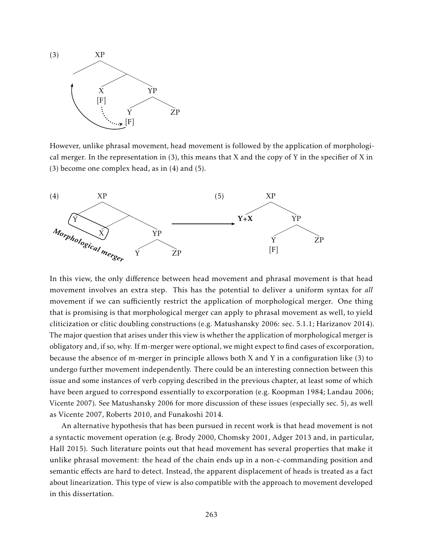

However, unlike phrasal movement, head movement is followed by the application of morphological merger. In the representation in  $(3)$ , this means that X and the copy of Y in the specifier of X in (3) become one complex head, as in (4) and (5).



In this view, the only difference between head movement and phrasal movement is that head movement involves an extra step. This has the potential to deliver a uniform syntax for *all* movement if we can sufficiently restrict the application of morphological merger. One thing that is promising is that morphological merger can apply to phrasal movement as well, to yield cliticization or clitic doubling constructions (e.g. Matushansky 2006: sec. 5.1.1; Harizanov 2014). The major question that arises under this view is whether the application of morphological merger is obligatory and, if so, why. If m-merger were optional, we might expect to find cases of excorporation, because the absence of m-merger in principle allows both X and Y in a configuration like (3) to undergo further movement independently. There could be an interesting connection between this issue and some instances of verb copying described in the previous chapter, at least some of which have been argued to correspond essentially to excorporation (e.g. Koopman 1984; Landau 2006; Vicente 2007). See Matushansky 2006 for more discussion of these issues (especially sec. 5), as well as Vicente 2007, Roberts 2010, and Funakoshi 2014.

An alternative hypothesis that has been pursued in recent work is that head movement is not a syntactic movement operation (e.g. Brody 2000, Chomsky 2001, Adger 2013 and, in particular, Hall 2015). Such literature points out that head movement has several properties that make it unlike phrasal movement: the head of the chain ends up in a non-c-commanding position and semantic effects are hard to detect. Instead, the apparent displacement of heads is treated as a fact about linearization. This type of view is also compatible with the approach to movement developed in this dissertation.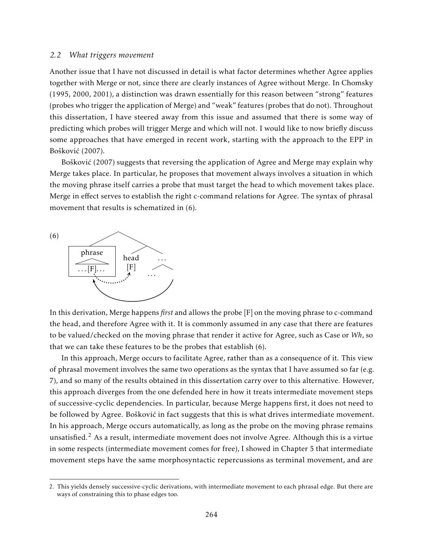### *2.2 What triggers movement*

Another issue that I have not discussed in detail is what factor determines whether Agree applies together with Merge or not, since there are clearly instances of Agree without Merge. In Chomsky (1995, 2000, 2001), a distinction was drawn essentially for this reason between "strong" features (probes who trigger the application of Merge) and "weak" features (probes that do not). Throughout this dissertation, I have steered away from this issue and assumed that there is some way of predicting which probes will trigger Merge and which will not. I would like to now briefly discuss some approaches that have emerged in recent work, starting with the approach to the EPP in Bošković (2007).

Bošković (2007) suggests that reversing the application of Agree and Merge may explain why Merge takes place. In particular, he proposes that movement always involves a situation in which the moving phrase itself carries a probe that must target the head to which movement takes place. Merge in effect serves to establish the right c-command relations for Agree. The syntax of phrasal movement that results is schematized in (6).



In this derivation, Merge happens *first* and allows the probe [F] on the moving phrase to c-command the head, and therefore Agree with it. It is commonly assumed in any case that there are features to be valued/checked on the moving phrase that render it active for Agree, such as Case or *Wh*, so that we can take these features to be the probes that establish (6).

In this approach, Merge occurs to facilitate Agree, rather than as a consequence of it. This view of phrasal movement involves the same two operations as the syntax that I have assumed so far (e.g. 7), and so many of the results obtained in this dissertation carry over to this alternative. However, this approach diverges from the one defended here in how it treats intermediate movement steps of successive-cyclic dependencies. In particular, because Merge happens first, it does not need to be followed by Agree. Bošković in fact suggests that this is what drives intermediate movement. In his approach, Merge occurs automatically, as long as the probe on the moving phrase remains unsatisfied.<sup>2</sup> As a result, intermediate movement does not involve Agree. Although this is a virtue in some respects (intermediate movement comes for free), I showed in Chapter 5 that intermediate movement steps have the same morphosyntactic repercussions as terminal movement, and are

<sup>2.</sup> This yields densely successive-cyclic derivations, with intermediate movement to each phrasal edge. But there are ways of constraining this to phase edges too.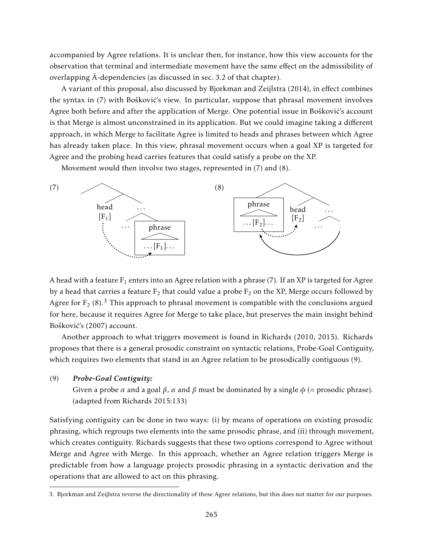accompanied by Agree relations. It is unclear then, for instance, how this view accounts for the observation that terminal and intermediate movement have the same effect on the admissibility of overlapping  $\bar{A}$ -dependencies (as discussed in sec. 3.2 of that chapter).

A variant of this proposal, also discussed by Bjorkman and Zeijlstra (2014), in effect combines the syntax in (7) with Bošković's view. In particular, suppose that phrasal movement involves Agree both before and after the application of Merge. One potential issue in Bošković's account is that Merge is almost unconstrained in its application. But we could imagine taking a different approach, in which Merge to facilitate Agree is limited to heads and phrases between which Agree has already taken place. In this view, phrasal movement occurs when a goal XP is targeted for Agree and the probing head carries features that could satisfy a probe on the XP.

Movement would then involve two stages, represented in (7) and (8).



A head with a feature  $F_1$  enters into an Agree relation with a phrase (7). If an XP is targeted for Agree by a head that carries a feature  $\rm F_2$  that could value a probe  $\rm F_2$  on the XP, Merge occurs followed by Agree for  $F_2$  (8).<sup>3</sup> This approach to phrasal movement is compatible with the conclusions argued for here, because it requires Agree for Merge to take place, but preserves the main insight behind Bošković's (2007) account.

Another approach to what triggers movement is found in Richards (2010, 2015). Richards proposes that there is a general prosodic constraint on syntactic relations, Probe-Goal Contiguity, which requires two elements that stand in an Agree relation to be prosodically contiguous (9).

### (9) *Probe-Goal Contiguity:*

Given a probe  $\alpha$  and a goal  $\beta$ ,  $\alpha$  and  $\beta$  must be dominated by a single  $\phi$  (= prosodic phrase). (adapted from Richards 2015:133)

Satisfying contiguity can be done in two ways: (i) by means of operations on existing prosodic phrasing, which regroups two elements into the same prosodic phrase, and (ii) through movement, which creates contiguity. Richards suggests that these two options correspond to Agree without Merge and Agree with Merge. In this approach, whether an Agree relation triggers Merge is predictable from how a language projects prosodic phrasing in a syntactic derivation and the operations that are allowed to act on this phrasing.

<sup>3.</sup> Bjorkman and Zeijlstra reverse the directionality of these Agree relations, but this does not matter for our purposes.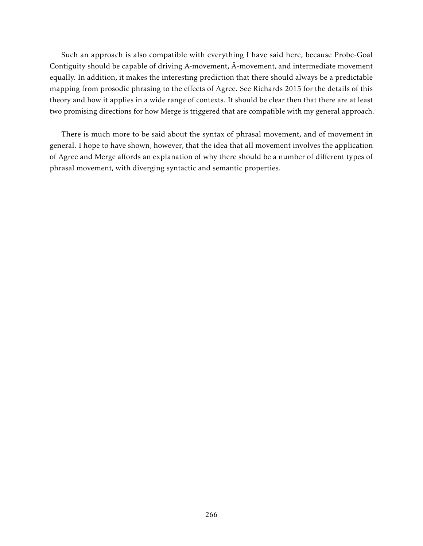Such an approach is also compatible with everything I have said here, because Probe-Goal Contiguity should be capable of driving A-movement,  $\bar{A}$ -movement, and intermediate movement equally. In addition, it makes the interesting prediction that there should always be a predictable mapping from prosodic phrasing to the effects of Agree. See Richards 2015 for the details of this theory and how it applies in a wide range of contexts. It should be clear then that there are at least two promising directions for how Merge is triggered that are compatible with my general approach.

There is much more to be said about the syntax of phrasal movement, and of movement in general. I hope to have shown, however, that the idea that all movement involves the application of Agree and Merge affords an explanation of why there should be a number of different types of phrasal movement, with diverging syntactic and semantic properties.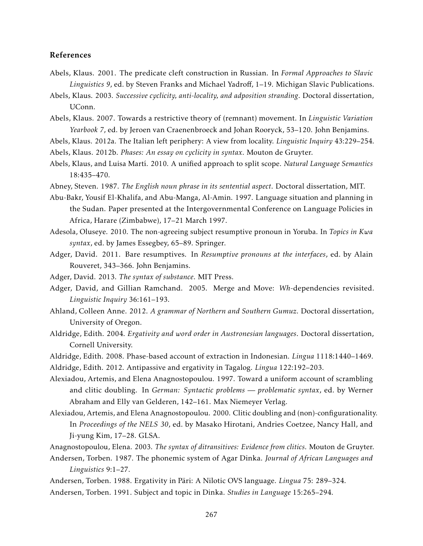### References

- Abels, Klaus. 2001. The predicate cleft construction in Russian. In *Formal Approaches to Slavic Linguistics 9*, ed. by Steven Franks and Michael Yadroff, 1–19. Michigan Slavic Publications.
- Abels, Klaus. 2003. *Successive cyclicity, anti-locality, and adposition stranding*. Doctoral dissertation, UConn.
- Abels, Klaus. 2007. Towards a restrictive theory of (remnant) movement. In *Linguistic Variation Yearbook 7*, ed. by Jeroen van Craenenbroeck and Johan Rooryck, 53–120. John Benjamins.
- Abels, Klaus. 2012a. The Italian left periphery: A view from locality. *Linguistic Inquiry* 43:229–254.
- Abels, Klaus. 2012b. *Phases: An essay on cyclicity in syntax*. Mouton de Gruyter.
- Abels, Klaus, and Luisa Martí. 2010. A unified approach to split scope. *Natural Language Semantics* 18:435–470.
- Abney, Steven. 1987. *The English noun phrase in its sentential aspect*. Doctoral dissertation, MIT.
- Abu-Bakr, Yousif El-Khalifa, and Abu-Manga, Al-Amin. 1997. Language situation and planning in the Sudan. Paper presented at the Intergovernmental Conference on Language Policies in Africa, Harare (Zimbabwe), 17–21 March 1997.
- Adesola, Oluseye. 2010. The non-agreeing subject resumptive pronoun in Yoruba. In *Topics in Kwa syntax*, ed. by James Essegbey, 65–89. Springer.
- Adger, David. 2011. Bare resumptives. In *Resumptive pronouns at the interfaces*, ed. by Alain Rouveret, 343–366. John Benjamins.
- Adger, David. 2013. *The syntax of substance*. MIT Press.
- Adger, David, and Gillian Ramchand. 2005. Merge and Move: *Wh*-dependencies revisited. *Linguistic Inquiry* 36:161–193.
- Ahland, Colleen Anne. 2012. *A grammar of Northern and Southern Gumuz*. Doctoral dissertation, University of Oregon.
- Aldridge, Edith. 2004. *Ergativity and word order in Austronesian languages*. Doctoral dissertation, Cornell University.
- Aldridge, Edith. 2008. Phase-based account of extraction in Indonesian. *Lingua* 1118:1440–1469.
- Aldridge, Edith. 2012. Antipassive and ergativity in Tagalog. *Lingua* 122:192–203.
- Alexiadou, Artemis, and Elena Anagnostopoulou. 1997. Toward a uniform account of scrambling and clitic doubling. In *German: Syntactic problems — problematic syntax*, ed. by Werner Abraham and Elly van Gelderen, 142–161. Max Niemeyer Verlag.
- Alexiadou, Artemis, and Elena Anagnostopoulou. 2000. Clitic doubling and (non)-configurationality. In *Proceedings of the NELS 30*, ed. by Masako Hirotani, Andries Coetzee, Nancy Hall, and Ji-yung Kim, 17–28. GLSA.
- Anagnostopoulou, Elena. 2003. *The syntax of ditransitives: Evidence from clitics*. Mouton de Gruyter.
- Andersen, Torben. 1987. The phonemic system of Agar Dinka. *Journal of African Languages and Linguistics* 9:1–27.
- Andersen, Torben. 1988. Ergativity in Päri: A Nilotic OVS language. *Lingua* 75: 289–324.
- Andersen, Torben. 1991. Subject and topic in Dinka. *Studies in Language* 15:265–294.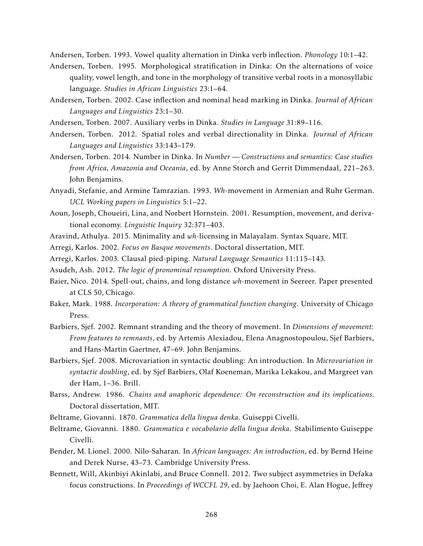Andersen, Torben. 1993. Vowel quality alternation in Dinka verb inflection. *Phonology* 10:1–42.

- Andersen, Torben. 1995. Morphological stratification in Dinka: On the alternations of voice quality, vowel length, and tone in the morphology of transitive verbal roots in a monosyllabic language. *Studies in African Linguistics* 23:1–64.
- Andersen, Torben. 2002. Case inflection and nominal head marking in Dinka. *Journal of African Languages and Linguistics* 23:1–30.
- Andersen, Torben. 2007. Auxiliary verbs in Dinka. *Studies in Language* 31:89–116.
- Andersen, Torben. 2012. Spatial roles and verbal directionality in Dinka. *Journal of African Languages and Linguistics* 33:143–179.
- Andersen, Torben. 2014. Number in Dinka. In *Number Constructions and semantics: Case studies from Africa, Amazonia and Oceania*, ed. by Anne Storch and Gerrit Dimmendaal, 221–263. John Benjamins.
- Anyadi, Stefanie, and Armine Tamrazian. 1993. *Wh*-movement in Armenian and Ruhr German. *UCL Working papers in Linguistics* 5:1–22.
- Aoun, Joseph, Choueiri, Lina, and Norbert Hornstein. 2001. Resumption, movement, and derivational economy. *Linguistic Inquiry* 32:371–403.
- Aravind, Athulya. 2015. Minimality and *wh*-licensing in Malayalam. Syntax Square, MIT.
- Arregi, Karlos. 2002. *Focus on Basque movements*. Doctoral dissertation, MIT.
- Arregi, Karlos. 2003. Clausal pied-piping. *Natural Language Semantics* 11:115–143.
- Asudeh, Ash. 2012. *The logic of pronominal resumption*. Oxford University Press.
- Baier, Nico. 2014. Spell-out, chains, and long distance *wh*-movement in Seereer. Paper presented at CLS 50, Chicago.
- Baker, Mark. 1988. *Incorporation: A theory of grammatical function changing*. University of Chicago Press.
- Barbiers, Sjef. 2002. Remnant stranding and the theory of movement. In *Dimensions of movement: From features to remnants*, ed. by Artemis Alexiadou, Elena Anagnostopoulou, Sjef Barbiers, and Hans-Martin Gaertner, 47–69. John Benjamins.
- Barbiers, Sjef. 2008. Microvariation in syntactic doubling: An introduction. In *Microvariation in syntactic doubling*, ed. by Sjef Barbiers, Olaf Koeneman, Marika Lekakou, and Margreet van der Ham, 1–36. Brill.
- Barss, Andrew. 1986. *Chains and anaphoric dependence: On reconstruction and its implications*. Doctoral dissertation, MIT.
- Beltrame, Giovanni. 1870. *Grammatica della lingua denka*. Guiseppi Civelli.
- Beltrame, Giovanni. 1880. *Grammatica e vocabolario della lingua denka*. Stabilimento Guiseppe Civelli.
- Bender, M. Lionel. 2000. Nilo-Saharan. In *African languages: An introduction*, ed. by Bernd Heine and Derek Nurse, 43–73. Cambridge University Press.
- Bennett, Will, Akinbiyi Akinlabi, and Bruce Connell. 2012. Two subject asymmetries in Defaka focus constructions. In *Proceedings of WCCFL 29*, ed. by Jaehoon Choi, E. Alan Hogue, Jeffrey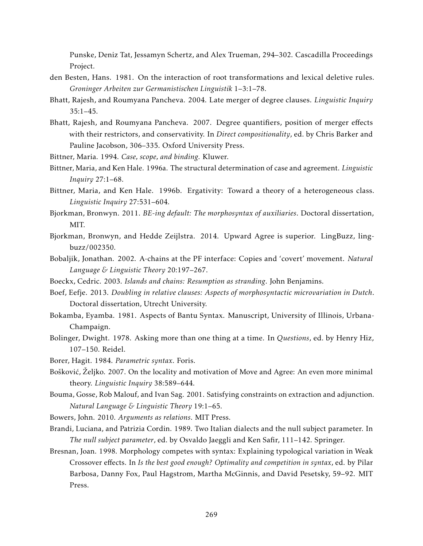Punske, Deniz Tat, Jessamyn Schertz, and Alex Trueman, 294–302. Cascadilla Proceedings Project.

- den Besten, Hans. 1981. On the interaction of root transformations and lexical deletive rules. *Groninger Arbeiten zur Germanistischen Linguistik* 1–3:1–78.
- Bhatt, Rajesh, and Roumyana Pancheva. 2004. Late merger of degree clauses. *Linguistic Inquiry* 35:1–45.
- Bhatt, Rajesh, and Roumyana Pancheva. 2007. Degree quantifiers, position of merger effects with their restrictors, and conservativity. In *Direct compositionality*, ed. by Chris Barker and Pauline Jacobson, 306–335. Oxford University Press.
- Bittner, Maria. 1994. *Case, scope, and binding.* Kluwer.
- Bittner, Maria, and Ken Hale. 1996a. The structural determination of case and agreement. *Linguistic Inquiry* 27:1–68.
- Bittner, Maria, and Ken Hale. 1996b. Ergativity: Toward a theory of a heterogeneous class. *Linguistic Inquiry* 27:531–604.
- Bjorkman, Bronwyn. 2011. *BE-ing default: The morphosyntax of auxiliaries*. Doctoral dissertation, MIT.
- Bjorkman, Bronwyn, and Hedde Zeijlstra. 2014. Upward Agree is superior. LingBuzz, lingbuzz/002350.
- Bobaljik, Jonathan. 2002. A-chains at the PF interface: Copies and 'covert' movement. *Natural Language & Linguistic Theory* 20:197–267.
- Boeckx, Cedric. 2003. *Islands and chains: Resumption as stranding*. John Benjamins.
- Boef, Eefje. 2013. *Doubling in relative clauses: Aspects of morphosyntactic microvariation in Dutch*. Doctoral dissertation, Utrecht University.
- Bokamba, Eyamba. 1981. Aspects of Bantu Syntax. Manuscript, University of Illinois, Urbana-Champaign.
- Bolinger, Dwight. 1978. Asking more than one thing at a time. In *Questions*, ed. by Henry Hiz, 107–150. Reidel.
- Borer, Hagit. 1984. *Parametric syntax*. Foris.
- Bošković, Željko. 2007. On the locality and motivation of Move and Agree: An even more minimal theory. *Linguistic Inquiry* 38:589–644.
- Bouma, Gosse, Rob Malouf, and Ivan Sag. 2001. Satisfying constraints on extraction and adjunction. *Natural Language & Linguistic Theory* 19:1–65.
- Bowers, John. 2010. *Arguments as relations*. MIT Press.
- Brandi, Luciana, and Patrizia Cordin. 1989. Two Italian dialects and the null subject parameter. In *The null subject parameter*, ed. by Osvaldo Jaeggli and Ken Safir, 111–142. Springer.
- Bresnan, Joan. 1998. Morphology competes with syntax: Explaining typological variation in Weak Crossover effects. In *Is the best good enough? Optimality and competition in syntax*, ed. by Pilar Barbosa, Danny Fox, Paul Hagstrom, Martha McGinnis, and David Pesetsky, 59–92. MIT Press.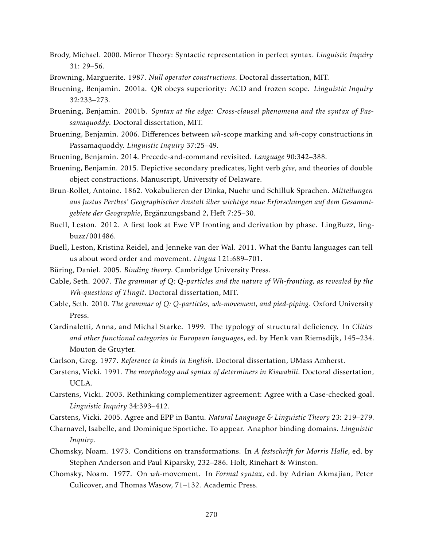- Brody, Michael. 2000. Mirror Theory: Syntactic representation in perfect syntax. *Linguistic Inquiry* 31: 29–56.
- Browning, Marguerite. 1987. *Null operator constructions*. Doctoral dissertation, MIT.
- Bruening, Benjamin. 2001a. QR obeys superiority: ACD and frozen scope. *Linguistic Inquiry* 32:233–273.
- Bruening, Benjamin. 2001b. *Syntax at the edge: Cross-clausal phenomena and the syntax of Passamaquoddy*. Doctoral dissertation, MIT.
- Bruening, Benjamin. 2006. Differences between *wh*-scope marking and *wh*-copy constructions in Passamaquoddy. *Linguistic Inquiry* 37:25–49.
- Bruening, Benjamin. 2014. Precede-and-command revisited. *Language* 90:342–388.
- Bruening, Benjamin. 2015. Depictive secondary predicates, light verb *give*, and theories of double object constructions. Manuscript, University of Delaware.
- Brun-Rollet, Antoine. 1862. Vokabulieren der Dinka, Nuehr und Schilluk Sprachen. *Mitteilungen aus Justus Perthes' Geographischer Anstalt über wichtige neue Erforschungen auf dem Gesammtgebiete der Geographie*, Ergänzungsband 2, Heft 7:25–30.
- Buell, Leston. 2012. A first look at Ewe VP fronting and derivation by phase. LingBuzz, lingbuzz/001486.
- Buell, Leston, Kristina Reidel, and Jenneke van der Wal. 2011. What the Bantu languages can tell us about word order and movement. *Lingua* 121:689–701.
- Büring, Daniel. 2005. *Binding theory*. Cambridge University Press.
- Cable, Seth. 2007. *The grammar of Q: Q-particles and the nature of Wh-fronting, as revealed by the Wh-questions of Tlingit*. Doctoral dissertation, MIT.
- Cable, Seth. 2010. *The grammar of Q: Q-particles, wh-movement, and pied-piping*. Oxford University Press.
- Cardinaletti, Anna, and Michal Starke. 1999. The typology of structural deficiency. In *Clitics and other functional categories in European languages*, ed. by Henk van Riemsdijk, 145–234. Mouton de Gruyter.
- Carlson, Greg. 1977. *Reference to kinds in English*. Doctoral dissertation, UMass Amherst.
- Carstens, Vicki. 1991. *The morphology and syntax of determiners in Kiswahili*. Doctoral dissertation, UCLA.
- Carstens, Vicki. 2003. Rethinking complementizer agreement: Agree with a Case-checked goal. *Linguistic Inquiry* 34:393–412.
- Carstens, Vicki. 2005. Agree and EPP in Bantu. *Natural Language & Linguistic Theory* 23: 219–279.
- Charnavel, Isabelle, and Dominique Sportiche. To appear. Anaphor binding domains. *Linguistic Inquiry*.
- Chomsky, Noam. 1973. Conditions on transformations. In *A festschrift for Morris Halle*, ed. by Stephen Anderson and Paul Kiparsky, 232–286. Holt, Rinehart & Winston.
- Chomsky, Noam. 1977. On *wh*-movement. In *Formal syntax*, ed. by Adrian Akmajian, Peter Culicover, and Thomas Wasow, 71–132. Academic Press.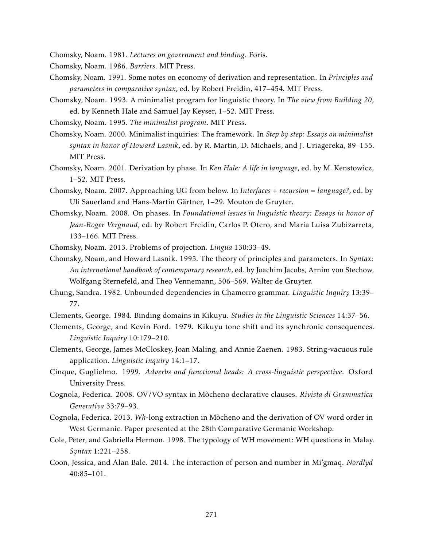Chomsky, Noam. 1981. *Lectures on government and binding*. Foris.

Chomsky, Noam. 1986. *Barriers*. MIT Press.

- Chomsky, Noam. 1991. Some notes on economy of derivation and representation. In *Principles and parameters in comparative syntax*, ed. by Robert Freidin, 417–454. MIT Press.
- Chomsky, Noam. 1993. A minimalist program for linguistic theory. In *The view from Building 20*, ed. by Kenneth Hale and Samuel Jay Keyser, 1–52. MIT Press.
- Chomsky, Noam. 1995. *The minimalist program*. MIT Press.
- Chomsky, Noam. 2000. Minimalist inquiries: The framework. In *Step by step: Essays on minimalist syntax in honor of Howard Lasnik*, ed. by R. Martin, D. Michaels, and J. Uriagereka, 89–155. MIT Press.
- Chomsky, Noam. 2001. Derivation by phase. In *Ken Hale: A life in language*, ed. by M. Kenstowicz, 1–52. MIT Press.
- Chomsky, Noam. 2007. Approaching UG from below. In *Interfaces + recursion = language?*, ed. by Uli Sauerland and Hans-Martin Gärtner, 1–29. Mouton de Gruyter.
- Chomsky, Noam. 2008. On phases. In *Foundational issues in linguistic theory: Essays in honor of Jean-Roger Vergnaud*, ed. by Robert Freidin, Carlos P. Otero, and Maria Luisa Zubizarreta, 133–166. MIT Press.
- Chomsky, Noam. 2013. Problems of projection. *Lingua* 130:33–49.
- Chomsky, Noam, and Howard Lasnik. 1993. The theory of principles and parameters. In *Syntax: An international handbook of contemporary research*, ed. by Joachim Jacobs, Arnim von Stechow, Wolfgang Sternefeld, and Theo Vennemann, 506–569. Walter de Gruyter.
- Chung, Sandra. 1982. Unbounded dependencies in Chamorro grammar. *Linguistic Inquiry* 13:39– 77.
- Clements, George. 1984. Binding domains in Kikuyu. *Studies in the Linguistic Sciences* 14:37–56.
- Clements, George, and Kevin Ford. 1979. Kikuyu tone shift and its synchronic consequences. *Linguistic Inquiry* 10:179–210.
- Clements, George, James McCloskey, Joan Maling, and Annie Zaenen. 1983. String-vacuous rule application. *Linguistic Inquiry* 14:1–17.
- Cinque, Guglielmo. 1999. *Adverbs and functional heads: A cross-linguistic perspective*. Oxford University Press.
- Cognola, Federica. 2008. OV/VO syntax in Mòcheno declarative clauses. *Rivista di Grammatica Generativa* 33:79–93.
- Cognola, Federica. 2013. *Wh*-long extraction in Mòcheno and the derivation of OV word order in West Germanic. Paper presented at the 28th Comparative Germanic Workshop.
- Cole, Peter, and Gabriella Hermon. 1998. The typology of WH movement: WH questions in Malay. *Syntax* 1:221–258.
- Coon, Jessica, and Alan Bale. 2014. The interaction of person and number in Mi'gmaq. *Nordlyd*  $40:85-101$ .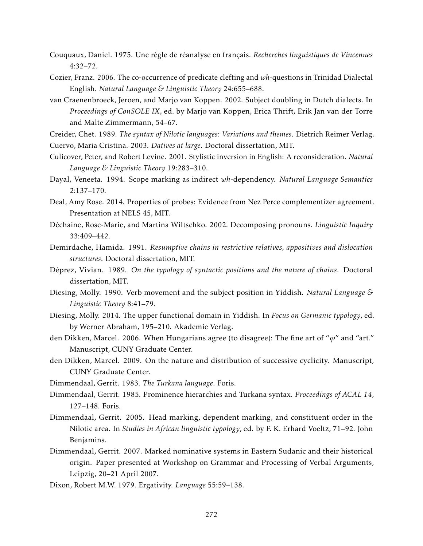- Couquaux, Daniel. 1975. Une règle de réanalyse en français. *Recherches linguistiques de Vincennes* 4:32–72.
- Cozier, Franz. 2006. The co-occurrence of predicate clefting and *wh*-questions in Trinidad Dialectal English. *Natural Language & Linguistic Theory* 24:655–688.
- van Craenenbroeck, Jeroen, and Marjo van Koppen. 2002. Subject doubling in Dutch dialects. In *Proceedings of ConSOLE IX*, ed. by Marjo van Koppen, Erica Thrift, Erik Jan van der Torre and Malte Zimmermann, 54–67.
- Creider, Chet. 1989. *The syntax of Nilotic languages: Variations and themes*. Dietrich Reimer Verlag. Cuervo, Maria Cristina. 2003. *Datives at large*. Doctoral dissertation, MIT.
- Culicover, Peter, and Robert Levine. 2001. Stylistic inversion in English: A reconsideration. *Natural Language & Linguistic Theory* 19:283–310.
- Dayal, Veneeta. 1994. Scope marking as indirect *wh*-dependency. *Natural Language Semantics* 2:137–170.
- Deal, Amy Rose. 2014. Properties of probes: Evidence from Nez Perce complementizer agreement. Presentation at NELS 45, MIT.
- Déchaine, Rose-Marie, and Martina Wiltschko. 2002. Decomposing pronouns. *Linguistic Inquiry* 33:409–442.
- Demirdache, Hamida. 1991. *Resumptive chains in restrictive relatives, appositives and dislocation structures*. Doctoral dissertation, MIT.
- Déprez, Vivian. 1989. *On the typology of syntactic positions and the nature of chains*. Doctoral dissertation, MIT.
- Diesing, Molly. 1990. Verb movement and the subject position in Yiddish. *Natural Language & Linguistic Theory* 8:41–79.
- Diesing, Molly. 2014. The upper functional domain in Yiddish. In *Focus on Germanic typology*, ed. by Werner Abraham, 195–210. Akademie Verlag.
- den Dikken, Marcel. 2006. When Hungarians agree (to disagree): The fine art of "*ϕ*" and "art." Manuscript, CUNY Graduate Center.
- den Dikken, Marcel. 2009. On the nature and distribution of successive cyclicity. Manuscript, CUNY Graduate Center.
- Dimmendaal, Gerrit. 1983. *The Turkana language*. Foris.
- Dimmendaal, Gerrit. 1985. Prominence hierarchies and Turkana syntax. *Proceedings of ACAL 14*, 127–148. Foris.
- Dimmendaal, Gerrit. 2005. Head marking, dependent marking, and constituent order in the Nilotic area. In *Studies in African linguistic typology*, ed. by F. K. Erhard Voeltz, 71–92. John Benjamins.
- Dimmendaal, Gerrit. 2007. Marked nominative systems in Eastern Sudanic and their historical origin. Paper presented at Workshop on Grammar and Processing of Verbal Arguments, Leipzig, 20–21 April 2007.
- Dixon, Robert M.W. 1979. Ergativity. *Language* 55:59–138.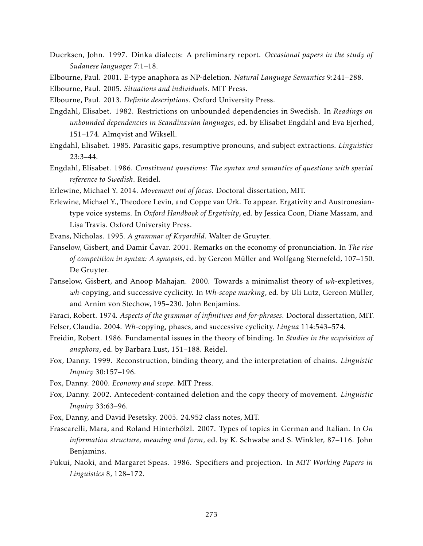- Duerksen, John. 1997. Dinka dialects: A preliminary report. *Occasional papers in the study of Sudanese languages* 7:1–18.
- Elbourne, Paul. 2001. E-type anaphora as NP-deletion. *Natural Language Semantics* 9:241–288.

Elbourne, Paul. 2005. *Situations and individuals*. MIT Press.

- Elbourne, Paul. 2013. *Definite descriptions*. Oxford University Press.
- Engdahl, Elisabet. 1982. Restrictions on unbounded dependencies in Swedish. In *Readings on unbounded dependencies in Scandinavian languages*, ed. by Elisabet Engdahl and Eva Ejerhed, 151–174. Almqvist and Wiksell.
- Engdahl, Elisabet. 1985. Parasitic gaps, resumptive pronouns, and subject extractions. *Linguistics* 23:3–44.
- Engdahl, Elisabet. 1986. *Constituent questions: The syntax and semantics of questions with special reference to Swedish*. Reidel.
- Erlewine, Michael Y. 2014. *Movement out of focus*. Doctoral dissertation, MIT.
- Erlewine, Michael Y., Theodore Levin, and Coppe van Urk. To appear. Ergativity and Austronesiantype voice systems. In *Oxford Handbook of Ergativity*, ed. by Jessica Coon, Diane Massam, and Lisa Travis. Oxford University Press.
- Evans, Nicholas. 1995. *A grammar of Kayardild*. Walter de Gruyter.
- Fanselow, Gisbert, and Damir Ćavar. 2001. Remarks on the economy of pronunciation. In *The rise of competition in syntax: A synopsis*, ed. by Gereon Müller and Wolfgang Sternefeld, 107–150. De Gruyter.
- Fanselow, Gisbert, and Anoop Mahajan. 2000. Towards a minimalist theory of *wh*-expletives, *wh*-copying, and successive cyclicity. In *Wh-scope marking*, ed. by Uli Lutz, Gereon Müller, and Arnim von Stechow, 195–230. John Benjamins.
- Faraci, Robert. 1974. *Aspects of the grammar of infinitives and for-phrases*. Doctoral dissertation, MIT.
- Felser, Claudia. 2004. *Wh*-copying, phases, and successive cyclicity. *Lingua* 114:543–574.
- Freidin, Robert. 1986. Fundamental issues in the theory of binding. In *Studies in the acquisition of anaphora*, ed. by Barbara Lust, 151–188. Reidel.
- Fox, Danny. 1999. Reconstruction, binding theory, and the interpretation of chains. *Linguistic Inquiry* 30:157–196.
- Fox, Danny. 2000. *Economy and scope*. MIT Press.
- Fox, Danny. 2002. Antecedent-contained deletion and the copy theory of movement. *Linguistic Inquiry* 33:63–96.
- Fox, Danny, and David Pesetsky. 2005. 24.952 class notes, MIT.
- Frascarelli, Mara, and Roland Hinterhölzl. 2007. Types of topics in German and Italian. In *On information structure, meaning and form*, ed. by K. Schwabe and S. Winkler, 87–116. John Benjamins.
- Fukui, Naoki, and Margaret Speas. 1986. Specifiers and projection. In *MIT Working Papers in Linguistics* 8, 128–172.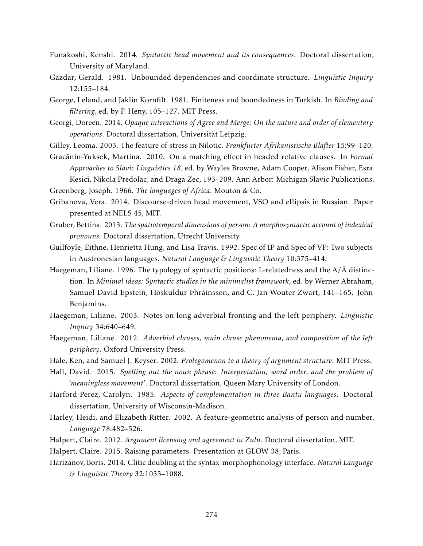- Funakoshi, Kenshi. 2014. *Syntactic head movement and its consequences*. Doctoral dissertation, University of Maryland.
- Gazdar, Gerald. 1981. Unbounded dependencies and coordinate structure. *Linguistic Inquiry* 12:155–184.
- George, Leland, and Jaklin Kornfilt. 1981. Finiteness and boundedness in Turkish. In *Binding and filtering*, ed. by F. Heny, 105–127. MIT Press.
- Georgi, Doreen. 2014. *Opaque interactions of Agree and Merge: On the nature and order of elementary operations*. Doctoral dissertation, Universität Leipzig.
- Gilley, Leoma. 2003. The feature of stress in Nilotic. *Frankfurter Afrikanistische Bläfter* 15:99–120.
- Gracănin-Yuksek, Martina. 2010. On a matching effect in headed relative clauses. In *Formal Approaches to Slavic Linguistics 18*, ed. by Wayles Browne, Adam Cooper, Alison Fisher, Esra Kesici, Nikola Predolac, and Draga Zec, 193–209. Ann Arbor: Michigan Slavic Publications.

Greenberg, Joseph. 1966. *The languages of Africa*. Mouton & Co.

- Gribanova, Vera. 2014. Discourse-driven head movement, VSO and ellipsis in Russian. Paper presented at NELS 45, MIT.
- Gruber, Bettina. 2013. *The spatiotemporal dimensions of person: A morphosyntactic account of indexical pronouns*. Doctoral dissertation, Utrecht University.
- Guilfoyle, Eithne, Henrietta Hung, and Lisa Travis. 1992. Spec of IP and Spec of VP: Two subjects in Austronesian languages. *Natural Language & Linguistic Theory* 10:375–414.
- Haegeman, Liliane. 1996. The typology of syntactic positions: L-relatedness and the  $A/\bar{A}$  distinction. In *Minimal ideas: Syntactic studies in the minimalist framework*, ed. by Werner Abraham, Samuel David Epstein, Höskuldur Þhráinsson, and C. Jan-Wouter Zwart, 141–165. John Benjamins.
- Haegeman, Liliane. 2003. Notes on long adverbial fronting and the left periphery. *Linguistic Inquiry* 34:640–649.
- Haegeman, Liliane. 2012. *Adverbial clauses, main clause phenonema, and composition of the left periphery*. Oxford University Press.
- Hale, Ken, and Samuel J. Keyser. 2002. *Prolegomenon to a theory of argument structure*. MIT Press.
- Hall, David. 2015. *Spelling out the noun phrase: Interpretation, word order, and the problem of 'meaningless movement'*. Doctoral dissertation, Queen Mary University of London.
- Harford Perez, Carolyn. 1985. *Aspects of complementation in three Bantu languages*. Doctoral dissertation, University of Wisconsin-Madison.
- Harley, Heidi, and Elizabeth Ritter. 2002. A feature-geometric analysis of person and number. *Language* 78:482–526.
- Halpert, Claire. 2012. *Argument licensing and agreement in Zulu*. Doctoral dissertation, MIT.
- Halpert, Claire. 2015. Raising parameters. Presentation at GLOW 38, Paris.
- Harizanov, Boris. 2014. Clitic doubling at the syntax-morphophonology interface. *Natural Language & Linguistic Theory* 32:1033–1088.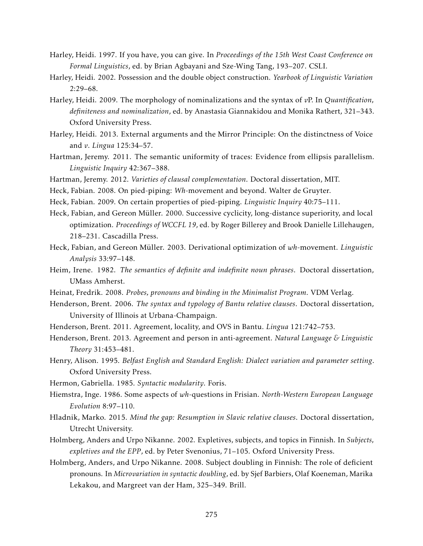- Harley, Heidi. 1997. If you have, you can give. In *Proceedings of the 15th West Coast Conference on Formal Linguistics*, ed. by Brian Agbayani and Sze-Wing Tang, 193–207. CSLI.
- Harley, Heidi. 2002. Possession and the double object construction. *Yearbook of Linguistic Variation* 2:29–68.
- Harley, Heidi. 2009. The morphology of nominalizations and the syntax of *v*P. In *Quantification, definiteness and nominalization*, ed. by Anastasia Giannakidou and Monika Rathert, 321–343. Oxford University Press.
- Harley, Heidi. 2013. External arguments and the Mirror Principle: On the distinctness of Voice and *v*. *Lingua* 125:34–57.
- Hartman, Jeremy. 2011. The semantic uniformity of traces: Evidence from ellipsis parallelism. *Linguistic Inquiry* 42:367–388.
- Hartman, Jeremy. 2012. *Varieties of clausal complementation*. Doctoral dissertation, MIT.
- Heck, Fabian. 2008. On pied-piping: *Wh*-movement and beyond. Walter de Gruyter.
- Heck, Fabian. 2009. On certain properties of pied-piping. *Linguistic Inquiry* 40:75–111.
- Heck, Fabian, and Gereon Müller. 2000. Successive cyclicity, long-distance superiority, and local optimization. *Proceedings of WCCFL 19*, ed. by Roger Billerey and Brook Danielle Lillehaugen, 218–231. Cascadilla Press.
- Heck, Fabian, and Gereon Müller. 2003. Derivational optimization of *wh*-movement. *Linguistic Analysis* 33:97–148.
- Heim, Irene. 1982. *The semantics of definite and indefinite noun phrases*. Doctoral dissertation, UMass Amherst.
- Heinat, Fredrik. 2008. *Probes, pronouns and binding in the Minimalist Program*. VDM Verlag.
- Henderson, Brent. 2006. *The syntax and typology of Bantu relative clauses*. Doctoral dissertation, University of Illinois at Urbana-Champaign.
- Henderson, Brent. 2011. Agreement, locality, and OVS in Bantu. *Lingua* 121:742–753.
- Henderson, Brent. 2013. Agreement and person in anti-agreement. *Natural Language & Linguistic Theory* 31:453–481.
- Henry, Alison. 1995. *Belfast English and Standard English: Dialect variation and parameter setting*. Oxford University Press.
- Hermon, Gabriella. 1985. *Syntactic modularity*. Foris.
- Hiemstra, Inge. 1986. Some aspects of *wh*-questions in Frisian. *North-Western European Language Evolution* 8:97–110.
- Hladnik, Marko. 2015. *Mind the gap: Resumption in Slavic relative clauses*. Doctoral dissertation, Utrecht University.
- Holmberg, Anders and Urpo Nikanne. 2002. Expletives, subjects, and topics in Finnish. In *Subjects, expletives and the EPP*, ed. by Peter Svenonius, 71–105. Oxford University Press.
- Holmberg, Anders, and Urpo Nikanne. 2008. Subject doubling in Finnish: The role of deficient pronouns. In *Microvariation in syntactic doubling*, ed. by Sjef Barbiers, Olaf Koeneman, Marika Lekakou, and Margreet van der Ham, 325–349. Brill.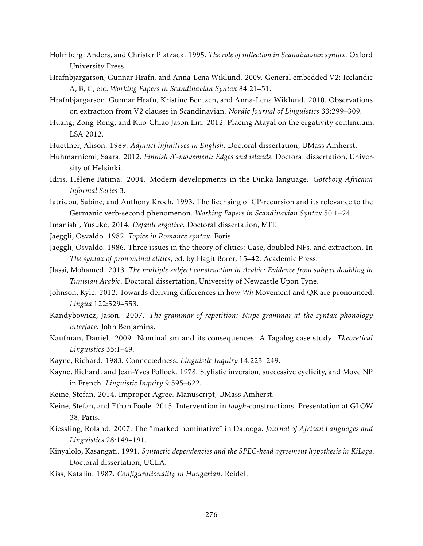- Holmberg, Anders, and Christer Platzack. 1995. *The role of inflection in Scandinavian syntax*. Oxford University Press.
- Hrafnbjargarson, Gunnar Hrafn, and Anna-Lena Wiklund. 2009. General embedded V2: Icelandic A, B, C, etc. *Working Papers in Scandinavian Syntax* 84:21–51.
- Hrafnbjargarson, Gunnar Hrafn, Kristine Bentzen, and Anna-Lena Wiklund. 2010. Observations on extraction from V2 clauses in Scandinavian. *Nordic Journal of Linguistics* 33:299–309.
- Huang, Zong-Rong, and Kuo-Chiao Jason Lin. 2012. Placing Atayal on the ergativity continuum. LSA 2012.
- Huettner, Alison. 1989. *Adjunct infinitives in English*. Doctoral dissertation, UMass Amherst.
- Huhmarniemi, Saara. 2012. *Finnish A'-movement: Edges and islands*. Doctoral dissertation, University of Helsinki.
- Idris, Hélène Fatima. 2004. Modern developments in the Dinka language. *Göteborg Africana Informal Series* 3.
- Iatridou, Sabine, and Anthony Kroch. 1993. The licensing of CP-recursion and its relevance to the Germanic verb-second phenomenon. *Working Papers in Scandinavian Syntax* 50:1–24.
- Imanishi, Yusuke. 2014. *Default ergative*. Doctoral dissertation, MIT.
- Jaeggli, Osvaldo. 1982. *Topics in Romance syntax*. Foris.
- Jaeggli, Osvaldo. 1986. Three issues in the theory of clitics: Case, doubled NPs, and extraction. In *The syntax of pronominal clitics*, ed. by Hagit Borer, 15–42. Academic Press.
- Jlassi, Mohamed. 2013. *The multiple subject construction in Arabic: Evidence from subject doubling in Tunisian Arabic*. Doctoral dissertation, University of Newcastle Upon Tyne.
- Johnson, Kyle. 2012. Towards deriving differences in how *Wh* Movement and QR are pronounced. *Lingua* 122:529–553.
- Kandybowicz, Jason. 2007. *The grammar of repetition: Nupe grammar at the syntax-phonology interface*. John Benjamins.
- Kaufman, Daniel. 2009. Nominalism and its consequences: A Tagalog case study. *Theoretical Linguistics* 35:1–49.
- Kayne, Richard. 1983. Connectedness. *Linguistic Inquiry* 14:223–249.
- Kayne, Richard, and Jean-Yves Pollock. 1978. Stylistic inversion, successive cyclicity, and Move NP in French. *Linguistic Inquiry* 9:595–622.
- Keine, Stefan. 2014. Improper Agree. Manuscript, UMass Amherst.
- Keine, Stefan, and Ethan Poole. 2015. Intervention in *tough*-constructions. Presentation at GLOW 38, Paris.
- Kiessling, Roland. 2007. The "marked nominative" in Datooga. *Journal of African Languages and Linguistics* 28:149–191.
- Kinyalolo, Kasangati. 1991. *Syntactic dependencies and the SPEC-head agreement hypothesis in KiLega*. Doctoral dissertation, UCLA.
- Kiss, Katalin. 1987. *Configurationality in Hungarian*. Reidel.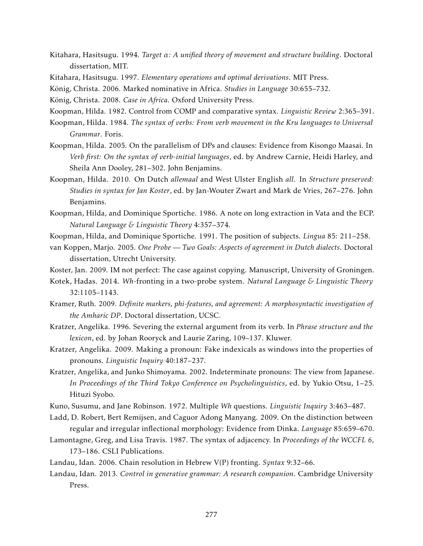- Kitahara, Hasitsugu. 1994. *Target α: A unified theory of movement and structure building*. Doctoral dissertation, MIT.
- Kitahara, Hasitsugu. 1997. *Elementary operations and optimal derivations*. MIT Press.
- König, Christa. 2006. Marked nominative in Africa. *Studies in Language* 30:655–732.
- König, Christa. 2008. *Case in Africa*. Oxford University Press.
- Koopman, Hilda. 1982. Control from COMP and comparative syntax. *Linguistic Review* 2:365–391.
- Koopman, Hilda. 1984. *The syntax of verbs: From verb movement in the Kru languages to Universal Grammar*. Foris.
- Koopman, Hilda. 2005. On the parallelism of DPs and clauses: Evidence from Kisongo Maasai. In *Verb first: On the syntax of verb-initial languages*, ed. by Andrew Carnie, Heidi Harley, and Sheila Ann Dooley, 281–302. John Benjamins.
- Koopman, Hilda. 2010. On Dutch *allemaal* and West Ulster English *all*. In *Structure preserved: Studies in syntax for Jan Koster*, ed. by Jan-Wouter Zwart and Mark de Vries, 267–276. John Benjamins.
- Koopman, Hilda, and Dominique Sportiche. 1986. A note on long extraction in Vata and the ECP. *Natural Language & Linguistic Theory* 4:357–374.
- Koopman, Hilda, and Dominique Sportiche. 1991. The position of subjects. *Lingua* 85: 211–258.
- van Koppen, Marjo. 2005. *One Probe Two Goals: Aspects of agreement in Dutch dialects*. Doctoral dissertation, Utrecht University.
- Koster, Jan. 2009. IM not perfect: The case against copying. Manuscript, University of Groningen.
- Kotek, Hadas. 2014. *Wh*-fronting in a two-probe system. *Natural Language & Linguistic Theory* 32:1105–1143.
- Kramer, Ruth. 2009. *Definite markers, phi-features, and agreement: A morphosyntactic investigation of the Amharic DP*. Doctoral dissertation, UCSC.
- Kratzer, Angelika. 1996. Severing the external argument from its verb. In *Phrase structure and the lexicon*, ed. by Johan Rooryck and Laurie Zaring, 109–137. Kluwer.
- Kratzer, Angelika. 2009. Making a pronoun: Fake indexicals as windows into the properties of pronouns. *Linguistic Inquiry* 40:187–237.
- Kratzer, Angelika, and Junko Shimoyama. 2002. Indeterminate pronouns: The view from Japanese. *In Proceedings of the Third Tokyo Conference on Psycholinguistics*, ed. by Yukio Otsu, 1–25. Hituzi Syobo.
- Kuno, Susumu, and Jane Robinson. 1972. Multiple *Wh* questions. *Linguistic Inquiry* 3:463–487.
- Ladd, D. Robert, Bert Remijsen, and Caguor Adong Manyang. 2009. On the distinction between regular and irregular inflectional morphology: Evidence from Dinka. *Language* 85:659–670.
- Lamontagne, Greg, and Lisa Travis. 1987. The syntax of adjacency. In *Proceedings of the WCCFL 6*, 173–186. CSLI Publications.
- Landau, Idan. 2006. Chain resolution in Hebrew V(P) fronting. *Syntax* 9:32–66.
- Landau, Idan. 2013. *Control in generative grammar: A research companion*. Cambridge University Press.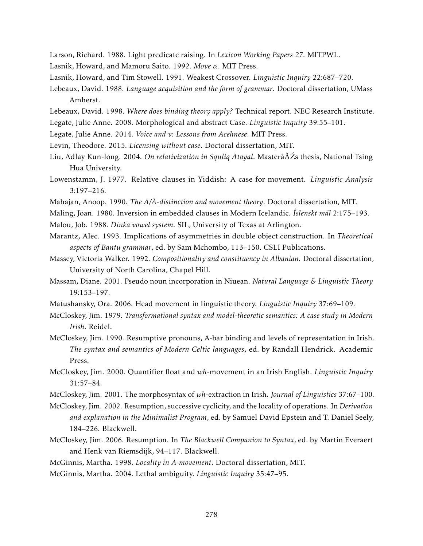Larson, Richard. 1988. Light predicate raising. In *Lexicon Working Papers 27*. MITPWL.

- Lasnik, Howard, and Mamoru Saito. 1992. *Move α*. MIT Press.
- Lasnik, Howard, and Tim Stowell. 1991. Weakest Crossover. *Linguistic Inquiry* 22:687–720.
- Lebeaux, David. 1988. *Language acquisition and the form of grammar*. Doctoral dissertation, UMass Amherst.
- Lebeaux, David. 1998. *Where does binding theory apply?* Technical report. NEC Research Institute.
- Legate, Julie Anne. 2008. Morphological and abstract Case. *Linguistic Inquiry* 39:55–101.
- Legate, Julie Anne. 2014. *Voice and v: Lessons from Acehnese*. MIT Press.
- Levin, Theodore. 2015. *Licensing without case*. Doctoral dissertation, MIT.
- Liu, Adlay Kun-long. 2004. *On relativization in Squliq Atayal*. MasterâĂŹs thesis, National Tsing Hua University.
- Lowenstamm, J. 1977. Relative clauses in Yiddish: A case for movement. *Linguistic Analysis* 3:197–216.
- Mahajan, Anoop. 1990. *The A/A-distinction and movement theory*. Doctoral dissertation, MIT.
- Maling, Joan. 1980. Inversion in embedded clauses in Modern Icelandic. *Íslenskt mál* 2:175–193.
- Malou, Job. 1988. *Dinka vowel system*. SIL, University of Texas at Arlington.
- Marantz, Alec. 1993. Implications of asymmetries in double object construction. In *Theoretical aspects of Bantu grammar*, ed. by Sam Mchombo, 113–150. CSLI Publications.
- Massey, Victoria Walker. 1992. *Compositionality and constituency in Albanian*. Doctoral dissertation, University of North Carolina, Chapel Hill.
- Massam, Diane. 2001. Pseudo noun incorporation in Niuean. *Natural Language & Linguistic Theory* 19:153–197.
- Matushansky, Ora. 2006. Head movement in linguistic theory. *Linguistic Inquiry* 37:69–109.
- McCloskey, Jim. 1979. *Transformational syntax and model-theoretic semantics: A case study in Modern Irish*. Reidel.
- McCloskey, Jim. 1990. Resumptive pronouns, A-bar binding and levels of representation in Irish. *The syntax and semantics of Modern Celtic languages*, ed. by Randall Hendrick. Academic Press.
- McCloskey, Jim. 2000. Quantifier float and *wh*-movement in an Irish English. *Linguistic Inquiry* 31:57–84.
- McCloskey, Jim. 2001. The morphosyntax of *wh*-extraction in Irish. *Journal of Linguistics* 37:67–100.
- McCloskey, Jim. 2002. Resumption, successive cyclicity, and the locality of operations. In *Derivation and explanation in the Minimalist Program*, ed. by Samuel David Epstein and T. Daniel Seely, 184–226. Blackwell.
- McCloskey, Jim. 2006. Resumption. In *The Blackwell Companion to Syntax*, ed. by Martin Everaert and Henk van Riemsdijk, 94–117. Blackwell.
- McGinnis, Martha. 1998. *Locality in A-movement*. Doctoral dissertation, MIT.
- McGinnis, Martha. 2004. Lethal ambiguity. *Linguistic Inquiry* 35:47–95.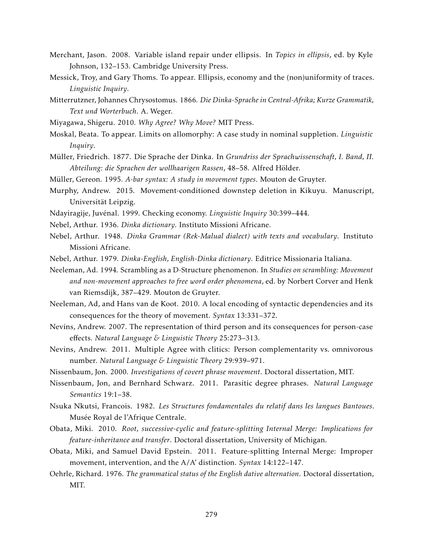- Merchant, Jason. 2008. Variable island repair under ellipsis. In *Topics in ellipsis*, ed. by Kyle Johnson, 132–153. Cambridge University Press.
- Messick, Troy, and Gary Thoms. To appear. Ellipsis, economy and the (non)uniformity of traces. *Linguistic Inquiry*.
- Mitterrutzner, Johannes Chrysostomus. 1866. *Die Dinka-Sprache in Central-Afrika; Kurze Grammatik, Text und Worterbuch*. A. Weger.
- Miyagawa, Shigeru. 2010. *Why Agree? Why Move?* MIT Press.
- Moskal, Beata. To appear. Limits on allomorphy: A case study in nominal suppletion. *Linguistic Inquiry*.
- Müller, Friedrich. 1877. Die Sprache der Dinka. In *Grundriss der Sprachwissenschaft, I. Band, II. Abteilung: die Sprachen der wollhaarigen Rassen*, 48–58. Alfred Hölder.
- Müller, Gereon. 1995. *A-bar syntax: A study in movement types*. Mouton de Gruyter.
- Murphy, Andrew. 2015. Movement-conditioned downstep deletion in Kikuyu. Manuscript, Universität Leipzig.
- Ndayiragije, Juvénal. 1999. Checking economy. *Linguistic Inquiry* 30:399–444.
- Nebel, Arthur. 1936. *Dinka dictionary*. Instituto Missioni Africane.
- Nebel, Arthur. 1948. *Dinka Grammar (Rek-Malual dialect) with texts and vocabulary*. Instituto Missioni Africane.
- Nebel, Arthur. 1979. *Dinka-English, English-Dinka dictionary*. Editrice Missionaria Italiana.
- Neeleman, Ad. 1994. Scrambling as a D-Structure phenomenon. In *Studies on scrambling: Movement and non-movement approaches to free word order phenomena*, ed. by Norbert Corver and Henk van Riemsdijk, 387–429. Mouton de Gruyter.
- Neeleman, Ad, and Hans van de Koot. 2010. A local encoding of syntactic dependencies and its consequences for the theory of movement. *Syntax* 13:331–372.
- Nevins, Andrew. 2007. The representation of third person and its consequences for person-case effects. *Natural Language & Linguistic Theory* 25:273–313.
- Nevins, Andrew. 2011. Multiple Agree with clitics: Person complementarity vs. omnivorous number. *Natural Language & Linguistic Theory* 29:939–971.
- Nissenbaum, Jon. 2000. *Investigations of covert phrase movement*. Doctoral dissertation, MIT.
- Nissenbaum, Jon, and Bernhard Schwarz. 2011. Parasitic degree phrases. *Natural Language Semantics* 19:1–38.
- Nsuka Nkutsi, Francois. 1982. *Les Structures fondamentales du relatif dans les langues Bantoues*. Musée Royal de l'Afrique Centrale.
- Obata, Miki. 2010. *Root, successive-cyclic and feature-splitting Internal Merge: Implications for feature-inheritance and transfer*. Doctoral dissertation, University of Michigan.
- Obata, Miki, and Samuel David Epstein. 2011. Feature-splitting Internal Merge: Improper movement, intervention, and the A/A' distinction. *Syntax* 14:122–147.
- Oehrle, Richard. 1976. *The grammatical status of the English dative alternation*. Doctoral dissertation, MIT.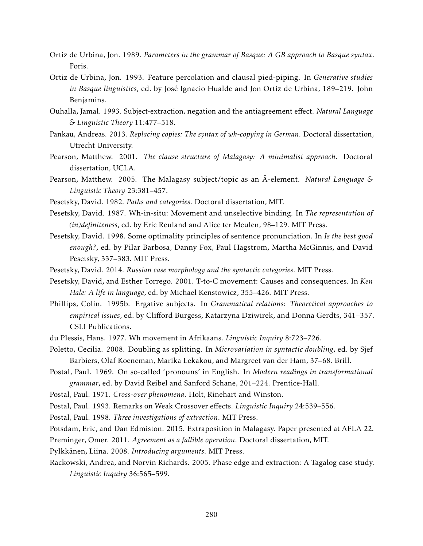- Ortiz de Urbina, Jon. 1989. *Parameters in the grammar of Basque: A GB approach to Basque syntax*. Foris.
- Ortiz de Urbina, Jon. 1993. Feature percolation and clausal pied-piping. In *Generative studies in Basque linguistics*, ed. by José Ignacio Hualde and Jon Ortiz de Urbina, 189–219. John Benjamins.
- Ouhalla, Jamal. 1993. Subject-extraction, negation and the antiagreement effect. *Natural Language & Linguistic Theory* 11:477–518.
- Pankau, Andreas. 2013. *Replacing copies: The syntax of wh-copying in German*. Doctoral dissertation, Utrecht University.
- Pearson, Matthew. 2001. *The clause structure of Malagasy: A minimalist approach*. Doctoral dissertation, UCLA.
- Pearson, Matthew. 2005. The Malagasy subject/topic as an A¯ -element. *Natural Language & Linguistic Theory* 23:381–457.
- Pesetsky, David. 1982. *Paths and categories*. Doctoral dissertation, MIT.
- Pesetsky, David. 1987. Wh-in-situ: Movement and unselective binding. In *The representation of (in)definiteness*, ed. by Eric Reuland and Alice ter Meulen, 98–129. MIT Press.
- Pesetsky, David. 1998. Some optimality principles of sentence pronunciation. In *Is the best good enough?*, ed. by Pilar Barbosa, Danny Fox, Paul Hagstrom, Martha McGinnis, and David Pesetsky, 337–383. MIT Press.
- Pesetsky, David. 2014. *Russian case morphology and the syntactic categories*. MIT Press.
- Pesetsky, David, and Esther Torrego. 2001. T-to-C movement: Causes and consequences. In *Ken Hale: A life in language*, ed. by Michael Kenstowicz, 355–426. MIT Press.
- Phillips, Colin. 1995b. Ergative subjects. In *Grammatical relations: Theoretical approaches to empirical issues*, ed. by Clifford Burgess, Katarzyna Dziwirek, and Donna Gerdts, 341–357. CSLI Publications.
- du Plessis, Hans. 1977. Wh movement in Afrikaans. *Linguistic Inquiry* 8:723–726.
- Poletto, Cecilia. 2008. Doubling as splitting. In *Microvariation in syntactic doubling*, ed. by Sjef Barbiers, Olaf Koeneman, Marika Lekakou, and Margreet van der Ham, 37–68. Brill.
- Postal, Paul. 1969. On so-called 'pronouns' in English. In *Modern readings in transformational grammar*, ed. by David Reibel and Sanford Schane, 201–224. Prentice-Hall.
- Postal, Paul. 1971. *Cross-over phenomena*. Holt, Rinehart and Winston.

Postal, Paul. 1993. Remarks on Weak Crossover effects. *Linguistic Inquiry* 24:539–556.

Postal, Paul. 1998. *Three investigations of extraction*. MIT Press.

Potsdam, Eric, and Dan Edmiston. 2015. Extraposition in Malagasy. Paper presented at AFLA 22.

Preminger, Omer. 2011. *Agreement as a fallible operation*. Doctoral dissertation, MIT.

- Pylkkänen, Liina. 2008. *Introducing arguments*. MIT Press.
- Rackowski, Andrea, and Norvin Richards. 2005. Phase edge and extraction: A Tagalog case study. *Linguistic Inquiry* 36:565–599.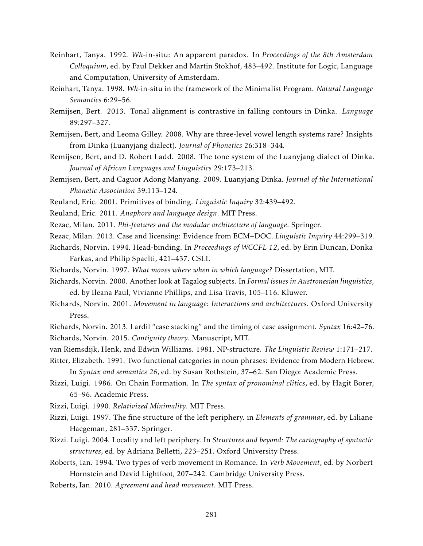- Reinhart, Tanya. 1992. *Wh*-in-situ: An apparent paradox. In *Proceedings of the 8th Amsterdam Colloquium*, ed. by Paul Dekker and Martin Stokhof, 483–492. Institute for Logic, Language and Computation, University of Amsterdam.
- Reinhart, Tanya. 1998. *Wh*-in-situ in the framework of the Minimalist Program. *Natural Language Semantics* 6:29–56.
- Remijsen, Bert. 2013. Tonal alignment is contrastive in falling contours in Dinka. *Language* 89:297–327.
- Remijsen, Bert, and Leoma Gilley. 2008. Why are three-level vowel length systems rare? Insights from Dinka (Luanyjang dialect). *Journal of Phonetics* 26:318–344.
- Remijsen, Bert, and D. Robert Ladd. 2008. The tone system of the Luanyjang dialect of Dinka. *Journal of African Languages and Linguistics* 29:173–213.
- Remijsen, Bert, and Caguor Adong Manyang. 2009. Luanyjang Dinka. *Journal of the International Phonetic Association* 39:113–124.
- Reuland, Eric. 2001. Primitives of binding. *Linguistic Inquiry* 32:439–492.
- Reuland, Eric. 2011. *Anaphora and language design*. MIT Press.
- Rezac, Milan. 2011. *Phi-features and the modular architecture of language*. Springer.
- Rezac, Milan. 2013. Case and licensing: Evidence from ECM+DOC. *Linguistic Inquiry* 44:299–319.
- Richards, Norvin. 1994. Head-binding. In *Proceedings of WCCFL 12*, ed. by Erin Duncan, Donka Farkas, and Philip Spaelti, 421–437. CSLI.
- Richards, Norvin. 1997. *What moves where when in which language?* Dissertation, MIT.
- Richards, Norvin. 2000. Another look at Tagalog subjects. In *Formal issues in Austronesian linguistics*, ed. by Ileana Paul, Vivianne Phillips, and Lisa Travis, 105–116. Kluwer.
- Richards, Norvin. 2001. *Movement in language: Interactions and architectures*. Oxford University Press.
- Richards, Norvin. 2013. Lardil "case stacking" and the timing of case assignment. *Syntax* 16:42–76. Richards, Norvin. 2015. *Contiguity theory*. Manuscript, MIT.
- van Riemsdijk, Henk, and Edwin Williams. 1981. NP-structure. *The Linguistic Review* 1:171–217.

Ritter, Elizabeth. 1991. Two functional categories in noun phrases: Evidence from Modern Hebrew. In *Syntax and semantics 26*, ed. by Susan Rothstein, 37–62. San Diego: Academic Press.

Rizzi, Luigi. 1986. On Chain Formation. In *The syntax of pronominal clitics*, ed. by Hagit Borer, 65–96. Academic Press.

Rizzi, Luigi. 1990. *Relativized Minimality*. MIT Press.

- Rizzi, Luigi. 1997. The fine structure of the left periphery. in *Elements of grammar*, ed. by Liliane Haegeman, 281–337. Springer.
- Rizzi. Luigi. 2004. Locality and left periphery. In *Structures and beyond: The cartography of syntactic structures*, ed. by Adriana Belletti, 223–251. Oxford University Press.
- Roberts, Ian. 1994. Two types of verb movement in Romance. In *Verb Movement*, ed. by Norbert Hornstein and David Lightfoot, 207–242. Cambridge University Press.
- Roberts, Ian. 2010. *Agreement and head movement*. MIT Press.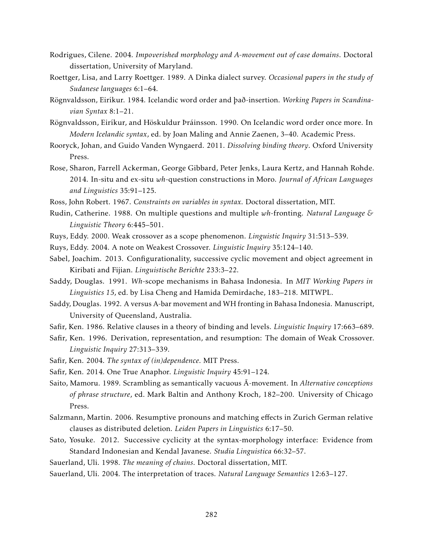- Rodrigues, Cilene. 2004. *Impoverished morphology and A-movement out of case domains*. Doctoral dissertation, University of Maryland.
- Roettger, Lisa, and Larry Roettger. 1989. A Dinka dialect survey. *Occasional papers in the study of Sudanese languages* 6:1–64.
- Rögnvaldsson, Eiríkur. 1984. Icelandic word order and það-insertion. *Working Papers in Scandinavian Syntax* 8:1–21.
- Rögnvaldsson, Eiríkur, and Höskuldur Þráinsson. 1990. On Icelandic word order once more. In *Modern Icelandic syntax*, ed. by Joan Maling and Annie Zaenen, 3–40. Academic Press.
- Rooryck, Johan, and Guido Vanden Wyngaerd. 2011. *Dissolving binding theory*. Oxford University Press.
- Rose, Sharon, Farrell Ackerman, George Gibbard, Peter Jenks, Laura Kertz, and Hannah Rohde. 2014. In-situ and ex-situ *wh*-question constructions in Moro. *Journal of African Languages and Linguistics* 35:91–125.
- Ross, John Robert. 1967. *Constraints on variables in syntax*. Doctoral dissertation, MIT.
- Rudin, Catherine. 1988. On multiple questions and multiple *wh*-fronting. *Natural Language & Linguistic Theory* 6:445–501.
- Ruys, Eddy. 2000. Weak crossover as a scope phenomenon. *Linguistic Inquiry* 31:513–539.
- Ruys, Eddy. 2004. A note on Weakest Crossover. *Linguistic Inquiry* 35:124–140.
- Sabel, Joachim. 2013. Configurationality, successive cyclic movement and object agreement in Kiribati and Fijian. *Linguistische Berichte* 233:3–22.
- Saddy, Douglas. 1991. *Wh*-scope mechanisms in Bahasa Indonesia. In *MIT Working Papers in Linguistics 15*, ed. by Lisa Cheng and Hamida Demirdache, 183–218. MITWPL.
- Saddy, Douglas. 1992. A versus A-bar movement and WH fronting in Bahasa Indonesia. Manuscript, University of Queensland, Australia.
- Safir, Ken. 1986. Relative clauses in a theory of binding and levels. *Linguistic Inquiry* 17:663–689.
- Safir, Ken. 1996. Derivation, representation, and resumption: The domain of Weak Crossover. *Linguistic Inquiry* 27:313–339.
- Safir, Ken. 2004. *The syntax of (in)dependence*. MIT Press.
- Safir, Ken. 2014. One True Anaphor. *Linguistic Inquiry* 45:91–124.
- Saito, Mamoru. 1989. Scrambling as semantically vacuous  $\bar{A}$ -movement. In Alternative conceptions *of phrase structure*, ed. Mark Baltin and Anthony Kroch, 182–200. University of Chicago Press.
- Salzmann, Martin. 2006. Resumptive pronouns and matching effects in Zurich German relative clauses as distributed deletion. *Leiden Papers in Linguistics* 6:17–50.
- Sato, Yosuke. 2012. Successive cyclicity at the syntax-morphology interface: Evidence from Standard Indonesian and Kendal Javanese. *Studia Linguistica* 66:32–57.
- Sauerland, Uli. 1998. *The meaning of chains*. Doctoral dissertation, MIT.
- Sauerland, Uli. 2004. The interpretation of traces. *Natural Language Semantics* 12:63–127.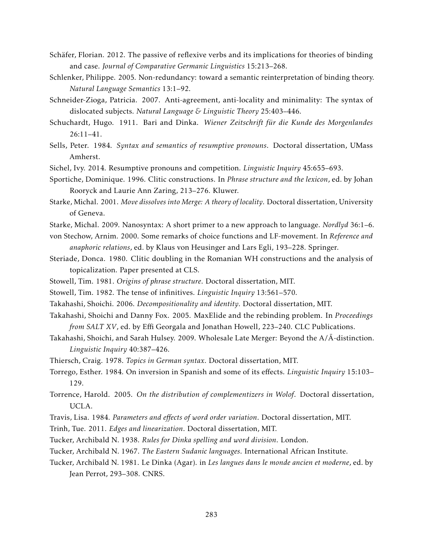- Schäfer, Florian. 2012. The passive of reflexive verbs and its implications for theories of binding and case. *Journal of Comparative Germanic Linguistics* 15:213–268.
- Schlenker, Philippe. 2005. Non-redundancy: toward a semantic reinterpretation of binding theory. *Natural Language Semantics* 13:1–92.
- Schneider-Zioga, Patricia. 2007. Anti-agreement, anti-locality and minimality: The syntax of dislocated subjects. *Natural Language & Linguistic Theory* 25:403–446.
- Schuchardt, Hugo. 1911. Bari and Dinka. *Wiener Zeitschrift für die Kunde des Morgenlandes* 26:11–41.
- Sells, Peter. 1984. *Syntax and semantics of resumptive pronouns*. Doctoral dissertation, UMass Amherst.
- Sichel, Ivy. 2014. Resumptive pronouns and competition. *Linguistic Inquiry* 45:655–693.
- Sportiche, Dominique. 1996. Clitic constructions. In *Phrase structure and the lexicon*, ed. by Johan Rooryck and Laurie Ann Zaring, 213–276. Kluwer.
- Starke, Michal. 2001. *Move dissolves into Merge: A theory of locality*. Doctoral dissertation, University of Geneva.
- Starke, Michal. 2009. Nanosyntax: A short primer to a new approach to language. *Nordlyd* 36:1–6.
- von Stechow, Arnim. 2000. Some remarks of choice functions and LF-movement. In *Reference and anaphoric relations*, ed. by Klaus von Heusinger and Lars Egli, 193–228. Springer.
- Steriade, Donca. 1980. Clitic doubling in the Romanian WH constructions and the analysis of topicalization. Paper presented at CLS.
- Stowell, Tim. 1981. *Origins of phrase structure*. Doctoral dissertation, MIT.
- Stowell, Tim. 1982. The tense of infinitives. *Linguistic Inquiry* 13:561–570.
- Takahashi, Shoichi. 2006. *Decompositionality and identity*. Doctoral dissertation, MIT.
- Takahashi, Shoichi and Danny Fox. 2005. MaxElide and the rebinding problem. In *Proceedings from SALT XV*, ed. by Effi Georgala and Jonathan Howell, 223–240. CLC Publications.
- Takahashi, Shoichi, and Sarah Hulsey. 2009. Wholesale Late Merger: Beyond the A/Ā-distinction. *Linguistic Inquiry* 40:387–426.
- Thiersch, Craig. 1978. *Topics in German syntax*. Doctoral dissertation, MIT.
- Torrego, Esther. 1984. On inversion in Spanish and some of its effects. *Linguistic Inquiry* 15:103– 129.
- Torrence, Harold. 2005. *On the distribution of complementizers in Wolof*. Doctoral dissertation, UCLA.
- Travis, Lisa. 1984. *Parameters and effects of word order variation*. Doctoral dissertation, MIT.
- Trinh, Tue. 2011. *Edges and linearization*. Doctoral dissertation, MIT.
- Tucker, Archibald N. 1938. *Rules for Dinka spelling and word division*. London.
- Tucker, Archibald N. 1967. *The Eastern Sudanic languages*. International African Institute.
- Tucker, Archibald N. 1981. Le Dinka (Agar). in *Les langues dans le monde ancien et moderne*, ed. by Jean Perrot, 293–308. CNRS.